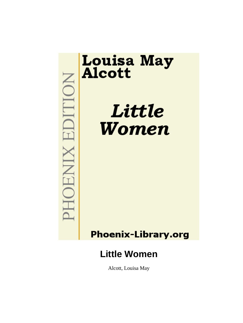

# **Louisa May<br>Alcott**

Little Women

# **Phoenix-Library.org**

# **Little Women**

Alcott, Louisa May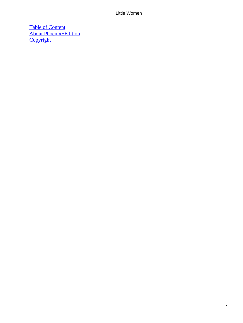[Table of Content](#page-419-0) [About Phoenix−Edition](#page-422-0) **[Copyright](#page-423-0)**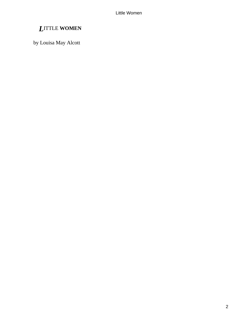# *L*ITTLE **WOMEN**

by Louisa May Alcott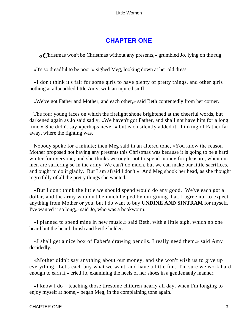# **[CHAPTER ONE](#page-419-0)**

*«C*hristmas won't be Christmas without any presents,» grumbled Jo, lying on the rug.

«It's so dreadful to be poor!» sighed Meg, looking down at her old dress.

 «I don't think it's fair for some girls to have plenty of pretty things, and other girls nothing at all,» added little Amy, with an injured sniff.

«We've got Father and Mother, and each other,» said Beth contentedly from her corner.

 The four young faces on which the firelight shone brightened at the cheerful words, but darkened again as Jo said sadly, «We haven't got Father, and shall not have him for a long time.» She didn't say «perhaps never,» but each silently added it, thinking of Father far away, where the fighting was.

 Nobody spoke for a minute; then Meg said in an altered tone, «You know the reason Mother proposed not having any presents this Christmas was because it is going to be a hard winter for everyone; and she thinks we ought not to spend money for pleasure, when our men are suffering so in the army. We can't do much, but we can make our little sacrifices, and ought to do it gladly. But I am afraid I don't.» And Meg shook her head, as she thought regretfully of all the pretty things she wanted.

 «But I don't think the little we should spend would do any good. We've each got a dollar, and the army wouldn't be much helped by our giving that. I agree not to expect anything from Mother or you, but I do want to buy **UNDINE AND SINTRAM** for myself. I've wanted it so long,» said Jo, who was a bookworm.

 «I planned to spend mine in new music,» said Beth, with a little sigh, which no one heard but the hearth brush and kettle holder.

 «I shall get a nice box of Faber's drawing pencils. I really need them,» said Amy decidedly.

 «Mother didn't say anything about our money, and she won't wish us to give up everything. Let's each buy what we want, and have a little fun. I'm sure we work hard enough to earn it,» cried Jo, examining the heels of her shoes in a gentlemanly manner.

 «I know I do – teaching those tiresome children nearly all day, when I'm longing to enjoy myself at home,» began Meg, in the complaining tone again.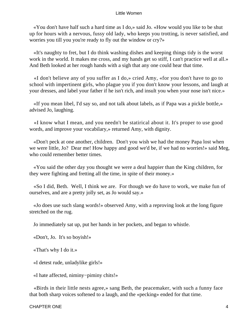«You don't have half such a hard time as I do,» said Jo. «How would you like to be shut up for hours with a nervous, fussy old lady, who keeps you trotting, is never satisfied, and worries you till you you're ready to fly out the window or cry?»

 «It's naughty to fret, but I do think washing dishes and keeping things tidy is the worst work in the world. It makes me cross, and my hands get so stiff, I can't practice well at all.» And Beth looked at her rough hands with a sigh that any one could hear that time.

 «I don't believe any of you suffer as I do,» cried Amy, «for you don't have to go to school with impertinent girls, who plague you if you don't know your lessons, and laugh at your dresses, and label your father if he isn't rich, and insult you when your nose isn't nice.»

 «If you mean libel, I'd say so, and not talk about labels, as if Papa was a pickle bottle,» advised Jo, laughing.

 «I know what I mean, and you needn't be statirical about it. It's proper to use good words, and improve your vocabilary,» returned Amy, with dignity.

 «Don't peck at one another, children. Don't you wish we had the money Papa lost when we were little, Jo? Dear me! How happy and good we'd be, if we had no worries!» said Meg, who could remember better times.

 «You said the other day you thought we were a deal happier than the King children, for they were fighting and fretting all the time, in spite of their money.»

 «So I did, Beth. Well, I think we are. For though we do have to work, we make fun of ourselves, and are a pretty jolly set, as Jo would say.»

 «Jo does use such slang words!» observed Amy, with a reproving look at the long figure stretched on the rug.

Jo immediately sat up, put her hands in her pockets, and began to whistle.

«Don't, Jo. It's so boyish!»

«That's why I do it.»

«I detest rude, unladylike girls!»

«I hate affected, niminy−piminy chits!»

 «Birds in their little nests agree,» sang Beth, the peacemaker, with such a funny face that both sharp voices softened to a laugh, and the «pecking» ended for that time.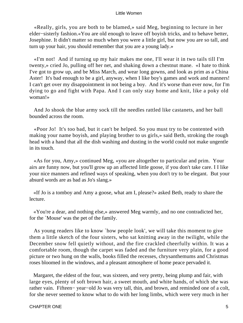«Really, girls, you are both to be blamed,» said Meg, beginning to lecture in her elder−sisterly fashion.«You are old enough to leave off boyish tricks, and to behave better, Josephine. It didn't matter so much when you were a little girl, but now you are so tall, and turn up your hair, you should remember that you are a young lady.»

 «I'm not! And if turning up my hair makes me one, I'll wear it in two tails till I'm twenty,» cried Jo, pulling off her net, and shaking down a chestnut mane. «I hate to think I've got to grow up, and be Miss March, and wear long gowns, and look as prim as a China Aster! It's bad enough to be a girl, anyway, when I like boy's games and work and manners! I can't get over my disappointment in not being a boy. And it's worse than ever now, for I'm dying to go and fight with Papa. And I can only stay home and knit, like a poky old woman!»

 And Jo shook the blue army sock till the needles rattled like castanets, and her ball bounded across the room.

 «Poor Jo! It's too bad, but it can't be helped. So you must try to be contented with making your name boyish, and playing brother to us girls,» said Beth, stroking the rough head with a hand that all the dish washing and dusting in the world could not make ungentle in its touch.

 «As for you, Amy,» continued Meg, «you are altogether to particular and prim. Your airs are funny now, but you'll grow up an affected little goose, if you don't take care. I I like your nice manners and refined ways of speaking, when you don't try to be elegant. But your absurd words are as bad as Jo's slang.»

 «If Jo is a tomboy and Amy a goose, what am I, please?» asked Beth, ready to share the lecture.

 «You're a dear, and nothing else,» answered Meg warmly, and no one contradicted her, for the `Mouse' was the pet of the family.

 As young readers like to know `how people look', we will take this moment to give them a little sketch of the four sisters, who sat knitting away in the twilight, while the December snow fell quietly without, and the fire crackled cheerfully within. It was a comfortable room, though the carpet was faded and the furniture very plain, for a good picture or two hung on the walls, books filled the recesses, chrysanthemums and Christmas roses bloomed in the windows, and a pleasant atmosphere of home peace pervaded it.

 Margaret, the eldest of the four, was sixteen, and very pretty, being plump and fair, with large eyes, plenty of soft brown hair, a sweet mouth, and white hands, of which she was rather vain. Fifteen− year−old Jo was very tall, thin, and brown, and reminded one of a colt, for she never seemed to know what to do with her long limbs, which were very much in her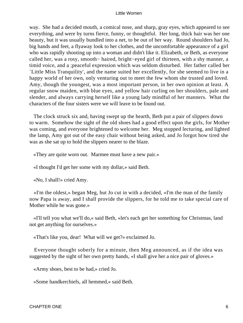way. She had a decided mouth, a comical nose, and sharp, gray eyes, which appeared to see everything, and were by turns fierce, funny, or thoughtful. Her long, thick hair was her one beauty, but it was usually bundled into a net, to be out of her way. Round shoulders had Jo, big hands and feet, a flyaway look to her clothes, and the uncomfortable appearance of a girl who was rapidly shooting up into a woman and didn't like it. Elizabeth, or Beth, as everyone called her, was a rosy, smooth− haired, bright−eyed girl of thirteen, with a shy manner, a timid voice, and a ;peaceful expression which was seldom disturbed. Her father called her `Little Miss Tranquility', and the name suited her excellently, for she seemed to live in a happy world of her own, only venturing out to meet the few whom she trusted and loved. Amy, though the youngest, was a most important person, in her own opinion at least. A regular snow maiden, with blue eyes, and yellow hair curling on her shoulders, pale and slender, and always carrying herself like a young lady mindful of her manners. What the characters of the four sisters were we will leave to be found out.

 The clock struck six and, having swept up the hearth, Beth put a pair of slippers down to warm. Somehow the sight of the old shoes had a good effect upon the girls, for Mother was coming, and everyone brightened to welcome her. Meg stopped lecturing, and lighted the lamp, Amy got out of the easy chair without being asked, and Jo forgot how tired she was as she sat up to hold the slippers nearer to the blaze.

«They are quite worn out. Marmee must have a new pair.»

«I thought I'd get her some with my dollar,» said Beth.

«No, I shall!» cried Amy.

 «I'm the oldest,» began Meg, but Jo cut in with a decided, «I'm the man of the family now Papa is away, and I shall provide the slippers, for he told me to take special care of Mother while he was gone.»

 «I'll tell you what we'll do,» said Beth, «let's each get her something for Christmas, land not get anything for ourselves.»

«That's like you, dear! What will we get?» exclaimed Jo.

 Everyone thought soberly for a minute, then Meg announced, as if the idea was suggested by the sight of her own pretty hands, «I shall give her a nice pair of gloves.»

«Army shoes, best to be had,» cried Jo.

«Some handkerchiefs, all hemmed,» said Beth.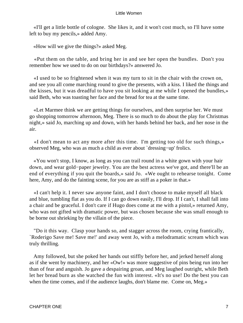«I'll get a little bottle of cologne. She likes it, and it won't cost much, so I'll have some left to buy my pencils,» added Amy.

«How will we give the things?» asked Meg.

 «Put them on the table, and bring her in and see her open the bundles. Don't you remember how we used to do on our birthdays?» answered Jo.

 «I used to be so frightened when it was my turn to sit in the chair with the crown on, and see you all come marching round to give the presents, with a kiss. I liked the things and the kisses, but it was dreadful to have you sit looking at me while I opened the bundles,» said Beth, who was toasting her face and the bread for tea at the same time.

 «Let Marmee think we are getting things for ourselves, and then surprise her. We must go shopping tomorrow afternoon, Meg. There is so much to do about the play for Christmas night,» said Jo, marching up and down, with her hands behind her back, and her nose in the air.

 «I don't mean to act any more after this time. I'm getting too old for such things,» observed Meg, who was as much a child as ever about `dressing−up' frolics.

 «You won't stop, I know, as long as you can trail round in a white gown with your hair down, and wear gold−paper jewelry. You are the best actress we've got, and there'll be an end of everything if you quit the boards,» said Jo. «We ought to rehearse tonight. Come here, Amy, and do the fainting scene, for you are as stiff as a poker in that.»

 «I can't help it. I never saw anyone faint, and I don't choose to make myself all black and blue, tumbling flat as you do. If I can go down easily, I'll drop. If I can't, I shall fall into a chair and be graceful. I don't care if Hugo does come at me with a pistol,» returned Amy, who was not gifted with dramatic power, but was chosen because she was small enough to be borne out shrieking by the villain of the piece.

 "Do it this way. Clasp your hands so, and stagger across the room, crying frantically, `Roderigo Save me! Save me!' and away went Jo, with a melodramatic scream which was truly thrilling.

 Amy followed, but she poked her hands out stiffly before her, and jerked herself along as if she went by machinery, and her «Ow!» was more suggestive of pins being run into her than of fear and anguish. Jo gave a despairing groan, and Meg laughed outright, while Beth let her bread burn as she watched the fun with interest. «It's no use! Do the best you can when the time comes, and if the audience laughs, don't blame me. Come on, Meg.»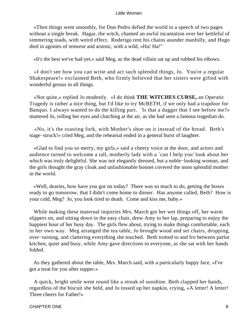«Then things went smoothly, for Don Pedro defied the world in a speech of two pages without a single break. Hagar, the witch, chanted an awful incantation over her kettleful of simmering toads, with weird effect. Roderigo rent his chains asunder manfully, and Hugo died in agonies of remorse and arsenic, with a wild, »Ha! Ha!"

«It's the best we've had yet,» said Meg, as the dead villain sat up and rubbed his elbows.

 «I don't see how you can write and act such splendid things, Jo. You're a regular Shakespeare!» exclaimed Beth, who firmly believed that her sisters were gifted with wonderful genius in all things.

 «Not quite,» replied Jo modestly. «I do think **THE WITCHES CURSE,** an Operatic Tragedy is rather a nice thing, but I'd like to try McBETH, if we only had a trapdoor for Banquo. I always wanted to do the killing part. `Is that a dagger that I see before me?» muttered Jo, rolling her eyes and clutching at the air, as she had seen a famous tragedian do.

 «No, it's the toasting fork, with Mother's shoe on it instead of the bread. Beth's stage−struck!» cried Meg, and the rehearsal ended in a general burst of laughter.

 «Glad to find you so merry, my girls,» said a cheery voice at the door, and actors and audience turned to welcome a tall, motherly lady with a `can I help you' look about her which was truly delightful. She was not elegantly dressed, but a noble−looking woman, and the girls thought the gray cloak and unfashionable bonnet covered the most splendid mother in the world.

 «Well, dearies, how have you got on today? There was so much to do, getting the boxes ready to go tomorrow, that I didn't come home to dinner. Has anyone called, Beth? How is your cold, Meg? Jo, you look tired to death. Come and kiss me, baby.»

 While making these maternal inquiries Mrs. March got her wet things off, her warm slippers on, and sitting down in the easy chair, drew Amy to her lap, preparing to enjoy the happiest hour of her busy day. The girls flew about, trying to make things comfortable, each in her own way. Meg arranged the tea table, Jo brought wood and set chairs, dropping, over−turning, and clattering everything she touched. Beth trotted to and fro between parlor kitchen, quiet and busy, while Amy gave directions to everyone, as she sat with her hands folded.

 As they gathered about the table, Mrs. March said, with a particularly happy face, «I've got a treat for you after supper.»

 A quick, bright smile went round like a streak of sunshine. Beth clapped her hands, regardless of the biscuit she held, and Jo tossed up her napkin, crying, «A letter! A letter! Three cheers for Father!»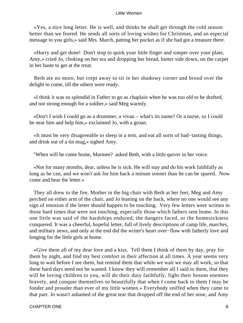«Yes, a nice long letter. He is well, and thinks he shall get through the cold season better than we feared. He sends all sorts of loving wishes for Christmas, and an especial message to you girls,» said Mrs. March, patting her pocket as if she had got a treasure there.

 «Hurry and get done! Don't stop to quirk your little finger and simper over your plate, Amy,» cried Jo, choking on her tea and dropping her bread, butter side down, on the carpet in her haste to get at the treat.

 Beth ate no more, but crept away to sit in her shadowy corner and brood over the delight to come, till the others were ready.

 «I think it was so splendid in Father to go as chaplain when he was too old to be drafted, and not strong enough for a soldier,» said Meg warmly.

 «Don't I wish I could go as a drummer, a vivan – what's its name? Or a nurse, so I could be near him and help him,» exclaimed Jo, with a groan.

 «It must be very disagreeable to sleep in a tent, and eat all sorts of bad−tasting things, and drink out of a tin mug,» sighed Amy.

"When will he come home, Marmee? asked Beth, with a little quiver in her voice.

 «Not for many months, dear, unless he is sick. He will stay and do his work faithfully as long as he can, and we won't ask for him back a minute sooner than he can be spared. Now come and hear the letter.»

 They all drew to the fire, Mother in the big chair with Beth at her feet, Meg and Amy perched on either arm of the chair, and Jo leaning on the back, where no one would see any sign of emotion if the letter should happen to be touching. Very few letters were written in those hard times that were not touching, especially those which fathers sent home. In this one little was said of the hardships endured, the dangers faced, or the homesickness conquered. It was a cheerful, hopeful letter, full of lively descriptions of camp life, marches, and military news, and only at the end did the writer's heart over−flow with fatherly love and longing for the little girls at home.

 «Give them all of my dear love and a kiss. Tell them I think of them by day, pray for them by night, and find my best comfort in their affection at all times. A year seems very long to wait before I see them, but remind them that while we wait we may all work, so that these hard days need not be wasted. I know they will remember all I said to them, that they will be loving children to you, will do their duty faithfully, fight their bosom enemies bravely, and conquer themselves so beautifully that when I come back to them I may be fonder and prouder than ever of my little women.» Everybody sniffed when they came to that part. Jo wasn't ashamed of the great tear that dropped off the end of her nose, and Amy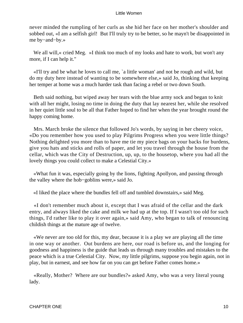never minded the rumpling of her curls as she hid her face on her mother's shoulder and sobbed out, «I am a selfish girl! But I'll truly try to be better, so he mayn't be disappointed in me by−and−by.»

We all will, « cried Meg. »I think too much of my looks and hate to work, but won't any more, if I can help it."

 «I'll try and be what he loves to call me, `a little woman' and not be rough and wild, but do my duty here instead of wanting to be somewhere else,» said Jo, thinking that keeping her temper at home was a much harder task than facing a rebel or two down South.

 Beth said nothing, but wiped away her tears with the blue army sock and began to knit with all her might, losing no time in doing the duty that lay nearest her, while she resolved in her quiet little soul to be all that Father hoped to find her when the year brought round the happy coming home.

 Mrs. March broke the silence that followed Jo's words, by saying in her cheery voice, «Do you remember how you used to play Pilgrims Progress when you were little things? Nothing delighted you more than to have me tie my piece bags on your backs for burdens, give you hats and sticks and rolls of paper, and let you travel through the house from the cellar, which was the City of Destruction, up, up, to the housetop, where you had all the lovely things you could collect to make a Celestial City.»

 «What fun it was, especially going by the lions, fighting Apollyon, and passing through the valley where the hob−goblins were,» said Jo.

«I liked the place where the bundles fell off and tumbled downstairs,» said Meg.

 «I don't remember much about it, except that I was afraid of the cellar and the dark entry, and always liked the cake and milk we had up at the top. If I wasn't too old for such things, I'd rather like to play it over again,» said Amy, who began to talk of renouncing childish things at the mature age of twelve.

 «We never are too old for this, my dear, because it is a play we are playing all the time in one way or another. Out burdens are here, our road is before us, and the longing for goodness and happiness is the guide that leads us through many troubles and mistakes to the peace which is a true Celestial City. Now, my little pilgrims, suppose you begin again, not in play, but in earnest, and see how far on you can get before Father comes home.»

 «Really, Mother? Where are our bundles?» asked Amy, who was a very literal young lady.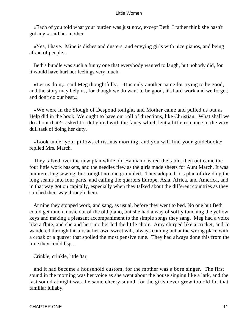«Each of you told what your burden was just now, except Beth. I rather think she hasn't got any,» said her mother.

 «Yes, I have. Mine is dishes and dusters, and envying girls with nice pianos, and being afraid of people.»

 Beth's bundle was such a funny one that everybody wanted to laugh, but nobody did, for it would have hurt her feelings very much.

 «Let us do it,» said Meg thoughtfully. «It is only another name for trying to be good, and the story may help us, for though we do want to be good, it's hard work and we forget, and don't do our best.»

 «We were in the Slough of Despond tonight, and Mother came and pulled us out as Help did in the book. We ought to have our roll of directions, like Christian. What shall we do about that?» asked Jo, delighted with the fancy which lent a little romance to the very dull task of doing her duty.

 «Look under your pillows christmas morning, and you will find your guidebook,» replied Mrs. March.

 They talked over the new plan while old Hannah cleared the table, then out came the four little work baskets, and the needles flew as the girls made sheets for Aunt March. It was uninteresting sewing, but tonight no one grumbled. They adopted Jo's plan of dividing the long seams into four parts, and calling the quarters Europe, Asia, Africa, and America, and in that way got on capitally, especially when they talked about the different countries as they stitched their way through them.

 At nine they stopped work, and sang, as usual, before they went to bed. No one but Beth could get much music out of the old piano, but she had a way of softly touching the yellow keys and making a pleasant accompaniment to the simple songs they sang. Meg had a voice like a flute, and she and herr mother led the little choir. Amy chirped like a cricket, and Jo wandered through the airs at her own sweet will, always coming out at the wrong place with a croak or a quaver that spoiled the most pensive tune. They had always done this from the time they could lisp...

Crinkle, crinkle, 'ittle 'tar,

 and it had become a household custom, for the mother was a born singer. The first sound in the morning was her voice as she went about the house singing like a lark, and the last sound at night was the same cheery sound, for the girls never grew too old for that familiar lullaby.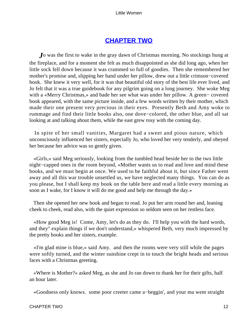## **[CHAPTER TWO](#page-419-0)**

*J*o was the first to wake in the gray dawn of Christmas morning. No stockings hung at the fireplace, and for a moment she felt as much disappointed as she did long ago, when her little sock fell down because it was crammed so full of goodies. Then she remembered her mother's promise and, slipping her hand under her pillow, drew out a little crimson−covered book. She knew it very well, for it was that beautiful old story of the best life ever lived, and Jo felt that it was a true guidebook for any pilgrim going on a long journey. She woke Meg with a «Merry Christmas,» and bade her see what was under her pillow. A green− covered book appeared, with the same picture inside, and a few words written by their mother, which made their one present very precious in their eyes. Presently Beth and Amy woke to rummage and find their little books also, one dove−colored, the other blue, and all sat looking at and talking about them, while the east grew rosy with the coming day.

 In spite of her small vanities, Margaret had a sweet and pious nature, which unconsciously influenced her sisters, especially Jo, who loved her very tenderly, and obeyed her because her advice was so gently given.

 «Girls,» said Meg seriously, looking from the tumbled head beside her to the two little night−capped ones in the room beyond, «Mother wants us to read and love and mind these books, and we must begin at once. We used to be faithful about it, but since Father went away and all this war trouble unsettled us, we have neglected many things. You can do as you please, but I shall keep my book on the table here and read a little every morning as soon as I wake, for I know it will do me good and help me through the day.»

 Then she opened her new book and began to read. Jo put her arm round her and, leaning cheek to cheek, read also, with the quiet expression so seldom seen on her restless face.

 «How good Meg is! Come, Amy, let's do as they do. I'll help you with the hard words, and they'' explain things if we don't understand,» whispered Beth, very much impressed by the pretty books and her sisters, example.

 «I'm glad mine is blue,» said Amy. and then the rooms were very still while the pages were softly turned, and the winter sunshine crept in to touch the bright heads and serious faces with a Christmas greeting.

 «Where is Mother?» asked Meg, as she and Jo ran down to thank her for their gifts, half an hour later.

«Goodness only knows. some poor creeter came a−beggin', and your ma went straight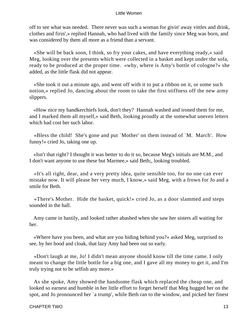off to see what was needed. There never was such a woman for givin' away vittles and drink, clothes and firin',» replied Hannah, who had lived with the family since Meg was born, and was considered by them all more as a friend than a servant.

 «She will be back soon, I think, so fry your cakes, and have everything ready,» said Meg, looking over the presents which were collected in a basket and kept under the sofa, ready to be produced at the proper time. «why, where is Amy's bottle of cologne?» she added, as the little flask did not appear.

 «She took it out a minute ago, and went off with it to put a ribbon on it, or some such notion,» replied Jo, dancing about the room to take the first stiffness off the new army slippers.

 «How nice my handkerchiefs look, don't they? Hannah washed and ironed them for me, and I marked them all myself,» said Beth, looking proudly at the somewhat uneven letters which had cost her such labor.

 «Bless the child! She's gone and put `Mother' on them instead of `M. March'. How funny!» cried Jo, taking one up.

 «Isn't that right? I thought it was better to do it so, because Meg's initials are M.M., and I don't want anyone to use these but Marmee,» said Beth;, looking troubled.

 «It's all right, dear, and a very pretty idea, quite sensible too, for no one can ever mistake now. It will please her very much, I know,» said Meg, with a frown for Jo and a smile for Beth.

 «There's Mother. Hide the basket, quick!» cried Jo, as a door slammed and steps sounded in the hall.

 Amy came in hastily, and looked rather abashed when she saw her sisters all waiting for her.

 «Where have you been, and what are you hiding behind you?» asked Meg, surprised to see, by her hood and cloak, that lazy Amy had been out so early.

 «Don't laugh at me, Jo! I didn't mean anyone should know till the time came. I only meant to change the little bottle for a big one, and I gave all my money to get it, and I'm truly trying not to be selfish any more.»

 As she spoke, Amy showed the handsome flask which replaced the cheap one, and looked so earnest and humble in her little effort to forget herself that Meg hugged her on the spot, and Jo pronounced her `a trump', while Beth ran to the window, and picked her finest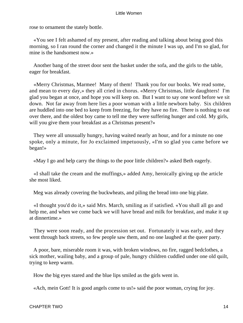rose to ornament the stately bottle.

 «You see I felt ashamed of my present, after reading and talking about being good this morning, so I ran round the corner and changed it the minute I was up, and I'm so glad, for mine is the handsomest now.»

 Another bang of the street door sent the basket under the sofa, and the girls to the table, eager for breakfast.

 «Merry Christmas, Marmee! Many of them! Thank you for our books. We read some, and mean to every day,» they all cried in chorus. «Merry Christmas, little daughters! I'm glad you began at once, and hope you will keep on. But I want to say one word before we sit down. Not far away from here lies a poor woman with a little newborn baby. Six children are huddled into one bed to keep from freezing, for they have no fire. There is nothing to eat over there, and the oldest boy came to tell me they were suffering hunger and cold. My girls, will you give them your breakfast as a Christmas present?»

 They were all unusually hungry, having waited nearly an hour, and for a minute no one spoke, only a minute, for Jo exclaimed impetuously, «I'm so glad you came before we began!»

«May I go and help carry the things to the poor little children?» asked Beth eagerly.

 «I shall take the cream and the muffings,» added Amy, heroically giving up the article she most liked.

Meg was already covering the buckwheats, and piling the bread into one big plate.

 «I thought you'd do it,» said Mrs. March, smiling as if satisfied. «You shall all go and help me, and when we come back we will have bread and milk for breakfast, and make it up at dinnertime.»

 They were soon ready, and the procession set out. Fortunately it was early, and they went through back streets, so few people saw them, and no one laughed at the queer party.

 A poor, bare, miserable room it was, with broken windows, no fire, ragged bedclothes, a sick mother, wailing baby, and a group of pale, hungry children cuddled under one old quilt, trying to keep warm.

How the big eyes stared and the blue lips smiled as the girls went in.

«Ach, mein Gott! It is good angels come to us!» said the poor woman, crying for joy.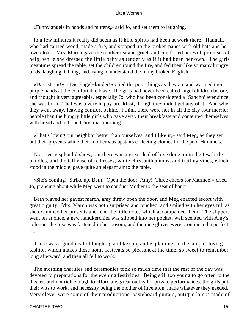«Funny angels in hoods and mittens,» said Jo, and set them to laughing.

 In a few minutes it really did seem as if kind spirits had been at work there. Hannah, who had carried wood, made a fire, and stopped up the broken panes with old hats and her own cloak. Mrs. March gave the mother tea and gruel, and comforted her with promises of help, while she dressed the little baby as tenderly as if it had been her own. The girls meantime spread the table, set the children round the fire, and fed them like so many hungry birds, laughing, talking, and trying to understand the funny broken English.

 «Das ist gut!» «Die Engel−kinder!» cried the poor things as they ate and warmed their purple hands at the comfortable blaze. The girls had never been called angel children before, and thought it very agreeable, especially Jo, who had been considered a `Sancho' ever since she was born. That was a very happy breakfast, though they didn't get any of it. And when they went away, leaving comfort behind, I think there were not in all the city four merrier people than the hungry little girls who gave away their breakfasts and contented themselves with bread and milk on Christmas morning.

 «That's loving our neighbor better than ourselves, and I like it,» said Meg, as they set out their presents while their mother was upstairs collecting clothes for the poor Hummels.

 Not a very splendid show, but there was a great deal of love done up in the few little bundles, and the tall vase of red roses, white chrysanthemums, and trailing vines, which stood in the middle, gave quite an elegant air to the table.

 «She's coming! Strike up, Beth! Open the door, Amy! Three cheers for Marmee!» cried Jo, prancing about while Meg went to conduct Mother to the seat of honor.

 Beth played her gayest march, amy threw open the door, and Meg enacted escort with great dignity. Mrs. March was both surprised and touched, and smiled with her eyes full as she examined her presents and read the little notes which accompanied them. The slippers went on at once, a new handkerchief was slipped into her pocket, well scented with Amy's cologne, the rose was fastened in her bosom, and the nice gloves were pronounced a perfect fit.

 There was a good deal of laughing and kissing and explaining, in the simple, loving fashion which makes these home festivals so pleasant at the time, so sweet to remember long afterward, and then all fell to work.

 The morning charities and ceremonies took so much time that the rest of the day was devoted to preparations for the evening festivities. Being still too young to go often to the theater, and not rich enough to afford any great outlay for private performances, the girls put their wits to work, and necessity being the mother of invention, made whatever they needed. Very clever were some of their productions, pasteboard guitars, antique lamps made of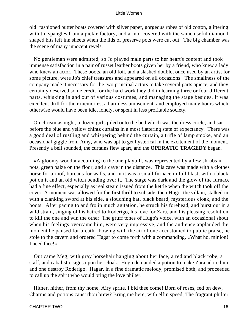old−fashioned butter boats covered with silver paper, gorgeous robes of old cotton, glittering with tin spangles from a pickle factory, and armor covered with the same useful diamond shaped bits left inn sheets when the lids of preserve pots were cut out. The big chamber was the scene of many innocent revels.

 No gentleman were admitted, so Jo played male parts to her heart's content and took immense satisfaction in a pair of russet leather boots given her by a friend, who knew a lady who knew an actor. These boots, an old foil, and a slashed doublet once used by an artist for some picture, were Jo's chief treasures and appeared on all occasions. The smallness of the company made it necessary for the two principal actors to take several parts apiece, and they certainly deserved some credit for the hard work they did in learning three or four different parts, whisking in and out of various costumes, and managing the stage besides. It was excellent drill for their memories, a harmless amusement, and employed many hours which otherwise would have been idle, lonely, or spent in less profitable society.

 On christmas night, a dozen girls piled onto the bed which was the dress circle, and sat before the blue and yellow chintz curtains in a most flattering state of expectancy. There was a good deal of rustling and whispering behind the curtain, a trifle of lamp smoke, and an occasional giggle from Amy, who was apt to get hysterical in the excitement of the moment. Presently a bell sounded, the curtains flew apart, and the **OPERATIC TRAGEDY** began.

 «A gloomy wood,» according to the one playbill, was represented by a few shrubs in pots, green baize on the floor, and a cave in the distance. This cave was made with a clothes horse for a roof, bureaus for walls, and in it was a small furnace in full blast, with a black pot on it and an old witch bending over it. The stage was dark and the glow of the furnace had a fine effect, especially as real steam issued from the kettle when the witch took off the cover. A moment was allowed for the first thrill to subside, then Hugo, the villain, stalked in with a clanking sword at his side, a slouching hat, black beard, mysterious cloak, and the boots. After pacing to and fro in much agitation, he struck his forehead, and burst out in a wild strain, singing of his hatred to Roderigo, his love for Zara, and his pleasing resolution to kill the one and win the other. The gruff tones of Hugo's voice, with an occasional shout when his feelings overcame him, were very impressive, and the audience applauded the moment he paused for breath. bowing with the air of one accustomed to public praise, he stole to the cavern and ordered Hagar to come forth with a commanding, «What ho, minion! I need thee!»

 Out came Meg, with gray horsehair hanging about her face, a red and black robe, a staff, and cabalistic signs upon her cloak. Hugo demanded a potion to make Zara adore him, and one destroy Roderigo. Hagar, in a fine dramatic melody, promised both, and proceeded to call up the spirit who would bring the love philter.

 Hither, hither, from thy home, Airy sprite, I bid thee come! Born of roses, fed on dew, Charms and potions canst thou brew? Bring me here, with elfin speed, The fragrant philter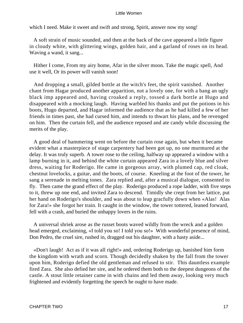which I need. Make it sweet and swift and strong, Spirit, answer now my song!

 A soft strain of music sounded, and then at the back of the cave appeared a little figure in cloudy white, with glittering wings, golden hair, and a garland of roses on its head. Waving a wand, it sang...

 Hither I come, From my airy home, Afar in the silver moon. Take the magic spell, And use it well, Or its power will vanish soon!

 And dropping a small, gilded bottle at the witch's feet, the spirit vanished. Another chant from Hagar produced another apparition, not a lovely one, for with a bang an ugly black imp appeared and, having croaked a reply, tossed a dark bottle at Hugo and disappeared with a mocking laugh. Having warbled his thanks and put the potions in his boots, Hugo departed, and Hagar informed the audience that as he had killed a few of her friends in times past, she had cursed him, and intends to thwart his plans, and be revenged on him. Then the curtain fell, and the audience reposed and ate candy while discussing the merits of the play.

 A good deal of hammering went on before the curtain rose again, but when it became evident what a masterpiece of stage carpentery had been got up, no one murmured at the delay. It was truly superb. A tower rose to the ceiling, halfway up appeared a window with a lamp burning in it, and behind the white curtain appeared Zara in a lovely blue and silver dress, waiting for Roderigo. He came in gorgeous array, with plumed cap, red cloak, chestnut lovelocks, a guitar, and the boots, of course. Kneeling at the foot of the tower, he sang a serenade in melting tones. Zara replied and, after a musical dialogue, consented to fly. Then came the grand effect of the play. Roderigo produced a rope ladder, with five steps to it, threw up one end, and invited Zara to descend. Timidly she crept from her lattice, put her hand on Roderigo's shoulder, and was about to leap gracfully down when «Alas! Alas for Zara!» she forgot her train. It caught in the window, the tower tottered, leaned forward, fell with a crash, and buried the unhappy lovers in the ruins.

 A universal shriek arose as the russet boots waved wildly from the wreck and a golden head emerged, exclaiming, «I told you so! I told you so!» With wonderful presence of mind, Don Pedro, the cruel sire, rushed in, dragged out his daughter, with a hasty aside...

 «Don't laugh! Act as if it was all right!» and, ordering Roderigo up, banished him form the kingdom with wrath and scorn. Though decidedly shaken by the fall from the tower upon him, Roderigo defied the old gentleman and refused to stir. This dauntless example fired Zara. She also defied her sire, and he ordered them both to the deepest dungeons of the castle. A stout little retainer came in with chains and led them away, looking very much frightened and evidently forgetting the speech he ought to have made.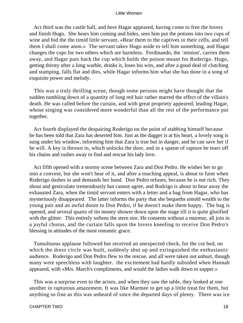Act third was the castle hall, and here Hagar appeared, having come to free the lovers and finish Hugo. She hears him coming and hides, sees him put the potions into two cups of wine and bid the the timid little servant, «Bear them to the captives in their cells, and tell them I shall come anon.» The servant takes Hugo aside to tell him something, and Hagar changes the cups for two others which are harmless. Ferdinando, the `minion', carries them away, and Hagar puts back the cup which holds the poison meant for Roderigo. Hugo, getting thirsty after a long warble, drinks it, loses his wits, and after a good deal of clutching and stamping, falls flat and dies, while Hagar informs him what she has done in a song of exquisite power and melody.

 This was a truly thrilling scene, though some persons might have thought that the sudden tumbling down of a quantity of long red hair rather marred the effect of the villain's death. He was called before the curtain, and with great propriety appeared, leading Hagar, whose singing was considered more wonderful than all the rest of the performance put together.

 Act fourth displayed the despairing Roderigo on the point of stabbing himself because he has been told that Zara has deserted him. Just as the dagger is at his heart, a lovely song is sung under his window, informing him that Zara is true but in danger, and he can save her if he will. A key is thrown in, which unlocks the door, and in a spasm of rapture he tears off his chains and rushes away to find and rescue his lady love.

 Act fifth opened with a stormy scene between Zara and Don Pedro. He wishes her to go into a convent, but she won't hear of it, and after a touching appeal, is about to faint when Roderigo dashes in and demands her hand. Don Pedro refuses, because he is not rich. They shout and gesticulate tremendously but cannot agree, and Rodrigo is about to bear away the exhausted Zara, when the timid servant enters with a letter and a bag from Hagar, who has mysteriously disappeared. The latter informs the party that she bequeths untold wealth to the young pair and an awful doom to Don Pedro, if he doesn't make them happy. The bag is opened, and several quarts of tin money shower down upon the stage till it is quite glorified with the glitter. This entirely softens the stern sire. He consents without a murmur, all join in a joyful chorus, and the curtain falls upon the lovers kneeling to receive Don Pedro's blessing in attitudes of the most romantic grace.

 Tumultuous applause followed but received an unexpected check, for the cot bed, on which the dress circle was built, suddenly shut up and extinguished the enthusiastic audience. Roderigo and Don Pedro flew to the rescue, and all were taken out unhurt, though many were speechless with laughter. the excitement had hardly subsided when Hannah appeared, with «Mrs. March's compliments, and would the ladies walk down to supper.»

 This was a surprise even to the actors, and when they saw the table, they looked at one another in rapturous amazement. It was like Marmee to get up a little treat for them, but anything so fine as this was unheard of since the departed days of plenty. There was ice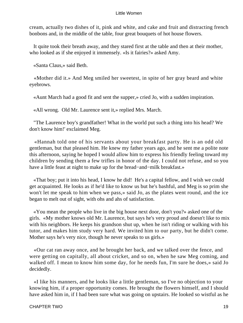cream, actually two dishes of it, pink and white, and cake and fruit and distracting french bonbons and, in the middle of the table, four great bouquets of hot house flowers.

 It quite took their breath away, and they stared first at the table and then at their mother, who looked as if she enjoyed it immensely. «Is it fairies?» asked Amy.

«Santa Claus,» said Beth.

 «Mother did it.» And Meg smiled her sweetest, in spite of her gray beard and white eyebrows.

«Aunt March had a good fit and sent the supper,» cried Jo, with a sudden inspiration.

«All wrong. Old Mr. Laurence sent it,» replied Mrs. March.

 "The Laurence boy's grandfather! What in the world put such a thing into his head? We don't know him!' exclaimed Meg.

 «Hannah told one of his servants about your breakfast party. He is an odd old gentleman, but that pleased him. He knew my father years ago, and he sent me a polite note this afternoon, saying he hoped I would allow him to express his friendly feeling toward my children by sending them a few trifles in honor of the day. I could not refuse, and so you have a little feast at night to make up for the bread−and−milk breakfast.»

 «That boy; put it into his head, I know he did! He's a capital fellow, and I wish we could get acquainted. He looks as if he'd like to know us but he's bashful, and Meg is so prim she won't let me speak to him when we pass,» said Jo, as the plates went round, and the ice began to melt out of sight, with ohs and ahs of satisfaction.

 «You mean the people who live in the big house next door, don't you?» asked one of the girls. «My mother knows old Mr. Laurence, but says he's very proud and doesn't like to mix with his neighbors. He keeps his grandson shut up, when he isn't riding or walking with his tutor, and makes him study very hard. We invited him to our party, but he didn't come. Mother says he's very nice, though he never speaks to us girls.»

 «Our cat ran away once, and he brought her back, and we talked over the fence, and were getting on capitally, all about cricket, and so on, when he saw Meg coming, and walked off. I mean to know him some day, for he needs fun, I'm sure he does,» said Jo decidedly.

 «I like his manners, and he looks like a little gentleman, so I've no objection to your knowing him, if a proper opportunity comes. He brought the flowers himself, and I should have asked him in, if I had been sure what was going on upstairs. He looked so wistful as he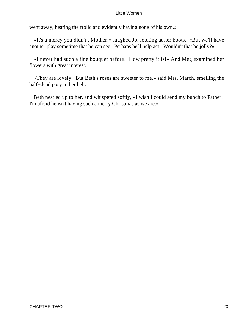went away, hearing the frolic and evidently having none of his own.»

 «It's a mercy you didn't , Mother!» laughed Jo, looking at her boots. «But we'll have another play sometime that he can see. Perhaps he'll help act. Wouldn't that be jolly?»

 «I never had such a fine bouquet before! How pretty it is!» And Meg examined her flowers with great interest.

 «They are lovely. But Beth's roses are sweeter to me,» said Mrs. March, smelling the half−dead posy in her belt.

 Beth nestled up to her, and whispered softly, «I wish I could send my bunch to Father. I'm afraid he isn't having such a merry Christmas as we are.»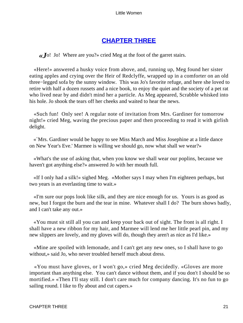## **[CHAPTER THREE](#page-419-0)**

*«J*o! Jo! Where are you?» cried Meg at the foot of the garret stairs.

 «Here!» answered a husky voice from above, and, running up, Meg found her sister eating apples and crying over the Heir of Redclyffe, wrapped up in a comforter on an old three−legged sofa by the sunny window. This was Jo's favorite refuge, and here she loved to retire with half a dozen russets and a nice book, to enjoy the quiet and the society of a pet rat who lived near by and didn't mind her a particle. As Meg appeared, Scrabble whisked into his hole. Jo shook the tears off her cheeks and waited to hear the news.

 «Such fun! Only see! A regular note of invitation from Mrs. Gardiner for tomorrow night!» cried Meg, waving the precious paper and then proceeding to read it with girlish delight.

 «`Mrs. Gardiner would be happy to see Miss March and Miss Josephine at a little dance on New Year's Eve.' Marmee is willing we should go, now what shall we wear?»

 «What's the use of asking that, when you know we shall wear our poplins, because we haven't got anything else?» answered Jo with her mouth full.

 «If I only had a silk!» sighed Meg. «Mother says I may when I'm eighteen perhaps, but two years is an everlasting time to wait.»

 «I'm sure our pops look like silk, and they are nice enough for us. Yours is as good as new, but I forgot the burn and the tear in mine. Whatever shall I do? The burn shows badly, and I can't take any out.»

 «You must sit still all you can and keep your back out of sight. The front is all right. I shall have a new ribbon for my hair, and Marmee will lend me her little pearl pin, and my new slippers are lovely, and my gloves will do, though they aren't as nice as I'd like.»

 «Mine are spoiled with lemonade, and I can't get any new ones, so I shall have to go without,» said Jo, who never troubled herself much about dress.

 «You must have gloves, or I won't go,» cried Meg decidedly. «Gloves are more important than anything else. You can't dance without them, and if you don't I should be so mortified.» «Then I'll stay still. I don't care much for company dancing. It's no fun to go sailing round. I like to fly about and cut capers.»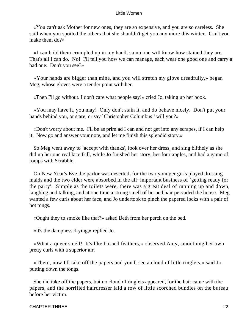«You can't ask Mother for new ones, they are so expensive, and you are so careless. She said when you spoiled the others that she shouldn't get you any more this winter. Can't you make them do?»

 «I can hold them crumpled up in my hand, so no one will know how stained they are. That's all I can do. No! I'll tell you how we can manage, each wear one good one and carry a bad one. Don't you see?»

 «Your hands are bigger than mine, and you will stretch my glove dreadfully,» began Meg, whose gloves were a tender point with her.

«Then I'll go without. I don't care what people say!» cried Jo, taking up her book.

 «You may have it, you may! Only don't stain it, and do behave nicely. Don't put your hands behind you, or stare, or say `Christopher Columbus!' will you?»

 «Don't worry about me. I'll be as prim ad I can and not get into any scrapes, if I can help it. Now go and answer your note, and let me finish this splendid story.»

 So Meg went away to `accept with thanks', look over her dress, and sing blithely as she did up her one real lace frill, while Jo finished her story, her four apples, and had a game of romps with Scrabble.

 On New Year's Eve the parlor was deserted, for the two younger girls played dressing maids and the two elder were absorbed in the all−important business of `getting ready for the party'. Simple as the toilets were, there was a great deal of running up and down, laughing and talking, and at one time a strong smell of burned hair pervaded the house. Meg wanted a few curls about her face, and Jo undertook to pinch the papered locks with a pair of hot tongs.

«Ought they to smoke like that?» asked Beth from her perch on the bed.

«It's the dampness drying,» replied Jo.

 «What a queer smell! It's like burned feathers,» observed Amy, smoothing her own pretty curls with a superior air.

 «There, now I'll take off the papers and you'll see a cloud of little ringlets,» said Jo, putting down the tongs.

 She did take off the papers, but no cloud of ringlets appeared, for the hair came with the papers, and the horrified hairdresser laid a row of little scorched bundles on the bureau before her victim.

#### CHAPTER THREE 22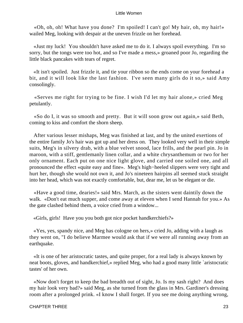«Oh, oh, oh! What have you done? I'm spoiled! I can't go! My hair, oh, my hair!» wailed Meg, looking with despair at the uneven frizzle on her forehead.

 «Just my luck! You shouldn't have asked me to do it. I always spoil everything. I'm so sorry, but the tongs were too hot, and so I've made a mess,» groaned poor Jo, regarding the little black pancakes with tears of regret.

 «It isn't spoiled. Just frizzle it, and tie your ribbon so the ends come on your forehead a bit, and it will look like the last fashion. I've seen many girls do it so,» said Amy consolingly.

 «Serves me right for trying to be fine. I wish I'd let my hair alone,» cried Meg petulantly.

 «So do I, it was so smooth and pretty. But it will soon grow out again,» said Beth, coming to kiss and comfort the shorn sheep.

 After various lesser mishaps, Meg was finished at last, and by the united exertions of the entire family Jo's hair was got up and her dress on. They looked very well in their simple suits, Meg's in silvery drab, with a blue velvet snood, lace frills, and the pearl pin. Jo in maroon, with a stiff, gentlemanly linen collar, and a white chrysanthemum or two for her only ornament. Each put on one nice light glove, and carried one soiled one, and all pronounced the effect «quite easy and fine». Meg's high−heeled slippers were very tight and hurt her, though she would not own it, and Jo's nineteen hairpins all seemed stuck straight into her head, which was not exactly comfortable, but, dear me, let us be elegant or die.

 «Have a good time, dearies!» said Mrs. March, as the sisters went daintily down the walk. «Don't eat much supper, and come away at eleven when I send Hannah for you.» As the gate clashed behind them, a voice cried from a window...

«Girls, girls! Have you you both got nice pocket handkerchiefs?»

 «Yes, yes, spandy nice, and Meg has cologne on hers,» cried Jo, adding with a laugh as they went on, "I do believe Marmee would ask that if we were all running away from an earthquake.

 «It is one of her aristocratic tastes, and quite proper, for a real lady is always known by neat boots, gloves, and handkerchief,» replied Meg, who had a good many little `aristocratic tastes' of her own.

 «Now don't forget to keep the bad breadth out of sight, Jo. Is my sash right? And does my hair look very bad?» said Meg, as she turned from the glass in Mrs. Gardiner's dressing room after a prolonged prink. «I know I shall forget. If you see me doing anything wrong,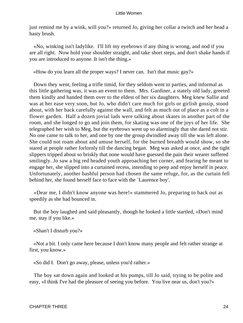just remind me by a wink, will you?» returned Jo, giving her collar a twitch and her head a hasty brush.

 «No, winking isn't ladylike. I'll lift my eyebrows if any thing is wrong, and nod if you are all right. Now hold your shoulder straight, and take short steps, and don't shake hands if you are introduced to anyone. It isn't the thing.»

«How do you learn all the proper ways? I never can. Isn't that music gay?»

 Down they went, feeling a trifle timid, for they seldom went to parties, and informal as this little gathering was, it was an event to them. Mrs. Gardiner, a stately old lady, greeted them kindly and handed them over to the eldest of her six daughters. Meg knew Sallie and was at her ease very soon, but Jo, who didn't care much for girls or girlish gossip, stood about, with her back carefully against the wall, and felt as much out of place as a colt in a flower garden. Half a dozen jovial lads were talking about skates in another part of the room, and she longed to go and join them, for skating was one of the joys of her life. She telegraphed her wish to Meg, but the eyebrows went up so alarmingly that she dared not stir. No one came to talk to her, and one by one the group dwindled away till she was left alone. She could not roam about and amuse herself, for the burned breadth would show, so she stared at people rather forlornly till the dancing began. Meg was asked at once, and the tight slippers tripped about so briskly that none would have guessed the pain their wearer suffered smilingly. Jo saw a big red headed youth approaching her corner, and fearing he meant to engage her, she slipped into a curtained recess, intending to peep and enjoy herself in peace. Unfortunately, another bashful person had chosen the same refuge, for, as the curtain fell behind her, she found herself face to face with the `Laurence boy'.

 «Dear me, I didn't know anyone was here!» stammered Jo, preparing to back out as speedily as she had bounced in.

 But the boy laughed and said pleasantly, though he looked a little startled, «Don't mind me, stay if you like.»

«Shan't I disturb you?»

 «Not a bit. I only came here because I don't know many people and felt rather strange at first, you know.»

«So did I. Don't go away, please, unless you'd rather.»

 The boy sat down again and looked at his pumps, till Jo said, trying to be polite and easy, «I think I've had the pleasure of seeing you before. You live near us, don't you?»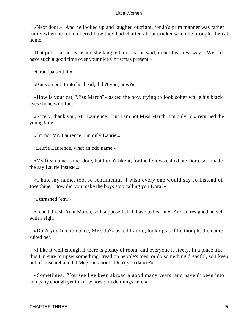«Next door.» And he looked up and laughed outright, for Jo's prim manner was rather funny when he remembered how they had chatted about cricket when he brought the cat home.

 That put Jo at her ease and she laughed too, as she said, in her heartiest way, «We did have such a good time over your nice Christmas present.»

«Grandpa sent it.»

«But you put it into his head, didn't you, now?»

 «How is your cat, Miss March?» asked the boy, trying to look sober while his black eyes shone with fun.

 «Nicely, thank you, Mr. Laurence. But I am not Miss March, I'm only Jo,» returned the young lady.

«I'm not Mr. Laurence, I'm only Laurie.»

«Laurie Laurence, what an odd name.»

 «My first name is theodore, but I don't like it, for the fellows called me Dora, so I made the say Laurie instead.»

 «I hate my name, too, so sentimental! I wish every one would say Jo instead of Josephine. How did you make the boys stop calling you Dora?»

«I thrashed `em.»

 «I can't thrash Aunt March, so I suppose I shall have to bear it.» And Jo resigned herself with a sigh.

 «Don't you like to dance, Miss Jo?» asked Laurie, looking as if he thought the name suited her.

 «I like it well enough if there is plenty of room, and everyone is lively. In a place like this I'm sure to upset something, tread on people's toes, or do something dreadful, so I keep out of mischief and let Meg sail about. Don't you dance?»

 «Sometimes. You see I've been abroad a good many years, and haven't been into company enough yet to know how you do things here.»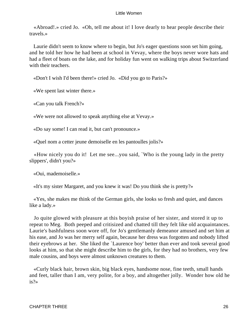«Abroad!.» cried Jo. «Oh, tell me about it! I love dearly to hear people describe their travels.»

 Laurie didn't seem to know where to begin, but Jo's eager questions soon set him going, and he told her how he had been at school in Vevay, where the boys never wore hats and had a fleet of boats on the lake, and for holiday fun went on walking trips about Switzerland with their teachers.

«Don't I wish I'd been there!» cried Jo. «Did you go to Paris?»

«We spent last winter there.»

«Can you talk French?»

«We were not allowed to speak anything else at Vevay.»

«Do say some! I can read it, but can't pronounce.»

«Quel nom a cetter jeune demoiselle en les pantoulles jolis?»

 «How nicely you do it! Let me see...you said, `Who is the young lady in the pretty slippers', didn't you?»

«Oui, mademoiselle.»

«It's my sister Margaret, and you knew it was! Do you think she is pretty?»

 «Yes, she makes me think of the German girls, she looks so fresh and quiet, and dances like a lady.»

 Jo quite glowed with pleasure at this boyish praise of her sister, and stored it up to repeat to Meg. Both peeped and critisized and chatted till they felt like old acquaintances. Laurie's bashfulness soon wore off, for Jo's gentlemanly demeanor amused and set him at his ease, and Jo was her merry self again, because her dress was forgotten and nobody lifted their eyebrows at her. She liked the `Laurence boy' better than ever and took several good looks at him, so that she might describe him to the girls, for they had no brothers, very few male cousins, and boys were almost unknown creatures to them.

 «Curly black hair, brown skin, big black eyes, handsome nose, fine teeth, small hands and feet, taller than I am, very polite, for a boy, and altogether jolly. Wonder how old he is?»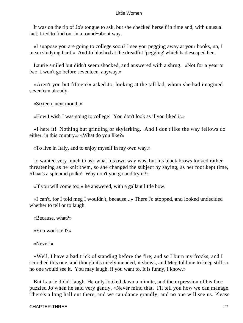It was on the tip of Jo's tongue to ask, but she checked herself in time and, with unusual tact, tried to find out in a round−about way.

 «I suppose you are going to college soon? I see you pegging away at your books, no, I mean studying hard.» And Jo blushed at the dreadful `pegging' which had escaped her.

 Laurie smiled but didn't seem shocked, and answered with a shrug. «Not for a year or two. I won't go before seventeen, anyway.»

 «Aren't you but fifteen?» asked Jo, looking at the tall lad, whom she had imagined seventeen already.

«Sixteen, next month.»

«How I wish I was going to college! You don't look as if you liked it.»

 «I hate it! Nothing but grinding or skylarking. And I don't like the way fellows do either, in this country.» «What do you like?»

«To live in Italy, and to enjoy myself in my own way.»

 Jo wanted very much to ask what his own way was, but his black brows looked rather threatening as he knit them, so she changed the subject by saying, as her foot kept time, «That's a splendid polka! Why don't you go and try it?»

«If you will come too,» he answered, with a gallant little bow.

 «I can't, for I told meg I wouldn't, because...» There Jo stopped, and looked undecided whether to tell or to laugh.

«Because, what?»

«You won't tell?»

«Never!»

 «Well, I have a bad trick of standing before the fire, and so I burn my frocks, and I scorched this one, and though it's nicely mended, it shows, and Meg told me to keep still so no one would see it. You may laugh, if you want to. It is funny, I know.»

 But Laurie didn't laugh. He only looked dawn a minute, and the expression of his face puzzled Jo when he said very gently, «Never mind that. I'll tell you how we can manage. There's a long hall out there, and we can dance grandly, and no one will see us. Please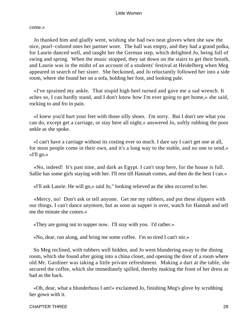come.»

 Jo thanked him and gladly went, wishing she had two neat gloves when she saw the nice, pearl−colored ones her partner wore. The hall was empty, and they had a grand polka, for Laurie danced well, and taught her the German step, which delighted Jo, being full of swing and spring. When the music stopped, they sat down on the stairs to get their breath, and Laurie was in the midst of an account of a students' festival at Heidelberg when Meg appeared in search of her sister. She beckoned, and Jo reluctantly followed her into a side room, where she found her on a sofa, holding her foot, and looking pale.

 «I've sprained my ankle. That stupid high heel turned and gave me a sad wrench. It aches so, I can hardly stand, and I don't know how I'm ever going to get home,» she said, rocking to and fro in pain.

 «I knew you'd hurt your feet with those silly shoes. I'm sorry. But I don't see what you can do, except get a carriage, or stay here all night,» answered Jo, softly rubbing the poor ankle as she spoke.

 «I can't have a carriage without its costing ever so much. I dare say I can't get one at all, for most people come in their own, and it's a long way to the stable, and no one to send.» «I'll go.»

 «No, indeed! It's past nine, and dark as Egypt. I can't stop here, for the house is full. Sallie has some girls staying with her. I'll rest till Hannah comes, and then do the best I can.»

«I'll ask Laurie. He will go,» said Jo," looking relieved as the idea occurred to her.

 «Mercy, no! Don't ask or tell anyone. Get me my rubbers, and put these slippers with our things. I can't dance anymore, but as soon as supper is over, watch for Hannah and tell me the minute she comes.»

«They are going out to supper now. I'll stay with you. I'd rather.»

«No, dear, run along, and bring me some coffee. I'm so tired I can't stir.»

 So Meg reclined, with rubbers well hidden, and Jo went blundering away to the dining room, which she found after going into a china closet, and opening the door of a room where old Mr. Gardiner was taking a little private refreshment. Making a dart at the table, she secured the coffee, which she immediately spilled, thereby making the front of her dress as bad as the back.

 «Oh, dear, what a blunderbuss I am!» exclaimed Jo, finishing Meg's glove by scrubbing her gown with it.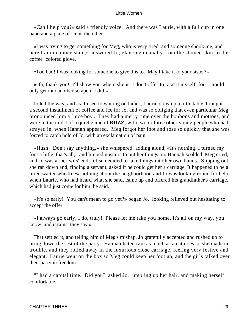«Can I help you?» said a friendly voice. And there was Laurie, with a full cup in one hand and a plate of ice in the other.

 «I was trying to get something for Meg, who is very tired, and someone shook me, and here I am in a nice state,» answered Jo, glancing dismally from the stained skirt to the coffee−colored glove.

«Too bad! I was looking for someone to give this to. May I take it to your sister?»

 «Oh, thank you! I'll show you where she is. I don't offer to take it myself, for I should only get into another scrape if I did.»

 Jo led the way, and as if used to waiting on ladies, Laurie drew up a little table, brought a second installment of coffee and ice for Jo, and was so obliging that even particular Meg pronounced him a `nice boy'. They had a merry time over the bonbons and mottoes, and were in the midst of a quiet game of **BUZZ,** with two or three other young people who had strayed in, when Hannah appeared. Meg forgot her foot and rose so quickly that she was forced to catch hold of Jo, with an exclamation of pain.

 «Hush! Don't say anything,» she whispered, adding aloud, «It's nothing. I turned my foot a little, that's all,» and limped upstairs to put her things on. Hannah scolded, Meg cried, and Jo was at her wits' end, till se decided to take things into her own hands. Slipping out, she ran down and, finding a servant, asked if he could get her a carriage. It happened to be a hired waiter who knew nothing about the neighborhood and Jo was looking round for help when Laurie, who had heard what she said, came up and offered his grandfather's carriage, which had just come for him, he said.

 «It's so early! You can't mean to go yet?» began Jo. looking relieved but hesitating to accept the offer.

 «I always go early, I do, truly! Please let me take you home. It's all on my way, you know, and it rains, they say.»

 That settled it, and telling him of Meg's mishap, Jo gratefully accepted and rushed up to bring down the rest of the party. Hannah hated rain as much as a cat does so she made no trouble, and they rolled away in the luxurious close carriage, feeling very festive and elegant. Laurie went on the box so Meg could keep her foot up, and the girls talked over their party in freedom.

 "I had a capital time. Did you?' asked Jo, rumpling up her hair, and making herself comfortable.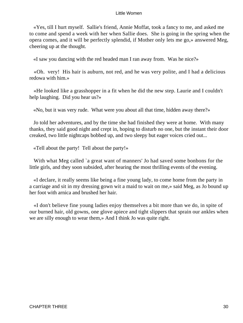«Yes, till I hurt myself. Sallie's friend, Annie Moffat, took a fancy to me, and asked me to come and spend a week with her when Sallie does. She is going in the spring when the opera comes, and it will be perfectly splendid, if Mother only lets me go,» answered Meg, cheering up at the thought.

«I saw you dancing with the red headed man I ran away from. Was he nice?»

 «Oh. very! His hair is auburn, not red, and he was very polite, and I had a delicious redowa with him.»

 «He looked like a grasshopper in a fit when he did the new step. Laurie and I couldn't help laughing. Did you hear us?»

«No, but it was very rude. What were you about all that time, hidden away there?»

 Jo told her adventures, and by the time she had finished they were at home. With many thanks, they said good night and crept in, hoping to disturb no one, but the instant their door creaked, two little nightcaps bobbed up, and two sleepy but eager voices cried out...

«Tell about the party! Tell about the party!»

With what Meg called `a great want of manners' Jo had saved some bonbons for the little girls, and they soon subsided, after hearing the most thrilling events of the evening.

 «I declare, it really seems like being a fine young lady, to come home from the party in a carriage and sit in my dressing gown wit a maid to wait on me,» said Meg, as Jo bound up her foot with arnica and brushed her hair.

 «I don't believe fine young ladies enjoy themselves a bit more than we do, in spite of our burned hair, old gowns, one glove apiece and tight slippers that sprain our ankles when we are silly enough to wear them,» And I think Jo was quite right.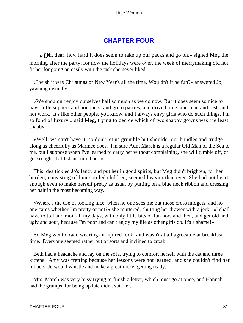# **[CHAPTER FOUR](#page-419-0)**

*«O*h, dear, how hard it does seem to take up our packs and go on,» sighed Meg the morning after the party, for now the holidays were over, the week of merrymaking did not fit her for going on easily with the task she never liked.

 «I wish it was Christmas or New Year's all the time. Wouldn't it be fun?» answered Jo, yawning dismally.

 «We shouldn't enjoy ourselves half so much as we do now. But it does seem so nice to have little suppers and bouquets, and go to parties, and drive home, and read and rest, and not work. It's like other people, you know, and I always envy girls who do such things, I'm so fond of luxury,» said Meg, trying to decide which of two shabby gowns was the least shabby.

 «Well, we can't have it, so don't let us grumble but shoulder our bundles and trudge along as cheerfully as Marmee does. I'm sure Aunt March is a regular Old Man of the Sea to me, but I suppose when I've learned to carry her without complaining, she will tumble off, or get so light that I shan't mind her.»

 This idea tickled Jo's fancy and put her in good spirits, but Meg didn't brighten, for her burden, consisting of four spoiled children, seemed heavier than ever. She had not heart enough even to make herself pretty as usual by putting on a blue neck ribbon and dressing her hair in the most becoming way.

 «Where's the use of looking nice, when no one sees me but those cross midgets, and no one cares whether I'm pretty or not?» she muttered, shutting her drawer with a jerk. «I shall have to toil and moil all my days, with only little bits of fun now and then, and get old and ugly and sour, because I'm poor and can't enjoy my life as other girls do. It's a shame!»

 So Meg went down, wearing an injured look, and wasn't at all agreeable at breakfast time. Everyone seemed rather out of sorts and inclined to croak.

 Beth had a headache and lay on the sofa, trying to comfort herself with the cat and three kittens. Amy was fretting because her lessons were not learned, and she couldn't find her rubbers. Jo would whistle and make a great racket getting ready.

 Mrs. March was very busy trying to finish a letter, which must go at once, and Hannah had the grumps, for being up late didn't suit her.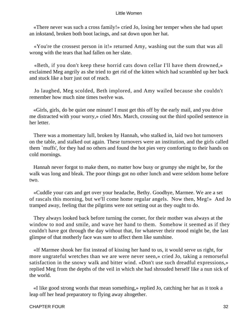«There never was such a cross family!» cried Jo, losing her temper when she had upset an inkstand, broken both boot lacings, and sat down upon her hat.

 «You're the crossest person in it!» returned Amy, washing out the sum that was all wrong with the tears that had fallen on her slate.

 «Beth, if you don't keep these horrid cats down cellar I'll have them drowned,» exclaimed Meg angrily as she tried to get rid of the kitten which had scrambled up her back and stuck like a burr just out of reach.

 Jo laughed, Meg scolded, Beth implored, and Amy wailed because she couldn't remember how much nine times twelve was.

 «Girls, girls, do be quiet one minute! I must get this off by the early mail, and you drive me distracted with your worry,» cried Mrs. March, crossing out the third spoiled sentence in her letter.

 There was a momentary lull, broken by Hannah, who stalked in, laid two hot turnovers on the table, and stalked out again. These turnovers were an institution, and the girls called them `muffs', for they had no others and found the hot pies very comforting to their hands on cold mornings.

 Hannah never forgot to make them, no matter how busy or grumpy she might be, for the walk was long and bleak. The poor things got no other lunch and were seldom home before two.

 «Cuddle your cats and get over your headache, Bethy. Goodbye, Marmee. We are a set of rascals this morning, but we'll come home regular angels. Now then, Meg!» And Jo tramped away, feeling that the pilgrims were not setting out as they ought to do.

 They always looked back before turning the corner, for their mother was always at the window to nod and smile, and wave her hand to them. Somehow it seemed as if they couldn't have got through the day without that, for whatever their mood might be, the last glimpse of that motherly face was sure to affect them like sunshine.

 «If Marmee shook her fist instead of kissing her hand to us, it would serve us right, for more ungrateful wretches than we are were never seen,» cried Jo, taking a remorseful satisfaction in the snowy walk and bitter wind. «Don't use such dreadful expressions,» replied Meg from the depths of the veil in which she had shrouded herself like a nun sick of the world.

 «I like good strong words that mean something,» replied Jo, catching her hat as it took a leap off her head preparatory to flying away altogether.

#### CHAPTER FOUR 32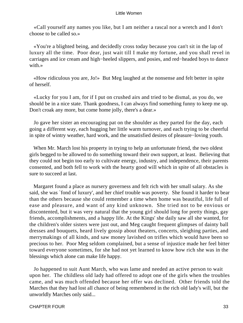«Call yourself any names you like, but I am neither a rascal nor a wretch and I don't choose to be called so.»

 «You're a blighted being, and decidedly cross today because you can't sit in the lap of luxury all the time. Poor dear, just wait till I make my fortune, and you shall revel in carriages and ice cream and high−heeled slippers, and posies, and red−headed boys to dance with.»

 «How ridiculous you are, Jo!» But Meg laughed at the nonsense and felt better in spite of herself.

 «Lucky for you I am, for if I put on crushed airs and tried to be dismal, as you do, we should be in a nice state. Thank goodness, I can always find something funny to keep me up. Don't croak any more, but come home jolly, there's a dear.»

 Jo gave her sister an encouraging pat on the shoulder as they parted for the day, each going a different way, each hugging her little warm turnover, and each trying to be cheerful in spite of wintry weather, hard work, and the unsatisfied desires of pleasure−loving youth.

When Mr. March lost his property in trying to help an unfortunate friend, the two oldest girls begged to be allowed to do something toward their own support, at least. Believing that they could not begin too early to cultivate energy, industry, and independence, their parents consented, and both fell to work with the hearty good will which in spite of all obstacles is sure to succeed at last.

 Margaret found a place as nursery governess and felt rich with her small salary. As she said, she was `fond of luxury', and her chief trouble was poverty. She found it harder to bear than the others because she could remember a time when home was beautiful, life full of ease and pleasure, and want of any kind unknown. She tried not to be envious or discontented, but it was very natural that the young girl should long for pretty things, gay friends, accomplishments, and a happy life. At the Kings' she daily saw all she wanted, for the children's older sisters were just out, and Meg caught frequent glimpses of dainty ball dresses and bouquets, heard lively gossip about theaters, concerts, sleighing parties, and merrymakings of all kinds, and saw money lavished on trifles which would have been so precious to her. Poor Meg seldom complained, but a sense of injustice made her feel bitter toward everyone sometimes, for she had not yet learned to know how rich she was in the blessings which alone can make life happy.

 Jo happened to suit Aunt March, who was lame and needed an active person to wait upon her. The childless old lady had offered to adopt one of the girls when the troubles came, and was much offended because her offer was declined. Other friends told the Marches that they had lost all chance of being remembered in the rich old lady's will, but the unworldly Marches only said...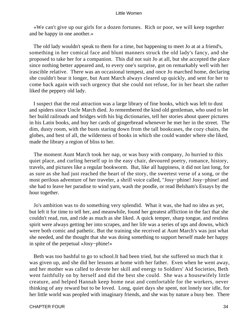«We can't give up our girls for a dozen fortunes. Rich or poor, we will keep together and be happy in one another.»

 The old lady wouldn't speak to them for a time, but happening to meet Jo at at a friend's, something in her comical face and blunt manners struck the old lady's fancy, and she proposed to take her for a companion. This did not suit Jo at all, but she accepted the place since nothing better appeared and, to every one's surprise, got on remarkably well with her irascible relative. There was an occasional tempest, and once Jo marched home, declaring she couldn't bear it longer, but Aunt March always cleared up quickly, and sent for her to come back again with such urgency that she could not refuse, for in her heart she rather liked the peppery old lady.

 I suspect that the real attraction was a large library of fine books, which was left to dust and spiders since Uncle March died. Jo remembered the kind old gentleman, who used to let her build railroads and bridges with his big dictionaries, tell her stories about queer pictures in his Latin books, and buy her cards of gingerbread whenever he met her in the street. The dim, dusty room, with the busts staring down from the tall bookcases, the cozy chairs, the globes, and best of all, the wilderness of books in which she could wander where she liked, made the library a region of bliss to her.

 The moment Aunt March took her nap, or was busy with company, Jo hurried to this quiet place, and curling herself up in the easy chair, devoured poetry, romance, history, travels, and pictures like a regular bookworm. But, like all happiness, it did not last long, for as sure as she had just reached the heart of the story, the sweetest verse of a song, or the most perilous adventure of her traveler, a shrill voice called, "Josy−phine! Josy−phine! and she had to leave her paradise to wind yarn, wash the poodle, or read Belsham's Essays by the hour together.

 Jo's ambition was to do something very splendid. What it was, she had no idea as yet, but left it for time to tell her, and meanwhile, found her greatest affliction in the fact that she couldn't read, run, and ride as much as she liked. A quick temper, sharp tongue, and restless spirit were always getting her into scrapes, and her life was a series of ups and downs, which were both comic and pathetic. But the training she received at Aunt March's was just what she needed, and the thought that she was doing something to support herself made her happy in spite of the perpetual «Josy−phine!»

 Beth was too bashful to go to school.It had been tried, but she suffered so much that it was given up, and she did her lessons at home with her father. Even when he went away, and her mother was called to devote her skill and energy to Soldiers' Aid Societies, Beth went faithfully on by herself and did the best she could. She was a housewifely little creature, and helped Hannah keep home neat and comfortable for the workers, never thinking of any reward but to be loved. Long, quiet days she spent, not lonely nor idle, for her little world was peopled with imaginary friends, and she was by nature a busy bee. There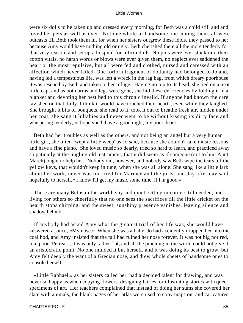were six dolls to be taken up and dressed every morning, for Beth was a child still and and loved her pets as well as ever. Not one whole or handsome one among them, all were outcasts till Beth took them in, for when her sisters outgrew these idols, they passed to her because Amy would have nothing old or ugly. Beth cherished them all the more tenderly for that very reason, and set up a hospital for infirm dolls. No pins were ever stuck into their cotton vitals, no harsh words or blows were ever given them, no neglect ever saddened the heart or the most repulsive, but all were fed and clothed, nursed and caressed with an affection which never failed. One forlorn fragment of dollanity had belonged to Jo and, having led a tempestuous life, was left a wreck in the rag bag, from which dreary poorhouse it was rescued by Beth and taken to her refuge. Having no top to its head, she tied on a neat little cap, and as both arms and legs were gone, she hid these deficiencies by folding it in a blanket and devoting her best bed to this chronic invalid. If anyone had known the care lavished on that dolly, I think it would have touched their hearts, even while they laughed. She brought it bits of bouquets, she read to it, took it out to breathe fresh air, hidden under her coat, she sang it lullabies and never went to be without kissing its dirty face and whispering tenderly, «I hope you'll have a good night, my poor dear.»

 Beth had her troubles as well as the others, and not being an angel but a very human little girl, she often `wept a little weep' as Jo said, because she couldn't take music lessons and have a fine piano. She loved music so dearly, tried so hard to learn, and practiced away so patiently at the jingling old instrument, that it did seem as if someone (not to hint Aunt March) ought to help her. Nobody did, however, and nobody saw Beth wipe the tears off the yellow keys, that wouldn't keep in tune, when she was all alone. She sang like a little lark about her work, never was too tired for Marmee and the girls, and day after day said hopefully to herself, « I know I'll get my music some time, if I'm good.»

 There are many Beths in the world, shy and quiet, sitting in corners till needed, and living for others so cheerfully that no one sees the sacrifices till the little cricket on the hearth stops chirping, and the sweet, sunshiny presence vanishes, leaving silence and shadow behind.

 If anybody had asked Amy what the greatest trial of her life was, she would have answered at once, «My nose.» When she was a baby, Jo had accidently dropped her into the coal hod, and Amy insisted that the fall had ruined her nose forever. It was not big nor red, like poor `Petrea's', it was only rather flat, and all the pinching in the world could not give it an aristocratic point. No one minded it but herself, and it was doing its best to grow, but Amy felt deeply the want of a Grecian nose, and drew whole sheets of handsome ones to console herself.

 «Little Raphael,» as her sisters called her, had a decided talent for drawing, and was never so happy as when copying flowers, designing fairies, or illustrating stories with queer specimens of art. Her teachers complained that instead of doing her sums she covered her slate with animals, the blank pages of her atlas were used to copy maps on, and caricatures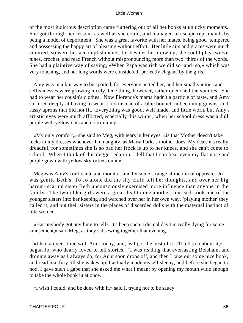of the most ludicrous description came fluttering out of all her books at unlucky moments. She got through her lessons as well as she could, and managed to escape reprimands by being a model of deportment. She was a great favorite with her mates, being good−tempered and possessing the happy art of pleasing without effort. Her little airs and graces were much admired, so were her accomplishments, for besides her drawing, she could play twelve tunes, crochet, and read French without mispronouncing more than two−thirds of the words. She had a plaintive way of saying, «When Papa was rich we did so−and−so,» which was very touching, and her long words were considered `perfectly elegant' by the girls.

 Amy was in a fair way to be spoiled, for everyone petted her, and her small vanities and selfishnesses were growing nicely. One thing, however, rather quenched the vanities. She had to wear her cousin's clothes. Now Florence's mama hadn't a particle of taste, and Amy suffered deeply at having to wear a red instead of a blue bonnet, unbecoming gowns, and fussy aprons that did not fit. Everything was good, well made, and little worn, but Amy's artistic eyes were much afflicted, especially this winter, when her school dress was a dull purple with yellow dots and no trimming.

 «My only comfort,» she said to Meg, with tears in her eyes, «is that Mother doesn't take tucks in my dresses whenever I'm naughty, as Maria Parks's mother does. My dear, it's really dreadful, for sometimes she is so bad her frock is up to her knees, and she can't come to school. When I think of this deggerredation, I fell that I can bear even my flat nose and purple gown with yellow skyrockets on it.»

 Meg was Amy's confidante and monitor, and by some strange attraction of opposites Jo was gentle Beth's. To Jo alone did the shy child tell her thoughts, and over her big harum−scarum sister Beth unconsciously exercised more influence than anyone in the family. The two older girls were a great deal to one another, but each took one of the younger sisters into her keeping and watched over her in her own way, `playing mother' they called it, and put their sisters in the places of discarded dolls with the maternal instinct of litte women.

 «Has anybody got anything to tell? It's been such a dismal day I'm really dying for some amusement,» said Meg, as they sat sewing together that evening.

 «I had a queer time with Aunt today, and, as I got the best of it, I'll tell you about it,» began Jo, who dearly loved to tell stories. "I was reading that everlasting Belsham, and droning away as I always do, for Aunt soon drops off, and then I take out some nice book, and read like fury till she wakes up. I actually made myself sleepy, and before she began to nod, I gave such a gape that she asked me what I meant by opening my mouth wide enough to take the whole book in at once.

«I wish I could, and be done with it,» said I, trying not to be saucy.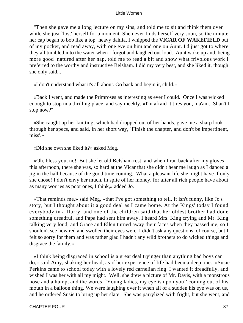"Then she gave me a long lecture on my sins, and told me to sit and think them over while she just 'lost' herself for a moment. She never finds herself very soon, so the minute her cap began to bob like a top−heavy dahlia, I whipped the **VICAR OF WAKEFIELD** out of my pocket, and read away, with one eye on him and one on Aunt. I'd just got to where they all tumbled into the water when I forgot and laughed out loud. Aunt woke up and, being more good−natured after her nap, told me to read a bit and show what frivolous work I preferred to the worthy and instructive Belsham. I did my very best, and she liked it, though she only said...

«I don't understand what it's all about. Go back and begin it, child.»

 «Back I went, and made the Primroses as interesting as ever I could. Once I was wicked enough to stop in a thrilling place, and say meekly, »I'm afraid it tires you, ma'am. Shan't I stop now?"

 «She caught up her knitting, which had dropped out of her hands, gave me a sharp look through her specs, and said, in her short way, `Finish the chapter, and don't be impertinent, miss'.»

«Did she own she liked it?» asked Meg.

 «Oh, bless you, no! But she let old Belsham rest, and when I ran back after my gloves this afternoon, there she was, so hard at the Vicar that she didn't hear me laugh as I danced a jig in the hall because of the good time coming. What a pleasant life she might have if only she chose! I don't envy her much, in spite of her money, for after all rich people have about as many worries as poor ones, I think,» added Jo.

 «That reminds me,» said Meg, «that I've got something to tell. It isn't funny, like Jo's story, but I thought about it a good deal as I came home. At the Kings' today I found everybody in a flurry, and one of the children said that her oldest brother had done something dreadful, and Papa had sent him away. I heard Mrs. King crying and Mr. King talking very loud, and Grace and Ellen turned away their faces when they passed me, so I shouldn't see how red and swollen their eyes were. I didn't ask any questions, of course, but I felt so sorry for them and was rather glad I hadn't any wild brothers to do wicked things and disgrace the family.»

 «I think being disgraced in school is a great deal tryinger than anything bad boys can do,» said Amy, shaking her head, as if her experience of life had been a deep one. «Susie Perkins came to school today with a lovely red carnelian ring. I wanted it dreadfully, and wished I was her with all my might. Well, she drew a picture of Mr. Davis, with a monstrous nose and a hump, and the words, `Young ladies, my eye is upon you!' coming out of his mouth in a balloon thing. We were laughing over it when all of a sudden his eye was on us, and he ordered Susie to bring up her slate. She was parrylized with fright, but she went, and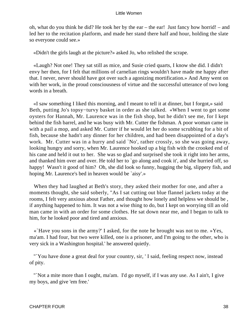oh, what do you think he did? He took her by the ear – the ear! Just fancy how horrid! – and led her to the recitation platform, and made her stand there half and hour, holding the slate so everyone could see.»

«Didn't the girls laugh at the picture?» asked Jo, who relished the scrape.

 «Laugh? Not one! They sat still as mice, and Susie cried quarts, I know she did. I didn't envy her then, for I felt that millions of carnelian rings wouldn't have made me happy after that. I never, never should have got over such a agonizing mortification.» And Amy went on with her work, in the proud consciousness of virtue and the successful utterance of two long words in a breath.

 «I saw something I liked this morning, and I meant to tell it at dinner, but I forgot,» said Beth, putting Jo's topsy−turvy basket in order as she talked. «When I went to get some oysters for Hannah, Mr. Laurence was in the fish shop, but he didn't see me, for I kept behind the fish barrel, and he was busy with Mr. Cutter the fishman. A poor woman came in with a pail a mop, and asked Mr. Cutter if he would let her do some scrubbing for a bit of fish, because she hadn't any dinner for her children, and had been disappointed of a day's work. Mr. Cutter was in a hurry and said `No', rather crossly, so she was going away, looking hungry and sorry, when Mr. Laurence hooked up a big fish with the crooked end of his cane and held it out to her. She was so glad and surprised she took it right into her arms, and thanked him over and over. He told her to `go along and cook it', and she hurried off, so happy! Wasn't it good of him? Oh, she did look so funny, hugging the big, slippery fish, and hoping Mr. Laurence's bed in heaven would be `aisy'.»

 When they had laughed at Beth's story, they asked their mother for one, and after a moments thought, she said soberly, "As I sat cutting out blue flannel jackets today at the rooms, I felt very anxious about Father, and thought how lonely and helpless we should be , if anything happened to him. It was not a wise thing to do, but I kept on worrying till an old man came in with an order for some clothes. He sat down near me, and I began to talk to him, for he looked poor and tired and anxious.

 «`Have you sons in the army?' I asked, for the note he brought was not to me. »Yes, ma'am. I had four, but two were killed, one is a prisoner, and I'm going to the other, who is very sick in a Washington hospital.' he answered quietly.

 "`You have done a great deal for your country, sir, ' I said, feeling respect now, instead of pity.

"Not a mite more than I ought, ma'am. I'd go myself, if I was any use. As I ain't, I give my boys, and give 'em free.'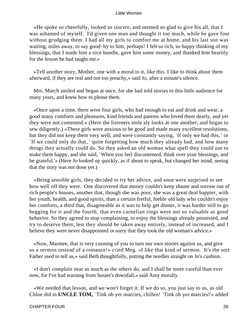«He spoke so cheerfully, looked so sincere, and seemed so glad to give his all, that I was ashamed of myself. I'd given one man and thought it too much, while he gave four without grudging them. I had all my girls to comfort me at home, and his last son was waiting, miles away, to say good−by to him, perhaps! I felt so rich, so happy thinking of my blessings, that I made him a nice bundle, gave him some money, and thanked him heartily for the lesson he had taught me.»

 «Tell another story, Mother, one with a moral to it, like this. I like to think about them afterward, if they are real and not too preachy,» said Jo, after a minute's silence.

 Mrs. March smiled and began at once, for she had told stories to this little audience for many years, and knew how to please them.

 «Once upon a time, there were four girls, who had enough to eat and drink and wear, a good many comforts and pleasures, kind friends and parents who loved them dearly, and yet they were not contented.» (Here the listeners stole sly looks at one another, and began to sew diligently.) «These girls were anxious to be good and made many excellent resolutions, but they did not keep them very well, and were constantly saying, `If only we had this, ' or `If we could only do that, ' quite forgetting how much they already had, and how many things they actually could do. So they asked an old woman what spell they could use to make them happy, and she said, `When you feel discontented, think over your blessings, and be grateful.'» (Here Jo looked up quickly, as if about to speak, but changed her mind, seeing that the story was not done yet.)

 «Being sensible girls, they decided to try her advice, and soon were surprised to see how well off they were. One discovered that money couldn't keep shame and sorrow out of rich people's houses, another that, though she was poor, she was a great deal happier, with her youth, health, and good spirits, than a certain fretful, feeble old lady who couldn't enjoy her comforts, a third that, disagreeable as it was to help get dinner, it was harder still to go begging for it and the fourth, that even carnelian rings were not so valuable as good behavior. So they agreed to stop complaining, to enjoy the blessings already possessed, and try to deserve them, lest they should be taken away entirely, instead of increased, and I believe they were never disappointed or sorry that they took the old woman's advice.»

 «Now, Marmee, that is very cunning of you to turn our own stories against us, and give us a sermon instead of a romance!» cried Meg. «I like that kind of sermon. It's the sort Father used to tell us,» said Beth thoughtfully, putting the needles straight on Jo's cushion.

 «I don't complain near as much as the others do, and I shall be more careful than ever now, for I've had warning from Susies's downfall,» said Amy morally.

 «We needed that lesson, and we won't forget it. If we do so, you just say to us, as old Chloe did in **UNCLE TOM,** `Tink ob yer marcies, chillen! `Tink ob yer marcies!'» added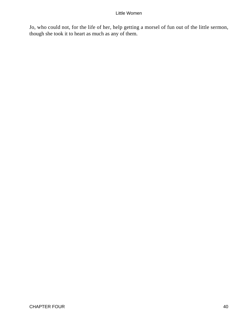Jo, who could not, for the life of her, help getting a morsel of fun out of the little sermon, though she took it to heart as much as any of them.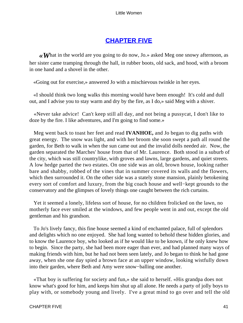# **[CHAPTER FIVE](#page-419-0)**

*«W*hat in the world are you going to do now, Jo.» asked Meg one snowy afternoon, as her sister came tramping through the hall, in rubber boots, old sack, and hood, with a broom in one hand and a shovel in the other.

«Going out for exercise,» answered Jo with a mischievous twinkle in her eyes.

 «I should think two long walks this morning would have been enough! It's cold and dull out, and I advise you to stay warm and dry by the fire, as I do,» said Meg with a shiver.

 «Never take advice! Can't keep still all day, and not being a pussycat, I don't like to doze by the fire. I like adventures, and I'm going to find some.»

 Meg went back to toast her feet and read **IVANHOE,** and Jo began to dig paths with great energy. The snow was light, and with her broom she soon swept a path all round the garden, for Beth to walk in when the sun came out and the invalid dolls needed air. Now, the garden separated the Marches' house from that of Mr. Laurence. Both stood in a suburb of the city, which was still countrylike, with groves and lawns, large gardens, and quiet streets. A low hedge parted the two estates. On one side was an old, brown house, looking rather bare and shabby, robbed of the vines that in summer covered its walls and the flowers, which then surrounded it. On the other side was a stately stone mansion, plainly betokening every sort of comfort and luxury, from the big coach house and well−kept grounds to the conservatory and the glimpses of lovely things one caught between the rich curtains.

 Yet it seemed a lonely, lifeless sort of house, for no children frolicked on the lawn, no motherly face ever smiled at the windows, and few people went in and out, except the old gentleman and his grandson.

 To Jo's lively fancy, this fine house seemed a kind of enchanted palace, full of splendors and delights which no one enjoyed. She had long wanted to behold these hidden glories, and to know the Laurence boy, who looked as if he would like to be known, if he only knew how to begin. Since the party, she had been more eager than ever, and had planned many ways of making friends with him, but he had not been seen lately, and Jo began to think he had gone away, when she one day spied a brown face at an upper window, looking wistfully down into their garden, where Beth and Amy were snow−balling one another.

 «That boy is suffering for society and fun,» she said to herself. «His grandpa does not know what's good for him, and keeps him shut up all alone. He needs a party of jolly boys to play with, or somebody young and lively. I've a great mind to go over and tell the old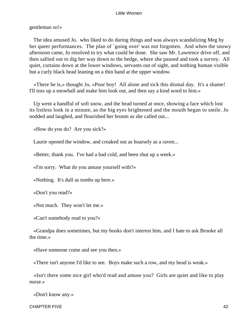gentleman so!»

 The idea amused Jo. who liked to do daring things and was always scandalizing Meg by her queer performances. The plan of `going over' was not forgotten. And when the snowy afternoon came, Jo resolved to try what could be done. She saw Mr. Lawrence drive off, and then sallied out to dig her way down to the hedge, where she paused and took a survey. All quiet, curtains down at the lower windows, servants out of sight, and nothing human visible but a curly black head leaning on a thin hand at the upper window.

 «There he is,» thought Jo, «Poor boy! All alone and sick this dismal day. It's a shame! I'll toss up a snowball and make him look out, and then say a kind word to him.»

 Up went a handful of soft snow, and the head turned at once, showing a face which lost its listless look in a minute, as the big eyes brightened and the mouth began to smile. Jo nodded and laughed, and flourished her broom as she called out...

«How do you do? Are you sick?»

Laurie opened the window, and croaked out as hoarsely as a raven...

«Better, thank you. I've had a bad cold, and been shut up a week.»

«I'm sorry. What do you amuse yourself with?»

«Nothing. It's dull as tombs up here.»

«Don't you read?»

«Not much. They won't let me.»

«Can't somebody read to you?»

 «Grandpa does sometimes, but my books don't interest him, and I hate to ask Brooke all the time.»

«Have someone come and see you then.»

«There isn't anyone I'd like to see. Boys make such a row, and my head is weak.»

 «Isn't there some nice girl who'd read and amuse you? Girls are quiet and like to play nurse.»

«Don't know any.»

CHAPTER FIVE 42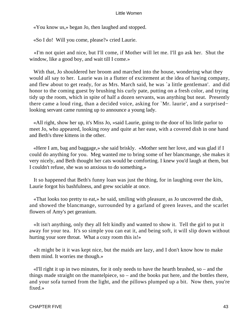«You know us,» began Jo, then laughed and stopped.

«So I do! Will you come, please?» cried Laurie.

 «I'm not quiet and nice, but I'll come, if Mother will let me. I'll go ask her. Shut the window, like a good boy, and wait till I come.»

 With that, Jo shouldered her broom and marched into the house, wondering what they would all say to her. Laurie was in a flutter of excitement at the idea of having company, and flew about to get ready, for as Mrs. March said, he was `a little gentleman'. and did honor to the coming guest by brushing his curly pate, putting on a fresh color, and trying tidy up the room, which in spite of half a dozen servants, was anything but neat. Presently there came a loud ring, than a decided voice, asking for `Mr. laurie', and a surprised− looking servant came running up to announce a young lady.

 «All right, show her up, it's Miss Jo, »said Laurie, going to the door of his little parlor to meet Jo, who appeared, looking rosy and quite at her ease, with a covered dish in one hand and Beth's three kittens in the other.

 «Here I am, bag and baggage,» she said briskly. «Mother sent her love, and was glad if I could do anything for you. Meg wanted me to bring some of her blancmange, she makes it very nicely, and Beth thought her cats would be comforting. I knew you'd laugh at them, but I couldn't refuse, she was so anxious to do something.»

 It so happened that Beth's funny loan was just the thing, for in laughing over the kits, Laurie forgot his bashfulness, and grew sociable at once.

 «That looks too pretty to eat,» he said, smiling with pleasure, as Jo uncovered the dish, and showed the blancmange, surrounded by a garland of green leaves, and the scarlet flowers of Amy's pet geranium.

 «It isn't anything, only they all felt kindly and wanted to show it. Tell the girl to put it away for your tea. It's so simple you can eat it, and being soft, it will slip down without hurting your sore throat. What a cozy room this is!»

 «It might be it it was kept nice, but the maids are lazy, and I don't know how to make them mind. It worries me though.»

 «I'll right it up in two minutes, for it only needs to have the hearth brushed, so – and the things made straight on the mantelpiece, so – and the books put here, and the bottles there, and your sofa turned from the light, and the pillows plumped up a bit. Now then, you're fixed.»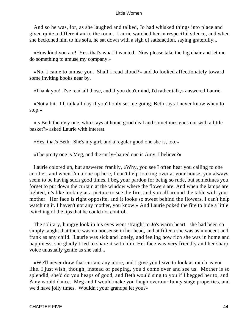And so he was, for, as she laughed and talked, Jo had whisked things into place and given quite a different air to the room. Laurie watched her in respectful silence, and when she beckoned him to his sofa, he sat down with a sigh of satisfaction, saying gratefully...

 «How kind you are! Yes, that's what it wanted. Now please take the big chair and let me do something to amuse my company.»

 «No, I came to amuse you. Shall I read aloud?» and Jo looked affectionately toward some inviting books near by.

«Thank you! I've read all those, and if you don't mind, I'd rather talk,» answered Laurie.

 «Not a bit. I'll talk all day if you'll only set me going. Beth says I never know when to stop.»

 «Is Beth the rosy one, who stays at home good deal and sometimes goes out with a little basket?» asked Laurie with interest.

«Yes, that's Beth. She's my girl, and a regular good one she is, too.»

«The pretty one is Meg, and the curly−haired one is Amy, I believe?»

 Laurie colored up, but answered frankly, «Why, you see I often hear you calling to one another, and when I'm alone up here, I can't help looking over at your house, you always seem to be having such good times. I beg your pardon for being so rude, but sometimes you forget to put down the curtain at the window where the flowers are. And when the lamps are lighted, it's like looking at a picture to see the fire, and you all around the table with your mother. Her face is right opposite, and it looks so sweet behind the flowers, I can't help watching it. I haven't got any mother, you know.» And Laurie poked the fire to hide a little twitching of the lips that he could not control.

 The solitary, hungry look in his eyes went straight to Jo's warm heart. she had been so simply taught that there was no nonsense in her head, and at fifteen she was as innocent and frank as any child. Laurie was sick and lonely, and feeling how rich she was in home and happiness, she gladly tried to share it with him. Her face was very friendly and her sharp voice unusually gentle as she said...

 «We'll never draw that curtain any more, and I give you leave to look as much as you like. I just wish, though, instead of peeping, you'd come over and see us. Mother is so splendid, she'd do you heaps of good, and Beth would sing to you if I begged her to, and Amy would dance. Meg and I would make you laugh over our funny stage properties, and we'd have jolly times. Wouldn't your grandpa let you?»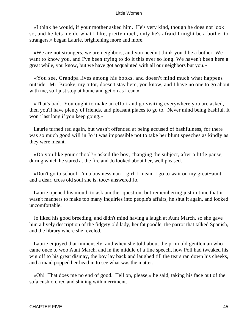«I think he would, if your mother asked him. He's very kind, though he does not look so, and he lets me do what I like, pretty much, only he's afraid I might be a bother to strangers,» began Laurie, brightening more and more.

 «We are not strangers, we are neighbors, and you needn't think you'd be a bother. We want to know you, and I've been trying to do it this ever so long. We haven't been here a great while, you know, but we have got acquainted with all our neighbors but you.»

 «You see, Grandpa lives among his books, and doesn't mind much what happens outside. Mr. Brooke, my tutor, doesn't stay here, you know, and I have no one to go about with me, so I just stop at home and get on as I can.»

 «That's bad. You ought to make an effort and go visiting everywhere you are asked, then you'll have plenty of friends, and pleasant places to go to. Never mind being bashful. It won't last long if you keep going.»

 Laurie turned red again, but wasn't offended at being accused of bashfulness, for there was so much good will in Jo it was impossible not to take her blunt speeches as kindly as they were meant.

 «Do you like your school?» asked the boy, changing the subject, after a little pause, during which he stared at the fire and Jo looked about her, well pleased.

 «Don't go to school, I'm a businessman – girl, I mean. I go to wait on my great−aunt, and a dear, cross old soul she is, too,» answered Jo.

 Laurie opened his mouth to ask another question, but remembering just in time that it wasn't manners to make too many inquiries into people's affairs, he shut it again, and looked uncomfortable.

 Jo liked his good breeding, and didn't mind having a laugh at Aunt March, so she gave him a lively description of the fidgety old lady, her fat poodle, the parrot that talked Spanish, and the library where she reveled.

 Laurie enjoyed that immensely, and when she told about the prim old gentleman who came once to woo Aunt March, and in the middle of a fine speech, how Poll had tweaked his wig off to his great dismay, the boy lay back and laughed till the tears ran down his cheeks, and a maid popped her head in to see what was the matter.

 «Oh! That does me no end of good. Tell on, please,» he said, taking his face out of the sofa cushion, red and shining with merriment.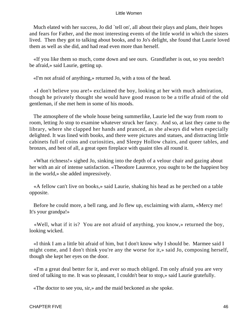Much elated with her success, Jo did 'tell on', all about their plays and plans, their hopes and fears for Father, and the most interesting events of the little world in which the sisters lived. Then they got to talking about books, and to Jo's delight, she found that Laurie loved them as well as she did, and had read even more than herself.

 «If you like them so much, come down and see ours. Grandfather is out, so you needn't be afraid,» said Laurie, getting up.

«I'm not afraid of anything,» returned Jo, with a toss of the head.

 «I don't believe you are!» exclaimed the boy, looking at her with much admiration, though he privately thought she would have good reason to be a trifle afraid of the old gentleman, if she met hem in some of his moods.

 The atmosphere of the whole house being summerlike, Laurie led the way from room to room, letting Jo stop to examine whatever struck her fancy. And so, at last they came to the library, where she clapped her hands and pranced, as she always did when especially delighted. It was lined with books, and there were pictures and statues, and distracting little cabinets full of coins and curiosities, and Sleepy Hollow chairs, and queer tables, and bronzes, and best of all, a great open fireplace with quaint tiles all round it.

 «What richness!» sighed Jo, sinking into the depth of a velour chair and gazing about her with an air of intense satisfaction. «Theodore Laurence, you ought to be the happiest boy in the world,» she added impressively.

 «A fellow can't live on books,» said Laurie, shaking his head as he perched on a table opposite.

 Before he could more, a bell rang, and Jo flew up, exclaiming with alarm, «Mercy me! It's your grandpa!»

 «Well, what if it is? You are not afraid of anything, you know,» returned the boy, looking wicked.

 «I think I am a little bit afraid of him, but I don't know why I should be. Marmee said I might come, and I don't think you're any the worse for it,» said Jo, composing herself, though she kept her eyes on the door.

 «I'm a great deal better for it, and ever so much obliged. I'm only afraid you are very tired of talking to me. It was so pleasant, I couldn't bear to stop,» said Laurie gratefully.

«The doctor to see you, sir,» and the maid beckoned as she spoke.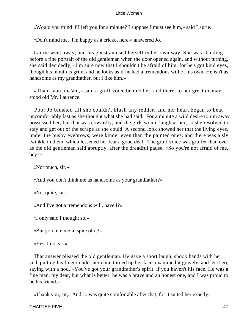«Would you mind if I left you for a minute? I suppose I must see him,» said Laurie.

«Don't mind me. I'm happy as a cricket here,» answered Jo.

 Laurie went away, and his guest amused herself in her own way. She was standing before a fine portrait of the old gentleman when the door opened again, and without turning, she said decidedly, «I'm sure now that I shouldn't be afraid of him, for he's got kind eyes, though his mouth is grim, and he looks as if he had a tremendous will of his own. He isn't as handsome as my grandfather, but I like him.»

 «Thank you, ma'am,» said a gruff voice behind her, and there, to her great dismay, stood old Mr. Laurence.

 Poor Jo blushed till she couldn't blush any redder, and her heart began to beat uncomfortably fast as she thought what she had said. For a minute a wild desire to run away possessed her, but that was cowardly, and the girls would laugh at her, so she resolved to stay and get out of the scrape as she could. A second look showed her that the living eyes, under the bushy eyebrows, were kinder even than the painted ones, and there was a sly twinkle in them, which lessened her fear a good deal. The gruff voice was gruffer than ever, as the old gentleman said abruptly, after the dreadful pause, «So you're not afraid of me, hey?»

«Not much, sir.»

«And you don't think me as handsome as your grandfather?»

«Not quite, sir.»

«And I've got a tremendous will, have I?»

«I only said I thought so.»

«But you like me in spite of it?»

«Yes, I do, sir.»

 That answer pleased the old gentleman. He gave a short laugh, shook hands with her, and, putting his finger under her chin, turned up her face, examined it gravely, and let it go, saying with a nod, «You've got your grandfather's spirit, if you haven't his face. He was a fine man, my dear, but what is better, he was a brave and an honest one, and I was proud to be his friend.»

«Thank you, sir,» And Jo was quite comfortable after that, for it suited her exactly.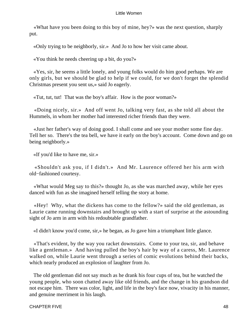«What have you been doing to this boy of mine, hey?» was the next question, sharply put.

«Only trying to be neighborly, sir.» And Jo to how her visit came about.

«You think he needs cheering up a bit, do you?»

 «Yes, sir, he seems a little lonely, and young folks would do him good perhaps. We are only girls, but we should be glad to help if we could, for we don't forget the splendid Christmas present you sent us,» said Jo eagerly.

«Tut, tut, tut! That was the boy's affair. How is the poor woman?»

 «Doing nicely, sir.» And off went Jo, talking very fast, as she told all about the Hummels, in whom her mother had interested richer friends than they were.

 «Just her father's way of doing good. I shall come and see your mother some fine day. Tell her so. There's the tea bell, we have it early on the boy's account. Come down and go on being neighborly.»

«If you'd like to have me, sir.»

 «Shouldn't ask you, if I didn't.» And Mr. Laurence offered her his arm with old−fashioned courtesy.

 «What would Meg say to this?» thought Jo, as she was marched away, while her eyes danced with fun as she imagined herself telling the story at home.

 «Hey! Why, what the dickens has come to the fellow?» said the old gentleman, as Laurie came running downstairs and brought up with a start of surprise at the astounding sight of Jo arm in arm with his redoubtable grandfather.

«I didn't know you'd come, sir,» he began, as Jo gave him a triumphant little glance.

 «That's evident, by the way you racket downstairs. Come to your tea, sir, and behave like a gentleman.» And having pulled the boy's hair by way of a caress, Mr. Laurence walked on, while Laurie went through a series of comic evolutions behind their backs, which nearly produced an explosion of laughter from Jo.

 The old gentleman did not say much as he drank his four cups of tea, but he watched the young people, who soon chatted away like old friends, and the change in his grandson did not escape him. There was color, light, and life in the boy's face now, vivacity in his manner, and genuine merriment in his laugh.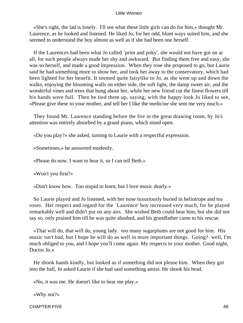«She's right, the lad is lonely. I'll see what these little girls can do for him,» thought Mr. Laurence, as he looked and listened. He liked Jo, for her odd, blunt ways suited him, and she seemed to understand the boy almost as well as if she had been one herself.

 If the Laurences had been what Jo called `prim and poky', she would not have got on at all, for such people always made her shy and awkward. But finding them free and easy, she was so herself, and made a good impression. When they rose she proposed to go, but Laurie said he had something more to show her, and took her away to the conservatory, which had been lighted for her benefit. It seemed quite fairylike to Jo, as she went up and down the walks, enjoying the blooming walls on either side, the soft light, the damp sweet air, and the wonderful vines and trees that hung about her, while her new friend cut the finest flowers till his hands were full. Then he tied them up, saying, with the happy look Jo liked to see, «Please give these to your mother, and tell her I like the medicine she sent me very much.»

 They found Mr. Laurence standing before the fire in the great drawing room, by Jo's attention was entirely absorbed by a grand piano, which stood open.

«Do you play?» she asked, turning to Laurie with a respectful expression.

«Sometimes,» he answered modestly.

«Please do now. I want to hear it, so I can tell Beth.»

«Won't you first?»

«Don't know how. Too stupid to learn, but I love music dearly.»

 So Laurie played and Jo listened, with her nose luxuriously buried in heliotrope and tea roses. Her respect and regard for the `Laurence' boy increased very much, for he played remarkably well and didn't put on any airs. She wished Beth could hear him, but she did not say so, only praised him till he was quite abashed, and his grandfather came to his rescue.

 «That will do, that will do, young lady. too many sugarplums are not good for him. His music isn't bad, but I hope he will do as well in more important things. Going? well, I'm much obliged to you, and I hope you'll come again. My respects to your mother. Good night, Doctor Jo.»

 He shook hands kindly, but looked as if something did not please him. When they got into the hall, Jo asked Laurie if she had said something amiss. He shook his head.

«No, it was me. He doesn't like to hear me play.»

«Why not?»

CHAPTER FIVE 49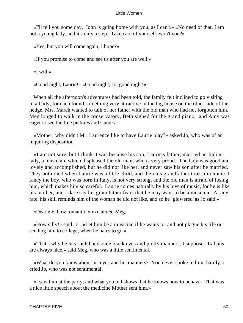«I'll tell you some day. John is going home with you, as I can't.» «No need of that. I am not a young lady, and it's only a step. Take care of yourself, won't you?»

«Yes, but you will come again, I hope?»

«If you promise to come and see us after you are well.»

«I will.»

«Good night, Laurie!» «Good night, Jo, good night!»

 When all the afternoon's adventures had been told, the family felt inclined to go visiting in a body, for each found something very attractive in the big house on the other side of the hedge. Mrs. March wanted to talk of her father with the old man who had not forgotten him, Meg longed to walk in the conservatory, Beth sighed for the grand piano. and Amy was eager to see the fine pictures and statues.

 «Mother, why didn't Mr. Laurence like to have Laurie play?» asked Jo, who was of an inquiring disposition.

 «I am not sure, but I think it was because his son, Laurie's father, married an Italian lady, a musician, which displeased the old man, who is very proud. The lady was good and lovely and accomplished, but he did not like her, and never saw his son after he married. They both died when Laurie was a little child, and then his grandfather took him home. I fancy the boy, who was born in Italy, is not very strong, and the old man is afraid of losing him, which makes him so careful. Laurie comes naturally by his love of music, for he is like his mother, and I dare say his grandfather fears that he may want to be a musician. At any rate, his skill reminds him of the woman he did not like, and so he `glowered' as Jo said.»

«Dear me, how romantic!» exclaimed Meg.

 «How silly!» said Jo. «Let him be a musician if he wants to, and not plague his life out sending him to college, when he hates to go.»

 «That's why he has such handsome black eyes and pretty manners, I suppose. Italians are always nice,» said Meg, who was a little sentimental.

 «What do you know about his eyes and his manners? You never spoke to him, hardly,» cried Jo, who was not sentimental.

 «I saw him at the party, and what you tell shows that he knows how to behave. That was a nice little speech about the medicine Mother sent him.»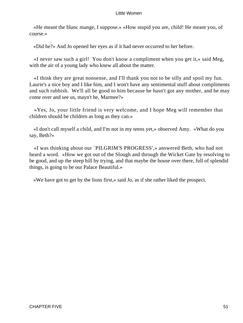«He meant the blanc mange, I suppose.» «How stupid you are, child! He meant you, of course.»

«Did he?» And Jo opened her eyes as if it had never occurred to her before.

 «I never saw such a girl! You don't know a compliment when you get it,» said Meg, with the air of a young lady who knew all about the matter.

 «I think they are great nonsense, and I'll thank you not to be silly and spoil my fun. Laurie's a nice boy and I like him, and I won't have any sentimental stuff about compliments and such rubbish. We'll all be good to him because he hasn't got any mother, and he may come over and see us, mayn't he, Marmee?»

 «Yes, Jo, your little friend is very welcome, and I hope Meg will remember that children should be children as long as they can.»

 «I don't call myself a child, and I'm not in my teens yet,» observed Amy. «What do you say, Beth?»

 «I was thinking about our `PILGRIM'S PROGRESS',» answered Beth, who had not heard a word. «How we got out of the Slough and through the Wicket Gate by resolving to be good, and up the steep hill by trying, and that maybe the house over there, full of splendid things, is going to be our Palace Beautiful.»

«We have got to get by the lions first,» said Jo, as if she rather liked the prospect.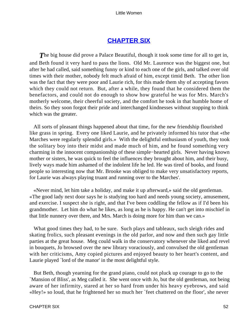# **[CHAPTER SIX](#page-419-0)**

**The big house did prove a Palace Beautiful, though it took some time for all to get in,** and Beth found it very hard to pass the lions. Old Mr. Laurence was the biggest one, but after he had called, said something funny or kind to each one of the girls, and talked over old times with their mother, nobody felt much afraid of him, except timid Beth. The other lion was the fact that they were poor and Laurie rich, for this made them shy of accepting favors which they could not return. But, after a while, they found that he considered them the benefactors, and could not do enough to show how grateful he was for Mrs. March's motherly welcome, their cheerful society, and the comfort he took in that humble home of theirs. So they soon forgot their pride and interchanged kindnesses without stopping to think which was the greater.

 All sorts of pleasant things happened about that time, for the new friendship flourished like grass in spring. Every one liked Laurie, and he privately informed his tutor that «the Marches were regularly splendid girls.» With the delightful enthusiasm of youth, they took the solitary boy into their midst and made much of him, and he found something very charming in the innocent companionship of these simple−hearted girls. Never having known mother or sisters, he was quick to feel the influences they brought about him, and their busy, lively ways made him ashamed of the indolent life he led. He was tired of books, and found people so interesting now that Mr. Brooke was obliged to make very unsatisfactory reports, for Laurie was always playing truant and running over to the Marches'.

 «Never mind, let him take a holiday, and make it up afterward,» said the old gentleman. «The good lady next door says he is studying too hard and needs young society, amusement, and exercise. I suspect she is right, and that I've been coddling the fellow as if I'd been his grandmother. Let him do what he likes, as long as he is happy. He can't get into mischief in that little nunnery over there, and Mrs. March is doing more for him than we can.»

 What good times they had, to be sure. Such plays and tableaux, such sleigh rides and skating frolics, such pleasant evenings in the old parlor, and now and then such gay little parties at the great house. Meg could walk in the conservatory whenever she liked and revel in bouquets, Jo browsed over the new library voraciously, and convulsed the old gentleman with her criticisms, Amy copied pictures and enjoyed beauty to her heart's content, and Laurie played `lord of the manor' in the most delightful style.

 But Beth, though yearning for the grand piano, could not pluck up courage to go to the `Mansion of Bliss', as Meg called it. She went once with Jo, but the old gentleman, not being aware of her infirmity, stared at her so hard from under his heavy eyebrows, and said «Hey!» so loud, that he frightened her so much her `feet chattered on the floor', she never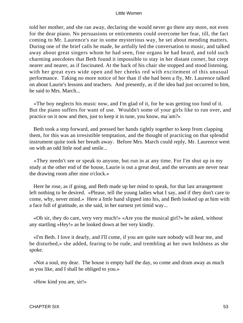told her mother, and she ran away, declaring she would never go there any more, not even for the dear piano. No persuasions or enticements could overcome her fear, till, the fact coming to Mr. Laurence's ear in some mysterious way, he set about mending matters. During one of the brief calls he made, he artfully led the conversation to music, and talked away about great singers whom he had seen, fine organs he had heard, and told such charming anecdotes that Beth found it impossible to stay in her distant corner, but crept nearer and nearer, as if fascinated. At the back of his chair she stopped and stood listening, with her great eyes wide open and her cheeks red with excitement of this unusual performance. Taking no more notice of her than if she had been a fly, Mr. Laurence talked on about Laurie's lessons and teachers. And presently, as if the idea had just occurred to him, he said to Mrs. March...

 «The boy neglects his music now, and I'm glad of it, for he was getting too fond of it. But the piano suffers for want of use. Wouldn't some of your girls like to run over, and practice on it now and then, just to keep it in tune, you know, ma`am?»

 Beth took a step forward, and pressed her hands tightly together to keep from clapping them, for this was an irresistible temptation, and the thought of practicing on that splendid instrument quite took her breath away. Before Mrs. March could reply, Mr. Laurence went on with an odd little nod and smile...

 «They needn't see or speak to anyone, but run in at any time. For I'm shut up in my study at the other end of the house, Laurie is out a great deal, and the servants are never near the drawing room after nine o'clock.»

 Here he rose, as if going, and Beth made up her mind to speak, for that last arrangement left nothing to be desired. «Please, tell the young ladies what I say, and if they don't care to come, why, never mind.» Here a little hand slipped into his, and Beth looked up at him with a face full of gratitude, as she said, in her earnest yet timid way...

 «Oh sir, they do care, very very much!» «Are you the musical girl?» he asked, without any startling «Hey!» as he looked down at her very kindly.

 «I'm Beth. I love it dearly, and I'll come, if you are quite sure nobody will hear me, and be disturbed,» she added, fearing to be rude, and trembling at her own boldness as she spoke.

 «Not a soul, my dear. The house is empty half the day, so come and drum away as much as you like, and I shall be obliged to you.»

«How kind you are, sir!»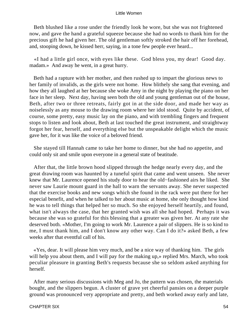Beth blushed like a rose under the friendly look he wore, but she was not frightened now, and gave the hand a grateful squeeze because she had no words to thank him for the precious gift he had given her. The old gentleman softly stroked the hair off her forehead, and, stooping down, he kissed herr, saying, in a tone few people ever heard...

 «I had a little girl once, with eyes like these. God bless you, my dear! Good day. madam.» And away he went, in a great hurry.

 Beth had a rapture with her mother, and then rushed up to impart the glorious news to her family of invalids, as the girls were not home. How blithely she sang that evening, and how they all laughed at her because she woke Amy in the night by playing the piano on her face in her sleep. Next day, having seen both the old and young gentleman out of the house, Beth, after two or three retreats, fairly got in at the side door, and made her way as noiselessly as any mouse to the drawing room where her idol stood. Quite by accident, of course, some pretty, easy music lay on the piano, and with trembling fingers and frequent stops to listen and look about, Beth at last touched the great instrument, and straightway forgot her fear, herself, and everything else but the unspeakable delight which the music gave her, for it was like the voice of a beloved friend.

 She stayed till Hannah came to take her home to dinner, but she had no appetite, and could only sit and smile upon everyone in a general state of beatitude.

 After that, the little brown hood slipped through the hedge nearly every day, and the great drawing room was haunted by a tuneful spirit that came and went unseen. She never knew that Mr. Laurence opened his study door to hear the old−fashioned airs he liked. She never saw Laurie mount guard in the hall to warn the servants away. She never suspected that the exercise books and new songs which she found in the rack were put there for her especial benefit, and when he talked to her about music at home, she only thought how kind he was to tell things that helped her so much. So she enjoyed herself heartily, and found, what isn't always the case, that her granted wish was all she had hoped. Perhaps it was because she was so grateful for this blessing that a greater was given her. At any rate she deserved both. «Mother, I'm going to work Mr. Laurence a pair of slippers. He is so kind to me, I must thank him, and I don't know any other way. Can I do it?» asked Beth, a few weeks after that eventful call of his.

 «Yes, dear. It will please him very much, and be a nice way of thanking him. The girls will help you about them, and I will pay for the making up,» replied Mrs. March, who took peculiar pleasure in granting Beth's requests because she so seldom asked anything for herself.

 After many serious discussions with Meg and Jo, the pattern was chosen, the materials bought, and the slippers begun. A cluster of grave yet cheerful pansies on a deeper purple ground was pronounced very appropriate and pretty, and beth worked away early and late,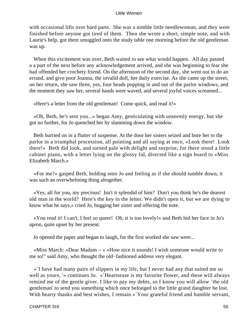with occasional lifts over hard parts. She was a nimble little needlewoman, and they were finished before anyone got tired of them. Then she wrote a short, simple note, and with Laurie's help, got them smuggled onto the study table one morning before the old gentleman was up.

 When this excitement was over, Beth waited to see what would happen. All day passed a a part of the next before any acknowledgement arrived, and she was beginning to fear she had offended her crochety friend. On the afternoon of the second day, she went out to do an errand, and give poor Joanna, the invalid doll, her daily exercise. As she came up the street, on her return, she saw three, yes, four heads popping in and out of the parlor windows, and the moment they saw her, several hands were waved, and several joyful voices screamed...

«Here's a letter from the old gentleman! Come quick, and read it!»

 «Oh, Beth, he's sent you...» began Amy, gesticulating with unseemly energy, but she got no further, for Jo quenched her by slamming down the window.

 Beth hurried on in a flutter of suspense. At the door her sisters seized and bore her to the parlor in a triumphal procession, all pointing and all saying at once, «Look there! Look there!» Beth did look, and turned pale with delight and surprise, for there stood a little cabinet piano, with a letter lying on the glossy lid, directed like a sign board to «Miss Elizabeth March.»

 «For me?» gasped Beth, holding onto Jo and feeling as if she should tumble down, it was such an overwhelming thing altogether.

 «Yes, all for you, my precious! Isn't it splendid of him? Don't you think he's the dearest old man in the world? Here's the key in the letter. We didn't open it, but we are dying to know what he says,» cried Jo, hugging her sister and offering the note.

 «You read it! I can't, I feel so queer! Oh, it is too lovely!» and Beth hid her face in Jo's apron, quite upset by her present.

Jo opened the paper and began to laugh, for the first worked she saw were...

 «Miss March: »Dear Madam – « »How nice it sounds! I wish someone would write to me so!" said Amy, who thought the old−fashioned address very elegant.

 «`I have had many pairs of slippers in my life, but I never had any that suited me so well as yours, '» continues Jo. «`Heartsease is my favorite flower, and these will always remind me of the gentle giver. I like to pay my debts, so I know you will allow `the old gentleman' to send you something which once belonged to the little grand daughter he lost. With hearty thanks and best wishes, I remain » Your grateful friend and humble servant,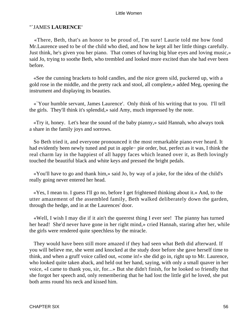# "`JAMES **LAURENCE'**

 «There, Beth, that's an honor to be proud of, I'm sure! Laurie told me how fond Mr.Laurence used to be of the child who died, and how he kept all her little things carefully. Just think, he's given you her piano. That comes of having big blue eyes and loving music,» said Jo, trying to soothe Beth, who trembled and looked more excited than she had ever been before.

 «See the cunning brackets to hold candles, and the nice green sild, puckered up, with a gold rose in the middle, and the pretty rack and stool, all complete,» added Meg, opening the instrument and displaying its beauties.

 «`Your humble servant, James Laurence'. Only think of his writing that to you. I'll tell the girls. They'll think it's splendid,» said Amy, much impressed by the note.

 «Try it, honey. Let's hear the sound of the baby pianny,» said Hannah, who always took a share in the family joys and sorrows.

 So Beth tried it, and everyone pronounced it the most remarkable piano ever heard. It had evidently been newly tuned and put in apple− pie order, but, perfect as it was, I think the real charm lay in the happiest of all happy faces which leaned over it, as Beth lovingly touched the beautiful black and white keys and pressed the bright pedals.

 «You'll have to go and thank him,» said Jo, by way of a joke, for the idea of the child's really going never entered her head.

 «Yes, I mean to. I guess I'll go no, before I get frightened thinking about it.» And, to the utter amazement of the assembled family, Beth walked deliberately down the garden, through the hedge, and in at the Laurences' door.

 «Well, I wish I may die if it ain't the queerest thing I ever see! The pianny has turned her head! She'd never have gone in her right mind,» cried Hannah, staring after her, while the girls were rendered quite speechless by the miracle.

 They would have been still more amazed if they had seen what Beth did afterward. If you will believe me, she went and knocked at the study door before she gave herself time to think, and when a gruff voice called out, «come in!» she did go in, right up to Mr. Laurence, who looked quite taken aback, and held out her hand, saying, with only a small quaver in her voice, «I came to thank you, sir, for...» But she didn't finish, for he looked so friendly that she forgot her speech and, only remembering that he had lost the little girl he loved, she put both arms round his neck and kissed him.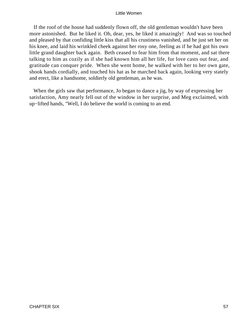If the roof of the house had suddenly flown off, the old gentleman wouldn't have been more astonished. But he liked it. Oh, dear, yes, he liked it amazingly! And was so touched and pleased by that confiding little kiss that all his crustiness vanished, and he just set her on his knee, and laid his wrinkled cheek against her rosy one, feeling as if he had got his own little grand daughter back again. Beth ceased to fear him from that moment, and sat there talking to him as cozily as if she had known him all her life, for love casts out fear, and gratitude can conquer pride. When she went home, he walked with her to her own gate, shook hands cordially, and touched his hat as he marched back again, looking very stately and erect, like a handsome, soldierly old gentleman, as he was.

 When the girls saw that performance, Jo began to dance a jig, by way of expressing her satisfaction, Amy nearly fell out of the window in her surprise, and Meg exclaimed, with up−lifted hands, "Well, I do believe the world is coming to an end.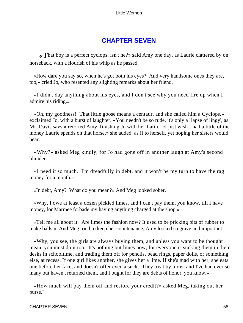# **[CHAPTER SEVEN](#page-419-0)**

**«That boy is a perfect cyclops, isn't he?» said Amy one day, as Laurie clattered by on** horseback, with a flourish of his whip as he passed.

 «How dare you say so, when he's got both his eyes? And very handsome ones they are, too,» cried Jo, who resented any slighting remarks about her friend.

 «I didn't day anything about his eyes, and I don't see why you need fire up when I admire his riding.»

 «Oh, my goodness! That little goose means a centaur, and she called him a Cyclops,» exclaimed Jo, with a burst of laughter. «You needn't be so rude, it's only a `lapse of lingy', as Mr. Davis says,» retorted Amy, finishing Jo with her Latin. «I just wish I had a little of the money Laurie spends on that horse,» she added, as if to herself, yet hoping her sisters would hear.

 «Why?» asked Meg kindly, for Jo had gone off in another laugh at Amy's second blunder.

 «I need it so much. I'm dreadfully in debt, and it won't be my turn to have the rag money for a month.»

«In debt, Amy? What do you mean?» And Meg looked sober.

 «Why, I owe at least a dozen pickled limes, and I can't pay them, you know, till I have money, for Marmee forbade my having anything charged at the shop.»

 «Tell me all about it. Are limes the fashion now? It used to be pricking bits of rubber to make balls.» And Meg tried to keep her countenance, Amy looked so grave and important.

 «Why, you see, the girls are always buying them, and unless you want to be thought mean, you must do it too. It's nothing but limes now, for everyone is sucking them in their desks in schooltime, and trading them off for pencils, bead rings, paper dolls, or something else, at recess. If one girl likes another, she gives her a lime. If she's mad with her, she eats one before her face, and doesn't offer even a suck. They treat by turns, and I've had ever so many but haven't returned them, and I ought for they are debts of honor, you know.»

 «How much will pay them off and restore your credit?» asked Meg, taking out her purse."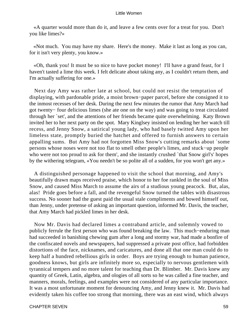«A quarter would more than do it, and leave a few cents over for a treat for you. Don't you like limes?»

 «Not much. You may have my share. Here's the money. Make it last as long as you can, for it isn't very plenty, you know.»

 «Oh, thank you! It must be so nice to have pocket money! I'll have a grand feast, for I haven't tasted a lime this week. I felt delicate about taking any, as I couldn't return them, and I'm actually suffering for one.»

 Next day Amy was rather late at school, but could not resist the temptation of displaying, with pardonable pride, a moist brown−paper parcel, before she consigned it to the inmost recesses of her desk. During the next few minutes the rumor that Amy March had got twenty− four delicious limes (she ate one on the way) and was going to treat circulated through her `set', and the attentions of her friends became quite overwhelming. Katy Brown invited her to her next party on the spot. Mary Kinglsey insisted on lending her her watch till recess, and Jenny Snow, a satirical young lady, who had basely twitted Amy upon her limeless state, promptly buried the hatchet and offered to furnish answers to certain appalling sums. But Amy had not forgotten Miss Snow's cutting remarks about `some persons whose noses were not too flat to smell other people's limes, and stuck−up people who were not too proud to ask for them', and she instantly crushed `that Snow girl's' hopes by the withering telegram, «You needn't be so polite all of a sudden, for you won't get any.»

 A distinguished personage happened to visit the school that morning, and Amy's beautifully drawn maps received praise, which honor to her foe rankled in the soul of Miss Snow, and caused Miss March to assume the airs of a studious young peacock. But, alas, alas! Pride goes before a fall, and the revengeful Snow turned the tables with disastrous success. No sooner had the guest paid the usual stale compliments and bowed himself out, than Jenny, under pretense of asking an important question, informed Mr. Davis, the teacher, that Amy March had pickled limes in her desk.

 Now Mr. Davis had declared limes a contraband article, and solemnly vowed to publicly ferrule the first person who was found breaking the law. This much−enduring man had succeeded in banishing chewing gum after a long and stormy war, had made a bonfire of the confiscated novels and newspapers, had suppressed a private post office, had forbidden distortions of the face, nicknames, and caricatures, and done all that one man could do to keep half a hundred rebellious girls in order. Boys are trying enough to human patience, goodness knows, but girls are infinitely more so, especially to nervous gentlemen with tyrannical tempers and no more talent for teaching than Dr. Blimber. Mr. Davis knew any quantity of Greek, Latin, algebra, and ologies of all sorts so he was called a fine teacher, and manners, morals, feelings, and examples were not considered of any particular importance. It was a most unfortunate moment for denouncing Amy, and Jenny knew it. Mr. Davis had evidently taken his coffee too strong that morning, there was an east wind, which always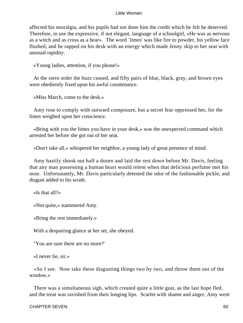affected his neuralgia, and his pupils had not done him the credit which he felt he deserved. Therefore, to use the expressive, if not elegant, language of a schoolgirl, «He was as nervous as a witch and as cross as a bear». The word `limes' was like fire to powder, his yellow face flushed, and he rapped on his desk with an energy which made Jenny skip to her seat with unusual rapidity.

«Young ladies, attention, if you please!»

 At the stern order the buzz ceased, and fifty pairs of blue, black, gray, and brown eyes were obediently fixed upon his awful countenance.

«Miss March, come to the desk.»

 Amy rose to comply with outward composure, but a secret fear oppressed her, for the limes weighed upon her conscience.

 «Bring with you the limes you have in your desk,» was the unexpected command which arrested her before she got out of her seat.

«Don't take all.» whispered her neighbor, a young lady of great presence of mind.

 Amy hastily shook out half a dozen and laid the rest down before Mr. Davis, feeling that any man possessing a human heart would relent when that delicious perfume met his nose. Unfortunately, Mr. Davis particularly detested the odor of the fashionable pickle, and disgust added to his wrath.

«Is that all?»

«Not quite,» stammered Amy.

«Bring the rest immediately.»

With a despairing glance at her set, she obeyed.

"You are sure there are no more?'

«I never lie, sir.»

 «So I see. Now take these disgusting things two by two, and throw them out of the window.»

 There was a simultaneous sigh, which created quite a little gust, as the last hope fled, and the treat was ravished from their longing lips. Scarlet with shame and anger, Amy went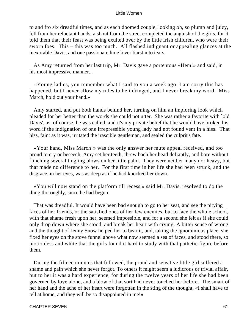to and fro six dreadful times, and as each doomed couple, looking oh, so plump and juicy, fell from her reluctant hands, a shout from the street completed the anguish of the girls, for it told them that their feast was being exulted over by the little Irish children, who were their sworn foes. This – this was too much. All flashed indignant or appealing glances at the inexorable Davis, and one passionate lime lover burst into tears.

 As Amy returned from her last trip, Mr. Davis gave a portentous «Hem!» and said, in his most impressive manner...

 «Young ladies, you remember what I said to you a week ago. I am sorry this has happened, but I never allow my rules to be infringed, and I never break my word. Miss March, hold out your hand.»

 Amy started, and put both hands behind her, turning on him an imploring look which pleaded for her better than the words she could not utter. She was rather a favorite with `old Davis', as, of course, he was called, and it's my private belief that he would have broken his word if the indignation of one irrepressible young lady had not found vent in a hiss. That hiss, faint as it was, irritated the irascible gentleman, and sealed the culprit's fate.

 «Your hand, Miss March!» was the only answer her mute appeal received, and too proud to cry or beseech, Amy set her teeth, threw bach her head defiantly, and bore without flinching several tingling blows on her little palm. They were neither many nor heavy, but that made no difference to her. For the first time in her life she had been struck, and the disgrace, in her eyes, was as deep as if he had knocked her down.

 «You will now stand on the platform till recess,» said Mr. Davis, resolved to do the thing thoroughly, since he had begun.

 That was dreadful. It would have been bad enough to go to her seat, and see the pitying faces of her friends, or the satisfied ones of her few enemies, but to face the whole school, with that shame fresh upon her, seemed impossible, and for a second she felt as if she could only drop down where she stood, and break her heart with crying. A bitter sense of wrong and the thought of Jenny Snow helped her to bear it, and, taking the ignominious place, she fixed her eyes on the stove funnel above what now seemed a sea of faces, and stood there, so motionless and white that the girls found it hard to study with that pathetic figure before them.

 During the fifteen minutes that followed, the proud and sensitive little girl suffered a shame and pain which she never forgot. To others it might seem a ludicrous or trivial affair, but to her it was a hard experience, for during the twelve years of her life she had been governed by love alone, and a blow of that sort had never touched her before. The smart of her hand and the ache of her heart were forgotten in the sting of the thought, «I shall have to tell at home, and they will be so disappointed in me!»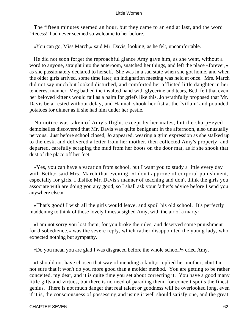The fifteen minutes seemed an hour, but they came to an end at last, and the word `Recess!' had never seemed so welcome to her before.

«You can go, Miss March,» said Mr. Davis, looking, as he felt, uncomfortable.

 He did not soon forget the reproachful glance Amy gave him, as she went, without a word to anyone, straight into the anteroom, snatched her things, and left the place «forever,» as she passionately declared to herself. She was in a sad state when she got home, and when the older girls arrived, some time later, an indignation meeting was held at once. Mrs. March did not say much but looked disturbed, and comforted her afflicted little daughter in her tenderest manner. Meg bathed the insulted hand with glycerine and tears, Beth felt that even her beloved kittens would fail as a balm for griefs like this, Jo wrathfully proposed that Mr. Davis be arrested without delay, and Hannah shook her fist at the `villain' and pounded potatoes for dinner as if she had him under her pestle.

 No notice was taken of Amy's flight, except by her mates, but the sharp−eyed demoiselles discovered that Mr. Davis was quite benignant in the afternoon, also unusually nervous. Just before school closed, Jo appeared, wearing a grim expression as she stalked up to the desk, and delivered a letter from her mother, then collected Amy's property, and departed, carefully scraping the mud from her boots on the door mat, as if she shook that dust of the place off her feet.

 «Yes, you can have a vacation from school, but I want you to study a little every day with Beth,» said Mrs. March that evening. «I don't approve of corporal punishment, especially for girls. I dislike Mr. Davis's manner of teaching and don't think the girls you associate with are doing you any good, so I shall ask your father's advice before I send you anywhere else.»

 «That's good! I wish all the girls would leave, and spoil his old school. It's perfectly maddening to think of those lovely limes,» sighed Amy, with the air of a martyr.

 «I am not sorry you lost them, for you broke the rules, and deserved some punishment for disobedience,» was the severe reply, which rather disappointed the young lady, who expected nothing but sympathy.

«Do you mean you are glad I was disgraced before the whole school?» cried Amy.

 «I should not have chosen that way of mending a fault,» replied her mother, «but I'm not sure that it won't do you more good than a molder method. You are getting to be rather conceited, my dear, and it is quite time you set about correcting it. You have a good many little gifts and virtues, but there is no need of parading them, for conceit spoils the finest genius. There is not much danger that real talent or goodness will be overlooked long, even if it is, the consciousness of possessing and using it well should satisfy one, and the great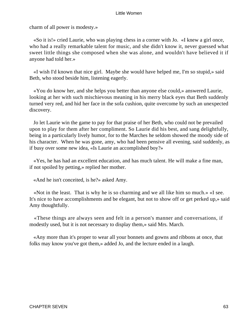charm of all power is modesty.»

 «So it is!» cried Laurie, who was playing chess in a corner with Jo. «I knew a girl once, who had a really remarkable talent for music, and she didn't know it, never guessed what sweet little things she composed when she was alone, and wouldn't have believed it if anyone had told her.»

 «I wish I'd known that nice girl. Maybe she would have helped me, I'm so stupid,» said Beth, who stood beside him, listening eagerly.

 «You do know her, and she helps you better than anyone else could,» answered Laurie, looking at her with such mischievous meaning in his merry black eyes that Beth suddenly turned very red, and hid her face in the sofa cushion, quite overcome by such an unexpected discovery.

 Jo let Laurie win the game to pay for that praise of her Beth, who could not be prevailed upon to play for them after her compliment. So Laurie did his best, and sang delightfully, being in a particularly lively humor, for to the Marches he seldom showed the moody side of his character. When he was gone, amy, who had been pensive all evening, said suddenly, as if busy over some new idea, «Is Laurie an accomplished boy?»

 «Yes, he has had an excellent education, and has much talent. He will make a fine man, if not spoiled by petting,» replied her mother.

«And he isn't conceited, is he?» asked Amy.

 «Not in the least. That is why he is so charming and we all like him so much.» «I see. It's nice to have accomplishments and be elegant, but not to show off or get perked up,» said Amy thoughtfully.

 «These things are always seen and felt in a person's manner and conversations, if modestly used, but it is not necessary to display them,» said Mrs. March.

 «Any more than it's proper to wear all your bonnets and gowns and ribbons at once, that folks may know you've got them,» added Jo, and the lecture ended in a laugh.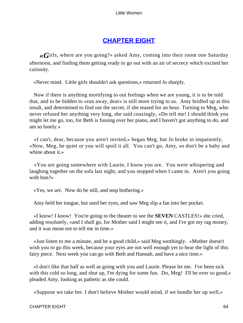# **[CHAPTER EIGHT](#page-419-0)**

*«G*irls, where are you going?» asked Amy, coming into their room one Saturday afternoon, and finding them getting ready to go out with an air of secrecy which excited her curiosity.

«Never mind. Little girls shouldn't ask questions,» returned Jo sharply.

 Now if there is anything mortifying to out feelings when we are young, it is to be told that, and to be bidden to «run away, dear» is still more trying to us. Amy bridled up at this insult, and determined to find out the secret, if she teased for an hour. Turning to Meg, who never refused her anything very long, she said coaxingly, «Do tell me! I should think you might let me go, too, for Beth is fussing over her piano, and I haven't got anything to do, and am so lonely.»

 «I can't, dear, because you aren't invited,» began Meg, but Jo broke in impatiently, «Now, Meg, be quiet or you will spoil it all. You can't go, Amy, so don't be a baby and whine about it.»

 «You are going somewhere with Laurie, I know you are. You were whispering and laughing together on the sofa last night, and you stopped when I came in. Aren't you going with him?»

«Yes, we are. Now do be still, and stop bothering.»

Amy held her tongue, but used her eyes, and saw Meg slip a fan into her pocket.

 «I know! I know! You're going to the theater to see the **SEVEN** CASTLES!» she cried, adding resolutely, «and I shall go, for Mother said I might see it, and I've got my rag money, and it was mean not to tell me in time.»

 «Just listen to me a minute, and be a good child,» said Meg soothingly. «Mother doesn't wish you to go this week, because your eyes are not well enough yet to bear the light of this fairy piece. Next week you can go with Beth and Hannah, and have a nice time.»

 «I don't like that half as well as going with you and Laurie. Please let me. I've been sick with this cold so long, and shut up, I'm dying for some fun. Do, Meg! I'll be ever so good,» pleaded Amy, looking as pathetic as she could.

«Suppose we take her. I don't believe Mother would mind, if we bundle her up well,»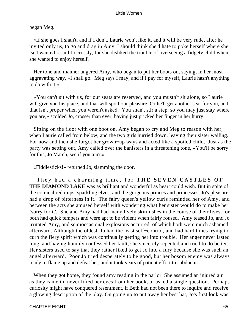# began Meg.

 «If she goes I shan't, and if I don't, Laurie won't like it, and it will be very rude, after he invited only us, to go and drag in Amy. I should think she'd hate to poke herself where she isn't wanted,» said Jo crossly, for she disliked the trouble of overseeing a fidgety child when she wanted to enjoy herself.

 Her tone and manner angered Amy, who began to put her boots on, saying, in her most aggravating way, «I shall go. Meg says I may, and if I pay for myself, Laurie hasn't anything to do with it.»

 «You can't sit with us, for our seats are reserved, and you mustn't sit alone, so Laurie will give you his place, and that will spoil our pleasure. Or he'll get another seat for you, and that isn't proper when you weren't asked. You shan't stir a step, so you may just stay where you are,» scolded Jo, crosser than ever, having just pricked her finger in her hurry.

 Sitting on the floor with one boot on, Amy began to cry and Meg to reason with her, when Laurie called from below, and the two girls hurried down, leaving their sister wailing. For now and then she forgot her grown−up ways and acted like a spoiled child. Just as the party was setting out, Amy called over the banisters in a threatening tone, «You'll be sorry for this, Jo March, see if you ain't.»

«Fiddlesticks!» returned Jo, slamming the door.

 They had a charming time, for **THE SEVEN CASTLES OF THE DIAMOND LAKE** was as brilliant and wonderful as heart could wish. But in spite of the comical red imps, sparkling elves, and the gorgeous princes and princesses, Jo's pleasure had a drop of bitterness in it. The fairy queen's yellow curls reminded her of Amy, and between the acts she amused herself with wondering what her sister would do to make her `sorry for it'. She and Amy had had many lively skirmishes in the course of their lives, for both had quick tempers and were apt to be violent when fairly roused. Amy teased Jo, and Jo irritated Amy, and semioccasional explosions occurred, of which both were much ashamed afterward. Although the oldest, Jo had the least self−control, and had hard times trying to curb the fiery spirit which was continually getting her into trouble. Her anger never lasted long, and having humbly confessed her fault, she sincerely repented and tried to do better. Her sisters used to say that they rather liked to get Jo into a fury because she was such an angel afterward. Poor Jo tried desperately to be good, but her bosom enemy was always ready to flame up and defeat her, and it took years of patient effort to subdue it.

 When they got home, they found amy reading in the parlor. She assumed an injured air as they came in, never lifted her eyes from her book, or asked a single question. Perhaps curiosity might have conquered resentment, if Beth had not been there to inquire and receive a glowing description of the play. On going up to put away her best hat, Jo's first look was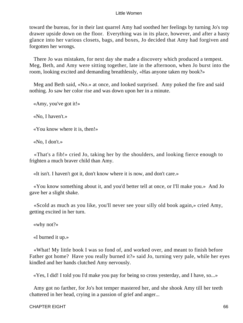toward the bureau, for in their last quarrel Amy had soothed her feelings by turning Jo's top drawer upside down on the floor. Everything was in its place, however, and after a hasty glance into her various closets, bags, and boxes, Jo decided that Amy had forgiven and forgotten her wrongs.

 There Jo was mistaken, for next day she made a discovery which produced a tempest. Meg, Beth, and Amy were sitting together, late in the afternoon, when Jo burst into the room, looking excited and demanding breathlessly, «Has anyone taken my book?»

 Meg and Beth said, «No.» at once, and looked surprised. Amy poked the fire and said nothing. Jo saw her color rise and was down upon her in a minute.

«Amy, you've got it!»

«No, I haven't.»

«You know where it is, then!»

«No, I don't.»

 «That's a fib!» cried Jo, taking her by the shoulders, and looking fierce enough to frighten a much braver child than Amy.

«It isn't. I haven't got it, don't know where it is now, and don't care.»

 «You know something about it, and you'd better tell at once, or I'll make you.» And Jo gave her a slight shake.

 «Scold as much as you like, you'll never see your silly old book again,» cried Amy, getting excited in her turn.

«why not?»

«I burned it up.»

 «What! My little book I was so fond of, and worked over, and meant to finish before Father got home? Have you really burned it?» said Jo, turning very pale, while her eyes kindled and her hands clutched Amy nervously.

«Yes, I did! I told you I'd make you pay for being so cross yesterday, and I have, so...»

 Amy got no farther, for Jo's hot temper mastered her, and she shook Amy till her teeth chattered in her head, crying in a passion of grief and anger...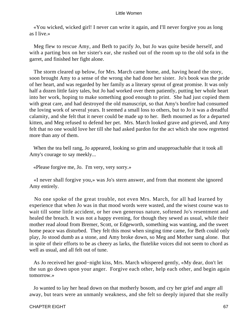«You wicked, wicked girl! I never can write it again, and I'll never forgive you as long as I live.»

 Meg flew to rescue Amy, and Beth to pacify Jo, but Jo was quite beside herself, and with a parting box on her sister's ear, she rushed out of the room up to the old sofa in the garret, and finished her fight alone.

 The storm cleared up below, for Mrs. March came home, and, having heard the story, soon brought Amy to a sense of the wrong she had done her sister. Jo's book was the pride of her heart, and was regarded by her family as a literary sprout of great promise. It was only half a dozen little fairy tales, but Jo had worked over them patiently, putting her whole heart into her work, hoping to make something good enough to print. She had just copied them with great care, and had destroyed the old manuscript, so that Amy's bonfire had consumed the loving work of several years. It seemed a small loss to others, but to Jo it was a dreadful calamity, and she felt that it never could be made up to her. Beth mourned as for a departed kitten, and Meg refused to defend her pet. Mrs. March looked grave and grieved, and Amy felt that no one would love her till she had asked pardon for the act which she now regretted more than any of them.

 When the tea bell rang, Jo appeared, looking so grim and unapproachable that it took all Amy's courage to say meekly...

«Please forgive me, Jo. I'm very, very sorry.»

 «I never shall forgive you,» was Jo's stern answer, and from that moment she ignored Amy entirely.

 No one spoke of the great trouble, not even Mrs. March, for all had learned by experience that when Jo was in that mood words were wasted, and the wisest course was to wait till some little accident, or her own generous nature, softened Jo's resentment and healed the breach. It was not a happy evening, for though they sewed as usual, while their mother read aloud from Bremer, Scott, or Edgeworth, something was wanting, and the sweet home peace was disturbed. They felt this most when singing time came, for Beth could only play, Jo stood dumb as a stone, and Amy broke down, so Meg and Mother sang alone. But in spite of their efforts to be as cheery as larks, the flutelike voices did not seem to chord as well as usual, and all felt out of tune.

 As Jo received her good−night kiss, Mrs. March whispered gently, «My dear, don't let the sun go down upon your anger. Forgive each other, help each other, and begin again tomorrow.»

 Jo wanted to lay her head down on that motherly bosom, and cry her grief and anger all away, but tears were an unmanly weakness, and she felt so deeply injured that she really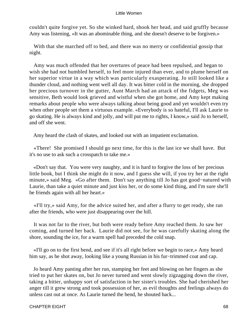couldn't quite forgive yet. So she winked hard, shook her head, and said gruffly because Amy was listening, «It was an abominable thing, and she doesn't deserve to be forgiven.»

 With that she marched off to bed, and there was no merry or confidential gossip that night.

 Amy was much offended that her overtures of peace had been repulsed, and began to wish she had not humbled herself, to feel more injured than ever, and to plume herself on her superior virtue in a way which was particularly exasperating. Jo still looked like a thunder cloud, and nothing went well all day. It was bitter cold in the morning, she dropped her precious turnover in the gutter, Aunt March had an attack of the fidgets, Meg was sensitive, Beth would look grieved and wistful when she got home, and Amy kept making remarks about people who were always talking about being good and yet wouldn't even try when other people set them a virtuous example. «Everybody is so hateful, I'll ask Laurie to go skating. He is always kind and jolly, and will put me to rights, I know,» said Jo to herself, and off she went.

Amy heard the clash of skates, and looked out with an impatient exclamation.

 «There! She promised I should go next time, for this is the last ice we shall have. But it's no use to ask such a crosspatch to take me.»

 «Don't say that. You were very naughty, and it is hard to forgive the loss of her precious little book, but I think she might do it now, and I guess she will, if you try her at the right minute,» said Meg. «Go after them. Don't say anything till Jo has got good−natured with Laurie, than take a quiet minute and just kiss her, or do some kind thing, and I'm sure she'll be friends again with all her heart.»

 «I'll try,» said Amy, for the advice suited her, and after a flurry to get ready, she ran after the friends, who were just disappearing over the hill.

 It was not far to the river, but both were ready before Amy reached them. Jo saw her coming, and turned her back. Laurie did not see, for he was carefully skating along the shore, sounding the ice, for a warm spell had preceded the cold snap.

 «I'll go on to the first bend, and see if it's all right before we begin to race,» Amy heard him say, as he shot away, looking like a young Russian in his fur−trimmed coat and cap.

 Jo heard Amy panting after her run, stamping her feet and blowing on her fingers as she tried to put her skates on, but Jo never turned and went slowly zigzagging down the river, taking a bitter, unhappy sort of satisfaction in her sister's troubles. She had cherished her anger till it grew strong and took possession of her, as evil thoughts and feelings always do unless cast out at once. As Laurie turned the bend, he shouted back...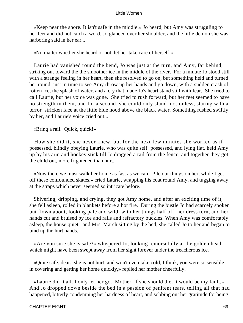«Keep near the shore. It isn't safe in the middle.» Jo heard, but Amy was struggling to her feet and did not catch a word. Jo glanced over her shoulder, and the little demon she was harboring said in her ear...

«No matter whether she heard or not, let her take care of herself.»

 Laurie had vanished round the bend, Jo was just at the turn, and Amy, far behind, striking out toward the the smoother ice in the middle of the river. For a minute Jo stood still with a strange feeling in her heart, then she resolved to go on, but something held and turned her round, just in time to see Amy throw up her hands and go down, with a sudden crash of rotten ice, the splash of water, and a cry that made Jo's heart stand still with fear. She tried to call Laurie, but her voice was gone. She tried to rush forward, but her feet seemed to have no strength in them, and for a second, she could only stand motionless, staring with a terror−stricken face at the little blue hood above the black water. Something rushed swiftly by her, and Laurie's voice cried out...

«Bring a rail. Quick, quick!»

 How she did it, she never knew, but for the next few minutes she worked as if possessed, blindly obeying Laurie, who was quite self−possessed, and lying flat, held Amy up by his arm and hockey stick till Jo dragged a rail from the fence, and together they got the child out, more frightened than hurt.

 «Now then, we must walk her home as fast as we can. Pile our things on her, while I get off these confounded skates,» cried Laurie, wrapping his coat round Amy, and tugging away at the straps which never seemed so intricate before.

 Shivering, dripping, and crying, they got Amy home, and after an exciting time of it, she fell asleep, rolled in blankets before a hot fire. During the bustle Jo had scarcely spoken but flown about, looking pale and wild, with her things half off, her dress torn, and her hands cut and bruised by ice and rails and refractory buckles. When Amy was comfortably asleep, the house quiet, and Mrs. March sitting by the bed, she called Jo to her and began to bind up the hurt hands.

 «Are you sure she is safe?» whispered Jo, looking remorsefully at the golden head, which might have been swept away from her sight forever under the treacherous ice.

 «Quite safe, dear. she is not hurt, and won't even take cold, I think, you were so sensible in covering and getting her home quickly,» replied her mother cheerfully.

 «Laurie did it all. I only let her go. Mother, if she should die, it would be my fault.» And Jo dropped down beside the bed in a passion of penitent tears, telling all that had happened, bitterly condemning her hardness of heart, and sobbing out her gratitude for being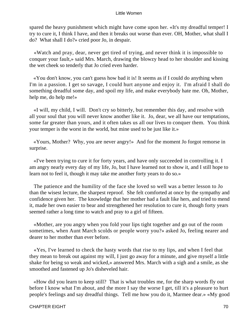spared the heavy punishment which might have come upon her. «It's my dreadful temper! I try to cure it, I think I have, and then it breaks out worse than ever. OH, Mother, what shall I do? What shall I do?» cried poor Jo, in despair.

 «Watch and pray, dear, never get tired of trying, and never think it is impossible to conquer your fault,» said Mrs. March, drawing the blowzy head to her shoulder and kissing the wet cheek so tenderly that Jo cried even harder.

 «You don't know, you can't guess how bad it is! It seems as if I could do anything when I'm in a passion. I get so savage, I could hurt anyone and enjoy it. I'm afraid I shall do something dreadful some day, and spoil my life, and make everybody hate me. Oh, Mother, help me, do help me!»

 «I will, my child, I will. Don't cry so bitterly, but remember this day, and resolve with all your soul that you will never know another like it. Jo, dear, we all have our temptations, some far greater than yours, and it often takes us all our lives to conquer them. You think your temper is the worst in the world, but mine used to be just like it.»

 «Yours, Mother? Why, you are never angry!» And for the moment Jo forgot remorse in surprise.

 «I've been trying to cure it for forty years, and have only succeeded in controlling it. I am angry nearly every day of my life, Jo, but I have learned not to show it, and I still hope to learn not to feel it, though it may take me another forty years to do so.»

 The patience and the humility of the face she loved so well was a better lesson to Jo than the wisest lecture, the sharpest reproof. She felt comforted at once by the sympathy and confidence given her. The knowledge that her mother had a fault like hers, and tried to mend it, made her own easier to bear and strengthened her resolution to cure it, though forty years seemed rather a long time to watch and pray to a girl of fifteen.

 «Mother, are you angry when you fold your lips tight together and go out of the room sometimes, when Aunt March scolds or people worry you?» asked Jo, feeling nearer and dearer to her mother than ever before.

 «Yes, I've learned to check the hasty words that rise to my lips, and when I feel that they mean to break out against my will, I just go away for a minute, and give myself a little shake for being so weak and wicked,» answered Mrs. March with a sigh and a smile, as she smoothed and fastened up Jo's disheveled hair.

 «How did you learn to keep still? That is what troubles me, for the sharp words fly out before I know what I'm about, and the more I say the worse I get, till it's a pleasure to hurt people's feelings and say dreadful things. Tell me how you do it, Marmee dear.» «My good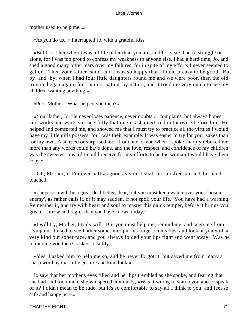mother used to help me...»

«As you do us...» interrupted Jo, with a grateful kiss.

 «But I lost her when I was a little older than you are, and for years had to struggle on alone, for I was too proud to confess my weakness to anyone else. I had a hard time, Jo, and shed a good many bitter tears over my failures, for in spite of my efforts I never seemed to get on. Then your father came, and I was so happy that i found it easy to be good. But by−and−by, when I had four little daughters round me and we were poor, then the old trouble began again, for I am not patient by nature, and it tried me very much to see my children wanting anything.»

«Poor Mother! What helped you then?»

 «Your father, Jo. He never loses patience, never doubts or complains, but always hopes, and works and waits so cheerfully that one is ashamed to do otherwise before him. He helped and comforted me, and showed me that I must try to practice all the virtues I would have my little girls possess, for I was their example. It was easier to try for your sakes than for my own. A startled or surprised look from one of you when I spoke sharply rebuked me more than any words could have done, and the love, respect, and confidence of my children was the sweetest reward I could receive for my efforts to be the woman I would have them copy.»

 «Oh, Mother, if I'm ever half as good as you, I shall be satisfied,» cried Jo, much touched.

 «I hope you will be a great deal better, dear, but you must keep watch over your `bosom enemy', as father calls it, or it may sadden, if not spoil your life. You have had a warning. Remember it, and try with heart and soul to master this quick temper, before it brings you greater sorrow and regret than you have known today.»

 «I will try, Mother, I truly will. But you must help me, remind me, and keep me from flying out. I used to see Father sometimes put his finger on his lips, and look at you with a very kind but sober face, and you always folded your lips tight and went away. Was he reminding you then?» asked Jo softly.

 «Yes. I asked him to help me so, and he never forgot it, but saved me from many a sharp word by that little gesture and kind look.»

 Jo saw that her mother's eyes filled and her lips trembled as she spoke, and fearing that she had said too much, she whispered anxiously, «Was it wrong to watch you and to speak of it? I didn't mean to be rude, but it's so comfortable to say all I think to you, and feel so safe and happy here.»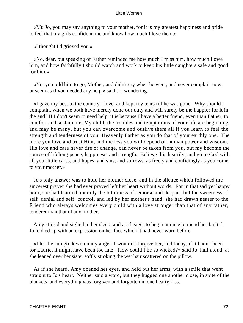«Mu Jo, you may say anything to your mother, for it is my greatest happiness and pride to feel that my girls confide in me and know how much I love them.»

«I thought I'd grieved you.»

 «No, dear, but speaking of Father reminded me how much I miss him, how much I owe him, and how faithfully I should watch and work to keep his little daughters safe and good for him.»

 «Yet you told him to go, Mother, and didn't cry when he went, and never complain now, or seem as if you needed any help,» said Jo, wondering.

 «I gave my best to the country I love, and kept my tears till he was gone. Why should I complain, when we both have merely done our duty and will surely be the happier for it in the end? If I don't seem to need help, it is because I have a better friend, even than Father, to comfort and sustain me. My child, the troubles and temptations of your life are beginning and may be many, but you can overcome and outlive them all if you learn to feel the strength and tenderness of your Heavenly Father as you do that of your earthly one. The more you love and trust Him, and the less you will depend on human power and wisdom. His love and care never tire or change, can never be taken from you, but my become the source of lifelong peace, happiness, and strength. Believe this heartily, and go to God with all your little cares, and hopes, and sins, and sorrows, as freely and confidingly as you come to your mother.»

 Jo's only answer was to hold her mother close, and in the silence which followed the sincerest prayer she had ever prayed left her heart without words. For in that sad yet happy hour, she had learned not only the bitterness of remorse and despair, but the sweetness of self−denial and self−control, and led by her mother's hand, she had drawn nearer to the Friend who always welcomes every child with a love stronger than that of any father, tenderer than that of any mother.

 Amy stirred and sighed in her sleep, and as if eager to begin at once to mend her fault, l Jo looked up with an expression on her face which it had never worn before.

 «I let the sun go down on my anger. I wouldn't forgive her, and today, if it hadn't been for Laurie, it might have been too late! How could I be so wicked?» said Jo, half aloud, as she leaned over her sister softly stroking the wet hair scattered on the pillow.

 As if she heard, Amy opened her eyes, and held out her arms, with a smile that went straight to Jo's heart. Neither said a word, but they hugged one another close, in spite of the blankets, and everything was forgiven and forgotten in one hearty kiss.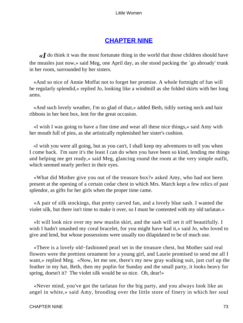# **[CHAPTER NINE](#page-419-0)**

*«I* do think it was the most fortunate thing in the world that those children should have the measles just now,» said Meg, one April day, as she stood packing the `go abroady' trunk in her room, surrounded by her sisters.

 «And so nice of Annie Moffat not to forget her promise. A whole fortnight of fun will be regularly splendid,» replied Jo, looking like a windmill as she folded skirts with her long arms.

 «And such lovely weather, I'm so glad of that,» added Beth, tidily sorting neck and hair ribbons in her best box, lent for the great occasion.

 «I wish I was going to have a fine time and wear all these nice things,» said Amy with her mouth full of pins, as she artistically replenished her sister's cushion.

 «I wish you were all going, but as you can't, I shall keep my adventures to tell you when I come back. I'm sure it's the least I can do when you have been so kind, lending me things and helping me get ready,» said Meg, glancing round the room at the very simple outfit, which seemed nearly perfect in their eyes.

 «What did Mother give you out of the treasure box?» asked Amy, who had not been present at the opening of a certain cedar chest in which Mrs. March kept a few relics of past splendor, as gifts for her girls when the proper time came.

 «A pair of silk stockings, that pretty carved fan, and a lovely blue sash. I wanted the violet silk, but there isn't time to make it over, so I must be contented with my old tarlatan.»

 «It will look nice over my new muslin skirt, and the sash will set it off beautifully. I wish I hadn't smashed my coral bracelet, for you might have had it,» said Jo, who loved to give and lend, but whose possessions were usually too dilapidated to be of much use.

 «There is a lovely old−fashioned pearl set in the treasure chest, but Mother said real flowers were the prettiest ornament for a young girl, and Laurie promised to send me all I want,» replied Meg. «Now, let me see, there's my new gray walking suit, just curl up the feather in my hat, Beth, then my poplin for Sunday and the small party, it looks heavy for spring, doesn't it? The violet silk would be so nice. Oh, dear!»

 «Never mind, you've got the tarlatan for the big party, and you always look like an angel in white,» said Amy, brooding over the little store of finery in which her soul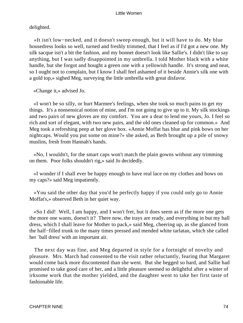delighted.

 «It isn't low−necked, and it doesn't sweep enough, but it will have to do. My blue housedress looks so well, turned and freshly trimmed, that I feel as if I'd got a new one. My silk sacque isn't a bit the fashion, and my bonnet doesn't look like Sallie's. I didn't like to say anything, but I was sadly disappointed in my umbrella. I told Mother black with a white handle, but she forgot and bought a green one with a yellowish handle. It's strong and neat, so I ought not to complain, but I know I shall feel ashamed of it beside Annie's silk one with a gold top,» sighed Meg, surveying the little umbrella with great disfavor.

«Change it,» advised Jo.

 «I won't be so silly, or hurt Marmee's feelings, when she took so much pains to get my things. It's a nonsensical notion of mine, and I'm not going to give up to it. My silk stockings and two pairs of new gloves are my comfort. You are a dear to lend me yours, Jo. I feel so rich and sort of elegant, with two new pairs, and the old ones cleaned up for common.» And Meg took a refreshing peep at her glove box. «Annie Moffat has blue and pink bows on her nightcaps. Would you put some on mine?» she asked, as Beth brought up a pile of snowy muslins, fresh from Hannah's hands.

 «No, I wouldn't, for the smart caps won't match the plain gowns without any trimming on them. Poor folks shouldn't rig,» said Jo decidedly.

 «I wonder if I shall ever be happy enough to have real lace on my clothes and bows on my caps?» said Meg impatiently.

 «You said the other day that you'd be perfectly happy if you could only go to Annie Moffat's,» observed Beth in her quiet way.

 «So I did! Well, I am happy, and I won't fret, but it does seem as if the more one gets the more one wants, doesn't it? There now, the trays are ready, and everything in but my ball dress, which I shall leave for Mother to pack,» said Meg, cheering up, as she glanced from the half−filled trunk to the many times pressed and mended white tarlatan, which she called her `ball dress' with an important air.

 The next day was fine, and Meg departed in style for a fortnight of novelty and pleasure. Mrs. March had consented to the visit rather reluctantly, fearing that Margaret would come back more discontented than she went. But she begged so hard, and Sallie had promised to take good care of her, and a little pleasure seemed so delightful after a winter of irksome work that the mother yielded, and the daughter went to take her first taste of fashionable life.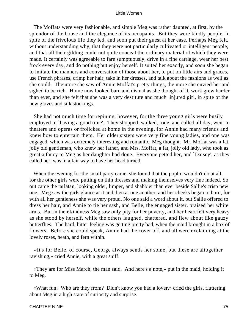The Moffats were very fashionable, and simple Meg was rather daunted, at first, by the splendor of the house and the elegance of its occupants. But they were kindly people, in spite of the frivolous life they led, and soon put their guest at her ease. Perhaps Meg felt, without understanding why, that they were not particularly cultivated or intelligent people, and that all their gilding could not quite conceal the ordinary material of which they were made. It certainly was agreeable to fare sumptuously, drive in a fine carriage, wear her best frock every day, and do nothing but enjoy herself. It suited her exactly, and soon she began to imitate the manners and conversation of those about her, to put on little airs and graces, use French phrases, crimp her hair, take in her dresses, and talk about the fashions as well as she could. The more she saw of Annie Moffat's pretty things, the more she envied her and sighed to be rich. Home now looked bare and dismal as she thought of it, work grew harder than ever, and she felt that she was a very destitute and much−injured girl, in spite of the new gloves and silk stockings.

 She had not much time for repining, however, for the three young girls were busily employed in `having a good time'. They shopped, walked, rode, and called all day, went to theaters and operas or frolicked at home in the evening, for Annie had many friends and knew how to entertain them. Her older sisters were very fine young ladies, and one was engaged, which was extremely interesting and romantic, Meg thought. Mr. Moffat was a fat, jolly old gentleman, who knew her father, and Mrs. Moffat, a fat, jolly old lady, who took as great a fancy to Meg as her daughter had done. Everyone petted her, and `Daisey', as they called her, was in a fair way to have her head turned.

When the evening for the small party came, she found that the poplin wouldn't do at all, for the other girls were putting on thin dresses and making themselves very fine indeed. So out came the tarlatan, looking older, limper, and shabbier than ever beside Sallie's crisp new one. Meg saw the girls glance at it and then at one another, and her cheeks began to burn, for with all her gentleness she was very proud. No one said a word about it, but Sallie offered to dress her hair, and Annie to tie her sash, and Belle, the engaged sister, praised her white arms. But in their kindness Meg saw only pity for her poverty, and her heart felt very heavy as she stood by herself, while the others laughed, chattered, and flew about like gauzy butterflies. The hard, bitter feeling was getting pretty bad, when the maid brought in a box of flowers. Before she could speak, Annie had the cover off, and all were exclaiming at the lovely roses, heath, and fern within.

 «It's for Belle, of course, George always sends her some, but these are altogether ravishing,» cried Annie, with a great sniff.

 «They are for Miss March, the man said. And here's a note,» put in the maid, holding it to Meg.

 «What fun! Who are they from? Didn't know you had a lover,» cried the girls, fluttering about Meg in a high state of curiosity and surprise.

#### CHAPTER NINE 75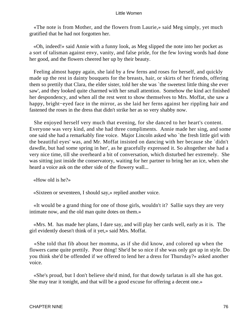«The note is from Mother, and the flowers from Laurie,» said Meg simply, yet much gratified that he had not forgotten her.

 «Oh, indeed!» said Annie with a funny look, as Meg slipped the note into her pocket as a sort of talisman against envy, vanity, and false pride, for the few loving words had done her good, and the flowers cheered her up by their beauty.

 Feeling almost happy again, she laid by a few ferns and roses for herself, and quickly made up the rest in dainty bouquets for the breasts, hair, or skirts of her friends, offering them so prettily that Clara, the elder sister, told her she was `the sweetest little thing she ever saw', and they looked quite charmed with her small attention. Somehow the kind act finished her despondency, and when all the rest went to show themselves to Mrs. Moffat, she saw a happy, bright−eyed face in the mirror, as she laid her ferns against her rippling hair and fastened the roses in the dress that didn't strike her as so very shabby now.

 She enjoyed herself very much that evening, for she danced to her heart's content. Everyone was very kind, and she had three compliments. Annie made her sing, and some one said she had a remarkably fine voice. Major Lincoln asked who `the fresh little girl with the beautiful eyes' was, and Mr. Moffat insisted on dancing with her because she `didn't dawdle, but had some spring in her', as he gracefully expressed it. So altogether she had a very nice time, till she overheard a bit of conversation, which disturbed her extremely. She was sitting just inside the conservatory, waiting for her partner to bring her an ice, when she heard a voice ask on the other side of the flowery wall...

«How old is he?»

«Sixteen or seventeen, I should say,» replied another voice.

 «It would be a grand thing for one of those girls, wouldn't it? Sallie says they are very intimate now, and the old man quite dotes on them.»

 «Mrs. M. has made her plans, I dare say, and will play her cards well, early as it is. The girl evidently doesn't think of it yet,» said Mrs. Moffat.

 «She told that fib about her momma, as if she did know, and colored up when the flowers came quite prettily. Poor thing! She'd be so nice if she was only got up in style. Do you think she'd be offended if we offered to lend her a dress for Thursday?» asked another voice.

 «She's proud, but I don't believe she'd mind, for that dowdy tarlatan is all she has got. She may tear it tonight, and that will be a good excuse for offering a decent one.»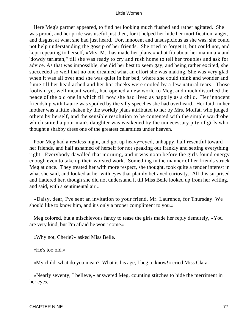Here Meg's partner appeared, to find her looking much flushed and rather agitated. She was proud, and her pride was useful just then, for it helped her hide her mortification, anger, and disgust at what she had just heard. For, innocent and unsuspicious as she was, she could not help understanding the gossip of her friends. She tried to forget it, but could not, and kept repeating to herself, «Mrs. M. has made her plans,» «that fib about her mamma,» and 'dowdy tarlatan," till she was ready to cry and rush home to tell her troubles and ask for advice. As that was impossible, she did her best to seem gay, and being rather excited, she succeeded so well that no one dreamed what an effort she was making. She was very glad when it was all over and she was quiet in her bed, where she could think and wonder and fume till her head ached and her hot cheeks were cooled by a few natural tears. Those foolish, yet well meant words, had opened a new world to Meg, and much disturbed the peace of the old one in which till now she had lived as happily as a child. Her innocent friendship with Laurie was spoiled by the silly speeches she had overheard. Her faith in her mother was a little shaken by the worldly plans attributed to her by Mrs. Moffat, who judged others by herself, and the sensible resolution to be contented with the simple wardrobe which suited a poor man's daughter was weakened by the unnecessary pity of girls who thought a shabby dress one of the greatest calamities under heaven.

 Poor Meg had a restless night, and got up heavy−eyed, unhappy, half resentful toward her friends, and half ashamed of herself for not speaking out frankly and setting everything right. Everybody dawdled that morning, and it was noon before the girls found energy enough even to take up their worsted work. Something in the manner of her friends struck Meg at once. They treated her with more respect, she thought, took quite a tender interest in what she said, and looked at her with eyes that plainly betrayed curiosity. All this surprised and flattered her, though she did not understand it till Miss Belle looked up from her writing, and said, with a sentimental air...

 «Daisy, dear, I've sent an invitation to your friend, Mr. Laurence, for Thursday. We should like to know him, and it's only a proper compliment to you.»

 Meg colored, but a mischievous fancy to tease the girls made her reply demurely, «You are very kind, but I'm afraid he won't come.»

«Why not, Cherie?» asked Miss Belle.

«He's too old.»

«My child, what do you mean? What is his age, I beg to know!» cried Miss Clara.

 «Nearly seventy, I believe,» answered Meg, counting stitches to hide the merriment in her eyes.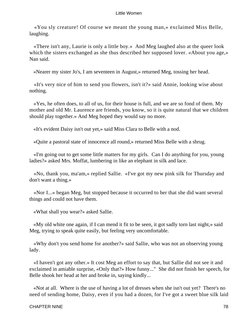«You sly creature! Of course we meant the young man,» exclaimed Miss Belle, laughing.

 «There isn't any, Laurie is only a little boy.» And Meg laughed also at the queer look which the sisters exchanged as she thus described her supposed lover. «About you age,» Nan said.

«Nearer my sister Jo's, I am seventeen in August,» returned Meg, tossing her head.

 «It's very nice of him to send you flowers, isn't it?» said Annie, looking wise about nothing.

 «Yes, he often does, to all of us, for their house is full, and we are so fond of them. My mother and old Mr. Laurence are friends, you know, so it is quite natural that we children should play together.» And Meg hoped they would say no more.

«It's evident Daisy isn't out yet,» said Miss Clara to Belle with a nod.

«Quite a pastoral state of innocence all round,» returned Miss Belle with a shrug.

 «I'm going out to get some little matters for my girls. Can I do anything for you, young ladies?» asked Mrs. Moffat, lumbering in like an elephant in silk and lace.

 «No, thank you, ma'am,» replied Sallie. «I've got my new pink silk for Thursday and don't want a thing.»

 «Nor I...» began Meg, but stopped because it occurred to her that she did want several things and could not have them.

«What shall you wear?» asked Sallie.

 «My old white one again, if I can mend it fit to be seen, it got sadly torn last night,» said Meg, trying to speak quite easily, but feeling very uncomfortable.

 «Why don't you send home for another?» said Sallie, who was not an observing young lady.

 «I haven't got any other.» It cost Meg an effort to say that, but Sallie did not see it and exclaimed in amiable surprise, «Only that?» How funny..." She did not finish her speech, for Belle shook her head at her and broke in, saying kindly...

 «Not at all. Where is the use of having a lot of dresses when she isn't out yet? There's no need of sending home, Daisy, even if you had a dozen, for I've got a sweet blue silk laid

#### CHAPTER NINE 78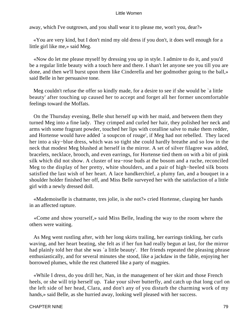away, which I've outgrown, and you shall wear it to please me, won't you, dear?»

 «You are very kind, but I don't mind my old dress if you don't, it does well enough for a little girl like me,» said Meg.

 «Now do let me please myself by dressing you up in style. I admire to do it, and you'd be a regular little beauty with a touch here and there. I shan't let anyone see you till you are done, and then we'll burst upon them like Cinderella and her godmother going to the ball,» said Belle in her persuasive tone.

 Meg couldn't refuse the offer so kindly made, for a desire to see if she would be `a little beauty' after touching up caused her to accept and forget all her former uncomfortable feelings toward the Moffats.

 On the Thursday evening, Belle shut herself up with her maid, and between them they turned Meg into a fine lady. They crimped and curled her hair, they polished her neck and arms with some fragrant powder, touched her lips with coralline salve to make them redder, and Hortense would have added `a soupcon of rouge', if Meg had not rebelled. They laced her into a sky−blue dress, which was so tight she could hardly breathe and so low in the neck that modest Meg blushed at herself in the mirror. A set of silver filagree was added, bracelets, necklace, brooch, and even earrings, for Hortense tied them on with a bit of pink silk which did not show. A cluster of tea−rose buds at the bosom and a ruche, reconciled Meg to the display of her pretty, white shoulders, and a pair of high−heeled silk boots satisfied the last wish of her heart. A lace handkerchief, a plumy fan, and a bouquet in a shoulder holder finished her off, and Miss Belle surveyed her with the satisfaction of a little girl with a newly dressed doll.

 «Mademoiselle is chatmante, tres jolie, is she not?» cried Hortense, clasping her hands in an affected rapture.

 «Come and show yourself,» said Miss Belle, leading the way to the room where the others were waiting.

 As Meg went rustling after, with her long skirts trailing, her earrings tinkling, her curls waving, and her heart beating, she felt as if her fun had really begun at last, for the mirror had plainly told her that she was `a little beauty'. Her friends repeated the pleasing phrase enthusiastically, and for several minutes she stood, like a jackdaw in the fable, enjoying her borrowed plumes, while the rest chattered like a party of magpies.

 «While I dress, do you drill her, Nan, in the management of her skirt and those French heels, or she will trip herself up. Take your silver butterfly, and catch up that long curl on the left side of her head, Clara, and don't any of you disturb the charming work of my hands,» said Belle, as she hurried away, looking well pleased with her success.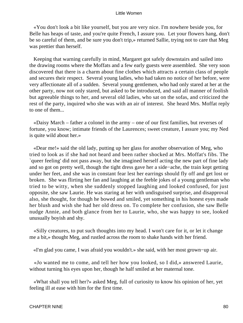«You don't look a bit like yourself, but you are very nice. I'm nowhere beside you, for Belle has heaps of taste, and you're quite French, I assure you. Let your flowers hang, don't be so careful of them, and be sure you don't trip,» returned Sallie, trying not to care that Meg was prettier than herself.

 Keeping that warning carefully in mind, Margaret got safely downstairs and sailed into the drawing rooms where the Moffats and a few early guests were assembled. She very soon discovered that there is a charm about fine clothes which attracts a certain class of people and secures their respect. Several young ladies, who had taken no notice of her before, were very affectionate all of a sudden. Several young gentlemen, who had only stared at her at the other party, now not only stared, but asked to be introduced, and said all manner of foolish but agreeable things to her, and several old ladies, who sat on the sofas, and criticized the rest of the party, inquired who she was with an air of interest. She heard Mrs. Moffat reply to one of them...

 «Daisy March – father a colonel in the army – one of our first families, but reverses of fortune, you know; intimate friends of the Laurences; sweet creature, I assure you; my Ned is quite wild about her.»

 «Dear me!» said the old lady, putting up her glass for another observation of Meg, who tried to look as if she had not heard and been rather shocked at Mrs. Moffat's fibs. The `queer feeling' did not pass away, but she imagined herself acting the new part of fine lady and so got on pretty well, though the tight dress gave her a side−ache, the train kept getting under her feet, and she was in constant fear lest her earrings should fly off and get lost or broken. She was flirting her fan and laughing at the feeble jokes of a young gentleman who tried to be witty, when she suddenly stopped laughing and looked confused, for just opposite, she saw Laurie. He was staring at her with undisguised surprise, and disapproval also, she thought, for though he bowed and smiled, yet something in his honest eyes made her blush and wish she had her old dress on. To complete her confusion, she saw Belle nudge Annie, and both glance from her to Laurie, who, she was happy to see, looked unusually boyish and shy.

 «Silly creatures, to put such thoughts into my head. I won't care for it, or let it change me a bit,» thought Meg, and rustled across the room to shake hands with her friend.

«I'm glad you came, I was afraid you wouldn't.» she said, with her most grown−up air.

 «Jo wanted me to come, and tell her how you looked, so I did,» answered Laurie, without turning his eyes upon her, though he half smiled at her maternal tone.

 «What shall you tell her?» asked Meg, full of curiosity to know his opinion of her, yet feeling ill at ease with him for the first time.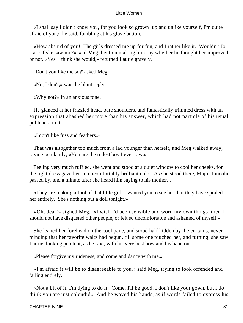«I shall say I didn't know you, for you look so grown−up and unlike yourself, I'm quite afraid of you,» he said, fumbling at his glove button.

 «How absurd of you! The girls dressed me up for fun, and I rather like it. Wouldn't Jo stare if she saw me?» said Meg, bent on making him say whether he thought her improved or not. «Yes, I think she would,» returned Laurie gravely.

"Don't you like me so?' asked Meg.

«No, I don't,» was the blunt reply.

«Why not?» in an anxious tone.

 He glanced at her frizzled head, bare shoulders, and fantastically trimmed dress with an expression that abashed her more than his answer, which had not particle of his usual politeness in it.

«I don't like fuss and feathers.»

 That was altogether too much from a lad younger than herself, and Meg walked away, saying petulantly, «You are the rudest boy I ever saw.»

 Feeling very much ruffled, she went and stood at a quiet window to cool her cheeks, for the tight dress gave her an uncomfortably brilliant color. As she stood there, Major Lincoln passed by, and a minute after she heard him saying to his mother...

 «They are making a fool of that little girl. I wanted you to see her, but they have spoiled her entirely. She's nothing but a doll tonight.»

 «Oh, dear!» sighed Meg. «I wish I'd been sensible and worn my own things, then I should not have disgusted other people, or felt so uncomfortable and ashamed of myself.»

 She leaned her forehead on the cool pane, and stood half hidden by the curtains, never minding that her favorite waltz had begun, till some one touched her, and turning, she saw Laurie, looking penitent, as he said, with his very best bow and his hand out...

«Please forgive my rudeness, and come and dance with me.»

 «I'm afraid it will be to disagreeable to you,» said Meg, trying to look offended and failing entirely.

 «Not a bit of it, I'm dying to do it. Come, I'll be good. I don't like your gown, but I do think you are just splendid.» And he waved his hands, as if words failed to express his

#### CHAPTER NINE 81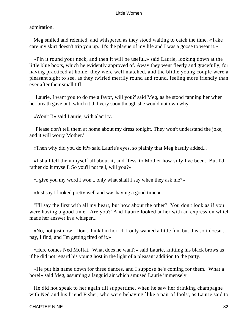admiration.

 Meg smiled and relented, and whispered as they stood waiting to catch the time, «Take care my skirt doesn't trip you up. It's the plague of my life and I was a goose to wear it.»

 «Pin it round your neck, and then it will be useful,» said Laurie, looking down at the little blue boots, which he evidently approved of. Away they went fleetly and gracefully, for having practiced at home, they were well matched, and the blithe young couple were a pleasant sight to see, as they twirled merrily round and round, feeling more friendly than ever after their small tiff.

 "Laurie, I want you to do me a favor, will you?' said Meg, as he stood fanning her when her breath gave out, which it did very soon though she would not own why.

«Won't I!» said Laurie, with alacrity.

 "Please don't tell them at home about my dress tonight. They won't understand the joke, and it will worry Mother.'

«Then why did you do it?» said Laurie's eyes, so plainly that Meg hastily added...

 «I shall tell them myself all about it, and `fess' to Mother how silly I've been. But I'd rather do it myself. So you'll not tell, will you?»

«I give you my word I won't, only what shall I say when they ask me?»

«Just say I looked pretty well and was having a good time.»

 "I'll say the first with all my heart, but how about the other? You don't look as if you were having a good time. Are you?' And Laurie looked at her with an expression which made her answer in a whisper...

 «No, not just now. Don't think I'm horrid. I only wanted a little fun, but this sort doesn't pay, I find, and I'm getting tired of it.»

 «Here comes Ned Moffat. What does he want?» said Laurie, knitting his black brows as if he did not regard his young host in the light of a pleasant addition to the party.

 «He put his name down for three dances, and I suppose he's coming for them. What a bore!» said Meg, assuming a languid air which amused Laurie immensely.

 He did not speak to her again till suppertime, when he saw her drinking champagne with Ned and his friend Fisher, who were behaving 'like a pair of fools', as Laurie said to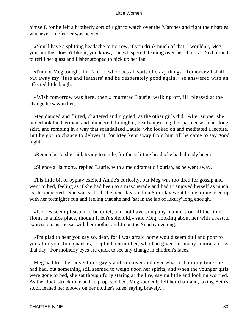himself, for he felt a brotherly sort of right to watch over the Marches and fight their battles whenever a defender was needed.

 «You'll have a splitting headache tomorrow, if you drink much of that. I wouldn't, Meg, your mother doesn't like it, you know,» he whispered, leaning over her chair, as Ned turned to refill her glass and Fisher stooped to pick up her fan.

 «I'm not Meg tonight, I'm `a doll' who does all sorts of crazy things. Tomorrow I shall put away my `fuss and feathers' and be desperately good again,» se answered with an affected little laugh.

 «Wish tomorrow was here, then,» muttered Laurie, walking off, ill−pleased at the change he saw in her.

 Meg danced and flirted, chattered and giggled, as the other girls did. After supper she undertook the German, and blundered through it, nearly upsetting her partner with her long skirt, and romping in a way that scandalized Laurie, who looked on and meditated a lecture. But he got no chance to deliver it, for Meg kept away from him till he came to say good night.

«Remember!» she said, trying to smile, for the splitting headache had already begun.

«Silence a` la mort,» replied Laurie, with a melodramatic flourish, as he went away.

 This little bit of byplay excited Annie's curiosity, but Meg was too tired for gossip and went to bed, feeling as if she had been to a masquerade and hadn't enjoyed herself as much as she expected. She was sick all the next day, and on Saturday went home, quite used up with her fortnight's fun and feeling that she had `sat in the lap of luxury' long enough.

 «It does seem pleasant to be quiet, and not have company manners on all the time. Home is a nice place, though it isn't splendid,» said Meg, looking about her with a restful expression, as she sat with her mother and Jo on the Sunday evening.

 «I'm glad to hear you say so, dear, for I was afraid home would seem dull and poor to you after your fine quarters,» replied her mother, who had given her many anxious looks that day. For motherly eyes are quick to see any change in children's faces.

 Meg had told her adventures gayly and said over and over what a charming time she had had, but something still seemed to weigh upon her spirits, and when the younger girls were gone to bed, she sat thoughtfully staring at the fire, saying little and looking worried. As the clock struck nine and Jo proposed bed, Meg suddenly left her chair and, taking Beth's stool, leaned her elbows on her mother's knee, saying bravely...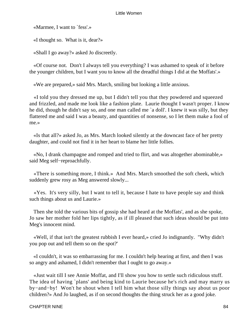«Marmee, I want to `fess'.»

«I thought so. What is it, dear?»

«Shall I go away?» asked Jo discreetly.

 «Of course not. Don't I always tell you everything? I was ashamed to speak of it before the younger children, but I want you to know all the dreadful things I did at the Moffats'.»

«We are prepared,» said Mrs. March, smiling but looking a little anxious.

 «I told you they dressed me up, but I didn't tell you that they powdered and squeezed and frizzled, and made me look like a fashion plate. Laurie thought I wasn't proper. I know he did, though he didn't say so, and one man called me `a doll'. I knew it was silly, but they flattered me and said I was a beauty, and quantities of nonsense, so I let them make a fool of me.»

 «Is that all?» asked Jo, as Mrs. March looked silently at the downcast face of her pretty daughter, and could not find it in her heart to blame her little follies.

 «No, I drank champagne and romped and tried to flirt, and was altogether abominable,» said Meg self−reproachfully.

 «There is something more, I think.» And Mrs. March smoothed the soft cheek, which suddenly grew rosy as Meg answered slowly...

 «Yes. It's very silly, but I want to tell it, because I hate to have people say and think such things about us and Laurie.»

 Then she told the various bits of gossip she had heard at the Moffats', and as she spoke, Jo saw her mother fold her lips tightly, as if ill pleased that such ideas should be put into Meg's innocent mind.

 «Well, if that isn't the greatest rubbish I ever heard,» cried Jo indignantly. "Why didn't you pop out and tell them so on the spot?'

 «I couldn't, it was so embarrassing for me. I couldn't help hearing at first, and then I was so angry and ashamed, I didn't remember that I ought to go away.»

 «Just wait till I see Annie Moffat, and I'll show you how to settle such ridiculous stuff. The idea of having `plans' and being kind to Laurie because he's rich and may marry us by−and−by! Won't he shout when I tell him what those silly things say about us poor children?» And Jo laughed, as if on second thoughts the thing struck her as a good joke.

#### CHAPTER NINE 84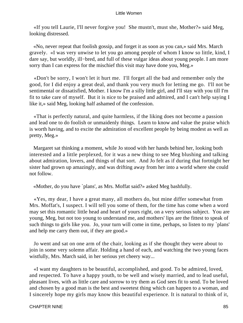«If you tell Laurie, I'll never forgive you! She mustn't, must she, Mother?» said Meg, looking distressed.

 «No, never repeat that foolish gossip, and forget it as soon as you can,» said Mrs. March gravely. «I was very unwise to let you go among people of whom I know so little, kind, I dare say, but worldly, ill−bred, and full of these vulgar ideas about young people. I am more sorry than I can express for the mischief this visit may have done you, Meg.»

 «Don't be sorry, I won't let it hurt me. I'll forget all the bad and remember only the good, for I did enjoy a great deal, and thank you very much for letting me go. I'll not be sentimental or dissatisfied, Mother. I know I'm a silly little girl, and I'll stay with you till I'm fit to take care of myself. But it is nice to be praised and admired, and I can't help saying I like it,» said Meg, looking half ashamed of the confession.

 «That is perfectly natural, and quite harmless, if the liking does not become a passion and lead one to do foolish or unmaidenly things. Learn to know and value the praise which is worth having, and to excite the admiration of excellent people by being modest as well as pretty, Meg.»

 Margaret sat thinking a moment, while Jo stood with her hands behind her, looking both interested and a little perplexed, for it was a new thing to see Meg blushing and talking about admiration, lovers, and things of that sort. And Jo felt as if during that fortnight her sister had grown up amazingly, and was drifting away from her into a world where she could not follow.

«Mother, do you have `plans', as Mrs. Moffat said?» asked Meg bashfully.

 «Yes, my dear, I have a great many, all mothers do, but mine differ somewhat from Mrs. Moffat's, I suspect. I will tell you some of them, for the time has come when a word may set this romantic little head and heart of yours right, on a very serious subject. You are young, Meg, but not too young to understand me, and mothers' lips are the fittest to speak of such things to girls like you. Jo, your turn will come in time, perhaps, so listen to my `plans' and help me carry them out, if they are good.»

 Jo went and sat on one arm of the chair, looking as if she thought they were about to join in some very solemn affair. Holding a hand of each, and watching the two young faces wistfully, Mrs. March said, in her serious yet cheery way...

 «I want my daughters to be beautiful, accomplished, and good. To be admired, loved, and respected. To have a happy youth, to be well and wisely married, and to lead useful, pleasant lives, with as little care and sorrow to try them as God sees fit to send. To be loved and chosen by a good man is the best and sweetest thing which can happen to a woman, and I sincerely hope my girls may know this beautiful experience. It is natural to think of it,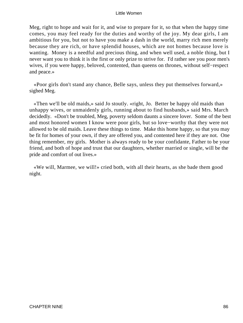Meg, right to hope and wait for it, and wise to prepare for it, so that when the happy time comes, you may feel ready for the duties and worthy of the joy. My dear girls, I am ambitious for you, but not to have you make a dash in the world, marry rich men merely because they are rich, or have splendid houses, which are not homes because love is wanting. Money is a needful and precious thing, and when well used, a noble thing, but I never want you to think it is the first or only prize to strive for. I'd rather see you poor men's wives, if you were happy, beloved, contented, than queens on thrones, without self−respect and peace.»

 «Poor girls don't stand any chance, Belle says, unless they put themselves forward,» sighed Meg.

 «Then we'll be old maids,» said Jo stoutly. «right, Jo. Better be happy old maids than unhappy wives, or unmaidenly girls, running about to find husbands,» said Mrs. March decidedly. «Don't be troubled, Meg, poverty seldom daunts a sincere lover. Some of the best and most honored women I know were poor girls, but so love−worthy that they were not allowed to be old maids. Leave these things to time. Make this home happy, so that you may be fit for homes of your own, if they are offered you, and contented here if they are not. One thing remember, my girls. Mother is always ready to be your confidante, Father to be your friend, and both of hope and trust that our daughters, whether married or single, will be the pride and comfort of out lives.»

 «We will, Marmee, we will!» cried both, with all their hearts, as she bade them good night.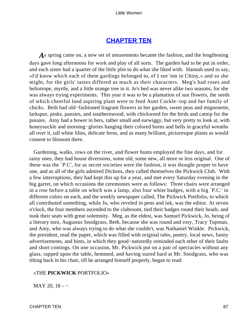# **[CHAPTER TEN](#page-419-0)**

*A*s spring came on, a new set of amusements became the fashion, and the lengthening days gave long afternoons for work and play of all sorts. The garden had to be put in order, and each sister had a quarter of the little plot to do what she liked with. Hannah used to say, «I'd know which each of them gardings belonged to, ef I see 'em in Chiny,» and so she might, for the girls' tastes differed as much as their characters. Meg's had roses and heliotrope, myrtle, and a little orange tree in it. Jo's bed was never alike two seasons, for she was always trying experiments. This year it was to be a plantation of sun flowers, the seeds of which cheerful land aspiring plant were to feed Aunt Cockle−top and her family of chicks. Beth had old−fashioned fragrant flowers in her garden, sweet peas and mignonette, larkspur, pinks, pansies, and southernwood, with chickweed for the birds and catnip for the pussies. Amy had a bower in hers, rather small and earwiggy, but very pretty to look at, with honeysuckle and morning−glories hanging their colored horns and bells in graceful wreaths all over it, tall white lilies, delicate ferns, and as many brilliant, picturesque plants as would consent to blossom there.

 Gardening, walks, rows on the river, and flower hunts employed the fine days, and for rainy ones, they had house diversions, some old, some new, all more or less original. One of these was the `P.C', for as secret societies were the fashion, it was thought proper to have one, and as all of the girls admired Dickens, they called themselves the Pickwick Club. With a few interruptions, they had kept this up for a year, and met every Saturday evening in the big garret, on which occasions the ceremonies were as follows: Three chairs were arranged in a row before a table on which was a lamp, also four white badges, with a big `P.C.' in different colors on each, and the weekly newspaper called, The Pickwick Portfolio, to which all contributed something, while Jo, who reveled in pens and ink, was the editor. At seven o'clock, the four members ascended to the clubroom, tied their badges round their heads, and took their seats with great solemnity. Meg, as the eldest, was Samuel Pickwick, Jo, being of a literary turn, Augustus Snodgrass, Beth, because she was round and rosy, Tracy Tupman, and Amy, who was always trying to do what she couldn't, was Nathaniel Winkle. Pickwick, the president, read the paper, which was filled with original tales, poetry, local news, funny advertisements, and hints, in which they good−naturedly reminded each other of their faults and short comings. On one occasion, Mr. Pickwick put on a pair of spectacles without any glass, rapped upon the table, hemmed, and having stared hard at Mr. Snodgrass, who was tilting back in his chair, till he arranged himself properly, began to read:

## «THE **PICKWICK** PORTFOLIO»

MAY 20, 18 – −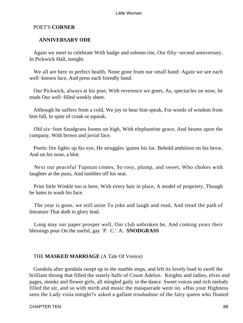# POET'S **CORNER**

# **ANNIVERSARY ODE**

 Again we meet to celebrate With badge and solemn rite, Our fifty−second anniversary, In Pickwick Hall, tonight.

We all are here in perfect health, None gone from our small band: Again we see each well−known face, And press each friendly hand.

 Our Pickwick, always at his post, With reverence we greet, As, spectacles on nose, he reads Our well−filled weekly sheet.

 Although he suffers from a cold, We joy to hear him speak, For words of wisdom from him fall, In spite of croak or squeak.

 Old six−foot Snodgrass looms on high, With elephantine grace, And beams upon the company, With brown and jovial face.

 Poetic fire lights up his eye, He struggles 'gainst his lot. Behold ambition on his brow, And on his nose, a blot.

 Next our peaceful Tupman comes, So rosy, plump, and sweet, Who chokes with laughter at the puns, And tumbles off his seat.

 Prim little Winkle too is here, With every hair in place, A model of propriety, Though he hates to wash his face.

 The year is gone, we still unite To joke and laugh and read, And tread the path of literature That doth to glory lead.

 Long may our paper prosper well, Our club unbroken be, And coming years their blessings pour On the useful, gay `P. C.'. A. **SNODGRASS**

# THE **MASKED MARRIAGE** (A Tale Of Venice)

 Gondola after gondola swept up to the marble steps, and left its lovely load to swell the brilliant throng that filled the stately halls of Count Adelon. Knights and ladies, elves and pages, monks and flower girls, all mingled gaily in the dance. Sweet voices and rich melody filled the air, and so with mirth and music the masquerade went on. «Has your Highness seen the Lady viola tonight?» asked a gallant troubadour of the fairy queen who floated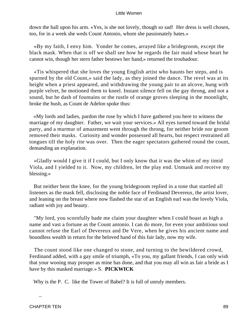down the hall upon his arm. «Yes, is she not lovely, though so sad! Her dress is well chosen, too, for in a week she weds Count Antonio, whom she passionately hates.»

 «By my faith, I envy him. Yonder he comes, arrayed like a bridegroom, except the black mask. When that is off we shall see how he regards the fair maid whose heart he cannot win, though her stern father bestows her hand,» returned the troubadour.

 «Tis whispered that she loves the young English artist who haunts her steps, and is spurned by the old Count,» said the lady, as they joined the dance. The revel was at its height when a priest appeared, and withdrawing the young pair to an alcove, hung with purple velvet, he motioned them to kneel. Instant silence fell on the gay throng, and not a sound, but he dash of fountains or the rustle of orange groves sleeping in the moonlight, broke the hush, as Count de Adelon spoke thus:

 «My lords and ladies, pardon the ruse by which I have gathered you here to witness the marriage of my daughter. Father, we wait your services.» All eyes turned toward the bridal party, and a murmur of amazement went through the throng, for neither bride nor groom removed their masks. Curiosity and wonder possessed all hearts, but respect restrained all tongues till the holy rite was over. Then the eager spectators gathered round the count, demanding an explanation.

 «Gladly would I give it if I could, but I only know that it was the whim of my timid Viola, and I yielded to it. Now, my children, let the play end. Unmask and receive my blessing.»

 But neither bent the knee, for the young bridegroom replied in a tone that startled all listeners as the mask fell, disclosing the noble face of Ferdinand Devereux, the artist lover, and leaning on the breast where now flashed the star of an English earl was the lovely Viola, radiant with joy and beauty.

 "My lord, you scornfully bade me claim your daughter when I could boast as high a name and vast a fortune as the Count antonio. I can do more, for even your ambitious soul cannot refuse the Earl of Devereux and De Vere, when he gives his ancient name and boundless wealth in return for the beloved hand of this fair lady, now my wife.

 The count stood like one changed to stone, and turning to the bewildered crowd, Ferdinand added, with a gay smile of triumph, «To you, my gallant friends, I can only wish that your wooing may prosper as mine has done, and that you may all win as fair a bride as I have by this masked marriage.» S. **PICKWICK**

Why is the P. C. like the Tower of Babel? It is full of unruly members.

*\_*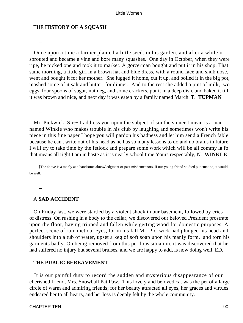#### THE **HISTORY OF A SQUASH**

 Once upon a time a farmer planted a little seed. in his garden, and after a while it sprouted and became a vine and bore many squashes. One day in October, when they were ripe, he picked one and took it to market. A gorcerman bought and put it in his shop. That same morning, a little girl in a brown hat and blue dress, with a round face and snub nose, went and bought it for her mother. She lugged it home, cut it up, and boiled it in the big pot, mashed some of it salt and butter, for dinner. And to the rest she added a pint of milk, two eggs, four spoons of sugar, nutmeg, and some crackers, put it in a deep dish, and baked it till it was brown and nice, and next day it was eaten by a family named March. T. **TUPMAN**

*\_*

*\_*

 Mr. Pickwick, Sir:− I address you upon the subject of sin the sinner I mean is a man named Winkle who makes trouble in his club by laughing and sometimes won't write his piece in this fine paper I hope you will pardon his badness and let him send a French fable because he can't write out of his head as he has so many lessons to do and no brains in future I will try to take time by the fetlock and prepare some work which will be all commy la fo that means all right I am in haste as it is nearly school time Yours respectably, N. **WINKLE**

[The above is a manly and handsome aknowledgment of past misdemeanors. If our young friend studied punctuation, it would be well.]

*\_*

#### A **SAD ACCIDENT**

 On Friday last, we were startled by a violent shock in our basement, followed by cries of distress. On rushing in a body to the cellar, we discovered our beloved President prostrate upon the floor, having tripped and fallen while getting wood for domestic purposes. A perfect scene of ruin met our eyes, for in his fall Mr. Pickwick had plunged his head and shoulders into a tub of water, upset a keg of soft soap upon his manly form, and torn his garments badly. On being removed from this perilous situation, it was discovered that he had suffered no injury but several bruises, and we are happy to add, is now doing well. ED.

# THE **PUBLIC BEREAVEMENT**

 It is our painful duty to record the sudden and mysterious disappearance of our cherished friend, Mrs. Snowball Pat Paw. This lovely and beloved cat was the pet of a large circle of warm and admiring friends; for her beauty attracted all eyes, her graces and virtues endeared her to all hearts, and her loss is deeply felt by the whole community.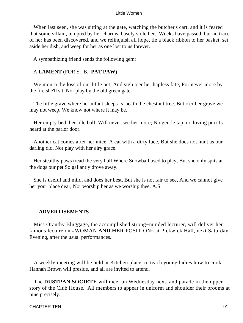When last seen, she was sitting at the gate, watching the butcher's cart, and it is feared that some villain, tempted by her charms, basely stole her. Weeks have passed, but no trace of her has been discovered, and we relinquish all hope, tie a black ribbon to her basket, set aside her dish, and weep for her as one lost to us forever.

A sympathizing friend sends the following gem:

## A **LAMENT** (FOR S. B. **PAT PAW)**

We mourn the loss of our little pet, And sigh o'er her hapless fate, For never more by the fire she'll sit, Nor play by the old green gate.

 The little grave where her infant sleeps Is 'neath the chestnut tree. But o'er her grave we may not weep, We know not where it may be.

 Her empty bed, her idle ball, Will never see her more; No gentle tap, no loving purr Is heard at the parlor door.

 Another cat comes after her mice, A cat with a dirty face, But she does not hunt as our darling did, Nor play with her airy grace.

 Her stealthy paws tread the very hall Where Snowball used to play, But she only spits at the dogs our pet So gallantly drove away.

 She is useful and mild, and does her best, But she is not fair to see, And we cannot give her your place dear, Nor worship her as we worship thee. A.S.

## **ADVERTISEMENTS**

 Miss Oranthy Bluggage, the accomplished strong−minded lecturer, will deliver her famous lecture on «WOMAN **AND HER** POSITION» at Pickwick Hall, next Saturday Evening, after the usual performances.

*\_*

 A weekly meeting will be held at Kitchen place, to teach young ladies how to cook. Hannah Brown will preside, and all are invited to attend.

 The **DUSTPAN SOCIETY** will meet on Wednesday next, and parade in the upper story of the Club House. All members to appear in uniform and shoulder their brooms at nine precisely.

CHAPTER TEN 91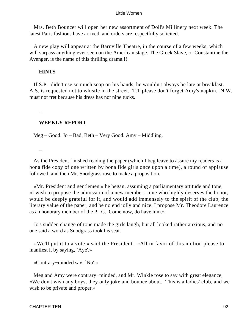Mrs. Beth Bouncer will open her new assortment of Doll's Millinery next week. The latest Paris fashions have arrived, and orders are respectfully solicited.

 A new play will appear at the Barnville Theatre, in the course of a few weeks, which will surpass anything ever seen on the American stage. The Greek Slave, or Constantine the Avenger, is the name of this thrilling drama.!!!

# **HINTS**

 If S.P. didn't use so much soap on his hands, he wouldn't always be late at breakfast. A.S. is requested not to whistle in the street. T.T please don't forget Amy's napkin. N.W. must not fret because his dress has not nine tucks.

# **WEEKLY REPORT**

Meg – Good. Jo – Bad. Beth – Very Good. Amy – Middling.

*\_*

*\_*

 As the President finished reading the paper (which I beg leave to assure my readers is a bona fide copy of one written by bona fide girls once upon a time), a round of applause followed, and then Mr. Snodgrass rose to make a proposition.

 «Mr. President and gentlemen,» he began, assuming a parliamentary attitude and tone, «I wish to propose the admission of a new member – one who highly deserves the honor, would be deeply grateful for it, and would add immensely to the spirit of the club, the literary value of the paper, and be no end jolly and nice. I propose Mr. Theodore Laurence as an honorary member of the P. C. Come now, do have him.»

 Jo's sudden change of tone made the girls laugh, but all looked rather anxious, and no one said a word as Snodgrass took his seat.

 «We'll put it to a vote,» said the President. «All in favor of this motion please to manifest it by saying, `Aye'.»

«Contrary−minded say, `No'.»

 Meg and Amy were contrary−minded, and Mr. Winkle rose to say with great elegance, «We don't wish any boys, they only joke and bounce about. This is a ladies' club, and we wish to be private and proper.»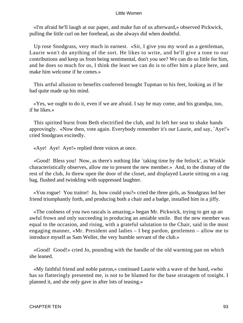«I'm afraid he'll laugh at our paper, and make fun of us afterward,» observed Pickwick, pulling the little curl on her forehead, as she always did when doubtful.

 Up rose Snodgrass, very much in earnest. «Sir, I give you my word as a gentleman, Laurie won't do anything of the sort. He likes to write, and he'll give a tone to our contributions and keep us from being sentimental, don't you see? We can do so little for him, and he does so much for us, I think the least we can do is to offer him a place here, and make him welcome if he comes.»

 This artful allusion to benefits conferred brought Tupman to his feet, looking as if he had quite made up his mind.

 «Yes, we ought to do it, even if we are afraid. I say he may come, and his grandpa, too, if he likes.»

 This spirited burst from Beth electrified the club, and Jo left her seat to shake hands approvingly. «Now then, vote again. Everybody remember it's our Laurie, and say, `Aye!'» cried Snodgrass excitedly.

«Aye! Aye! Aye!» replied three voices at once.

 «Good! Bless you! Now, as there's nothing like `taking time by the fetlock', as Winkle characteristically observes, allow me to present the new member.» And, to the dismay of the rest of the club, Jo threw open the door of the closet, and displayed Laurie sitting on a rag bag, flushed and twinkling with suppressed laughter.

 «You rogue! You traitor! Jo, how could you?» cried the three girls, as Snodgrass led her friend triumphantly forth, and producing both a chair and a badge, installed him in a jiffy.

 «The coolness of you two rascals is amazing,» began Mr. Pickwick, trying to get up an awful frown and only succeeding in producing an amiable smile. But the new member was equal to the occasion, and rising, with a grateful salutation to the Chair, said in the most engaging manner, «Mr. President and ladies – I beg pardon, gentlemen – allow me to introduce myself as Sam Weller, the very humble servant of the club.»

 «Good! Good!» cried Jo, pounding with the handle of the old warming pan on which she leaned.

 «My faithful friend and noble patron,» continued Laurie with a wave of the hand, «who has so flatteringly presented me, is not to be blamed for the base stratagem of tonight. I planned it, and she only gave in after lots of teasing.»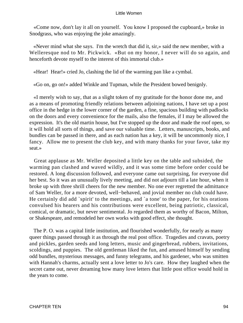«Come now, don't lay it all on yourself. You know I proposed the cupboard,» broke in Snodgrass, who was enjoying the joke amazingly.

 «Never mind what she says. I'm the wretch that did it, sir,» said the new member, with a Welleresque nod to Mr. Pickwick. «But on my honor, I never will do so again, and henceforth devote myself to the interest of this immortal club.»

«Hear! Hear!» cried Jo, clashing the lid of the warming pan like a cymbal.

«Go on, go on!» added Winkle and Tupman, while the President bowed benignly.

 «I merely wish to say, that as a slight token of my gratitude for the honor done me, and as a means of promoting friendly relations between adjoining nations, I have set up a post office in the hedge in the lower corner of the garden, a fine, spacious building with padlocks on the doors and every convenience for the mails, also the females, if I may be allowed the expression. It's the old martin house, but I've stopped up the door and made the roof open, so it will hold all sorts of things, and save our valuable time. Letters, manuscripts, books, and bundles can be passed in there, and as each nation has a key, it will be uncommonly nice, I fancy. Allow me to present the club key, and with many thanks for your favor, take my seat.»

 Great applause as Mr. Weller deposited a little key on the table and subsided, the warming pan clashed and waved wildly, and it was some time before order could be restored. A long discussion followed, and everyone came out surprising, for everyone did her best. So it was an unusually lively meeting, and did not adjourn till a late hour, when it broke up with three shrill cheers for the new member. No one ever regretted the admittance of Sam Weller, for a more devoted, well−behaved, and jovial member no club could have. He certainly did add `spirit' to the meetings, and `a tone' to the paper, for his orations convulsed his hearers and his contributions were excellent, being patriotic, classical, comical, or dramatic, but never sentimental. Jo regarded them as worthy of Bacon, Milton, or Shakespeare, and remodeled her own works with good effect, she thought.

 The P. O. was a capital little institution, and flourished wonderfully, for nearly as many queer things passed through it as through the real post office. Tragedies and cravats, poetry and pickles, garden seeds and long letters, music and gingerbread, rubbers, invitations, scoldings, and puppies. The old gentleman liked the fun, and amused himself by sending odd bundles, mysterious messages, and funny telegrams, and his gardener, who was smitten with Hannah's charms, actually sent a love letter to Jo's care. How they laughed when the secret came out, never dreaming how many love letters that little post office would hold in the years to come.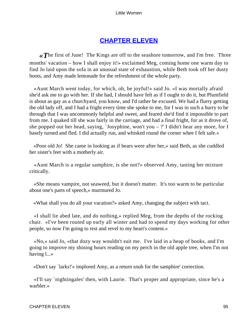# **[CHAPTER ELEVEN](#page-419-0)**

*«T*he first of June! The Kings are off to the seashore tomorrow, and I'm free. Three months' vacation – how I shall enjoy it!» exclaimed Meg, coming home one warm day to find Jo laid upon the sofa in an unusual state of exhaustion, while Beth took off her dusty boots, and Amy made lemonade for the refreshment of the whole party.

 «Aunt March went today, for which, oh, be joyful!» said Jo. «I was mortally afraid she'd ask me to go with her. If she had, I should have felt as if I ought to do it, but Plumfield is about as gay as a churchyard, you know, and I'd rather be excused. We had a flurry getting the old lady off, and I had a fright every time she spoke to me, for I was in such a hurry to be through that I was uncommonly helpful and sweet, and feared she'd find it impossible to part from me. I quaked till she was fairly in the carriage, and had a final fright, for as it drove of, she popped out her head, saying, 'Josyphine, won't you  $-$  ?' I didn't hear any more, for I basely turned and fled. I did actually run, and whisked round the corner whee I felt safe.»

 «Poor old Jo! She came in looking as if bears were after her,» said Beth, as she cuddled her sister's feet with a motherly air.

 «Aunt March is a regular samphire, is she not?» observed Amy, tasting her mixture critically.

 «She means vampire, not seaweed, but it doesn't matter. It's too warm to be particular about one's parts of speech,» murmured Jo.

«What shall you do all your vacation?» asked Amy, changing the subject with tact.

 «I shall lie abed late, and do nothing,» replied Meg, from the depths of the rocking chair. «I've been routed up early all winter and had to spend my days working for other people, so now I'm going to rest and revel to my heart's content.»

 «No,» said Jo, «that dozy way wouldn't suit me. I've laid in a heap of books, and I'm going to improve my shining hours reading on my perch in the old apple tree, when I'm not having l...»

«Don't say `larks!'» implored Amy, as a return snub for the samphire' correction.

 «I'll say `nightingales' then, with Laurie. That's proper and appropriate, since he's a warbler.»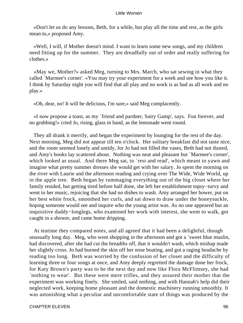«Don't let us do any lessons, Beth, for a while, but play all the time and rest, as the girls mean to,» proposed Amy.

 «Well, I will, if Mother doesn't mind. I want to learn some new songs, and my children need fitting up for the summer. They are dreadfully out of order and really suffering for clothes.»

 «May we, Mother?» asked Meg, turning to Mrs. March, who sat sewing in what they called `Marmee's corner'. «You may try your experiment for a week and see how you like it. I think by Saturday night you will find that all play and no work is as bad as all work and no play.»

«Oh, dear, no! It will be delicious, I'm sure,» said Meg complacently.

 «I now propose a toast, as my `friend and pardner, Sairy Gamp', says. Fun forever, and no grubbing!» cried Jo, rising, glass in hand, as the lemonade went round.

 They all drank it merrily, and began the experiment by lounging for the rest of the day. Next morning, Meg did not appear till ten o'clock. Her solitary breakfast did not taste nice, and the room seemed lonely and untidy, for Jo had not filled the vases, Beth had not dusted, and Amy's books lay scattered about. Nothing was neat and pleasant but `Marmee's corner', which looked as usual. And there Meg sat, to `rest and read', which meant to yawn and imagine what pretty summer dresses she would get with her salary. Jo spent the morning on the river with Laurie and the afternoon reading and crying over The Wide, Wide World, up in the apple tree. Beth began by rummaging everything out of the big closet where her family resided, but getting tired before half done, she left her establishment topsy−turvy and went to her music, rejoicing that she had no dishes to wash. Amy arranged her bower, put on her best white frock, smoothed her curls, and sat down to draw under the honeysuckle, hoping someone would see and inquire who the young artist was. As no one appeared but an inquisitive daddy−longlegs, who examined her work with interest, she went to walk, got caught in a shower, and came home dripping.

 At teatime they compared notes, and all agreed that it had been a delightful, though unusually long day. Meg, who went shopping in the afternoon and got a `sweet blue muslin, had discovered, after she had cut the breadths off, that it wouldn't wash, which mishap made her slightly cross. Jo had burned the skin off her nose boating, and got a raging headache by reading too long. Beth was worried by the confusion of her closet and the difficulty of learning three or four songs at once, and Amy deeply regretted the damage done her frock, for Katy Brown's party was to be the next day and now like Flora McFlimsey, she had `nothing to wear'. But these were mere trifles, and they assured their mother that the experiment was working finely. She smiled, said nothing, and with Hannah's help did their neglected work, keeping home pleasant and the domestic machinery running smoothly. It was astonishing what a peculiar and uncomfortable state of things was produced by the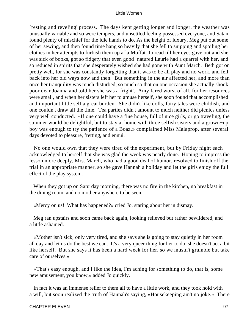`resting and reveling' process. The days kept getting longer and longer, the weather was unusually variable and so were tempers, and unsettled feeling possessed everyone, and Satan found plenty of mischief for the idle hands to do. As the height of luxury, Meg put out some of her sewing, and then found time hang so heavily that she fell to snipping and spoiling her clothes in her attempts to furbish them up a`la Moffat. Jo read till her eyes gave out and she was sick of books, got so fidgety that even good−natured Laurie had a quarrel with her, and so reduced in spirits that she desperately wished she had gone with Aunt March. Beth got on pretty well, for she was constantly forgetting that it was to be all play and no work, and fell back into her old ways now and then. But something in the air affected her, and more than once her tranquility was much disturbed, so much so that on one occasion she actually shook poor dear Joanna and told her she was a fright'. Amy fared worst of all, for her resources were small, and when her sisters left her to amuse herself, she soon found that accomplished and important little self a great burden. She didn't like dolls, fairy tales were childish, and one couldn't draw all the time. Tea parties didn't amount to much neither did picnics unless very well conducted. «If one could have a fine house, full of nice girls, or go traveling, the summer would be delightful, but to stay at home with three selfish sisters and a grown−up boy was enough to try the patience of a Boaz,» complained Miss Malaprop, after several days devoted to pleasure, fretting, and ennui.

 No one would own that they were tired of the experiment, but by Friday night each acknowledged to herself that she was glad the week was nearly done. Hoping to impress the lesson more deeply, Mrs. March, who had a good deal of humor, resolved to finish off the trial in an appropriate manner, so she gave Hannah a holiday and let the girls enjoy the full effect of the play system.

 When they got up on Saturday morning, there was no fire in the kitchen, no breakfast in the dining room, and no mother anywhere to be seen.

«Mercy on us! What has happened?» cried Jo, staring about her in dismay.

 Meg ran upstairs and soon came back again, looking relieved but rather bewildered, and a little ashamed.

 «Mother isn't sick, only very tired, and she says she is going to stay quietly in her room all day and let us do the best we can. It's a very queer thing for her to do, she doesn't act a bit like herself. But she says it has been a hard week for her, so we mustn't grumble but take care of ourselves.»

 «That's easy enough, and I like the idea, I'm aching for something to do, that is, some new amusement, you know,» added Jo quickly.

 In fact it was an immense relief to them all to have a little work, and they took hold with a will, but soon realized the truth of Hannah's saying, «Housekeeping ain't no joke.» There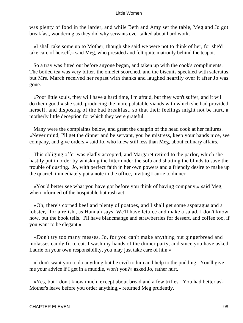was plenty of food in the larder, and while Beth and Amy set the table, Meg and Jo got breakfast, wondering as they did why servants ever talked about hard work.

 «I shall take some up to Mother, though she said we were not to think of her, for she'd take care of herself,» said Meg, who presided and felt quite matronly behind the teapot.

 So a tray was fitted out before anyone began, and taken up with the cook's compliments. The boiled tea was very bitter, the omelet scorched, and the biscuits speckled with saleratus, but Mrs. March received her repast with thanks and laughed heartily over it after Jo was gone.

 «Poor little souls, they will have a hard time, I'm afraid, but they won't suffer, and it will do them good,» she said, producing the more palatable viands with which she had provided herself, and disposing of the bad breakfast, so that their feelings might not be hurt, a motherly little deception for which they were grateful.

 Many were the complaints below, and great the chagrin of the head cook at her failures. «Never mind, I'll get the dinner and be servant, you be mistress, keep your hands nice, see company, and give orders,» said Jo, who knew still less than Meg, about culinary affairs.

 This obliging offer was gladly accepted, and Margaret retired to the parlor, which she hastily put in order by whisking the litter under the sofa and shutting the blinds to save the trouble of dusting. Jo, with perfect faith in her own powers and a friendly desire to make up the quarrel, immediately put a note in the office, inviting Laurie to dinner.

 «You'd better see what you have got before you think of having company,» said Meg, when informed of the hospitable but rash act.

 «Oh, there's corned beef and plenty of poatoes, and I shall get some asparagus and a lobster, `for a relish', as Hannah says. We'll have lettuce and make a salad. I don't know how, but the book tells. I'll have blancmange and strawberries for dessert, and coffee too, if you want to be elegant.»

 «Don't try too many messes, Jo, for you can't make anything but gingerbread and molasses candy fit to eat. I wash my hands of the dinner party, and since you have asked Laurie on your own responsibility, you may just take care of him.»

 «I don't want you to do anything but be civil to him and help to the pudding. You'll give me your advice if I get in a muddle, won't you?» asked Jo, rather hurt.

 «Yes, but I don't know much, except about bread and a few trifles. You had better ask Mother's leave before you order anything,» returned Meg prudently.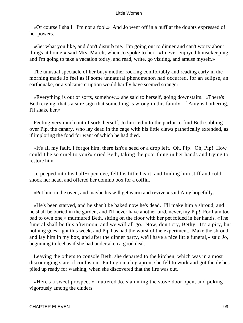«Of course I shall. I'm not a fool.» And Jo went off in a huff at the doubts expressed of her powers.

 «Get what you like, and don't disturb me. I'm going out to dinner and can't worry about things at home,» said Mrs. March, when Jo spoke to her. «I never enjoyed housekeeping, and I'm going to take a vacation today, and read, write, go visiting, and amuse myself.»

 The unusual spectacle of her busy mother rocking comfortably and reading early in the morning made Jo feel as if some unnatural phenomenon had occurred, for an eclipse, an earthquake, or a volcanic eruption would hardly have seemed stranger.

 «Everything is out of sorts, somehow,» she said to herself, going downstairs. «There's Beth crying, that's a sure sign that something is wrong in this family. If Amy is bothering, I'll shake her.»

 Feeling very much out of sorts herself, Jo hurried into the parlor to find Beth sobbing over Pip, the canary, who lay dead in the cage with his little claws pathetically extended, as if imploring the food for want of which he had died.

 «It's all my fault, I forgot him, there isn't a seed or a drop left. Oh, Pip! Oh, Pip! How could I be so cruel to you?» cried Beth, taking the poor thing in her hands and trying to restore him.

 Jo peeped into his half−open eye, felt his little heart, and finding him stiff and cold, shook her head, and offered her domino box for a coffin.

«Put him in the oven, and maybe his will get warm and revive,» said Amy hopefully.

 «He's been starved, and he shan't be baked now he's dead. I'll make him a shroud, and he shall be buried in the garden, and I'll never have another bird, never, my Pip! For I am too bad to own one,» murmured Beth, sitting on the floor with her pet folded in her hands. «The funeral shall be this afternoon, and we will all go. Now, don't cry, Bethy. It's a pity, but nothing goes right this week, and Pip has had the worst of the experiment. Make the shroud, and lay him in my box, and after the dinner party, we'll have a nice little funeral,» said Jo, beginning to feel as if she had undertaken a good deal.

 Leaving the others to console Beth, she departed to the kitchen, which was in a most discouraging state of confusion. Putting on a big apron, she fell to work and got the dishes piled up ready for washing, when she discovered that the fire was out.

 «Here's a sweet prospect!» muttered Jo, slamming the stove door open, and poking vigorously among the cinders.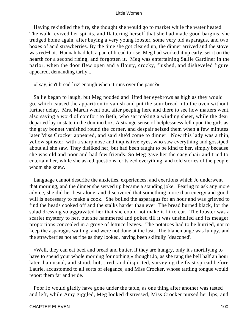Having rekindled the fire, she thought she would go to market while the water heated. The walk revived her spirits, and flattering herself that she had made good bargins, she trudged home again, after buying a very young lobster, some very old asparagus, and two boxes of acid strawberries. By the time she got cleared up, the dinner arrived and the stove was red−hot. Hannah had left a pan of bread to rise, Meg had worked it up early, set it on the hearth for a second rising, and forgotten it. Meg was entertaining Sallie Gardiner in the parlor, when the door flew open and a floury, crocky, flushed, and disheveled figure appeared, demanding tartly...

«I say, isn't bread `riz' enough when it runs over the pans?»

 Sallie began to laugh, but Meg nodded and lifted her eyebrows as high as they would go, which caused the apparition to vanish and put the sour bread into the oven without further delay. Mrs. March went out, after peeping here and there to see how matters went, also saying a word of comfort to Beth, who sat making a winding sheet, while the dear departed lay in state in the domino box. A strange sense of helplessness fell upon the girls as the gray bonnet vanished round the corner, and despair seized them when a few minutes later Miss Crocker appeared, and said she'd come to dinner. Now this lady was a thin, yellow spinster, with a sharp nose and inquisitive eyes, who saw everything and gossiped about all she saw. They disliked her, but had been taught to be kind to her, simply because she was old and poor and had few friends. So Meg gave her the easy chair and tried to entertain her, while she asked questions, critsized everything, and told stories of the people whom she knew.

 Language cannot describe the anxieties, experiences, and exertions which Jo underwent that morning, and the dinner she served up became a standing joke. Fearing to ask any more advice, she did her best alone, and discovered that something more than energy and good will is necessary to make a cook. She boiled the asparagus for an hour and was grieved to find the heads cooked off and the stalks harder than ever. The bread burned black, for the salad dressing so aggravated her that she could not make it fit to ear. The lobster was a scarlet mystery to her, but she hammered and poked till it was unshelled and its meager proportions concealed in a grove of lettuce leaves. The potatoes had to be hurried, not to keep the asparagus waiting, and were not done at the last. The blancmange was lumpy, and the strawberries not as ripe as they looked, having been skilfully `deaconed'.

 «Well, they can eat beef and bread and butter, if they are hungry, only it's mortifying to have to spend your whole morning for nothing,» thought Jo, as she rang the bell half an hour later than usual, and stood, hot, tired, and dispirited, surveying the feast spread before Laurie, accustomed to all sorts of elegance, and Miss Crocker, whose tattling tongue would report them far and wide.

 Poor Jo would gladly have gone under the table, as one thing after another was tasted and left, while Amy giggled, Meg looked distressed, Miss Crocker pursed her lips, and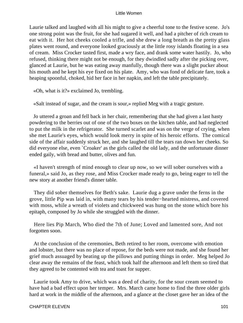Laurie talked and laughed with all his might to give a cheerful tone to the festive scene. Jo's one strong point was the fruit, for she had sugared it well, and had a pitcher of rich cream to eat with it. Her hot cheeks cooled a trifle, and she drew a long breath as the pretty glass plates went round, and everyone looked graciously at the little rosy islands floating in a sea of cream. Miss Crocker tasted first, made a wry face, and drank some water hastily. Jo, who refused, thinking there might not be enough, for they dwindled sadly after the picking over, glanced at Laurie, but he was eating away manfully, though there was a slight pucker about his mouth and he kept his eye fixed on his plate. Amy, who was fond of delicate fare, took a heaping spoonful, choked, hid her face in her napkin, and left the table precipitately.

«Oh, what is it?» exclaimed Jo, trembling.

«Salt instead of sugar, and the cream is sour,» replied Meg with a tragic gesture.

 Jo uttered a groan and fell back in her chair, remembering that she had given a last hasty powdering to the berries out of one of the two boxes on the kitchen table, and had neglected to put the milk in the refrigerator. She turned scarlet and was on the verge of crying, when she met Laurie's eyes, which would look merry in spite of his heroic efforts. The comical side of the affair suddenly struck her, and she laughed till the tears ran down her cheeks. So did everyone else, even `Croaker' as the girls called the old lady, and the unfortunate dinner ended gaily, with bread and butter, olives and fun.

 «I haven't strength of mind enough to clear up now, so we will sober ourselves with a funeral,» said Jo, as they rose, and Miss Crocker made ready to go, being eager to tell the new story at another friend's dinner table.

 They did sober themselves for Beth's sake. Laurie dug a grave under the ferns in the grove, little Pip was laid in, with many tears by his tender−hearted mistress, and covered with moss, while a wreath of violets and chickweed was hung on the stone which bore his epitaph, composed by Jo while she struggled with the dinner.

 Here lies Pip March, Who died the 7th of June; Loved and lamented sore, And not forgotten soon.

 At the conclusion of the ceremonies, Beth retired to her room, overcome with emotion and lobster, but there was no place of repose, for the beds were not made, and she found her grief much assuaged by beating up the pillows and putting things in order. Meg helped Jo clear away the remains of the feast, which took half the afternoon and left them so tired that they agreed to be contented with tea and toast for supper.

 Laurie took Amy to drive, which was a deed of charity, for the sour cream seemed to have had a bad effect upon her temper. Mrs. March came home to find the three older girls hard at work in the middle of the afternoon, and a glance at the closet gave her an idea of the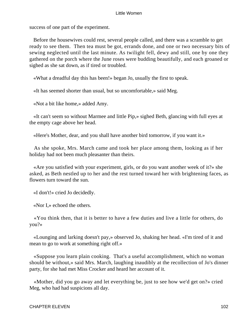success of one part of the experiment.

 Before the housewives could rest, several people called, and there was a scramble to get ready to see them. Then tea must be got, errands done, and one or two necessary bits of sewing neglected until the last minute. As twilight fell, dewy and still, one by one they gathered on the porch where the June roses were budding beautifully, and each groaned or sighed as she sat down, as if tired or troubled.

«What a dreadful day this has been!» began Jo, usually the first to speak.

«It has seemed shorter than usual, but so uncomfortable,» said Meg.

«Not a bit like home,» added Amy.

 «It can't seem so without Marmee and little Pip,» sighed Beth, glancing with full eyes at the empty cage above her head.

«Here's Mother, dear, and you shall have another bird tomorrow, if you want it.»

 As she spoke, Mrs. March came and took her place among them, looking as if her holiday had not been much pleasanter than theirs.

 «Are you satisfied with your experiment, girls, or do you want another week of it?» she asked, as Beth nestled up to her and the rest turned toward her with brightening faces, as flowers turn toward the sun.

«I don't!» cried Jo decidedly.

«Nor I,» echoed the others.

 «You think then, that it is better to have a few duties and live a little for others, do you?»

 «Lounging and larking doesn't pay,» observed Jo, shaking her head. «I'm tired of it and mean to go to work at something right off.»

 «Suppose you learn plain cooking. That's a useful accomplishment, which no woman should be without,» said Mrs. March, laughing inaudibly at the recollection of Jo's dinner party, for she had met Miss Crocker and heard her account of it.

 «Mother, did you go away and let everything be, just to see how we'd get on?» cried Meg, who had had suspicions all day.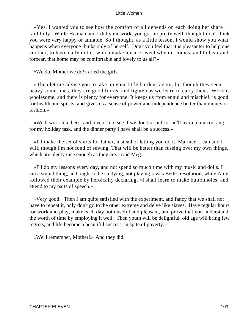«Yes, I wanted you to see how the comfort of all depends on each doing her share faithfully. While Hannah and I did your work, you got on pretty well, though I don't think you were very happy or amiable. So I thought, as a little lesson, I would show you what happens when everyone thinks only of herself. Don't you feel that it is pleasanter to help one another, to have daily duties which make leisure sweet when it comes, and to bear and forbear, that home may be comfortable and lovely to us all?»

«We do, Mother we do!» cried the girls.

 «Then let me advise you to take up your little burdens again, for though they seem heavy sometimes, they are good for us, and lighten as we learn to carry them. Work is wholesome, and there is plenty for everyone. It keeps us from ennui and mischief, is good for health and spirits, and gives us a sense of power and independence better than money or fashion.»

 «We'll work like bees, and love it too, see if we don't,» said Jo. «I'll learn plain cooking for my holiday task, and the dinner party I have shall be a success.»

 «I'll make the set of shirts for father, instead of letting you do it, Marmee. I can and I will, though I'm not fond of sewing. That will be better than fussing over my own things, which are plenty nice enough as they are.» said Meg.

 «I'll do my lessons every day, and not spend so much time with my music and dolls. I am a stupid thing, and ought to be studying, not playing,» was Beth's resolution, while Amy followed their example by heroically declaring, «I shall learn to make buttonholes, and attend to my parts of speech.»

 «Very good! Then I am quite satisfied with the experiment, and fancy that we shall not have to repeat it, only don't go to the other extreme and delve like slaves. Have regular hours for work and play, make each day both useful and pleasant, and prove that you understand the worth of time by employing it well. Then youth will be delightful, old age will bring few regrets, and life become a beautiful success, in spite of poverty.»

«We'll remember, Mother!» And they did.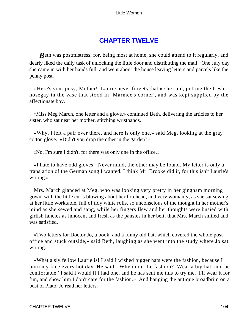# **[CHAPTER TWELVE](#page-419-0)**

*B*eth was postmistress, for, being most at home, she could attend to it regularly, and dearly liked the daily task of unlocking the little door and distributing the mail. One July day she came in with her hands full, and went about the house leaving letters and parcels like the penny post.

 «Here's your posy, Mother! Laurie never forgets that,» she said, putting the fresh nosegay in the vase that stood in `Marmee's corner', and was kept supplied by the affectionate boy.

 «Miss Meg March, one letter and a glove,» continued Beth, delivering the articles to her sister, who sat near her mother, stitching wristbands.

 «Why, I left a pair over there, and here is only one,» said Meg, looking at the gray cotton glove. «Didn't you drop the other in the garden?»

«No, I'm sure I didn't, for there was only one in the office.»

 «I hate to have odd gloves! Never mind, the other may be found. My letter is only a translation of the German song I wanted. I think Mr. Brooke did it, for this isn't Laurie's writing.»

 Mrs. March glanced at Meg, who was looking very pretty in her gingham morning gown, with the little curls blowing about her forehead, and very womanly, as she sat sewing at her little worktable, full of tidy white rolls, so unconscious of the thought in her mother's mind as she sewed and sang, while her fingers flew and her thoughts were busied with girlish fancies as innocent and fresh as the pansies in her belt, that Mrs. March smiled and was satisfied.

 «Two letters for Doctor Jo, a book, and a funny old hat, which covered the whole post office and stuck outside,» said Beth, laughing as she went into the study where Jo sat writing.

 «What a sly fellow Laurie is! I said I wished bigger hats were the fashion, because I burn my face every hot day. He said, `Why mind the fashion? Wear a big hat, and be comfortable!' I said I would if I had one, and he has sent me this to try me. I'll wear it for fun, and show him I don't care for the fashion.» And hanging the antique broadbrim on a bust of Plato, Jo read her letters.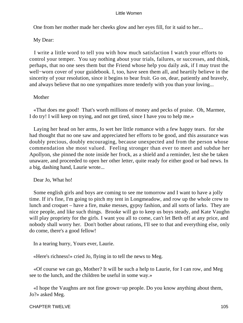One from her mother made her cheeks glow and her eyes fill, for it said to her...

# My Dear:

 I write a little word to tell you with how much satisfaction I watch your efforts to control your temper. You say nothing about your trials, failures, or successes, and think, perhaps, that no one sees them but the Friend whose help you daily ask, if I may trust the well−worn cover of your guidebook. I, too, have seen them all, and heartily believe in the sincerity of your resolution, since it begins to bear fruit. Go on, dear, patiently and bravely, and always believe that no one sympathizes more tenderly with you than your loving...

# Mother

 «That does me good! That's worth millions of money and pecks of praise. Oh, Marmee, I do try! I will keep on trying, and not get tired, since I have you to help me.»

 Laying her head on her arms, Jo wet her little romance with a few happy tears. for she had thought that no one saw and appreciated her efforts to be good, and this assurance was doubly precious, doubly encouraging, because unexpected and from the person whose commendation she most valued. Feeling stronger than ever to meet and subdue her Apollyon, she pinned the note inside her frock, as a shield and a reminder, lest she be taken unaware, and proceeded to open her other letter, quite ready for either good or bad news. In a big, dashing hand, Laurie wrote...

# Dear Jo, What ho!

 Some english girls and boys are coming to see me tomorrow and I want to have a jolly time. If it's fine, I'm going to pitch my tent in Longmeadow, and row up the whole crew to lunch and croquet – have a fire, make messes, gypsy fashion, and all sorts of larks. They are nice people, and like such things. Brooke will go to keep us boys steady, and Kate Vaughn will play propriety for the girls. I want you all to come, can't let Beth off at any price, and nobody shall worry her. Don't bother about rations, I'll see to that and everything else, only do come, there's a good fellow!

In a tearing hurry, Yours ever, Laurie.

«Here's richness!» cried Jo, flying in to tell the news to Meg.

 «Of course we can go, Mother? It will be such a help to Laurie, for I can row, and Meg see to the lunch, and the children be useful in some way.»

 «I hope the Vaughns are not fine grown−up people. Do you know anything about them, Jo?» asked Meg.

CHAPTER TWELVE 105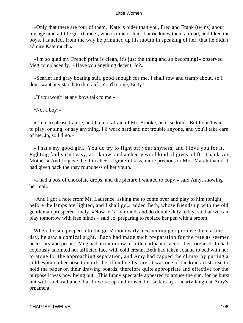«Only that there are four of them. Kate is older than you, Fred and Frank (twins) about my age, and a little girl (Grace), who is nine or ten. Laurie knew them abroad, and liked the boys. I fancied, from the way he primmed up his mouth in speaking of her, that he didn't admire Kate much.»

 «I'm so glad my French print is clean, it's just the thing and so becoming!» observed Meg complacently. «Have you anything decent, Jo?»

 «Scarlet and gray boating suit, good enough for me. I shall row and tramp about, so I don't want any starch to think of. You'll come, Betty?»

«If you won't let any boys talk to me.»

«Not a boy!»

 «I like to please Laurie, and I'm not afraid of Mr. Brooke, he is so kind. But I don't want to play, or sing, or say anything. I'll work hard and not trouble anyone, and you'll take care of me, Jo, so I'll go.»

 «That's my good girl. You do try to fight off your shyness, and I love you for it. Fighting faults isn't easy, as I know, and a cheery word kind of gives a lift. Thank you, Mother,» And Jo gave the thin cheek a grateful kiss, more precious to Mrs. March than if it had given back the rosy roundness of her youth.

 «I had a box of chocolate drops, and the picture I wanted to copy,» said Amy, showing her mail.

 «And I got a note from Mr. Laurence, asking me to come over and play to him tonight, before the lamps are lighted, and I shall go,» added Beth, whose friendship with the old gentleman prospered finely. «Now let's fly round, and do double duty today, so that we can play tomorrow with free minds,» said Jo, preparing to replace her pen with a broom.

When the sun peeped into the girls' room early next morning to promise them a fine day, he saw a comical sight. Each had made such preparation for the fete as seemed necessary and proper. Meg had an extra row of little curlpapers across her forehead, Jo had copiously anointed her afflicted face with cold cream, Beth had taken Joanna to bed with her to atone for the approaching separation, and Amy had capped the climax by putting a colthespin on her nose to uplift the offending feature. It was one of the kind artists use to hold the paper on their drawing boards, therefore quite appropriate and effective for the purpose it was now being put. This funny spectacle appeared to amuse the sun, for he burst out with such radiance that Jo woke up and roused her sisters by a hearty laugh at Amy's ornament.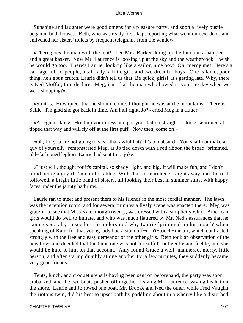Sunshine and laughter were good omens for a pleasure party, and soon a lively bustle began in both houses. Beth, who was ready first, kept reporting what went on next door, and enlivened her sisters' toilets by frequent telegrams from the window.

 «There goes the man with the tent! I see Mrs. Barker doing up the lunch in a hamper and a great basket. Now Mr. Laurence is looking up at the sky and the weathercock. I wish he would go too. There's Laurie, looking like a sailor, nice boy! Oh, mercy me! Here's a carriage full of people, a tall lady, a little girl, and two dreadful boys. One is lame, poor thing, he's got a crutch. Laurie didn't tell us that. Be quick, girls! It's getting late. Why, there is Ned Moffat, I do declare. Meg, isn't that the man who bowed to you one day when we were shopping?»

 «So it is. How queer that he should come. I thought he was at the mountains. There is Sallie. I'm glad she got back in time. Am I all right, Jo?» cried Meg in a flutter.

 «A regular daisy. Hold up your dress and put your hat on straight, it looks sentimental tipped that way and will fly off at the first puff. Now then, come on!»

 «Oh, Jo, you are not going to wear that awful hat? It's too absurd! You shall not make a guy of yourself,» remonstrated Meg, as Jo tied down with a red ribbon the broad−brimmed, old−fashioned leghorn Laurie had sent for a joke.

 «I just will, though, for it's capital, so shady, light, and big. It will make fun, and I don't mind being a guy if I'm comfortable.» With that Jo marched straight away and the rest followed, a bright little band of sisters, all looking their best in summer suits, with happy faces under the jaunty hatbrims.

 Laurie ran to meet and present them to his friends in the most cordial manner. The lawn was the reception room, and for several minutes a lively scene was enacted there. Meg was grateful to see that Miss Kate, though twenty, was dressed with a simplicity which American girls would do well to imitate, and who was much flattered by Mr. Ned's assurances that he came especially to see her. Jo understood why Laurie `primmed up his mouth' when speaking of Kate, for that young lady had a standoff−don't−touch−me air, which contrasted strongly with the free and easy demeanor of the other girls. Beth took an observation of the new boys and decided that the lame one was not `dreadful', but gentle and feeble, and she would be kind to him on that account. Amy found Grace a well−mannered, merry, little person, and after staring dumbly at one another for a few minutes, they suddenly became very good friends.

 Tents, lunch, and croquet utensils having been sent on beforehand, the party was soon embarked, and the two boats pushed off together, leaving Mr. Laurence waving his hat on the shore. Laurie and Jo rowed one boat, Mr. Brooke and Ned the other, while Fred Vaughn, the riotous twin, did his best to upset both by paddling about in a wherry like a disturbed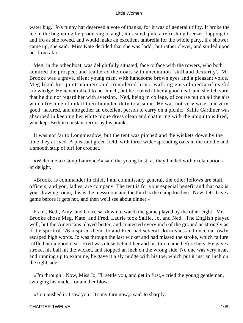water bug. Jo's funny hat deserved a vote of thanks, for it was of general utility. It broke the ice in the beginning by producing a laugh, it created quite a refreshing breeze, flapping to and fro as she rowed, and would make an excellent umbrella for the whole party, if a shower came up, she said. Miss Kate decided that she was `odd', but rather clever, and smiled upon her from afar.

 Meg, in the other boat, was delightfully situated, face to face with the rowers, who both admired the prospect and feathered their oars with uncommon `skill and dexterity'. Mr. Brooke was a grave, silent young man, with handsome brown eyes and a pleasant voice. Meg liked his quiet manners and considered him a walking encyclopedia of useful knowledge. He never talked to her much, but he looked at her a good deal, and she felt sure that he did not regard her with aversion. Ned, being in college, of course put on all the airs which freshmen think it their bounden duty to assume. He was not very wise, but very good−natured, and altogether an excellent person to carry on a picnic. Sallie Gardiner was absorbed in keeping her white pique dress clean and chattering with the ubiquitous Fred, who kept Beth in constant terror by his pranks.

 It was not far to Longmeadow, but the tent was pitched and the wickets down by the time they arrived. A pleasant green field, with three wide−spreading oaks in the middle and a smooth strip of turf for croquet.

 «Welcome to Camp Laurence!» said the young host, as they landed with exclamations of delight.

 «Brooke is commander in chief, I am commissary general, the other fellows are staff officers, and you, ladies, are company. The tent is for your especial benefit and that oak is your drawing room, this is the messroom and the third is the camp kitchen. Now, let's have a game before it gets hot, and then we'll see about dinner.»

 Frank, Beth, Amy, and Grace sat down to watch the game played by the other eight. Mr. Brooke chose Meg, Kate, and Fred. Laurie took Sallie, Jo, and Ned. The English played well, but the Americans played better, and contested every inch of the ground as strongly as if the spirit of `76 inspired them. Jo and Fred had several skirmishes and once narrowly escaped high words. Jo was through the last wicket and had missed the stroke, which failure ruffled her a good deal. Fred was close behind her and his turn came before hers. He gave a stroke, his ball hit the wicket, and stopped an inch on the wrong side. No one was very near, and running up to examine, he gave it a sly nudge with his toe, which put it just an inch on the right side.

 «I'm through! Now, Miss Jo, I'll settle you, and get in first,» cried the young gentleman, swinging his mallet for another blow.

«You pushed it. I saw you. It's my turn now,» said Jo sharply.

CHAPTER TWELVE 108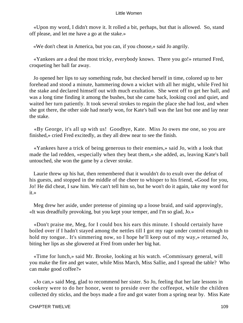«Upon my word, I didn't move it. It rolled a bit, perhaps, but that is allowed. So, stand off please, and let me have a go at the stake.»

«We don't cheat in America, but you can, if you choose,» said Jo angrily.

 «Yankees are a deal the most tricky, everybody knows. There you go!» returned Fred, croqueting her ball far away.

 Jo opened her lips to say something rude, but checked herself in time, colored up to her forehead and stood a minute, hammering down a wicket with all her might, while Fred hit the stake and declared himself out with much exultation. She went off to get her ball, and was a long time finding it among the bushes, but she came back, looking cool and quiet, and waited her turn patiently. It took several strokes to regain the place she had lost, and when she got there, the other side had nearly won, for Kate's ball was the last but one and lay near the stake.

 «By George, it's all up with us! Goodbye, Kate. Miss Jo owes me one, so you are finished,» cried Fred excitedly, as they all drew near to see the finish.

 «Yankees have a trick of being generous to their enemies,» said Jo, with a look that made the lad redden, «especially when they beat them,» she added, as, leaving Kate's ball untouched, she won the game by a clever stroke.

 Laurie threw up his hat, then remembered that it wouldn't do to exult over the defeat of his guests, and stopped in the middle of the cheer to whisper to his friend, «Good for you, Jo! He did cheat, I saw him. We can't tell him so, but he won't do it again, take my word for it.»

 Meg drew her aside, under pretense of pinning up a loose braid, and said approvingly, «It was dreadfully provoking, but you kept your temper, and I'm so glad, Jo.»

 «Don't praise me, Meg, for I could box his ears this minute. I should certainly have boiled over if I hadn't stayed among the nettles till I got my rage under control enough to hold my tongue.. It's simmering now, so I hope he'll keep out of my way,» returned Jo, biting her lips as she glowered at Fred from under her big hat.

 «Time for lunch,» said Mr. Brooke, looking at his watch. «Commissary general, will you make the fire and get water, while Miss March, Miss Sallie, and I spread the table? Who can make good coffee?»

 «Jo can,» said Meg, glad to recommend her sister. So Jo, feeling that her late lessons in cookery were to do her honor, went to preside over the coffeepot, while the children collected dry sticks, and the boys made a fire and got water from a spring near by. Miss Kate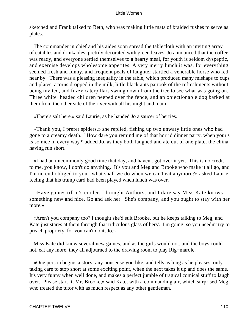sketched and Frank talked to Beth, who was making little mats of braided rushes to serve as plates.

 The commander in chief and his aides soon spread the tablecloth with an inviting array of eatables and drinkables, prettily decorated with green leaves. Jo announced that the coffee was ready, and everyone settled themselves to a hearty meal, for youth is seldom dyspeptic, and exercise develops wholesome appetites. A very merry lunch it was, for everything seemed fresh and funny, and frequent peals of laughter startled a venerable horse who fed near by. There was a pleasing inequality in the table, which produced many mishaps to cups and plates, acorns dropped in the milk, little black ants partook of the refreshments without being invited, and fuzzy caterpillars swung down from the tree to see what was going on. Three white−headed children peeped over the fence, and an objectionable dog barked at them from the other side of the river with all his might and main.

«There's salt here,» said Laurie, as he handed Jo a saucer of berries.

 «Thank you, I prefer spiders,» she replied, fishing up two unwary little ones who had gone to a creamy death. "How dare you remind me of that horrid dinner party, when your's is so nice in every way?' added Jo, as they both laughed and ate out of one plate, the china having run short.

 «I had an uncommonly good time that day, and haven't got over it yet. This is no credit to me, you know, I don't do anything. It's you and Meg and Brooke who make it all go, and I'm no end obliged to you. what shall we do when we can't eat anymore?» asked Laurie, feeling that his trump card had been played when lunch was over.

 «Have games till it's cooler. I brought Authors, and I dare say Miss Kate knows something new and nice. Go and ask her. She's company, and you ought to stay with her more.»

 «Aren't you company too? I thought she'd suit Brooke, but he keeps talking to Meg, and Kate just stares at them through that ridiculous glass of hers'. I'm going, so you needn't try to preach propriety, for you can't do it, Jo.»

 Miss Kate did know several new games, and as the girls would not, and the boys could not, eat any more, they all adjourned to the drawing room to play Rig−marole.

 «One person begins a story, any nonsense you like, and tells as long as he pleases, only taking care to stop short at some exciting point, when the next takes it up and does the same. It's very funny when well done, and makes a perfect jumble of tragical comical stuff to laugh over. Please start it, Mr. Brooke,» said Kate, with a commanding air, which surprised Meg, who treated the tutor with as much respect as any other gentleman.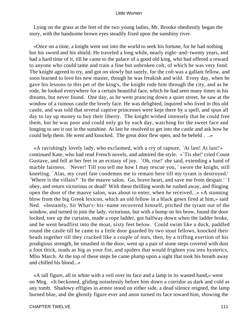Lying on the grass at the feet of the two young ladies, Mr. Brooke obediently began the story, with the handsome brown eyes steadily fixed upon the sunshiny river.

 «Once on a time, a knight went out into the world to seek his fortune, for he had nothing but his sword and his shield. He traveled a long while, nearly eight−and−twenty years, and had a hard time of it, till he came to the palace of a good old king, who had offered a reward to anyone who could tame and train a fine but unbroken colt, of which he was very fond. The knight agreed to try, and got on slowly but surely, for the colt was a gallant fellow, and soon learned to love his new master, though he was freakish and wild. Every day, when he gave his lessons to this pet of the king's, the knight rode him through the city, and as he rode, he looked everywhere for a certain beautiful face, which he had seen many times in his dreams, but never found. One day, as he went prancing down a quiet street, he saw at the window of a ruinous castle the lovely face. He was delighted, inquired who lived in this old castle, and was told that several captive princesses were kept there by a spell, and spun all day to lay up money to buy their liberty. The knight wished intensely that he could free them, but he was poor and could only go by each day, watching for the sweet face and longing to see it out in the sunshine. At last he resolved to get into the castle and ask how he could help them. He went and knocked. The great door flew open, and he beheld . ..»

 «A ravishingly lovely lady, who exclaimed, with a cry of rapture, `At last! At last!'» continued Kate, who had read French novels, and admired the style. «`Tis she!' cried Count Gustave, and fell at her feet in an ecstasy of joy. `Oh, rise!' she said, extending a hand of marble fairness. `Never! Till you tell me how I may rescue you, ' swore the knight, still kneeling. `Alas, my cruel fate condemns me to remain here till my tyrant is destroyed.' `Where is the villain?' `In the mauve salon. Go, brave heart, and save me from despair.' `I obey, and return victorious or dead!' With these thrilling words he rushed away, and flinging open the door of the mauve salon, was about to enter, when he received...» «A stunning blow from the big Greek lexicon, which an old fellow in a black gown fired at him,» said Ned. «Instantly, Sir What's−his−name recovered himself, pitched the tyrant out of the window, and turned to join the lady, victorious, but with a bump on his brow, found the door locked, tore up the curtains, made a rope ladder, got halfway down when the ladder broke, and he went headfirst into the moat, sixty feet below. Could swim like a duck, paddled round the castle till he came to a little door guarded by two stout fellows, knocked their heads together till they cracked like a couple of nuts, then, by a trifling exertion of his prodigious strength, he smashed in the door, went up a pair of stone steps covered with dust a foot thick, toads as big as your fist, and spiders that would frighten you into hysterics, MIss March. At the top of these steps he came plump upon a sight that took his breath away and chilled his blood...»

 «A tall figure, all in white with a veil over its face and a lamp in its wasted hand,» went on Meg. «It beckoned, gliding noiselessly before him down a corridor as dark and cold as any tomb. Shadowy effigies in armor stood on either side, a dead silence reigned, the lamp burned blue, and the ghostly figure ever and anon turned its face toward him, showing the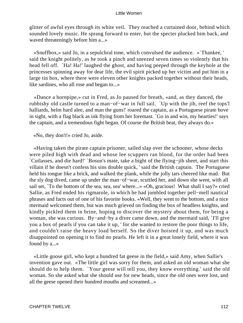glitter of awful eyes through its white veil. They reached a curtained door, behind which sounded lovely music. He sprang forward to enter, but the specter plucked him back, and waved threateningly before him a...»

 «Snuffbox,» said Jo, in a sepulchral tone, which convulsed the audience. «`Thankee, ' said the knight politely, as he took a pinch and sneezed seven times so violently that his head fell off. `Ha! Ha!' laughed the ghost, and having peeped through the keyhole at the princesses spinning away for dear life, the evil spirit picked up her victim and put him in a large tin box, where there were eleven other knights packed together without their heads, like sardines, who all rose and began to...»

 «Dance a hornpipe,» cut in Fred, as Jo paused for breath, «and, as they danced, the rubbishy old castle turned to a man−of−war in full sail. `Up with the jib, reef the tops'l halliards, helm hard alee, and man the guns! roared the captain, as a Portuguese pirate hove in sight, with a flag black as ink flying from her foremast. `Go in and win, my hearties!' says the captain, and a tremendous fight began. Of course the British beat, they always do.»

«No, they don't!» cried Jo, aside.

 «Having taken the pirate captain prisoner, sailed slap over the schooner, whose decks were piled high with dead and whose lee scuppers ran blood, for the order had been `Cutlasses, and die hard!' `Bosun's mate, take a bight of the flying−jib sheet, and start this villain if he doesn't confess his sins double quick, ' said the British captain. The Portuguese held his tongue like a brick, and walked the plank, while the jolly tars cheered like mad. But the sly dog dived, came up under the man−of−war, scuttled her, and down she went, with all sail set, `To the bottom of the sea, sea, sea' where...» «Oh, gracious! What shall I say?» cried Sallie, as Fred ended his rigmarole, in which he had jumbled together pell−mell nautical phrases and facts out of one of his favorite books. «Well, they went to the bottom, and a nice mermaid welcomed them, but was much grieved on finding the box of headless knights, and kindly pickled them in brine, hoping to discover the mystery about them, for being a woman, she was curious. By−and−by a diver came down, and the mermaid said, `I'll give you a box of pearls if you can take it up, ' for she wanted to restore the poor things to life, and couldn't raise the heavy load herself. So the diver hoisted it up, and was much disappointed on opening it to find no pearls. He left it in a great lonely field, where it was found by a...»

 «Little goose girl, who kept a hundred fat geese in the field,» said Amy, when Sallie's invention gave out. «The little girl was sorry for them, and asked an old woman what she should do to help them. `Your geese will tell you, they know everything.' said the old woman. So she asked what she should use for new heads, since the old ones were lost, and all the geese opened their hundred mouths and screamed...»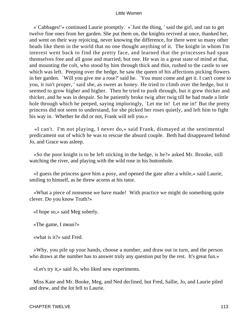«`Cabbages!'» continued Laurie promptly. «`Just the thing, ' said the girl, and ran to get twelve fine ones from her garden. She put them on, the knights revived at once, thanked her, and went on their way rejoicing, never knowing the difference, for there were so many other heads like them in the world that no one thought anything of it. The knight in whom I'm interest went back to find the pretty face, and learned that the princesses had spun themselves free and all gone and married, but one. He was in a great state of mind at that, and mounting the colt, who stood by him through thick and thin, rushed to the castle to see which was left. Peeping over the hedge, he saw the queen of his affections picking flowers in her garden. `Will you give me a rose?' said he. `You must come and get it. I can't come to you, it isn't proper, ' said she, as sweet as honey. He tried to climb over the hedge, but it seemed to grow higher and higher. Then he tried to push through, but it grew thicker and thicker, and he was in despair. So he patiently broke twig after twig till he had made a little hole through which he peeped, saying imploringly, `Let me in! Let me in!' But the pretty princess did not seem to understand, for she picked her roses quietly, and left him to fight his way in. Whether he did or not, Frank will tell you.»

 «I can't. I'm not playing, I never do,» said Frank, dismayed at the sentimental predicament out of which he was to rescue the absurd couple. Beth had disappeared behind Jo, and Grace was asleep.

 «So the poor knight is to be left sticking in the hedge, is he?» asked Mr. Brooke, still watching the river, and playing with the wild rose in his buttonhole.

 «I guess the princess gave him a posy, and opened the gate after a while,» said Laurie, smiling to himself, as he threw acorns at his tutor.

 «What a piece of nonsense we have made! With practice we might do something quite clever. Do you know Truth?»

«I hope so,» said Meg soberly.

«The game, I mean?»

«what is it?» said Fred.

 «Why, you pile up your hands, choose a number, and draw out in turn, and the person who draws at the number has to answer truly any question put by the rest. It's great fun.»

«Let's try it,» said Jo, who liked new experiments.

 Miss Kate and Mr. Booke, Meg, and Ned declined, but Fred, Sallie, Jo, and Laurie piled and drew, and the lot fell to Laurie.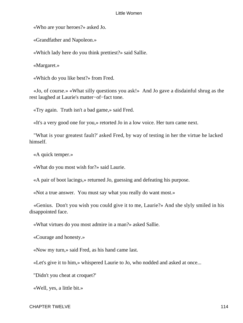«Who are your heroes?» asked Jo.

«Grandfather and Napoleon.»

«Which lady here do you think prettiest?» said Sallie.

«Margaret.»

«Which do you like best?» from Fred.

 «Jo, of course.» «What silly questions you ask!» And Jo gave a disdainful shrug as the rest laughed at Laurie's matter−of−fact tone.

«Try again. Truth isn't a bad game,» said Fred.

«It's a very good one for you,» retorted Jo in a low voice. Her turn came next.

 "What is your greatest fault?' asked Fred, by way of testing in her the virtue he lacked himself.

«A quick temper.»

«What do you most wish for?» said Laurie.

«A pair of boot lacings,» returned Jo, guessing and defeating his purpose.

«Not a true answer. You must say what you really do want most.»

 «Genius. Don't you wish you could give it to me, Laurie?» And she slyly smiled in his disappointed face.

«What virtues do you most admire in a man?» asked Sallie.

«Courage and honesty.»

«Now my turn,» said Fred, as his hand came last.

«Let's give it to him,» whispered Laurie to Jo, who nodded and asked at once...

"Didn't you cheat at croquet?'

«Well, yes, a little bit.»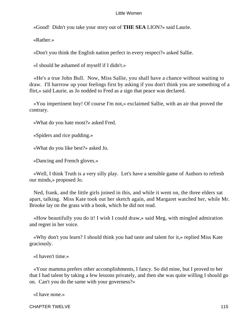«Good! Didn't you take your story out of **THE SEA** LION?» said Laurie.

«Rather.»

«Don't you think the English nation perfect in every respect?» asked Sallie.

«I should be ashamed of myself if I didn't.»

 «He's a true John Bull. Now, Miss Sallie, you shall have a chance without waiting to draw. I'll harrrow up your feelings first by asking if you don't think you are something of a flirt,» said Laurie, as Jo nodded to Fred as a sign that peace was declared.

 «You impertinent boy! Of course I'm not,» exclaimed Sallie, with an air that proved the contrary.

«What do you hate most?» asked Fred.

«Spiders and rice pudding.»

«What do you like best?» asked Jo.

«Dancing and French gloves.»

 «Well, I think Truth is a very silly play. Let's have a sensible game of Authors to refresh our minds,» proposed Jo.

 Ned, frank, and the little girls joined in this, and while it went on, the three elders sat apart, talking. Miss Kate took out her sketch again, and Margaret watched her, while Mr. Brooke lay on the grass with a book, which he did not read.

 «How beautifully you do it! I wish I could draw,» said Meg, with mingled admiration and regret in her voice.

 «Why don't you learn? I should think you had taste and talent for it,» replied Miss Kate graciously.

«I haven't time.»

 «Your mamma prefers other accomplishments, I fancy. So did mine, but I proved to her that I had talent by taking a few lessons privately, and then she was quite willing I should go on. Can't you do the same with your governess?»

«I have none.»

CHAPTER TWELVE 2008 115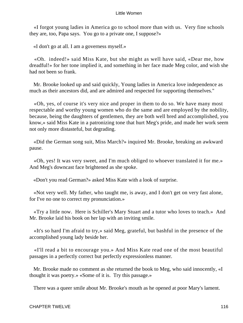«I forgot young ladies in America go to school more than with us. Very fine schools they are, too, Papa says. You go to a private one, I suppose?»

«I don't go at all. I am a governess myself.»

 «Oh. indeed!» said Miss Kate, but she might as well have said, «Dear me, how dreadful!» for her tone implied it, and something in her face made Meg color, and wish she had not been so frank.

 Mr. Brooke looked up and said quickly, Young ladies in America love independence as much as their ancestors did, and are admired and respected for supporting themselves."

 «Oh, yes, of course it's very nice and proper in them to do so. We have many most respectable and worthy young women who do the same and are employed by the nobility, because, being the daughters of gentlemen, they are both well bred and accomplished, you know,» said Miss Kate in a patronizing tone that hurt Meg's pride, and made her work seem not only more distasteful, but degrading.

 «Did the German song suit, Miss March?» inquired Mr. Brooke, breaking an awkward pause.

 «Oh, yes! It was very sweet, and I'm much obliged to whoever translated it for me.» And Meg's downcast face brightened as she spoke.

«Don't you read German?» asked Miss Kate with a look of surprise.

 «Not very well. My father, who taught me, is away, and I don't get on very fast alone, for I've no one to correct my pronunciation.»

 «Try a little now. Here is Schiller's Mary Stuart and a tutor who loves to teach.» And Mr. Brooke laid his book on her lap with an inviting smile.

 «It's so hard I'm afraid to try,» said Meg, grateful, but bashful in the presence of the accomplished young lady beside her.

 «I'll read a bit to encourage you.» And Miss Kate read one of the most beautiful passages in a perfectly correct but perfectly expressionless manner.

 Mr. Brooke made no comment as she returned the book to Meg, who said innocently, «I thought it was poetry.» «Some of it is. Try this passage.»

There was a queer smile about Mr. Brooke's mouth as he opened at poor Mary's lament.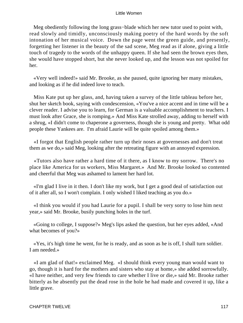Meg obediently following the long grass−blade which her new tutor used to point with, read slowly and timidly, unconsciously making poetry of the hard words by the soft intonation of her musical voice. Down the page went the green guide, and presently, forgetting her listener in the beauty of the sad scene, Meg read as if alone, giving a little touch of tragedy to the words of the unhappy queen. If she had seen the brown eyes then, she would have stopped short, but she never looked up, and the lesson was not spoiled for her.

 «Very well indeed!» said Mr. Brooke, as she paused, quite ignoring her many mistakes, and looking as if he did indeed love to teach.

 Miss Kate put up her glass, and, having taken a survey of the little tableau before her, shut her sketch book, saying with condescension, «You've a nice accent and in time will be a clever reader. I advise you to learn, for German is a valuable accomplishment to teachers. I must look after Grace, she is romping.» And Miss Kate strolled away, adding to herself with a shrug, «I didn't come to chaperone a governess, though she is young and pretty. What odd people these Yankees are. I'm afraid Laurie will be quite spoiled among them.»

 «I forgot that English people rather turn up their noses at governesses and don't treat them as we do,» said Meg, looking after the retreating figure with an annoyed expression.

 «Tutors also have rather a hard time of it there, as I know to my sorrow. There's no place like America for us workers, Miss Margaret.» And Mr. Brooke looked so contented and cheerful that Meg was ashamed to lament her hard lot.

 «I'm glad I live in it then. I don't like my work, but I get a good deal of satisfaction out of it after all, so I won't complain. I only wished I liked teaching as you do.»

 «I think you would if you had Laurie for a pupil. I shall be very sorry to lose him next year,» said Mr. Brooke, busily punching holes in the turf.

 «Going to college, I suppose?» Meg's lips asked the question, but her eyes added, «And what becomes of you?»

 «Yes, it's high time he went, for he is ready, and as soon as he is off, I shall turn soldier. I am needed.»

 «I am glad of that!» exclaimed Meg. «I should think every young man would want to go, though it is hard for the mothers and sisters who stay at home,» she added sorrowfully. «I have neither, and very few friends to care whether I live or die,» said Mr. Brooke rather bitterly as he absently put the dead rose in the hole he had made and covered it up, like a little grave.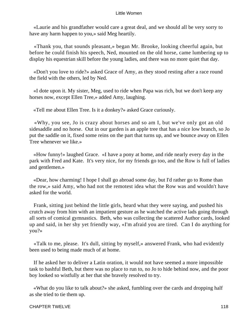«Laurie and his grandfather would care a great deal, and we should all be very sorry to have any harm happen to you,» said Meg heartily.

 «Thank you, that sounds pleasant,» began Mr. Brooke, looking cheerful again, but before he could finish his speech, Ned, mounted on the old horse, came lumbering up to display his equestrian skill before the young ladies, and there was no more quiet that day.

 «Don't you love to ride?» asked Grace of Amy, as they stood resting after a race round the field with the others, led by Ned.

 «I dote upon it. My sister, Meg, used to ride when Papa was rich, but we don't keep any horses now, except Ellen Tree,» added Amy, laughing.

«Tell me about Ellen Tree. Is it a donkey?» asked Grace curiously.

 «Why, you see, Jo is crazy about horses and so am I, but we've only got an old sidesaddle and no horse. Out in our garden is an apple tree that has a nice low branch, so Jo put the saddle on it, fixed some reins on the part that turns up, and we bounce away on Ellen Tree whenever we like.»

 «How funny!» laughed Grace. «I have a pony at home, and ride nearly every day in the park with Fred and Kate. It's very nice, for my friends go too, and the Row is full of ladies and gentlemen.»

 «Dear, how charming! I hope I shall go abroad some day, but I'd rather go to Rome than the row,» said Amy, who had not the remotest idea what the Row was and wouldn't have asked for the world.

 Frank, sitting just behind the little girls, heard what they were saying, and pushed his crutch away from him with an impatient gesture as he watched the active lads going through all sorts of comical gymnastics. Beth, who was collecting the scattered Author cards, looked up and said, in her shy yet friendly way, «I'm afraid you are tired. Can I do anything for you?»

 «Talk to me, please. It's dull, sitting by myself,» answered Frank, who had evidently been used to being made much of at home.

 If he asked her to deliver a Latin oration, it would not have seemed a more impossible task to bashful Beth, but there was no place to run to, no Jo to hide behind now, and the poor boy looked so wistfully at her that she bravely resolved to try.

 «What do you like to talk about?» she asked, fumbling over the cards and dropping half as she tried to tie them up.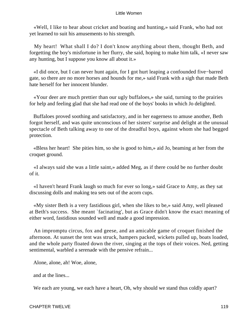«Well, I like to hear about cricket and boating and hunting,» said Frank, who had not yet learned to suit his amusements to his strength.

 My heart! What shall I do? I don't know anything about them, thought Beth, and forgetting the boy's misfortune in her flurry, she said, hoping to make him talk, «I never saw any hunting, but I suppose you know all about it.»

 «I did once, but I can never hunt again, for I got hurt leaping a confounded five−barred gate, so there are no more horses and hounds for me,» said Frank with a sigh that made Beth hate herself for her innocent blunder.

 «Your deer are much prettier than our ugly buffaloes,» she said, turning to the prairies for help and feeling glad that she had read one of the boys' books in which Jo delighted.

 Buffaloes proved soothing and satisfactory, and in her eagerness to amuse another, Beth forgot herself, and was quite unconscious of her sisters' surprise and delight at the unusual spectacle of Beth talking away to one of the dreadful boys, against whom she had begged protection.

 «Bless her heart! She pities him, so she is good to him,» aid Jo, beaming at her from the croquet ground.

 «I always said she was a little saint,» added Meg, as if there could be no further doubt of it.

 «I haven't heard Frank laugh so much for ever so long,» said Grace to Amy, as they sat discussing dolls and making tea sets out of the acorn cups.

 «My sister Beth is a very fastidious girl, when she likes to be,» said Amy, well pleased at Beth's success. She meant `facinating', but as Grace didn't know the exact meaning of either word, fastidious sounded well and made a good impression.

 An impromptu circus, fox and geese, and an amicable game of croquet finished the afternoon. At sunset the tent was struck, hampers packed, wickets pulled up, boats loaded, and the whole party floated down the river, singing at the tops of their voices. Ned, getting sentimental, warbled a serenade with the pensive refrain...

Alone, alone, ah! Woe, alone,

and at the lines...

We each are young, we each have a heart, Oh, why should we stand thus coldly apart?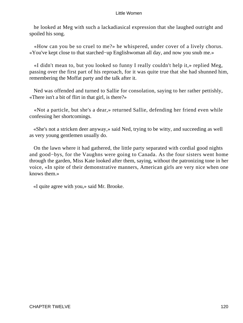he looked at Meg with such a lackadiasical expression that she laughed outright and spoiled his song.

 «How can you be so cruel to me?» he whispered, under cover of a lively chorus. «You've kept close to that starched−up Englishwoman all day, and now you snub me.»

 «I didn't mean to, but you looked so funny I really couldn't help it,» replied Meg, passing over the first part of his reproach, for it was quite true that she had shunned him, remembering the Moffat party and the talk after it.

 Ned was offended and turned to Sallie for consolation, saying to her rather pettishly, «There isn't a bit of flirt in that girl, is there?»

 «Not a particle, but she's a dear,» returned Sallie, defending her friend even while confessing her shortcomings.

 «She's not a stricken deer anyway,» said Ned, trying to be witty, and succeeding as well as very young gentlemen usually do.

 On the lawn where it had gathered, the little party separated with cordial good nights and good−bys, for the Vaughns were going to Canada. As the four sisters went home through the garden, Miss Kate looked after them, saying, without the patronizing tone in her voice, «In spite of their demonstrative manners, American girls are very nice when one knows them.»

«I quite agree with you,» said Mr. Brooke.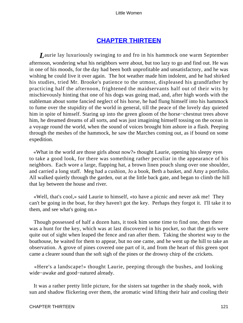# **[CHAPTER THIRTEEN](#page-419-0)**

*L*aurie lay luxuriously swinging to and fro in his hammock one warm September afternoon, wondering what his neighbors were about, but too lazy to go and find out. He was in one of his moods, for the day had been both unprofitable and unsatisfactory, and he was wishing he could live it over again. The hot weather made him indolent, and he had shirked his studies, tried Mr. Brooke's patience to the utmost, displeased his grandfather by practicing half the afternoon, frightened the maidservants half out of their wits by mischievously hinting that one of his dogs was going mad, and, after high words with the stableman about some fancied neglect of his horse, he had flung himself into his hammock to fume over the stupidity of the world in general, till the peace of the lovely day quieted him in spite of himself. Staring up into the green gloom of the horse−chestnut trees above him, he dreamed dreams of all sorts, and was just imagining himself tossing on the ocean in a voyage round the world, when the sound of voices brought him ashore in a flash. Peeping through the meshes of the hammock, he saw the Marches coming out, as if bound on some expedition.

 «What in the world are those girls about now?» thought Laurie, opening his sleepy eyes to take a good look, for there was something rather peculiar in the appearance of his neighbors. Each wore a large, flapping hat, a brown linen pouch slung over one shoulder, and carried a long staff. Meg had a cushion, Jo a book, Beth a basket, and Amy a portfolio. All walked quietly through the garden, out at the little back gate, and began to climb the hill that lay between the house and river.

 «Well, that's cool,» said Laurie to himself, «to have a picnic and never ask me! They can't be going in the boat, for they haven't got the key. Perhaps they forgot it. I'll take it to them, and see what's going on.»

 Though possessed of half a dozen hats, it took him some time to find one, then there was a hunt for the key, which was at last discovered in his pocket, so that the girls were quite out of sight when leaped the fence and ran after them. Taking the shortest way to the boathouse, he waited for them to appear, but no one came, and he went up the hill to take an observation. A grove of pines covered one part of it, and from the heart of this green spot came a clearer sound than the soft sigh of the pines or the drowsy chirp of the crickets.

 «Here's a landscape!» thought Laurie, peeping through the bushes, and looking wide−awake and good−natured already.

 It was a rather pretty little picture, for the sisters sat together in the shady nook, with sun and shadow flickering over them, the aromatic wind lifting their hair and cooling their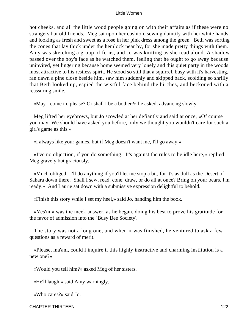hot cheeks, and all the little wood people going on with their affairs as if these were no strangers but old friends. Meg sat upon her cushion, sewing daintily with her white hands, and looking as fresh and sweet as a rose in her pink dress among the green. Beth was sorting the cones that lay thick under the hemlock near by, for she made pretty things with them. Amy was sketching a group of ferns, and Jo was knitting as she read aloud. A shadow passed over the boy's face as he watched them, feeling that he ought to go away because uninvited, yet lingering because home seemed very lonely and this quiet party in the woods most attractive to his restless spirit. He stood so still that a squirrel, busy with it's harvesting, ran dawn a pine close beside him, saw him suddenly and skipped back, scolding so shrilly that Beth looked up, espied the wistful face behind the birches, and beckoned with a reassuring smile.

«May I come in, please? Or shall I be a bother?» he asked, advancing slowly.

 Meg lifted her eyebrows, but Jo scowled at her defiantly and said at once, «Of course you may. We should have asked you before, only we thought you wouldn't care for such a girl's game as this.»

«I always like your games, but if Meg doesn't want me, I'll go away.»

 «I've no objection, if you do something. It's against the rules to be idle here,» replied Meg gravely but graciously.

 «Much obliged. I'll do anything if you'll let me stop a bit, for it's as dull as the Desert of Sahara down there. Shall I sew, read, cone, draw, or do all at once? Bring on your bears. I'm ready.» And Laurie sat down with a submissive expression delightful to behold.

«Finish this story while I set my heel,» said Jo, handing him the book.

 «Yes'm.» was the meek answer, as he began, doing his best to prove his gratitude for the favor of admission into the `Busy Bee Society'.

 The story was not a long one, and when it was finished, he ventured to ask a few questions as a reward of merit.

 «Please, ma'am, could I inquire if this highly instructive and charming institution is a new one?»

«Would you tell him?» asked Meg of her sisters.

«He'll laugh,» said Amy warningly.

«Who cares?» said Jo.

CHAPTER THIRTEEN 122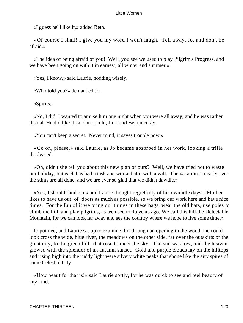«I guess he'll like it,» added Beth.

 «Of course I shall! I give you my word I won't laugh. Tell away, Jo, and don't be afraid.»

 «The idea of being afraid of you! Well, you see we used to play Pilgrim's Progress, and we have been going on with it in earnest, all winter and summer.»

«Yes, I know,» said Laurie, nodding wisely.

«Who told you?» demanded Jo.

«Spirits.»

 «No, I did. I wanted to amuse him one night when you were all away, and he was rather dismal. He did like it, so don't scold, Jo,» said Beth meekly.

«You can't keep a secret. Never mind, it saves trouble now.»

 «Go on, please,» said Laurie, as Jo became absorbed in her work, looking a trifle displeased.

 «Oh, didn't she tell you about this new plan of ours? Well, we have tried not to waste our holiday, but each has had a task and worked at it with a will. The vacation is nearly over, the stints are all done, and we are ever so glad that we didn't dawdle.»

 «Yes, I should think so,» and Laurie thought regretfully of his own idle days. «Mother likes to have us out−of−doors as much as possible, so we bring our work here and have nice times. For the fun of it we bring our things in these bags, wear the old hats, use poles to climb the hill, and play pilgrims, as we used to do years ago. We call this hill the Delectable Mountain, for we can look far away and see the country where we hope to live some time.»

 Jo pointed, and Laurie sat up to examine, for through an opening in the wood one could look cross the wide, blue river, the meadows on the other side, far over the outskirts of the great city, to the green hills that rose to meet the sky. The sun was low, and the heavens glowed with the splendor of an autumn sunset. Gold and purple clouds lay on the hilltops, and rising high into the ruddy light were silvery white peaks that shone like the airy spires of some Celestial City.

 «How beautiful that is!» said Laurie softly, for he was quick to see and feel beauty of any kind.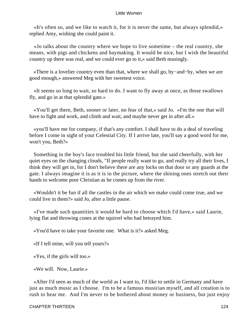«It's often so, and we like to watch it, for it is never the same, but always splendid,» replied Amy, wishing she could paint it.

 «Jo talks about the country where we hope to live sometime – the real country, she means, with pigs and chickens and haymaking. It would be nice, but I wish the beautiful country up there was real, and we could ever go to it,» said Beth musingly.

 «There is a lovelier country even than that, where we shall go, by−and−by, when we are good enough,» answered Meg with her sweetest voice.

 «It seems so long to wait, so hard to do. I want to fly away at once, as those swallows fly, and go in at that splendid gate.»

 «You'll get there, Beth, sooner or later, no fear of that,» said Jo. «I'm the one that will have to fight and work, and climb and wait, and maybe never get in after all.»

 «you'll have me for company, if that's any comfort. I shall have to do a deal of traveling before I come in sight of your Celestial City. If I arrive late, you'll say a good word for me, won't you, Beth?»

 Something in the boy's face troubled his little friend, but she said cheerfully, with her quiet eyes on the changing clouds, "If people really want to go, and really try all their lives, I think they will get in, for I don't believe there are any locks on that door or any guards at the gate. I always imagine it is as it is in the picture, where the shining ones stretch out their hands to welcome poor Christian as he comes up from the river.

 «Wouldn't it be fun if all the castles in the air which we make could come true, and we could live in them?» said Jo, after a little pause.

 «I've made such quantities it would be hard to choose which I'd have,» said Laurie, lying flat and throwing cones at the squirrel who had betrayed him.

«You'd have to take your favorite one. What is it?» asked Meg.

«If I tell mine, will you tell yours?»

«Yes, if the girls will too.»

«We will. Now, Laurie.»

 «After I'd seen as much of the world as I want to, I'd like to settle in Germany and have just as much music as I choose. I'm to be a famous musician myself, and all creation is to rush to hear me. And I'm never to be bothered about money or business, but just enjoy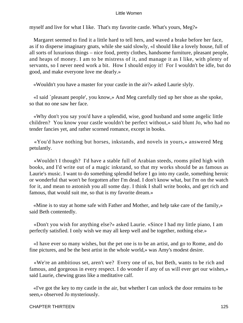myself and live for what I like. That's my favorite castle. What's yours, Meg?»

 Margaret seemed to find it a little hard to tell hers, and waved a brake before her face, as if to disperse imaginary gnats, while she said slowly, «I should like a lovely house, full of all sorts of luxurious things – nice food, pretty clothes, handsome furniture, pleasant people, and heaps of money. I am to be mistress of it, and manage it as I like, with plenty of servants, so I never need work a bit. How I should enjoy it! For I wouldn't be idle, but do good, and make everyone love me dearly.»

«Wouldn't you have a master for your castle in the air?» asked Laurie slyly.

 «I said `pleasant people', you know,» And Meg carefully tied up her shoe as she spoke, so that no one saw her face.

 «Why don't you say you'd have a splendid, wise, good husband and some angelic little children? You know your castle wouldn't be perfect without,» said blunt Jo, who had no tender fancies yet, and rather scorned romance, except in books.

 «You'd have nothing but horses, inkstands, and novels in yours,» answered Meg petulantly.

 «Wouldn't I though? I'd have a stable full of Arabian steeds, rooms piled high with books, and I'd write out of a magic inkstand, so that my works should be as famous as Laurie's music. I want to do something splendid before I go into my castle, something heroic or wonderful that won't be forgotten after I'm dead. I don't know what, but I'm on the watch for it, and mean to astonish you all some day. I think I shall write books, and get rich and famous, that would suit me, so that is my favorite dream.»

 «Mine is to stay at home safe with Father and Mother, and help take care of the family,» said Beth contentedly.

 «Don't you wish for anything else?» asked Laurie. «Since I had my little piano, I am perfectly satisfied. I only wish we may all keep well and be together, nothing else.»

 «I have ever so many wishes, but the pet one is to be an artist, and go to Rome, and do fine pictures, and be the best artist in the whole world,» was Amy's modest desire.

 «We're an ambitious set, aren't we? Every one of us, but Beth, wants to be rich and famous, and gorgeous in every respect. I do wonder if any of us will ever get our wishes,» said Laurie, chewing grass like a meditative calf.

 «I've got the key to my castle in the air, but whether I can unlock the door remains to be seen,» observed Jo mysteriously.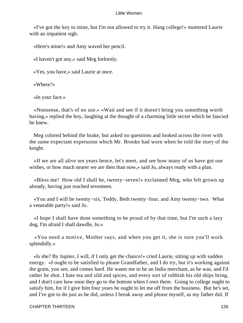«I've got the key to mine, but I'm not allowed to try it. Hang college!» muttered Laurie with an impatient sigh.

«Here's mine!» and Amy waved her pencil.

«I haven't got any,» said Meg forlornly.

«Yes, you have,» said Laurie at once.

«Where?»

«In your face.»

 «Nonsense, that's of no use.» «Wait and see if it doesn't bring you something worth having,» replied the boy, laughing at the thought of a charming little secret which he fancied he knew.

 Meg colored behind the brake, but asked no questions and looked across the river with the same expectant expression which Mr. Brooke had worn when he told the story of the knight.

 «If we are all alive ten years hence, let's meet, and see how many of us have got our wishes, or how much nearer we are then than now,» said Jo, always ready with a plan.

 «Bless me! How old I shall be, twenty−seven!» exclaimed Meg, who felt grown up already, having just reached seventeen.

 «You and I will be twenty−six, Teddy, Beth twenty−four, and Amy twenty−two. What a venerable party!» said Jo.

 «I hope I shall have done something to be proud of by that time, but I'm such a lazy dog, I'm afraid I shall dawdle, Jo.»

 «You need a motive, Mother says, and when you get it, she is sure you'll work splendidly.»

 «Is she? By Jupiter, I will, if I only get the chance!» cried Laurie, sitting up with sudden energy. «I ought to be satisfied to please Grandfather, and I do try, but it's working against the grain, you see, and comes hard. He wants me to be an India merchant, as he was, and I'd rather be shot. I hate tea and sild and spices, and every sort of rubbish his old ships bring, and I don't care how soon they go to the bottom when I own them. Going to college ought to satisfy him, for if I give him four years he ought to let me off from the business. But he's set, and I've got to do just as he did, unless I break away and please myself, as my father did. If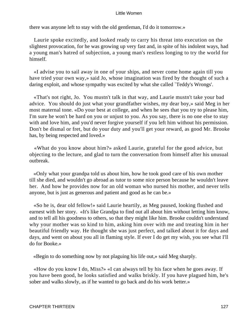there was anyone left to stay with the old gentleman, I'd do it tomorrow.»

 Laurie spoke excitedly, and looked ready to carry his threat into execution on the slightest provocation, for he was growing up very fast and, in spite of his indolent ways, had a young man's hatred of subjection, a young man's restless longing to try the world for himself.

 «I advise you to sail away in one of your ships, and never come home again till you have tried your own way,» said Jo, whose imagination was fired by the thought of such a daring exploit, and whose sympathy was excited by what she called `Teddy's Wrongs'.

 «That's not right, Jo. You mustn't talk in that way, and Laurie mustn't take your bad advice. You should do just what your grandfather wishes, my dear boy,» said Meg in her most maternal tone. «Do your best at college, and when he sees that you try to please him, I'm sure he won't be hard on you or unjust to you. As you say, there is no one else to stay with and love him, and you'd never forgive yourself if you left him without his permission. Don't be dismal or fret, but do your duty and you'll get your reward, as good Mr. Brooke has, by being respected and loved.»

 «What do you know about him?» asked Laurie, grateful for the good advice, but objecting to the lecture, and glad to turn the conversation from himself after his unusual outbreak.

 «Only what your grandpa told us about him, how he took good care of his own mother till she died, and wouldn't go abroad as tutor to some nice person because he wouldn't leave her. And how he provides now for an old woman who nursed his mother, and never tells anyone, but is just as generous and patient and good as he can be.»

 «So he is, dear old fellow!» said Laurie heartily, as Meg paused, looking flushed and earnest with her story. «It's like Grandpa to find out all about him without letting him know, and to tell all his goodness to others, so that they might like him. Brooke couldn't understand why your mother was so kind to him, asking him over with me and treating him in her beautiful friendly way. He thought she was just perfect, and talked about it for days and days, and went on about you all in flaming style. If ever I do get my wish, you see what I'll do for Booke.»

«Begin to do something now by not plaguing his life out,» said Meg sharply.

 «How do you know I do, Miss?» «I can always tell by his face when he goes away. If you have been good, he looks satisfied and walks briskly. If you have plagued him, he's sober and walks slowly, as if he wanted to go back and do his work better.»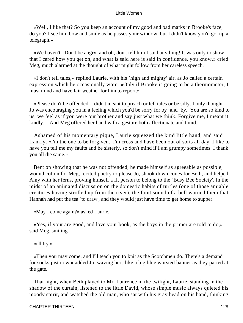«Well, I like that? So you keep an account of my good and bad marks in Brooke's face, do you? I see him bow and smile as he passes your window, but I didn't know you'd got up a telegraph.»

 «We haven't. Don't be angry, and oh, don't tell him I said anything! It was only to show that I cared how you get on, and what is said here is said in confidence, you know,» cried Meg, much alarmed at the thought of what might follow from her careless speech.

 «I don't tell tales,» replied Laurie, with his `high and mighty' air, as Jo called a certain expression which he occasionally wore. «Only if Brooke is going to be a thermometer, I must mind and have fair weather for him to report.»

 «Please don't be offended. I didn't meant to preach or tell tales or be silly. I only thought Jo was encouraging you in a feeling which you'd be sorry for by−and−by. You are so kind to us, we feel as if you were our brother and say just what we think. Forgive me, I meant it kindly.» And Meg offered her hand with a gesture both affectionate and timid.

 Ashamed of his momentary pique, Laurie squeezed the kind little hand, and said frankly, «I'm the one to be forgiven. I'm cross and have been out of sorts all day. I like to have you tell me my faults and be sisterly, so don't mind if I am grumpy sometimes. I thank you all the same.»

 Bent on showing that he was not offended, he made himself as agreeable as possible, wound cotton for Meg, recited poetry to please Jo, shook down cones for Beth, and helped Amy with her ferns, proving himself a fit person to belong to the `Busy Bee Society'. In the midst of an animated discussion on the domestic habits of turtles (one of those amiable creatures having strolled up from the river), the faint sound of a bell warned them that Hannah had put the tea `to draw', and they would just have time to get home to supper.

«May I come again?» asked Laurie.

 «Yes, if your are good, and love your book, as the boys in the primer are told to do,» said Meg, smiling.

«i'll try.»

 «Then you may come, and I'll teach you to knit as the Scotchmen do. There's a demand for socks just now,» added Jo, waving hers like a big blue worsted banner as they parted at the gate.

 That night, when Beth played to Mr. Laurence in the twilight, Laurie, standing in the shadow of the curtain, listened to the little David, whose simple music always quieted his moody spirit, and watched the old man, who sat with his gray head on his hand, thinking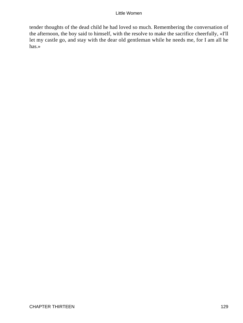tender thoughts of the dead child he had loved so much. Remembering the conversation of the afternoon, the boy said to himself, with the resolve to make the sacrifice cheerfully, «I'll let my castle go, and stay with the dear old gentleman while he needs me, for I am all he has.»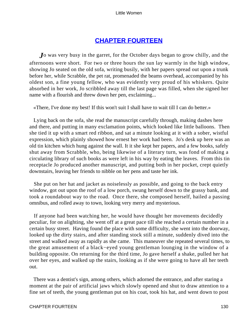# **[CHAPTER FOURTEEN](#page-419-0)**

*J*o was very busy in the garret, for the October days began to grow chilly, and the afternoons were short. For two or three hours the sun lay warmly in the high window, showing Jo seated on the old sofa, writing busily, with her papers spread out upon a trunk before her, while Scrabble, the pet rat, promenaded the beams overhead, accompanied by his oldest son, a fine young fellow, who was evidently very proud of his whiskers. Quite absorbed in her work, Jo scribbled away till the last page was filled, when she signed her name with a flourish and threw down her pen, exclaiming...

«There, I've done my best! If this won't suit I shall have to wait till I can do better.»

 Lying back on the sofa, she read the manuscript carefully through, making dashes here and there, and putting in many exclamation points, which looked like little balloons. Then she tied it up with a smart red ribbon, and sat a minute looking at it with a sober, wistful expression, which plainly showed how ernest her work had been. Jo's desk up here was an old tin kitchen which hung against the wall. It it she kept her papers, and a few books, safely shut away from Scrabble, who, being likewise of a literary turn, was fond of making a circulating library of such books as were left in his way by eating the leaves. From this tin receptacle Jo produced another manuscript, and putting both in her pocket, crept quietly downstairs, leaving her friends to nibble on her pens and taste her ink.

 She put on her hat and jacket as noiselessly as possible, and going to the back entry window, got out upon the roof of a low porch, swung herself down to the grassy bank, and took a roundabout way to the road. Once there, she composed herself, hailed a passing omnibus, and rolled away to town, looking very merry and mysterious.

 If anyone had been watching her, he would have thought her movements decidedly peculiar, for on alighting, she went off at a great pace till she reached a certain number in a certain busy street. Having found the place with some difficulty, she went into the doorway, looked up the dirty stairs, and after standing stock still a minute, suddenly dived into the street and walked away as rapidly as she came. This maneuver she repeated several times, to the great amusement of a black−eyed young gentleman lounging in the window of a building opposite. On returning for the third time, Jo gave herself a shake, pulled her hat over her eyes, and walked up the stairs, looking as if she were going to have all her teeth out.

 There was a dentist's sign, among others, which adorned the entrance, and after staring a moment at the pair of artificial jaws which slowly opened and shut to draw attention to a fine set of teeth, the young gentleman put on his coat, took his hat, and went down to post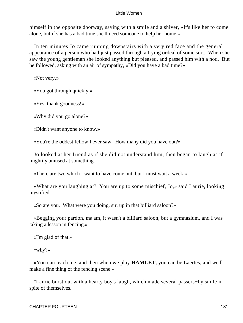himself in the opposite doorway, saying with a smile and a shiver, «It's like her to come alone, but if she has a bad time she'll need someone to help her home.»

 In ten minutes Jo came running downstairs with a very red face and the general appearance of a person who had just passed through a trying ordeal of some sort. When she saw the young gentleman she looked anything but pleased, and passed him with a nod. But he followed, asking with an air of sympathy, «Did you have a bad time?»

«Not very.»

«You got through quickly.»

«Yes, thank goodness!»

«Why did you go alone?»

«Didn't want anyone to know.»

«You're the oddest fellow I ever saw. How many did you have out?»

 Jo looked at her friend as if she did not understand him, then began to laugh as if mightily amused at something.

«There are two which I want to have come out, but I must wait a week.»

 «What are you laughing at? You are up to some mischief, Jo,» said Laurie, looking mystified.

«So are you. What were you doing, sir, up in that billiard saloon?»

 «Begging your pardon, ma'am, it wasn't a billiard saloon, but a gymnasium, and I was taking a lesson in fencing.»

«I'm glad of that.»

«why?»

 «You can teach me, and then when we play **HAMLET,** you can be Laertes, and we'll make a fine thing of the fencing scene.»

 "Laurie burst out with a hearty boy's laugh, which made several passers−by smile in spite of themselves.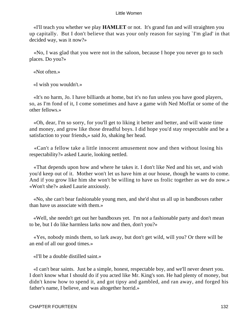«I'll teach you whether we play **HAMLET** or not. It's grand fun and will straighten you up capitally. But I don't believe that was your only reason for saying `I'm glad' in that decided way, was it now?»

 «No, I was glad that you were not in the saloon, because I hope you never go to such places. Do you?»

«Not often.»

«I wish you wouldn't.»

 «It's no harm, Jo. I have billiards at home, but it's no fun unless you have good players, so, as I'm fond of it, I come sometimes and have a game with Ned Moffat or some of the other fellows.»

 «Oh, dear, I'm so sorry, for you'll get to liking it better and better, and will waste time and money, and grow like those dreadful boys. I did hope you'd stay respectable and be a satisfaction to your friends,» said Jo, shaking her head.

 «Can't a fellow take a little innocent amusement now and then without losing his respectability?» asked Laurie, looking nettled.

 «That depends upon how and where he takes it. I don't like Ned and his set, and wish you'd keep out of it. Mother won't let us have him at our house, though he wants to come. And if you grow like him she won't be willing to have us frolic together as we do now.» «Won't she?» asked Laurie anxiously.

 «No, she can't bear fashionable young men, and she'd shut us all up in bandboxes rather than have us associate with them.»

 «Well, she needn't get out her bandboxes yet. I'm not a fashionable party and don't mean to be, but I do like harmless larks now and then, don't you?»

 «Yes, nobody minds them, so lark away, but don't get wild, will you? Or there will be an end of all our good times.»

«I'll be a double distilled saint.»

 «I can't bear saints. Just be a simple, honest, respectable boy, and we'll never desert you. I don't know what I should do if you acted like Mr. King's son. He had plenty of money, but didn't know how to spend it, and got tipsy and gambled, and ran away, and forged his father's name, I believe, and was altogether horrid.»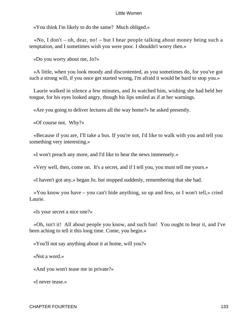«You think I'm likely to do the same? Much obliged.»

«No, I don't – oh, dear, no! – but I hear people talking about money being such a temptation, and I sometimes wish you were poor. I shouldn't worry then.»

«Do you worry about me, Jo?»

 «A little, when you look moody and discontented, as you sometimes do, for you've got such a strong will, if you once get started wrong, I'm afraid it would be hard to stop you.»

 Laurie walked in silence a few minutes, and Jo watched him, wishing she had held her tongue, for his eyes looked angry, though his lips smiled as if at her warnings.

«Are you going to deliver lectures all the way home?» he asked presently.

«Of course not. Why?»

 «Because if you are, I'll take a bus. If you're not, I'd like to walk with you and tell you something very interesting.»

«I won't preach any more, and I'd like to hear the news immensely.»

«Very well, then, come on. It's a secret, and if I tell you, you must tell me yours.»

«I haven't got any,» began Jo, but stopped suddenly, remembering that she had.

 «You know you have – you can't hide anything, so up and fess, or I won't tell,» cried Laurie.

«Is your secret a nice one?»

 «Oh, isn't it! All about people you know, and such fun! You ought to hear it, and I've been aching to tell it this long time. Come, you begin.»

«You'll not say anything about it at home, will you?»

«Not a word.»

«And you won't tease me in private?»

«I never tease.»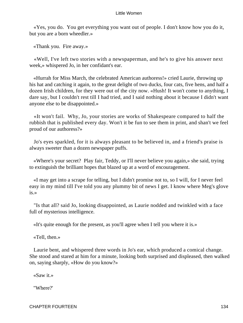«Yes, you do. You get everything you want out of people. I don't know how you do it, but you are a born wheedler.»

«Thank you. Fire away.»

 «Well, I've left two stories with a newspaperman, and he's to give his answer next week,» whispered Jo, in her confidant's ear.

 «Hurrah for Miss March, the celebrated American authoress!» cried Laurie, throwing up his hat and catching it again, to the great delight of two ducks, four cats, five hens, and half a dozen Irish children, for they were out of the city now. «Hush! It won't come to anything, I dare say, but I couldn't rest till I had tried, and I said nothing about it because I didn't want anyone else to be disappointed.»

 «It won't fail. Why, Jo, your stories are works of Shakespeare compared to half the rubbish that is published every day. Won't it be fun to see them in print, and shan't we feel proud of our authoress?»

 Jo's eyes sparkled, for it is always pleasant to be believed in, and a friend's praise is always sweeter than a dozen newspaper puffs.

 «Where's your secret? Play fair, Teddy, or I'll never believe you again,» she said, trying to extinguish the brilliant hopes that blazed up at a word of encouragement.

 «I may get into a scrape for telling, but I didn't promise not to, so I will, for I never feel easy in my mind till I've told you any plummy bit of news I get. I know where Meg's glove is.»

 "Is that all? said Jo, looking disappointed, as Laurie nodded and twinkled with a face full of mysterious intelligence.

«It's quite enough for the present, as you'll agree when I tell you where it is.»

«Tell, then.»

 Laurie bent, and whispered three words in Jo's ear, which produced a comical change. She stood and stared at him for a minute, looking both surprised and displeased, then walked on, saying sharply, «How do you know?»

«Saw it.»

"Where?'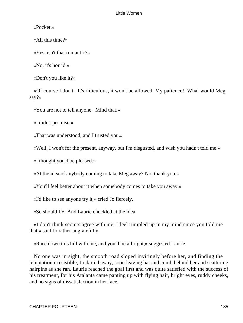«Pocket.»

«All this time?»

«Yes, isn't that romantic?»

«No, it's horrid.»

«Don't you like it?»

 «Of course I don't. It's ridiculous, it won't be allowed. My patience! What would Meg say?»

«You are not to tell anyone. Mind that.»

«I didn't promise.»

«That was understood, and I trusted you.»

«Well, I won't for the present, anyway, but I'm disgusted, and wish you hadn't told me.»

«I thought you'd be pleased.»

«At the idea of anybody coming to take Meg away? No, thank you.»

«You'll feel better about it when somebody comes to take you away.»

«I'd like to see anyone try it,» cried Jo fiercely.

«So should I!» And Laurie chuckled at the idea.

 «I don't think secrets agree with me, I feel rumpled up in my mind since you told me that,» said Jo rather ungratefully.

«Race down this hill with me, and you'll be all right,» suggested Laurie.

 No one was in sight, the smooth road sloped invitingly before her, and finding the temptation irresistible, Jo darted away, soon leaving hat and comb behind her and scattering hairpins as she ran. Laurie reached the goal first and was quite satisfied with the success of his treatment, for his Atalanta came panting up with flying hair, bright eyes, ruddy cheeks, and no signs of dissatisfaction in her face.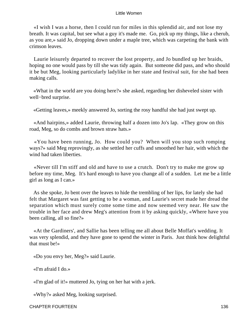«I wish I was a horse, then I could run for miles in this splendid air, and not lose my breath. It was capital, but see what a guy it's made me. Go, pick up my things, like a cherub, as you are,» said Jo, dropping down under a maple tree, which was carpeting the bank with crimson leaves.

 Laurie leisurely departed to recover the lost property, and Jo bundled up her braids, hoping no one would pass by till she was tidy again. But someone did pass, and who should it be but Meg, looking particularly ladylike in her state and festival suit, for she had been making calls.

 «What in the world are you doing here?» she asked, regarding her disheveled sister with well−bred surprise.

«Getting leaves,» meekly answered Jo, sorting the rosy handful she had just swept up.

 «And hairpins,» added Laurie, throwing half a dozen into Jo's lap. «They grow on this road, Meg, so do combs and brown straw hats.»

 «You have been running, Jo. How could you? When will you stop such romping ways?» said Meg reprovingly, as she settled her cuffs and smoothed her hair, with which the wind had taken liberties.

 «Never till I'm stiff and old and have to use a crutch. Don't try to make me grow up before my time, Meg. It's hard enough to have you change all of a sudden. Let me be a little girl as long as I can.»

 As she spoke, Jo bent over the leaves to hide the trembling of her lips, for lately she had felt that Margaret was fast getting to be a woman, and Laurie's secret made her dread the separation which must surely come some time and now seemed very near. He saw the trouble in her face and drew Meg's attention from it by asking quickly, «Where have you been calling, all so fine?»

 «At the Gardiners', and Sallie has been telling me all about Belle Moffat's wedding. It was very splendid, and they have gone to spend the winter in Paris. Just think how delightful that must be!»

«Do you envy her, Meg?» said Laurie.

«I'm afraid I do.»

«I'm glad of it!» muttered Jo, tying on her hat with a jerk.

«Why?» asked Meg, looking surprised.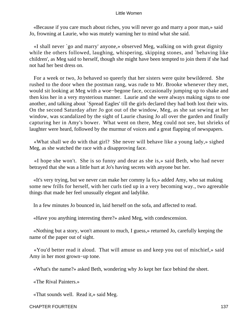«Because if you care much about riches, you will never go and marry a poor man,» said Jo, frowning at Laurie, who was mutely warning her to mind what she said.

 «I shall never `go and marry' anyone,» observed Meg, walking on with great dignity while the others followed, laughing, whispering, skipping stones, and `behaving like children', as Meg said to herself, though she might have been tempted to join them if she had not had her best dress on.

 For a week or two, Jo behaved so queerly that her sisters were quite bewildered. She rushed to the door when the postman rang, was rude to Mr. Brooke whenever they met, would sit looking at Meg with a woe−begone face, occasionally jumping up to shake and then kiss her in a very mysterious manner. Laurie and she were always making signs to one another, and talking about `Spread Eagles' till the girls declared they had both lost their wits. On the second Saturday after Jo got out of the window, Meg, as she sat sewing at her window, was scandalized by the sight of Laurie chasing Jo all over the garden and finally capturing her in Amy's bower. What went on there, Meg could not see, but shrieks of laughter were heard, followed by the murmur of voices and a great flapping of newspapers.

 «What shall we do with that girl? She never will behave like a young lady,» sighed Meg, as she watched the race with a disapproving face.

 «I hope she won't. She is so funny and dear as she is,» said Beth, who had never betrayed that she was a little hurt at Jo's having secrets with anyone but her.

 «It's very trying, but we never can make her commy la fo,» added Amy, who sat making some new frills for herself, with her curls tied up in a very becoming way., two agreeable things that made her feel unusually elegant and ladylike.

In a few minutes Jo bounced in, laid herself on the sofa, and affected to read.

«Have you anything interesting there?» asked Meg, with condescension.

 «Nothing but a story, won't amount to much, I guess,» returned Jo, carefully keeping the name of the paper out of sight.

 «You'd better read it aloud. That will amuse us and keep you out of mischief,» said Amy in her most grown−up tone.

«What's the name?» asked Beth, wondering why Jo kept her face behind the sheet.

«The Rival Painters.»

«That sounds well. Read it,» said Meg.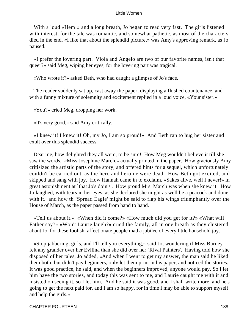With a loud «Hem!» and a long breath, Jo began to read very fast. The girls listened with interest, for the tale was romantic, and somewhat pathetic, as most of the characters died in the end. «I like that about the splendid picture,» was Amy's approving remark, as Jo paused.

 «I prefer the lovering part. Viola and Angelo are two of our favorite names, isn't that queer?» said Meg, wiping her eyes, for the lovering part was tragical.

«Who wrote it?» asked Beth, who had caught a glimpse of Jo's face.

 The reader suddenly sat up, cast away the paper, displaying a flushed countenance, and with a funny mixture of solemnity and excitement replied in a loud voice, «Your sister.»

«You?» cried Meg, dropping her work.

«It's very good,» said Amy critically.

 «I knew it! I knew it! Oh, my Jo, I am so proud!» And Beth ran to hug her sister and exult over this splendid success.

 Dear me, how delighted they all were, to be sure! How Meg wouldn't believe it till she saw the words. «Miss Josephine March,» actually printed in the paper. How graciously Amy critisized the artistic parts of the story, and offered hints for a sequel, which unfortunately couldn't be carried out, as the hero and heroine were dead. How Beth got excited, and skipped and sang with joy. How Hannah came in to exclaim, «Sakes alive, well I never!» in great astonishment at `that Jo's doin's'. How proud Mrs. March was when she knew it. How Jo laughed, with tears in her eyes, as she declared she might as well be a peacock and done with it. and how th `Spread Eagle' might be said to flap his wings triumphantly over the House of March, as the paper passed from hand to hand.

 «Tell us about it.» «When did it come?» «How much did you get for it?» «What will Father say?» «Won't Laurie laugh?» cried the family, all in one breath as they clustered about Jo, for these foolish, affectionate people mad a jubilee of every little household joy.

 «Stop jabbering, girls, and I'll tell you everything,» said Jo, wondering if Miss Burney felt any grander over her Evilina than she did over her `Rival Painters'. Having told how she disposed of her tales, Jo added, «And when I went to get my answer, the man said he liked them both, but didn't pay beginners, only let them print in his paper, and noticed the stories. It was good practice, he said, and when the beginners improved, anyone would pay. So I let him have the two stories, and today this was sent to me, and Laurie caught me with it and insisted on seeing it, so I let him. And he said it was good, and I shall write more, and he's going to get the next paid for, and I am so happy, for in time I may be able to support myself and help the girls.»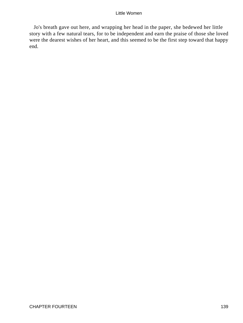Jo's breath gave out here, and wrapping her head in the paper, she bedewed her little story with a few natural tears, for to be independent and earn the praise of those she loved were the dearest wishes of her heart, and this seemed to be the first step toward that happy end.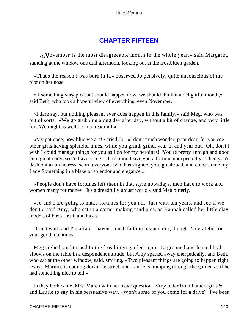# **[CHAPTER FIFTEEN](#page-419-0)**

*«N*ovember is the most disagreeable month in the whole year,» said Margaret, standing at the window one dull afternoon, looking out at the frostbitten garden.

 «That's the reason I was born in it,» observed Jo pensively, quite unconscious of the blot on her nose.

 «If something very pleasant should happen now, we should think it a delightful month,» said Beth, who took a hopeful view of everything, even November.

 «I dare say, but nothing pleasant ever does happen in this family,» said Meg, who was out of sorts. «We go grubbing along day after day, without a bit of change, and very little fun. We might as well be in a treadmill.»

 «My patience, how blue we are!» cried Jo. «I don't much wonder, poor dear, for you see other girls having splendid times, while you grind, grind, year in and year out. Oh, don't I wish I could manage things for you as I do for my heroines! You're pretty enough and good enough already, so I'd have some rich relation leave you a fortune unexpectedly. Then you'd dash out as an heiress, scorn everyone who has slighted you, go abroad, and come home my Lady Something in a blaze of splendor and elegance.»

 «People don't have fortunes left them in that style nowadays, men have to work and women marry for money. It's a dreadfully unjust world,» said Meg bitterly.

 «Jo and I are going to make fortunes for you all. Just wait ten years, and see if we don't,» said Amy, who sat in a corner making mud pies, as Hannah called her little clay models of birds, fruit, and faces.

 "Can't wait, and I'm afraid I haven't much faith in ink and dirt, though I'm grateful for your good intentions.

 Meg sighed, and turned to the frostbitten garden again. Jo groaned and leaned both elbows on the table in a despondent attitude, but Amy spatted away energetically, and Beth, who sat at the other window, said, smiling, «Two pleasant things are going to happen right away. Marmee is coming down the street, and Laurie is tramping through the garden as if he had something nice to tell.»

 In they both came, Mrs. March with her usual question, «Any letter from Father, girls?» and Laurie to say in his persuasive way, «Won't some of you come for a drive? I've been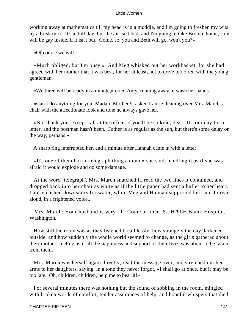working away at mathematics till my head is in a muddle, and I'm going to freshen my wits by a brisk turn. It's a dull day, but the air isn't bad, and I'm going to take Brooke home, so it will be gay inside, if it isn't out. Come, Jo, you and Beth will go, won't you?»

«Of course we will.»

 «Much obliged, but I'm busy.» And Meg whisked out her workbasket, for she had agreed with her mother that it was best, for her at least, not to drive too often with the young gentleman.

«We three will be ready in a minute,» cried Amy, running away to wash her hands.

 «Can I do anything for you, Madam Mother?» asked Laurie, leaning over Mrs. March's chair with the affectionate look and tone he always gave her.

 «No, thank you, except call at the office, if you'll be so kind, dear. It's our day for a letter, and the postman hasn't been. Father is as regular as the sun, but there's some delay on the way, perhaps.»

A sharp ring interrupted her, and a minute after Hannah came in with a letter.

 «It's one of them horrid telegraph things, mum,» she said, handling it as if she was afraid it would explode and do some damage.

 At the word `telegraph', Mrs. March snatched it, read the two lines it contained, and dropped back into her chair as white as if the little paper had sent a bullet to her heart. Laurie dashed downstairs for water, while Meg and Hannah supported her, and Jo read aloud, in a frightened voice...

 Mrs. March: Your husband is very ill. Come at once. S. **HALE** Blank Hospital, Washington.

 How still the room was as they listened breathlessly, how strangely the day darkened outside, and how suddenly the whole world seemed to change, as the girls gathered about their mother, feeling as if all the happiness and support of their lives was about to be taken from them.

 Mrs. March was herself again directly, read the message over, and stretched out her arms to her daughters, saying, in a tone they never forgot, «I shall go at once, but it may be too late. Oh, children, children, help me to bear it!»

 For several minutes there was nothing but the sound of sobbing in the room, mingled with broken words of comfort, tender assurances of help, and hopeful whispers that died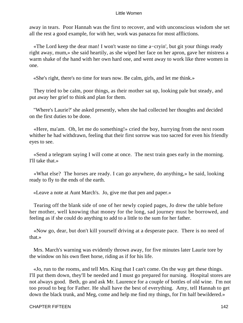away in tears. Poor Hannah was the first to recover, and with unconscious wisdom she set all the rest a good example, for with her, work was panacea for most afflictions.

 «The Lord keep the dear man! I won't waste no time a−cryin', but git your things ready right away, mum,» she said heartily, as she wiped her face on her apron, gave her mistress a warm shake of the hand with her own hard one, and went away to work like three women in one.

«She's right, there's no time for tears now. Be calm, girls, and let me think.»

 They tried to be calm, poor things, as their mother sat up, looking pale but steady, and put away her grief to think and plan for them.

 "Where's Laurie?' she asked presently, when she had collected her thoughts and decided on the first duties to be done.

 «Here, ma'am. Oh, let me do something!» cried the boy, hurrying from the next room whither he had withdrawn, feeling that their first sorrow was too sacred for even his friendly eyes to see.

 «Send a telegram saying I will come at once. The next train goes early in the morning. I'll take that.»

 «What else? The horses are ready. I can go anywhere, do anything,» he said, looking ready to fly to the ends of the earth.

«Leave a note at Aunt March's. Jo, give me that pen and paper.»

 Tearing off the blank side of one of her newly copied pages, Jo drew the table before her mother, well knowing that money for the long, sad journey must be borrowed, and feeling as if she could do anything to add to a little to the sum for her father.

 «Now go, dear, but don't kill yourself driving at a desperate pace. There is no need of that.»

 Mrs. March's warning was evidently thrown away, for five minutes later Laurie tore by the window on his own fleet horse, riding as if for his life.

 «Jo, run to the rooms, and tell Mrs. King that I can't come. On the way get these things. I'll put them down, they'll be needed and I must go prepared for nursing. Hospital stores are not always good. Beth, go and ask Mr. Laurence for a couple of bottles of old wine. I'm not too proud to beg for Father. He shall have the best of everything. Amy, tell Hannah to get down the black trunk, and Meg, come and help me find my things, for I'm half bewildered.»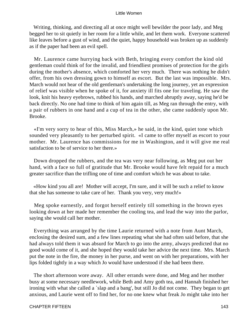Writing, thinking, and directing all at once might well bewilder the poor lady, and Meg begged her to sit quietly in her room for a little while, and let them work. Everyone scattered like leaves before a gust of wind, and the quiet, happy household was broken up as suddenly as if the paper had been an evil spell.

 Mr. Laurence came hurrying back with Beth, bringing every comfort the kind old gentleman could think of for the invalid, and friendliest promises of protection for the girls during the mother's absence, which comforted her very much. There was nothing he didn't offer, from his own dressing gown to himself as escort. But the last was impossible. Mrs. March would not hear of the old gentleman's undertaking the long journey, yet an expression of relief was visible when he spoke of it, for anxiety ill fits one for traveling. He saw the look, knit his heavy eyebrows, rubbed his hands, and marched abruptly away, saying he'd be back directly. No one had time to think of him again till, as Meg ran through the entry, with a pair of rubbers in one hand and a cup of tea in the other, she came suddenly upon Mr. Brooke.

 «I'm very sorry to hear of this, Miss March,» he said, in the kind, quiet tone which sounded very pleasantly to her perturbed spirit. «I came to offer myself as escort to your mother. Mr. Laurence has commissions for me in Washington, and it will give me real satisfaction to be of service to her there.»

 Down dropped the rubbers, and the tea was very near following, as Meg put out her hand, with a face so full of gratitude that Mr. Brooke would have felt repaid for a much greater sacrifice than the trifling one of time and comfort which he was about to take.

 «How kind you all are! Mother will accept, I'm sure, and it will be such a relief to know that she has someone to take care of her. Thank you very, very much!»

 Meg spoke earnestly, and forgot herself entirely till something in the brown eyes looking down at her made her remember the cooling tea, and lead the way into the parlor, saying she would call her mother.

 Everything was arranged by the time Laurie returned with a note from Aunt March, enclosing the desired sum, and a few lines repeating what she had often said before, that she had always told them it was absurd for March to go into the army, always predicted that no good would come of it, and she hoped they would take her advice the next time. Mrs. March put the note in the fire, the money in her purse, and went on with her preparations, with her lips folded tightly in a way which Jo would have understood if she had been there.

 The short afternoon wore away. All other errands were done, and Meg and her mother busy at some necessary needlework, while Beth and Amy goth tea, and Hannah finished her ironing with what she called a `slap and a bang', but still Jo did not come. They began to get anxious, and Laurie went off to find her, for no one knew what freak Jo might take into her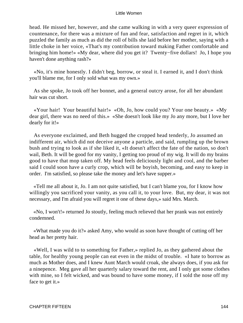head. He missed her, however, and she came walking in with a very queer expression of countenance, for there was a mixture of fun and fear, satisfaction and regret in it, which puzzled the family as much as did the roll of bills she laid before her mother, saying with a little choke in her voice, «That's my contribution toward making Father comfortable and bringing him home!» «My dear, where did you get it? Twenty−five dollars! Jo, I hope you haven't done anything rash?»

 «No, it's mine honestly. I didn't beg, borrow, or steal it. I earned it, and I don't think you'll blame me, for I only sold what was my own.»

 As she spoke, Jo took off her bonnet, and a general outcry arose, for all her abundant hair was cut short.

 «Your hair! Your beautiful hair!» «Oh, Jo, how could you? Your one beauty.» «My dear girl, there was no need of this.» «She doesn't look like my Jo any more, but I love her dearly for it!»

 As everyone exclaimed, and Beth hugged the cropped head tenderly, Jo assumed an indifferent air, which did not deceive anyone a particle, and said, rumpling up the brown bush and trying to look as if she liked it, «It doesn't affect the fate of the nation, so don't wail, Beth. It will be good for my vanity, I getting too proud of my wig. It will do my brains good to have that mop taken off. My head feels deliciously light and cool, and the barber said I could soon have a curly crop, which will be boyish, becoming, and easy to keep in order. I'm satisfied, so please take the money and let's have supper.»

 «Tell me all about it, Jo. I am not quite satisfied, but I can't blame you, for I know how willingly you sacrificed your vanity, as you call it, to your love. But, my dear, it was not necessary, and I'm afraid you will regret it one of these days,» said Mrs. March.

 «No, I won't!» returned Jo stoutly, feeling much relieved that her prank was not entirely condemned.

 «What made you do it?» asked Amy, who would as soon have thought of cutting off her head as her pretty hair.

 «Well, I was wild to to something for Father,» replied Jo, as they gathered about the table, for healthy young people can eat even in the midst of trouble. «I hate to borrow as much as Mother does, and I knew Aunt March would croak, she always does, if you ask for a ninepence. Meg gave all her quarterly salary toward the rent, and I only got some clothes with mine, so I felt wicked, and was bound to have some money, if I sold the nose off my face to get it.»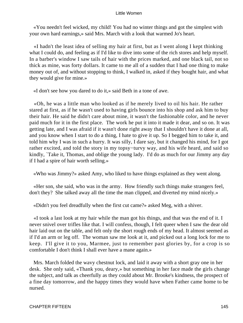«You needn't feel wicked, my child! You had no winter things and got the simplest with your own hard earnings,» said Mrs. March with a look that warmed Jo's heart.

 «I hadn't the least idea of selling my hair at first, but as I went along I kept thinking what I could do, and feeling as if I'd like to dive into some of the rich stores and help myself. In a barber's window I saw tails of hair with the prices marked, and one black tail, not so thick as mine, was forty dollars. It came to me all of a sudden that I had one thing to make money out of, and without stopping to think, I walked in, asked if they bought hair, and what they would give for mine.»

«I don't see how you dared to do it,» said Beth in a tone of awe.

 «Oh, he was a little man who looked as if he merely lived to oil his hair. He rather stared at first, as if he wasn't used to having girls bounce into his shop and ask him to buy their hair. He said he didn't care about mine, it wasn't the fashionable color, and he never paid much for it in the first place. The work he put it into it made it dear, and so on. It was getting late, and I was afraid if it wasn't done right away that I shouldn't have it done at all, and you know when I start to do a thing, I hate to give it up. So I begged him to take it, and told him why I was in such a hurry. It was silly, I dare say, but it changed his mind, for I got rather excited, and told the story in my topsy−turvy way, and his wife heard, and said so kindly, `Take it, Thomas, and oblige the young lady. I'd do as much for our Jimmy any day if I had a spire of hair worth selling.»

«Who was Jimmy?» asked Amy, who liked to have things explained as they went along.

 «Her son, she said, who was in the army. How friendly such things make strangers feel, don't they? She talked away all the time the man clipped, and diverted my mind nicely.»

«Didn't you feel dreadfully when the first cut came?» asked Meg, with a shiver.

 «I took a last look at my hair while the man got his things, and that was the end of it. I never snivel over trifles like that. I will confess, though, I felt queer when I saw the dear old hair laid out on the table, and felt only the short rough ends of my head. It almost seemed as if I'd an arm or leg off. The woman saw me look at it, and picked out a long lock for me to keep. I'll give it to you, Marmee, just to remember past glories by, for a crop is so comfortable I don't think I shall ever have a mane again.»

 Mrs. March folded the wavy chestnut lock, and laid it away with a short gray one in her desk. She only said, «Thank you, deary,» but something in her face made the girls change the subject, and talk as cheerfully as they could about Mr. Brooke's kindness, the prospect of a fine day tomorrow, and the happy times they would have when Father came home to be nursed.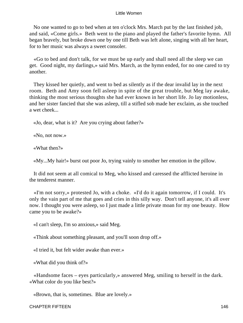No one wanted to go to bed when at ten o'clock Mrs. March put by the last finished job, and said, «Come girls.» Beth went to the piano and played the father's favorite hymn. All began bravely, but broke down one by one till Beth was left alone, singing with all her heart, for to her music was always a sweet consoler.

 «Go to bed and don't talk, for we must be up early and shall need all the sleep we can get. Good night, my darlings,» said Mrs. March, as the hymn ended, for no one cared to try another.

 They kissed her quietly, and went to bed as silently as if the dear invalid lay in the next room. Beth and Amy soon fell asleep in spite of the great trouble, but Meg lay awake, thinking the most serious thoughts she had ever known in her short life. Jo lay motionless, and her sister fancied that she was asleep, till a stifled sob made her exclaim, as she touched a wet cheek...

«Jo, dear, what is it? Are you crying about father?»

«No, not now.»

«What then?»

«My...My hair!» burst out poor Jo, trying vainly to smother her emotion in the pillow.

 It did not seem at all comical to Meg, who kissed and caressed the afflicted heroine in the tenderest manner.

 «I'm not sorry,» protested Jo, with a choke. «I'd do it again tomorrow, if I could. It's only the vain part of me that goes and cries in this silly way. Don't tell anyone, it's all over now. I thought you were asleep, so I just made a little private moan for my one beauty. How came you to be awake?»

«I can't sleep, I'm so anxious,» said Meg.

«Think about something pleasant, and you'll soon drop off.»

«I tried it, but felt wider awake than ever.»

«What did you think of?»

 «Handsome faces – eyes particularly,» answered Meg, smiling to herself in the dark. «What color do you like best?»

«Brown, that is, sometimes. Blue are lovely.»

CHAPTER FIFTEEN 146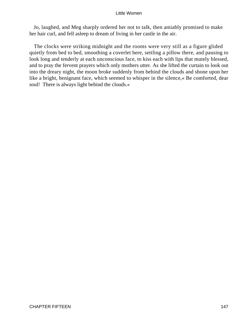Jo, laughed, and Meg sharply ordered her not to talk, then amiably promised to make her hair curl, and fell asleep to dream of living in her castle in the air.

 The clocks were striking midnight and the rooms were very still as a figure glided quietly from bed to bed, smoothing a coverlet here, settling a pillow there, and pausing to look long and tenderly at each unconscious face, to kiss each with lips that mutely blessed, and to pray the fervent prayers which only mothers utter. As she lifted the curtain to look out into the dreary night, the moon broke suddenly from behind the clouds and shone upon her like a bright, benignant face, which seemed to whisper in the silence,« Be comforted, dear soul! There is always light behind the clouds.»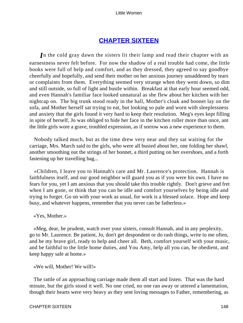# **[CHAPTER SIXTEEN](#page-419-0)**

*I*n the cold gray dawn the sisters lit their lamp and read their chapter with an earnestness never felt before. For now the shadow of a real trouble had come, the little books were full of help and comfort, and as they dressed, they agreed to say goodbye cheerfully and hopefully, and send their mother on her anxious journey unsaddened by tears or complaints from them. Everything seemed very strange when they went down, so dim and still outside, so full of light and bustle within. Breakfast at that early hour seemed odd, and even Hannah's familiar face looked unnatural as she flew about her kitchen with her nightcap on. The big trunk stood ready in the hall, Mother's cloak and bonnet lay on the sofa, and Mother herself sat trying to eat, but looking so pale and worn with sleeplessness and anxiety that the girls found it very hard to keep their resolution. Meg's eyes kept filling in spite of herself, Jo was obliged to hide her face in the kitchen roller more than once, ant the little girls wore a grave, troubled expression, as if sorrow was a new experience to them.

 Nobody talked much, but as the time drew very near and they sat waiting for the carriage, Mrs. March said to the girls, who were all busied about her, one folding her shawl, another smoothing out the strings of her bonnet, a third putting on her overshoes, and a forth fastening up her travelling bag...

 «Children, I leave you to Hannah's care and Mr. Laurence's protection. Hannah is faithfulness itself, and our good neighbor will guard you as if you were his own. I have no fears for you, yet I am anxious that you should take this trouble rightly. Don't grieve and fret when I am gone, or think that you can be idle and comfort yourselves by being idle and trying to forget. Go on with your work as usual, for work is a blessed solace. Hope and keep busy, and whatever happens, remember that you never can be fatherless.»

# «Yes, Mother.»

 «Meg, dear, be prudent, watch over your sisters, consult Hannah, and in any perplexity, go to Mr. Laurence. Be patient, Jo, don't get despondent or do rash things, write to me often, and be my brave girl, ready to help and cheer all. Beth, comfort yourself with your music, and be faithful to the little home duties, and You Amy, help all you can, be obedient, and keep happy safe at home.»

## «We will, Mother! We will!»

 The rattle of an approaching carriage made them all start and listen. That was the hard minute, but the girls stood it well. No one cried, no one ran away or uttered a lamentation, though their hearts were very heavy as they sent loving messages to Father, remembering, as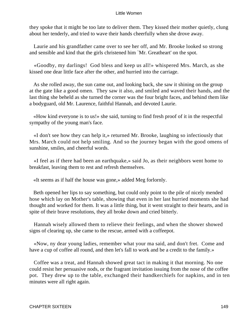they spoke that it might be too late to deliver them. They kissed their mother quietly, clung about her tenderly, and tried to wave their hands cheerfully when she drove away.

 Laurie and his grandfather came over to see her off, and Mr. Brooke looked so strong and sensible and kind that the girls christened him `Mr. Greatheart' on the spot.

 «Goodby, my darlings! God bless and keep us all!» whispered Mrs. March, as she kissed one dear little face after the other, and hurried into the carriage.

 As she rolled away, the sun came out, and looking back, she saw it shining on the group at the gate like a good omen. They saw it also, and smiled and waved their hands, and the last thing she beheld as she turned the corner was the four bright faces, and behind them like a bodyguard, old Mr. Laurence, faithful Hannah, and devoted Laurie.

 «How kind everyone is to us!» she said, turning to find fresh proof of it in the respectful sympathy of the young man's face.

 «I don't see how they can help it,» returned Mr. Brooke, laughing so infectiously that Mrs. March could not help smiling. And so the journey began with the good omens of sunshine, smiles, and cheerful words.

 «I feel as if there had been an earthquake,» said Jo, as their neighbors went home to breakfast, leaving them to rest and refresh themselves.

«It seems as if half the house was gone,» added Meg forlornly.

 Beth opened her lips to say something, but could only point to the pile of nicely mended hose which lay on Mother's table, showing that even in her last hurried moments she had thought and worked for them. It was a little thing, but it went straight to their hearts, and in spite of their brave resolutions, they all broke down and cried bitterly.

 Hannah wisely allowed them to relieve their feelings, and when the shower showed signs of clearing up, she came to the rescue, armed with a coffeepot.

 «Now, ny dear young ladies, remember what your ma said, and don't fret. Come and have a cup of coffee all round, and then let's fall to work and be a credit to the family.»

 Coffee was a treat, and Hannah showed great tact in making it that morning. No one could resist her persuasive nods, or the fragrant invitation issuing from the nose of the coffee pot. They drew up to the table, exchanged their handkerchiefs for napkins, and in ten minutes were all right again.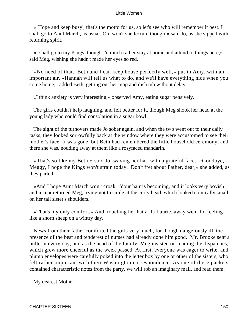«`Hope and keep busy', that's the motto for us, so let's see who will remember it best. I shall go to Aunt March, as usual. Oh, won't she lecture though!» said Jo, as she sipped with returning spirit.

 «I shall go to my Kings, though I'd much rather stay at home and attend to things here,» said Meg, wishing she hadn't made her eyes so red.

 «No need of that. Beth and I can keep house perfectly well,» put in Amy, with an important air. «Hannah will tell us what to do, and we'll have everything nice when you come home,» added Beth, getting out her mop and dish tub without delay.

«I think anxiety is very interesting,» observed Amy, eating sugar pensively.

 The girls couldn't help laughing, and felt better for it, though Meg shook her head at the young lady who could find consolation in a sugar bowl.

 The sight of the turnovers made Jo sober again, and when the two went out to their daily tasks, they looked sorrowfully back at the window where they were accustomed to see their mother's face. It was gone, but Beth had remembered the little household ceremony, and there she was, nodding away at them like a rosyfaced mandarin.

 «That's so like my Beth!» said Jo, waving her hat, with a grateful face. «Goodbye, Meggy, I hope the Kings won't strain today. Don't fret about Father, dear,» she added, as they parted.

 «And I hope Aunt March won't croak. Your hair is becoming, and it looks very boyish and nice,» returned Meg, trying not to smile at the curly head, which looked comically small on her tall sister's shoulders.

 «That's my only comfort.» And, touching her hat a` la Laurie, away went Jo, feeling like a shorn sheep on a wintry day.

 News from their father comforted the girls very much, for though dangerously ill, the presence of the best and tenderest of nurses had already done him good. Mr. Brooke sent a bulletin every day, and as the head of the family, Meg insisted on reading the dispatches, which grew more cheerful as the week passed. At first, everyone was eager to write, and plump envelopes were carefully poked into the letter box by one or other of the sisters, who felt rather important with their Washington correspondence. As one of these packets contained characteristic notes from the party, we will rob an imaginary mail, and read them.

My dearest Mother: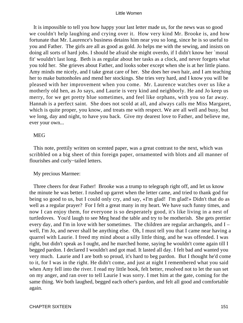It is impossible to tell you how happy your last letter made us, for the news was so good we couldn't help laughing and crying over it. How very kind Mr. Brooke is, and how fortunate that Mr. Laurence's business detains him near you so long, since he is so useful to you and Father. The girls are all as good as gold. Jo helps me with the sewing, and insists on doing all sorts of hard jobs. I should be afraid she might overdo, if I didn't know her `moral fit' wouldn't last long. Beth is as regular about her tasks as a clock, and never forgets what you told her. She grieves about Father, and looks sober except when she is at her little piano. Amy minds me nicely, and I take great care of her. She does her own hair, and I am teaching her to make buttonholes and mend her stockings. She tries very hard, and I know you will be pleased with her improvement when you come. Mr. Laurence watches over us like a motherly old hen, as Jo says, and Laurie is very kind and neighborly. He and Jo keep us merry, for we get pretty blue sometimes, and feel like orphans, with you so far away. Hannah is a perfect saint. She does not scold at all, and always calls me Miss Margaret, which is quite proper, you know, and treats me with respect. We are all well and busy, but we long, day and night, to have you back. Give my dearest love to Father, and believe me, ever your own...

## **MEG**

 This note, prettily written on scented paper, was a great contrast to the next, which was scribbled on a big sheet of thin foreign paper, ornamented with blots and all manner of flourishes and curly−tailed letters.

# My precious Marmee:

 Three cheers for dear Father! Brooke was a trump to telegraph right off, and let us know the minute he was better. I rushed up garret when the letter came, and tried to thank god for being so good to us, but I could only cry, and say, «I'm glad! I'm glad!» Didn't that do as well as a regular prayer? For I felt a great many in my heart. We have such funny times, and now I can enjoy them, for everyone is so desperately good, it's like living in a nest of turtledoves. You'd laugh to see Meg head the table and try to be motherish. She gets prettier every day, and I'm in love with her sometimes. The children are regular archangels, and I – well, I'm Jo, and never shall be anything else. Oh, I must tell you that I came near having a quarrel with Laurie. I freed my mind about a silly little thing, and he was offended. I was right, but didn't speak as I ought, and he marched home, saying he wouldn't come again till I begged pardon. I declared I wouldn't and got mad. It lasted all day. I felt bad and wanted you very much. Laurie and I are both so proud, it's hard to beg pardon. But I thought he'd come to it, for I was in the right. He didn't come, and just at night I remembered what you said when Amy fell into the river. I read my little book, felt better, resolved not to let the sun set on my anger, and ran over to tell Laurie I was sorry. I met him at the gate, coming for the same thing. We both laughed, begged each other's pardon, and felt all good and comfortable again.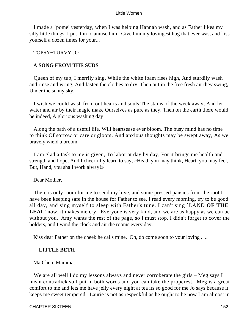I made a `pome' yesterday, when I was helping Hannah wash, and as Father likes my silly little things, I put it in to amuse him. Give him my lovingest hug that ever was, and kiss yourself a dozen times for your...

TOPSY−TURVY JO

# A **SONG FROM THE SUDS**

 Queen of my tub, I merrily sing, While the white foam rises high, And sturdily wash and rinse and wring, And fasten the clothes to dry. Then out in the free fresh air they swing, Under the sunny sky.

 I wish we could wash from out hearts and souls The stains of the week away, And let water and air by their magic make Ourselves as pure as they. Then on the earth there would be indeed, A glorious washing day!

 Along the path of a useful life, Will heartsease ever bloom. The busy mind has no time to think Of sorrow or care or gloom. And anxious thoughts may be swept away, As we bravely wield a broom.

 I am glad a task to me is given, To labor at day by day, For it brings me health and strength and hope, And I cheerfully learn to say, «Head, you may think, Heart, you may feel, But, Hand, you shall work alway!»

Dear Mother,

 There is only room for me to send my love, and some pressed pansies from the root I have been keeping safe in the house for Father to see. I read every morning, try to be good all day, and sing myself to sleep with Father's tune. I can't sing `LAND **OF THE LEAL'** now, it makes me cry. Everyone is very kind, and we are as happy as we can be without you. Amy wants the rest of the page, so I must stop. I didn't forget to cover the holders, and I wind the clock and air the rooms every day.

Kiss dear Father on the cheek he calls mine. Oh, do come soon to your loving . ..

# **LITTLE BETH**

Ma Chere Mamma,

We are all well I do my lessons always and never corroberate the girls – Meg says I mean contradick so I put in both words and you can take the properest. Meg is a great comfort to me and lets me have jelly every night at tea its so good for me Jo says because it keeps me sweet tempered. Laurie is not as respeckful as he ought to be now I am almost in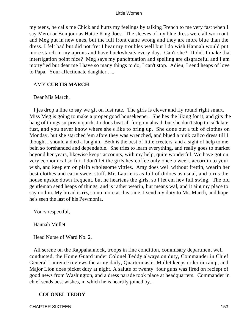my teens, he calls me Chick and hurts my feelings by talking French to me very fast when I say Merci or Bon jour as Hattie King does. The sleeves of my blue dress were all worn out, and Meg put in new ones, but the full front came wrong and they are more blue than the dress. I felt bad but did not fret I bear my troubles well but I do wish Hannah would put more starch in my aprons and have buckwheats every day. Can't she? Didn't I make that interrigation point nice? Meg says my punchtuation and spelling are disgraceful and I am mortyfied but dear me I have so many things to do, I can't stop. Adieu, I send heaps of love to Papa. Your affectionate daughter . ..

## AMY **CURTIS MARCH**

## Dear Mis March,

 I jes drop a line to say we git on fust rate. The girls is clever and fly round right smart. Miss Meg is going to make a proper good housekeeper. She hes the liking for it, and gits the hang of things surprisin quick. Jo doos beat all for goin ahead, but she don't stop to cal'k'late fust, and you never know where she's like to bring up. She done out a tub of clothes on Monday, but she starched 'em afore they was wrenched, and blued a pink calico dress till I thought I should a died a laughin. Beth is the best of little creeters, and a sight of help to me, bein so forehanded and dependable. She tries to learn everything, and really goes to market beyond her years, likewise keeps accounts, with my help, quite wonderful. We have got on very economical so fur. I don't let the girls hev coffee only once a week, accordin to your wish, and keep em on plain wholesome vittles. Amy does well without frettin, wearin her best clothes and eatin sweet stuff. Mr. Laurie is as full of didoes as usual, and turns the house upside down frequent, but he heartens the girls, so I let em hev full swing. The old gentleman send heaps of things, and is rather wearin, but means wal, and it aint my place to say nothin. My bread is riz, so no more at this time. I send my duty to Mr. March, and hope he's seen the last of his Pewmonia.

Yours respectful,

Hannah Mullet

Head Nurse of Ward No. 2,

 All serene on the Rappahannock, troops in fine condition, commisary department well conducted, the Home Guard under Colonel Teddy always on duty, Commander in Chief General Laurence reviews the army daily, Quartermaster Mullet keeps order in camp, and Major Lion does picket duty at night. A salute of twenty−four guns was fired on reciept of good news from Washington, and a dress parade took place at headquarters. Commander in chief sends best wishes, in which he is heartily joined by...

# **COLONEL TEDDY**

CHAPTER SIXTEEN 153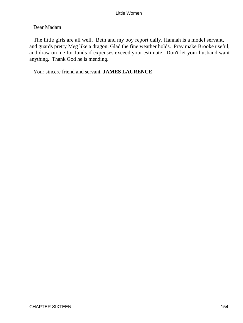Dear Madam:

 The little girls are all well. Beth and my boy report daily. Hannah is a model servant, and guards pretty Meg like a dragon. Glad the fine weather holds. Pray make Brooke useful, and draw on me for funds if expenses exceed your estimate. Don't let your husband want anything. Thank God he is mending.

Your sincere friend and servant, **JAMES LAURENCE**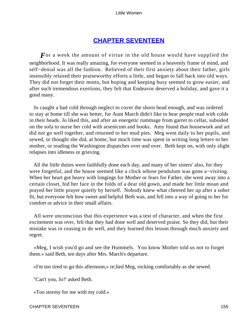# **[CHAPTER SEVENTEEN](#page-419-0)**

For a week the amount of virtue in the old house would have supplied the neighborhood. It was really amazing, for everyone seemed in a heavenly frame of mind, and self−denial was all the fashion. Relieved of their first anxiety about their father, girls insensibly relaxed their praiseworthy efforts a little, and began to fall back into old ways. They did not forget their motto, but hoping and keeping busy seemed to grow easier, and after such tremendous exertions, they felt that Endeavor deserved a holiday, and gave it a good many.

 Jo caught a bad cold through neglect to cover the shorn head enough, and was ordered to stay at home till she was better, for Aunt March didn't like to hear people read with colds in their heads. Jo liked this, and after an energetic rummage from garret to cellar, subsided on the sofa to nurse her cold with arsenicum and books. Amy found that housework and art did not go well together, and returned to her mud pies. Meg went daily to her pupils, and sewed, or thought she did, at home, but much time was spent in writing long letters to her mother, or reading the Washington dispatches over and over. Beth kept on, with only slight relapses into idleness or grieving.

 All the little duties were faithfully done each day, and many of her sisters' also, for they were forgetful, and the house seemed like a clock whose pendulum was gone a−visiting. When her heart got heavy with longings for Mother or fears for Father, she went away into a certain closet, hid her face in the folds of a dear old gown, and made her little moan and prayed her little prayer quietly by herself. Nobody knew what cheered her up after a sober fit, but everyone felt how sweet and helpful Beth was, and fell into a way of going to her for comfort or advice in their small affairs.

 All were unconscious that this experience was a test of character, and when the first excitement was over, felt that they had done well and deserved praise. So they did, but their mistake was in ceasing to do well, and they learned this lesson through much anxiety and regret.

 «Meg, I wish you'd go and see the Hummels. You know Mother told us not to forget them.» said Beth, ten days after Mrs. March's departure.

«I'm too tired to go this afternoon,» re;lied Meg, rocking comfortably as she sewed.

"Can't you, Jo?' asked Beth.

«Too stormy for me with my cold.»

CHAPTER SEVENTEEN 155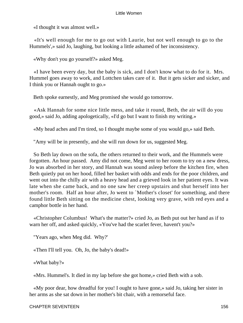«I thought it was almost well.»

 «It's well enough for me to go out with Laurie, but not well enough to go to the Hummels',» said Jo, laughing, but looking a little ashamed of her inconsistency.

«Why don't you go yourself?» asked Meg.

 «I have been every day, but the baby is sick, and I don't know what to do for it. Mrs. Hummel goes away to work, and Lottchen takes care of it. But it gets sicker and sicker, and I think you or Hannah ought to go.»

Beth spoke earnestly, and Meg promised she would go tomorrow.

 «Ask Hannah for some nice little mess, and take it round, Beth, the air will do you good,» said Jo, adding apologetically, «I'd go but I want to finish my writing.»

«My head aches and I'm tired, so I thought maybe some of you would go,» said Beth.

"Amy will be in presently, and she will run down for us, suggested Meg.

 So Beth lay down on the sofa, the others returned to their work, and the Hummels were forgotten. An hour passed. Amy did not come, Meg went to her room to try on a new dress, Jo was absorbed in her story, and Hannah was sound asleep before the kitchen fire, when Beth quietly put on her hood, filled her basket with odds and ends for the poor children, and went out into the chilly air with a heavy head and a grieved look in her patient eyes. It was late when she came back, and no one saw her creep upstairs and shut herself into her mother's room. Half an hour after, Jo went to `Mother's closet' for something, and there found little Beth sitting on the medicine chest, looking very grave, with red eyes and a camphor bottle in her hand.

 «Christopher Columbus! What's the matter?» cried Jo, as Beth put out her hand as if to warn her off, and asked quickly, «You've had the scarlet fever, havent't you?»

"Years ago, when Meg did. Why?'

«Then I'll tell you. Oh, Jo, the baby's dead!»

«What baby?»

«Mrs. Hummel's. It died in my lap before she got home,» cried Beth with a sob.

 «My poor dear, how dreadful for you! I ought to have gone,» said Jo, taking her sister in her arms as she sat down in her mother's bit chair, with a remorseful face.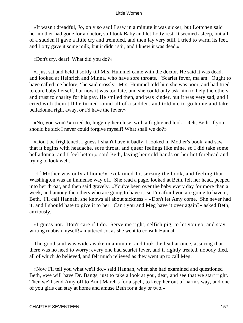«It wasn't dreadful, Jo, only so sad! I saw in a minute it was sicker, but Lottchen said her mother had gone for a doctor, so I took Baby and let Lotty rest. It seemed asleep, but all of a sudden if gave a little cry and trembled, and then lay very still. I tried to warm its feet, and Lotty gave it some milk, but it didn't stir, and I knew it was dead.»

«Don't cry, dear! What did you do?»

 «I just sat and held it softly till Mrs. Hummel came with the doctor. He said it was dead, and looked at Heinrich and Minna, who have sore throats. `Scarlet fever, ma'am. Ought to have called me before, ' he said crossly. Mrs. Hummel told him she was poor, and had tried to cure baby herself, but now it was too late, and she could only ask him to help the others and trust to charity for his pay. He smiled then, and was kinder, but it was very sad, and I cried with them till he turned round all of a sudden, and told me to go home and take belladonna right away, or I'd have the fever.»

 «No, you won't!» cried Jo, hugging her close, with a frightened look. «Oh, Beth, if you should be sick I never could forgive myself! What shall we do?»

 «Don't be frightened, I guess I shan't have it badly. I looked in Mother's book, and saw that it begins with headache, sore throat, and queer feelings like mine, so I did take some belladonna, and I feel better,» said Beth, laying her cold hands on her hot forehead and trying to look well.

 «If Mother was only at home!» exclaimed Jo, seizing the book, and feeling that Washington was an immense way off. She read a page, looked at Beth, felt her head, peeped into her throat, and then said gravely, «You've been over the baby every day for more than a week, and among the others who are going to have it, so I'm afraid you are going to have it, Beth. I'll call Hannah, she knows all about sickness.» «Don't let Amy come. She never had it, and I should hate to give it to her. Can't you and Meg have it over again?» asked Beth, anxiously.

 «I guess not. Don't care if I do. Serve me right, selfish pig, to let you go, and stay writing rubbish myself!» muttered Jo, as she went to consult Hannah.

 The good soul was wide awake in a minute, and took the lead at once, assuring that there was no need to worry; every one had scarlet fever, and if rightly treated, nobody died, all of which Jo believed, and felt much relieved as they went up to call Meg.

 «Now I'll tell you what we'll do,» said Hannah, when she had examined and questioned Beth, «we will have Dr. Bangs, just to take a look at you, dear, and see that we start right. Then we'll send Amy off to Aunt March's for a spell, to keep her out of harm's way, and one of you girls can stay at home and amuse Beth for a day or two.»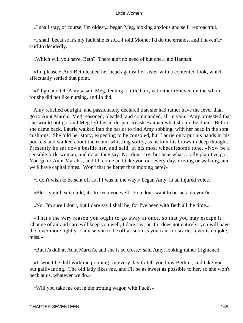«I shall stay, of course, I'm oldest,» began Meg, looking anxious and self−reproachful.

 «I shall, because it's my fault she is sick. I told Mother I'd do the errands, and I haven't,» said Jo decidedly.

«Which will you have, Beth? There ain't no need of but one,» aid Hannah.

 «Jo, please.» And Beth leaned her head against her sister with a contented look, which effectually settled that point.

 «I'll go and tell Amy,» said Meg, feeling a little hurt, yet rather relieved on the whole, for she did not like nursing, and Jo did.

 Amy rebelled outright, and passionately declared that she had rather have the fever than go to Aunt March. Meg reasoned, pleaded, and commanded, all in vain. Amy protested that she would not go, and Meg left her in despair to ask Hannah what should be done. Before she came back, Laurie walked into the parlor to find Amy sobbing, with her head in the sofa cushions. She told her story, expecting to be consoled, but Laurie only put his hands in his pockets and walked about the room, whistling softly, as he knit his brows in deep thought. Presently he sat down beside her, and said, in his most wheedlesome tone, «Now be a sensible little woman, and do as they say. No, don't cry, but hear what a jolly plan I've got. You go to Aunt March's, and I'll come and take you out every day, driving or walking, and we'll have capital times. Won't that be better than moping here?»

«I don't wish to be sent off as if I was in the way,» began Amy, in an injured voice.

«Bless your heart, child, it's to keep you well. You don't want to be sick, do you?»

«No, I'm sure I don't, but I dare say I shall be, for I've been with Beth all the time.»

 «That's the very reason you ought to go away at once, so that you may escape it. Change of air and care will keep you well, I dare say, or if it does not entirely, you will have the fever more lightly. I advise you to be off as soon as you can, for scarlet fever is no joke, miss.»

«But it's dull at Aunt March's, and she is so cross,» said Amy, looking rather frightened.

 «It won't be dull with me popping; in every day to tell you how Beth is, and take you out gallivanting. The old lady likes me, and I'll be as sweet as possible to her, so she won't peck at us, whatever we do.»

«Will you take me out in the trotting wagon with Puck?»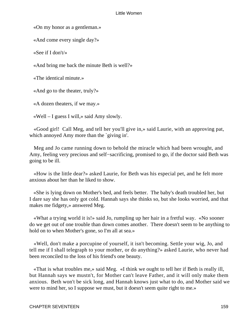«On my honor as a gentleman.»

«And come every single day?»

«See if I don't/»

«And bring me back the minute Beth is well?»

«The identical minute.»

«And go to the theater, truly?»

«A dozen theaters, if we may.»

«Well – I guess I will,» said Amy slowly.

 «Good girl! Call Meg, and tell her you'll give in,» said Laurie, with an approving pat, which annoyed Amy more than the 'giving in'.

 Meg and Jo came running down to behold the miracle which had been wrought, and Amy, feeling very precious and self−sacrificing, promised to go, if the doctor said Beth was going to be ill.

 «How is the little dear?» asked Laurie, for Beth was his especial pet, and he felt more anxious about her than he liked to show.

 «She is lying down on Mother's bed, and feels better. The baby's death troubled her, but I dare say she has only got cold. Hannah says she thinks so, but she looks worried, and that makes me fidgety,» answered Meg.

 «What a trying world it is!» said Jo, rumpling up her hair in a fretful way. «No sooner do we get out of one trouble than down comes another. There doesn't seem to be anything to hold on to when Mother's gone, so I'm all at sea.»

 «Well, don't make a porcupine of yourself, it isn't becoming. Settle your wig, Jo, and tell me if I shall telegraph to your mother, or do anything?» asked Laurie, who never had been reconciled to the loss of his friend's one beauty.

 «That is what troubles me,» said Meg. «I think we ought to tell her if Beth is really ill, but Hannah says we mustn't, for Mother can't leave Father, and it will only make them anxious. Beth won't be sick long, and Hannah knows just what to do, and Mother said we were to mind her, so I suppose we must, but it doesn't seem quite right to me.»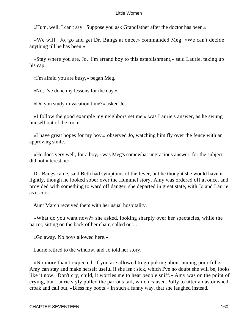«Hum, well, I can't say. Suppose you ask Grandfather after the doctor has been.»

 «We will. Jo, go and get Dr. Bangs at once,» commanded Meg. «We can't decide anything till he has been.»

 «Stay where you are, Jo. I'm errand boy to this establishment,» said Laurie, taking up his cap.

«I'm afraid you are busy,» began Meg.

«No, I've done my lessons for the day.»

«Do you study in vacation time?» asked Jo.

 «I follow the good example my neighbors set me,» was Laurie's answer, as he swung himself out of the room.

 «I have great hopes for my boy,» observed Jo, watching him fly over the fence with an approving smile.

 «He does very well, for a boy,» was Meg's somewhat ungracious answer, for the subject did not interest her.

 Dr. Bangs came, said Beth had symptoms of the fever, but he thought she would have it lightly, though he looked sober over the Hummel story. Amy was ordered off at once, and provided with something to ward off danger, she departed in great state, with Jo and Laurie as escort.

Aunt March received them with her usual hospitality.

 «What do you want now?» she asked, looking sharply over her spectacles, while the parrot, sitting on the back of her chair, called out...

«Go away. No boys allowed here.»

Laurie retired to the window, and Jo told her story.

 «No more than I expected, if you are allowed to go poking about among poor folks. Amy can stay and make herself useful if she isn't sick, which I've no doubt she will be, looks like it now. Don't cry, child, it worries me to hear people sniff.» Amy was on the point of crying, but Laurie slyly pulled the parrot's tail, which caused Polly to utter an astonished croak and call out, «Bless my boots!» in such a funny way, that she laughed instead.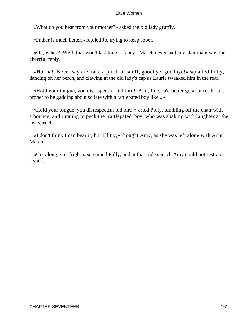«What do you hear from your mother?» asked the old lady gruffly.

«Father is much better,» replied Jo, trying to keep sober.

 «Oh, is her? Well, that won't last long, I fancy. March never had any stamina,» was the cheerful reply.

 «Ha, ha! Never say die, take a pinch of snuff, goodbye, goodbye!» squalled Polly, dancing on her perch, and clawing at the old lady's cap as Laurie tweaked him in the rear.

 «Hold your tongue, you disrespectful old bird! And, Jo, you'd better go at once. It isn't proper to be gadding about so late with a rattlepated boy like...»

 «Hold your tongue, you disrespectful old bird!» cried Polly, tumbling off the chair with a bounce, and running to peck the `rattlepated' boy, who was shaking with laughter at the last speech.

 «I don't think I can bear it, but I'll try,» thought Amy, as she was left alone with Aunt March.

 «Get along, you fright!» screamed Polly, and at that rude speech Amy could not restrain a sniff.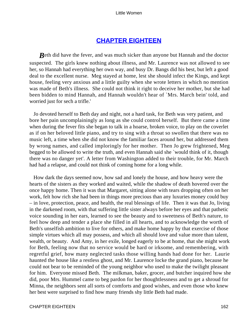# **[CHAPTER EIGHTEEN](#page-419-0)**

*B*eth did have the fever, and was much sicker than anyone but Hannah and the doctor suspected. The girls knew nothing about illness, and Mr. Laurence was not allowed to see her, so Hannah had everything her own way, and busy Dr. Bangs did his best, but left a good deal to the excellent nurse. Meg stayed at home, lest she should infect the Kings, and kept house, feeling very anxious and a little guilty when she wrote letters in which no mention was made of Beth's illness. She could not think it right to deceive her mother, but she had been bidden to mind Hannah, and Hannah wouldn't hear of `Mrs. March bein' told, and worried just for sech a trifle.'

 Jo devoted herself to Beth day and night, not a hard task, for Beth was very patient, and bore her pain uncomplainingly as long as she could control herself. But there came a time when during the fever fits she began to talk in a hoarse, broken voice, to play on the coverlet as if on her beloved little piano, and try to sing with a throat so swollen that there was no music left, a time when she did not know the familiar faces around her, but addressed them by wrong names, and called imploringly for her mother. Then Jo grew frightened, Meg begged to be allowed to write the truth, and even Hannah said she `would think of it, though there was no danger yet'. A letter from Washington added to their trouble, for Mr. March had had a relapse, and could not think of coming home for a long while.

 How dark the days seemed now, how sad and lonely the house, and how heavy were the hearts of the sisters as they worked and waited, while the shadow of death hovered over the once happy home. Then it was that Margaret, sitting alone with tears dropping often on her work, felt how rich she had been in things more precious than any luxuries money could buy – in love, protection, peace, and health, the real blessings of life. Then it was that Jo, living in the darkened room, with that suffering little sister always before her eyes and that pathetic voice sounding in her ears, learned to see the beauty and to sweetness of Beth's nature, to feel how deep and tender a place she filled in all hearts, and to acknowledge the worth of Beth's unselfish ambition to live for others, and make home happy by that exercise of those simple virtues which all may possess, and which all should love and value more than talent, wealth, or beauty. And Amy, in her exile, longed eagerly to be at home, that she might work for Beth, feeling now that no service would be hard or irksome, and remembering, with regretful grief, how many neglected tasks those willing hands had done for her. Laurie haunted the house like a restless ghost, and Mr. Laurence locke the grand piano, because he could not bear to be reminded of the young neighbor who used to make the twilight pleasant for him. Everyone missed Beth. The milkman, baker, grocer, and butcher inquired how she did, poor Mrs. Hummel came to beg pardon for her thoughtlessness and to get a shroud for Minna, the neighbors sent all sorts of comforts and good wishes, and even those who knew her best were surprised to find how many friends shy little Beth had made.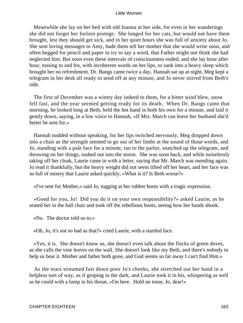Meanwhile she lay on her bed with old Joanna at her side, for even in her wanderings she did not forget her forlorn protege. She longed for her cats, but would not have them brought, lest they should get sick, and in her quiet hours she was full of anxiety about Jo. She sent loving messages to Amy, bade them tell her mother that she would write soon, and often begged for pencil and paper to try to say a word, that Father might not think she had neglected him. But soon even these intervals of consciousness ended, and she lay hour after hour, tossing to and fro, with incoherent words on her lips, or sank into a heavy sleep which brought her no refreshment. Dr. Bangs came twice a day, Hannah sat up at night, Meg kept a telegram in her desk all ready to send off at any minute, and Jo never stirred from Beth's side.

 The first of December was a wintry day indeed to them, for a bitter wind blew, snow fell fast, and the year seemed getting ready for its death. When Dr. Bangs came that morning, he looked long at Beth, held the hot hand in both his own for a minute, and laid it gently down, saying, in a low voice to Hannah, «If Mrs. March can leave her husband she'd better be sent for.»

 Hannah nodded without speaking, for her lips twitched nervously, Meg dropped down into a chair as the strength seemed to go out of her limbs at the sound of those words, and Jo, standing with a pale face for a minute, ran to the parlor, snatched up the telegram, and throwing on her things, rushed out into the storm. She was soon back, and while noiselessly taking off her cloak, Laurie came in with a letter, saying that Mr. March was mending again. Jo read it thankfully, but the heavy weight did not seem lifted off her heart, and her face was so full of misery that Laurie asked quickly, «What is it? Is Beth worse?»

«I've sent for Mother,» said Jo, tugging at her rubber boots with a tragic expression.

 «Good for you, Jo! Did you do it on your own responsibility?» asked Laurie, as he seated her in the hall chair and took off the rebellious boots, seeing how her hands shook.

«No. The doctor told us to.»

«Oh, Jo, it's not so bad as that?» cried Laurie, with a startled face.

 «Yes, it is. She doesn't know us, she doesn't even talk about the flocks of green doves, as she calls the vine leaves on the wall. She doesn't look like my Beth, and there's nobody to help us bear it. Mother and father both gone, and God seems so far away I can't find Him.»

 As the tears streamed fast down poor Jo's cheeks, she stretched out her hand in a helpless sort of way, as if groping in the dark, and Laurie took it in his, whispering as well as he could with a lump in his throat, «I'm here. Hold on tome, Jo, dear!»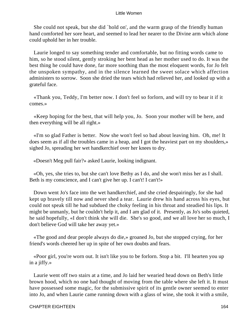She could not speak, but she did `hold on', and the warm grasp of the friendly human hand comforted her sore heart, and seemed to lead her nearer to the Divine arm which alone could uphold her in her trouble.

 Laurie longed to say something tender and comfortable, but no fitting words came to him, so he stood silent, gently stroking her bent head as her mother used to do. It was the best thing he could have done, far more soothing than the most eloquent words, for Jo felt the unspoken sympathy, and in the silence learned the sweet solace which affection administers to sorrow. Soon she dried the tears which had relieved her, and looked up with a grateful face.

 «Thank you, Teddy, I'm better now. I don't feel so forlorn, and will try to bear it if it comes.»

 «Keep hoping for the best, that will help you, Jo. Soon your mother will be here, and then everything will be all right.»

 «I'm so glad Father is better. Now she won't feel so bad about leaving him. Oh, me! It does seem as if all the troubles came in a heap, and I got the heaviest part on my shoulders,» sighed Jo, spreading her wet handkerchief over her knees to dry.

«Doesn't Meg pull fair?» asked Laurie, looking indignant.

 «Oh, yes, she tries to, but she can't love Bethy as I do, and she won't miss her as I shall. Beth is my conscience, and I can't give her up. I can't! I can't!»

 Down went Jo's face into the wet handkerchief, and she cried despairingly, for she had kept up bravely till now and never shed a tear. Laurie drew his hand across his eyes, but could not speak till he had subdued the choky feeling in his throat and steadied his lips. It might be unmanly, but he couldn't help it, and I am glad of it. Presently, as Jo's sobs quieted, he said hopefully, «I don't think she will die. She's so good, and we all love her so much, I don't believe God will take her away yet.»

 «The good and dear people always do die,» groaned Jo, but she stopped crying, for her friend's words cheered her up in spite of her own doubts and fears.

 «Poor girl, you're worn out. It isn't like you to be forlorn. Stop a bit. I'll hearten you up in a jiffy.»

 Laurie went off two stairs at a time, and Jo laid her wearied head down on Beth's little brown hood, which no one had thought of moving from the table where she left it. It must have possessed some magic, for the submissive spirit of its gentle owner seemed to enter into Jo, and when Laurie came running down with a glass of wine, she took it with a smile,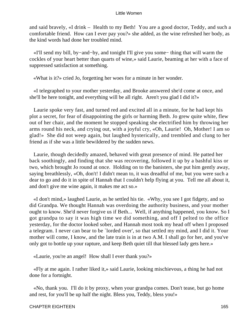and said bravely, «I drink – Health to my Beth! You are a good doctor, Teddy, and such a comfortable friend. How can I ever pay you?» she added, as the wine refreshed her body, as the kind words had done her troubled mind.

 «I'll send my bill, by−and−by, and tonight I'll give you some− thing that will warm the cockles of your heart better than quarts of wine,» said Laurie, beaming at her with a face of suppressed satisfaction at something.

«What is it?» cried Jo, forgetting her woes for a minute in her wonder.

 «I telegraphed to your mother yesterday, and Brooke answered she'd come at once, and she'll be here tonight, and everything will be all right. Aren't you glad I did it?»

 Laurie spoke very fast, and turned red and excited all in a minute, for he had kept his plot a secret, for fear of disappointing the girls or harming Beth. Jo grew quite white, flew out of her chair, and the moment he stopped speaking she electrified him by throwing her arms round his neck, and crying out, with a joyful cry, «Oh, Laurie! Oh, Mother! I am so glad!» She did not weep again, but laughed hysterically, and trembled and clung to her friend as if she was a little bewildered by the sudden news.

 Laurie, though decidedly amazed, behaved with great presence of mind. He patted her back soothingly, and finding that she was recovering, followed it up by a bashful kiss or two, which brought Jo round at once. Holding on to the banisters, she put him gently away, saying breathlessly, «Oh, don't! I didn't mean to, it was dreadful of me, but you were such a dear to go and do it in spite of Hannah that I couldn't help flying at you. Tell me all about it, and don't give me wine again, it makes me act so.»

 «I don't mind,» laughed Laurie, as he settled his tie. «Why, you see I got fidgety, and so did Grandpa. We thought Hannah was overdoing the authority business, and your mother ought to know. She'd never forgive us if Beth... Well, if anything happened, you know. So I got grandpa to say it was high time we did something, and off I pelted to the office yesterday, for the doctor looked sober, and Hannah most took my head off when I proposed a telegram. I never can bear to be `lorded over', so that settled my mind, and I did it. Your mother will come, I know, and the late train is in at two A.M. I shall go for her, and you've only got to bottle up your rapture, and keep Beth quiet till that blessed lady gets here.»

«Laurie, you're an angel! How shall I ever thank you?»

 «Fly at me again. I rather liked it,» said Laurie, looking mischievous, a thing he had not done for a fortnight.

 «No, thank you. I'll do it by proxy, when your grandpa comes. Don't tease, but go home and rest, for you'll be up half the night. Bless you, Teddy, bless you!»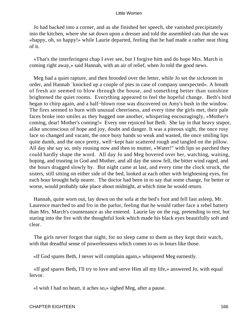Jo had backed into a corner, and as she finished her speech, she vanished precipitately into the kitchen, where she sat down upon a dresser and told the assembled cats that she was «happy, oh, so happy!» while Laurie departed, feeling that he had made a rather neat thing of it.

 «That's the interferingest chap I ever see, but I forgive him and do hope Mrs. March is coming right away,» said Hannah, with an air of relief, when Jo told the good news.

 Meg had a quiet rapture, and then brooded over the letter, while Jo set the sickroom in order, and Hannah `knocked up a couple of pies in case of company unexpected«. A breath of fresh air seemed to blow through the house, and something better than sunshine brightened the quiet rooms. Everything appeared to feel the hopeful change. Beth's bird began to chirp again, and a half−blown rose was discovered on Amy's bush in the window. The fires seemed to burn with unusual cheeriness, and every time the girls met, their pale faces broke into smiles as they hugged one another, whispering encouragingly, »Mother's coming, dear! Mother's coming!« Every one rejoiced but Beth. She lay in that heavy stupor, alike unconscious of hope and joy, doubt and danger. It was a piteous sight, the once rosy face so changed and vacant, the once busy hands so weak and wasted, the once smiling lips quite dumb, and the once pretty, well−kept hair scattered rough and tangled on the pillow. All day she say so, only rousing now and then to mutter, »Water!" with lips so parched they could hardly shape the word. All day Jo and Meg hovered over her, watching, waiting, hoping, and trusting in God and Mother, and all day the snow fell, the bitter wind raged, and the hours dragged slowly by. But night came at last, and every time the clock struck, the sisters, still sitting on either side of the bed, looked at each other with brightening eyes, for each hour brought help nearer. The doctor had been in to say that some change, for better or worse, would probably take place about midnight, at which time he would return.

 Hannah, quite worn out, lay down on the sofa at the bed's foot and fell fast asleep, Mr. Laurence marched to and fro in the parlor, feeling that he would rather face a rebel battery than Mrs. March's countenance as she entered. Laurie lay on the rug, pretending to rest, but staring into the fire with the thoughtful look which made his black eyes beautifully soft and clear.

 The girls never forgot that night, for no sleep came to them as they kept their watch, with that dreadful sense of powerlessness which comes to us in hours like those.

«If God spares Beth, I never will complain again,» whispered Meg earnestly.

 «If god spares Beth, I'll try to love and serve Him all my life,» answered Jo, with equal fervor.

«I wish I had no heart, it aches so,» sighed Meg, after a pause.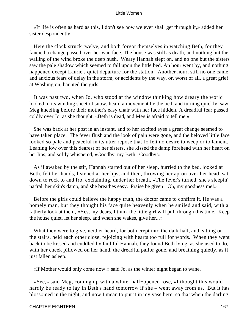«If life is often as hard as this, I don't see how we ever shall get through it,» added her sister despondently.

 Here the clock struck twelve, and both forgot themselves in watching Beth, for they fancied a change passed over her wan face. The house was still as death, and nothing but the wailing of the wind broke the deep hush. Weary Hannah slept on, and no one but the sisters saw the pale shadow which seemed to fall upon the little bed. An hour went by, and nothing happened except Laurie's quiet departure for the station. Another hour, still no one came, and anxious fears of delay in the storm, or accidents by the way, or, worst of all, a great grief at Washington, haunted the girls.

 It was past two, when Jo, who stood at the window thinking how dreary the world looked in its winding sheet of snow, heard a movement by the bed, and turning quickly, saw Meg kneeling before their mother's easy chair with her face hidden. A dreadful fear passed coldly over Jo, as she thought, «Beth is dead, and Meg is afraid to tell me.»

 She was back at her post in an instant, and to her excited eyes a great change seemed to have taken place. The fever flush and the look of pain were gone, and the beloved little face looked so pale and peaceful in its utter repose that Jo felt no desire to weep or to lament. Leaning low over this dearest of her sisters, she kissed the damp forehead with her heart on her lips, and softly whispered, «Goodby, my Beth. Goodby!»

 As if awaked by the stir, Hannah started out of her sleep, hurried to the bed, looked at Beth, felt her hands, listened at her lips, and then, throwing her apron over her head, sat down to rock to and fro, exclaiming, under her breath, «The fever's turned, she's sleepin' nat'ral, her skin's damp, and she breathes easy. Praise be given! Oh, my goodness me!»

 Before the girls could believe the happy truth, the doctor came to confirm it. He was a homely man, but they thought his face quite heavenly when he smiled and said, with a fatherly look at them, «Yes, my dears, I think the little girl will pull through this time. Keep the house quiet, let her sleep, and when she wakes, give her...»

 What they were to give, neither heard, for both crept into the dark hall, and, sitting on the stairs, held each other close, rejoicing with hearts too full for words. When they went back to be kissed and cuddled by faithful Hannah, they found Beth lying, as she used to do, with her cheek pillowed on her hand, the dreadful pallor gone, and breathing quietly, as if just fallen asleep.

«If Mother would only come now!» said Jo, as the winter night began to wane.

 «See,» said Meg, coming up with a white, half−opened rose, «I thought this would hardly be ready to lay in Beth's hand tomorrow if she – went away from us. But it has blossomed in the night, and now I mean to put it in my vase here, so that when the darling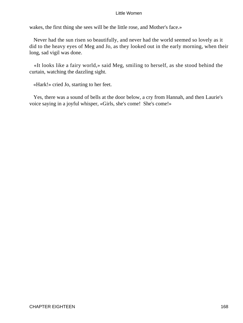wakes, the first thing she sees will be the little rose, and Mother's face.»

 Never had the sun risen so beautifully, and never had the world seemed so lovely as it did to the heavy eyes of Meg and Jo, as they looked out in the early morning, when their long, sad vigil was done.

 «It looks like a fairy world,» said Meg, smiling to herself, as she stood behind the curtain, watching the dazzling sight.

«Hark!» cried Jo, starting to her feet.

 Yes, there was a sound of bells at the door below, a cry from Hannah, and then Laurie's voice saying in a joyful whisper, «Girls, she's come! She's come!»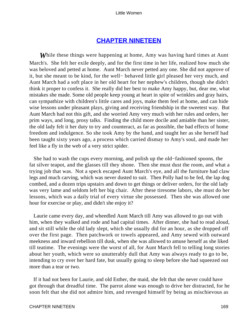# **[CHAPTER NINETEEN](#page-419-0)**

*W*hile these things were happening at home, Amy was having hard times at Aunt March's. She felt her exile deeply, and for the first time in her life, realized how much she was beloved and petted at home. Aunt March never petted any one. She did not approve of it, but she meant to be kind, for the well− behaved little girl pleased her very much, and Aunt March had a soft place in her old heart for her nephew's children, though she didn't think it proper to confess it. She really did her best to make Amy happy, but, dear me, what mistakes she made. Some old people keep young at heart in spite of wrinkles and gray hairs, can sympathize with children's little cares and joys, make them feel at home, and can hide wise lessons under pleasant plays, giving and receiving friendship in the sweetest way. But Aunt March had not this gift, and she worried Amy very much with her rules and orders, her prim ways, and long, prosy talks. Finding the child more docile and amiable than her sister, the old lady felt it her duty to try and counteract, as far as possible, the bad effects of home freedom and indulgence. So she took Amy by the hand, and taught her as she herself had been taught sixty years ago, a process which carried dismay to Amy's soul, and made her feel like a fly in the web of a very strict spider.

 She had to wash the cups every morning, and polish up the old−fashioned spoons, the fat silver teapot, and the glasses till they shone. Then she must dust the room, and what a trying job that was. Not a speck escaped Aunt March's eye, and all the furniture had claw legs and much carving, which was never dusted to suit. Then Polly had to be fed, the lap dog combed, and a dozen trips upstairs and down to get things or deliver orders, for the old lady was very lame and seldom left her big chair. After these tiresome labors, she must do her lessons, which was a daily trial of every virtue she possessed. Then she was allowed one hour for exercise or play, and didn't she enjoy it?

 Laurie came every day, and wheedled Aunt March till Amy was allowed to go out with him, when they walked and rode and had capital times. After dinner, she had to read aloud, and sit still while the old lady slept, which she usually did for an hour, as she dropped off over the first page. Then patchwork or towels appeared, and Amy sewed with outward meekness and inward rebellion till dusk, when she was allowed to amuse herself as she liked till teatime. The evenings were the worst of all, for Aunt March fell to telling long stories about her youth, which were so unutterably dull that Amy was always ready to go to be, intending to cry over her hard fate, but usually going to sleep before she had squeezed out more than a tear or two.

 If it had not been for Laurie, and old Esther, the maid, she felt that she never could have got through that dreadful time. The parrot alone was enough to drive her distracted, for he soon felt that she did not admire him, and revenged himself by being as mischievous as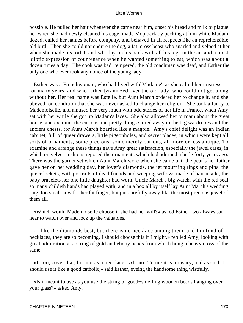possible. He pulled her hair whenever she came near him, upset his bread and milk to plague her when she had newly cleaned his cage, made Mop bark by pecking at him while Madam dozed, called her names before company, and behaved in all respects like an reprehensible old bird. Then she could not endure the dog, a fat, cross beast who snarled and yelped at her when she made his toilet, and who lay on his back with all his legs in the air and a most idiotic expression of countenance when he wanted something to eat, which was about a dozen times a day. The cook was bad−tempered, the old coachman was deaf, and Esther the only one who ever took any notice of the young lady.

 Esther was a Frenchwoman, who had lived with`Madame', as she called her mistress, for many years, and who rather tyrannized over the old lady, who could not get along without her. Her real name was Estelle, but Aunt March ordered her to change it, and she obeyed, on condition that she was never asked to change her religion. She took a fancy to Mademoiselle, and amused her very much with odd stories of her life in France, when Amy sat with her while she got up Madam's laces. She also allowed her to roam about the great house, and examine the curious and pretty things stored away in the big wardrobes and the ancient chests, for Aunt March hoarded like a magpie. Amy's chief delight was an Indian cabinet, full of queer drawers, little pigeonholes, and secret places, in which were kept all sorts of ornaments, some precious, some merely curious, all more or less antique. To examine and arrange these things gave Amy great satisfaction, especially the jewel cases, in which on velvet cushions reposed the ornaments which had adorned a belle forty years ago. There was the garnet set which Aunt March wore when she came out, the pearls her father gave her on her wedding day, her lover's diamonds, the jet mourning rings and pins, the queer lockets, with portraits of dead friends and weeping willows made of hair inside, the baby bracelets her one little daughter had worn, Uncle March's big watch, with the red seal so many childish hands had played with, and in a box all by itself lay Aunt March's wedding ring, too small now for her fat finger, but put carefully away like the most precious jewel of them all.

 «Which would Mademoiselle choose if she had her will?» asked Esther, wo always sat near to watch over and lock up the valuables.

 «I like the diamonds best, but there is no necklace among them, and I'm fond of necklaces, they are so becoming. I should choose this if I might,» replied Amy, looking with great admiration at a string of gold and ebony beads from which hung a heavy cross of the same.

 «I, too, covet that, but not as a necklace. Ah, no! To me it is a rosary, and as such I should use it like a good catholic,» said Esther, eyeing the handsome thing wistfully.

 «Is it meant to use as you use the string of good−smelling wooden beads hanging over your glass?» asked Amy.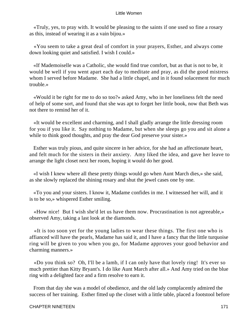«Truly, yes, to pray with. It would be pleasing to the saints if one used so fine a rosary as this, instead of wearing it as a vain bijou.»

 «You seem to take a great deal of comfort in your prayers, Esther, and always come down looking quiet and satisfied. I wish I could.»

 «If Mademoiselle was a Catholic, she would find true comfort, but as that is not to be, it would be well if you went apart each day to meditate and pray, as did the good mistress whom I served before Madame. She had a little chapel, and in it found solacement for much trouble.»

 «Would it be right for me to do so too?» asked Amy, who in her loneliness felt the need of help of some sort, and found that she was apt to forget her little book, now that Beth was not there to remind her of it.

 «It would be excellent and charming, and I shall gladly arrange the little dressing room for you if you like it. Say nothing to Madame, but when she sleeps go you and sit alone a while to think good thoughts, and pray the dear God preserve your sister.»

 Esther was truly pious, and quite sincere in her advice, for she had an affectionate heart, and felt much for the sisters in their anxiety. Amy liked the idea, and gave her leave to arrange the light closet next her room, hoping it would do her good.

 «I wish I knew where all these pretty things would go when Aunt March dies,» she said, as she slowly replaced the shining rosary and shut the jewel cases one by one.

 «To you and your sisters. I know it, Madame confides in me. I witnessed her will, and it is to be so,» whispered Esther smiling.

 «How nice! But I wish she'd let us have them now. Procrastination is not agreeable,» observed Amy, taking a last look at the diamonds.

 «It is too soon yet for the young ladies to wear these things. The first one who is affianced will have the pearls, Madame has said it, and I have a fancy that the little turquoise ring will be given to you when you go, for Madame approves your good behavior and charming manners.»

 «Do you think so? Oh, I'll be a lamb, if I can only have that lovely ring! It's ever so much prettier than Kitty Bryant's. I do like Aunt March after all.» And Amy tried on the blue ring with a delighted face and a firm resolve to earn it.

 From that day she was a model of obedience, and the old lady complacently admired the success of her training. Esther fitted up the closet with a little table, placed a footstool before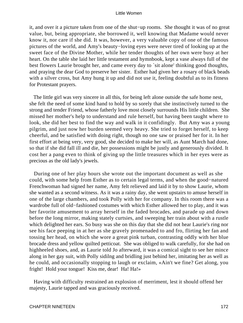it, and over it a picture taken from one of the shut−up rooms. She thought it was of no great value, but, being appropriate, she borrowed it, well knowing that Madame would never know it, nor care if she did. It was, however, a very valuable copy of one of the famous pictures of the world, and Amy's beauty−loving eyes were never tired of looking up at the sweet face of the Divine Mother, while her tender thoughts of her own were busy at her heart. On the table she laid her little testament and hymnbook, kept a vase always full of the best flowers Laurie brought her, and came every day to `sit alone' thinking good thoughts, and praying the dear God to preserve her sister. Esther had given her a rosary of black beads with a silver cross, but Amy hung it up and did not use it, feeling doubtful as to its fitness for Protestant prayers.

 The little girl was very sincere in all this, for being left alone outside the safe home nest, she felt the need of some kind hand to hold by so sorely that she instinctively turned to the strong and tender Friend, whose fatherly love most closely surrounds His little children. She missed her mother's help to understand and rule herself, but having been taught where to look, she did her best to find the way and walk in it confidingly. But Amy was a young pilgrim, and just now her burden seemed very heavy. She tried to forget herself, to keep cheerful, and be satisfied with doing right, though no one saw or praised her for it. In her first effort at being very, very good, she decided to make her will, as Aunt March had done, so that if she did fall ill and die, her possessions might be justly and generously divided. It cost her a pang even to think of giving up the little treasures which in her eyes were as precious as the old lady's jewels.

 During one of her play hours she wrote out the important document as well as she could, with some help from Esther as to certain legal terms, and when the good−natured Frenchwoman had signed her name, Amy felt relieved and laid it by to show Laurie, whom she wanted as a second witness. As it was a rainy day, she went upstairs to amuse herself in one of the large chambers, and took Polly with her for company. In this room there was a wardrobe full of old−fashioned costumes with which Esther allowed her to play, and it was her favorite amusement to array herself in the faded brocades, and parade up and down before the long mirror, making stately curtsies, and sweeping her train about with a rustle which delighted her ears. So busy was she on this day that she did not hear Laurie's ring nor see his face peeping in at her as she gravely promenaded to and fro, flirting her fan and tossing her head, on which she wore a great pink turban, contrasting oddly with her blue brocade dress and yellow quilted petticoat. She was obliged to walk carefully, for she had on highheeled shoes, and, as Laurie told Jo afterward, it was a comical sight to see her mince along in her gay suit, with Polly sidilng and bridling just behind her, imitating her as well as he could, and occasionally stopping to laugh or exclaim, «Ain't we fine? Get along, you fright! Hold your tongue! Kiss me, dear! Ha! Ha!»

 Having with difficulty restrained an explosion of merriment, lest it should offend her majesty, Laurie tapped and was graciously received.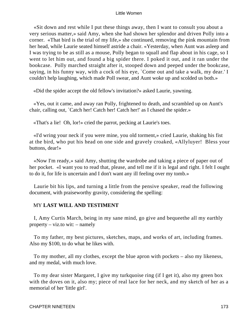«Sit down and rest while I put these things away, then I want to consult you about a very serious matter,» said Amy, when she had shown her splendor and driven Polly into a corner. «That bird is the trial of my life,» she continued, removing the pink mountain from her head, while Laurie seated himself astride a chair. «Yesterday, when Aunt was asleep and I was trying to be as still as a mouse, Polly began to squall and flap about in his cage, so I went to let him out, and found a big spider there. I poked it out, and it ran under the bookcase. Polly marched straight after it, stooped down and peeped under the bookcase, saying, in his funny way, with a cock of his eye, `Come out and take a walk, my dear.' I couldn't help laughing, which made Poll swear, and Aunt woke up and scolded us both.»

«Did the spider accept the old fellow's invitation?» asked Laurie, yawning.

 «Yes, out it came, and away ran Polly, frightened to death, and scrambled up on Aunt's chair, calling out, `Catch her! Catch her! Catch her!' as I chased the spider.»

«That's a lie! Oh, lor!» cried the parrot, pecking at Laurie's toes.

 «I'd wring your neck if you were mine, you old torment,» cried Laurie, shaking his fist at the bird, who put his head on one side and gravely croaked, «Allyluyer! Bless your buttons, dear!»

 «Now I'm ready,» said Amy, shutting the wardrobe and taking a piece of paper out of her pocket. «I want you to read that, please, and tell me if it is legal and right. I felt I ought to do it, for life is uncertain and I don't want any ill feeling over my tomb.»

 Laurie bit his lips, and turning a little from the pensive speaker, read the following document, with praiseworthy gravity, considering the spelling:

# MY **LAST WILL AND TESTIMENT**

 I, Amy Curtis March, being in my sane mind, go give and bequeethe all my earthly property – viz.to wit: – namely

 To my father, my best pictures, sketches, maps, and works of art, including frames. Also my \$100, to do what he likes with.

 To my mother, all my clothes, except the blue apron with pockets – also my likeness, and my medal, with much love.

 To my dear sister Margaret, I give my turkquoise ring (if I get it), also my green box with the doves on it, also my; piece of real lace for her neck, and my sketch of her as a memorial of her 'little girl'.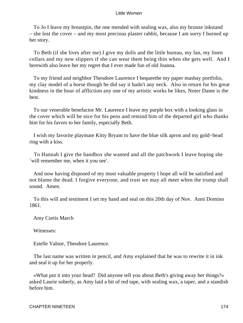To Jo I leave my breastpin, the one mended with sealing wax, also my bronze inkstand – she lost the cover – and my most precious plaster rabbit, because I am sorry I burned up her story.

 To Beth (if she lives after me) I give my dolls and the little bureau, my fan, my linen collars and my new slippers if she can wear them being thin when she gets well. And I herewith also leave her my regret that I ever made fun of old Joanna.

 To my friend and neighbor Theodore Laurence I bequeethe my paper mashay portfolio, my clay model of a horse though he did say it hadn't any neck. Also in return for his great kindness in the hour of affliction any one of my artistic works he likes, Noter Dame is the best.

 To our venerable benefactor Mr. Laurence I leave my purple box with a looking glass in the cover which will be nice for his pens and remind him of the departed girl who thanks him for his favors to her family, especially Beth.

 I wish my favorite playmate Kitty Bryant to have the blue silk apron and my gold−bead ring with a kiss.

 To Hannah I give the bandbox she wanted and all the patchwork I leave hoping she `will remember me, when it you see'.

 And now having disposed of my most valuable property I hope all will be satisfied and not blame the dead. I forgive everyone, and trust we may all meet when the trump shall sound. Amen.

 To this will and testiment I set my hand and seal on this 20th day of Nov. Anni Domino 1861.

Amy Curtis March

Witnesses:

Estelle Valnor, Theodore Laurence.

 The last name was written in pencil, and Amy explained that he was to rewrite it in ink and seal it up for her properly.

 «What put it into your head? Did anyone tell you about Beth's giving away her things?» asked Laurie soberly, as Amy laid a bit of red tape, with sealing wax, a taper, and a standish before him.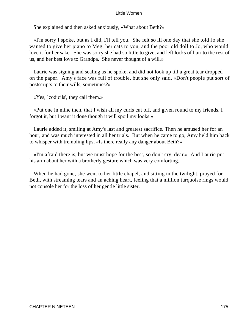She explained and then asked anxiously, «What about Beth?»

 «I'm sorry I spoke, but as I did, I'll tell you. She felt so ill one day that she told Jo she wanted to give her piano to Meg, her cats to you, and the poor old doll to Jo, who would love it for her sake. She was sorry she had so little to give, and left locks of hair to the rest of us, and her best love to Grandpa. She never thought of a will.»

 Laurie was signing and sealing as he spoke, and did not look up till a great tear dropped on the paper. Amy's face was full of trouble, but she only said, «Don't people put sort of postscripts to their wills, sometimes?»

«Yes, `codicils', they call them.»

 «Put one in mine then, that I wish all my curls cut off, and given round to my friends. I forgot it, but I want it done though it will spoil my looks.»

 Laurie added it, smiling at Amy's last and greatest sacrifice. Then he amused her for an hour, and was much interested in all her trials. But when he came to go, Amy held him back to whisper with trembling lips, «Is there really any danger about Beth?»

 «I'm afraid there is, but we must hope for the best, so don't cry, dear.» And Laurie put his arm about her with a brotherly gesture which was very comforting.

 When he had gone, she went to her little chapel, and sitting in the twilight, prayed for Beth, with streaming tears and an aching heart, feeling that a million turquoise rings would not console her for the loss of her gentle little sister.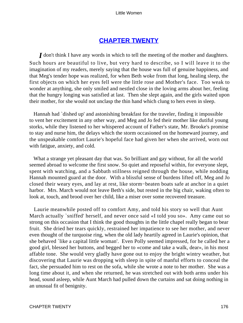# **[CHAPTER TWENTY](#page-419-0)**

*I* don't think I have any words in which to tell the meeting of the mother and daughters. Such hours are beautiful to live, but very hard to describe, so I will leave it to the imagination of my readers, merely saying that the house was full of genuine happiness, and that Meg's tender hope was realized, for when Beth woke from that long, healing sleep, the first objects on which her eyes fell were the little rose and Mother's face. Too weak to wonder at anything, she only smiled and nestled close in the loving arms about her, feeling that the hungry longing was satisfied at last. Then she slept again, and the girls waited upon their mother, for she would not unclasp the thin hand which clung to hers even in sleep.

 Hannah had `dished up' and astonishing breakfast for the traveler, finding it impossible to vent her excitement in any other way, and Meg and Jo fed their mother like dutiful young storks, while they listened to her whispered account of Father's state, Mr. Brooke's promise to stay and nurse him, the delays which the storm occasioned on the homeward journey, and the unspeakable comfort Laurie's hopeful face had given her when she arrived, worn out with fatigue, anxiety, and cold.

 What a strange yet pleasant day that was. So brilliant and gay without, for all the world seemed abroad to welcome the first snow. So quiet and reposeful within, for everyone slept, spent with watching, and a Sabbath stillness reigned through the house, while nodding Hannah mounted guard at the door. With a blissful sense of burdens lifted off, Meg and Jo closed their weary eyes, and lay at rest, like storm−beaten boats safe at anchor in a quiet harbor. Mrs. March would not leave Beth's side, but rested in the big chair, waking often to look at, touch, and brood over her child, like a miser over some recovered treasure.

 Laurie meanwhile posted off to comfort Amy, and told his story so well that Aunt March actually `sniffed' herself, and never once said «I told you so». Amy came out so strong on this occasion that I think the good thoughts in the little chapel really began to bear fruit. She dried her tears quickly, restrained her impatience to see her mother, and never even thought of the turquoise ring, when the old lady heartily agreed in Laurie's opinion, that she behaved `like a capital little woman'. Even Polly seemed impressed, for he called her a good girl, blessed her buttons, and begged her to «come and take a walk, dear», in his most affable tone. She would very gladly have gone out to enjoy the bright wintry weather, but discovering that Laurie was dropping with sleep in spite of manful efforts to conceal the fact, she persuaded him to rest on the sofa, while she wrote a note to her mother. She was a long time about it, and when she returned, he was stretched out with both arms under his head, sound asleep, while Aunt March had pulled down the curtains and sat doing nothing in an unusual fit of benignity.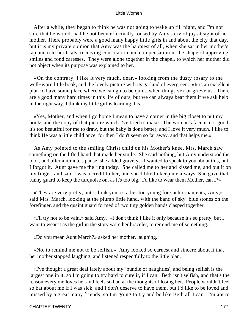After a while, they began to think he was not going to wake up till night, and I'm not sure that he would, had he not been effectually roused by Amy's cry of joy at sight of her mother. There probably were a good many happy little girls in and about the city that day, but it is my private opinion that Amy was the happiest of all, when she sat in her mother's lap and told her trials, receiving consolation and compensation in the shape of approving smiles and fond caresses. They were alone together in the chapel, to which her mother did not object when its purpose was explained to her.

 «On the contrary, I like it very much, dear,» looking from the dusty rosary to the well−worn little book, and the lovely picture with its garland of evergreen. «It is an excellent plan to have some place where we can go to be quiet, when things vex or grieve us. There are a good many hard times in this life of ours, but we can always bear them if we ask help in the right way. I think my little girl is learning this.»

 «Yes, Mother, and when I go home I mean to have a corner in the big closet to put my books and the copy of that picture which I've tried to make. The woman's face is not good, it's too beautiful for me to draw, but the baby is done better, and I love it very much. I like to think He was a little child once, for then I don't seem so far away, and that helps me.»

 As Amy pointed to the smiling Christ child on his Mother's knee, Mrs. March saw something on the lifted hand that made her smile. She said nothing, but Amy understood the look, and after a minute's pause, she added gravely, «I wanted to speak to you about this, but I forgot it. Aunt gave me the ring today. She called me to her and kissed me, and put it on my finger, and said I was a credit to her, and she'd like to keep me always. She gave that funny guard to keep the turquoise on, as it's too big. I'd like to wear them Mother, can I?»

 «They are very pretty, but I think you're rather too young for such ornaments, Amy,» said Mrs. March, looking at the plump little hand, with the band of sky−blue stones on the forefinger, and the quaint guard formed of two tiny golden hands clasped together.

 «I'll try not to be vain,» said Amy. «I don't think I like it only because it's so pretty, but I want to wear it as the girl in the story wore her bracelet, to remind me of something.»

«Do you mean Aunt March?» asked her mother, laughing.

 «No, to remind me not to be selfish.» Amy looked so earnest and sincere about it that her mother stopped laughing, and listened respectfully to the little plan.

 «I've thought a great deal lately about my `bundle of naughties', and being selfish is the largest one in it, so I'm going to try hard to cure it, if I can. Beth isn't selfish, and that's the reason everyone loves her and feels so bad at the thoughts of losing her. People wouldn't feel so bat about me if I was sick, and I don't deserve to have them, but I'd like to be loved and missed by a great many friends, so I'm going to try and be like Beth all I can. I'm apt to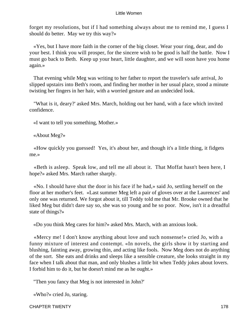forget my resolutions, but if I had something always about me to remind me, I guess I should do better. May we try this way?»

 «Yes, but I have more faith in the corner of the big closet. Wear your ring, dear, and do your best. I think you will prosper, for the sincere wish to be good is half the battle. Now I must go back to Beth. Keep up your heart, little daughter, and we will soon have you home again.»

 That evening while Meg was writing to her father to report the traveler's safe arrival, Jo slipped upstairs into Beth's room, and finding her mother in her usual place, stood a minute twisting her fingers in her hair, with a worried gesture and an undecided look.

 "What is it, deary?' asked Mrs. March, holding out her hand, with a face which invited confidence.

«I want to tell you something, Mother.»

«About Meg?»

 «How quickly you guessed! Yes, it's about her, and though it's a little thing, it fidgets me.»

 «Beth is asleep. Speak low, and tell me all about it. That Moffat hasn't been here, I hope?» asked Mrs. March rather sharply.

 «No. I should have shut the door in his face if he had,» said Jo, settling herself on the floor at her mother's feet. «Last summer Meg left a pair of gloves over at the Laurences' and only one was returned. We forgot about it, till Teddy told me that Mr. Brooke owned that he liked Meg but didn't dare say so, she was so young and he so poor. Now, isn't it a dreadful state of things?»

«Do you think Meg cares for him?» asked Mrs. March, with an anxious look.

 «Mercy me! I don't know anything about love and such nonsense!» cried Jo, with a funny mixture of interest and contempt. «In novels, the girls show it by starting and blushing, fainting away, growing thin, and acting like fools. Now Meg does not do anything of the sort. She eats and drinks and sleeps like a sensible creature, she looks straight in my face when I talk about that man, and only blushes a little bit when Teddy jokes about lovers. I forbid him to do it, but he doesn't mind me as he ought.»

"Then you fancy that Meg is not interested in John?'

«Who?» cried Jo, staring.

CHAPTER TWENTY 178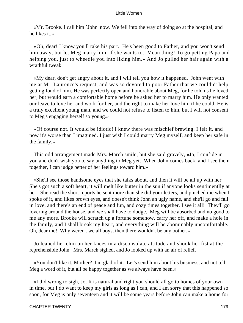«Mr. Brooke. I call him `John' now. We fell into the way of doing so at the hospital, and he likes it.»

 «Oh, dear! I know you'll take his part. He's been good to Father, and you won't send him away, but let Meg marry him, if she wants to. Mean thing! To go petting Papa and helping you, just to wheedle you into liking him.» And Jo pulled her hair again with a wrathful tweak.

 «My dear, don't get angry about it, and I will tell you how it happened. John went with me at Mr. Laurence's request, and was so devoted to poor Father that we couldn't help getting fond of him. He was perfectly open and honorable about Meg, for he told us he loved her, but would earn a comfortable home before he asked her to marry him. He only wanted our leave to love her and work for her, and the right to make her love him if he could. He is a truly excellent young man, and we could not refuse to listen to him, but I will not consent to Meg's engaging herself so young.»

 «Of course not. It would be idiotic! I knew there was mischief brewing. I felt it, and now it's worse than I imagined. I just wish I could marry Meg myself, and keep her safe in the family.»

 This odd arrangement made Mrs. March smile, but she said gravely, «Jo, I confide in you and don't wish you to say anything to Meg yet. When John comes back, and I see them together, I can judge better of her feelings toward him.»

 «She'll see those handsome eyes that she talks about, and then it will be all up with her. She's got such a soft heart, it will melt like butter in the sun if anyone looks sentimentlly at her. She read the short reports he sent more than she did your letters, and pinched me when I spoke of it, and likes brown eyes, and doesn't think John an ugly name, and she'll go and fall in love, and there's an end of peace and fun, and cozy times together. I see it all! They'll go lovering around the house, and we shall have to dodge. Meg will be absorbed and no good to me any more. Brooke will scratch up a fortune somehow, carry her off, and make a hole in the family, and I shall break my heart, and everything will be abominably uncomfortable. Oh, dear me! Why weren't we all boys, then there wouldn't be any bother.»

 Jo leaned her chin on her knees in a disconsolate attitude and shook her fist at the reprehensible John. Mrs. March sighed, and Jo looked up with an air of relief.

 «You don't like it, Mother? I'm glad of it. Let's send him about his business, and not tell Meg a word of it, but all be happy together as we always have been.»

 «I did wrong to sigh, Jo. It is natural and right you should all go to homes of your own in time, but I do want to keep my girls as long as I can, and I am sorry that this happened so soon, for Meg is only seventeen and it will be some years before John can make a home for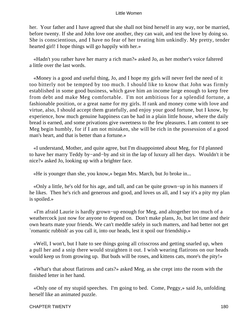her. Your father and I have agreed that she shall not bind herself in any way, nor be married, before twenty. If she and John love one another, they can wait, and test the love by doing so. She is conscientious, and I have no fear of her treating him unkindly. My pretty, tender hearted girl! I hope things will go happily with her.»

 «Hadn't you rather have her marry a rich man?» asked Jo, as her mother's voice faltered a little over the last words.

 «Money is a good and useful thing, Jo, and I hope my girls will never feel the need of it too bitterly not be tempted by too much. I should like to know that John was firmly established in some good business, which gave him an income large enough to keep free from debt and make Meg comfortable. I'm not ambitious for a splendid fortune, a fashionable position, or a great name for my girls. If rank and money come with love and virtue, also, I should accept them gratefully, and enjoy your good fortune, but I know, by experience, how much genuine happiness can be had in a plain little house, where the daily bread is earned, and some privations give sweetness to the few pleasures. I am content to see Meg begin humbly, for if I am not mistaken, she will be rich in the possession of a good man's heart, and that is better than a fortune.»

 «I understand, Mother, and quite agree, but I'm disappointed about Meg, for I'd planned to have her marry Teddy by−and−by and sit in the lap of luxury all her days. Wouldn't it be nice?» asked Jo, looking up with a brighter face.

«He is younger than she, you know,» began Mrs. March, but Jo broke in...

 «Only a little, he's old for his age, and tall, and can be quite grown−up in his manners if he likes. Then he's rich and generous and good, and loves us all, and I say it's a pity my plan is spoiled.»

 «I'm afraid Laurie is hardly grown−up enough for Meg, and altogether too much of a weathercock just now for anyone to depend on. Don't make plans, Jo, but let time and their own hearts mate your friends. We can't meddle safely in such matters, and had better not get `romantic rubbish' as you call it, into our heads, lest it spoil our friendship.»

 «Well, I won't, but I hate to see things going all crisscross and getting snarled up, when a pull her and a snip there would straighten it out. I wish wearing flatirons on our heads would keep us from growing up. But buds will be roses, and kittens cats, more's the pity!»

 «What's that about flatirons and cats?» asked Meg, as she crept into the room with the finished letter in her hand.

 «Only one of my stupid speeches. I'm going to bed. Come, Peggy,» said Jo, unfolding herself like an animated puzzle.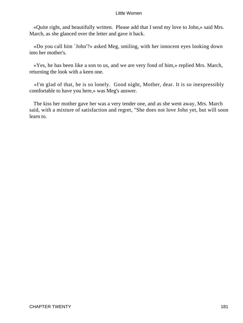«Quite right, and beautifully written. Please add that I send my love to John,» said Mrs. March, as she glanced over the letter and gave it back.

 «Do you call him `John'?» asked Meg, smiling, with her innocent eyes looking down into her mother's.

 «Yes, he has been like a son to us, and we are very fond of him,» replied Mrs. March, returning the look with a keen one.

 «I'm glad of that, he is so lonely. Good night, Mother, dear. It is so inexpressibly comfortable to have you here,» was Meg's answer.

 The kiss her mother gave her was a very tender one, and as she went away, Mrs. March said, with a mixture of satisfaction and regret, "She does not love John yet, but will soon learn to.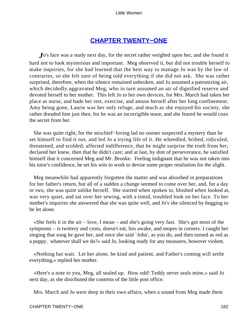## **[CHAPTER TWENTY−ONE](#page-420-0)**

*J*o's face was a study next day, for the secret rather weighed upon her, and she found it hard not to look mysterious and important. Meg observed it, but did not trouble herself to make inquiries, for she had learned that the best way to manage Jo was by the law of contraries, so she felt sure of being told everything if she did not ask. She was rather surprised, therefore, when the silence remained unbroken, and Jo assumed a patronizing air, which decidedly aggravated Meg, who in turn assumed an air of dignified reserve and devoted herself to her mother. This left Jo to her own devices, for Mrs. March had taken her place as nurse, and bade her rest, exercise, and amuse herself after her long confinement. Amy being gone, Laurie was her only refuge, and much as she enjoyed his society, she rather dreaded him just then, for he was an incorrigible tease, and she feared he would coax the secret from her.

 She was quite right, for the mischief−loving lad no sooner suspected a mystery than he set himself to find it out, and led Jo a trying life of it. He wheedled, bribed, ridiculed, threatened, and scolded; affected indifference, that he might surprise the truth from her; declared her knew, then that he didn't care; and at last, by dint of perseverance, he satisfied himself that it concerned Meg and Mr. Brooke. Feeling indignant that he was not taken into his tutor's confidence, he set his wits to work to devise some proper retaliation for the slight.

 Meg meanwhile had apparently forgotten the matter and was absorbed in preparations for her father's return, but all of a sudden a change seemed to come over her, and, for a day or two, she was quite unlike herself. She started when spoken to, blushed when looked at, was very quiet, and sat over her sewing, with a timid, troubled look on her face. To her mother's inquiries she answered that she was quite well, and Jo's she silenced by begging to be let alone.

«She feels it in the air  $-$  love, I mean  $-$  and she's going very fast. She's got most of the symptoms – is twittery and cross, doesn't eat, lies awake, and mopes in corners. I caught her singing that song he gave her, and once she said `John', as you do, and then turned as red as a poppy. whatever shall we do?» said Jo, looking ready for any measures, however violent.

 «Nothing but wait. Let her alone, be kind and patient, and Father's coming will settle everything,» replied her mother.

 «Here's a note to you, Meg, all sealed up. How odd! Teddy never seals mine,» said Jo next day, as she distributed the contents of the little post office.

Mrs. March and Jo were deep in their own affairs, when a sound from Meg made them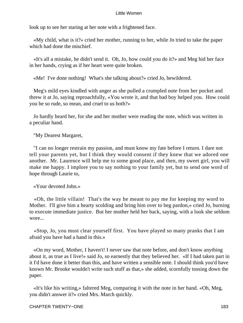look up to see her staring at her note with a frightened face.

 «My child, what is it?» cried her mother, running to her, while Jo tried to take the paper which had done the mischief.

 «It's all a mistake, he didn't send it. Oh, Jo, how could you do it?» and Meg hid her face in her hands, crying as if her heart were quite broken.

«Me! I've done nothing! What's she talking about?» cried Jo, bewildered.

 Meg's mild eyes kindled with anger as she pulled a crumpled note from her pocket and threw it at Jo, saying reproachfully, «You wrote it, and that bad boy helped you. How could you be so rude, so mean, and cruel to us both?»

 Jo hardly heard her, for she and her mother were reading the note, which was written in a peculiar hand.

"My Dearest Margaret,

 "I can no longer restrain my passion, and must know my fate before I return. I dare not tell your parents yet, but I think they would consent if they knew that we adored one another. Mr. Laurence will help me to some good place, and then, my sweet girl, you will make me happy. I implore you to say nothing to your family yet, but to send one word of hope through Laurie to,

«Your devoted John.»

 «Oh, the little villain! That's the way he meant to pay me for keeping my word to Mother. I'll give him a hearty scolding and bring him over to beg pardon,» cried Jo, burning to execute immediate justice. But her mother held her back, saying, with a look she seldom wore...

 «Stop, Jo, you must clear yourself first. You have played so many pranks that I am afraid you have had a hand in this.»

 «On my word, Mother, I haven't! I never saw that note before, and don't know anything about it, as true as I live!» said Jo, so earnestly that they believed her. «If I had taken part in it I'd have done it better than this, and have written a sensible note. I should think you'd have known Mr. Brooke wouldn't write such stuff as that,» she added, scornfully tossing down the paper.

 «It's like his writing,» faltered Meg, comparing it with the note in her hand. «Oh, Meg, you didn't answer it?» cried Mrs. March quickly.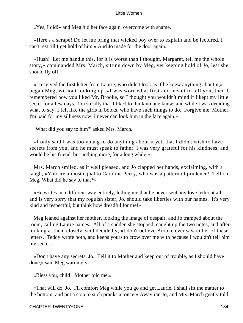«Yes, I did!» and Meg hid her face again, overcome with shame.

 «Here's a scrape! Do let me bring that wicked boy over to explain and be lectured. I can't rest till I get hold of him.» And Jo made for the door again.

 «Hush! Let me handle this, for it is worse than I thought. Margaret, tell me the whole story,» commanded Mrs. March, sitting down by Meg, yet keeping hold of Jo, lest she should fly off.

 «I received the first letter from Laurie, who didn't look as if he knew anything about it,» began Meg, without looking up. «I was worried at first and meant to tell you, then I remembered how you liked Mr. Brooke, so I thought you wouldn't mind if I kept my little secret for a few days. I'm so silly that I liked to think no one knew, and while I was deciding what to say, I felt like the girls in books, who have such things to do. Forgive me, Mother, I'm paid for my silliness now. I never can look him in the face again.»

"What did you say to him?' asked Mrs. March.

 «I only said I was too young to do anything about it yet, that I didn't wish to have secrets from you, and he must speak to father. I was very grateful for his kindness, and would be his friend, but nothing more, for a long while.»

 Mrs. March smiled, as if well pleased, and Jo clapped her hands, exclaiming, with a laugh, «You are almost equal to Caroline Percy, who was a pattern of prudence! Tell on, Meg. What did he say to that?»

 «He writes in a different way entirely, telling me that he never sent any love letter at all, and is very sorry that my roguish sister, Jo, should take liberties with our names. It's very kind and respectful, but think how dreadful for me!»

 Meg leaned against her mother, looking the image of despair, and Jo tramped about the room, calling Laurie names. All of a sudden she stopped, caught up the two notes, and after looking at them closely, said decidedly, «I don't believe Brooke ever saw either of these letters. Teddy wrote both, and keeps yours to crow over me with because I wouldn't tell him my secret.»

 «Don't have any secrets, Jo. Tell it to Mother and keep out of trouble, as I should have done,» said Meg warningly.

«Bless you, child! Mother told me.»

 «That will do, Jo. I'll comfort Meg while you go and get Laurie. I shall sift the matter to the bottom, and put a stop to such pranks at once.» Away ran Jo, and Mrs. March gently told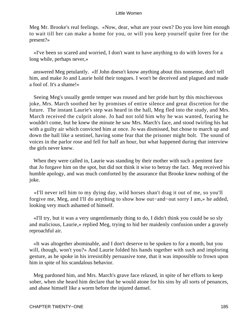Meg Mr. Brooke's real feelings. «Now, dear, what are your own? Do you love him enough to wait till her can make a home for you, or will you keep yourself quite free for the present?»

 «I've been so scared and worried, I don't want to have anything to do with lovers for a long while, perhaps never,»

 answered Meg petulantly. «If John doesn't know anything about this nonsense, don't tell him, and make Jo and Laurie hold their tongues. I won't be deceived and plagued and made a fool of. It's a shame!»

 Seeing Meg's usually gentle temper was roused and her pride hurt by this mischievous joke, Mrs. March soothed her by promises of entire silence and great discretion for the future. The instant Laurie's step was heard in the hall, Meg fled into the study, and Mrs. March received the culprit alone. Jo had not told him why he was wanted, fearing he wouldn't come, but he knew the minute he saw Mrs. March's face, and stood twirling his hat with a guilty air which convicted him at once. Jo was dismissed, but chose to march up and down the hall like a sentinel, having some fear that the prisoner might bolt. The sound of voices in the parlor rose and fell for half an hour, but what happened during that interview the girls never knew.

 When they were called in, Laurie was standing by their mother with such a penitent face that Jo forgave him on the spot, but did not think it wise to betray the fact. Meg received his humble apology, and was much comforted by the assurance that Brooke knew nothing of the joke.

 «I'll never tell him to my dying day, wild horses shan't drag it out of me, so you'll forgive me, Meg, and I'll do anything to show how out−and−out sorry I am,» he added, looking very much ashamed of himself.

 «I'll try, but it was a very ungentlemanly thing to do, I didn't think you could be so sly and malicious, Laurie,» replied Meg, trying to hid her maidenly confusion under a gravely reproachful air.

 «It was altogether abominable, and I don't deserve to be spoken to for a month, but you will, though, won't you?» And Laurie folded his hands together with such and imploring gesture, as he spoke in his irresistibly persuasive tone, that it was impossible to frown upon him in spite of his scandalous behavior.

 Meg pardoned him, and Mrs. March's grave face relaxed, in spite of her efforts to keep sober, when she heard him declare that he would atone for his sins by all sorts of penances, and abase himself like a worm before the injured damsel.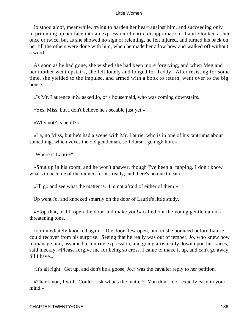Jo stood aloof, meanwhile, trying to harden her heart against him, and succeeding only in primming up her face into an expression of entire disapprobation. Laurie looked at her once or twice, but as she showed no sign of relenting, he felt injured, and turned his back on her till the others were done with him, when he made her a low bow and walked off without a word.

 As soon as he had gone, she wished she had been more forgiving, and when Meg and her mother went upstairs, she felt lonely and longed for Teddy. After resisting for some time, she yielded to the impulse, and armed with a book to return, went over to the big house.

«Is Mr. Laurence in?» asked Jo, of a housemaid, who was coming downstairs.

«Yes, Miss, but I don't believe he's seeable just yet.»

«Why not? Is he ill?»

 «La, no Miss, but he's had a scene with Mr. Laurie, who is in one of his tantrums about something, which vexes the old gentleman, so I dursn't go nigh him.»

"Where is Laurie?'

 «Shut up in his room, and he won't answer, though I've been a−tapping. I don't know what's to become of the dinner, for it's ready, and there's no one to eat it.»

«I'll go and see what the matter is. I'm not afraid of either of them.»

Up went Jo, and knocked smartly on the door of Laurie's little study.

 «Stop that, or I'll open the door and make you!» called out the young gentleman in a threatening tone.

 Jo immediately knocked again. The door flew open, and in she bounced before Laurie could recover from his surprise. Seeing that he really was out of temper, Jo, who knew how to manage him, assumed a contrite expression, and going artistically down upon her knees, said meekly, «Please forgive me for being so cross. I came to make it up, and can't go away till I have.»

«It's all right. Get up, and don't be a goose, Jo,» was the cavalier reply to her petition.

 «Thank you, I will. Could I ask what's the matter? You don't look exactly easy in your mind.»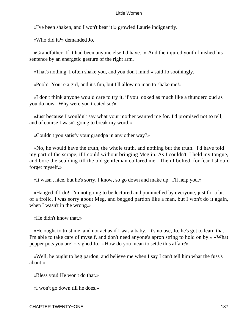«I've been shaken, and I won't bear it!» growled Laurie indignantly.

«Who did it?» demanded Jo.

 «Grandfather. If it had been anyone else I'd have...» And the injured youth finished his sentence by an energetic gesture of the right arm.

«That's nothing. I often shake you, and you don't mind,» said Jo soothingly.

«Pooh! You're a girl, and it's fun, but I'll allow no man to shake me!»

 «I don't think anyone would care to try it, if you looked as much like a thundercloud as you do now. Why were you treated so?»

 «Just because I wouldn't say what your mother wanted me for. I'd promised not to tell, and of course I wasn't going to break my word.»

«Couldn't you satisfy your grandpa in any other way?»

 «No, he would have the truth, the whole truth, and nothing but the truth. I'd have told my part of the scrape, if I could without bringing Meg in. As I couldn't, I held my tongue, and bore the scolding till the old gentleman collared me. Then I bolted, for fear I should forget myself.»

«It wasn't nice, but he's sorry, I know, so go down and make up. I'll help you.»

 «Hanged if I do! I'm not going to be lectured and pummelled by everyone, just for a bit of a frolic. I was sorry about Meg, and begged pardon like a man, but I won't do it again, when I wasn't in the wrong.»

«He didn't know that.»

 «He ought to trust me, and not act as if I was a baby. It's no use, Jo, he's got to learn that I'm able to take care of myself, and don't need anyone's apron string to hold on by.» «What pepper pots you are! » sighed Jo. «How do you mean to settle this affair?»

 «Well, he ought to beg pardon, and believe me when I say I can't tell him what the fuss's about.»

«Bless you! He won't do that.»

«I won't go down till he does.»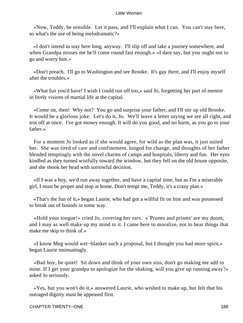«Now, Teddy, be sensible. Let it pass, and I'll explain what I can. You can't stay here, so what's the use of being melodramatic?»

 «I don't intend to stay here long, anyway. I'll slip off and take a journey somewhere, and when Grandpa misses me he'll come round fast enough.» «I dare say, but you ought not to go and worry him.»

 «Don't preach. I'll go to Washington and see Brooke. It's gay there, and I'll enjoy myself after the troubles.»

 «What fun you'd have! I wish I could run off too,» said Jo, forgetting her part of mentor in lively visions of martial life at the capital.

 «Come on, then! Why not? You go and surprise your father, and I'll stir up old Brooke. It would be a glorious joke. Let's do it, Jo. We'll leave a letter saying we are all right, and trot off at once. I've got money enough. It will do you good, and no harm, as you go to your father.»

 For a moment Jo looked as if she would agree, for wild as the plan was, it just suited her. She was tired of care and confinement, longed for change, and thoughts of her father blended temptingly with the novel charms of camps and hospitals, liberty and fun. Her eyes kindled as they turned wistfully toward the window, but they fell on the old house opposite, and she shook her head with sorrowful decision.

 «If I was a boy, we'd run away together, and have a capital time, but as I'm a miserable girl, I must be proper and stop at home. Don't tempt me, Teddy, it's a crazy plan.»

 «That's the fun of it,» began Laurie, who had got a willful fit on him and was possessed to break out of bounds in some way.

 «Hold your tongue!» cried Jo, covering her ears. «`Prunes and prisms' are my doom, and I may as well make up my mind to it. I came here to moralize, not to hear things that make me skip to think of.»

 «I know Meg would wet−blanket such a proposal, but I thought you had more spirit,» began Laurie insinuatingly.

 «Bad boy, be quiet! Sit down and think of your own sins, don't go making me add to mine. If I get your grandpa to apologize for the shaking, will you give up running away?» asked Jo seriously.

 «Yes, but you won't do it,» answered Laurie, who wished to make up, but felt that his outraged dignity must be appeased first.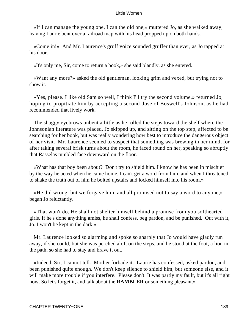«If I can manage the young one, I can the old one,» muttered Jo, as she walked away, leaving Laurie bent over a railroad map with his head propped up on both hands.

 «Come in!» And Mr. Laurence's gruff voice sounded gruffer than ever, as Jo tapped at his door.

«It's only me, Sir, come to return a book,» she said blandly, as she entered.

 «Want any more?» asked the old gentleman, looking grim and vexed, but trying not to show it.

 «Yes, please. I like old Sam so well, I think I'll try the second volume,» returned Jo, hoping to propitiate him by accepting a second dose of Boswell's Johnson, as he had recommended that lively work.

 The shaggy eyebrows unbent a little as he rolled the steps toward the shelf where the Johnsonian literature was placed. Jo skipped up, and sitting on the top step, affected to be searching for her book, but was really wondering how best to introduce the dangerous object of her visit. Mr. Laurence seemed to suspect that something was brewing in her mind, for after taking several brisk turns about the room, he faced round on her, speaking so abruptly that Rasselas tumbled face downward on the floor.

 «What has that boy been about? Don't try to shield him. I know he has been in mischief by the way he acted when he came home. I can't get a word from him, and when I threatened to shake the truth out of him he bolted upstairs and locked himself into his room.»

 «He did wrong, but we forgave him, and all promised not to say a word to anyone,» began Jo reluctantly.

 «That won't do. He shall not shelter himself behind a promise from you softhearted girls. If he's done anything amiss, he shall confess, beg pardon, and be punished. Out with it, Jo. I won't be kept in the dark.»

 Mr. Laurence looked so alarming and spoke so sharply that Jo would have gladly run away, if she could, but she was perched aloft on the steps, and he stood at the foot, a lion in the path, so she had to stay and brave it out.

 «Indeed, Sir, I cannot tell. Mother forbade it. Laurie has confessed, asked pardon, and been punished quite enough. We don't keep silence to shield him, but someone else, and it will make more trouble if you interfere. Please don't. It was partly my fault, but it's all right now. So let's forget it, and talk about the **RAMBLER** or something pleasant.»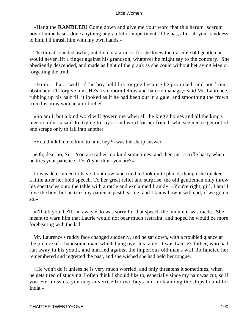«Hang the **RAMBLER!** Come down and give me your word that this harum−scarum boy of mine hasn't done anything ungrateful or impertinent. If he has, after all your kindness to him, I'll thrash him with my own hands.»

 The threat sounded awful, but did not alarm Jo, for she knew the irascible old gentleman would never lift a finger against his grandson, whatever he might say to the contrary. She obediently descended, and made as light of the prank as she could without betraying Meg or forgetting the truth.

 «Hum... ha... well, if the boy held his tongue because he promised, and not from obstinacy, I'll forgive him. He's a stubborn fellow and hard to manage,» said Mr. Laurence, rubbing up his hair till it looked as if he had been out in a gale, and smoothing the frown from his brow with an air of relief.

 «So am I, but a kind word will govern me when all the king's horses and all the king's men couldn't,» said Jo, trying to say a kind word for her friend, who seemed to get out of one scrape only to fall into another.

«You think I'm not kind to him, hey?» was the sharp answer.

 «Oh, dear no, Sir. You are rather too kind sometimes, and then just a trifle hasty when he tries your patience. Don't you think you are?»

 Jo was determined to have it out now, and tried to look quite placid, though she quaked a little after her bold speech. To her great relief and surprise, the old gentleman only threw his spectacles onto the table with a rattle and exclaimed frankly, «You're right, girl, I am! I love the boy, but he tries my patience past bearing, and I know how it will end, if we go on so.»

 «I'll tell you, he'll run away.» Jo was sorry for that speech the minute it was made. She meant to warn him that Laurie would not bear much restraint, and hoped he would be more forebearing with the lad.

 Mr. Laurence's ruddy face changed suddenly, and he sat down, with a troubled glance at the picture of a handsome man, which hung over his table. It was Laurie's father, who had run away in his youth, and married against the imperious old man's will. Jo fancied her remembered and regretted the past, and she wished she had held her tongue.

 «He won't do it unless he is very much worried, and only threatens it sometimes, when he gets tired of studying. I often think I should like to, especially since my hair was cut, so if you ever miss us, you may advertise for two boys and look among the ships bound for India.»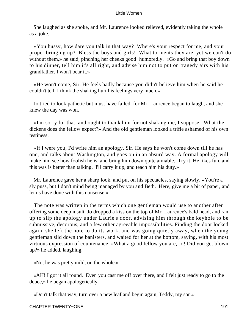She laughed as she spoke, and Mr. Laurence looked relieved, evidently taking the whole as a joke.

 «You hussy, how dare you talk in that way? Where's your respect for me, and your proper bringing up? Bless the boys and girls! What torments they are, yet we can't do without them,» he said, pinching her cheeks good−humoredly. «Go and bring that boy down to his dinner, tell him it's all right, and advise him not to put on tragedy airs with his grandfather. I won't bear it.»

 «He won't come, Sir. He feels badly because you didn't believe him when he said he couldn't tell. I think the shaking hurt his feelings very much.»

 Jo tried to look pathetic but must have failed, for Mr. Laurence began to laugh, and she knew the day was won.

 «I'm sorry for that, and ought to thank him for not shaking me, I suppose. What the dickens does the fellow expect?» And the old gentleman looked a trifle ashamed of his own testiness.

 «If I were you, I'd write him an apology, Sir. He says he won't come down till he has one, and talks about Washington, and goes on in an absurd way. A formal apology will make him see how foolish he is, and bring him down quite amiable. Try it. He likes fun, and this was is better than talking. I'll carry it up, and teach him his duty.»

 Mr. Laurence gave her a sharp look, and put on his spectacles, saying slowly, «You're a sly puss, but I don't mind being managed by you and Beth. Here, give me a bit of paper, and let us have done with this nonsense.»

 The note was written in the terms which one gentleman would use to another after offering some deep insult. Jo dropped a kiss on the top of Mr. Laurence's bald head, and ran up to slip the apology under Laurie's door, advising him through the keyhole to be submissive, decorous, and a few other agreeable impossibilities. Finding the door locked again, she left the note to do its work, and was going quietly away, when the young gentleman slid down the banisters, and waited for her at the bottom, saying, with his most virtuous expression of countenance, «What a good fellow you are, Jo! Did you get blown up?» he added, laughing.

«No, he was pretty mild, on the whole.»

 «AH! I got it all round. Even you cast me off over there, and I felt just ready to go to the deuce,» he began apologetically.

«Don't talk that way, turn over a new leaf and begin again, Teddy, my son.»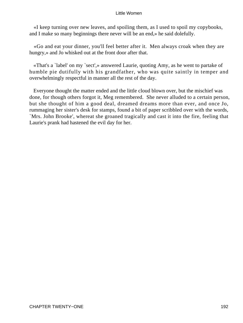«I keep turning over new leaves, and spoiling them, as I used to spoil my copybooks, and I make so many beginnings there never will be an end,» he said dolefully.

 «Go and eat your dinner, you'll feel better after it. Men always croak when they are hungry,» and Jo whisked out at the front door after that.

 «That's a `label' on my `sect',» answered Laurie, quoting Amy, as he went to partake of humble pie dutifully with his grandfather, who was quite saintly in temper and overwhelmingly respectful in manner all the rest of the day.

 Everyone thought the matter ended and the little cloud blown over, but the mischief was done, for though others forgot it, Meg remembered. She never alluded to a certain person, but she thought of him a good deal, dreamed dreams more than ever, and once Jo, rummaging her sister's desk for stamps, found a bit of paper scribbled over with the words, `Mrs. John Brooke', whereat she groaned tragically and cast it into the fire, feeling that Laurie's prank had hastened the evil day for her.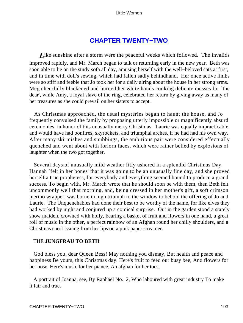## **[CHAPTER TWENTY−TWO](#page-420-0)**

*L*ike sunshine after a storm were the peaceful weeks which followed. The invalids improved rapidly, and Mr. March began to talk or returning early in the new year. Beth was soon able to lie on the study sofa all day, amusing herself with the well−beloved cats at first, and in time with doll's sewing, which had fallen sadly behindhand. Her once active limbs were so stiff and feeble that Jo took her for a daily airing about the house in her strong arms. Meg cheerfully blackened and burned her white hands cooking delicate messes for `the dear', while Amy, a loyal slave of the ring, celebrated her return by giving away as many of her treasures as she could prevail on her sisters to accept.

 As Christmas approached, the usual mysteries began to haunt the house, and Jo frequently convulsed the family by proposing utterly impossible or magnificently absurd ceremonies, in honor of this unusually merry Christmas. Laurie was equally impracticable, and would have had bonfires, skyrockets, and triumphal arches, if he had had his own way. After many skirmishes and snubbings, the ambitious pair were considered effectually quenched and went about with forlorn faces, which were rather belied by explosions of laughter when the two got together.

 Several days of unusually mild weather fitly ushered in a splendid Christmas Day. Hannah `felt in her bones' that it was going to be an unusually fine day, and she proved herself a true prophetess, for everybody and everything seemed bound to produce a grand success. To begin with, Mr. March wrote that he should soon be with them, then Beth felt uncommonly well that morning, and, being dressed in her mother's gift, a soft crimson merino wrapper, was borne in high triumph to the window to behold the offering of Jo and Laurie. The Unquenchables had done their best to be worthy of the name, for like elves they had worked by night and conjured up a comical surprise. Out in the garden stood a stately snow maiden, crowned with holly, bearing a basket of fruit and flowers in one hand, a great roll of music in the other, a perfect rainbow of an Afghan round her chilly shoulders, and a Christmas carol issuing from her lips on a pink paper streamer.

## THE **JUNGFRAU TO BETH**

 God bless you, dear Queen Bess! May nothing you dismay, But health and peace and happiness Be yours, this Christmas day. Here's fruit to feed our busy bee, And flowers for her nose. Here's music for her pianee, An afghan for her toes,

 A portrait of Joanna, see, By Raphael No. 2, Who laboured with great industry To make it fair and true.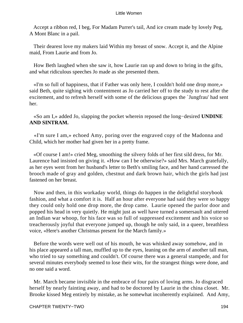Accept a ribbon red, I beg, For Madam Purrer's tail, And ice cream made by lovely Peg, A Mont Blanc in a pail.

 Their dearest love my makers laid Within my breast of snow. Accept it, and the Alpine maid, From Laurie and from Jo.

 How Beth laughed when she saw it, how Laurie ran up and down to bring in the gifts, and what ridiculous speeches Jo made as she presented them.

 «I'm so full of happiness, that if Father was only here, I couldn't hold one drop more,» said Beth, quite sighing with contentment as Jo carried her off to the study to rest after the excitement, and to refresh herself with some of the delicious grapes the `Jungfrau' had sent her.

 «So am I,» added Jo, slapping the pocket wherein reposed the long−desired **UNDINE AND SINTRAM.**

 «I'm sure I am,» echoed Amy, poring over the engraved copy of the Madonna and Child, which her mother had given her in a pretty frame.

 «Of course I am!» cried Meg, smoothing the silvery folds of her first sild dress, for Mr. Laurence had insisted on giving it. «How can I be otherwise?» said Mrs. March gratefully, as her eyes went from her husband's letter to Beth's smiling face, and her hand carressed the brooch made of gray and golden, chestnut and dark brown hair, which the girls had just fastened on her breast.

 Now and then, in this workaday world, things do happen in the delightful storybook fashion, and what a comfort it is. Half an hour after everyone had said they were so happy they could only hold one drop more, the drop came. Laurie opened the parlor door and popped his head in very quietly. He might just as well have turned a somersault and uttered an Indian war whoop, for his face was so full of suppressed excitement and his voice so treacherously joyful that everyone jumped up, though he only said, in a queer, breathless voice, «Here's another Christmas present for the March family.»

 Before the words were well out of his mouth, he was whisked away somehow, and in his place appeared a tall man, muffled up to the eyes, leaning on the arm of another tall man, who tried to say something and couldn't. Of course there was a general stampede, and for several minutes everybody seemed to lose their wits, for the strangest things were done, and no one said a word.

 Mr. March became invisible in the embrace of four pairs of loving arms. Jo disgraced herself by nearly fainting away, and had to be doctored by Laurie in the china closet. Mr. Brooke kissed Meg entirely by mistake, as he somewhat incoherently explained. And Amy,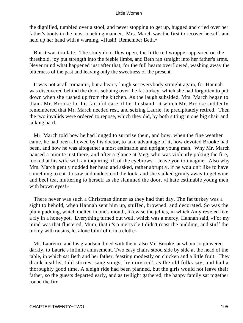the dignified, tumbled over a stool, and never stopping to get up, hugged and cried over her father's boots in the most touching manner. Mrs. March was the first to recover herself, and held up her hand with a warning, «Hush! Remember Beth.»

 But it was too late. The study door flew open, the little red wrapper appeared on the threshold, joy put strength into the feeble limbs, and Beth ran straight into her father's arms. Never mind what happened just after that, for the full hearts overflowed, washing away the bitterness of the past and leaving only the sweetness of the present.

 It was not at all romantic, but a hearty laugh set everybody straight again, for Hannah was discovered behind the door, sobbing over the fat turkey, which she had forgotten to put down when she rushed up from the kitchen. As the laugh subsided, Mrs. March began to thank Mr. Brooke for his faithful care of her husband, at which Mr. Brooke suddenly remembered that Mr. March needed rest, and seizing Laurie, he precipitately retired. Then the two invalids were ordered to repose, which they did, by both sitting in one big chair and talking hard.

 Mr. March told how he had longed to surprise them, and how, when the fine weather came, he had been allowed by his doctor, to take advantage of it, how devoted Brooke had been, and how he was altogether a most estimable and upright young man. Why Mr. March paused a minute just there, and after a glance at Meg, who was violently poking the fire, looked at his wife with an inquiring lift of the eyebrows, I leave you to imagine. Also why Mrs. March gently nodded her head and asked, rather abruptly, if he wouldn't like to have something to eat. Jo saw and understood the look, and she stalked grimly away to get wine and beef tea, muttering to herself as she slammed the door, «I hate estimable young men with brown eyes!»

 There never was such a Christmas dinner as they had that day. The fat turkey was a sight to behold, when Hannah sent him up, stuffed, browned, and decorated. So was the plum pudding, which melted in one's mouth, likewise the jellies, in which Amy reveled like a fly in a honeypot. Everything turned out well, which was a mercy, Hannah said, «For my mind was that flustered, Mum, that it's a merrycle I didn't roast the pudding, and stuff the turkey with raisins, let alone bilin' of it in a cloth.»

 Mr. Laurence and his grandson dined with them, also Mr. Brooke, at whom Jo glowered darkly, to Laurie's infinite amusement. Two easy chairs stood side by side at the head of the table, in which sat Beth and her father, feasting modestly on chicken and a little fruit. They drank healths, told stories, sang songs, `reminisced', as the old folks say, and had a thoroughly good time. A sleigh ride had been planned, but the girls would not leave their father, so the guests departed early, and as twilight gathered, the happy family sat together round the fire.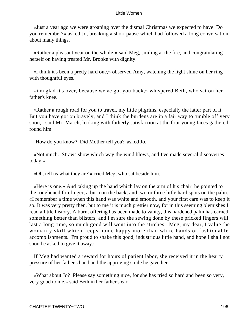«Just a year ago we were groaning over the dismal Christmas we expected to have. Do you remember?» asked Jo, breaking a short pause which had followed a long conversation about many things.

 «Rather a pleasant year on the whole!» said Meg, smiling at the fire, and congratulating herself on having treated Mr. Brooke with dignity.

 «I think it's been a pretty hard one,» observed Amy, watching the light shine on her ring with thoughtful eyes.

 «i'm glad it's over, because we've got you back,» whispered Beth, who sat on her father's knee.

 «Rather a rough road for you to travel, my little pilgrims, especially the latter part of it. But you have got on bravely, and I think the burdens are in a fair way to tumble off very soon,» said Mr. March, looking with fatherly satisfaction at the four young faces gathered round him.

"How do you know? Did Mother tell you?' asked Jo.

 «Not much. Straws show which way the wind blows, and I've made several discoveries today.»

«Oh, tell us what they are!» cried Meg, who sat beside him.

 «Here is one.» And taking up the hand which lay on the arm of his chair, he pointed to the roughened forefinger, a burn on the back, and two or three little hard spots on the palm. «I remember a time when this hand was white and smooth, and your first care was to keep it so. It was very pretty then, but to me it is much prettier now, for in this seeming blemishes I read a little history. A burnt offering has been made to vanity, this hardened palm has earned something better than blisters, and I'm sure the sewing done by these pricked fingers will last a long time, so much good will went into the stitches. Meg, my dear, I value the womanly skill which keeps home happy more than white hands or fashionable accomplishments. I'm proud to shake this good, industrious little hand, and hope I shall not soon be asked to give it away.»

 If Meg had wanted a reward for hours of patient labor, she received it in the hearty pressure of her father's hand and the approving smile he gave her.

 «What about Jo? Please say something nice, for she has tried so hard and been so very, very good to me,» said Beth in her father's ear.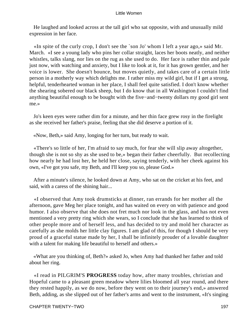He laughed and looked across at the tall girl who sat opposite, with and unusually mild expression in her face.

 «In spite of the curly crop, I don't see the `son Jo' whom I left a year ago,» said Mr. March. «I see a young lady who pins her collar straight, laces her boots neatly, and neither whistles, talks slang, nor lies on the rug as she used to do. Her face is rather thin and pale just now, with watching and anxiety, but I like to look at it, for it has grown gentler, and her voice is lower. She doesn't bounce, but moves quietly, and takes care of a certain little person in a motherly way which delights me. I rather miss my wild girl, but if I get a strong, helpful, tenderhearted woman in her place, I shall feel quite satisfied. I don't know whether the shearing sobered our black sheep, but I do know that in all Washington I couldn't find anything beautiful enough to be bought with the five−and−twenty dollars my good girl sent me.»

 Jo's keen eyes were rather dim for a minute, and her thin face grew rosy in the firelight as she received her father's praise, feeling that she did deserve a portion of it.

«Now, Beth,» said Amy, longing for her turn, but ready to wait.

 «There's so little of her, I'm afraid to say much, for fear she will slip away altogether, though she is not so shy as she used to be,» began their father cheerfully. But recollecting how nearly he had lost her, he held her close, saying tenderly, with her cheek against his own, «I've got you safe, my Beth, and I'll keep you so, please God.»

 After a minute's silence, he looked down at Amy, who sat on the cricket at his feet, and said, with a caress of the shining hair...

 «I observed that Amy took drumsticks at dinner, ran errands for her mother all the afternoon, gave Meg her place tonight, and has waited on every on with patience and good humor. I also observe that she does not fret much nor look in the glass, and has not even mentioned a very pretty ring which she wears, so I conclude that she has learned to think of other people more and of herself less, and has decided to try and mold her character as carefully as she molds her little clay figures. I am glad of this, for though I should be very proud of a graceful statue made by her, I shall be infinitely prouder of a lovable daughter with a talent for making life beautiful to herself and others.»

 «What are you thinking of, Beth?» asked Jo, when Amy had thanked her father and told about her ring.

 «I read in PILGRIM'S **PROGRESS** today how, after many troubles, christian and Hopeful came to a pleasant green meadow where lilies bloomed all year round, and there they rested happily, as we do now, before they went on to their journey's end,» answered Beth, adding, as she slipped out of her father's arms and went to the instrument, «It's singing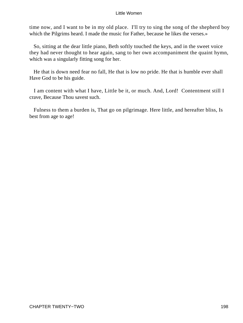time now, and I want to be in my old place. I'll try to sing the song of the shepherd boy which the Pilgrims heard. I made the music for Father, because he likes the verses.»

 So, sitting at the dear little piano, Beth softly touched the keys, and in the sweet voice they had never thought to hear again, sang to her own accompaniment the quaint hymn, which was a singularly fitting song for her.

 He that is down need fear no fall, He that is low no pride. He that is humble ever shall Have God to be his guide.

 I am content with what I have, Little be it, or much. And, Lord! Contentment still I crave, Because Thou savest such.

 Fulness to them a burden is, That go on pilgrimage. Here little, and hereafter bliss, Is best from age to age!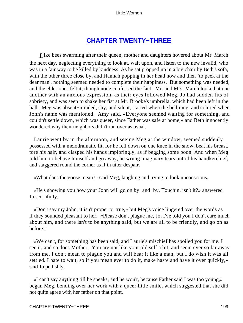# **[CHAPTER TWENTY−THREE](#page-420-0)**

*L*ike bees swarming after their queen, mother and daughters hovered about Mr. March the next day, neglecting everything to look at, wait upon, and listen to the new invalid, who was in a fair way to be killed by kindness. As he sat propped up in a big chair by Beth's sofa, with the other three close by, and Hannah popping in her head now and then `to peek at the dear man', nothing seemed needed to complete their happiness. But something was needed, and the elder ones felt it, though none confessed the fact. Mr. and Mrs. March looked at one another with an anxious expression, as their eyes followed Meg. Jo had sudden fits of sobriety, and was seen to shake her fist at Mr. Brooke's umbrella, which had been left in the hall. Meg was absent−minded, shy, and silent, started when the bell rang, and colored when John's name was mentioned. Amy said, «Everyone seemed waiting for something, and couldn't settle down, which was queer, since Father was safe at home,» and Beth innocently wondered why their neighbors didn't run over as usual.

 Laurie went by in the afternoon, and seeing Meg at the window, seemed suddenly possessed with a melodramatic fit, for he fell down on one knee in the snow, beat his breast, tore his hair, and clasped his hands imploringly, as if begging some boon. And when Meg told him to behave himself and go away, he wrung imaginary tears out of his handkerchief, and staggered round the corner as if in utter despair.

«What does the goose mean?» said Meg, laughing and trying to look unconscious.

 «He's showing you how your John will go on by−and−by. Touchin, isn't it?» answered Jo scornfully.

 «Don't say my John, it isn't proper or true,» but Meg's voice lingered over the words as if they sounded pleasant to her. «Please don't plague me, Jo, I've told you I don't care much about him, and there isn't to be anything said, but we are all to be friendly, and go on as before.»

 «We can't, for something has been said, and Laurie's mischief has spoiled you for me. I see it, and so does Mother. You are not like your old self a bit, and seem ever so far away from me. I don't mean to plague you and will bear it like a man, but I do wish it was all settled. I hate to wait, so if you mean ever to do it, make haste and have it over quickly,» said Jo pettishly.

 «I can't say anything till he speaks, and he won't, because Father said I was too young,» began Meg, bending over her work with a queer little smile, which suggested that she did not quite agree with her father on that point.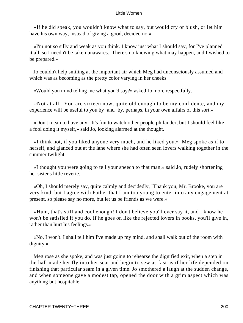«If he did speak, you wouldn't know what to say, but would cry or blush, or let him have his own way, instead of giving a good, decided no.»

 «I'm not so silly and weak as you think. I know just what I should say, for I've planned it all, so I needn't be taken unawares. There's no knowing what may happen, and I wished to be prepared.»

 Jo couldn't help smiling at the important air which Meg had unconsciously assumed and which was as becoming as the pretty color varying in her cheeks.

«Would you mind telling me what you'd say?» asked Jo more respectfully.

 «Not at all. You are sixteen now, quite old enough to be my confidente, and my experience will be useful to you by−and−by, perhaps, in your own affairs of this sort.»

 «Don't mean to have any. It's fun to watch other people philander, but I should feel like a fool doing it myself,» said Jo, looking alarmed at the thought.

 «I think not, if you liked anyone very much, and he liked you.» Meg spoke as if to herself, and glanced out at the lane where she had often seen lovers walking together in the summer twilight.

 «I thought you were going to tell your speech to that man,» said Jo, rudely shortening her sister's little reverie.

 «Oh, I should merely say, quite calmly and decidedly, `Thank you, Mr. Brooke, you are very kind, but I agree with Father that I am too young to enter into any engagement at present, so please say no more, but let us be friends as we were.»

 «Hum, that's stiff and cool enough! I don't believe you'll ever say it, and I know he won't be satisfied if you do. If he goes on like the rejected lovers in books, you'll give in, rather than hurt his feelings.»

 «No, I won't. I shall tell him I've made up my mind, and shall walk out of the room with dignity.»

 Meg rose as she spoke, and was just going to rehearse the dignified exit, when a step in the hall made her fly into her seat and begin to sew as fast as if her life depended on finishing that particular seam in a given time. Jo smothered a laugh at the sudden change, and when someone gave a modest tap, opened the door with a grim aspect which was anything but hospitable.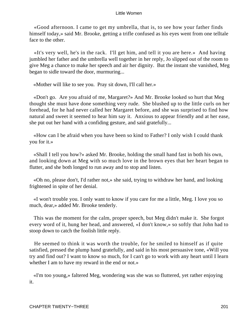«Good afternoon. I came to get my umbrella, that is, to see how your father finds himself today,» said Mr. Brooke, getting a trifle confused as his eyes went from one telltale face to the other.

 «It's very well, he's in the rack. I'll get him, and tell it you are here.» And having jumbled her father and the umbrella well together in her reply, Jo slipped out of the room to give Meg a chance to make her speech and air her dignity. But the instant she vanished, Meg began to sidle toward the door, murmuring...

«Mother will like to see you. Pray sit down, I'll call her.»

 «Don't go. Are you afraid of me, Margaret?» And Mr. Brooke looked so hurt that Meg thought she must have done something very rude. She blushed up to the little curls on her forehead, for he had never called her Margaret before, and she was surprised to find how natural and sweet it seemed to hear him say it. Anxious to appear friendly and at her ease, she put out her hand with a confiding gesture, and said gratefully...

 «How can I be afraid when you have been so kind to Father? I only wish I could thank you for it.»

 «Shall I tell you how?» asked Mr. Brooke, holding the small hand fast in both his own, and looking down at Meg with so much love in the brown eyes that her heart began to flutter, and she both longed to run away and to stop and listen.

 «Oh no, please don't, I'd rather not,» she said, trying to withdraw her hand, and looking frightened in spite of her denial.

 «I won't trouble you. I only want to know if you care for me a little, Meg. I love you so much, dear,» added Mr. Brooke tenderly.

 This was the moment for the calm, proper speech, but Meg didn't make it. She forgot every word of it, hung her head, and answered, «I don't know,» so softly that John had to stoop down to catch the foolish little reply.

 He seemed to think it was worth the trouble, for he smiled to himself as if quite satisfied, pressed the plump hand gratefully, and said in his most persuasive tone, «Will you try and find out? I want to know so much, for I can't go to work with any heart until I learn whether I am to have my reward in the end or not.»

 «I'm too young,» faltered Meg, wondering was she was so fluttered, yet rather enjoying it.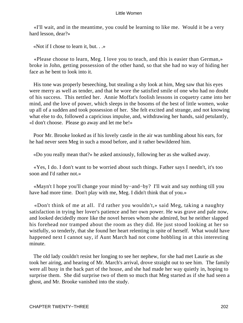«I'll wait, and in the meantime, you could be learning to like me. Would it be a very hard lesson, dear?»

«Not if I chose to learn it, but. . .»

 «Please choose to learn, Meg. I love you to teach, and this is easier than German,» broke in John, getting possession of the other hand, so that she had no way of hiding her face as he bent to look into it.

 His tone was properly beseeching, but stealing a shy look at him, Meg saw that his eyes were merry as well as tender, and that he wore the satisfied smile of one who had no doubt of his success. This nettled her. Annie Moffat's foolish lessons in coquetry came into her mind, and the love of power, which sleeps in the bosoms of the best of little women, woke up all of a sudden and took possession of her. She felt excited and strange, and not knowing what else to do, followed a capricious impulse, and, withdrawing her hands, said petulantly, «I don't choose. Please go away and let me be!»

 Poor Mr. Brooke looked as if his lovely castle in the air was tumbling about his ears, for he had never seen Meg in such a mood before, and it rather bewildered him.

«Do you really mean that?» he asked anxiously, following her as she walked away.

 «Yes, I do. I don't want to be worried about such things. Father says I needn't, it's too soon and I'd rather not.»

 «Mayn't I hope you'll change your mind by−and−by? I'll wait and say nothing till you have had more time. Don't play with me, Meg. I didn't think that of you.»

 «Don't think of me at all. I'd rather you wouldn't,» said Meg, taking a naughty satisfaction in trying her lover's patience and her own power. He was grave and pale now, and looked decidedly more like the novel heroes whom she admired, but he neither slapped his forehead nor tramped about the room as they did. He just stood looking at her so wistfully, so tenderly, that she found her heart relenting in spite of herself. What would have happened next I cannot say, if Aunt March had not come hobbling in at this interesting minute.

 The old lady couldn't resist her longing to see her nephew, for she had met Laurie as she took her airing, and hearing of Mr. March's arrival, drove straight out to see him. The family were all busy in the back part of the house, and she had made her way quietly in, hoping to surprise them. She did surprise two of them so much that Meg started as if she had seen a ghost, and Mr. Brooke vanished into the study.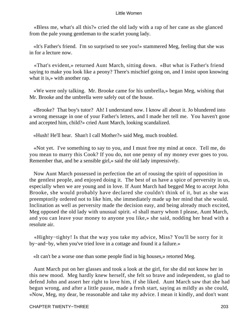«Bless me, what's all this?» cried the old lady with a rap of her cane as she glanced from the pale young gentleman to the scarlet young lady.

 «It's Father's friend. I'm so surprised to see you!» stammered Meg, feeling that she was in for a lecture now.

 «That's evident,» returned Aunt March, sitting down. «But what is Father's friend saying to make you look like a peony? There's mischief going on, and I insist upon knowing what it is,» with another rap.

 «We were only talking. Mr. Brooke came for his umbrella,» began Meg, wishing that Mr. Brooke and the umbrella were safely out of the house.

 «Brooke? That boy's tutor? Ah! I understand now. I know all about it. Jo blundered into a wrong message in one of your Father's letters, and I made her tell me. You haven't gone and accepted him, child?» cried Aunt March, looking scandalized.

«Hush! He'll hear. Shan't I call Mother?» said Meg, much troubled.

 «Not yet. I've something to say to you, and I must free my mind at once. Tell me, do you mean to marry this Cook? If you do, not one penny of my money ever goes to you. Remember that, and be a sensible girl,» said the old lady impressively.

 Now Aunt March possessed in perfection the art of rousing the spirit of opposition in the gentlest people, and enjoyed doing it. The best of us have a spice of perversity in us, especially when we are young and in love. If Aunt March had begged Meg to accept John Brooke, she would probably have declared she couldn't think of it, but as she was preemptorily ordered not to like him, she immediately made up her mind that she would. Inclination as well as perversity made the decision easy, and being already much excited, Meg opposed the old lady with unusual spirit. «I shall marry whom I please, Aunt March, and you can leave your money to anyone you like,» she said, nodding her head with a resolute air.

 «Highty−tighty! Is that the way you take my advice, Miss? You'll be sorry for it by−and−by, when you've tried love in a cottage and found it a failure.»

«It can't be a worse one than some people find in big houses,» retorted Meg.

 Aunt March put on her glasses and took a look at the girl, for she did not know her in this new mood. Meg hardly knew herself, she felt so brave and independent, so glad to defend John and assert her right to love him, if she liked. Aunt March saw that she had begun wrong, and after a little pause, made a fresh start, saying as mildly as she could, «Now, Meg, my dear, be reasonable and take my advice. I mean it kindly, and don't want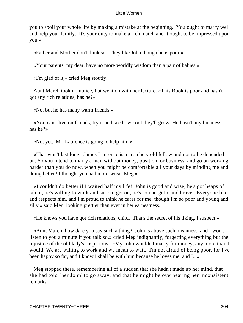you to spoil your whole life by making a mistake at the beginning. You ought to marry well and help your family. It's your duty to make a rich match and it ought to be impressed upon you.»

«Father and Mother don't think so. They like John though he is poor.»

«Your parents, my dear, have no more worldly wisdom than a pair of babies.»

«I'm glad of it,» cried Meg stoutly.

 Aunt March took no notice, but went on with her lecture. «This Rook is poor and hasn't got any rich relations, has he?»

«No, but he has many warm friends.»

 «You can't live on friends, try it and see how cool they'll grow. He hasn't any business, has he?»

«Not yet. Mr. Laurence is going to help him.»

 «That won't last long. James Laurence is a crotchety old fellow and not to be depended on. So you intend to marry a man without money, position, or business, and go on working harder than you do now, when you might be comfortable all your days by minding me and doing better? I thought you had more sense, Meg.»

 «I couldn't do better if I waited half my life! John is good and wise, he's got heaps of talent, he's willing to work and sure to get on, he's so energetic and brave. Everyone likes and respects him, and I'm proud to think he cares for me, though I'm so poor and young and silly,» said Meg, looking prettier than ever in her earnestness.

«He knows you have got rich relations, child. That's the secret of his liking, I suspect.»

 «Aunt March, how dare you say such a thing? John is above such meanness, and I won't listen to you a minute if you talk so,» cried Meg indignantly, forgetting everything but the injustice of the old lady's suspicions. «My John wouldn't marry for money, any more than I would. We are willing to work and we mean to wait. I'm not afraid of being poor, for I've been happy so far, and I know I shall be with him because he loves me, and I...»

 Meg stopped there, remembering all of a sudden that she hadn't made up her mind, that she had told `her John' to go away, and that he might be overhearing her inconsistent remarks.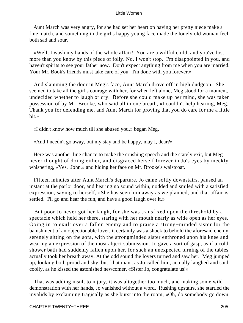Aunt March was very angry, for she had set her heart on having her pretty niece make a fine match, and something in the girl's happy young face made the lonely old woman feel both sad and sour.

 «Well, I wash my hands of the whole affair! You are a willful child, and you've lost more than you know by this piece of folly. No, I won't stop. I'm disappointed in you, and haven't spirits to see your father now. Don't expect anything from me when you are married. Your Mr. Book's friends must take care of you. I'm done with you forever.»

 And slamming the door in Meg's face, Aunt March drove off in high dudgeon. She seemed to take all the girl's courage with her, for when left alone, Meg stood for a moment, undecided whether to laugh or cry. Before she could make up her mind, she was taken possession of by Mr. Brooke, who said all in one breath, «I couldn't help hearing, Meg. Thank you for defending me, and Aunt March for proving that you do care for me a little bit.»

«I didn't know how much till she abused you,» began Meg.

«And I needn't go away, but my stay and be happy, may I, dear?»

 Here was another fine chance to make the crushing speech and the stately exit, but Meg never thought of doing either, and disgraced herself forever in Jo's eyes by meekly whispering, «Yes, John,» and hiding her face on Mr. Brooke's waistcoat.

 Fifteen minutes after Aunt March's departure, Jo came softly downstairs, paused an instant at the parlor door, and hearing no sound within, nodded and smiled with a satisfied expression, saying to herself, «She has seen him away as we planned, and that affair is settled. I'll go and hear the fun, and have a good laugh over it.»

 But poor Jo never got her laugh, for she was transfixed upon the threshold by a spectacle which held her there, staring with her mouth nearly as wide open as her eyes. Going in to exult over a fallen enemy and to praise a strong−minded sister for the banishment of an objectionable lover, it certainly was a shock to behold the aforesaid enemy serenely sitting on the sofa, with the strongminded sister enthroned upon his knee and wearing an expression of the most abject submission. Jo gave a sort of gasp, as if a cold shower bath had suddenly fallen upon her, for such an unexpected turning of the tables actually took her breath away. At the odd sound the lovers turned and saw her. Meg jumped up, looking both proud and shy, but `that man', as Jo called him, actually laughed and said coolly, as he kissed the astonished newcomer, «Sister Jo, congratulate us!»

 That was adding insult to injury, it was altogether too much, and making some wild demonstration with her hands, Jo vanished without a word. Rushing upstairs, she startled the invalids by exclaiming tragically as she burst into the room, «Oh, do somebody go down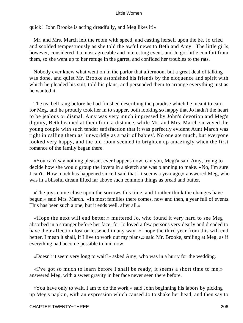quick! John Brooke is acting dreadfully, and Meg likes it!»

 Mr. and Mrs. March left the room with speed, and casting herself upon the be, Jo cried and scolded tempestuously as she told the awful news to Beth and Amy. The little girls, however, considered it a most agreeable and interesting event, and Jo got little comfort from them, so she went up to her refuge in the garret, and confided her troubles to the rats.

 Nobody ever knew what went on in the parlor that afternoon, but a great deal of talking was done, and quiet Mr. Brooke astonished his friends by the eloquence and spirit with which he pleaded his suit, told his plans, and persuaded them to arrange everything just as he wanted it.

 The tea bell rang before he had finished describing the paradise which he meant to earn for Meg, and he proudly took her in to supper, both looking so happy that Jo hadn't the heart to be jealous or dismal. Amy was very much impressed by John's devotion and Meg's dignity, Beth beamed at them from a distance, while Mr. and Mrs. March surveyed the young couple with such tender satisfaction that it was perfectly evident Aunt March was right in calling them as `unworldly as a pair of babies'. No one ate much, but everyone looked very happy, and the old room seemed to brighten up amazingly when the first romance of the family began there.

 «You can't say nothing pleasant ever happens now, can you, Meg?» said Amy, trying to decide how she would group the lovers in a sketch she was planning to make. «No, I'm sure I can't. How much has happened since I said that! It seems a year ago,» answered Meg, who was in a blissful dream lifted far above such common things as bread and butter.

 «The joys come close upon the sorrows this time, and I rather think the changes have begun,» said Mrs. March. «In most families there comes, now and then, a year full of events. This has been such a one, but it ends well, after all.»

 «Hope the next will end better,» muttered Jo, who found it very hard to see Meg absorbed in a stranger before her face, for Jo loved a few persons very dearly and dreaded to have their affection lost or lessened in any way. «I hope the third year from this will end better. I mean it shall, if I live to work out my plans,» said Mr. Brooke, smiling at Meg, as if everything had become possible to him now.

«Doesn't it seem very long to wait?» asked Amy, who was in a hurry for the wedding.

 «I've got so much to learn before I shall be ready, it seems a short time to me,» answered Meg, with a sweet gravity in her face never seen there before.

 «You have only to wait, I am to do the work,» said John beginning his labors by picking up Meg's napkin, with an expression which caused Jo to shake her head, and then say to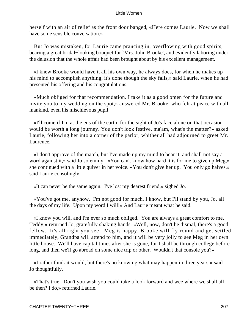herself with an air of relief as the front door banged, «Here comes Laurie. Now we shall have some sensible conversation.»

 But Jo was mistaken, for Laurie came prancing in, overflowing with good spirits, bearing a great bridal−looking bouquet for `Mrs. John Brooke', and evidently laboring under the delusion that the whole affair had been brought about by his excellent management.

 «I knew Brooke would have it all his own way, he always does, for when he makes up his mind to accomplish anything, it's done though the sky falls,» said Laurie, when he had presented his offering and his congratulations.

 «Much obliged for that recommendation. I take it as a good omen for the future and invite you to my wedding on the spot,» answered Mr. Brooke, who felt at peace with all mankind, even his mischievous pupil.

 «I'll come if I'm at the ens of the earth, for the sight of Jo's face alone on that occasion would be worth a long journey. You don't look festive, ma'am, what's the matter?» asked Laurie, following her into a corner of the parlor, whither all had adjourned to greet Mr. Laurence.

 «I don't approve of the match, but I've made up my mind to bear it, and shall not say a word against it,» said Jo solemnly. «You can't know how hard it is for me to give up Meg,» she continued with a little quiver in her voice. «You don't give her up. You only go halves,» said Laurie consolingly.

«It can never be the same again. I've lost my dearest friend,» sighed Jo.

 «You've got me, anyhow. I'm not good for much, I know, but I'll stand by you, Jo, all the days of my life. Upon my word I will!» And Laurie meant what he said.

 «I know you will, and I'm ever so much obliged. You are always a great comfort to me, Teddy,» returned Jo, gratefully shaking hands. «Well, now, don't be dismal, there's a good fellow. It's all right you see. Meg is happy, Brooke will fly round and get settled immediately, Grandpa will attend to him, and it will be very jolly to see Meg in her own little house. We'll have capital times after she is gone, for I shall be through college before long, and then we'll go abroad on some nice trip or other. Wouldn't that console you?»

 «I rather think it would, but there's no knowing what may happen in three years,» said Jo thoughtfully.

 «That's true. Don't you wish you could take a look forward and wee where we shall all be then? I do,» returned Laurie.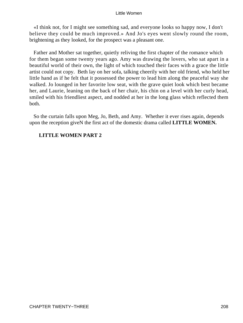«I think not, for I might see something sad, and everyone looks so happy now, I don't believe they could be much improved.» And Jo's eyes went slowly round the room, brightening as they looked, for the prospect was a pleasant one.

 Father and Mother sat together, quietly reliving the first chapter of the romance which for them began some twenty years ago. Amy was drawing the lovers, who sat apart in a beautiful world of their own, the light of which touched their faces with a grace the little artist could not copy. Beth lay on her sofa, talking cheerily with her old friend, who held her little hand as if he felt that it possessed the power to lead him along the peaceful way she walked. Jo lounged in her favorite low seat, with the grave quiet look which best became her, and Laurie, leaning on the back of her chair, his chin on a level with her curly head, smiled with his friendliest aspect, and nodded at her in the long glass which reflected them both.

 So the curtain falls upon Meg, Jo, Beth, and Amy. Whether it ever rises again, depends upon the reception giveN the first act of the domestic drama called **LITTLE WOMEN.**

## **LITTLE WOMEN PART 2**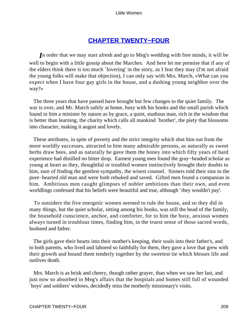# **[CHAPTER TWENTY−FOUR](#page-420-0)**

*I*n order that we may start afresh and go to Meg's wedding with free minds, it will be well to begin with a little gossip about the Marches. And here let me premise that if any of the elders think there is too much `lovering' in the story, as I fear they may (I'm not afraid the young folks will make that objection), I can only say with Mrs. March, «What can you expect when I have four gay girls in the house, and a dashing young neighbor over the way?»

 The three years that have passed have brought but few changes to the quiet family. The war is over, and Mr. March safely at home, busy with his books and the small parish which found in him a minister by nature as by grace, a quiet, studious man, rich in the wisdom that is better than learning, the charity which calls all mankind `brother', the piety that blossoms into character, making it august and lovely.

 These attributes, in spite of poverty and the strict integrity which shut him out from the more worldly successes, attracted to him many admirable persons, as naturally as sweet herbs draw bees, and as naturally he gave them the honey into which fifty years of hard experience had distilled no bitter drop. Earnest young men found the gray−headed scholar as young at heart as they, thoughtful or troubled women instinctively brought their doubts to him, sure of finding the gentlest sympathy, the wisest counsel. Sinners told their sins to the pure−hearted old man and were both rebuked and saved. Gifted men found a companion in him. Ambitious men caught glimpses of nobler ambitions than their own, and even worldlings confessed that his beliefs were beautiful and true, although `they wouldn't pay'.

 To outsiders the five energetic women seemed to rule the house, and so they did in many things, but the quiet scholar, sitting among his books, was still the head of the family, the household conscience, anchor, and comforter, for to him the busy, anxious women always turned in troublous times, finding him, in the truest sense of those sacred words, husband and father.

 The girls gave their hearts into their mother's keeping, their souls into their father's, and to both parents, who lived and labored so faithfully for them, they gave a love that grew with their growth and bound them tenderly together by the sweetest tie which blesses life and outlives death.

 Mrs. March is as brisk and cheery, though rather grayer, than when we saw her last, and just now so absorbed in Meg's affairs that the hospitals and homes still full of wounded `boys' and soldiers' widows, decidedly miss the motherly missionary's visits.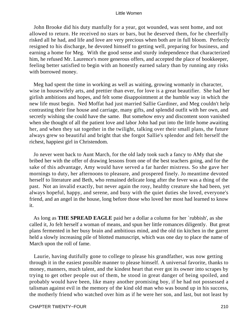John Brooke did his duty manfully for a year, got wounded, was sent home, and not allowed to return. He received no stars or bars, but he deserved them, for he cheerfully risked all he had, and life and love are very precious when both are in full bloom. Perfectly resigned to his discharge, he devoted himself to getting well, preparing for business, and earning a home for Meg. With the good sense and sturdy independence that characterized him, he refused Mr. Laurence's more generous offers, and accepted the place of bookkeeper, feeling better satisfied to begin with an honestly earned salary than by running any risks with borrowed money.

 Meg had spent the time in working as well as waiting, growing womanly in character, wise in housewifely arts, and prettier than ever, for love is a great beautifier. She had her girlish ambitions and hopes, and felt some disappointment at the humble way in which the new life must begin. Ned Moffat had just married Sallie Gardiner, and Meg couldn't help contrasting their fine house and carriage, many gifts, and splendid outfit with her own, and secretly wishing she could have the same. But somehow envy and discontent soon vanished when she thought of all the patient love and labor John had put into the little home awaiting her, and when they sat together in the twilight, talking over their small plans, the future always grew so beautiful and bright that she forgot Sallie's splendor and felt herself the richest, happiest girl in Christendom.

 Jo never went back to Aunt March, for the old lady took such a fancy to AMy that she bribed her with the offer of drawing lessons from one of the best teachers going, and for the sake of this advantage, Amy would have served a far harder mistress. So she gave her mornings to duty, her afternoons to pleasure, and prospered finely. Jo meantime devoted herself to literature and Beth, who remained delicate long after the fever was a thing of the past. Not an invalid exactly, but never again the rosy, healthy creature she had been, yet always hopeful, happy, and serene, and busy with the quiet duties she loved, everyone's friend, and an angel in the house, long before those who loved her most had learned to know it.

 As long as **THE SPREAD EAGLE** paid her a dollar a column for her `rubbish', as she called it, Jo felt herself a woman of means, and spun her little romances diligently. But great plans fermented in her busy brain and ambitious mind, and the old tin kitchen in the garret held a slowly increasing pile of blotted manuscript, which was one day to place the name of March upon the roll of fame.

 Laurie, having dutifully gone to college to please his grandfather, was now getting through it in the easiest possible manner to please himself. A universal favorite, thanks to money, manners, much talent, and the kindest heart that ever got its owner into scrapes by trying to get other people out of them, he stood in great danger of being spoiled, and probably would have been, like many another promising boy, if he had not possessed a talisman against evil in the memory of the kind old man who was bound up in his success, the motherly friend who watched over him as if he were her son, and last, but not least by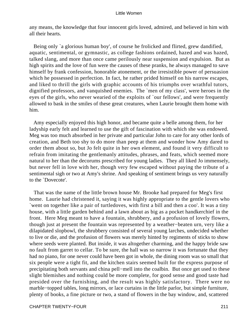any means, the knowledge that four innocent girls loved, admired, and believed in him with all their hearts.

Being only `a glorious human boy', of course he frolicked and flirted, grew dandified, aquatic, sentimental, or gymnastic, as college fashions ordained, hazed and was hazed, talked slang, and more than once came perilously near suspension and expulsion. But as high spirits and the love of fun were the causes of these pranks, he always managed to save himself by frank confession, honorable atonement, or the irresistible power of persuasion which he possessed in perfection. In fact, he rather prided himself on his narrow escapes, and liked to thrill the girls with graphic accounts of his triumphs over wrathful tutors, dignified professors, and vanquished enemies. The `men of my class', were heroes in the eyes of the girls, who never wearied of the exploits of `our fellows', and were frequently allowed to bask in the smiles of these great creatures, when Laurie brought them home with him.

 Amy especially enjoyed this high honor, and became quite a belle among them, for her ladyship early felt and learned to use the gift of fascination with which she was endowed. Meg was too much absorbed in her private and particular John to care for any other lords of creation, and Beth too shy to do more than peep at them and wonder how Amy dared to order them about so, but Jo felt quite in her own element, and found it very difficult to refrain from imitating the gentlemanly attitudes, phrases, and feats, which seemed more natural to her than the decorums prescribed for young ladies. They all liked Jo immensely, but never fell in love with her, though very few escaped without paying the tribute of a sentimental sigh or two at Amy's shrine. And speaking of sentiment brings us very naturally to the `Dovecote'.

 That was the name of the little brown house Mr. Brooke had prepared for Meg's first home. Laurie had christened it, saying it was highly appropriate to the gentle lovers who `went on together like a pair of turtledoves, with first a bill and then a coo'. It was a tiny house, with a little garden behind and a lawn about as big as a pocket handkerchief in the front. Here Meg meant to have a fountain, shrubbery, and a profusion of lovely flowers, though just at present the fountain was represented by a weather−beaten urn, very like a dilapidated slopbowl, the shrubbery consisted of several young larches, undecided whether to live or die, and the profusion of flowers was merely hinted by regiments of sticks to show where seeds were planted. But inside, it was altogether charming, and the happy bride saw no fault from garret to cellar. To be sure, the hall was so narrow it was fortunate that they had no piano, for one never could have been got in whole, the dining room was so small that six people were a tight fit, and the kitchen stairs seemed built for the express purpose of precipitating both servants and china pell−mell into the coalbin. But once get used to these slight blemishes and nothing could be more complete, for good sense and good taste had presided over the furnishing, and the result was highly satisfactory. There were no marble−topped tables, long mirrors, or lace curtains in the little parlor, but simple furniture, plenty of books, a fine picture or two, a stand of flowers in the bay window, and, scattered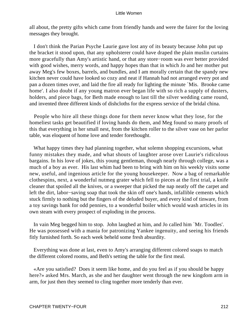all about, the pretty gifts which came from friendly hands and were the fairer for the loving messages they brought.

 I don't think the Parian Psyche Laurie gave lost any of its beauty because John put up the bracket it stood upon, that any upholsterer could have draped the plain muslin curtains more gracefully than Amy's artistic hand, or that any store−room was ever better provided with good wishes, merry words, and happy hopes than that in which Jo and her mother put away Meg's few boxes, barrels, and bundles, and I am morally certain that the spandy new kitchen never could have looked so cozy and neat if Hannah had not arranged every pot and pan a dozen times over, and laid the fire all ready for lighting the minute `Mis. Brooke came home'. I also doubt if any young matron ever began life with so rich a supply of dusters, holders, and piece bags, for Beth made enough to last till the silver wedding came round, and invented three different kinds of dishcloths for the express service of the bridal china.

 People who hire all these things done for them never know what they lose, for the homeliest tasks get beautified if loving hands do them, and Meg found so many proofs of this that everything in her small nest, from the kitchen roller to the silver vase on her parlor table, was eloquent of home love and tender forethought.

 What happy times they had planning together, what solemn shopping excursions, what funny mistakes they made, and what shouts of laughter arose over Laurie's ridiculous bargains. In his love of jokes, this young gentleman, though nearly through college, was a much of a boy as ever. His last whim had been to bring with him on his weekly visits some new, useful, and ingenious article for the young housekeeper. Now a bag of remarkable clothespins, next, a wonderful nutmeg grater which fell to pieces at the first trial, a knife cleaner that spoiled all the knives, or a sweeper that picked the nap neatly off the carpet and left the dirt, labor−saving soap that took the skin off one's hands, infallible cements which stuck firmly to nothing but the fingers of the deluded buyer, and every kind of tinware, from a toy savings bank for odd pennies, to a wonderful boiler which would wash articles in its own steam with every prospect of exploding in the process.

 In vain Meg begged him to stop. John laughed at him, and Jo called him `Mr. Toodles'. He was possessed with a mania for patronizing Yankee ingenuity, and seeing his friends fitly furnished forth. So each week beheld some fresh absurdity.

 Everything was done at last, even to Amy's arranging different colored soaps to match the different colored rooms, and Beth's setting the table for the first meal.

 «Are you satisfied? Does it seem like home, and do you feel as if you should be happy here?» asked Mrs. March, as she and her daughter went through the new kingdom arm in arm, for just then they seemed to cling together more tenderly than ever.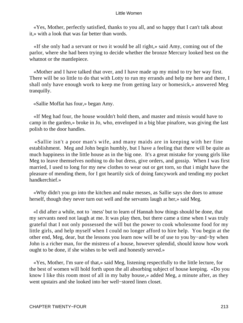«Yes, Mother, perfectly satisfied, thanks to you all, and so happy that I can't talk about it,» with a look that was far better than words.

 «If she only had a servant or two it would be all right,» said Amy, coming out of the parlor, where she had been trying to decide whether the bronze Mercury looked best on the whatnot or the mantlepiece.

 «Mother and I have talked that over, and I have made up my mind to try her way first. There will be so little to do that with Lotty to run my errands and help me here and there, I shall only have enough work to keep me from getting lazy or homesick,» answered Meg tranquilly.

«Sallie Moffat has four,» began Amy.

 «If Meg had four, the house wouldn't hold them, and master and missis would have to camp in the garden,» broke in Jo, who, enveloped in a big blue pinafore, was giving the last polish to the door handles.

 «Sallie isn't a poor man's wife, and many maids are in keeping with her fine establishment. Meg and John begin humbly, but I have a feeling that there will be quite as much happiness in the little house as in the big one. It's a great mistake for young girls like Meg to leave themselves nothing to do but dress, give orders, and gossip. When I was first married, I used to long for my new clothes to wear out or get torn, so that i might have the pleasure of mending them, for I got heartily sick of doing fancywork and tending my pocket handkerchief.»

 «Why didn't you go into the kitchen and make messes, as Sallie says she does to amuse herself, though they never turn out well and the servants laugh at her,» said Meg.

 «I did after a while, not to `mess' but to learn of Hannah how things should be done, that my servants need not laugh at me. It was play then, but there came a time when I was truly grateful that I not only possessed the will but the power to cook wholesome food for my little girls, and help myself when I could no longer afford to hire help. You begin at the other end, Meg, dear, but the lessons you learn now will be of use to you by−and−by when John is a richer man, for the mistress of a house, however splendid, should know how work ought to be done, if she wishes to be well and honestly served.»

 «Yes, Mother, I'm sure of that,» said Meg, listening respectfully to the little lecture, for the best of women will hold forth upon the all absorbing subject of house keeping. «Do you know I like this room most of all in my baby house,» added Meg, a minute after, as they went upstairs and she looked into her well−stored linen closet.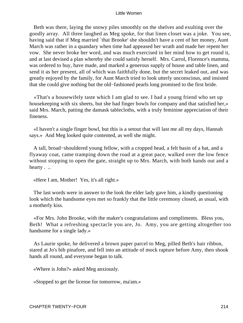Beth was there, laying the snowy piles smoothly on the shelves and exulting over the goodly array. All three laughed as Meg spoke, for that linen closet was a joke. You see, having said that if Meg married 'that Brooke' she shouldn't have a cent of her money, Aunt March was rather in a quandary when time had appeased her wrath and made her repent her vow. She never broke her word, and was much exercised in her mind how to get round it, and at last devised a plan whereby she could satisfy herself. Mrs. Carrol, Florence's mamma, was ordered to buy, have made, and marked a generous supply of house and table linen, and send it as her present, all of which was faithfully done, but the secret leaked out, and was greatly enjoyed by the family, for Aunt March tried to look utterly unconscious, and insisted that she could give nothing but the old−fashioned pearls long promised to the first bride.

 «That's a housewifely taste which I am glad to see. I had a young friend who set up housekeeping with six sheets, but she had finger bowls for company and that satisfied her,» said Mrs. March, patting the damask tablecloths, with a truly feminine appreciation of their fineness.

 «I haven't a single finger bowl, but this is a setout that will last me all my days, Hannah says.» And Meg looked quite contented, as well she might.

 A tall, broad−shouldered young fellow, with a cropped head, a felt basin of a hat, and a flyaway coat, came tramping down the road at a great pace, walked over the low fence without stopping to open the gate, straight up to Mrs. March, with both hands out and a hearty . ..

«Here I am, Mother! Yes, it's all right.»

 The last words were in answer to the look the elder lady gave him, a kindly questioning look which the handsome eyes met so frankly that the little ceremony closed, as usual, with a motherly kiss.

 «For Mrs. John Brooke, with the maker's congratulations and compliments. Bless you, Beth! What a refreshing spectacle you are, Jo. Amy, you are getting altogether too handsome for a single lady.»

 As Laurie spoke, he delivered a brown paper parcel to Meg, pilled Beth's hair ribbon, stared at Jo's bib pinafore, and fell into an attitude of mock rapture before Amy, then shook hands all round, and everyone began to talk.

«Where is John?» asked Meg anxiously.

«Stopped to get the license for tomorrow, ma'am.»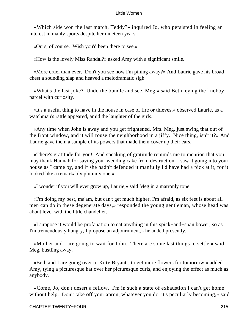«Which side won the last match, Teddy?» inquired Jo, who persisted in feeling an interest in manly sports despite her nineteen years.

«Ours, of course. Wish you'd been there to see.»

«How is the lovely Miss Randal?» asked Amy with a significant smile.

 «More cruel than ever. Don't you see how I'm pining away?» And Laurie gave his broad chest a sounding slap and heaved a melodramatic sigh.

 «What's the last joke? Undo the bundle and see, Meg,» said Beth, eying the knobby parcel with curiosity.

 «It's a useful thing to have in the house in case of fire or thieves,» observed Laurie, as a watchman's rattle appeared, amid the laughter of the girls.

 «Any time when John is away and you get frightened, Mrs. Meg, just swing that out of the front window, and it will rouse the neighborhood in a jiffy. Nice thing, isn't it?» And Laurie gave them a sample of its powers that made them cover up their ears.

 «There's gratitude for you! And speaking of gratitude reminds me to mention that you may thank Hannah for saving your wedding cake from destruction. I saw it going into your house as I came by, and if she hadn't defended it manfully I'd have had a pick at it, for it looked like a remarkably plummy one.»

«I wonder if you will ever grow up, Laurie,» said Meg in a matronly tone.

 «I'm doing my best, ma'am, but can't get much higher, I'm afraid, as six feet is about all men can do in these degenerate days,» responded the young gentleman, whose head was about level with the little chandelier.

 «I suppose it would be profanation to eat anything in this spick−and−span bower, so as I'm tremendously hungry, I propose an adjournment,» he added presently.

 «Mother and I are going to wait for John. There are some last things to settle,» said Meg, bustling away.

 «Beth and I are going over to Kitty Bryant's to get more flowers for tomorrow,» added Amy, tying a picturesque hat over her picturesque curls, and enjoying the effect as much as anybody.

 «Come, Jo, don't desert a fellow. I'm in such a state of exhaustion I can't get home without help. Don't take off your apron, whatever you do, it's peculiarly becoming,  $\delta$  said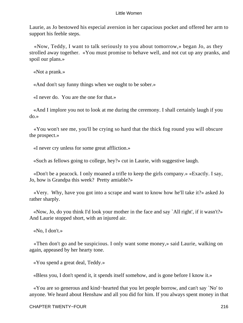Laurie, as Jo bestowed his especial aversion in her capacious pocket and offered her arm to support his feeble steps.

 «Now, Teddy, I want to talk seriously to you about tomorrow,» began Jo, as they strolled away together. «You must promise to behave well, and not cut up any pranks, and spoil our plans.»

«Not a prank.»

«And don't say funny things when we ought to be sober.»

«I never do. You are the one for that.»

 «And I implore you not to look at me during the ceremony. I shall certainly laugh if you do.»

 «You won't see me, you'll be crying so hard that the thick fog round you will obscure the prospect.»

«I never cry unless for some great affliction.»

«Such as fellows going to college, hey?» cut in Laurie, with suggestive laugh.

 «Don't be a peacock. I only moaned a trifle to keep the girls company.» «Exactly. I say, Jo, how is Grandpa this week? Pretty amiable?»

 «Very. Why, have you got into a scrape and want to know how he'll take it?» asked Jo rather sharply.

 «Now, Jo, do you think I'd look your mother in the face and say `All right', if it wasn't?» And Laurie stopped short, with an injured air.

«No, I don't.»

 «Then don't go and be suspicious. I only want some money,» said Laurie, walking on again, appeased by her hearty tone.

«You spend a great deal, Teddy.»

«Bless you, I don't spend it, it spends itself somehow, and is gone before I know it.»

 «You are so generous and kind−hearted that you let people borrow, and can't say `No' to anyone. We heard about Henshaw and all you did for him. If you always spent money in that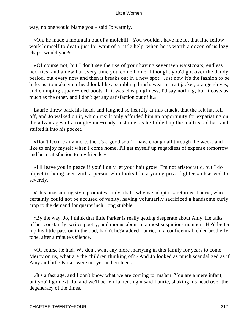way, no one would blame you,» said Jo warmly.

 «Oh, he made a mountain out of a molehill. You wouldn't have me let that fine fellow work himself to death just for want of a little help, when he is worth a dozen of us lazy chaps, would you?»

 «Of course not, but I don't see the use of your having seventeen waistcoats, endless neckties, and a new hat every time you come home. I thought you'd got over the dandy period, but every now and then it breaks out in a new spot. Just now it's the fashion to be hideous, to make your head look like a scrubbing brush, wear a strait jacket, orange gloves, and clumping square−toed boots. If it was cheap ugliness, I'd say nothing, but it costs as much as the other, and I don't get any satisfaction out of it.»

 Laurie threw back his head, and laughed so heartily at this attack, that the felt hat fell off, and Jo walked on it, which insult only afforded him an opportunity for expatiating on the advantages of a rough−and−ready costume, as he folded up the maltreated hat, and stuffed it into his pocket.

 «Don't lecture any more, there's a good soul! I have enough all through the week, and like to enjoy myself when I come home. I'll get myself up regardless of expense tomorrow and be a satisfaction to my friends.»

 «I'll leave you in peace if you'll only let your hair grow. I'm not aristocratic, but I do object to being seen with a person who looks like a young prize fighter,» observed Jo severely.

 «This unassuming style promotes study, that's why we adopt it,» returned Laurie, who certainly could not be accused of vanity, having voluntarily sacrificed a handsome curly crop to the demand for quarterinch−long stubble.

 «By the way, Jo, I think that little Parker is really getting desperate about Amy. He talks of her constantly, writes poetry, and moons about in a most suspicious manner. He'd better nip his little passion in the bud, hadn't he?» added Laurie, in a confidential, elder brotherly tone, after a minute's silence.

 «Of course he had. We don't want any more marrying in this family for years to come. Mercy on us, what are the children thinking of?» And Jo looked as much scandalized as if Amy and little Parker were not yet in their teens.

 «It's a fast age, and I don't know what we are coming to, ma'am. You are a mere infant, but you'll go next, Jo, and we'll be left lamenting,» said Laurie, shaking his head over the degeneracy of the times.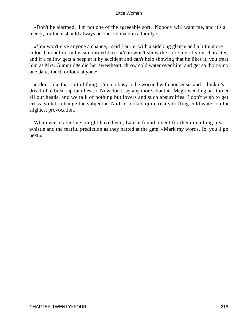«Don't be alarmed. I'm not one of the agreeable sort. Nobody will want me, and it's a mercy, for there should always be one old maid in a family.»

 «You won't give anyone a chance,» said Laurie, with a sidelong glance and a little more color than before in his sunburned face. «You won't show the soft side of your character, and if a fellow gets a peep at it by accident and can't help showing that he likes it, you treat him as Mrs. Gummidge did her sweetheart, throw cold water over him, and get so thorny no one dares touch or look at you.»

 «I don't like that sort of thing. I'm too busy to be worried with nonsense, and I think it's dreadful to break up families so. Now don't say any more about it. Meg's wedding has turned all our heads, and we talk of nothing but lovers and such absurdities. I don't wish to get cross, so let's change the subject.» And Jo looked quite ready to fling cold water on the slightest provocation.

 Whatever his feelings might have been, Laurie found a vent for them in a long low whistle and the fearful prediction as they parted at the gate, «Mark my words, Jo, you'll go next.»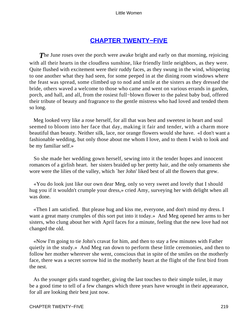# **[CHAPTER TWENTY−FIVE](#page-420-0)**

**The June roses over the porch were awake bright and early on that morning, rejoicing** with all their hearts in the cloudless sunshine, like friendly little neighbors, as they were. Quite flushed with excitement were their ruddy faces, as they swung in the wind, whispering to one another what they had seen, for some peeped in at the dining room windows where the feast was spread, some climbed up to nod and smile at the sisters as they dressed the bride, others waved a welcome to those who came and went on various errands in garden, porch, and hall, and all, from the rosiest full−blown flower to the palest baby bud, offered their tribute of beauty and fragrance to the gentle mistress who had loved and tended them so long.

 Meg looked very like a rose herself, for all that was best and sweetest in heart and soul seemed to bloom into her face that day, making it fair and tender, with a charm more beautiful than beauty. Neither silk, lace, nor orange flowers would she have. «I don't want a fashionable wedding, but only those about me whom I love, and to them I wish to look and be my familiar self.»

 So she made her wedding gown herself, sewing into it the tender hopes and innocent romances of a girlish heart. her sisters braided up her pretty hair, and the only ornaments she wore were the lilies of the valley, which `her John' liked best of all the flowers that grew.

 «You do look just like our own dear Meg, only so very sweet and lovely that I should hug you if it wouldn't crumple your dress,» cried Amy, surveying her with delight when all was done.

 «Then I am satisfied. But please hug and kiss me, everyone, and don't mind my dress. I want a great many crumples of this sort put into it today.» And Meg opened her arms to her sisters, who clung about her with April faces for a minute, feeling that the new love had not changed the old.

 «Now I'm going to tie John's cravat for him, and then to stay a few minutes with Father quietly in the study.» And Meg ran down to perform these little ceremonies, and then to follow her mother wherever she went, conscious that in spite of the smiles on the motherly face, there was a secret sorrow hid in the motherly heart at the flight of the first bird from the nest.

 As the younger girls stand together, giving the last touches to their simple toilet, it may be a good time to tell of a few changes which three years have wrought in their appearance, for all are looking their best just now.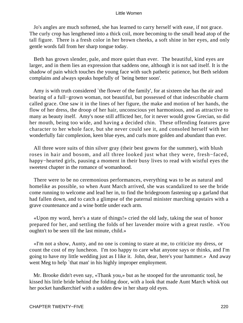Jo's angles are much softened, she has learned to carry herself with ease, if not grace. The curly crop has lengthened into a thick coil, more becoming to the small head atop of the tall figure. There is a fresh color in her brown cheeks, a soft shine in her eyes, and only gentle words fall from her sharp tongue today.

 Beth has grown slender, pale, and more quiet than ever. The beautiful, kind eyes are larger, and in them lies an expression that saddens one, although it is not sad itself. It is the shadow of pain which touches the young face with such pathetic patience, but Beth seldom complains and always speaks hopefully of `being better soon'.

 Amy is with truth considered `the flower of the family', for at sixteen she has the air and bearing of a full−grown woman, not beautiful, but possessed of that indescribable charm called grace. One saw it in the lines of her figure, the make and motion of her hands, the flow of her dress, the droop of her hair, unconscious yet harmonious, and as attractive to many as beauty itself. Amy's nose still afflicted her, for it never would grow Grecian, so did her mouth, being too wide, and having a decided chin. These offending features gave character to her whole face, but she never could see it, and consoled herself with her wonderfully fair complexion, keen blue eyes, and curls more golden and abundant than ever.

 All three wore suits of thin silver gray (their best gowns for the summer), with blush roses in hair and bosom, and all three looked just what they were, fresh−faced, happy−hearted girls, pausing a moment in their busy lives to read with wistful eyes the sweetest chapter in the romance of womanhood.

 There were to be no ceremonious performances, everything was to be as natural and homelike as possible, so when Aunt March arrived, she was scandalized to see the bride come running to welcome and lead her in, to find the bridegroom fastening up a garland that had fallen down, and to catch a glimpse of the paternal minister marching upstairs with a grave countenance and a wine bottle under each arm.

 «Upon my word, here's a state of things!» cried the old lady, taking the seat of honor prepared for her, and settling the folds of her lavender moire with a great rustle. «You oughtn't to be seen till the last minute, child.»

 «I'm not a show, Aunty, and no one is coming to stare at me, to criticize my dress, or count the cost of my luncheon. I'm too happy to care what anyone says or thinks, and I'm going to have my little wedding just as I like it. John, dear, here's your hammer.» And away went Meg to help 'that man' in his highly improper employment.

 Mr. Brooke didn't even say, «Thank you,» but as he stooped for the unromantic tool, he kissed his little bride behind the folding door, with a look that made Aunt March whisk out her pocket handkerchief with a sudden dew in her sharp old eyes.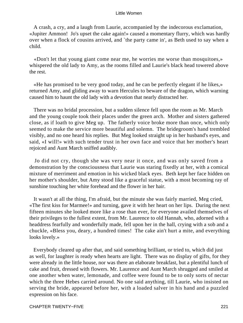A crash, a cry, and a laugh from Laurie, accompanied by the indecorous exclamation, «Jupiter Ammon! Jo's upset the cake again!» caused a momentary flurry, which was hardly over when a flock of cousins arrived, and `the party came in', as Beth used to say when a child.

 «Don't let that young giant come near me, he worries me worse than mosquitoes,» whispered the old lady to Amy, as the rooms filled and Laurie's black head towered above the rest.

 «He has promised to be very good today, and he can be perfectly elegant if he likes,» returned Amy, and gliding away to warn Hercules to beware of the dragon, which warning caused him to haunt the old lady with a devotion that nearly distracted her.

 There was no bridal procession, but a sudden silence fell upon the room as Mr. March and the young couple took their places under the green arch. Mother and sisters gathered close, as if loath to give Meg up. The fatherly voice broke more than once, which only seemed to make the service more beautiful and solemn. The bridegroom's hand trembled visibly, and no one heard his replies. But Meg looked straight up in her husband's eyes, and said, «I will!» with such tender trust in her own face and voice that her mother's heart rejoiced and Aunt March sniffed audibly.

 Jo did not cry, though she was very near it once, and was only saved from a demonstration by the consciousness that Laurie was staring fixedly at her, with a comical mixture of merriment and emotion in his wicked black eyes. Beth kept her face hidden on her mother's shoulder, but Amy stood like a graceful statue, with a most becoming ray of sunshine touching her white forehead and the flower in her hair.

 It wasn't at all the thing, I'm afraid, but the minute she was fairly married, Meg cried, «The first kiss for Marmee!» and turning, gave it with her heart on her lips. During the next fifteen minutes she looked more like a rose than ever, for everyone availed themselves of their privileges to the fullest extent, from Mr. Laurence to old Hannah, who, adorned with a headdress fearfully and wonderfully made, fell upon her in the hall, crying with a sob and a chuckle, «Bless you, deary, a hundred times! The cake ain't hurt a mite, and everything looks lovely.»

 Everybody cleared up after that, and said something brilliant, or tried to, which did just as well, for laughter is ready when hearts are light. There was no display of gifts, for they were already in the little house, nor was there an elaborate breakfast, but a plentiful lunch of cake and fruit, dressed with flowers. Mr. Laurence and Aunt March shrugged and smiled at one another when water, lemonade, and coffee were found to be to only sorts of nectar which the three Hebes carried around. No one said anything, till Laurie, who insisted on serving the bride, appeared before her, with a loaded salver in his hand and a puzzled expression on his face.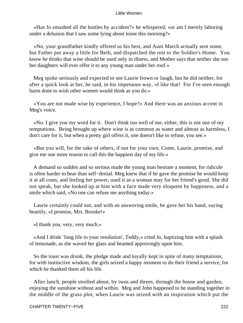«Has Jo smashed all the bottles by accident?» he whispered, «or am I merely laboring under a delusion that I saw some lying about loose this morning?»

 «No, your grandfather kindly offered us his best, and Aunt March actually sent some, but Father put away a little for Beth, and dispatched the rest to the Soldier's Home. You know he thinks that wine should be used only in illness, and Mother says that neither she nor her daughters will ever offer it to any young man under her roof.»

 Meg spoke seriously and expected to see Laurie frown or laugh, but he did neither, for after a quick look at her, he said, in his impetuous way, «I like that! For I've seen enough harm done to wish other women would think as you do.»

 «You are not made wise by experience, I hope?» And there was an anxious accent in Meg's voice.

 «No. I give you my word for it. Don't think too well of me, either, this is not one of my temptations. Being brought up where wine is as common as water and almost as harmless, I don't care for it, but when a pretty girl offers it, one doesn't like to refuse, you see.»

 «But you will, for the sake of others, if not for your own. Come, Laurie, promise, and give me one more reason to call this the happiest day of my life.»

 A demand so sudden and so serious made the young man hesitate a moment, for ridicule is often harder to bear than self−denial. Meg knew that if he gave the promise he would keep it at all costs, and feeling her power, used it as a woman may for her friend's good. She did not speak, but she looked up at him with a face made very eloquent by happiness, and a smile which said, «No one can refuse me anything today.»

 Laurie certainly could not, and with an answering smile, he gave her his hand, saying heartily, «I promise, Mrs. Brooke!»

«I thank you, very, very much.»

 «And I drink `long life to your resolution', Teddy,» cried Jo, baptizing him with a splash of lemonade, as she waved her glass and beamed approvingly upon him.

 So the toast was drunk, the pledge made and loyally kept in spite of many temptations, for with instinctive wisdom, the girls seized a happy moment to do their friend a service, for which he thanked them all his life.

 After lunch, people strolled about, by twos and threes, through the house and garden, enjoying the sunshine without and within. Meg and John happened to be standing together in the middle of the grass plot, when Laurie was seized with an inspiration which put the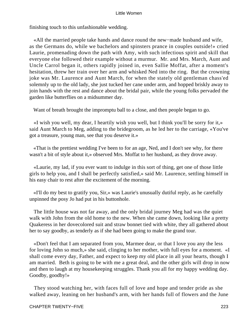finishing touch to this unfashionable wedding.

 «All the married people take hands and dance round the new−made husband and wife, as the Germans do, while we bachelors and spinsters prance in couples outside!» cried Laurie, promenading down the path with Amy, with such infectious spirit and skill that everyone else followed their example without a murmur. Mr. and Mrs. March, Aunt and Uncle Carrol began it, others rapidly joined in, even Sallie Moffat, after a moment's hesitation, threw her train over her arm and whisked Ned into the ring. But the crowning joke was Mr. Laurence and Aunt March, for when the stately old gentleman chass'ed solemnly up to the old lady, she just tucked her cane under arm, and hopped briskly away to join hands with the rest and dance about the bridal pair, while the young folks pervaded the garden like butterflies on a midsummer day.

Want of breath brought the impromptu ball to a close, and then people began to go.

 «I wish you well, my dear, I heartily wish you well, but I think you'll be sorry for it,» said Aunt March to Meg, adding to the bridegroom, as he led her to the carriage, «You've got a treasure, young man, see that you deserve it.»

 «That is the prettiest wedding I've been to for an age, Ned, and I don't see why, for there wasn't a bit of style about it,» observed Mrs. Moffat to her husband, as they drove away.

 «Laurie, my lad, if you ever want to indulge in this sort of thing, get one of those little girls to help you, and I shall be perfectly satisfied,» said Mr. Laurence, settling himself in his easy chair to rest after the excitement of the morning.

 «I'll do my best to gratify you, Sir,» was Laurie's unusually dutiful reply, as he carefully unpinned the posy Jo had put in his buttonhole.

 The little house was not far away, and the only bridal journey Meg had was the quiet walk with John from the old home to the new. When she came down, looking like a pretty Quakeress in her dovecolored suit and straw bonnet tied with white, they all gathered about her to say goodby, as tenderly as if she had been going to make the grand tour.

 «Don't feel that I am separated from you, Marmee dear, or that I love you any the less for loving John so much,» she said, clinging to her mother, with full eyes for a moment. «I shall come every day, Father, and expect to keep my old place in all your hearts, though I am married. Beth is going to be with me a great deal, and the other girls will drop in now and then to laugh at my housekeeping struggles. Thank you all for my happy wedding day. Goodby, goodby!»

 They stood watching her, with faces full of love and hope and tender pride as she walked away, leaning on her husband's arm, with her hands full of flowers and the June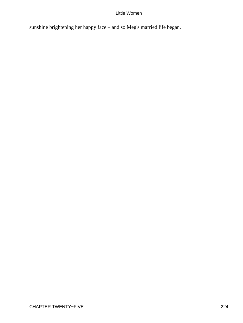sunshine brightening her happy face – and so Meg's married life began.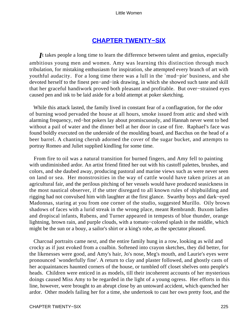# **[CHAPTER TWENTY−SIX](#page-420-0)**

*I*t takes people a long time to learn the difference between talent and genius, especially ambitious young men and women. Amy was learning this distinction through much tribulation, for mistaking enthusiasm for inspiration, she attempted every branch of art with youthful audacity. For a long time there was a lull in the `mud−pie' business, and she devoted herself to the finest pen−and−ink drawing, in which she showed such taste and skill that her graceful handiwork proved both pleasant and profitable. But over−strained eyes caused pen and ink to be laid aside for a bold attempt at poker sketching.

 While this attack lasted, the family lived in constant fear of a conflagration, for the odor of burning wood pervaded the house at all hours, smoke issued from attic and shed with alarming frequency, red−hot pokers lay about promiscuously, and Hannah never went to bed without a pail of water and the dinner bell at her door in case of fire. Raphael's face was found boldly executed on the underside of the moulding board, and Bacchus on the head of a beer barrel. A chanting cherub adorned the cover of the sugar bucket, and attempts to portray Romeo and Juliet supplied kindling for some time.

 From fire to oil was a natural transition for burned fingers, and Amy fell to painting with undiminished ardor. An artist friend fitted her out with his castoff palettes, brushes, and colors, and she daubed away, producing pastoral and marine views such as were never seen on land or sea. Her monstrosities in the way of cattle would have taken prizes at an agricultural fair, and the perilous pitching of her vessels would have produced seasickness in the most nautical observer, if the utter disregard to all known rules of shipbuilding and rigging had not convulsed him with laughter at the first glance. Swarthy boys and dark−eyed Madonnas, staring at you from one corner of the studio, suggested Murillo. Oily brown shadows of faces with a lurid streak in the wrong place, meant Rembrandt. Buxom ladies and dropiscal infants, Rubens, and Turner appeared in tempests of blue thunder, orange lightning, brown rain, and purple clouds, with a tomato−colored splash in the middle, which might be the sun or a bouy, a sailor's shirt or a king's robe, as the spectator pleased.

 Charcoal portraits came next, and the entire family hung in a row, looking as wild and crocky as if just evoked from a coalbin. Softened into crayon sketches, they did better, for the likenesses were good, and Amy's hair, Jo's nose, Meg's mouth, and Laurie's eyes were pronounced `wonderfully fine'. A return to clay and plaster followed, and ghostly casts of her acquaintances haunted corners of the house, or tumbled off closet shelves onto people's heads. Children were enticed in as models, till their incoherent accounts of her mysterious doings caused Miss Amy to be regarded in the light of a young ogress. Her efforts in this line, however, were brought to an abrupt close by an untoward accident, which quenched her ardor. Other models failing her for a time, she undertook to cast her own pretty foot, and the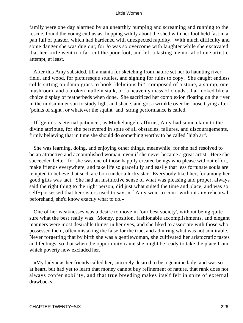family were one day alarmed by an unearthly bumping and screaming and running to the rescue, found the young enthusiast hopping wildly about the shed with her foot held fast in a pan full of plaster, which had hardened with unexpected rapidity. With much difficulty and some danger she was dug out, for Jo was so overcome with laughter while she excavated that her knife went too far, cut the poor foot, and left a lasting memorial of one artistic attempt, at least.

 After this Amy subsided, till a mania for sketching from nature set her to haunting river, field, and wood, for picturesque studies, and sighing for ruins to copy. She caught endless colds sitting on damp grass to book `delicious bit', composed of a stone, a stump, one mushroom, and a broken mullein stalk, or `a heavenly mass of clouds', that looked like a choice display of featherbeds when done. She sacrificed her complexion floating on the river in the midsummer sun to study light and shade, and got a wrinkle over her nose trying after `points of sight', or whatever the squint−and−string performance is called.

 If `genius is eternal patience', as Michelangelo affirms, Amy had some claim to the divine attribute, for she persevered in spite of all obstacles, failures, and discouragements, firmly believing that in time she should do something worthy to be called `high art'.

 She was learning, doing, and enjoying other things, meanwhile, for she had resolved to be an attractive and accomplished woman, even if she never became a great artist. Here she succeeded better, for she was one of those happily created beings who please without effort, make friends everywhere, and take life so gracefully and easily that less fortunate souls are tempted to believe that such are born under a lucky star. Everybody liked her, for among her good gifts was tact. She had an instinctive sense of what was pleasing and proper, always said the right thing to the right person, did just what suited the time and place, and was so self−possessed that her sisters used to say, «If Amy went to court without any rehearsal beforehand, she'd know exactly what to do.»

 One of her weaknesses was a desire to move in `our best society', without being quite sure what the best really was. Money, position, fashionable accomplishments, and elegant manners were most desirable things in her eyes, and she liked to associate with those who possessed them, often mistaking the false for the true, and admiring what was not admirable. Never forgetting that by birth she was a gentlewoman, she cultivated her aristocratic tastes and feelings, so that when the opportunity came she might be ready to take the place from which poverty now excluded her.

 «My lady,» as her friends called her, sincerely desired to be a genuine lady, and was so at heart, but had yet to learn that money cannot buy refinement of nature, that rank does not always confer nobility, and that true breeding makes itself felt in spite of external drawbacks.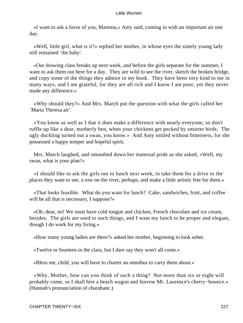«I want to ask a favor of you, Mamma,» Amy said, coming in with an important air one day.

 «Well, little girl, what is it?» replied her mother, in whose eyes the stately young lady still remained `the baby'.

 «Our drawing class breaks up next week, and before the girls separate for the summer, I want to ask them out here for a day. They are wild to see the river, sketch the broken bridge, and copy some of the things they admire in my book. They have been very kind to me in many ways, and I am grateful, for they are all rich and I know I am poor, yet they never made any difference.»

 «Why should they?» And Mrs. March put the question with what the girls called her `Maria Theresa air'.

 «You know as well as I that it does make a difference with nearly everyone, so don't ruffle up like a dear, motherly hen, when your chickens get pecked by smarter birds. The ugly duckling turned out a swan, you know.» And Amy smiled without bitterness, for she possessed a happy temper and hopeful spirit.

 Mrs. March laughed, and smoothed down her maternal pride as she asked, «Well, my swan, what is your plan?»

 «I should like to ask the girls out to lunch next week, to take them for a drive to the places they want to see, a row on the river, perhaps, and make a little artistic fete for them.»

 «That looks feasible. What do you want for lunch? Cake, sandwiches, fruit, and coffee will be all that is necessary, I suppose?»

 «Oh, dear, no! We must have cold tongue and chicken, French chocolate and ice cream, besides. The girls are used to such things, and I want my lunch to be proper and elegant, though I do work for my living.»

«How many young ladies are there?» asked her mother, beginning to look sober.

«Twelve or fourteen in the class, but I dare say they won't all come.»

«Bless me, child, you will have to charter an omnibus to carry them about.»

 «Why, Mother, how can you think of such a thing? Not more than six or eight will probably come, so I shall hire a beach wagon and borrow Mr. Laurence's cherry−bounce.» (Hannah's pronunciation of charabanc.)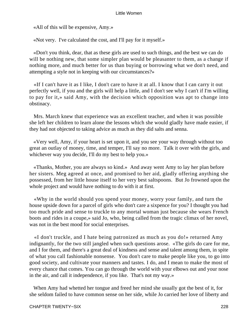«All of this will be expensive, Amy.»

«Not very. I've calculated the cost, and I'll pay for it myself.»

 «Don't you think, dear, that as these girls are used to such things, and the best we can do will be nothing new, that some simpler plan would be pleasanter to them, as a change if nothing more, and much better for us than buying or borrowing what we don't need, and attempting a style not in keeping with our circumstances?»

 «If I can't have it as I like, I don't care to have it at all. I know that I can carry it out perfectly well, if you and the girls will help a little, and I don't see why I can't if I'm willing to pay for it,» said Amy, with the decision which opposition was apt to change into obstinacy.

 Mrs. March knew that experience was an excellent teacher, and when it was possible she left her children to learn alone the lessons which she would gladly have made easier, if they had not objected to taking advice as much as they did salts and senna.

 «Very well, Amy, if your heart is set upon it, and you see your way through without too great an outlay of money, time, and temper, I'll say no more. Talk it over with the girls, and whichever way you decide, I'll do my best to help you.»

 «Thanks, Mother, you are always so kind.» And away went Amy to lay her plan before her sisters. Meg agreed at once, and promised to her aid, gladly offering anything she possessed, from her little house itself to her very best saltspoons. But Jo frowned upon the whole project and would have nothing to do with it at first.

 «Why in the world should you spend your money, worry your family, and turn the house upside down for a parcel of girls who don't care a sixpence for you? I thought you had too much pride and sense to truckle to any mortal woman just because she wears French boots and rides in a coupe,» said Jo, who, being called from the tragic climax of her novel, was not in the best mood for social enterprises.

 «I don't truckle, and I hate being patronized as much as you do!» returned Amy indignantly, for the two still jangled when such questions arose. «The girls do care for me, and I for them, and there's a great deal of kindness and sense and talent among them, in spite of what you call fashionable nonsense. You don't care to make people like you, to go into good society, and cultivate your manners and tastes. I do, and I mean to make the most of every chance that comes. You can go through the world with your elbows out and your nose in the air, and call it independence, if you like. That's not my way.»

 When Amy had whetted her tongue and freed her mind she usually got the best of it, for she seldom failed to have common sense on her side, while Jo carried her love of liberty and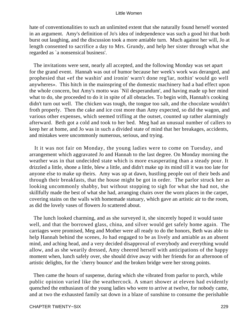hate of conventionalities to such an unlimited extent that she naturally found herself worsted in an argument. Amy's definition of Jo's idea of independence was such a good hit that both burst out laughing, and the discussion took a more amiable turn. Much against her will, Jo at length consented to sacrifice a day to Mrs. Grundy, and help her sister through what she regarded as `a nonsensical business'.

 The invitations were sent, nearly all accepted, and the following Monday was set apart for the grand event. Hannah was out of humor because her week's work was deranged, and prophesied that «ef the washin' and ironin' warn't done reg'lar, nothin' would go well anywheres». This hitch in the mainspring of the domestic machinery had a bad effect upon the whole concern, but Amy's motto was `Nil desperandum', and having made up her mind what to do, she proceeded to do it in spite of all obstacles. To begin with, Hannah's cooking didn't turn out well. The chicken was tough, the tongue too salt, and the chocolate wouldn't froth properly. Then the cake and ice cost more than Amy expected, so did the wagon, and various other expenses, which seemed trifling at the outset, counted up rather alarmingly afterward. Beth got a cold and took to her bed. Meg had an unusual number of callers to keep her at home, and Jo was in such a divided state of mind that her breakages, accidents, and mistakes were uncommonly numerous, serious, and trying.

 It it was not fair on Monday, the young ladies were to come on Tuesday, and arrangement which aggravated Jo and Hannah to the last degree. On Monday morning the weather was in that undecided state which is more exasperating than a steady pour. It drizzled a little, shone a little, blew a little, and didn't make up its mind till it was too late for anyone else to make up theirs. Amy was up at dawn, hustling people out of their beds and through their breakfasts, that the house might be got in order. The parlor struck her as looking uncommonly shabby, but without stopping to sigh for what she had not, she skillfully made the best of what she had, arranging chairs over the worn places in the carpet, covering stains on the walls with homemade statuary, which gave an artistic air to the room, as did the lovely vases of flowers Jo scattered about.

 The lunch looked charming, and as she surveyed it, she sincerely hoped it would taste well, and that the borrowed glass, china, and silver would get safely home again. The carriages were promised, Meg and Mother were all ready to do the honors, Beth was able to help Hannah behind the scenes, Jo had engaged to be as lively and amiable as an absent mind, and aching head, and a very decided disapproval of everybody and everything would allow, and as she wearily dressed, Amy cheered herself with anticipations of the happy moment when, lunch safely over, she should drive away with her friends for an afternoon of artistic delights, for the `cherry bounce' and the broken bridge were her strong points.

 Then came the hours of suspense, during which she vibrated from parlor to porch, while public opinion varied like the weathercock. A smart shower at eleven had evidently quenched the enthusiasm of the young ladies who were to arrive at twelve, for nobody came, and at two the exhausted family sat down in a blaze of sunshine to consume the perishable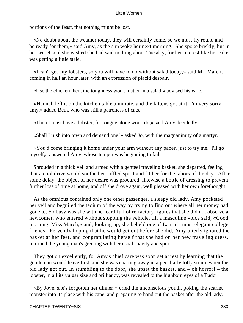portions of the feast, that nothing might be lost.

 «No doubt about the weather today, they will certainly come, so we must fly round and be ready for them,» said Amy, as the sun woke her next morning. She spoke briskly, but in her secret soul she wished she had said nothing about Tuesday, for her interest like her cake was getting a little stale.

 «I can't get any lobsters, so you will have to do without salad today,» said Mr. March, coming in half an hour later, with an expression of placid despair.

«Use the chicken then, the toughness won't matter in a salad,» advised his wife.

 «Hannah left it on the kitchen table a minute, and the kittens got at it. I'm very sorry, amy,» added Beth, who was still a patroness of cats.

«Then I must have a lobster, for tongue alone won't do,» said Amy decidedly.

«Shall I rush into town and demand one?» asked Jo, with the magnanimity of a martyr.

 «You'd come bringing it home under your arm without any paper, just to try me. I'll go myself,» answered Amy, whose temper was beginning to fail.

 Shrouded in a thick veil and armed with a genteel traveling basket, she departed, feeling that a cool drive would soothe her ruffled spirit and fit her for the labors of the day. After some delay, the object of her desire was procured, likewise a bottle of dressing to prevent further loss of time at home, and off she drove again, well pleased with her own forethought.

 As the omnibus contained only one other passenger, a sleepy old lady, Amy pocketed her veil and beguiled the tedium of the way by trying to find out where all her money had gone to. So busy was she with her card full of refractory figures that she did not observe a newcomer, who entered without stopping the vehicle, till a masculine voice said, «Good morning, Miss March,» and, looking up, she beheld one of Laurie's most elegant college friends. Fervently hoping that he would get out before she did, Amy utterly ignored the basket at her feet, and congratulating herself that she had on her new traveling dress, returned the young man's greeting with her usual suavity and spirit.

 They got on excellently, for Amy's chief care was soon set at rest by learning that the gentleman would leave first, and she was chatting away in a peculiarly lofty strain, when the old lady got out. In stumbling to the door, she upset the basket, and – oh horror! – the lobster, in all its vulgar size and brilliancy, was revealed to the highborn eyes of a Tudor.

 «By Jove, she's forgotten her dinner!» cried the unconscious youth, poking the scarlet monster into its place with his cane, and preparing to hand out the basket after the old lady.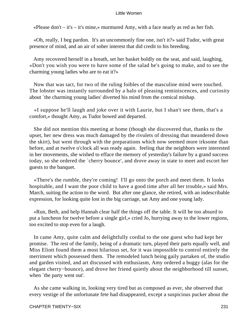«Please don't  $-$  it's  $-$  it's mine,» murmured Amy, with a face nearly as red as her fish.

 «Oh, really, I beg pardon. It's an uncommonly fine one, isn't it?» said Tudor, with great presence of mind, and an air of sober interest that did credit to his breeding.

 Amy recovered herself in a breath, set her basket boldly on the seat, and said, laughing, «Don't you wish you were to have some of the salad he's going to make, and to see the charming young ladies who are to eat it?»

 Now that was tact, for two of the ruling foibles of the masculine mind were touched. The lobster was instantly surrounded by a halo of pleasing reminiscences, and curiosity about `the charming young ladies' diverted his mind from the comical mishap.

 «I suppose he'll laugh and joke over it with Laurie, but I shan't see them, that's a comfort,» thought Amy, as Tudor bowed and departed.

 She did not mention this meeting at home (though she discovered that, thanks to the upset, her new dress was much damaged by the rivulets of dressing that meandered down the skirt), but went through with the preparations which now seemed more irksome than before, and at twelve o'clock all was ready again. feeling that the neighbors were interested in her movements, she wished to efface the memory of yesterday's failure by a grand success today, so she ordered the `cherry bounce', and drove away in state to meet and escort her guests to the banquet.

 «There's the rumble, they're coming! I'll go onto the porch and meet them. It looks hospitable, and I want the poor child to have a good time after all her trouble,» said Mrs. March, suiting the action to the word. But after one glance, she retired, with an indescribable expression, for looking quite lost in the big carriage, sat Amy and one young lady.

 «Run, Beth, and help Hannah clear half the things off the table. It will be too absurd to put a luncheon for twelve before a single girl,» cried Jo, hurrying away to the lower regions, too excited to stop even for a laugh.

 In came Amy, quite calm and delightfully cordial to the one guest who had kept her promise. The rest of the family, being of a dramatic turn, played their parts equally well, and Miss Eliott found them a most hilarious set, for it was impossible to control entirely the merriment which possessed them. The remodeled lunch being gaily partaken of, the studio and garden visited, and art discussed with enthusiasm, Amy ordered a buggy (alas for the elegant cherry−bounce), and drove her friend quietly about the neighborhood till sunset, when `the party went out'.

 As she came walking in, looking very tired but as composed as ever, she observed that every vestige of the unfortunate fete had disappeared, except a suspicious pucker about the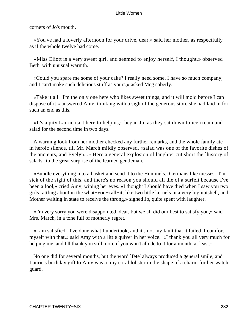corners of Jo's mouth.

 «You've had a loverly afternoon for your drive, dear,» said her mother, as respectfully as if the whole twelve had come.

 «Miss Eliott is a very sweet girl, and seemed to enjoy herself, I thought,» observed Beth, with unusual warmth.

 «Could you spare me some of your cake? I really need some, I have so much company, and I can't make such delicious stuff as yours,» asked Meg soberly.

 «Take it all. I'm the only one here who likes sweet things, and it will mold before I can dispose of it,» answered Amy, thinking with a sigh of the generous store she had laid in for such an end as this.

 «It's a pity Laurie isn't here to help us,» began Jo, as they sat down to ice cream and salad for the second time in two days.

 A warning look from her mother checked any further remarks, and the whole family ate in heroic silence, till Mr. March mildly observed, «salad was one of the favorite dishes of the ancients, and Evelyn...» Here a general explosion of laughter cut short the `history of salads', to the great surprise of the learned gentleman.

 «Bundle everything into a basket and send it to the Hummels. Germans like messes. I'm sick of the sight of this, and there's no reason you should all die of a surfeit because I've been a fool,» cried Amy, wiping her eyes. «I thought I should have died when I saw you two girls rattling about in the what−you−call−it, like two little kernels in a very big nutshell, and Mother waiting in state to receive the throng,» sighed Jo, quite spent with laughter.

 «I'm very sorry you were disappointed, dear, but we all did our best to satisfy you,» said Mrs. March, in a tone full of motherly regret.

 «I am satisfied. I've done what I undertook, and it's not my fault that it failed. I comfort myself with that,» said Amy with a little quiver in her voice. «I thank you all very much for helping me, and I'll thank you still more if you won't allude to it for a month, at least.»

 No one did for several months, but the word `fete' always produced a general smile, and Laurie's birthday gift to Amy was a tiny coral lobster in the shape of a charm for her watch guard.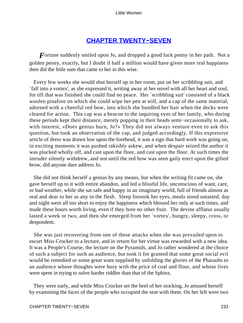### **[CHAPTER TWENTY−SEVEN](#page-420-0)**

*F* ortune suddenly smiled upon Jo, and dropped a good luck penny in her path. Not a golden penny, exactly, but I doubt if half a million would have given more real happiness then did the little sum that came to her in this wise.

 Every few weeks she would shut herself up in her room, put on her scribbling suit, and `fall into a vortex', as she expressed it, writing away at her novel with all her heart and soul, for till that was finished she could find no peace. Her `scribbling suit' consisted of a black woolen pinafore on which she could wipe her pen at will, and a cap of the same material, adorned with a cheerful red bow, into which she bundled her hair when the decks were cleared for action. This cap was a beacon to the inquiring eyes of her family, who during these periods kept their distance, merely popping in their heads semi−occasionally to ask, with interest, «Does genius burn, Jo?» They did not always venture even to ask this question, but took an observation of the cap, and judged accordingly. If this expressive article of dress was drawn low upon the forehead, it was a sign that hard work was going on, in exciting moments it was pushed rakishly askew, and when despair seized the author it was plucked wholly off, and cast upon the floor, and cast upon the floor. At such times the intruder silently withdrew, and not until the red bow was seen gaily erect upon the gifted brow, did anyone dare address Jo.

 She did not think herself a genius by any means, but when the writing fit came on, she gave herself up to it with entire abandon, and led a blissful life, unconscious of want, care, or bad weather, while she sat safe and happy in an imaginary world, full of friends almost as real and dear to her as any in the flesh. Sleep forsook her eyes, meals stood untasted, day and night were all too short to enjoy the happiness which blessed her only at such times, and made these hours worth living, even if they bore no other fruit. The devine afflatus usually lasted a week or two, and then she emerged from her `vortex', hungry, sleepy, cross, or despondent.

 She was just recovering from one of these attacks when she was prevailed upon to escort Miss Crocker to a lecture, and in return for her virtue was rewarded with a new idea. It was a People's Course, the lecture on the Pyramids, and Jo rather wondered at the choice of such a subject for such an audience, but took it for granted that some great social evil would be remedied or some great want supplied by unfolding the glories of the Pharaohs to an audience whose thoughts were busy with the price of coal and flour, and whose lives were spent in trying to solve harder riddles than that of the Sphinx.

 They were early, and while Miss Crocker set the heel of her stocking, Jo amused herself by examining the faces of the people who occupied the seat with them. On her left were two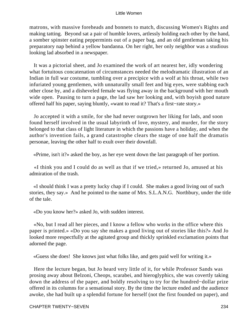matrons, with massive foreheads and bonnets to match, discussing Women's Rights and making tatting. Beyond sat a pair of humble lovers, artlessly holding each other by the hand, a somber spinster eating peppermints out of a paper bag, and an old gentleman taking his preparatory nap behind a yellow bandanna. On her right, her only neighbor was a studious looking lad absorbed in a newspaper.

 It was a pictorial sheet, and Jo examined the work of art nearest her, idly wondering what fortuitous concatenation of circumstances needed the melodramatic illustration of an Indian in full war costume, tumbling over a precipice with a wolf at his throat, while two infuriated young gentlemen, with unnaturally small feet and big eyes, were stabbing each other close by, and a disheveled female was flying away in the background with her mouth wide open. Pausing to turn a page, the lad saw her looking and, with boyish good nature offered half his paper, saying bluntly, «want to read it? That's a first−rate story.»

 Jo accepted it with a smile, for she had never outgrown her liking for lads, and soon found herself involved in the usual labyrinth of love, mystery, and murder, for the story belonged to that class of light literature in which the passions have a holiday, and when the author's invention fails, a grand catastrophe clears the stage of one half the dramatis personae, leaving the other half to exult over their downfall.

«Prime, isn't it?» asked the boy, as her eye went down the last paragraph of her portion.

 «I think you and I could do as well as that if we tried,» returned Jo, amused at his admiration of the trash.

 «I should think I was a pretty lucky chap if I could. She makes a good living out of such stories, they say.» And he pointed to the name of Mrs. S.L.A.N.G. Northbury, under the title of the tale.

«Do you know her?» asked Jo, with sudden interest.

 «No, but I read all her pieces, and I know a fellow who works in the office where this paper is printed.» «Do you say she makes a good living out of stories like this?» And Jo looked more respectfully at the agitated group and thickly sprinkled exclamation points that adorned the page.

«Guess she does! She knows just what folks like, and gets paid well for writing it.»

 Here the lecture began, but Jo heard very little of it, for while Professor Sands was prosing away about Belzoni, Cheops, scarabei, and hieroglyphics, she was covertly taking down the address of the paper, and boldly resolving to try for the hundred−dollar prize offered in its columns for a sensational story. By the time the lecture ended and the audience awoke, she had built up a splendid fortune for herself (not the first founded on paper), and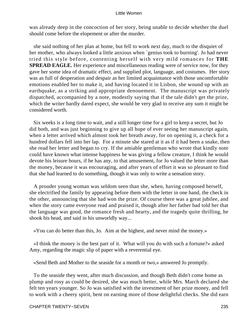was already deep in the concoction of her story, being unable to decide whether the duel should come before the elopement or after the murder.

 she said nothing of her plan at home, but fell to work next day, much to the disquiet of her mother, who always looked a little anxious when `genius took to burning'. Jo had never tried this style before, contenting herself with very mild romances for **THE SPREAD EAGLE.** Her experience and miscellaneous reading were of service now, for they gave her some idea of dramatic effect, and supplied plot, language, and costumes. Her story was as full of desperation and despair as her limited acquaintance with those uncomfortable emotions enabled her to make it, and having located it in Lisbon, she wound up with an earthquake, as a striking and appropriate denouement. The manuscript was privately dispatched, accompanied by a note, modestly saying that if the tale didn't get the prize, which the writer hardly dared expect, she would be very glad to receive any sum it might be considered worth.

 Six weeks is a long time to wait, and a still longer time for a girl to keep a secret, but Jo did both, and was just beginning to give up all hope of ever seeing her manuscript again, when a letter arrived which almost took her breath away, for on opening it, a check for a hundred dollars fell into her lap. For a minute she stared at it as if it had been a snake, then she read her letter and began to cry. If the amiable gentleman who wrote that kindly note could have known what intense happiness he was giving a fellow creature, I think he would devote his leisure hours, if he has any, to that amusement, for Jo valued the letter more than the money, because it was encouraging, and after years of effort it was so pleasant to find that she had learned to do something, though it was only to write a sensation story.

 A prouder young woman was seldom seen than she, when, having composed herself, she electrified the family by appearing before them with the letter in one hand, the check in the other, announcing that she had won the prize. Of course there was a great jubilee, and when the story came everyone read and praised it, though after her father had told her that the language was good, the romance fresh and hearty, and the tragedy quite thrilling, he shook his head, and said in his unworldly way...

«You can do better than this, Jo. Aim at the highest, and never mind the money.»

 «I think the money is the best part of it. What will you do with such a fortune?» asked Amy, regarding the magic slip of paper with a reverential eye.

«Send Beth and Mother to the seaside for a month or two,» answered Jo promptly.

 To the seaside they went, after much discussion, and though Beth didn't come home as plump and rosy as could be desired, she was much better, while Mrs. March declared she felt ten years younger. So Jo was satisfied with the investment of her prize money, and fell to work with a cheery spirit, bent on earning more of those delightful checks. She did earn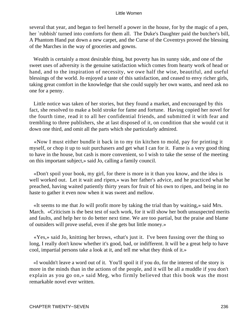several that year, and began to feel herself a power in the house, for by the magic of a pen, her `rubbish' turned into comforts for them all. The Duke's Daughter paid the butcher's bill, A Phantom Hand put down a new carpet, and the Curse of the Coventrys proved the blessing of the Marches in the way of groceries and gowns.

 Wealth is certainly a most desirable thing, but poverty has its sunny side, and one of the sweet uses of adversity is the genuine satisfaction which comes from hearty work of head or hand, and to the inspiration of necessity, we owe half the wise, beautiful, and useful blessings of the world. Jo enjoyed a taste of this satisfaction, and ceased to envy richer girls, taking great comfort in the knowledge that she could supply her own wants, and need ask no one for a penny.

 Little notice was taken of her stories, but they found a market, and encouraged by this fact, she resolved to make a bold stroke for fame and fortune. Having copied her novel for the fourth time, read it to all her confidential friends, and submitted it with fear and trembling to three publishers, she at last disposed of it, on condition that she would cut it down one third, and omit all the parts which she particularly admired.

 «Now I must either bundle it back in to my tin kitchen to mold, pay for printing it myself, or chop it up to suit purchasers and get what I can for it. Fame is a very good thing to have in the house, but cash is more convenient, so I wish to take the sense of the meeting on this important subject,» said Jo, calling a family council.

 «Don't spoil your book, my girl, for there is more in it than you know, and the idea is well worked out. Let it wait and ripen,» was her father's advice, and he practiced what he preached, having waited patiently thirty years for fruit of his own to ripen, and being in no haste to gather it even now when it was sweet and mellow.

 «It seems to me that Jo will profit more by taking the trial than by waiting,» said Mrs. March. «Criticism is the best test of such work, for it will show her both unsuspected merits and faults, and help her to do better next time. We are too partial, but the praise and blame of outsiders will prove useful, even if she gets but little money.»

 «Yes,» said Jo, knitting her brows, «that's just it. I've been fussing over the thing so long, I really don't know whether it's good, bad, or indifferent. It will be a great help to have cool, impartial persons take a look at it, and tell me what they think of it.»

 «I wouldn't leave a word out of it. You'll spoil it if you do, for the interest of the story is more in the minds than in the actions of the people, and it will be all a muddle if you don't explain as you go on,» said Meg, who firmly believed that this book was the most remarkable novel ever written.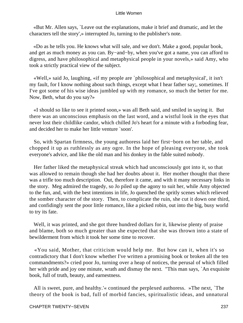«But Mr. Allen says, `Leave out the explanations, make it brief and dramatic, and let the characters tell the story',» interrupted Jo, turning to the publisher's note.

 «Do as he tells you. He knows what will sale, and we don't. Make a good, popular book, and get as much money as you can. By−and−by, when you've got a name, you can afford to digress, and have philosophical and metaphysical people in your novels,» said Amy, who took a strictly practical view of the subject.

 «Well,» said Jo, laughing, «if my people are `philosophical and metaphysical', it isn't my fault, for I know nothing about such things, except what I hear father say;, sometimes. If I've got some of his wise ideas jumbled up with my romance, so much the better for me. Now, Beth, what do you say?»

 «I should so like to see it printed soon,» was all Beth said, and smiled in saying it. But there was an unconscious emphasis on the last word, and a wistful look in the eyes that never lost their childlike candor, which chilled Jo's heart for a minute with a forboding fear, and decided her to make her little venture `soon'.

 So, with Spartan firmness, the young authoress laid her first−born on her table, and chopped it up as ruthlessly as any ogre. In the hope of pleasing everyone, she took everyone's advice, and like the old man and his donkey in the fable suited nobody.

 Her father liked the metaphysical streak which had unconsciously got into it, so that was allowed to remain though she had her doubts about it. Her mother thought that there was a trifle too much description. Out, therefore it came, and with it many necessary links in the story. Meg admired the tragedy, so Jo piled up the agony to suit her, while Amy objected to the fun, and, with the best intentions in life, Jo quenched the spritly scenes which relieved the somber character of the story. Then, to complicate the ruin, she cut it down one third, and confidingly sent the poor little romance, like a picked robin, out into the big, busy world to try its fate.

 Well, it was printed, and she got three hundred dollars for it, likewise plenty of praise and blame, both so much greater than she expected that she was thrown into a state of bewilderment from which it took her some time to recover.

 «You said, Mother, that criticism would help me. But how can it, when it's so contradictory that I don't know whether I've written a promising book or broken all the ten commandments?» cried poor Jo, turning over a heap of notices, the perusal of which filled her with pride and joy one minute, wrath and dismay the next. "This man says, `An exquisite book, full of truth, beauty, and earnestness.

 All is sweet, pure, and healthy.'« continued the perplexed authoress. »The next, `The theory of the book is bad, full of morbid fancies, spiritualistic ideas, and unnatural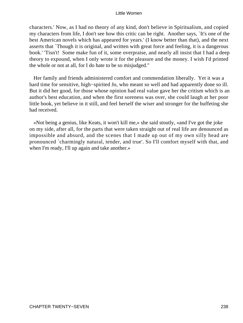characters.' Now, as I had no theory of any kind, don't believe in Spiritualism, and copied my characters from life, I don't see how this critic can be right. Another says, `It's one of the best American novels which has appeared for years.' (I know better than that), and the next asserts that `Though it is original, and written with great force and feeling, it is a dangerous book.' 'Tisn't! Some make fun of it, some overpraise, and nearly all insist that I had a deep theory to expound, when I only wrote it for the pleasure and the money. I wish I'd printed the whole or not at all, for I do hate to be so misjudged."

 Her family and friends administered comfort and commendation liberally. Yet it was a hard time for sensitive, high−spirited Jo, who meant so well and had apparently done so ill. But it did her good, for those whose opinion had real value gave her the critism which is an author's best education, and when the first soreness was over, she could laugh at her poor little book, yet believe in it still, and feel herself the wiser and stronger for the buffeting she had received.

 «Not being a genius, like Keats, it won't kill me,» she said stoutly, «and I've got the joke on my side, after all, for the parts that were taken straight out of real life are denounced as impossible and absurd, and the scenes that I made up out of my own silly head are pronounced `charmingly natural, tender, and true'. So I'll comfort myself with that, and when I'm ready, I'll up again and take another.»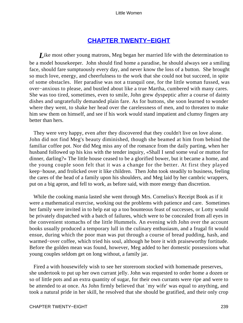# **[CHAPTER TWENTY−EIGHT](#page-420-0)**

*L*ike most other young matrons, Meg began her married life with the determination to be a model housekeeper. John should find home a paradise, he should always see a smiling face, should fare sumptuously every day, and never know the loss of a button. She brought so much love, energy, and cheerfulness to the work that she could not but succeed, in spite of some obstacles. Her paradise was not a tranquil one, for the little woman fussed, was over−anxious to please, and bustled about like a true Martha, cumbered with many cares. She was too tired, sometimes, even to smile, John grew dyspeptic after a course of dainty dishes and ungratefully demanded plain fare. As for buttons, she soon learned to wonder where they went, to shake her head over the carelessness of men, and to threaten to make him sew them on himself, and see if his work would stand impatient and clumsy fingers any better than hers.

 They were very happy, even after they discovered that they couldn't live on love alone. John did not find Meg's beauty diminished, though she beamed at him from behind the familiar coffee pot. Nor did Meg miss any of the romance from the daily parting, when her husband followed up his kiss with the tender inquiry, «Shall I send some veal or mutton for dinner, darling?» The little house ceased to be a glorified bower, but it became a home, and the young couple soon felt that it was a change for the better. At first they played keep−house, and frolicked over it like children. Then John took steadily to business, feeling the cares of the head of a family upon his shoulders, and Meg laid by her cambric wrappers, put on a big apron, and fell to work, as before said, with more energy than discretion.

 While the cooking mania lasted she went through Mrs. Cornelius's Receipt Book as if it were a mathematical exercise, working out the problems with patience and care. Sometimes her family were invited in to help eat up a too bounteous feast of successes, or Lotty would be privately dispatched with a batch of failures, which were to be concealed from all eyes in the convenient stomachs of the little Hummels. An evening with John over the account books usually produced a temporary lull in the culinary enthusiasm, and a frugal fit would ensue, during which the poor man was put through a course of bread pudding, hash, and warmed−over coffee, which tried his soul, although he bore it with praiseworthy fortitude. Before the golden mean was found, however, Meg added to her domestic possessions what young couples seldom get on long without, a family jar.

 Fired a with housewifely wish to see her storeroom stocked with homemade preserves, she undertook to put up her own currant jelly. John was requested to order home a dozen or so of little pots and an extra quantity of sugar, for their own currants were ripe and were to be attended to at once. As John firmly believed that `my wife' was equal to anything, and took a natural pride in her skill, he resolved that she should be gratified, and their only crop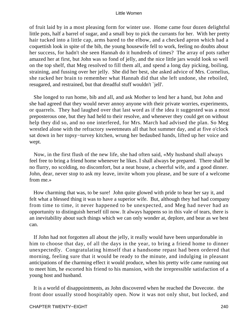of fruit laid by in a most pleasing form for winter use. Home came four dozen delightful little pots, half a barrel of sugar, and a small boy to pick the currants for her. With her pretty hair tucked into a little cap, arms bared to the elbow, and a checked apron which had a coquettish look in spite of the bib, the young housewife fell to work, feeling no doubts about her success, for hadn't she seen Hannah do it hundreds of times? The array of pots rather amazed her at first, but John was so fond of jelly, and the nice little jars would look so well on the top shelf, that Meg resolved to fill them all, and spend a long day picking, boiling, straining, and fussing over her jelly. She did her best, she asked advice of Mrs. Cornelius, she racked her brain to remember what Hannah did that she left undone, she reboiled, resugared, and restrained, but that dreadful stuff wouldn't `jell'.

 She longed to run home, bib and all, and ask Mother to lend her a hand, but John and she had agreed that they would never annoy anyone with their private worries, experiments, or quarrels. They had laughed over that last word as if the idea it suggested was a most preposterous one, but they had held to their resolve, and whenever they could get on without help they did so, and no one interfered, for Mrs. March had advised the plan. So Meg wrestled alone with the refractory sweetmeats all that hot summer day, and at five o'clock sat down in her topsy−turvey kitchen, wrung her bedaubed hands, lifted up her voice and wept.

 Now, in the first flush of the new life, she had often said, «My husband shall always feel free to bring a friend home whenever he likes. I shall always be prepared. There shall be no flurry, no scolding, no discomfort, but a neat house, a cheerful wife, and a good dinner. John, dear, never stop to ask my leave, invite whom you please, and be sure of a welcome from me.»

 How charming that was, to be sure! John quite glowed with pride to hear her say it, and felt what a blessed thing it was to have a superior wife. But, although they had had company from time to time, it never happened to be unexpected, and Meg had never had an opportunity to distinguish herself till now. It always happens so in this vale of tears, there is an inevitability about such things which we can only wonder at, deplore, and bear as we best can.

 If John had not forgotten all about the jelly, it really would have been unpardonable in him to choose that day, of all the days in the year, to bring a friend home to dinner unexpectedly. Congratulating himself that a handsome repast had been ordered that morning, feeling sure that it would be ready to the minute, and indulging in pleasant anticipations of the charming effect it would produce, when his pretty wife came running out to meet him, he escorted his friend to his mansion, with the irrepressible satisfaction of a young host and husband.

 It is a world of disappointments, as John discovered when he reached the Dovecote. the front door usually stood hospitably open. Now it was not only shut, but locked, and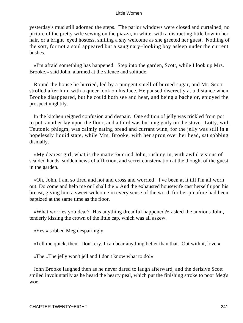yesterday's mud still adorned the steps. The parlor windows were closed and curtained, no picture of the pretty wife sewing on the piazza, in white, with a distracting little bow in her hair, or a bright−eyed hostess, smiling a shy welcome as she greeted her guest. Nothing of the sort, for not a soul appeared but a sanginary−looking boy asleep under the current bushes.

 «I'm afraid something has happened. Step into the garden, Scott, while I look up Mrs. Brooke,» said John, alarmed at the silence and solitude.

 Round the house he hurried, led by a pungent smell of burned sugar, and Mr. Scott strolled after him, with a queer look on his face. He paused discreetly at a distance when Brooke disappeared, but he could both see and hear, and being a bachelor, enjoyed the prospect mightily.

 In the kitchen reigned confusion and despair. One edition of jelly was trickled from pot to pot, another lay upon the floor, and a third was burning gaily on the stove. Lotty, with Teutonic phlegm, was calmly eating bread and currant wine, for the jelly was still in a hopelessly liquid state, while Mrs. Brooke, with her apron over her head, sat sobbing dismally.

 «My dearest girl, what is the matter?» cried John, rushing in, with awful visions of scalded hands, sudden news of affliction, and secret consternation at the thought of the guest in the garden.

 «Oh, John, I am so tired and hot and cross and worried! I've been at it till I'm all worn out. Do come and help me or I shall die!» And the exhausted housewife cast herself upon his breast, giving him a sweet welcome in every sense of the word, for her pinafore had been baptized at the same time as the floor.

 «What worries you dear? Has anything dreadful happened?» asked the anxious John, tenderly kissing the crown of the little cap, which was all askew.

«Yes,» sobbed Meg despairingly.

«Tell me quick, then. Don't cry. I can bear anything better than that. Out with it, love.»

«The...The jelly won't jell and I don't know what to do!»

 John Brooke laughed then as he never dared to laugh afterward, and the derisive Scott smiled involuntarily as he heard the hearty peal, which put the finishing stroke to poor Meg's woe.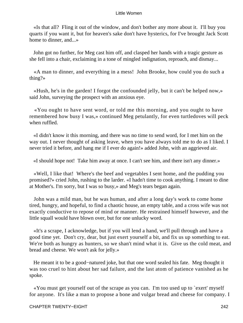«Is that all? Fling it out of the window, and don't bother any more about it. I'll buy you quarts if you want it, but for heaven's sake don't have hysterics, for I've brought Jack Scott home to dinner, and...»

 John got no further, for Meg cast him off, and clasped her hands with a tragic gesture as she fell into a chair, exclaiming in a tone of mingled indignation, reproach, and dismay...

 «A man to dinner, and everything in a mess! John Brooke, how could you do such a thing?»

 «Hush, he's in the garden! I forgot the confounded jelly, but it can't be helped now,» said John, surveying the prospect with an anxious eye.

 «You ought to have sent word, or told me this morning, and you ought to have remembered how busy I was,» continued Meg petulantly, for even turtledoves will peck when ruffled.

 «I didn't know it this morning, and there was no time to send word, for I met him on the way out. I never thought of asking leave, when you have always told me to do as I liked. I never tried it before, and hang me if I ever do again!» added John, with an aggrieved air.

«I should hope not! Take him away at once. I can't see him, and there isn't any dinner.»

 «Well, I like that! Where's the beef and vegetables I sent home, and the pudding you promised?» cried John, rushing to the larder. «I hadn't time to cook anything. I meant to dine at Mother's. I'm sorry, but I was so busy,» and Meg's tears began again.

 John was a mild man, but he was human, and after a long day's work to come home tired, hungry, and hopeful, to find a chaotic house, an empty table, and a cross wife was not exactly conductive to repose of mind or manner. He restrained himself however, and the little squall would have blown over, but for one unlucky word.

 «It's a scrape, I acknowledge, but if you will lend a hand, we'll pull through and have a good time yet. Don't cry, dear, but just exert yourself a bit, and fix us up something to eat. We're both as hungry as hunters, so we shan't mind what it is. Give us the cold meat, and bread and cheese. We won't ask for jelly.»

 He meant it to be a good−natured joke, but that one word sealed his fate. Meg thought it was too cruel to hint about her sad failure, and the last atom of patience vanished as he spoke.

 «You must get yourself out of the scrape as you can. I'm too used up to `exert' myself for anyone. It's like a man to propose a bone and vulgar bread and cheese for company. I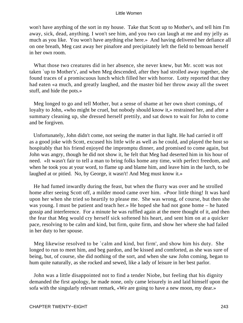won't have anything of the sort in my house. Take that Scott up to Mother's, and tell him I'm away, sick, dead, anything. I won't see him, and you two can laugh at me and my jelly as much as you like. You won't have anything else here.» And having delivered her defiance all on one breath, Meg cast away her pinafore and precipitately left the field to bemoan herself in her own room.

 What those two creatures did in her absence, she never knew, but Mr. scott was not taken `up to Mother's', and when Meg descended, after they had strolled away together, she found traces of a promiscuous lunch which filled her with horror. Lotty reported that they had eaten «a much, and greatly laughed, and the master bid her throw away all the sweet stuff, and hide the pots.»

 Meg longed to go and tell Mother, but a sense of shame at her own short comings, of loyalty to John, «who might be cruel, but nobody should know it,» restrained her, and after a summary cleaning up, she dressed herself prettily, and sat down to wait for John to come and be forgiven.

 Unfortunately, John didn't come, not seeing the matter in that light. He had carried it off as a good joke with Scott, excused his little wife as well as he could, and played the host so hospitably that his friend enjoyed the impromptu dinner, and promised to come again, but John was angry, though he did not show it, he felt that Meg had deserted him in his hour of need. «It wasn't fair to tell a man to bring folks home any time, with perfect freedom, and when he took you at your word, to flame up and blame him, and leave him in the lurch, to be laughed at or pitied. No, by George, it wasn't! And Meg must know it.»

 He had fumed inwardly during the feast, but when the flurry was over and he strolled home after seeing Scott off, a milder mood came over him. «Poor little thing! It was hard upon her when she tried so heartily to please me. She was wrong, of course, but then she was young. I must be patient and teach her.» He hoped she had not gone home – he hated gossip and interference. For a minute he was ruffled again at the mere thought of it, and then the fear that Meg would cry herself sick softened his heart, and sent him on at a quicker pace, resolving to be calm and kind, but firm, quite firm, and show her where she had failed in her duty to her spouse.

 Meg likewise resolved to be `calm and kind, but firm', and show him his duty. She longed to run to meet him, and beg pardon, and be kissed and comforted, as she was sure of being, but, of course, she did nothing of the sort, and when she saw John coming, began to hum quite naturally, as she rocked and sewed, like a lady of leisure in her best parlor.

 John was a little disappointed not to find a tender Niobe, but feeling that his dignity demanded the first apology, he made none, only came leisurely in and laid himself upon the sofa with the singularly relevant remark, «We are going to have a new moon, my dear.»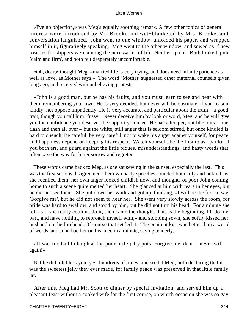«I've no objection,» was Meg's equally soothing remark. A few other topics of general interest were introduced by Mr. Brooke and wet−blanketed by Mrs. Brooke, and conversation languished. John went to one window, unfolded his paper, and wrapped himself in it, figuratively speaking. Meg went to the other window, and sewed as if new rosettes for slippers were among the necessaries of life. Neither spoke. Both looked quite `calm and firm', and both felt desperately uncomfortable.

 «Oh, dear,» thought Meg, «married life is very trying, and does need infinite patience as well as love, as Mother says.» The word `Mother' suggested other maternal counsels given long ago, and received with unbelieving protests.

 «John is a good man, but he has his faults, and you must learn to see and bear with them, remembering your own. He is very decided, but never will be obstinate, if you reason kindly, not oppose impatiently. He is very accurate, and particular about the truth  $-$  a good trait, though you call him `fussy'. Never deceive him by look or word, Meg, and he will give you the confidence you deserve, the support you need. He has a temper, not like ours – one flash and then all over – but the white, still anger that is seldom stirred, but once kindled is hard to quench. Be careful, be very careful, not to wake his anger against yourself, for peace and happiness depend on keeping his respect. Watch yourself, be the first to ask pardon if you both err, and guard against the little piques, misunderstandings, and hasty words that often pave the way for bitter sorrow and regret.»

 These words came back to Meg, as she sat sewing in the sunset, especially the last. This was the first serious disagreement, her own hasty speeches sounded both silly and unkind, as she recalled them, her own anger looked childish now, and thoughts of poor John coming home to such a scene quite melted her heart. She glanced at him with tears in her eyes, but he did not see them. She put down her work and got up, thinking, «I will be the first to say, `Forgive me', but he did not seem to hear her. She went very slowly across the room, for pride was hard to swallow, and stood by him, but he did not turn his head. For a minute she felt as if she really couldn't do it, then came the thought, This is the beginning. I'll do my part, and have nothing to reproach myself with,» and stooping sown, she softly kissed her husband on the forehead. Of course that settled it. The penitent kiss was better than a world of words, and John had her on his knee in a minute, saying tenderly...

 «It was too bad to laugh at the poor little jelly pots. Forgive me, dear. I never will again!»

 But he did, oh bless you, yes, hundreds of times, and so did Meg, both declaring that it was the sweetest jelly they ever made, for family peace was preserved in that little family jar.

 After this, Meg had Mr. Scott to dinner by special invitation, and served him up a pleasant feast without a cooked wife for the first course, on which occasion she was so gay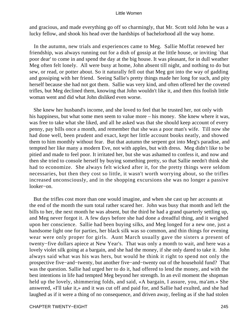and gracious, and made everything go off so charmingly, that Mr. Scott told John he was a lucky fellow, and shook his head over the hardships of bachelorhood all the way home.

 In the autumn, new trials and experiences came to Meg. Sallie Moffat renewed her friendship, was always running out for a dish of gossip at the little house, or inviting `that poor dear' to come in and spend the day at the big house. It was pleasant, for in dull weather Meg often felt lonely. All were busy at home, John absent till night, and nothing to do but sew, or read, or potter about. So it naturally fell out that Meg got into the way of gadding and gossiping with her friend. Seeing Sallie's pretty things made her long for such, and pity herself because she had not got them. Sallie was very kind, and often offered her the coveted trifles, but Meg declined them, knowing that John wouldn't like it, and then this foolish little woman went and did what John disliked even worse.

 She knew her husband's income, and she loved to feel that he trusted her, not only with his happiness, but what some men seem to value more – his money. She knew where it was, was free to take what she liked, and all he asked was that she should keep account of every penny, pay bills once a month, and remember that she was a poor man's wife. Till now she had done well, been prudent and exact, kept her little account books neatly, and showed them to him monthly without fear. But that autumn the serpent got into Meg's paradise, and tempted her like many a modern Eve, not with apples, but with dress. Meg didn't like to be pitied and made to feel poor. It irritated her, but she was ashamed to confess it, and now and then she tried to console herself by buying something pretty, so that Sallie needn't think she had to economize. She always felt wicked after it, for the pretty things were seldom necessaries, but then they cost so little, it wasn't worth worrying about, so the trifles increased unconsciously, and in the shopping excursions she was no longer a passive looker−on.

 But the trifles cost more than one would imagine, and when she cast up her accounts at the end of the month the sum total rather scared her. John was busy that month and left the bills to her, the next month he was absent, but the third he had a grand quarterly settling up, and Meg never forgot it. A few days before she had done a dreadful thing, and it weighed upon her conscience. Sallie had been buying silks, and Meg longed for a new one, just a handsome light one for parties, her black silk was so common, and thin things for evening wear were only proper for girls. Aunt March usually gave the sisters a present of twenty−five dollars apiece at New Year's. That was only a month to wait, and here was a lovely violet silk going at a bargain, and she had the money, if she only dared to take it. John always said what was his was hers, but would he think it right to spend not only the prospective five−and−twenty, but another five−and−twenty out of the household fund? That was the question. Sallie had urged her to do it, had offered to lend the money, and with the best intentions in life had tempted Meg beyond her strength. In an evil moment the shopman held up the lovely, shimmering folds, and said, «A bargain, I assure, you, ma'am.» She answered, «I'll take it,» and it was cut off and paid for, and Sallie had exulted, and she had laughed as if it were a thing of no consequence, and driven away, feeling as if she had stolen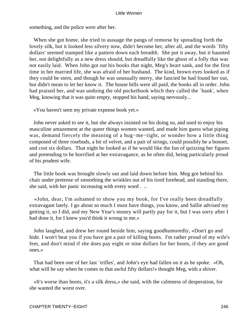something, and the police were after her.

 When she got home, she tried to assuage the pangs of remorse by spreading forth the lovely silk, but it looked less silvery now, didn't become her, after all, and the words `fifty dollars' seemed stamped like a pattern down each breadth. She put it away, but it haunted her, not delightfully as a new dress should, but dreadfully like the ghost of a folly that was not easily laid. When John got out his books that night, Meg's heart sank, and for the first time in her married life, she was afraid of her husband. The kind, brown eyes looked as if they could be stern, and though he was unusually merry, she fancied he had found her out, but didn't mean to let her know it. The house bills were all paid, the books all in order. John had praised her, and was undoing the old pocketbook which they called the `bank', when Meg, knowing that it was quite empty, stopped his hand, saying nervously...

«You haven't seen my private expense book yet.»

 John never asked to see it, but she always insisted on his doing so, and used to enjoy his masculine amazement at the queer things women wanted, and made him guess what piping was, demand fiercely the meaning of a hug−me−tight, or wonder how a little thing composed of three rosebuds, a bit of velvet, and a pair of strings, could possibly be a bonnet, and cost six dollars. That night he looked as if he would like the fun of quizzing her figures and pretending to be horrified at her extravagance, as he often did, being particularly proud of his prudent wife.

 The little book was brought slowly out and laid down before him. Meg got behind his chair under pretense of smoothing the wrinkles out of his tired forehead, and standing there, she said, with her panic increasing with every word . ..

 «John, dear, I'm ashamed to show you my book, for I've really been dreadfully extravagant lately. I go about so much I must have things, you know, and Sallie advised my getting it, so I did, and my New Year's money will partly pay for it, but I was sorry after I had done it, for I knew you'd think it wrong in me.»

 John laughed, and drew her round beside him, saying goodhumoredly, «Don't go and hide. I won't beat you if you have got a pair of killing boots. I'm rather proud of my wife's feet, and don't mind if she does pay eight or nine dollars for her boots, if they are good ones.»

 That had been one of her last `trifles', and John's eye had fallen on it as he spoke. «Oh, what will he say when he comes to that awful fifty dollars!» thought Meg, with a shiver.

 «It's worse than boots, it's a silk dress,» she said, with the calmness of desperation, for she wanted the worst over.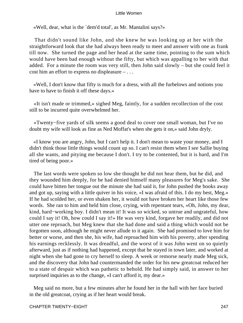«Well, dear, what is the `dem'd total', as Mr. Mantalini says?»

 That didn't sound like John, and she knew he was looking up at her with the straightforward look that she had always been ready to meet and answer with one as frank till now. She turned the page and her head at the same time, pointing to the sum which would have been bad enough without the fifty, but which was appalling to her with that added. For a minute the room was very still, then John said slowly – but she could feel it cost him an effort to express no displeasure – . . .

 «Well, I don't know that fifty is much for a dress, with all the furbelows and notions you have to have to finish it off these days.»

 «It isn't made or trimmed,» sighed Meg, faintly, for a sudden recollection of the cost still to be incurred quite overwhelmed her.

 «Twenty−five yards of silk seems a good deal to cover one small woman, but I've no doubt my wife will look as fine as Ned Moffat's when she gets it on,» said John dryly.

 «I know you are angry, John, but I can't help it. I don't mean to waste your money, and I didn't think those little things would count up so. I can't resist them when I see Sallie buying all she wants, and pitying me because I don't. I try to be contented, but it is hard, and I'm tired of being poor.»

 The last words were spoken so low she thought he did not hear them, but he did, and they wounded him deeply, for he had denied himself many pleasures for Meg's sake. She could have bitten her tongue out the minute she had said it, for John pushed the books away and got up, saying with a little quiver in his voice, «I was afraid of this. I do my best, Meg.» If he had scolded her, or even shaken her, it would not have broken her heart like those few words. She ran to him and held him close, crying, with repentant tears, «Oh, John, my dear, kind, hard−working boy. I didn't mean it! It was so wicked, so untrue and ungrateful, how could I say it! Oh, how could I say it!» He was very kind, forgave her readily, and did not utter one reproach, but Meg knew that she had done and said a thing which would not be forgotten soon, although he might never allude to it again. She had promised to love him for better or worse, and then she, his wife, had reproached him with his poverty, after spending his earnings recklessly. It was dreadful, and the worst of it was John went on so quietly afterward, just as if nothing had happened, except that he stayed in town later, and worked at night when she had gone to cry herself to sleep. A week or remorse nearly made Meg sick, and the discovery that John had countermanded the order for his new greatcoat reduced her to a state of despair which was pathetic to behold. He had simply said, in answer to her surprised inquiries as to the change, «I can't afford it, my dear.»

 Meg said no more, but a few minutes after he found her in the hall with her face buried in the old greatcoat, crying as if her heart would break.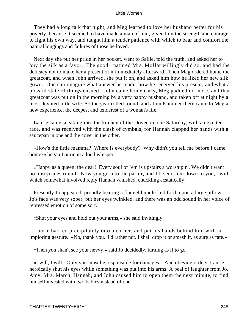They had a long talk that night, and Meg learned to love her husband better for his poverty, because it seemed to have made a man of him, given him the strength and courage to fight his own way, and taught him a tender patience with which to bear and comfort the natural longings and failures of those he loved.

 Next day she put her pride in her pocket, went to Sallie, told the truth, and asked her to buy the silk as a favor. The good− natured Mrs. Moffat willingly did so, and had the delicacy not to make her a present of it immediately afterward. Then Meg ordered home the greatcoat, and when John arrived, she put it on, and asked him how he liked her new silk gown. One can imagine what answer he made, how he received his present, and what a blissful state of things ensued. John came home early, Meg gadded no more, and that greatcoat was put on in the morning by a very happy husband, and taken off at night by a most devoted little wife. So the year rolled round, and at midsummer there came to Meg a new experience, the deepest and tenderest of a woman's life.

 Laurie came sneaking into the kitchen of the Dovecote one Saturday, with an excited face, and was received with the clash of cymbals, for Hannah clapped her hands with a saucepan in one and the cover in the other.

 «How's the little mamma? Where is everybody? Why didn't you tell me before I came home?» began Laurie in a loud whisper.

 «Happy as a queen, the dear! Every soul of `em is upstairs a worshipin'. We didn't want no hurrycanes round. Now you go into the parlor, and I'll send `em down to you,» with which somewhat involved reply Hannah vanished, chuckling ecstatically.

 Presently Jo appeared, proudly bearing a flannel bundle laid forth upon a large pillow. Jo's face was very sober, but her eyes twinkled, and there was an odd sound in her voice of repressed emotion of some sort.

«Shut your eyes and hold out your arms,» she said invitingly.

 Laurie backed precipitately into a corner, and put his hands behind him with an imploring gesture. «No, thank you. I'd rather not. I shall drop it or smash it, as sure as fate.»

«Then you shan't see your nevvy,» said Jo decidedly, turning as if to go.

 «I will, I will! Only you must be responsible for damages.» And obeying orders, Laurie heroically shut his eyes while something was put into his arms. A peal of laughter from Jo, Amy, Mrs. March, Hannah, and John caused him to open them the next minute, to find himself invested with two babies instead of one.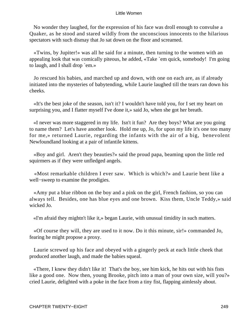No wonder they laughed, for the expression of his face was droll enough to convulse a Quaker, as he stood and stared wildly from the unconscious innocents to the hilarious spectators with such dismay that Jo sat down on the floor and screamed.

 «Twins, by Jupiter!» was all he said for a minute, then turning to the women with an appealing look that was comically piteous, he added, «Take `em quick, somebody! I'm going to laugh, and I shall drop `em.»

 Jo rescued his babies, and marched up and down, with one on each are, as if already initiated into the mysteries of babytending, while Laurie laughed till the tears ran down his cheeks.

 «It's the best joke of the season, isn't it? I wouldn't have told you, for I set my heart on surprising you, and I flatter myself I've done it,» said Jo, when she got her breath.

 «I never was more staggered in my life. Isn't it fun? Are they boys? What are you going to name them? Let's have another look. Hold me up, Jo, for upon my life it's one too many for me,» returned Laurie, regarding the infants with the air of a big, benevolent Newfoundland looking at a pair of infantile kittens.

 «Boy and girl. Aren't they beauties?» said the proud papa, beaming upon the little red squirmers as if they were unfledged angels.

 «Most remarkable children I ever saw. Which is which?» and Laurie bent like a well−sweep to examine the prodigies.

 «Amy put a blue ribbon on the boy and a pink on the girl, French fashion, so you can always tell. Besides, one has blue eyes and one brown. Kiss them, Uncle Teddy,» said wicked Jo.

«I'm afraid they mightn't like it,» began Laurie, with unusual timidity in such matters.

 «Of course they will, they are used to it now. Do it this minute, sir!» commanded Jo, fearing he might propose a proxy.

 Laurie screwed up his face and obeyed with a gingerly peck at each little cheek that produced another laugh, and made the babies squeal.

 «There, I knew they didn't like it! That's the boy, see him kick, he hits out with his fists like a good one. Now then, young Brooke, pitch into a man of your own size, will you?» cried Laurie, delighted with a poke in the face from a tiny fist, flapping aimlessly about.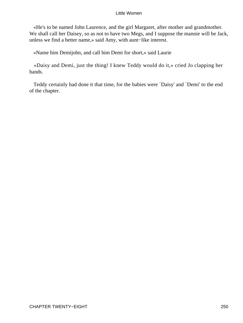«He's to be named John Laurence, and the girl Margaret, after mother and grandmother. We shall call her Daisey, so as not to have two Megs, and I suppose the mannie will be Jack, unless we find a better name,» said Amy, with aunt−like interest.

«Name him Demijohn, and call him Demi for short,» said Laurie

 «Daisy and Demi, just the thing! I knew Teddy would do it,» cried Jo clapping her hands.

 Teddy certainly had done it that time, for the babies were `Daisy' and `Demi' to the end of the chapter.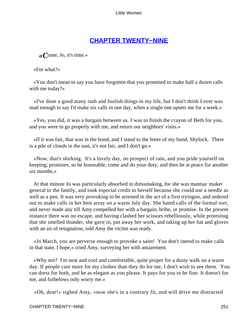# **[CHAPTER TWENTY−NINE](#page-420-0)**

*«C*ome, Jo, it's time.»

«For what?»

 «You don't mean to say you have forgotten that you promised to make half a dozen calls with me today?»

 «I've done a good many rash and foolish things in my life, but I don't think I ever was mad enough to say I'd make six calls in one day, when a single one upsets me for a week.»

 «Yes, you did, it was a bargain between us. I was to finish the crayon of Beth for you, and you were to go properly with me, and return our neighbors' visits.»

 «If it was fair, that was in the bond, and I stand to the letter of my bond, Shylock. There is a pile of clouds in the east, it's not fair, and I don't go.»

 «Now, that's shirking. It's a lovely day, no prospect of rain, and you pride yourself on keeping; promises, so be honorable, come and do your duty, and then be at peace for another six months.»

 At that minute Jo was particularly absorbed in dressmaking, for she was mantua−maker general to the family, and took especial credit to herself because she could use a needle as well as a pen. It was very provoking to be arrested in the act of a first tryingon, and ordered out to make calls in her best array on a warm July day. She hated calls of the formal sort, and never made any till Amy compelled her with a bargain, bribe, or promise. In the present instance there was no escape, and having clashed her scissors rebelliously, while protesting that she smelled thunder, she gave in, put away her work, and taking up her hat and gloves with an air of resignation, told Amy the victim was ready.

 «Jo March, you are perverse enough to provoke a saint! You don't intend to make calls in that state, I hope,» cried Amy, surveying her with amazement.

 «Why not? I'm neat and cool and comfortable, quite proper for a dusty walk on a warm day. If people care more for my clothes than they do for me, I don't wish to see them. You can dress for both, and be as elegant as you please. It pays for you to be fine. It doesn't for me, and furbelows only worry me.»

«Oh, dear!» sighed Amy, «now she's in a contrary fit, and will drive me distracted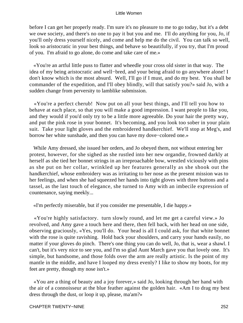before I can get her properly ready. I'm sure it's no pleasure to me to go today, but it's a debt we owe society, and there's no one to pay it but you and me. I'll do anything for you, Jo, if you'll only dress yourself nicely, and come and help me do the civil. You can talk so well, look so aristocratic in your best things, and behave so beautifully, if you try, that I'm proud of you. I'm afraid to go alone, do come and take care of me.»

 «You're an artful little puss to flatter and wheedle your cross old sister in that way. The idea of my being aristocratic and well−bred, and your being afraid to go anywhere alone! I don't know which is the most absurd. Well, I'll go if I must, and do my best. You shall be commander of the expedition, and I'll obey blindly, will that satisfy you?» said Jo, with a sudden change from perversity to lamblike submission.

 «You're a perfect cherub! Now put on all your best things, and I'll tell you how to behave at each place, so that you will make a good impression. I want people to like you, and they would if you'd only try to be a little more agreeable. Do your hair the pretty way, and put the pink rose in your bonnet. It's becoming, and you look too sober in your plain suit. Take your light gloves and the embroidered handkerchief. We'll stop at Meg's, and borrow her white sunshade, and then you can have my dove−colored one.»

 While Amy dressed, she issued her orders, and Jo obeyed them, not without entering her protest, however, for she sighed as she rustled into her new organdie, frowned darkly at herself as she tied her bonnet strings in an irreproachable bow, wrestled viciously with pins as she put on her collar, wrinkled up her features generally as she shook out the handkerchief, whose embroidery was as irritating to her nose as the present mission was to her feelings, and when she had squeezed her hands into tight gloves with three buttons and a tassel, as the last touch of elegance, she turned to Amy with an imbecile expression of countenance, saying meekly...

«I'm perfectly miserable, but if you consider me presentable, I die happy.»

 «You're highly satisfactory. turn slowly round, and let me get a careful view.» Jo revolved, and Amy gave a touch here and there, then fell back, with her head on one side, observing graciously, «Yes, you'll do. Your head is all I could ask, for that white bonnet with the rose is quite ravishing. Hold back your shoulders, and carry your hands easily, no matter if your gloves do pinch. There's one thing you can do well, Jo, that is, wear a shawl. I can't, but it's very nice to see you, and I'm so glad Aunt March gave you that lovely one. It's simple, but handsome, and those folds over the arm are really artistic. Is the point of my mantle in the middle, and have I looped my dress evenly? I like to show my boots, for my feet are pretty, though my nose isn't.»

 «You are a thing of beauty and a joy forever,» said Jo, looking through her hand with the air of a connoisseur at the blue feather against the golden hair. «Am I to drag my best dress through the dust, or loop it up, please, ma'am?»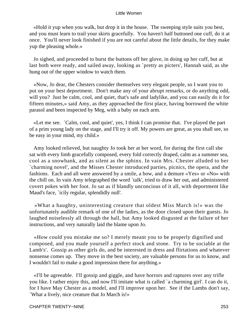«Hold it yup when you walk, but drop it in the house. The sweeping style suits you best, and you must learn to trail your skirts gracefully. You haven't half buttoned one cuff, do it at once. You'll never look finished if you are not careful about the little details, for they make yup the pleasing whole.»

 Jo sighed, and proceeded to burst the buttons off her glove, in doing up her cuff, but at last both were ready, and sailed away, looking as `pretty as picters', Hannah said, as she hung out of the upper window to watch them.

 «Now, Jo dear, the Chesters consider themselves very elegant people, so I want you to put on your best deportment. Don't make any of your abrupt remarks, or do anything odd, will you? Just be calm, cool, and quiet, that's safe and ladylike, and you can easily do it for fifteen minutes,» said Amy, as they approached the first place, having borrowed the white parasol and been inspected by Meg, with a baby on each arm.

 «Let me see. `Calm, cool, and quiet', yes, I think I can promise that. I've played the part of a prim young lady on the stage, and I'll try it off. My powers are great, as you shall see, so be easy in your mind, my child.»

 Amy looked relieved, but naughty Jo took her at her word, for during the first call she sat with every limb gracefully composed, every fold correctly draped, calm as a summer sea, cool as a snowbank, and as silent as the sphinx. In vain Mrs. Chester alluded to her `charming novel', and the Misses Chester introduced parties, picnics, the opera, and the fashions. Each and all were answered by a smile, a bow, and a demure «Yes» or «No» with the chill on. In vain Amy telegraphed the word `talk', tried to draw her out, and administered covert pokes with her foot. Jo sat as if blandly unconcious of it all, with deportment like Maud's face, `icily regular, splendidly null'.

 «What a haughty, uninteresting creature that oldest Miss March is!» was the unfortunately audible remark of one of the ladies, as the door closed upon their guests. Jo laughed noiselessly all through the hall, but Amy looked disgusted at the failure of her instructions, and very naturally laid the blame upon Jo.

 «How could you mistake me so? I merely meant you to be properly dignified and composed, and you made yourself a perfect stock and stone. Try to be sociable at the Lamb's'. Gossip as other girls do, and be interested in dress and flirtations and whatever nonsense comes up. They move in the best society, are valuable persons for us to know, and I wouldn't fail to make a good impression there for anything.»

 «I'll be agreeable. I'll gossip and giggle, and have horrors and raptures over any trifle you like. I rather enjoy this, and now I'll imitate what is called `a charming girl'. I can do it, for I have May Chester as a model, and I'll improve upon her. See if the Lambs don't say, `What a lively, nice creature that Jo March is!»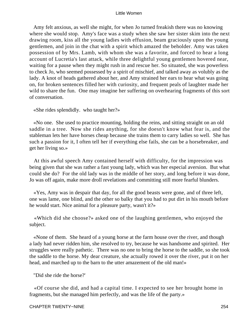Amy felt anxious, as well she might, for when Jo turned freakish there was no knowing where she would stop. Amy's face was a study when she saw her sister skim into the next drawing room, kiss all the young ladies with effusion, beam graciously upon the young gentlemen, and join in the chat with a spirit which amazed the beholder. Amy was taken possession of by Mrs. Lamb, with whom she was a favorite, and forced to hear a long account of Lucretia's last attack, while three delightful young gentlemen hovered near, waiting for a pause when they might rush in and rescue her. So situated, she was powerless to check Jo, who seemed possessed by a spirit of mischief, and talked away as volubly as the lady. A knot of heads gathered about her, and Amy strained her ears to hear what was going on, for broken sentences filled her with curiosity, and frequent peals of laughter made her wild to share the fun. One may imagine her suffering on overhearing fragments of this sort of conversation.

«She rides splendidly. who taught her?»

 «No one. She used to practice mounting, holding the reins, and sitting straight on an old saddle in a tree. Now she rides anything, for she doesn't know what fear is, and the stableman lets her have horses cheap because she trains them to carry ladies so well. She has such a passion for it, I often tell her if everything else fails, she can be a horsebreaker, and get her living so.»

 At this awful speech Amy contained herself with difficulty, for the impression was being given that she was rather a fast young lady, which was her especial aversion. But what could she do? For the old lady was in the middle of her story, and long before it was done, Jo was off again, make more droll revelations and committing still more fearful blunders.

 «Yes, Amy was in despair that day, for all the good beasts were gone, and of three left, one was lame, one blind, and the other so balky that you had to put dirt in his mouth before he would start. Nice animal for a pleasure party, wasn't it?»

 «Which did she choose?» asked one of the laughing gentlemen, who enjoyed the subject.

 «None of them. She heard of a young horse at the farm house over the river, and though a lady had never ridden him, she resolved to try, because he was handsome and spirited. Her struggles were really pathetic. There was no one to bring the horse to the saddle, so she took the saddle to the horse. My dear creature, she actually rowed it over the river, put it on her head, and marched up to the barn to the utter amazement of the old man!»

"Did she ride the horse?'

 «Of course she did, and had a capital time. I expected to see her brought home in fragments, but she managed him perfectly, and was the life of the party.»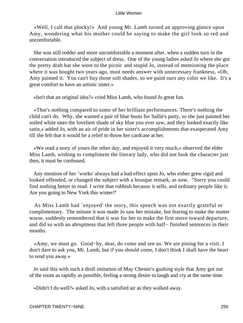«Well, I call that plucky!» And young Mr. Lamb turned an approving glance upon Amy, wondering what his mother could be saying to make the girl look so red and uncomfortable.

 She was still redder and more uncomfortable a moment after, when a sudden turn in the conversation introduced the subject of dress. One of the young ladies asked Jo where she got the pretty drab hat she wore to the picnic and stupid Jo, instead of mentioning the place where it was bought two years ago, must needs answer with unnecessary frankness, «Oh, Amy painted it. You can't buy those soft shades, so we paint ours any color we like. It's a great comfort to have an artistic sister.»

«Isn't that an original idea?» cried Miss Lamb, who found Jo great fun.

 «That's nothing compared to some of her brilliant performances. There's nothing the child can't do. Why, she wanted a pair of blue boots for Sallie's party, so she just painted her soiled white ones the loveliest shade of sky blue you ever saw, and they looked exactly like satin,» added Jo, with an air of pride in her sister's accomplishments that exasperated Amy till she felt that it would be a relief to throw her cardcase at her.

 «We read a story of yours the other day, and enjoyed it very much,» observed the elder Miss Lamb, wishing to compliment the literary lady, who did not look the character just then, it must be confessed.

 Any mention of her `works' always had a bad effect upon Jo, who either grew rigid and looked offended, or changed the subject with a brusque remark, as now. "Sorry you could find nothing better to read. I write that rubbish because it sells, and ordinary people like it. Are you going to New York this winter?'

 As Miss Lamb had `enjoyed' the story, this speech was not exactly grateful or complimentary. The minute it was made Jo saw her mistake, but fearing to make the matter worse, suddenly remembered that it was for her to make the first move toward departure, and did so with an abruptness that left three people with half− finished sentences in their mouths.

 «Amy, we must go. Good−by, dear, do come and see us. We are pining for a visit. I don't dare to ask you, Mr. Lamb, but if you should come, I don't think I shall have the heart to send you away.»

 Jo said this with such a droll imitation of May Chester's gushing style that Amy got out of the room as rapidly as possible, feeling a strong desire to laugh and cry at the same time.

«Didn't I do well?» asked Jo, with a satisfied air as they walked away.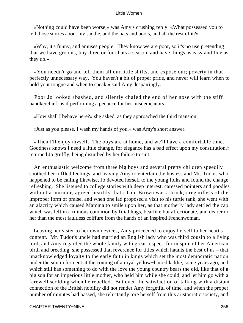«Nothing could have been worse,» was Amy's crushing reply. «What possessed you to tell those stories about my saddle, and the hats and boots, and all the rest of it?»

 «Why, it's funny, and amuses people. They know we are poor, so it's no use pretending that we have grooms, buy three or four hats a season, and have things as easy and fine as they do.»

 «You needn't go and tell them all our little shifts, and expose our; poverty in that perfectly unnecessary way. You haven't a bit of proper pride, and never will learn when to hold your tongue and when to speak,» said Amy despairingly.

 Poor Jo looked abashed, and silently chafed the end of her nose with the stiff handkerchief, as if performing a penance for her misdemeanors.

«How shall I behave here?» she asked, as they approached the third mansion.

«Just as you please. I wash my hands of you,» was Amy's short answer.

 «Then I'll enjoy myself. The boys are at home, and we'll have a comfortable time. Goodness knows I need a little change, for elegance has a bad effect upon my constitution,» returned Jo gruffly, being disturbed by her failure to suit.

 An enthusiastic welcome from three big boys and several pretty children speedily soothed her ruffled feelings, and leaving Amy to entertain the hostess and Mr. Tudor, who happened to be calling likewise, Jo devoted herself to the young folks and found the change refreshing. She listened to college stories with deep interest, caressed pointers and poodles without a murmur, agreed heartily that «Tom Brown was a brick,» regardless of the improper form of praise, and when one lad proposed a visit to his turtle tank, she went with an alacrity which caused Mamma to smile upon her, as that motherly lady settled the cap which was left in a ruinous condition by filial hugs, bearlike but affectionate, and dearer to her than the most faultless coiffure from the hands of an inspired Frenchwoman.

 Leaving her sister to her own devices, Amy proceeded to enjoy herself to her heart's content. Mr. Tudor's uncle had married an English lady who was third cousin to a living lord, and Amy regarded the whole family with great respect, for in spite of her American birth and breeding, she possessed that reverence for titles which haunts the best of us – that unacknowledged loyalty to the early faith in kings which set the most democratic nation under the sun in ferment at the coming of a royal yellow−haired laddie, some years ago, and which still has something to do with the love the young country bears the old, like that of a big son for an imperious little mother, who held him while she could, and let him go with a farewell scolding when he rebelled. But even the satisfaction of talking with a distant connection of the British nobility did not render Amy forgetful of time, and when the proper number of minutes had passed, she reluctantly tore herself from this aristocratic society, and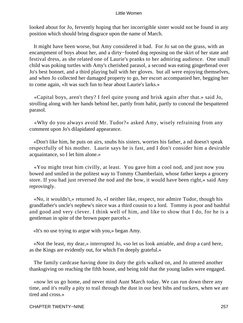looked about for Jo, fervently hoping that her incorrigible sister would not be found in any position which should bring disgrace upon the name of March.

 It might have been worse, but Amy considered it bad. For Jo sat on the grass, with an encampment of boys about her, and a dirty−footed dog reposing on the skirt of her state and festival dress, as she related one of Laurie's pranks to her admiring audience. One small child was poking turtles with Amy's cherished parasol, a second was eating gingerbread over Jo's best bonnet, and a third playing ball with her gloves. but all were enjoying themselves, and when Jo collected her damaged property to go, her escort accompanied her, begging her to come again, «It was such fun to hear about Laurie's larks.»

 «Capital boys, aren't they? I feel quite young and brisk again after that.» said Jo, strolling along with her hands behind her, partly from habit, partly to conceal the bespattered parasol.

 «Why do you always avoid Mr. Tudor?» asked Amy, wisely refraining from any comment upon Jo's dilapidated appearance.

 «Don't like him, he puts on airs, snubs his sisters, worries his father, a nd doesn't speak respectfully of his mother. Laurie says he is fast, and I don't consider him a desirable acquaintance, so I let him alone.»

 «You might treat him civilly, at least. You gave him a cool nod, and just now you bowed and smiled in the politest way to Tommy Chamberlain, whose father keeps a grocery store. If you had just reversed the nod and the bow, it would have been right,» said Amy reprovingly.

 «No, it wouldn't,» returned Jo, «I neither like, respect, nor admire Tudor, though his grandfather's uncle's nephew's niece was a third cousin to a lord. Tommy is poor and bashful and good and very clever. I think well of him, and like to show that I do, for he is a gentleman in spite of the brown paper parcels.»

«It's no use trying to argue with you,» began Amy.

 «Not the least, my dear,» interrupted Jo, «so let us look amiable, and drop a card here, as the Kings are evidently out, for which I'm deeply grateful.»

 The family cardcase having done its duty the girls walked on, and Jo uttered another thanksgiving on reaching the fifth house, and being told that the young ladies were engaged.

 «now let us go home, and never mind Aunt March today. We can run down there any time, and it's really a pity to trail through the dust in our best bibs and tuckers, when we are tired and cross.»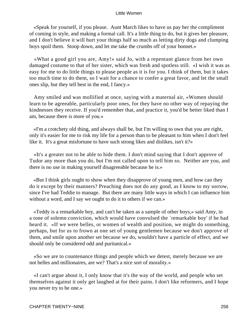«Speak for yourself, if you please. Aunt March likes to have us pay her the compliment of coming in style, and making a formal call. It's a little thing to do, but it gives her pleasure, and I don't believe it will hurt your things half so much as letting dirty dogs and clumping boys spoil them. Stoop down, and let me take the crumbs off of your bonnet.»

 «What a good girl you are, Amy!» said Jo, with a repentant glance from her own damaged costume to that of her sister, which was fresh and spotless still. «I wish it was as easy for me to do little things to please people as it is for you. I think of them, but it takes too much time to do them, so I wait for a chance to confer a great favor, and let the small ones slip, but they tell best in the end, I fancy.»

 Amy smiled and was mollified at once, saying with a maternal air, «Women should learn to be agreeable, particularly poor ones, for they have no other way of repaying the kindnesses they receive. If you'd remember that, and practice it, you'd be better liked than I am, because there is more of you.»

 «I'm a crotchety old thing, and always shall be, but I'm willing to own that you are right, only it's easier for me to risk my life for a person than to be pleasant to him when I don't feel like it. It's a great misfortune to have such strong likes and dislikes, isn't it?»

 «It's a greater not to be able to hide them. I don't mind saying that I don't approve of Tudor any more than you do, but I'm not called upon to tell him so. Neither are you, and there is no use in making yourself disagreeable because he is.»

 «But I think girls ought to show when they disapprove of young men, and how can they do it except by their manners? Preaching does not do any good, as I know to my sorrow, since I've had Teddie to manage. But there are many little ways in which I can influence him without a word, and I say we ought to do it to others if we can.»

 «Teddy is a remarkable boy, and can't be taken as a sample of other boys,» said Amy, in a tone of solemn conviction, which would have convulsed the `remarkable boy' if he had heard it. «If we were belles, or women of wealth and position, we might do something, perhaps, but for us to frown at one set of young gentlemen because we don't approve of them, and smile upon another set because we do, wouldn't have a particle of effect, and we should only be considered odd and puritanical.»

 «So we are to countenance things and people which we detest, merely because we are not belles and millionaires, are we? That's a nice sort of morality.»

 «I can't argue about it, I only know that it's the way of the world, and people who set themselves against it only get laughed at for their pains. I don't like reformers, and I hope you never try to be one.»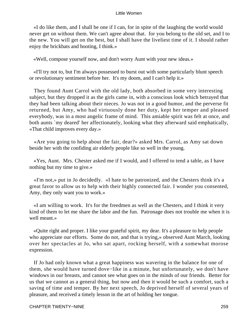«I do like them, and I shall be one if I can, for in spite of the laughing the world would never get on without them. We can't agree about that. for you belong to the old set, and I to the new. You will get on the best, but I shall have the liveliest time of it. I should rather enjoy the brickbats and hooting, I think.»

«Well, compose yourself now, and don't worry Aunt with your new ideas.»

 «I'll try not to, but I'm always possessed to burst out with some particularly blunt speech or revolutionary sentiment before her. It's my doom, and I can't help it.»

 They found Aunt Carrol with the old lady, both absorbed in some very interesting subject, but they dropped it as the girls came in, with a conscious look which betrayed that they had been talking about their nieces. Jo was not in a good humor, and the perverse fit returned, but Amy, who had virtuously done her duty, kept her temper and pleased everybody, was in a most angelic frame of mind. This amiable spirit was felt at once, and both aunts `my deared' her affectionately, looking what they afterward said emphatically, «That child improves every day.»

 «Are you going to help about the fair, dear?» asked Mrs. Carrol, as Amy sat down beside her with the confiding air elderly people like so well in the young.

 «Yes, Aunt. Mrs. Chester asked me if I would, and I offered to tend a table, as I have nothing but my time to give.»

 «I'm not,» put in Jo decidedly. «I hate to be patronized, and the Chesters think it's a great favor to allow us to help with their highly connected fair. I wonder you consented, Amy, they only want you to work.»

 «I am willing to work. It's for the freedmen as well as the Chesters, and I think it very kind of them to let me share the labor and the fun. Patronage does not trouble me when it is well meant.»

 «Quite right and proper. I like your grateful spirit, my dear. It's a pleasure to help people who appreciate our efforts. Some do not, and that is trying,» observed Aunt March, looking over her spectacles at Jo, who sat apart, rocking herself, with a somewhat morose expression.

 If Jo had only known what a great happiness was wavering in the balance for one of them, she would have turned dove−like in a minute, but unfortunately, we don't have windows in our breasts, and cannot see what goes on in the minds of our friends. Better for us that we cannot as a general thing, but now and then it would be such a comfort, such a saving of time and temper. By her next speech, Jo deprived herself of several years of pleasure, and received a timely lesson in the art of holding her tongue.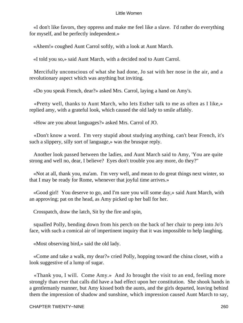«I don't like favors, they oppress and make me feel like a slave. I'd rather do everything for myself, and be perfectly independent.»

«Ahem!» coughed Aunt Carrol softly, with a look at Aunt March.

«I told you so,» said Aunt March, with a decided nod to Aunt Carrol.

 Mercifully unconscious of what she had done, Jo sat with her nose in the air, and a revolutionary aspect which was anything but inviting.

«Do you speak French, dear?» asked Mrs. Carrol, laying a hand on Amy's.

 «Pretty well, thanks to Aunt March, who lets Esther talk to me as often as I like,» replied amy, with a grateful look, which caused the old lady to smile affably.

«How are you about languages?» asked Mrs. Carrol of JO.

 «Don't know a word. I'm very stupid about studying anything, can't bear French, it's such a slippery, silly sort of language,» was the brusque reply.

 Another look passed between the ladies, and Aunt March said to Amy, 'You are quite strong and well no, dear, I believe? Eyes don't trouble you any more, do they?"

 «Not at all, thank you, ma'am. I'm very well, and mean to do great things next winter, so that I may be ready for Rome, whenever that joyful time arrives.»

 «Good girl! You deserve to go, and I'm sure you will some day,» said Aunt March, with an approving; pat on the head, as Amy picked up her ball for her.

Crosspatch, draw the latch, Sit by the fire and spin,

 squalled Polly, bending down from his perch on the back of her chair to peep into Jo's face, with such a comical air of impertinent inquiry that it was impossible to help laughing.

«Most observing bird,» said the old lady.

 «Come and take a walk, my dear?» cried Polly, hopping toward the china closet, with a look suggestive of a lump of sugar.

 «Thank you, I will. Come Amy.» And Jo brought the visit to an end, feeling more strongly than ever that calls did have a bad effect upon her constitution. She shook hands in a gentlemanly manner, but Amy kissed both the aunts, and the girls departed, leaving behind them the impression of shadow and sunshine, which impression caused Aunt March to say,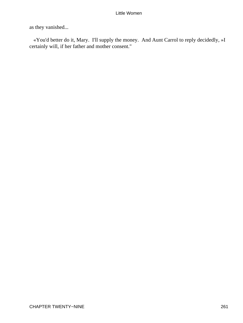as they vanished...

 «You'd better do it, Mary. I'll supply the money. And Aunt Carrol to reply decidedly, »I certainly will, if her father and mother consent."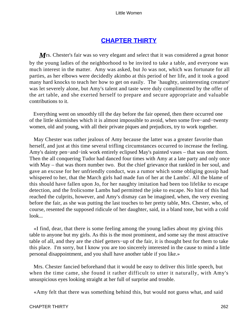# **[CHAPTER THIRTY](#page-420-0)**

*M* rs. Chester's fair was so very elegant and select that it was considered a great honor by the young ladies of the neighborhood to be invited to take a table, and everyone was much interest in the matter. Amy was asked, but Jo was not, which was fortunate for all parties, as her elbows were decidedly akimbo at this period of her life, and it took a good many hard knocks to teach her how to get on easily. The `haughty, uninteresting creature' was let severely alone, but Amy's talent and taste were duly complimented by the offer of the art table, and she exerted herself to prepare and secure appropriate and valuable contributions to it.

 Everything went on smoothly till the day before the fair opened, then there occurred one of the little skirmishes which it is almost impossible to avoid, when some five−and−twenty women, old and young, with all their private piques and prejudices, try to work together.

 May Chester was rather jealous of Amy because the latter was a greater favorite than herself, and just at this time several trifling circumstances occurred to increase the feeling. Amy's dainty pen−and−ink work entirely eclipsed May's painted vases – that was one thorn. Then the all conquering Tudor had danced four times with Amy at a late party and only once with May – that was thorn number two. But the chief grievance that rankled in her soul, and gave an excuse for her unfriendly conduct, was a rumor which some obliging gossip had whispered to her, that the March girls had made fun of her at the Lambs'. All the blame of this should have fallen upon Jo, for her naughty imitation had been too lifelike to escape detection, and the frolicsome Lambs had permitted the joke to escape. No hint of this had reached the culprits, however, and Amy's dismay can be imagined, when, the very evening before the fair, as she was putting the last touches to her pretty table, Mrs. Chester, who, of course, resented the supposed ridicule of her daughter, said, in a bland tone, but with a cold look...

 «I find, dear, that there is some feeling among the young ladies about my giving this table to anyone but my girls. As this is the most prominent, and some say the most attractive table of all, and they are the chief getters−up of the fair, it is thought best for them to take this place. I'm sorry, but I know you are too sincerely interested in the cause to mind a little personal disappointment, and you shall have another table if you like.»

 Mrs. Chester fancied beforehand that it would be easy to deliver this little speech, but when the time came, she found it rather difficult to utter it naturally, with Amy's unsuspicious eyes looking straight at her full of surprise and trouble.

«Amy felt that there was something behind this, but would not guess what, and said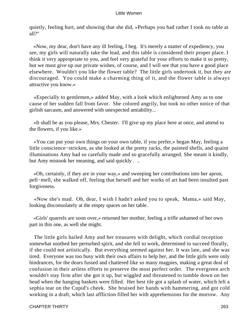quietly, feeling hurt, and showing that she did, »Perhaps you had rather I took no table at all?"

 «Now, my dear, don't have any ill feeling, I beg. It's merely a matter of expediency, you see, my girls will naturally take the lead, and this table is considered their proper place. I think it very appropriate to you, and feel very grateful for your efforts to make it so pretty, but we must give up our private wishes, of course, and I will see that you have a good place elsewhere. Wouldn't you like the flower table? The little girls undertook it, but they are discouraged. You could make a charming thing of it, and the flower table is always attractive you know.»

 «Especially to gentlemen,» added May, with a look which enlightened Amy as to one cause of her sudden fall from favor. She colored angrily, but took no other notice of that girlish sarcasm, and answered with unexpected amiability...

 «It shall be as you please, Mrs. Chester. I'll give up my place here at once, and attend to the flowers, if you like.»

 «You can put your own things on your own table, if you prefer,» began May, feeling a little conscience−stricken, as she looked at the pretty racks, the painted shells, and quaint illuminations Amy had so carefully made and so gracefully arranged. She meant it kindly, but Amy mistook her meaning, and said quickly . ..

 «Oh, certainly, if they are in your way,» and sweeping her contributions into her apron, pell−mell, she walked off, feeling that herself and her works of art had been insulted past forgiveness.

 «Now she's mad. Oh, dear, I wish I hadn't asked you to speak, Mama,» said May, looking disconsolately at the empty spaces on her table.

 «Girls' quarrels are soon over,» returned her mother, feeling a trifle ashamed of her own part in this one, as well she might.

 The little girls hailed Amy and her treasures with delight, which cordial reception somewhat soothed her perturbed spirit, and she fell to work, determined to succeed florally, if she could not artistically. But everything seemed against her. It was late, and she was tired. Everyone was too busy with their own affairs to help her, and the little girls were only hindrances, for the dears fussed and chattered like so many magpies, making a great deal of confusion in their artless efforts to preserve the most perfect order. The evergreen arch wouldn't stay firm after she got it up, but wiggled and threatened to tumble down on her head when the hanging baskets were filled. Her best tile got a splash of water, which left a sephia tear on the Cupid's cheek. She bruised her hands with hammering, and got cold working in a draft, which last affliction filled her with apprehensions for the morrow. Any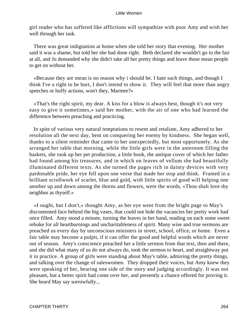girl reader who has suffered like afflictions will sympathize with poor Amy and wish her well through her task.

 There was great indignation at home when she told her story that evening. Her mother said it was a shame, but told her she had done right. Beth declared she wouldn't go to the fair at all, and Jo demanded why she didn't take all her pretty things and leave those mean people to get on without her.

 «Because they are mean is no reason why i should be. I hate such things, and though I think I've a right to be hurt, I don't intend to show it. They will feel that more than angry speeches or huffy actions, won't they, Marmee?»

 «That's the right spirit, my dear. A kiss for a blow is always best, though it's not very easy to give it sometimes,» said her mother, with the air of one who had learned the difference between preaching and practicing.

 In spite of various very natural temptations to resent and retaliate, Amy adhered to her resolution all the next day, bent on conquering her enemy by kindness. She began well, thanks to a silent reminder that came to her unexpectedly, but most opportunely. As she arranged her table that morning, while the little girls were in the anteroom filling the baskets, she took up her pet production, a little book, the antique cover of which her father had found among his treasures, and in which on leaves of vellum she had beautifully illuminated different texts. As she turned the pages rich in dainty devices with very pardonable pride, her eye fell upon one verse that made her stop and think. Framed in a brilliant scrollwork of scarlet, blue and gold, with little spirits of good will helping one another up and down among the thorns and flowers, were the words, «Thou shalt love thy neighbor as thyself.»

 «I ought, but I don't,» thought Amy, as her eye went from the bright page to May's discontented face behind the big vases, that could not hide the vacancies her pretty work had once filled. Amy stood a minute, turning the leaves in her hand, reading on each some sweet rebuke for all heartburnings and uncharitableness of spirit. Many wise and true sermons are preached us every day by unconscious ministers in street, school, office, or home. Even a fair table may become a pulpit, if it can offer the good and helpful words which are never out of season. Amy's conscience preached her a little sermon from that text, then and there, and she did what many of us do not always do, took the sermon to heart, and straightway put it in practice. A group of girls were standing about May's table, admiring the pretty things, and talking over the change of saleswomen. They dropped their voices, but Amy knew they were speaking of her, hearing one side of the story and judging accordingly. It was not pleasant, but a better spirit had come over her, and presently a chance offered for proving it. She heard May say sorrowfully...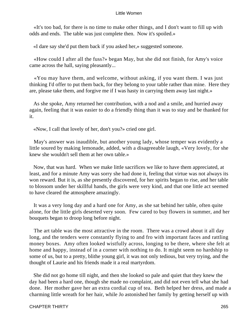«It's too bad, for there is no time to make other things, and I don't want to fill up with odds and ends. The table was just complete then. Now it's spoiled.»

«I dare say she'd put them back if you asked her,» suggested someone.

 «How could I after all the fuss?» began May, but she did not finish, for Amy's voice came across the hall, saying pleasantly...

 «You may have them, and welcome, without asking, if you want them. I was just thinking I'd offer to put them back, for they belong to your table rather than mine. Here they are, please take them, and forgive me if I was hasty in carrying them away last night.»

 As she spoke, Amy returned her contribution, with a nod and a smile, and hurried away again, feeling that it was easier to do a friendly thing than it was to stay and be thanked for it.

«Now, I call that lovely of her, don't you?» cried one girl.

 May's answer was inaudible, but another young lady, whose temper was evidently a little soured by making lemonade, added, with a disagreeable laugh, «Very lovely, for she knew she wouldn't sell them at her own table.»

 Now, that was hard. When we make little sacrifices we like to have them appreciated, at least, and for a minute Amy was sorry she had done it, feeling that virtue was not always its won reward. But it is, as she presently discovered, for her spirits began to rise, and her table to blossom under her skillful hands, the girls were very kind, and that one little act seemed to have cleared the atmosphere amazingly.

 It was a very long day and a hard one for Amy, as she sat behind her table, often quite alone, for the little girls deserted very soon. Few cared to buy flowers in summer, and her bouquets began to droop long before night.

 The art table was the most attractive in the room. There was a crowd about it all day long, and the tenders were constantly flying to and fro with important faces and rattling money boxes. Amy often looked wistfully across, longing to be there, where she felt at home and happy, instead of in a corner with nothing to do. It might seem no hardship to some of us, but to a pretty, blithe young girl, it was not only tedious, but very trying, and the thought of Laurie and his friends made it a real martyrdom.

 She did not go home till night, and then she looked so pale and quiet that they knew the day had been a hard one, though she made no complaint, and did not even tell what she had done. Her mother gave her an extra cordial cup of tea. Beth helped her dress, and made a charming little wreath for her hair, while Jo astonished her family by getting herself up with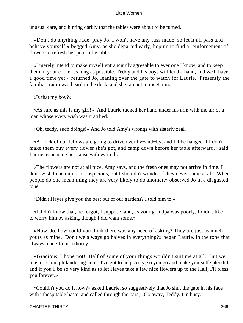unusual care, and hinting darkly that the tables were about to be turned.

 «Don't do anything rude, pray Jo. I won't have any fuss made, so let it all pass and behave yourself,» begged Amy, as she departed early, hoping to find a reinforcement of flowers to refresh her poor little table.

 «I merely intend to make myself entrancingly agreeable to ever one I know, and to keep them in your corner as long as possible. Teddy and his boys will lend a hand, and we'll have a good time yet.» returned Jo, leaning over the gate to watch for Laurie. Presently the familiar tramp was heard in the dusk, and she ran out to meet him.

«Is that my boy?»

 «As sure as this is my girl!» And Laurie tucked her hand under his arm with the air of a man whose every wish was gratified.

«Oh, teddy, such doings!» And Jo told Amy's wrongs with sisterly zeal.

 «A flock of our fellows are going to drive over by−and−by, and I'll be hanged if I don't make them buy every flower she's got, and camp down before her table afterward,» said Laurie, espousing her cause with warmth.

 «The flowers are not at all nice, Amy says, and the fresh ones may not arrive in time. I don't wish to be unjust or suspicious, but I shouldn't wonder if they never came at all. When people do one mean thing they are very likely to do another,» observed Jo in a disgusted tone.

«Didn't Hayes give you the best out of our gardens? I told him to.»

 «I didn't know that, he forgot, I suppose, and, as your grandpa was poorly, I didn't like to worry him by asking, though I did want some.»

 «Now, Jo, how could you think there was any need of asking? They are just as much yours as mine. Don't we always go halves in everything?» began Laurie, in the tone that always made Jo turn thorny.

 «Gracious, I hope not! Half of some of your things wouldn't suit me at all. But we mustn't stand philandering here. I've got to help Amy, so you go and make yourself splendid, and if you'll be so very kind as to let Hayes take a few nice flowers up to the Hall, I'll bless you forever.»

 «Couldn't you do it now?» asked Laurie, so suggestively that Jo shut the gate in his face with inhospitable haste, and called through the bars, «Go away, Teddy, I'm busy.»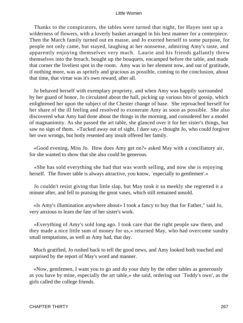Thanks to the conspirators, the tables were turned that night, for Hayes sent up a wilderness of flowers, with a loverly basket arranged in his best manner for a centerpiece. Then the March family turned out en masse, and Jo exerted herself to some purpose, for people not only came, but stayed, laughing at her nonsense, admiring Amy's taste, and apparently enjoying themselves very much. Laurie and his friends gallantly threw themselves into the breach, bought up the bouquets, encamped before the table, and made that corner the liveliest spot in the room. Amy was in her element now, and out of gratitude, if nothing more, was as spritely and gracious as possible, coming to the conclusion, about that time, that virtue was it's own reward, after all.

 Jo behaved herself with exemplary propriety, and when Amy was happily surrounded by her guard of honor, Jo circulated about the hall, picking up various bits of gossip, which enlightened her upon the subject of the Chester change of base. She reproached herself for her share of the ill feeling and resolved to exonerate Amy as soon as possible. She also discovered what Amy had done about the things in the morning, and considered her a model of magnanimity. As she passed the art table, she glanced over it for her sister's things, but saw no sign of them. «Tucked away out of sight, I dare say,» thought Jo, who could forgiver her own wrongs, but hotly resented any insult offered her family.

 «Good evening, Miss Jo. How does Amy get on?» asked May with a conciliatory air, for she wanted to show that she also could be generous.

 «She has sold everything she had that was worth selling, and now she is enjoying herself. The flower table is always attractive, you know, `especially to gentlemen'.»

 Jo couldn't resist giving that little slap, but May took it so meekly she regretted it a minute after, and fell to praising the great vases, which still remained unsold.

 «Is Amy's illumination anywhere about» I took a fancy to buy that for Father," said Jo, very anxious to learn the fate of her sister's work.

 «Everything of Amy's sold long ago. I took care that the right people saw them, and they made a nice little sum of money for us,» returned May, who had overcome sundry small temptations, as well as Amy had, that day.

 Much gratified, Jo rushed back to tell the good news, and Amy looked both touched and surprised by the report of May's word and manner.

 «Now, gentlemen, I want you to go and do your duty by the other tables as generously as you have by mine, especially the art table,» she said, ordering out `Teddy's own', as the girls called the college friends.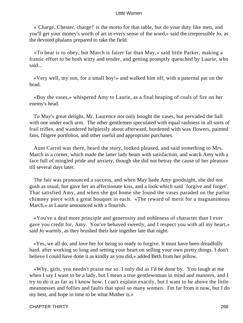«`Charge, Chester, charge!' is the motto for that table, but do your duty like men, and you'll get your money's worth of art in every sense of the word,» said the irrepressible Jo, as the devoted phalanx prepared to take the field.

 «To hear is to obey, but March is fairer far than May,» said little Parker, making a frantic effort to be both witty and tender, and getting promptly quenched by Laurie, who said...

 «Very well, my son, for a small boy!» and walked him off, with a paternal pat on the head.

 «Buy the vases,» whispered Amy to Laurie, as a final heaping of coals of fire on her enemy's head.

 To May's great delight, Mr. Laurence not only bought the vases, but pervaded the hall with one under each arm. The other gentlemen speculated with equal rashness in all sorts of frail trifles, and wandered helplessly about afterward, burdened with wax flowers, painted fans, filigree portfolios, and other useful and appropriate purchases.

 Aunt Carrol was there, heard the story, looked pleased, and said something to Mrs. March in a corner, which made the latter lady beam with satisfaction, and watch Amy with a face full of mingled pride and anxiety, though she did not betray the cause of her pleasure till several days later.

 The fair was pronounced a success, and when May bade Amy goodnight, she did not gush as usual, but gave her an affectionate kiss, and a look which said `forgive and forget'. That satisfied Amy, and when she got home she found the vases paraded on the parlor chimney piece with a great bouquet in each. «The reward of merit for a magnanimous March,» as Laurie announced with a flourish.

 «You've a deal more principle and generosity and nobleness of character than I ever gave you credit for, Amy. You've behaved sweetly, and I respect you with all my heart,» said Jo warmly, as they brushed their hair together late that night.

 «Yes, we all do, and love her for being so ready to forgive. It must have been dreadfully hard, after working so long and setting your heart on selling your own pretty things. I don't believe I could have done it as kindly as you did,» added Beth from her pillow.

 «Why, girls, you needn't praise me so. I only did as I'd be done by. You laugh at me when I say I want to be a lady, but I mean a true gentlewoman in mind and manners, and I try to do it as far as I know how. I can't explain exactly, but I want to be above the little meannesses and follies and faults that spoil so many women. I'm far from it now, but I do my best, and hope in time to be what Mother is.»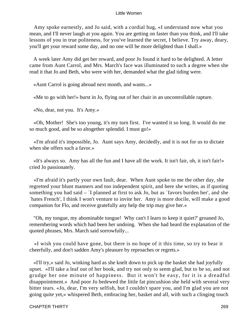Amy spoke earnestly, and Jo said, with a cordial hug, «I understand now what you mean, and I'll never laugh at you again. You are getting on faster than you think, and I'll take lessons of you in true politeness, for you've learned the secret, I believe. Try away, deary, you'll get your reward some day, and no one will be more delighted than I shall.»

 A week later Amy did get her reward, and poor Jo found it hard to be delighted. A letter came from Aunt Carrol, and Mrs. March's face was illuminated to such a degree when she read it that Jo and Beth, who were with her, demanded what the glad tiding were.

«Aunt Carrol is going abroad next month, and wants...»

«Me to go with her!» burst in Jo, flying out of her chair in an uncontrollable rapture.

«No, dear, not you. It's Amy.»

 «Oh, Mother! She's too young, it's my turn first. I've wanted it so long. It would do me so much good, and be so altogether splendid. I must go!»

 «I'm afraid it's impossible, Jo. Aunt says Amy, decidedly, and it is not for us to dictate when she offers such a favor.»

 «It's always so. Amy has all the fun and I have all the work. It isn't fair, oh, it isn't fair!» cried Jo passionately.

 «I'm afraid it's partly your own fault, dear. When Aunt spoke to me the other day, she regretted your blunt manners and too independent spirit, and here she writes, as if quoting something you had said – `I planned at first to ask Jo, but as `favors burden her', and she `hates French', I think I won't venture to invite her. Amy is more docile, will make a good companion for Flo, and receive gratefully any help the trip may give her.»

 "Oh, my tongue, my abominable tongue! Why can't I learn to keep it quiet?' groaned Jo, remembering words which had been her undoing. When she had heard the explanation of the quoted phrases, Mrs. March said sorrowfully...

 «I wish you could have gone, but there is no hope of it this time, so try to bear it cheerfully, and don't sadden Amy's pleasure by reproaches or regrets.»

 «I'll try,» said Jo, winking hard as she knelt down to pick up the basket she had joyfully upset. «I'll take a leaf out of her book, and try not only to seem glad, but to be so, and not grudge her one minute of happiness. But it won't be easy, for it is a dreadful disappointment.» And poor Jo bedewed the little fat pincushion she held with several very bitter tears. «Jo, dear, I'm very selfish, but I couldn't spare you, and I'm glad you are not going quite yet,» whispered Beth, embracing her, basket and all, with such a clinging touch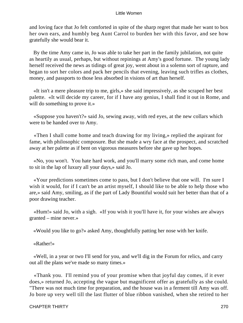and loving face that Jo felt comforted in spite of the sharp regret that made her want to box her own ears, and humbly beg Aunt Carrol to burden her with this favor, and see how gratefully she would bear it.

 By the time Amy came in, Jo was able to take her part in the family jubilation, not quite as heartily as usual, perhaps, but without repinings at Amy's good fortune. The young lady herself received the news as tidings of great joy, went about in a solemn sort of rapture, and began to sort her colors and pack her pencils that evening, leaving such trifles as clothes, money, and passports to those less absorbed in visions of art than herself.

 «It isn't a mere pleasure trip to me, girls,» she said impressively, as she scraped her best palette. «It will decide my career, for if I have any genius, I shall find it out in Rome, and will do something to prove it.»

 «Suppose you haven't?» said Jo, sewing away, with red eyes, at the new collars which were to be handed over to Amy.

 «Then I shall come home and teach drawing for my living,» replied the aspirant for fame, with philosophic composure. But she made a wry face at the prospect, and scratched away at her palette as if bent on vigorous measures before she gave up her hopes.

 «No, you won't. You hate hard work, and you'll marry some rich man, and come home to sit in the lap of luxury all your days,» said Jo.

 «Your predictions sometimes come to pass, but I don't believe that one will. I'm sure I wish it would, for if I can't be an artist myself, I should like to be able to help those who are,» said Amy, smiling, as if the part of Lady Bountiful would suit her better than that of a poor drawing teacher.

 «Hum!» said Jo, with a sigh. «If you wish it you'll have it, for your wishes are always granted – mine never.»

«Would you like to go?» asked Amy, thoughtfully patting her nose with her knife.

# «Rather!»

 «Well, in a year or two I'll send for you, and we'll dig in the Forum for relics, and carry out all the plans we've made so many times.»

 «Thank you. I'll remind you of your promise when that joyful day comes, if it ever does,» returned Jo, accepting the vague but magnificent offer as gratefully as she could. "There was not much time for preparation, and the house was in a ferment till Amy was off. Jo bore up very well till the last flutter of blue ribbon vanished, when she retired to her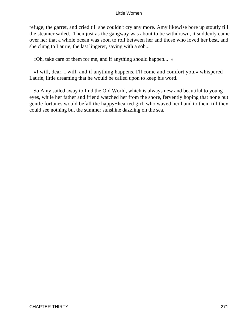refuge, the garret, and cried till she couldn't cry any more. Amy likewise bore up stoutly till the steamer sailed. Then just as the gangway was about to be withdrawn, it suddenly came over her that a whole ocean was soon to roll between her and those who loved her best, and she clung to Laurie, the last lingerer, saying with a sob...

«Oh, take care of them for me, and if anything should happen... »

 «I will, dear, I will, and if anything happens, I'll come and comfort you,» whispered Laurie, little dreaming that he would be called upon to keep his word.

 So Amy sailed away to find the Old World, which is always new and beautiful to young eyes, while her father and friend watched her from the shore, fervently hoping that none but gentle fortunes would befall the happy−hearted girl, who waved her hand to them till they could see nothing but the summer sunshine dazzling on the sea.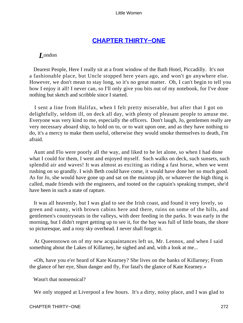# **[CHAPTER THIRTY−ONE](#page-420-0)**

# *L*ondon

 Dearest People, Here I really sit at a front window of the Bath Hotel, Piccadilly. It's not a fashionable place, but Uncle stopped here years ago, and won't go anywhere else. However, we don't mean to stay long, so it's no great matter. Oh, I can't begin to tell you how I enjoy it all! I never can, so I'll only give you bits out of my notebook, for I've done nothing but sketch and scribble since I started.

 I sent a line from Halifax, when I felt pretty miserable, but after that I got on delightfully, seldom ill, on deck all day, with plenty of pleasant people to amuse me. Everyone was very kind to me, especially the officers. Don't laugh, Jo, gentlemen really are very necessary aboard ship, to hold on to, or to wait upon one, and as they have nothing to do, it's a mercy to make them useful, otherwise they would smoke themselves to death, I'm afraid.

 Aunt and Flo were poorly all the way, and liked to be let alone, so when I had done what I could for them, I went and enjoyed myself. Such walks on deck, such sunsets, such splendid air and waves! It was almost as exciting as riding a fast horse, when we went rushing on so grandly. I wish Beth could have come, it would have done her so much good. As for Jo, she would have gone up and sat on the maintop jib, or whatever the high thing is called, made friends with the engineers, and tooted on the captain's speaking trumpet, she'd have been in such a state of rapture.

 It was all heavenly, but I was glad to see the Irish coast, and found it very lovely, so green and sunny, with brown cabins here and there, ruins on some of the hills, and gentlemen's countryseats in the valleys, with deer feeding in the parks. It was early in the morning, but I didn't regret getting up to see it, for the bay was full of little boats, the shore so picturesque, and a rosy sky overhead. I never shall forget it.

 At Queenstown on of my new acquaintances left us, Mr. Lennox, and when I said something about the Lakes of Killarney, he sighed and and, with a look at me...

 «Oh, have you e'er heard of Kate Kearney? She lives on the banks of Killarney; From the glance of her eye, Shun danger and fly, For fatal's the glance of Kate Kearney.»

Wasn't that nonsensical?

We only stopped at Liverpool a few hours. It's a dirty, noisy place, and I was glad to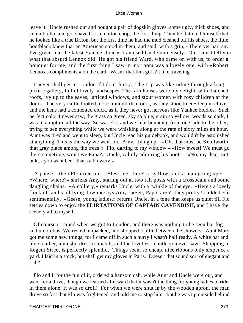leave it. Uncle rushed out and bought a pair of dogskin gloves, some ugly, thick shoes, and an umbrella, and got shaved `a la mutton chop, the first thing. Then he flattered himself that he looked like a true Briton, but the first time he had the mud cleaned off his shoes, the little bootblack knew that an American stood in them, and said, with a grin, «There yer har, sir. I've given `em the latest Yankee shine.» It amused Uncle immensely. Oh, I must tell you what that absurd Lennox did! He got his friend Ward, who came on with us, to order a bouquet for me, and the first thing I saw in my room was a lovely one, with «Robert Lennox's compliments,» on the card. Wasn't that fun, girls? I like traveling.

 I never shall get to London if I don't hurry. The trip was like riding through a long picture gallery, full of lovely landscapes. The farmhouses were my delight, with thatched roofs, ivy up to the eaves, latticed windows, and stout women with rosy children at the doors. The very cattle looked more tranquil than ours, as they stood knee−deep in clover, and the hens had a contented cluck, as if they never got nervous like Yankee biddies. Such perfect color I never saw, the grass so green, sky so blue, grain so yellow, woods so dark, I was in a rapture all the way. So was Flo, and we kept bouncing from one side to the other, trying to see everything while we were whisking along at the rate of sixty miles an hour. Aunt was tired and went to sleep, but Uncle read his guidebook, and wouldn't be astonished at anything. This is the way we went on. Amy, flying  $up - \alpha Oh$ , that must be Kenilworth, that gray place among the trees!» Flo, darting to my window – «How sweet! We must go there sometime, won't we Papa?» Uncle, calmly admiring his boots – «No, my dear, not unless you want beer, that's a brewery.»

 A pause – then Flo cried out, «Bless me, there's a gallows and a man going up.» «Where, where?» shrieks Amy, staring out at two tall posts with a crossbeam and some dangling chains. «A colliery,» remarks Uncle, with a twinkle of the eye. «Here's a lovely flock of lambs all lying down,» says Amy. «See, Papa, aren't they pretty?» added Flo sentimentally. «Geese, young ladies,» returns Uncle, in a tone that keeps us quiet till Flo settles down to enjoy the **FLIRTATIONS OF CAPTAIN CAVENDISH,** and I have the scenery all to myself.

 Of course it rained when we got to London, and there was nothing to be seen but fog and umbrellas. We rested, unpacked, and shopped a little between the showers. Aunt Mary got me some new things, for I came off in such a hurry I wasn't half ready. A white hat and blue feather, a muslin dress to match, and the loveliest mantle you ever saw. Shopping in Regent Street is perfectly splendid. Things seem so cheap, nice ribbons only sixpence a yard. I laid in a stock, but shall get my gloves in Paris. Doesn't that sound sort of elegant and rich?

 Flo and I, for the fun of it, ordered a hansom cab, while Aunt and Uncle were out, and went for a drive, though we learned afterward that it wasn't the thing for young ladies to ride in them alone. It was so droll! For when we were shut in by the wooden apron, the man drove so fast that Flo was frightened, and told me to stop him. but he was up outside behind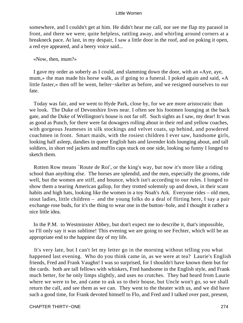somewhere, and I couldn't get at him. He didn't hear me call, nor see me flap my parasol in front, and there we were, quite helpless, rattling away, and whirling around corners at a breakneck pace. At last, in my despair, I saw a little door in the roof, and on poking it open, a red eye appeared, and a beery voice said...

# «Now, then, mum?»

 I gave my order as soberly as I could, and slamming down the door, with an «Aye, aye, mum,» the man made his horse walk, as if going to a funeral. I poked again and said, «A little faster,» then off he went, helter−skelter as before, and we resigned ourselves to our fate.

 Today was fair, and we went to Hyde Park, close by, for we are more aristocratic than we look. The Duke of Devonshire lives near. I often see his footmen lounging at the back gate, and the Duke of Wellington's house is not far off. Such sights as I saw, my dear! It was as good as Punch, for there were fat dowagers rolling about in their red and yellow coaches, with gorgeous Jeameses in silk stockings and velvet coats, up behind, and powdered coachmen in front. Smart maids, with the rosiest children I ever saw, handsome girls, looking half asleep, dandies in queer English hats and lavender kids lounging about, and tall soldiers, in short red jackets and muffin caps stuck on one side, looking so funny I longed to sketch them.

 Rotten Row means `Route de Roi', or the king's way, but now it's more like a riding school than anything else. The horses are splendid, and the men, especially the grooms, ride well, but the women are stiff, and bounce, which isn't according to our rules. I longed to show them a tearing American gallop, for they trotted solemnly up and down, in their scant habits and high hats, looking like the women in a toy Noah's Ark. Everyone rides – old men, stout ladies, little children – and the young folks do a deal of flirting here, I say a pair exchange rose buds, for it's the thing to wear one in the button−hole, and I thought it rather a nice little idea.

 In the P.M. to Westminster Abbey, but don't expect me to describe it, that's impossible, so I'll only say it was sublime! This evening we are going to see Fechter, which will be an appropriate end to the happiest day of my life.

 It's very late, but I can't let my letter go in the morning without telling you what happened last evening. Who do you think came in, as we were at tea? Laurie's English friends, Fred and Frank Vaughn! I was so surprised, for I shouldn't have known them but for the cards. both are tall fellows with whiskers, Fred handsome in the English style, and Frank much better, for he only limps slightly, and uses no crutches. They had heard from Laurie where we were to be, and came to ask us to their house, but Uncle won't go, so we shall return the call, and see them as we can. They went to the theater with us, and we did have such a good time, for Frank devoted himself to Flo, and Fred and I talked over past, present,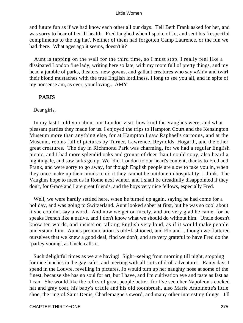and future fun as if we had know each other all our days. Tell Beth Frank asked for her, and was sorry to hear of her ill health. Fred laughed when I spoke of Jo, and sent his `respectful compliments to the big hat'. Neither of them had forgotten Camp Laurence, or the fun we had there. What ages ago it seems, doesn't it?

 Aunt is tapping on the wall for the third time, so I must stop. I really feel like a dissipated London fine lady, writing here so late, with my room full of pretty things, and my head a jumble of parks, theaters, new gowns, and gallant creatures who say «Ah!» and twirl their blond mustaches with the true English lordliness. I long to see you all, and in spite of my nonsense am, as ever, your loving... AMY

# **PARIS**

# Dear girls,

 In my last I told you about our London visit, how kind the Vaughns were, and what pleasant parties they made for us. I enjoyed the trips to Hampton Court and the Kensington Museum more than anything else, for at Hampton I saw Raphael's cartoons, and at the Museum, rooms full of pictures by Turner, Lawrence, Reynolds, Hogarth, and the other great creatures. The day in Richmond Park was charming, for we had a regular English picnic, and I had more splendid oaks and groups of deer than I could copy, also heard a nightingale, and saw larks go up. We `did' London to our heart's content, thanks to Fred and Frank, and were sorry to go away, for though English people are slow to take you in, when they once make up their minds to do it they cannot be outdone in hospitality, I think. The Vaughns hope to meet us in Rome next winter, and I shall be dreadfully disappointed if they don't, for Grace and I are great friends, and the boys very nice fellows, especially Fred.

 Well, we were hardly settled here, when he turned up again, saying he had come for a holiday, and was going to Switzerland. Aunt looked sober at first, but he was so cool about it she couldn't say a word. And now we get on nicely, and are very glad he came, for he speaks French like a native, and I don't know what we should do without him. Uncle doesn't know ten words, and insists on talking English very loud, as if it would make people understand him. Aunt's pronunciation is old−fashioned, and Flo and I, though we flattered ourselves that we knew a good deal, find we don't, and are very grateful to have Fred do the `parley vooing', as Uncle calls it.

 Such delightful times as we are having! Sight−seeing from morning till night, stopping for nice lunches in the gay cafes, and meeting with all sorts of droll adventures. Rainy days I spend in the Louvre, revelling in pictures. Jo would turn up her naughty nose at some of the finest, because she has no soul for art, but I have, and I'm cultivation eye and taste as fast as I can. She would like the relics of great people better, for I've seen her Napoleon's cocked hat and gray coat, his baby's cradle and his old toothbrush, also Marie Antoinette's little shoe, the ring of Saint Denis, Charlemagne's sword, and many other interesting things. I'll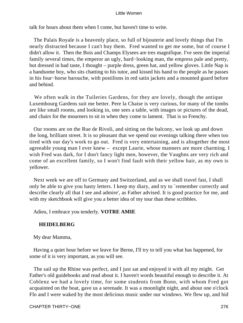talk for hours about them when I come, but haven't time to write.

 The Palais Royale is a heavenly place, so full of bijouterie and lovely things that I'm nearly distracted because I can't buy them. Fred wanted to get me some, but of course I didn't allow it. Then the Bois and Champs Elysees are tres magnifique. I've seen the imperial family several times, the emperor an ugly, hard−looking man, the empress pale and pretty, but dressed in bad taste, I thought – purple dress, green hat, and yellow gloves. Little Nap is a handsome boy, who sits chatting to his tutor, and kissed his hand to the people as he passes in his four−horse barouche, with postilions in red satin jackets and a mounted guard before and behind.

 We often walk in the Tuileries Gardens, for they are lovely, though the antique Luxembourg Gardens suit me better. Pere la Chaise is very curious, for many of the tombs are like small rooms, and looking in, one sees a table, with images or pictures of the dead, and chairs for the mourners to sit in when they come to lament. That is so Frenchy.

 Our rooms are on the Rue de Rivoli, and sitting on the balcony, we look up and down the long, brilliant street. It is so pleasant that we spend our evenings talking there when too tired with our day's work to go out. Fred is very entertaining, and is altogether the most agreeable young man I ever knew – except Laurie, whose manners are more charming. I wish Fred was dark, for I don't fancy light men, however, the Vaughns are very rich and come of an excellent family, so I won't find fault with their yellow hair, as my own is yellower.

 Next week we are off to Germany and Switzerland, and as we shall travel fast, I shall only be able to give you hasty letters. I keep my diary, and try to `remember correctly and describe clearly all that I see and admire', as Father advised. It is good practice for me, and with my sketchbook will give you a better idea of my tour than these scribbles.

Adieu, I embrace you tenderly. **VOTRE AMIE**

# **HEIDELBERG**

My dear Mamma,

 Having a quiet hour before we leave for Berne, I'll try to tell you what has happened, for some of it is very important, as you will see.

 The sail up the Rhine was perfect, and I just sat and enjoyed it with all my might. Get Father's old guidebooks and read about it. I haven't words beautiful enough to describe it. At Coblenz we had a lovely time, for some students from Bonn, with whom Fred got acquainted on the boat, gave us a serenade. It was a moonlight night, and about one o'clock Flo and I were waked by the most delicious music under our windows. We flew up, and hid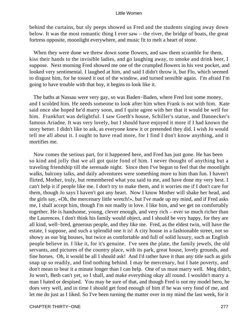behind the curtains, but sly peeps showed us Fred and the students singing away down below. It was the most romantic thing I ever saw – the river, the bridge of boats, the great fortress opposite, moonlight everywhere, and music fit to melt a heart of stone.

 When they were done we threw down some flowers, and saw them scramble for them, kiss their hands to the invisible ladies, and go laughing away, to smoke and drink beer, I suppose. Next morning Fred showed me one of the crumpled flowers in his vest pocket, and looked very sentimental. I laughed at him, and said I didn't throw it, but Flo, which seemed to disgust him, for he tossed it out of the window, and turned sensible again. I'm afraid I'm going to have trouble with that boy, it begins to look like it.

 The baths at Nassau were very gay, so was Baden−Baden, where Fred lost some money, and I scolded him. He needs someone to look after him when Frank is not with him. Kate said once she hoped he'd marry soon, and I quite agree with her that it would be well for him. Frankfurt was delightful. I saw Goeth's house, Schiller's statue, and Dannecker's famous Ariadne. It was very lovely, but I should have enjoyed it more if I had known the story better. I didn't like to ask, as everyone knew it or pretended they did. I wish Jo would tell me all about it. I ought to have read more, for I find I don't know anything, and it mortifies me.

 Now comes the serious part, for it happened here, and Fred has just gone. He has been so kind and jolly that we all got quite fond of him. I never thought of anything but a traveling friendship till the serenade night. Since then I've begun to feel that the moonlight walks, balcony talks, and daily adventures were something more to him than fun. I haven't flirted, Mother, truly, but remembered what you said to me, and have done my very best. I can't help it if people like me. I don't try to make them, and it worries me if I don't care for them, though Jo says I haven't got any heart. Now I know Mother will shake her head, and the girls say, «Oh, the mercenary little wretch!», but I've made up my mind, and if Fred asks me, I shall accept him, though I'm not madly in love. I like him, and we get on comfortably together. He is handsome, young, clever enough, and very rich – ever so much richer than the Laurences. I don't think his family would object, and I should be very happy, for they are all kind, well−bred, generous people, and they like me. Fred, as the eldest twin, will have the estate, I suppose, and such a splendid one it is! A city house in a fashionable street, not so showy as our big houses, but twice as comfortable and full of solid luxury, such as English people believe in. I like it, for it's genuine. I've seen the plate, the family jewels, the old servants, and pictures of the country place, with its park, great house, lovely grounds, and fine horses. Oh, it would be all I should ask! And I'd rather have it than any title such as girls snap up so readily, and find nothing behind. I may be mercenary, but I hate poverty, and don't mean to bear it a minute longer than I can help. One of us must marry well. Meg didn't, Jo won't, Beth can't yet, so I shall, and make everything okay all round. I wouldn't marry a man I hated or despised. You may be sure of that, and though Fred is not my model hero, he does very well, and in time I should get fond enough of him if he was very fond of me, and let me do just as I liked. So I've been turning the matter over in my mind the last week, for it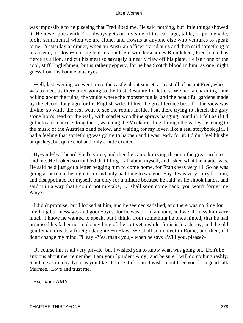was impossible to help seeing that Fred liked me. He said nothing, but little things showed it. He never goes with Flo, always gets on my side of the carriage, table, or promenade, looks sentimental when we are alone, and frowns at anyone else who ventures to speak tome. Yesterday at dinner, when an Austrian officer stared at us and then said something to his friend, a rakish−looking baron, about `ein wonderschones Blondchen', Fred looked as fierce as a lion, and cut his meat so savagely it nearly flew off his plate. He isn't one of the cool, stiff Englishmen, but is rather peppery, for he has Scotch blood in him, as one might guess from his bonnie blue eyes.

 Well, last evening we went up to the castle about sunset, at least all of us but Fred, who was to meet us there after going to the Post Restante for letters. We had a charming time poking about the ruins, the vaults where the monster tun is, and the beautiful gardens made by the elector long ago for his English wife. I liked the great terrace best, for the view was divine, so while the rest went to see the rooms inside, I sat there trying to sketch the gray stone lion's head on the wall, with scarlet woodbine sprays hanging round it. I felt as if I'd got into a romance, sitting there, watching the Meckar rolling through the valley, listening to the music of the Austrian band below, and waiting for my lover, like a real storybook girl. I had a feeling that something was going to happen and I was ready for it. I didn't feel blushy or quakey, but quite cool and only a little excited.

 By−and−by I heard Fred's voice, and then he came hurrying through the great arch to find me. He looked so troubled that I forgot all about myself, and asked what the matter was. He said he'd just got a letter begging him to come home, for Frank was very ill. So he was going at once on the night train and only had time to say good−by. I was very sorry for him, and disappointed for myself, but only for a minute because he said, as he shook hands, and said it in a way that I could not mistake, «I shall soon come back, you won't forget me, Amy?»

 I didn't promise, but I looked at him, and he seemed satisfied, and there was no time for anything but messages and good−byes, for he was off in an hour, and we all miss him very much. I know he wanted to speak, but I think, from something he once hinted, that he had promised his father not to do anything of the sort yet a while, for is is a rash boy, and the old gentleman dreads a foreign daughter−in−law. We shall soon meet in Rome, and then, if I don't change my mind, I'll say «Yes, thank you,» when he says «Will you, please?»

 Of course this is all very private, but I wished you to know what was going on. Don't be anxious about me, remember I am your `prudent Amy', and be sure I will do nothing rashly. Send me as much advice as you like. I'll use it if I can. I wish I could see you for a good talk, Marmee. Love and trust me.

Ever your AMY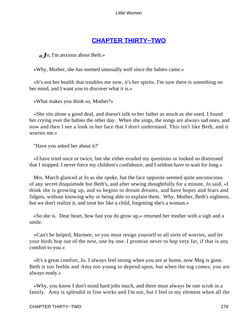# **[CHAPTER THIRTY−TWO](#page-420-0)**

*«J*o, I'm anxious about Beth.»

«Why, Mother, she has seemed unusually well since the babies came.»

 «It's not her health that troubles me now, it's her spirits. I'm sure there is something on her mind, and I want you to discover what it is.»

«What makes you think so, Mother?»

 «She sits alone a good deal, and doesn't talk to her father as much as she used. I found her crying over the babies the other day. When she sings, the songs are always sad ones, and now and then I see a look in her face that I don't understand. This isn't like Beth, and it worries me.»

"Have you asked her about it?'

 «I have tried once or twice, but she either evaded my questions or looked so distressed that I stopped. I never force my children's confidence, and I seldom have to wait for long.»

 Mrs. March glanced at Jo as she spoke, but the face opposite seemed quite unconscious of any secret disquietude but Beth's, and after sewing thoughtfully for a minute, Jo said, «I think she is growing up, and so begins to dream dreams, and have hopes and fears and fidgets, without knowing why or being able to explain them. Why, Mother, Beth's eighteen, but we don't realize it, and treat her like a child, forgetting she's a woman.»

 «So she is. Dear heart, how fast you do grow up,» returned her mother with a sigh and a smile.

 «Can't be helped, Marmee, so you must resign yourself to all sorts of worries, and let your birds hop out of the nest, one by one. I promise never to hop very far, if that is any comfort to you.»

 «It's a great comfort, Jo. I always feel strong when you are at home, now Meg is gone. Beth is too feeble and Amy too young to depend upon, but when the tug comes, you are always ready.»

 «Why, you know I don't mind hard jobs much, and there must always be one scrub in a family. Amy is splendid in fine works and I'm not, but I feel in my element when all the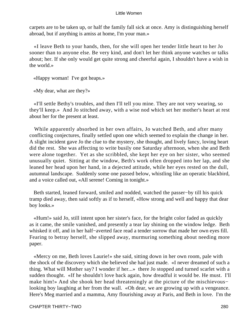carpets are to be taken up, or half the family fall sick at once. Amy is distinguishing herself abroad, but if anything is amiss at home, I'm your man.»

 «I leave Beth to your hands, then, for she will open her tender little heart to her Jo sooner than to anyone else. Be very kind, and don't let her think anyone watches or talks about; her. If she only would get quite strong and cheerful again, I shouldn't have a wish in the world.»

«Happy woman! I've got heaps.»

«My dear, what are they?»

 «I'll settle Bethy's troubles, and then I'll tell you mine. They are not very wearing, so they'll keep.» And Jo stitched away, with a wise nod which set her mother's heart at rest about her for the present at least.

 While apparently absorbed in her own affairs, Jo watched Beth, and after many conflicting conjectures, finally settled upon one which seemed to explain the change in her. A slight incident gave Jo the clue to the mystery, she thought, and lively fancy, loving heart did the rest. She was affecting to write busily one Saturday afternoon, when she and Beth were alone together. Yet as she scribbled, she kept her eye on her sister, who seemed unusually quiet. Sitting at the window, Beth's work often dropped into her lap, and she leaned her head upon her hand, in a dejected attitude, while her eyes rested on the dull, autumnal landscape. Suddenly some one passed below, whistling like an operatic blackbird, and a voice called out, «All serene! Coming in tonight.»

 Beth started, leaned forward, smiled and nodded, watched the passer−by till his quick tramp died away, then said softly as if to herself, «How strong and well and happy that dear boy looks.»

 «Hum!» said Jo, still intent upon her sister's face, for the bright color faded as quickly as it came, the smile vanished, and presently a tear lay shining on the window ledge. Beth whisked it off, and in her half−averted face read a tender sorrow that made her own eyes fill. Fearing to betray herself, she slipped away, murmuring something about needing more paper.

 «Mercy on me, Beth loves Laurie!» she said, sitting down in her own room, pale with the shock of the discovery which she believed she had just made. «I never dreamed of such a thing. What will Mother say? I wonder if her...» there Jo stopped and turned scarlet with a sudden thought. «If he shouldn't love back again, how dreadful it would be. He must. I'll make him!» And she shook her head threateningly at the picture of the mischievous− looking boy laughing at her from the wall. «Oh dear, we are growing up with a vengeance. Here's Meg married and a mamma, Amy flourishing away at Paris, and Beth in love. I'm the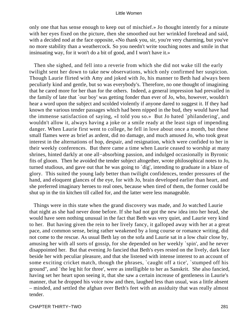only one that has sense enough to keep out of mischief.» Jo thought intently for a minute with her eyes fixed on the picture, then she smoothed out her wrinkled forehead and said, with a decided nod at the face opposite, «No thank you, sir, you're very charming, but you've no more stability than a weathercock. So you needn't write touching notes and smile in that insinuating way, for it won't do a bit of good, and I won't have it.»

 Then she sighed, and fell into a reverie from which she did not wake till the early twilight sent her down to take new observations, which only confirmed her suspicion. Though Laurie flirted with Amy and joked with Jo, his manner to Beth had always been peculiarly kind and gentle, but so was everybody's. Therefore, no one thought of imagining that he cared more for her than for the others. Indeed, a general impression had prevailed in the family of late that `our boy' was getting fonder than ever of Jo, who, however, wouldn't hear a word upon the subject and scolded violently if anyone dared to suggest it. If they had known the various tender passages which had been nipped in the bud, they would have had the immense satisfaction of saying, «I told you so.» But Jo hated `philandering', and wouldn't allow it, always having a joke or a smile ready at the least sign of impending danger. When Laurie first went to college, he fell in love about once a month, but these small flames were as brief as ardent, did no damage, and much amused Jo, who took great interest in the alternations of hop, despair, and resignation, which were confided to her in their weekly conferences. But there came a time when Laurie ceased to worship at many shrines, hinted darkly at one all−absorbing passion, and indulged occasionally in Byronic fits of gloom. Then he avoided the tender subject altogether, wrote philosophical notes to Jo, turned studious, and gave out that he was going to `dig', intending to graduate in a blaze of glory. This suited the young lady better than twilight confidences, tender pressures of the hand, and eloquent glances of the eye, for with Jo, brain developed earlier than heart, and she preferred imaginary heroes to real ones, because when tired of them, the former could be shut up in the tin kitchen till called for, and the latter were less manageable.

 Things were in this state when the grand discovery was made, and Jo watched Laurie that night as she had never done before. If she had not got the new idea into her head, she would have seen nothing unusual in the fact that Beth was very quiet, and Laurie very kind to her. But having given the rein to her lively fancy, it galloped away with her at a great pace, and common sense, being rather weakened by a long course or romance writing, did not come to the rescue. As usual Beth lay on the sofa and Laurie sat in a low chair close by, amusing her with all sorts of gossip, for she depended on her weekly `spin', and he never disappointed her. But that evening Jo fancied that Beth's eyes rested on the lively, dark face beside her with peculiar pleasure, and that she listened with intense interest to an account of some exciting cricket match, though the phrases, `caught off a tice', `stumped off his ground'', and `the leg hit for three', were as intelligible to her as Sanskrit. She also fancied, having set her heart upon seeing it, that she saw a certain increase of gentleness in Laurie's manner, that he dropped his voice now and then, laughed less than usual, was a little absent – minded, and settled the afghan over Beth's feet with an assiduity that was really almost tender.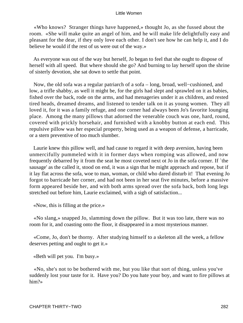«Who knows? Stranger things have happened,» thought Jo, as she fussed about the room. «She will make quite an angel of him, and he will make life delightfully easy and pleasant for the dear, if they only love each other. I don't see how he can help it, and I do believe he would if the rest of us were out of the way.»

 As everyone was out of the way but herself, Jo began to feel that she ought to dispose of herself with all speed. But where should she go? And burning to lay herself upon the shrine of sisterly devotion, she sat down to settle that point.

 Now, the old sofa was a regular patriarch of a sofa – long, broad, well−cushioned, and low, a trifle shabby, as well it might be, for the girls had slept and sprawled on it as babies, fished over the back, rode on the arms, and had menageries under it as children, and rested tired heads, dreamed dreams, and listened to tender talk on it as young women. They all loved it, for it was a family refuge, and one corner had always been Jo's favorite lounging place. Among the many pillows that adorned the venerable couch was one, hard, round, covered with prickly horsehair, and furnished with a knobby button at each end. This repulsive pillow was her especial property, being used as a weapon of defense, a barricade, or a stern preventive of too much slumber.

 Laurie knew this pillow well, and had cause to regard it with deep aversion, having been unmercifully pummeled with it in former days when romping was allowed, and now frequently debarred by it from the seat he most coveted next ot Jo in the sofa corner. If `the sausage' as the called it, stood on end, it was a sign that he might approach and repose, but if it lay flat across the sofa, woe to man, woman, or child who dared disturb it! That evening Jo forgot to barricade her corner, and had not been in her seat five minutes, before a massive form appeared beside her, and with both arms spread over the sofa back, both long legs stretched out before him, Laurie exclaimed, with a sigh of satisfaction...

«Now, this is filling at the price.»

 «No slang,» snapped Jo, slamming down the pillow. But it was too late, there was no room for it, and coasting onto the floor, it disappeared in a most mysterious manner.

 «Come, Jo, don't be thorny. After studying himself to a skeleton all the week, a fellow deserves petting and ought to get it.»

«Beth will pet you. I'm busy.»

 «No, she's not to be bothered with me, but you like that sort of thing, unless you've suddenly lost your taste for it. Have you? Do you hate your boy, and want to fire pillows at him?»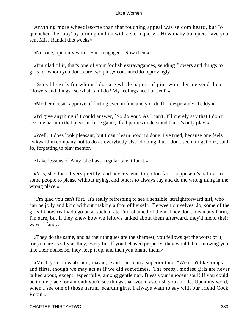Anything more wheedlesome than that touching appeal was seldom heard, but Jo quenched `her boy' by turning on him with a stern query, «How many bouquets have you sent Miss Randal this week?»

«Not one, upon my word. She's engaged. Now then.»

 «I'm glad of it, that's one of your foolish extravagances, sending flowers and things to girls for whom you don't care two pins,» continued Jo reprovingly.

 «Sensible girls for whom I do care whole papers of pins won't let me send them `flowers and things', so what can I do? My feelings need a` vent'.»

«Mother doesn't approve of flirting even in fun, and you do flirt desperately, Teddy.»

 «I'd give anything if I could answer, `So do you'. As I can't, I'll merely say that I don't see any harm in that pleasant little game, if all parties understand that it's only play.»

 «Well, it does look pleasant, but I can't learn how it's done. I've tried, because one feels awkward in company not to do as everybody else id doing, but I don't seem to get on», said Jo, forgetting to play mentor.

«Take lessons of Amy, she has a regular talent for it.»

 «Yes, she does it very prettily, and never seems to go too far. I suppose it's natural to some people to please without trying, and others to always say and do the wrong thing in the wrong place.»

 «I'm glad you can't flirt. It's really refreshing to see a sensible, straightforward girl, who can be jolly and kind without making a fool of herself. Between ourselves, Jo, some of the girls I know really do go on at such a rate I'm ashamed of them. They don't mean any harm, I'm sure, but if they knew how we fellows talked about them afterward, they'd mend their ways, I fancy.»

 «They do the same, and as their tongues are the sharpest, you fellows get the worst of it, for you are as silly as they, every bit. If you behaved properly, they would, but knowing you like their nonsense, they keep it up, and then you blame them.»

 «Much you know about it, ma'am,» said Laurie in a superior tone. "We don't like romps and flirts, though we may act as if we did sometimes. The pretty, modest girls are never talked about, except respectfully, among gentleman. Bless your innocent soul! If you could be in my place for a month you'd see things that would astonish you a trifle. Upon my word, when I see one of those harum−scarum girls, I always want to say with our friend Cock Robin...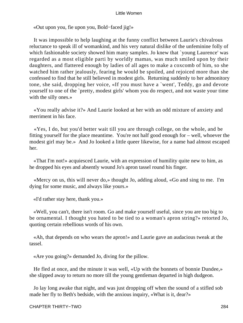«Out upon you, fie upon you, Bold−faced jig!»

 It was impossible to help laughing at the funny conflict between Laurie's chivalrous reluctance to speak ill of womankind, and his very natural dislike of the unfeminine folly of which fashionable society showed him many samples. Jo knew that `young Laurence' was regarded as a most eligible parti by worldly mamas, was much smiled upon by their daughters, and flattered enough by ladies of all ages to make a coxcomb of him, so she watched him rather jealously, fearing he would be spoiled, and rejoiced more than she confessed to find that he still believed in modest girls. Returning suddenly to her admonitory tone, she said, dropping her voice, «If you must have a `went', Teddy, go and devote yourself to one of the `pretty, modest girls' whom you do respect, and not waste your time with the silly ones.»

 «You really advise it?» And Laurie looked at her with an odd mixture of anxiety and merriment in his face.

 «Yes, I do, but you'd better wait till you are through college, on the whole, and be fitting yourself for the place meantime. You're not half good enough for – well, whoever the modest girl may be.» And Jo looked a little queer likewise, for a name had almost escaped her.

 «That I'm not!» acquiesced Laurie, with an expression of humility quite new to him, as he dropped his eyes and absently wound Jo's apron tassel round his finger.

 «Mercy on us, this will never do,» thought Jo, adding aloud, «Go and sing to me. I'm dying for some music, and always like yours.»

«I'd rather stay here, thank you.»

 «Well, you can't, there isn't room. Go and make yourself useful, since you are too big to be ornamental. I thought you hated to be tied to a woman's apron string?» retorted Jo, quoting certain rebellious words of his own.

 «Ah, that depends on who wears the apron!» and Laurie gave an audacious tweak at the tassel.

«Are you going?» demanded Jo, diving for the pillow.

 He fled at once, and the minute it was well, «Up with the bonnets of bonnie Dundee,» she slipped away to return no more till the young gentleman departed in high dudgeon.

 Jo lay long awake that night, and was just dropping off when the sound of a stifled sob made her fly to Beth's bedside, with the anxious inquiry, «What is it, dear?»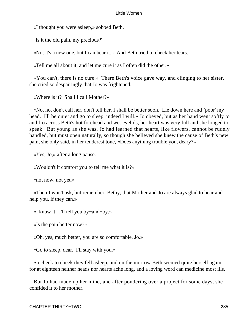«I thought you were asleep,» sobbed Beth.

"Is it the old pain, my precious?'

«No, it's a new one, but I can bear it.» And Beth tried to check her tears.

«Tell me all about it, and let me cure it as I often did the other.»

 «You can't, there is no cure.» There Beth's voice gave way, and clinging to her sister, she cried so despairingly that Jo was frightened.

«Where is it? Shall I call Mother?»

 «No, no, don't call her, don't tell her. I shall be better soon. Lie down here and `poor' my head. I'll be quiet and go to sleep, indeed I will.» Jo obeyed, but as her hand went softly to and fro across Beth's hot forehead and wet eyelids, her heart was very full and she longed to speak. But young as she was, Jo had learned that hearts, like flowers, cannot be rudely handled, but must open naturally, so though she believed she knew the cause of Beth's new pain, she only said, in her tenderest tone, «Does anything trouble you, deary?»

«Yes, Jo,» after a long pause.

«Wouldn't it comfort you to tell me what it is?»

«not now, not yet.»

 «Then I won't ask, but remember, Bethy, that Mother and Jo are always glad to hear and help you, if they can.»

«I know it. I'll tell you by−and−by.»

«Is the pain better now?»

«Oh, yes, much better, you are so comfortable, Jo.»

«Go to sleep, dear. I'll stay with you.»

 So cheek to cheek they fell asleep, and on the morrow Beth seemed quite herself again, for at eighteen neither heads nor hearts ache long, and a loving word can medicine most ills.

 But Jo had made up her mind, and after pondering over a project for some days, she confided it to her mother.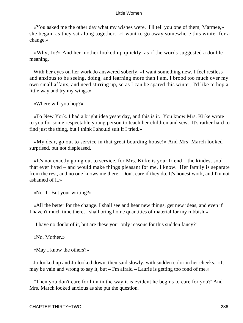«You asked me the other day what my wishes were. I'll tell you one of them, Marmee,» she began, as they sat along together. «I want to go away somewhere this winter for a change.»

 «Why, Jo?» And her mother looked up quickly, as if the words suggested a double meaning.

With her eyes on her work Jo answered soberly, «I want something new. I feel restless and anxious to be seeing, doing, and learning more than I am. I brood too much over my own small affairs, and need stirring up, so as I can be spared this winter, I'd like to hop a little way and try my wings.»

«Where will you hop?»

 «To New York. I had a bright idea yesterday, and this is it. You know Mrs. Kirke wrote to you for some respectable young person to teach her children and sew. It's rather hard to find just the thing, but I think I should suit if I tried.»

 «My dear, go out to service in that great boarding house!» And Mrs. March looked surprised, but not displeased.

 «It's not exactly going out to service, for Mrs. Kirke is your friend – the kindest soul that ever lived – and would make things pleasant for me, I know. Her family is separate from the rest, and no one knows me there. Don't care if they do. It's honest work, and I'm not ashamed of it.»

«Nor I. But your writing?»

 «All the better for the change. I shall see and hear new things, get new ideas, and even if I haven't much time there, I shall bring home quantities of material for my rubbish.»

"I have no doubt of it, but are these your only reasons for this sudden fancy?'

«No, Mother.»

«May I know the others?»

 Jo looked up and Jo looked down, then said slowly, with sudden color in her cheeks. «It may be vain and wrong to say it, but – I'm afraid – Laurie is getting too fond of me.»

 "Then you don't care for him in the way it is evident he begins to care for you?' And Mrs. March looked anxious as she put the question.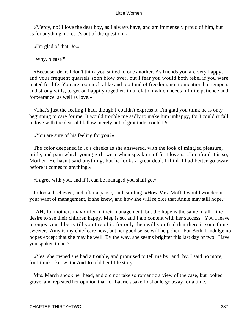«Mercy, no! I love the dear boy, as I always have, and am immensely proud of him, but as for anything more, it's out of the question.»

«I'm glad of that, Jo.»

"Why, please?'

 «Because, dear, I don't think you suited to one another. As friends you are very happy, and your frequent quarrels soon blow over, but I fear you would both rebel if you were mated for life. You are too much alike and too fond of freedom, not to mention hot tempers and strong wills, to get on happily together, in a relation which needs infinite patience and forbearance, as well as love.»

 «That's just the feeling I had, though I couldn't express it. I'm glad you think he is only beginning to care for me. It would trouble me sadly to make him unhappy, for I couldn't fall in love with the dear old fellow merely out of gratitude, could I?»

«You are sure of his feeling for you?»

 The color deepened in Jo's cheeks as she answered, with the look of mingled pleasure, pride, and pain which young girls wear when speaking of first lovers, «I'm afraid it is so, Mother. He hasn't said anything, but he looks a great deal. I think I had better go away before it comes to anything.»

«I agree with you, and if it can be managed you shall go.»

 Jo looked relieved, and after a pause, said, smiling, «How Mrs. Moffat would wonder at your want of management, if she knew, and how she will rejoice that Annie may still hope.»

 "AH, Jo, mothers may differ in their management, but the hope is the same in all – the desire to see their children happy. Meg is so, and I am content with her success. You I leave to enjoy your liberty till you tire of it, for only then will you find that there is something sweeter. Amy is my chief care now, but her good sense will help ;her. For Beth, I indulge no hopes except that she may be well. By the way, she seems brighter this last day or two. Have you spoken to her?'

 «Yes, she owned she had a trouble, and promised to tell me by−and−by. I said no more, for I think I know it,» And Jo told her little story.

 Mrs. March shook her head, and did not take so romantic a view of the case, but looked grave, and repeated her opinion that for Laurie's sake Jo should go away for a time.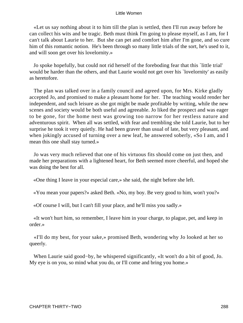«Let us say nothing about it to him till the plan is settled, then I'll run away before he can collect his wits and be tragic. Beth must think I'm going to please myself, as I am, for I can't talk about Laurie to her. But she can pet and comfort him after I'm gone, and so cure him of this romantic notion. He's been through so many little trials of the sort, he's used to it, and will soon get over his lovelornity.»

 Jo spoke hopefully, but could not rid herself of the foreboding fear that this `little trial' would be harder than the others, and that Laurie would not get over his `lovelornity' as easily as heretofore.

 The plan was talked over in a family council and agreed upon, for Mrs. Kirke gladly accepted Jo, and promised to make a pleasant home for her. The teaching would render her independent, and such leisure as she got might be made profitable by writing, while the new scenes and society would be both useful and agreeable. Jo liked the prospect and was eager to be gone, for the home nest was growing too narrow for her restless nature and adventurous spirit. When all was settled, with fear and trembling she told Laurie, but to her surprise he took it very quietly. He had been graver than usual of late, but very pleasant, and when jokingly accused of turning over a new leaf, he answered soberly, «So I am, and I mean this one shall stay turned.»

 Jo was very much relieved that one of his virtuous fits should come on just then, and made her preparations with a lightened heart, for Beth seemed more cheerful, and hoped she was doing the best for all.

«One thing I leave in your especial care,» she said, the night before she left.

«You mean your papers?» asked Beth. «No, my boy. Be very good to him, won't you?»

«Of course I will, but I can't fill your place, and he'll miss you sadly.»

 «It won't hurt him, so remember, I leave him in your charge, to plague, pet, and keep in order.»

 «I'll do my best, for your sake,» promised Beth, wondering why Jo looked at her so queerly.

 When Laurie said good−by, he whispered significantly, «It won't do a bit of good, Jo. My eye is on you, so mind what you do, or I'll come and bring you home.»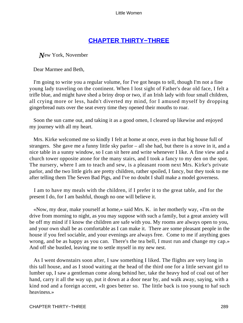# **[CHAPTER THIRTY−THREE](#page-420-0)**

*N*ew York, November

Dear Marmee and Beth,

 I'm going to write you a regular volume, for I've got heaps to tell, though I'm not a fine young lady traveling on the continent. When I lost sight of Father's dear old face, I felt a trifle blue, and might have shed a briny drop or two, if an Irish lady with four small children, all crying more or less, hadn't diverted my mind, for I amused myself by dropping gingerbread nuts over the seat every time they opened their mouths to roar.

 Soon the sun came out, and taking it as a good omen, I cleared up likewise and enjoyed my journey with all my heart.

 Mrs. Kirke welcomed me so kindly I felt at home at once, even in that big house full of strangers. She gave me a funny little sky parlor – all she had, but there is a stove in it, and a nice table in a sunny window, so I can sit here and write whenever I like. A fine view and a church tower opposite atone for the many stairs, and I took a fancy to my den on the spot. The nursery, where I am to teach and sew, is a pleasant room next Mrs. Kirke's private parlor, and the two little girls are pretty children, rather spoiled, I fancy, but they took to me after telling them The Seven Bad Pigs, and I've no doubt I shall make a model governess.

 I am to have my meals with the children, if I prefer it to the great table, and for the present I do, for I am bashful, though no one will believe it.

 «Now, my dear, make yourself at home,» said Mrs. K. in her motherly way, «I'm on the drive from morning to night, as you may suppose with such a family, but a great anxiety will be off my mind if I know the children are safe with you. My rooms are always open to you, and your own shall be as comfortable as I can make it. There are some pleasant people in the house if you feel sociable, and your evenings are always free. Come to me if anything goes wrong, and be as happy as you can. There's the tea bell, I must run and change my cap.» And off she bustled, leaving me to settle myself in my new nest.

 As I went downstairs soon after, I saw something I liked. The flights are very long in this tall house, and as I stood waiting at the head of the third one for a little servant girl to lumber up, I saw a gentleman come along behind her, take the heavy hod of coal out of her hand, carry it all the way up, put it down at a door near by, and walk away, saying, with a kind nod and a foreign accent, «It goes better so. The little back is too young to haf such heaviness.»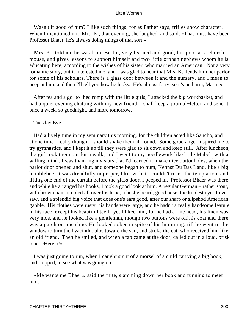Wasn't it good of him? I like such things, for as Father says, trifles show character. When I mentioned it to Mrs. K., that evening, she laughed, and said, «That must have been Professor Bhaer, he's always doing things of that sort.»

 Mrs. K. told me he was from Berlin, very learned and good, but poor as a church mouse, and gives lessons to support himself and two little orphan nephews whom he is educating here, according to the wishes of his sister, who married an American. Not a very romantic story, but it interested me, and I was glad to hear that Mrs. K. lends him her parlor for some of his scholars. There is a glass door between it and the nursery, and I mean to peep at him, and then I'll tell you how he looks. He's almost forty, so it's no harm, Marmee.

 After tea and a go−to−bed romp with the little girls, I attacked the big workbasket, and had a quiet evening chatting with my new friend. I shall keep a journal−letter, and send it once a week, so goodnight, and more tomorrow.

Tuesday Eve

 Had a lively time in my seminary this morning, for the children acted like Sancho, and at one time I really thought I should shake them all round. Some good angel inspired me to try gymnastics, and I kept it up till they were glad to sit down and keep still. After luncheon, the girl took them out for a walk, and I went to my needlework like little Mabel `with a willing mind'. I was thanking my stars that I'd learned to make nice buttonholes, when the parlor door opened and shut, and someone began to hum, Kennst Du Das Land, like a big bumblebee. It was dreadfully improper, I know, but I couldn't resist the temptation, and lifting one end of the curtain before the glass door, I peeped in. Professor Bhaer was there, and while he arranged his books, I took a good look at him. A regular German – rather stout, with brown hair tumbled all over his head, a bushy beard, good nose, the kindest eyes I ever saw, and a splendid big voice that does one's ears good, after our sharp or slipshod American gabble. His clothes were rusty, his hands were large, and he hadn't a really handsome feature in his face, except his beautiful teeth, yet I liked him, for he had a fine head, his linen was very nice, and he looked like a gentleman, though two buttons were off his coat and there was a patch on one shoe. He looked sober in spite of his humming, till he went to the window to turn the hyacinth bulbs toward the sun, and stroke the cat, who received him like an old friend. Then he smiled, and when a tap came at the door, called out in a loud, brisk tone, «Herein!»

 I was just going to run, when I caught sight of a morsel of a child carrying a big book, and stopped, to see what was going on.

 «Me wants me Bhaer,» said the mite, slamming down her book and running to meet him.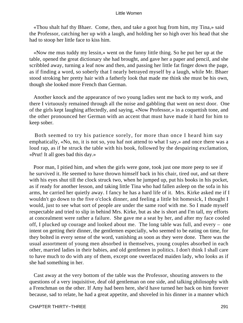«Thou shalt haf thy Bhaer. Come, then, and take a goot hug from him, my Tina,» said the Professor, catching her up with a laugh, and holding her so high over his head that she had to stoop her little face to kiss him.

 «Now me mus tuddy my lessin,» went on the funny little thing. So he put her up at the table, opened the great dictionary she had brought, and gave her a paper and pencil, and she scribbled away, turning a leaf now and then, and passing her little fat finger down the page, as if finding a word, so soberly that I nearly betrayed myself by a laugh, while Mr. Bhaer stood stroking her pretty hair with a fatherly look that made me think she must be his own, though she looked more French than German.

 Another knock and the appearance of two young ladies sent me back to my work, and there I virtuously remained through all the noise and gabbling that went on next door. One of the girls kept laughing affectedly, and saying, «Now Professor,» in a coquettish tone, and the other pronounced her German with an accent that must have made it hard for him to keep sober.

 Both seemed to try his patience sorely, for more than once I heard him say emphatically, «No, no, it is not so, you haf not attend to what I say,» and once there was a loud rap, as if he struck the table with his book, followed by the despairing exclamation, «Prut! It all goes bad this day.»

 Poor man, I pitied him, and when the girls were gone, took just one more peep to see if he survived it. He seemed to have thrown himself back in his chair, tired out, and sat there with his eyes shut till the clock struck two, when he jumped up, put his books in his pocket, as if ready for another lesson, and taking little Tina who had fallen asleep on the sofa in his arms, he carried her quietly away. I fancy he has a hard life of it. Mrs. Kirke asked me if I wouldn't go down to the five o'clock dinner, and feeling a little bit homesick, I thought I would, just to see what sort of people are under the same roof with me. So I made myself respectable and tried to slip in behind Mrs. Kirke, but as she is short and I'm tall, my efforts at concealment were rather a failure. She gave me a seat by her, and after my face cooled off, I plucked up courage and looked about me. The long table was full, and every – one intent on getting their dinner, the gentlemen especially, who seemed to be eating on time, for they bolted in every sense of the word, vanishing as soon as they were done. There was the usual assortment of young men absorbed in themselves, young couples absorbed in each other, married ladies in their babies, and old gentlemen in politics. I don't think I shall care to have much to do with any of them, except one sweetfaced maiden lady, who looks as if she had something in her.

 Cast away at the very bottom of the table was the Professor, shouting answers to the questions of a very inquisitive, deaf old gentleman on one side, and talking philosophy with a Frenchman on the other. If Amy had been here, she'd have turned her back on him forever because, sad to relate, he had a great appetite, and shoveled in his dinner in a manner which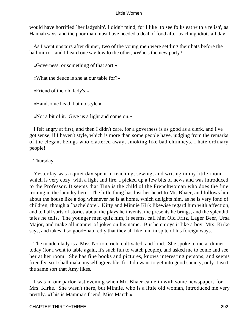would have horrified `her ladyship'. I didn't mind, for I like `to see folks eat with a relish', as Hannah says, and the poor man must have needed a deal of food after teaching idiots all day.

 As I went upstairs after dinner, two of the young men were settling their hats before the hall mirror, and I heard one say low to the other, «Who's the new party?»

«Governess, or something of that sort.»

«What the deuce is she at our table for?»

«Friend of the old lady's.»

«Handsome head, but no style.»

«Not a bit of it. Give us a light and come on.»

 I felt angry at first, and then I didn't care, for a governess is as good as a clerk, and I've got sense, if I haven't style, which is more than some people have, judging from the remarks of the elegant beings who clattered away, smoking like bad chimneys. I hate ordinary people!

# Thursday

 Yesterday was a quiet day spent in teaching, sewing, and writing in my little room, which is very cozy, with a light and fire. I picked up a few bits of news and was introduced to the Professor. It seems that Tina is the child of the Frenchwoman who does the fine ironing in the laundry here. The little thing has lost her heart to Mr. Bhaer, and follows him about the house like a dog whenever he is at home, which delights him, as he is very fond of children, though a `bacheldore'. Kitty and Minnie Kirk likewise regard him with affection, and tell all sorts of stories about the plays he invents, the presents he brings, and the splendid tales he tells. The younger men quiz him, it seems, call him Old Fritz, Lager Beer, Ursa Major, and make all manner of jokes on his name. But he enjoys it like a boy, Mrs. Kirke says, and takes it so good−naturedly that they all like him in spite of his foreign ways.

 The maiden lady is a Miss Norton, rich, cultivated, and kind. She spoke to me at dinner today (for I went to table again, it's such fun to watch people), and asked me to come and see her at her room. She has fine books and pictures, knows interesting persons, and seems friendly, so I shall make myself agreeable, for I do want to get into good society, only it isn't the same sort that Amy likes.

 I was in our parlor last evening when Mr. Bhaer came in with some newspapers for Mrs. Kirke. She wasn't there, but Minnie, who is a little old woman, introduced me very prettily. «This is Mamma's friend, Miss March.»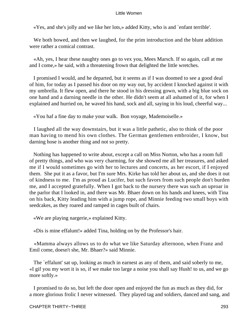«Yes, and she's jolly and we like her lots,» added Kitty, who is and `enfant terrible'.

 We both bowed, and then we laughed, for the prim introduction and the blunt addition were rather a comical contrast.

 «Ah, yes, I hear these naughty ones go to vex you, Mees Marsch. If so again, call at me and I come,» he said, with a threatening frown that delighted the little wretches.

 I promised I would, and he departed, but it seems as if I was doomed to see a good deal of him, for today as I passed his door on my way out, by accident I knocked against it with my umbrella. It flew open, and there he stood in his dressing gown, with a big blue sock on one hand and a darning needle in the other. He didn't seem at all ashamed of it, for when I explained and hurried on, he waved his hand, sock and all, saying in his loud, cheerful way...

«You haf a fine day to make your walk. Bon voyage, Mademoiselle.»

 I laughed all the way downstairs, but it was a little pathetic, also to think of the poor man having to mend his own clothes. The German gentlemen embroider, I know, but darning hose is another thing and not so pretty.

 Nothing has happened to write about, except a call on Miss Norton, who has a room full of pretty things, and who was very charming, for she showed me all her treasures, and asked me if I would sometimes go with her to lectures and concerts, as her escort, if I enjoyed them. She put it as a favor, but I'm sure Mrs. Kirke has told her about us, and she does it out of kindness to me. I'm as proud as Lucifer, but such favors from such people don't burden me, and I accepted gratefully. When I got back to the nursery there was such an uproar in the parlor that I looked in, and there was Mr. Bhaer down on his hands and knees, with Tina on his back, Kitty leading him with a jump rope, and Minnie feeding two small boys with seedcakes, as they roared and ramped in cages built of chairs.

«We are playing nargerie,» explained Kitty.

«Dis is mine effalunt!» added Tina, holding on by the Professor's hair.

 «Mamma always allows us to do what we like Saturday afternoon, when Franz and Emil come, doesn't she, Mr. Bhaer?» said Minnie.

 The `effalunt' sat up, looking as much in earnest as any of them, and said soberly to me, «I gif you my wort it is so, if we make too large a noise you shall say Hush! to us, and we go more softly.»

 I promised to do so, but left the door open and enjoyed the fun as much as they did, for a more glorious frolic I never witnessed. They played tag and soldiers, danced and sang, and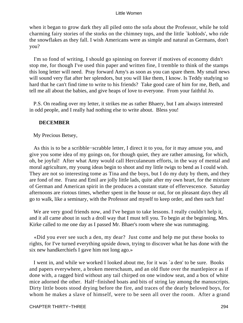when it began to grow dark they all piled onto the sofa about the Professor, while he told charming fairy stories of the storks on the chimney tops, and the little `koblods', who ride the snowflakes as they fall. I wish Americans were as simple and natural as Germans, don't you?

 I'm so fond of writing, I should go spinning on forever if motives of economy didn't stop me, for though I've used thin paper and written fine, I tremble to think of the stamps this long letter will need. Pray forward Amy's as soon as you can spare them. My small news will sound very flat after her splendors, but you will like them, I know. Is Teddy studying so hard that he can't find time to write to his friends? Take good care of him for me, Beth, and tell me all about the babies, and give heaps of love to everyone. From your faithful Jo.

 P.S. On reading over my letter, it strikes me as rather Bhaery, but I am always interested in odd people, and I really had nothing else to write about. Bless you!

# **DECEMBER**

My Precious Betsey,

 As this is to be a scribble−scrabble letter, I direct it to you, for it may amuse you, and give you some idea of my goings on, for though quiet, they are rather amusing, for which, oh, be joyful! After what Amy would call Herculaneum efforts, in the way of mental and moral agriculture, my young ideas begin to shoot and my little twigs to bend as I could wish. They are not so interesting tome as Tina and the boys, but I do my duty by them, and they are fond of me. Franz and Emil are jolly little lads, quite after my own heart, for the mixture of German and American spirit in the produces a constant state of effervescence. Saturday afternoons are riotous times, whether spent in the house or out, for on pleasant days they all go to walk, like a seminary, with the Professor and myself to keep order, and then such fun!

 We are very good friends now, and I've begun to take lessons. I really couldn't help it, and it all came about in such a droll way that I must tell you. To begin at the beginning, Mrs. Kirke called to me one day as I passed Mr. Bhaer's room where she was rummaging.

 «Did you ever see such a den, my dear? Just come and help me put these books to rights, for I've turned everything upside down, trying to discover what he has done with the six new handkerchiefs I gave him not long ago.»

 I went in, and while we worked I looked about me, for it was `a den' to be sure. Books and papers everywhere, a broken meerschaum, and an old flute over the mantlepiece as if done with, a ragged bird without any tail chirped on one window seat, and a box of white mice adorned the other. Half−finished boats and bits of string lay among the manuscripts. Dirty little boots stood drying before the fire, and traces of the dearly beloved boys, for whom he makes a slave of himself, were to be seen all over the room. After a grand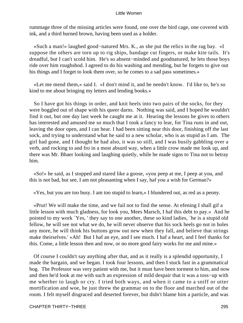rummage three of the missing articles were found, one over the bird cage, one covered with ink, and a third burned brown, having been used as a holder.

 «Such a man!» laughed good−natured Mrs. K., as she put the relics in the rag bay. «I suppose the others are torn up to rig ships, bandage cut fingers, or make kite tails. It's dreadful, but I can't scold him. He's so absent−minded and goodnatured, he lets those boys ride over him roughshod. I agreed to do his washing and mending, but he forgets to give out his things and I forget to look them over, so he comes to a sad pass sometimes.»

 «Let me mend them,» said I. «I don't mind it, and he needn't know. I'd like to, he's so kind to me about bringing my letters and lending books.»

 So I have got his things in order, and knit heels into two pairs of the socks, for they were boggled out of shape with his queer darns. Nothing was said, and I hoped he wouldn't find it out, but one day last week he caught me at it. Hearing the lessons he gives to others has interested and amused me so much that I took a fancy to lear, for Tina runs in and out, leaving the door open, and I can hear. I had been sitting near this door, finishing off the last sock, and trying to understand what he said to a new scholar, who is as stupid as I am. The girl had gone, and I thought he had also, it was so still, and I was busily gabbling over a verb, and rocking to and fro in a most absurd way, when a little crow made me look up, and there was Mr. Bhaer looking and laughing quietly, while he made signs to Tina not to betray him.

 «So!» he said, as I stopped and stared like a goose, «you peep at me, I peep at you, and this is not bad, but see, I am not pleasanting when I say, haf you a wish for German?»

«Yes, but you are too busy. I am too stupid to learn,» I blundered out, as red as a peony.

 «Prut! We will make the time, and we fail not to find the sense. At efening I shall gif a little lesson with much gladness, for look you, Mees Marsch, I haf this debt to pay.» And he pointed to my work `Yes, ' they say to one another, these so kind ladies, `he is a stupid old fellow, he will see not what we do, he will never observe that his sock heels go not in holes any more, he will think his buttons grow out new when they fall, and believe that strings make theirselves.' «Ah! But I haf an eye, and I see much. I haf a heart, and I feel thanks for this. Come, a little lesson then and now, or no more good fairy works for me and mine.»

 Of course I couldn't say anything after that, and as it really is a splendid opportunity, I made the bargain, and we began. I took four lessons, and then I stuck fast in a grammatical bog. The Professor was very patient with me, but it must have been torment to him, and now and then he'd look at me with such an expression of mild despair that it was a toss−up with me whether to laugh or cry. I tried both ways, and when it came to a sniff or utter mortification and woe, he just threw the grammar on to the floor and marched out of the room. I felt myself disgraced and deserted forever, but didn't blame him a particle, and was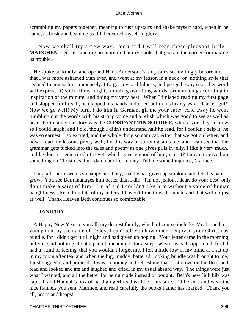scrambling my papers together, meaning to rush upstairs and shake myself hard, when in he came, as brisk and beaming as if I'd covered myself in glory.

 «Now we shall try a new way. You and I will read these pleasant little **MARCHEN** together, and dig no more in that dry book, that goes in the corner for making us trouble.»

 He spoke so kindly, and opened Hans Andersons's fairy tales so invitingly before me, that I was more ashamed than ever, and went at my lesson in a neck−or−nothing style that seemed to amuse him immensely. I forgot my bashfulness, and pegged away (no other word will express it) with all my might, tumbling over long words, pronouncing according to inspiration of the minute, and doing my very best. When I finished reading my first page, and stopped for breath, he clapped his hands and cried out in his hearty way, «Das ist gut!' Now we go well! My turn. I do him in German, gif me your ear.» And away he went, rumbling out the words with his strong voice and a relish which was good to see as well as hear. Fortunately the story was the **CONSTANT TIN SOLDIER,** which is droll, you know, so I could laugh, and I did, though I didn't understand half he read, for I couldn't help it, he was so earnest, I so excited, and the whole thing so comical. After that we got on better, and now I read my lessons pretty well, for this way of studying suits me, and I can see that the grammar gets tucked into the tales and poetry as one gives pills in jelly. I like it very much, and he doesn't seem tired of it yet, which is very good of him, isn't it? I mean to give him something on Christmas, for I dare not offer money. Tell me something nice, Marmee.

 I'm glad Laurie seems so happy and busy, that he has given up smoking and lets his hair grow. You see Beth manages him better than I did. I'm not jealous, dear, do your best, only don't make a saint of him. I'm afraid I couldn't like him without a spice of human naughtiness. Read him bits of my letters. I haven't time to write much, and that will do just as well. Thank Heaven Beth continues so comfortable.

# **JANUARY**

 A Happy New Year to you all, my dearest family, which of course includes Mr. L. and a young man by the name of Teddy. I can't tell you how much I enjoyed your Christmas bundle, for i didn't get it till night and had given up hoping. Your letter came in the morning, but you said nothing about a parcel, meaning it for a surprise, so I was disappointed, for I'd had a 'kind of feeling' that you wouldn't forget me. I felt a little low in my mind as I sat up in my room after tea, and when the big, muddy, battered−looking bundle was brought to me, I just hugged it and pranced. It was so homey and refreshing that I sat down on the floor and read and looked and ate and laughed and cried, in my usual absurd way. The things were just what I wanted, and all the better for being made instead of bought. Beth's new `ink bib' was capital, and Hannah's box of hard gingerbread will be a treasure. I'll be sure and wear the nice flannels you sent, Marmee, and read carefully the books Father has marked. Thank you all, heaps and heaps!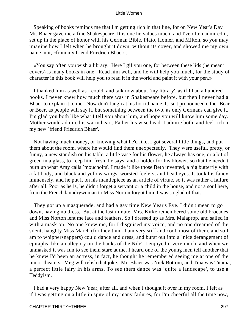Speaking of books reminds me that I'm getting rich in that line, for on New Year's Day Mr. Bhaer gave me a fine Shakespeare. It is one he values much, and I've often admired it, set up in the place of honor with his German Bible, Plato, Homer, and Milton, so you may imagine how I felt when he brought it down, without its cover, and showed me my own name in it, «from my friend Friedrich Bhaer».

 «You say often you wish a library. Here I gif you one, for between these lids (he meant covers) is many books in one. Read him well, and he will help you much, for the study of character in this book will help you to read it in the world and paint it with your pen.»

 I thanked him as well as I could, and talk now about `my library', as if I had a hundred books. I never knew how much there was in Shakespeare before, but then I never had a Bhaer to explain it to me. Now don't laugh at his horrid name. It isn't pronounced either Bear or Beer, as people will say it, but something between the two, as only Germans can give it. I'm glad you both like what I tell you about him, and hope you will know him some day. Mother would admire his warm heart, Father his wise head. I admire both, and feel rich in my new `friend Friedrich Bhaer'.

 Not having much money, or knowing what he'd like, I got several little things, and put them about the room, where he would find them unexpectedly. They were useful, pretty, or funny, a new standish on his table, a little vase for his flower, he always has one, or a bit of green in a glass, to keep him fresh, he says, and a holder for his blower, so that he needn't burn up what Amy calls `mouchoirs'. I made it like those Beth invented, a big butterfly with a fat body, and black and yellow wings, worsted feelers, and bead eyes. It took his fancy immensely, and he put it on his mantlepiece as an article of virtue, so it was rather a failure after all. Poor as he is, he didn't forget a servant or a child in the house, and not a soul here, from the French laundrywoman to Miss Norton forgot him. I was so glad of that.

 They got up a masquerade, and had a gay time New Year's Eve. I didn't mean to go down, having no dress. But at the last minute, Mrs. Kirke remembered some old brocades, and Miss Norton lent me lace and feathers. So I dressed up as Mrs. Malaprop, and sailed in with a mask on. No one knew me, for I disguised my voice, and no one dreamed of the silent, haughty Miss March (for they think I am very stiff and cool, most of them, and so I am to whippersnappers) could dance and dress, and burst out into a `nice derangement of epitaphs, like an allegory on the banks of the Nile'. I enjoyed it very much, and when we unmasked it was fun to see them stare at me. I heard one of the young men tell another that he knew I'd been an actress, in fact, he thought he remembered seeing me at one of the minor theaters. Meg will relish that joke. Mr. Bhaer was Nick Bottom, and Tina was Titania, a perfect little fairy in his arms. To see them dance was `quite a landscape', to use a Teddyism.

 I had a very happy New Year, after all, and when I thought it over in my room, I felt as if I was getting on a little in spite of my many failures, for I'm cheerful all the time now,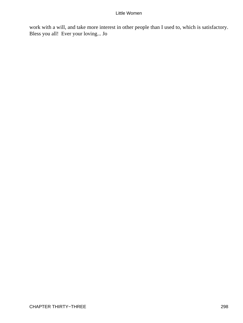work with a will, and take more interest in other people than I used to, which is satisfactory. Bless you all! Ever your loving... Jo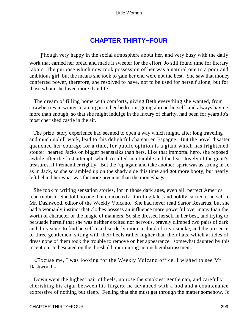# **[CHAPTER THIRTY−FOUR](#page-420-0)**

**Though very happy in the social atmosphere about her, and very busy with the daily** work that earned her bread and made it sweeter for the effort, Jo still found time for literary labors. The purpose which now took possession of her was a natural one to a poor and ambitious girl, but the means she took to gain her end were not the best. She saw that money conferred power, therefore, she resolved to have, not to be used for herself alone, but for those whom she loved more than life.

 The dream of filling home with comforts, giving Beth everything she wanted, from strawberries in winter to an organ in her bedroom, going abroad herself, and always having more than enough, so that she might indulge in the luxury of charity, had been for years Jo's most cherished castle in the air.

 The prize−story experience had seemed to open a way which might, after long traveling and much uphill work, lead to this delightful chateau en Espagne. But the novel disaster quenched her courage for a time, for public opinion is a giant which has frightened stouter−hearted Jacks on bigger beanstalks than hers. Like that immortal hero, she reposed awhile after the first attempt, which resulted in a tumble and the least lovely of the giant's treasures, if I remember rightly. But the `up again and take another' spirit was as strong in Jo as in Jack, so she scrambled up on the shady side this time and got more booty, but nearly left behind her what was far more precious than the moneybags.

 She took to writing sensation stories, for in those dark ages, even all−perfect America read rubbish. She told no one, but concocted a `thrilling tale', and boldly carried it herself to Mr. Dashwood, editor of the Weekly Volcano. She had never read Sartor Resartus, but she had a womanly instinct that clothes possess an influence more powerful over many than the worth of character or the magic of manners. So she dressed herself in her best, and trying to persuade herself that she was neither excited nor nervous, bravely climbed two pairs of dark and dirty stairs to find herself in a disorderly room, a cloud of cigar smoke, and the presence of three gentlemen, sitting with their heels rather higher than their hats, which articles of dress none of them took the trouble to remove on her appearance. somewhat daunted by this reception, Jo hesitated on the threshold, murmuring in much embarrassment...

 «Excuse me, I was looking for the Weekly Volcano office. I wished to see Mr. Dashwood.»

 Down went the highest pair of heels, up rose the smokiest gentleman, and carefully cherishing his cigar between his fingers, he advanced with a nod and a countenance expressive of nothing but sleep. Feeling that she must get through the matter somehow, Jo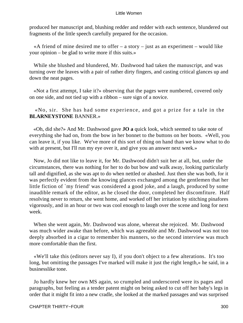produced her manuscript and, blushing redder and redder with each sentence, blundered out fragments of the little speech carefully prepared for the occasion.

«A friend of mine desired me to offer  $-$  a story  $-$  just as an experiment  $-$  would like your opinion – be glad to write more if this suits.»

 While she blushed and blundered, Mr. Dashwood had taken the manuscript, and was turning over the leaves with a pair of rather dirty fingers, and casting critical glances up and down the neat pages.

 «Not a first attempt, I take it?» observing that the pages were numbered, covered only on one side, and not tied up with a ribbon – sure sign of a novice.

 «No, sir. She has had some experience, and got a prize for a tale in the **BLARNEYSTONE** BANNER.»

 «Oh, did she?» And Mr. Dashwood gave **JO a** quick look, which seemed to take note of everything she had on, from the bow in her bonnet to the buttons on her boots. «Well, you can leave it, if you like. We've more of this sort of thing on hand than we know what to do with at present, but I'll run my eye over it, and give you an answer next week.»

 Now, Jo did not like to leave it, for Mr. Dashwood didn't suit her at all, but, under the circumstances, there was nothing for her to do but bow and walk away, looking particularly tall and dignified, as she was apt to do when nettled or abashed. Just then she was both, for it was perfectly evident from the knowing glances exchanged among the gentlemen that her little fiction of `my friend' was considered a good joke, and a laugh, produced by some inaudible remark of the editor, as he closed the door, completed her discomfiture. Half resolving never to return, she went home, and worked off her irritation by stitching pinafores vigorously, and in an hour or two was cool enough to laugh over the scene and long for next week.

 When she went again, Mr. Dashwood was alone, whereat she rejoiced. Mr. Dashwood was much wider awake than before, which was agreeable and Mr. Dashwood was not too deeply absorbed in a cigar to remember his manners, so the second interview was much more comfortable than the first.

 «We'll take this (editors never say I), if you don't object to a few alterations. It's too long, but omitting the passages I've marked will make it just the right length,» he said, in a businesslike tone.

 Jo hardly knew her own MS again, so crumpled and underscored were its pages and paragraphs, but feeling as a tender patent might on being asked to cut off her baby's legs in order that it might fit into a new cradle, she looked at the marked passages and was surprised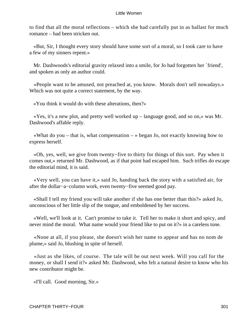to find that all the moral reflections – which she had carefully put in as ballast for much romance – had been stricken out.

 «But, Sir, I thought every story should have some sort of a moral, so I took care to have a few of my sinners repent.»

 Mr. Dashwoods's editorial gravity relaxed into a smile, for Jo had forgotten her `friend', and spoken as only an author could.

 «People want to be amused, not preached at, you know. Morals don't sell nowadays.» Which was not quite a correct statement, by the way.

«You think it would do with these alterations, then?»

 «Yes, it's a new plot, and pretty well worked up – language good, and so on,» was Mr. Dashwood's affable reply.

«What do you – that is, what compensation – » began Jo, not exactly knowing how to express herself.

 «Oh, yes, well, we give from twenty−five to thirty for things of this sort. Pay when it comes out,» returned Mr. Dashwood, as if that point had escaped him. Such trifles do escape the editorial mind, it is said.

 «Very well, you can have it,» said Jo, handing back the story with a satisfied air, for after the dollar−a−column work, even twenty−five seemed good pay.

 «Shall I tell my friend you will take another if she has one better than this?» asked Jo, unconscious of her little slip of the tongue, and emboldened by her success.

 «Well, we'll look at it. Can't promise to take it. Tell her to make it short and spicy, and never mind the moral. What name would your friend like to put on it?» in a careless tone.

 «None at all, if you please, she doesn't wish her name to appear and has no nom de plume,» said Jo, blushing in spite of herself.

 «Just as she likes, of course. The tale will be out next week. Will you call for the money, or shall I send it?» asked Mr. Dashwood, who felt a natural desire to know who his new contributor might be.

«I'll call. Good morning, Sir.»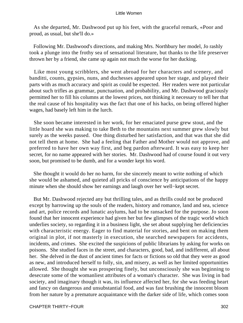As she departed, Mr. Dashwood put up his feet, with the graceful remark, «Poor and proud, as usual, but she'll do.»

 Following Mr. Dashwood's directions, and making Mrs. Northbury her model, Jo rashly took a plunge into the frothy sea of sensational literature, but thanks to the life preserver thrown her by a friend, she came up again not much the worse for her ducking.

 Like most young scribblers, she went abroad for her characters and scenery, and banditti, counts, gypsies, nuns, and duchesses appeared upon her stage, and played their parts with as much accuracy and spirit as could be expected. Her readers were not particular about such trifles as grammar, punctuation, and probability, and Mr. Dashwood graciously permitted her to fill his columns at the lowest prices, not thinking it necessary to tell her that the real cause of his hospitality was the fact that one of his hacks, on being offered higher wages, had basely left him in the lurch.

 She soon became interested in her work, for her emaciated purse grew stout, and the little hoard she was making to take Beth to the mountains next summer grew slowly but surely as the weeks passed. One thing disturbed her satisfaction, and that was that she did not tell them at home. She had a feeling that Father and Mother would not approve, and preferred to have her own way first, and beg pardon afterward. It was easy to keep her secret, for no name appeared with her stories. Mr. Dashwood had of course found it out very soon, but promised to be dumb, and for a wonder kept his word.

 She thought it would do her no harm, for she sincerely meant to write nothing of which she would be ashamed, and quieted all pricks of conscience by anticipations of the happy minute when she should show her earnings and laugh over her well−kept secret.

 But Mr. Dashwood rejected any but thrilling tales, and as thrills could not be produced except by harrowing up the souls of the readers, history and romance, land and sea, science and art, police records and lunatic asylums, had to be ransacked for the purpose. Jo soon found that her innocent experience had given her but few glimpses of the tragic world which underlies society, so regarding it in a business light, she set about supplying her deficiencies with characteristic energy. Eager to find material for stories, and bent on making them original in plot, if not masterly in execution, she searched newspapers for accidents, incidents, and crimes. She excited the suspicions of public librarians by asking for works on poisons. She studied faces in the street, and characters, good, bad, and indifferent, all about her. She delved in the dust of ancient times for facts or fictions so old that they were as good as new, and introduced herself to folly, sin, and misery, as well as her limited opportunities allowed. She thought she was prospering finely, but unconsciously she was beginning to desecrate some of the womanliest attributes of a woman's character. She was living in bad society, and imaginary though it was, its influence affected her, for she was feeding heart and fancy on dangerous and unsubstantial food, and was fast brushing the innocent bloom from her nature by a premature acquaintance with the darker side of life, which comes soon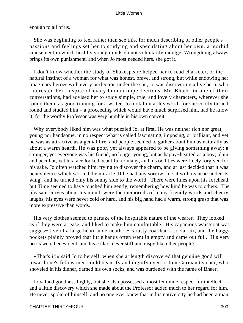enough to all of us.

 She was beginning to feel rather than see this, for much describing of other people's passions and feelings set her to studying and speculating about her own. a morbid amusement in which healthy young minds do not voluntarily indulge. Wrongdoing always brings its own punishment, and when Jo most needed hers, she got it.

 I don't know whether the study of Shakespeare helped her to read character, or the natural instinct of a woman for what was honest, brave, and strong, but while endowing her imaginary heroes with every perfection under the sun, Jo was discovering a live hero, who interested her in spite of many human imperfections. Mr. Bhaer, in one of their conversations, had advised her to study simple, true, and lovely characters, wherever she found them, as good training for a writer. Jo took him at his word, for she coolly turned round and studied him – a proceeding which would have much surprised him, had he know it, for the worthy Professor was very humble in his own conceit.

 Why everybody liked him was what puzzled Jo, at first. He was neither rich nor great, young nor handsome, in no respect what is called fascinating, imposing, or brilliant, and yet he was as attractive as a genial fire, and people seemed to gather about him as naturally as about a warm hearth. He was poor, yet always appeared to be giving something away; a stranger, yet everyone was his friend; no longer young, but as happy−hearted as a boy; plain and peculiar, yet his face looked beautiful to many, and his oddities were freely forgiven for his sake. Jo often watched him, trying to discover the charm, and at last decided that it was benevolence which worked the miracle. If he had any sorrow, `it sat with its head under its wing', and he turned only his sunny side to the world. There were lines upon his forehead, but Time seemed to have touched him gently, remembering how kind he was to others. The pleasant curves about his mouth were the memorials of many friendly words and cheery laughs, his eyes were never cold or hard, and his big hand had a warm, strong grasp that was more expressive than words.

 His very clothes seemed to partake of the hospitable nature of the wearer. They looked as if they were at ease, and liked to make him comfortable. His capacious waistcoat was sugges− tive of a large heart underneath. His rusty coat had a social air, and the baggy pockets plainly proved that little hands often went in empty and came out full. His very boots were benevolent, and his collars never stiff and raspy like other people's.

 «That's it!» said Jo to herself, when she at length discovered that genuine good will toward one's fellow men could beautify and dignify even a stout German teacher, who shoveled in his dinner, darned his own socks, and was burdened with the name of Bhaer.

 Jo valued goodness highly, but she also possessed a most feminine respect for intellect, and a little discovery which she made about the Professor added much to her regard for him. He never spoke of himself, and no one ever knew that in his native city he had been a man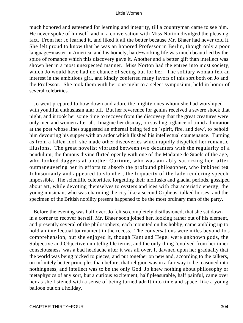much honored and esteemed for learning and integrity, till a countryman came to see him. He never spoke of himself, and in a conversation with Miss Norton divulged the pleasing fact. From her Jo learned it, and liked it all the better because Mr. Bhaer had never told it. She felt proud to know that he was an honored Professor in Berlin, though only a poor language−master in America, and his homely, hard−working life was much beautified by the spice of romance which this discovery gave it. Another and a better gift than intellect was shown her in a most unexpected manner. Miss Norton had the entree into most society, which Jo would have had no chance of seeing but for her. The solitary woman felt an interest in the ambitious girl, and kindly conferred many favors of this sort both on Jo and the Professor. She took them with her one night to a select symposium, held in honor of several celebrities.

 Jo went prepared to bow down and adore the mighty ones whom she had worshiped with youthful enthusiasm afar off. But her reverence for genius received a severe shock that night, and it took her some time to recover from the discovery that the great creatures were only men and women after all. Imagine her dismay, on stealing a glance of timid admiration at the poet whose lines suggested an ethereal being fed on `spirit, fire, and dew', to behold him devouring his supper with an ardor which flushed his intellectual countenance. Turning as from a fallen idol, she made other discoveries which rapidly dispelled her romantic illusions. The great novelist vibrated between two decanters with the regularity of a pendulum; the famous divine flirted openly with one of the Madame de Staels of the age, who looked daggers at another Corinne, who was amiably satirizing her, after outmaneuvering her in efforts to absorb the profound philosopher, who imbibed tea Johnsonianly and appeared to slumber, the loquacity of the lady rendering speech impossible. The scientific celebrities, forgetting their mollusks and glacial periods, gossiped about art, while devoting themselves to oysters and ices with characteristic energy; the young musician, who was charming the city like a second Orpheus, talked horses; and the specimen of the British nobility present happened to be the most ordinary man of the party.

 Before the evening was half over, Jo felt so completely disillusioned, that she sat down in a corner to recover herself. Mr. Bhaer soon joined her, looking rather out of his element, and presently several of the philosophers, each mounted on his hobby, came ambling up to hold an intellectual tournament in the recess. The conversations were miles beyond Jo's comprehension, but she enjoyed it, though Kant and Hegel were unknown gods, the Subjective and Objective unintelligible terms, and the only thing `evolved from her inner consciousness' was a bad headache after it was all over. It dawned upon her gradually that the world was being picked to pieces, and put together on new and, according to the talkers, on infinitely better principles than before, that religion was in a fair way to be reasoned into nothingness, and intellect was to be the only God. Jo knew nothing about philosophy or metaphysics of any sort, but a curious excitement, half pleasurable, half painful, came over her as she listened with a sense of being turned adrift into time and space, like a young balloon out on a holiday.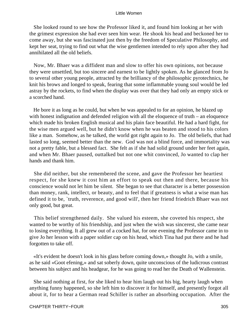She looked round to see how the Professor liked it, and found him looking at her with the grimest expression she had ever seen him wear. He shook his head and beckoned her to come away, but she was fascinated just then by the freedom of Speculative Philosophy, and kept her seat, trying to find out what the wise gentlemen intended to rely upon after they had annihilated all the old beliefs.

 Now, Mr. Bhaer was a diffident man and slow to offer his own opinions, not because they were unsettled, but too sincere and earnest to be lightly spoken. As he glanced from Jo to several other young people, attracted by the brilliancy of the philosophic pyrotechnics, he knit his brows and longed to speak, fearing that some inflammable young soul would be led astray by the rockets, to find when the display was over that they had only an empty stick or a scorched hand.

 He bore it as long as he could, but when he was appealed to for an opinion, he blazed up with honest indignation and defended religion with all the eloquence of truth – an eloquence which made his broken English musical and his plain face beautiful. He had a hard fight, for the wise men argued well, but he didn't know when he was beaten and stood to his colors like a man. Somehow, as he talked, the world got right again to Jo. The old beliefs, that had lasted so long, seemed better than the new. God was not a blind force, and immortality was not a pretty fable, but a blessed fact. She felt as if she had solid ground under her feet again, and when Mr. Bhaer paused, outtalked but not one whit convinced, Jo wanted to clap her hands and thank him.

 She did neither, but she remembered the scene, and gave the Professor her heartiest respect, for she knew it cost him an effort to speak out then and there, because his conscience would not let him be silent. She began to see that character is a better possession than money, rank, intellect, or beauty, and to feel that if greatness is what a wise man has defined it to be, `truth, reverence, and good will', then her friend friedrich Bhaer was not only good, but great.

 This belief strengthened daily. She valued his esteem, she coveted his respect, she wanted to be worthy of his friendship, and just when the wish was sincerest, she came near to losing everything. It all grew out of a cocked hat, for one evening the Professor came in to give Jo her lesson with a paper soldier cap on his head, which Tina had put there and he had forgotten to take off.

 «It's evident he doesn't look in his glass before coming down,» thought Jo, with a smile, as he said «Goot efening,» and sat soberly down, quite unconscious of the ludicrous contrast between his subject and his headgear, for he was going to read her the Death of Wallenstein.

 She said nothing at first, for she liked to hear him laugh out his big, hearty laugh when anything funny happened, so she left him to discover it for himself, and presently forgot all about it, for to hear a German read Schiller is rather an absorbing occupation. After the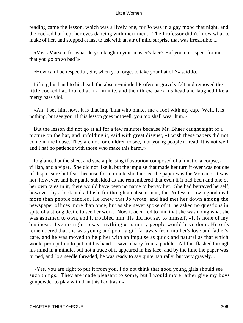reading came the lesson, which was a lively one, for Jo was in a gay mood that night, and the cocked hat kept her eyes dancing with merriment. The Professor didn't know what to make of her, and stopped at last to ask with an air of mild surprise that was irresistible ...

 «Mees Marsch, for what do you laugh in your master's face? Haf you no respect for me, that you go on so bad?»

«How can I be respectful, Sir, when you forget to take your hat off?» said Jo.

 Lifting his hand to his head, the absent−minded Professor gravely felt and removed the little cocked hat, looked at it a minute, and then threw back his head and laughed like a merry bass viol.

 «Ah! I see him now, it is that imp Tina who makes me a fool with my cap. Well, it is nothing, but see you, if this lesson goes not well, you too shall wear him.»

 But the lesson did not go at all for a few minutes because Mr. Bhaer caught sight of a picture on the hat, and unfolding it, said with great disgust, «I wish these papers did not come in the house. They are not for children to see, nor young people to read. It is not well, and I haf no patience with those who make this harm.»

 Jo glanced at the sheet and saw a pleasing illustration composed of a lunatic, a corpse, a villian, and a viper. She did not like it, but the impulse that made her turn it over was not one of displeasure but fear, because for a minute she fancied the paper was the Volcano. It was not, however, and her panic subsided as she remembered that even if it had been and one of her own tales in it, there would have been no name to betray her. She had betrayed herself, however, by a look and a blush, for though an absent man, the Professor saw a good deal more than people fancied. He knew that Jo wrote, and had met her down among the newspaper offices more than once, but as she never spoke of it, he asked no questions in spite of a strong desire to see her work. Now it occurred to him that she was doing what she was ashamed to own, and it troubled him. He did not say to himself, «It is none of my business. I've no right to say anything,» as many people would have done. He only remembered that she was young and poor, a girl far away from mother's love and father's care, and he was moved to help her with an impulse as quick and natural as that which would prompt him to put out his hand to save a baby from a puddle. All this flashed through his mind in a minute, but not a trace of it appeared in his face, and by the time the paper was turned, and Jo's needle threaded, he was ready to say quite naturally, but very gravely...

 «Yes, you are right to put it from you. I do not think that good young girls should see such things. They are made pleasant to some, but I would more rather give my boys gunpowder to play with than this bad trash.»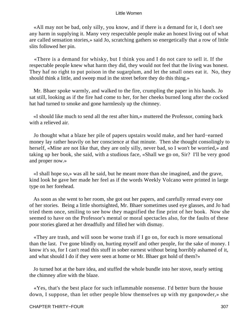«All may not be bad, only silly, you know, and if there is a demand for it, I don't see any harm in supplying it. Many very respectable people make an honest living out of what are called sensation stories,» said Jo, scratching gathers so energetically that a row of little slits followed her pin.

 «There is a demand for whisky, but I think you and I do not care to sell it. If the respectable people knew what harm they did, they would not feel that the living was honest. They haf no right to put poison in the sugarplum, and let the small ones eat it. No, they should think a little, and sweep mud in the street before they do this thing.»

 Mr. Bhaer spoke warmly, and walked to the fire, crumpling the paper in his hands. Jo sat still, looking as if the fire had come to her, for her cheeks burned long after the cocked hat had turned to smoke and gone harmlessly up the chimney.

 «I should like much to send all the rest after him,» muttered the Professor, coming back with a relieved air.

 Jo thought what a blaze her pile of papers upstairs would make, and her hard−earned money lay rather heavily on her conscience at that minute. Then she thought consolingly to herself, «Mine are not like that, they are only silly, never bad, so I won't be worried,» and taking up her book, she said, with a studious face, «Shall we go on, Sir? I'll be very good and proper now.»

 «I shall hope so,» was all he said, but he meant more than she imagined, and the grave, kind look he gave her made her feel as if the words Weekly Volcano were printed in large type on her forehead.

 As soon as she went to her room, she got out her papers, and carefully reread every one of her stories. Being a little shortsighted, Mr. Bhaer sometimes used eye glasses, and Jo had tried them once, smiling to see how they magnified the fine print of her book. Now she seemed to have on the Professor's mental or moral spectacles also, for the faults of these poor stories glared at her dreadfully and filled her with dismay.

 «They are trash, and will soon be worse trash if I go on, for each is more sensational than the last. I've gone blindly on, hurting myself and other people, for the sake of money. I know it's so, for I can't read this stuff in sober earnest without being horribly ashamed of it, and what should I do if they were seen at home or Mr. Bhaer got hold of them?»

 Jo turned hot at the bare idea, and stuffed the whole bundle into her stove, nearly setting the chimney afire with the blaze.

 «Yes, that's the best place for such inflammable nonsense. I'd better burn the house down, I suppose, than let other people blow themselves up with my gunpowder,» she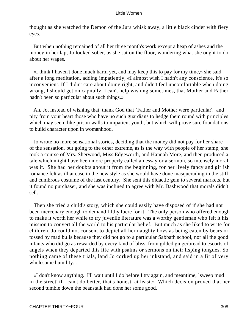thought as she watched the Demon of the Jura whisk away, a little black cinder with fiery eyes.

 But when nothing remained of all her three month's work except a heap of ashes and the money in her lap, Jo looked sober, as she sat on the floor, wondering what she ought to do about her wages.

 «I think I haven't done much harm yet, and may keep this to pay for my time,» she said, after a long meditation, adding impatiently, «I almost wish I hadn't any conscience, it's so inconvenient. If I didn't care about doing right, and didn't feel uncomfortable when doing wrong, I should get on capitally. I can't help wishing sometimes, that Mother and Father hadn't been so particular about such things.»

 Ah, Jo, instead of wishing that, thank God that `Father and Mother were particular'. and pity from your heart those who have no such guardians to hedge them round with principles which may seem like prison walls to impatient youth, but which will prove sure foundations to build character upon in womanhood.

 Jo wrote no more sensational stories, deciding that the money did not pay for her share of the sensation, but going to the other extreme, as is the way with people of her stamp, she took a course of Mrs. Sherwood, Miss Edgeworth, and Hannah More, and then produced a tale which might have been more properly called an essay or a sermon, so intensely moral was it. She had her doubts about it from the beginning, for her lively fancy and girlish romance felt as ill at ease in the new style as she would have done masquerading in the stiff and cumbrous costume of the last century. She sent this didactic gem to several markets, but it found no purchaser, and she was inclined to agree with Mr. Dashwood that morals didn't sell.

 Then she tried a child's story, which she could easily have disposed of if she had not been mercenary enough to demand filthy lucre for it. The only person who offered enough to make it worth her while to try juvenile literature was a worthy gentleman who felt it his mission to convert all the world to his particular belief. But much as she liked to write for children, Jo could not consent to depict all her naughty boys as being eaten by bears or tossed by mad bulls because they did not go to a particular Sabbath school, nor all the good infants who did go as rewarded by every kind of bliss, from gilded gingerbread to escorts of angels when they departed this life with psalms or sermons on their lisping tongues. So nothing came of these trials, land Jo corked up her inkstand, and said in a fit of very wholesome humility...

 «I don't know anything. I'll wait until I do before I try again, and meantime, `sweep mud in the street' if I can't do better, that's honest, at least.» Which decision proved that her second tumble down the beanstalk had done her some good.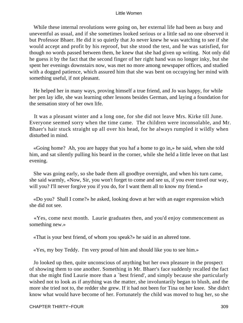While these internal revolutions were going on, her external life had been as busy and uneventful as usual, and if she sometimes looked serious or a little sad no one observed it but Professor Bhaer. He did it so quietly that Jo never knew he was watching to see if she would accept and profit by his reproof, but she stood the test, and he was satisfied, for though no words passed between them, he knew that she had given up writing. Not only did he guess it by the fact that the second finger of her right hand was no longer inky, but she spent her evenings downstairs now, was met no more among newspaper offices, and studied with a dogged patience, which assured him that she was bent on occupying her mind with something useful, if not pleasant.

 He helped her in many ways, proving himself a true friend, and Jo was happy, for while her pen lay idle, she was learning other lessons besides German, and laying a foundation for the sensation story of her own life.

 It was a pleasant winter and a long one, for she did not leave Mrs. Kirke till June. Everyone seemed sorry when the time came. The children were inconsolable, and Mr. Bhaer's hair stuck straight up all over his head, for he always rumpled it wildly when disturbed in mind.

 «Going home? Ah, you are happy that you haf a home to go in,» he said, when she told him, and sat silently pulling his beard in the corner, while she held a little levee on that last evening.

 She was going early, so she bade them all goodbye overnight, and when his turn came, she said warmly, «Now, Sir, you won't forget to come and see us, if you ever travel our way, will you? I'll never forgive you if you do, for I want them all to know my friend.»

 «Do you? Shall I come?» he asked, looking down at her with an eager expression which she did not see.

 «Yes, come next month. Laurie graduates then, and you'd enjoy commencement as something new.»

«That is your best friend, of whom you speak?» he said in an altered tone.

«Yes, my boy Teddy. I'm very proud of him and should like you to see him.»

 Jo looked up then, quite unconscious of anything but her own pleasure in the prospect of showing them to one another. Something in Mr. Bhaer's face suddenly recalled the fact that she might find Laurie more than a `best friend', and simply because she particularly wished not to look as if anything was the matter, she involuntarily began to blush, and the more she tried not to, the redder she grew. If it had not been for Tina on her knee. She didn't know what would have become of her. Fortunately the child was moved to hug her, so she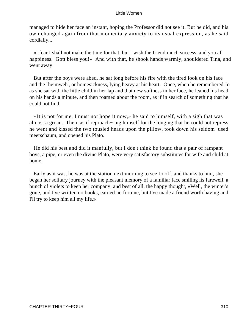managed to hide her face an instant, hoping the Professor did not see it. But he did, and his own changed again from that momentary anxiety to its usual expression, as he said cordially...

 «I fear I shall not make the time for that, but I wish the friend much success, and you all happiness. Gott bless you!» And with that, he shook hands warmly, shouldered Tina, and went away.

 But after the boys were abed, he sat long before his fire with the tired look on his face and the `heimweh', or homesickness, lying heavy at his heart. Once, when he remembered Jo as she sat with the little child in her lap and that new softness in her face, he leaned his head on his hands a minute, and then roamed about the room, as if in search of something that he could not find.

 «It is not for me, I must not hope it now,» he said to himself, with a sigh that was almost a groan. Then, as if reproach− ing himself for the longing that he could not repress, he went and kissed the two tousled heads upon the pillow, took down his seldom−used meerschaum, and opened his Plato.

 He did his best and did it manfully, but I don't think he found that a pair of rampant boys, a pipe, or even the divine Plato, were very satisfactory substitutes for wife and child at home.

 Early as it was, he was at the station next morning to see Jo off, and thanks to him, she began her solitary journey with the pleasant memory of a familiar face smiling its farewell, a bunch of violets to keep her company, and best of all, the happy thought, «Well, the winter's gone, and I've written no books, earned no fortune, but I've made a friend worth having and I'll try to keep him all my life.»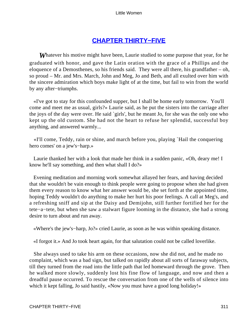# **[CHAPTER THIRTY−FIVE](#page-420-0)**

**Whatever his motive might have been, Laurie studied to some purpose that year, for he** graduated with honor, and gave the Latin oration with the grace of a Phillips and the eloquence of a Demosthenes, so his friends said. They were all there, his grandfather – oh, so proud – Mr. and Mrs. March, John and Meg, Jo and Beth, and all exulted over him with the sincere admiration which boys make light of at the time, but fail to win from the world by any after−triumphs.

 «I've got to stay for this confounded supper, but I shall be home early tomorrow. You'll come and meet me as usual, girls?» Laurie said, as he put the sisters into the carriage after the joys of the day were over. He said `girls', but he meant Jo, for she was the only one who kept up the old custom. She had not the heart to refuse her splendid, successful boy anything, and answered warmly...

 «I'll come, Teddy, rain or shine, and march before you, playing `Hail the conquering hero comes' on a jew's−harp.»

 Laurie thanked her with a look that made her think in a sudden panic, «Oh, deary me! I know he'll say something, and then what shall I do?»

 Evening meditation and morning work somewhat allayed her fears, and having decided that she wouldn't be vain enough to think people were going to propose when she had given them every reason to know what her answer would be, she set forth at the appointed time, hoping Teddy wouldn't do anything to make her hurt his poor feelings. A call at Meg's, and a refreshing sniff and sip at the Daisy and Demijohn, still further fortified her for the tete−a−tete, but when she saw a stalwart figure looming in the distance, she had a strong desire to turn about and run away.

«Where's the jew's−harp, Jo?» cried Laurie, as soon as he was within speaking distance.

«I forgot it.» And Jo took heart again, for that salutation could not be called loverlike.

 She always used to take his arm on these occasions, now she did not, and he made no complaint, which was a bad sign, but talked on rapidly about all sorts of faraway subjects, till they turned from the road into the little path that led homeward through the grove. Then he walked more slowly, suddenly lost his fine flow of language, and now and then a dreadful pause occurred. To rescue the conversation from one of the wells of silence into which it kept falling, Jo said hastily, «Now you must have a good long holiday!»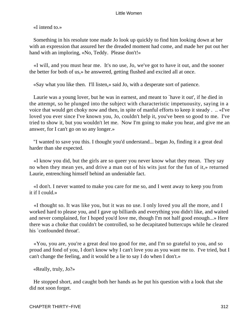«I intend to.»

 Something in his resolute tone made Jo look up quickly to find him looking down at her with an expression that assured her the dreaded moment had come, and made her put out her hand with an imploring, «No, Teddy. Please don't!»

 «I will, and you must hear me. It's no use, Jo, we've got to have it out, and the sooner the better for both of us,» he answered, getting flushed and excited all at once.

«Say what you like then. I'll listen,» said Jo, with a desperate sort of patience.

 Laurie was a young lover, but he was in earnest, and meant to `have it out', if he died in the attempt, so he plunged into the subject with characteristic impetuousity, saying in a voice that would get choky now and then, in spite of manful efforts to keep it steady . .. «I've loved you ever since I've known you, Jo, couldn't help it, you've been so good to me. I've tried to show it, but you wouldn't let me. Now I'm going to make you hear, and give me an answer, for I can't go on so any longer.»

 "I wanted to save you this. I thought you'd understand... began Jo, finding it a great deal harder than she expected.

 «I know you did, but the girls are so queer you never know what they mean. They say no when they mean yes, and drive a man out of his wits just for the fun of it,» returned Laurie, entrenching himself behind an undeniable fact.

 «I don't. I never wanted to make you care for me so, and I went away to keep you from it if I could.»

 «I thought so. It was like you, but it was no use. I only loved you all the more, and I worked hard to please you, and I gave up billiards and everything you didn't like, and waited and never complained, for I hoped you'd love me, though I'm not half good enough...» Here there was a choke that couldn't be controlled, so he decapitated buttercups while he cleared his `confounded throat'.

 «You, you are, you're a great deal too good for me, and I'm so grateful to you, and so proud and fond of you, I don't know why I can't love you as you want me to. I've tried, but I can't change the feeling, and it would be a lie to say I do when I don't.»

«Really, truly, Jo?»

 He stopped short, and caught both her hands as he put his question with a look that she did not soon forget.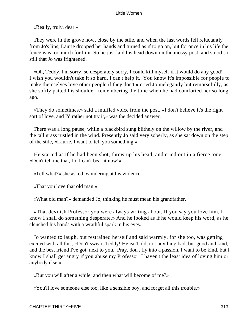«Really, truly, dear.»

 They were in the grove now, close by the stile, and when the last words fell reluctantly from Jo's lips, Laurie dropped her hands and turned as if to go on, but for once in his life the fence was too much for him. So he just laid his head down on the mossy post, and stood so still that Jo was frightened.

 «Oh, Teddy, I'm sorry, so desperately sorry, I could kill myself if it would do any good! I wish you wouldn't take it so hard, I can't help it. You know it's impossible for people to make themselves love other people if they don't,» cried Jo inelegantly but remorsefully, as she softly patted his shoulder, remembering the time when he had comforted her so long ago.

 «They do sometimes,» said a muffled voice from the post. «I don't believe it's the right sort of love, and I'd rather not try it,» was the decided answer.

 There was a long pause, while a blackbird sung blithely on the willow by the river, and the tall grass rustled in the wind. Presently Jo said very soberly, as she sat down on the step of the stile, «Laurie, I want to tell you something.»

 He started as if he had been shot, threw up his head, and cried out in a fierce tone, «Don't tell me that, Jo, I can't bear it now!»

«Tell what?» she asked, wondering at his violence.

«That you love that old man.»

«What old man?» demanded Jo, thinking he must mean his grandfather.

 «That devilish Professor you were always writing about. If you say you love him, I know I shall do something desperate.» And he looked as if he would keep his word, as he clenched his hands with a wrathful spark in his eyes.

 Jo wanted to laugh, but restrained herself and said warmly, for she too, was getting excited with all this, «Don't swear, Teddy! He isn't old, nor anything bad, but good and kind, and the best friend I've got, next to you. Pray, don't fly into a passion. I want to be kind, but I know I shall get angry if you abuse my Professor. I haven't the least idea of loving him or anybody else.»

«But you will after a while, and then what will become of me?»

«You'll love someone else too, like a sensible boy, and forget all this trouble.»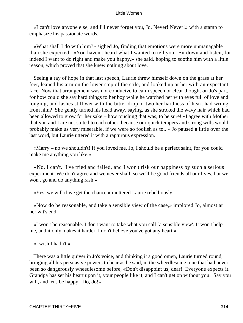«I can't love anyone else, and I'll never forget you, Jo, Never! Never!» with a stamp to emphasize his passionate words.

 «What shall I do with him?» sighed Jo, finding that emotions were more unmanagable than she expected. «You haven't heard what I wanted to tell you. Sit down and listen, for indeed I want to do right and make you happy,» she said, hoping to soothe him with a little reason, which proved that she knew nothing about love.

 Seeing a ray of hope in that last speech, Laurie threw himself down on the grass at her feet, leaned his arm on the lower step of the stile, and looked up at her with an expectant face. Now that arrangement was not conducive to calm speech or clear thought on Jo's part, for how could she say hard things to her boy while he watched her with eyes full of love and longing, and lashes still wet with the bitter drop or two her hardness of heart had wrung from him? She gently turned his head away, saying, as she stroked the wavy hair which had been allowed to grow for her sake – how touching that was, to be sure! «I agree with Mother that you and I are not suited to each other, because our quick tempers and strong wills would probably make us very miserable, if we were so foolish as to...» Jo paused a little over the last word, but Laurie uttered it with a rapturous expression.

 «Marry – no we shouldn't! If you loved me, Jo, I should be a perfect saint, for you could make me anything you like.»

 «No, I can't. I've tried and failed, and I won't risk our happiness by such a serious experiment. We don't agree and we never shall, so we'll be good friends all our lives, but we won't go and do anything rash.»

«Yes, we will if we get the chance,» muttered Laurie rebelliously.

 «Now do be reasonable, and take a sensible view of the case,» implored Jo, almost at her wit's end.

 «I won't be reasonable. I don't want to take what you call `a sensible view'. It won't help me, and it only makes it harder. I don't believe you've got any heart.»

«I wish I hadn't.»

 There was a little quiver in Jo's voice, and thinking it a good omen, Laurie turned round, bringing all his persuasive powers to bear as he said, in the wheedlesome tone that had never been so dangerously wheedlesome before, «Don't disappoint us, dear! Everyone expects it. Grandpa has set his heart upon it, your people like it, and I can't get on without you. Say you will, and let's be happy. Do, do!»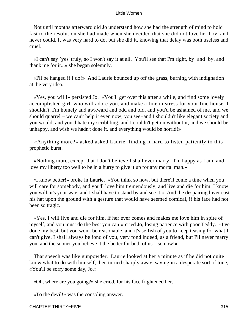Not until months afterward did Jo understand how she had the strength of mind to hold fast to the resolution she had made when she decided that she did not love her boy, and never could. It was very hard to do, but she did it, knowing that delay was both useless and cruel.

 «I can't say `yes' truly, so I won't say it at all. You'll see that I'm right, by−and−by, and thank me for it...» she began solemnly.

 «I'll be hanged if I do!» And Laurie bounced up off the grass, burning with indignation at the very idea.

 «Yes, you will!» persisted Jo. «You'll get over this after a while, and find some lovely accomplished girl, who will adore you, and make a fine mistress for your fine house. I shouldn't. I'm homely and awkward and odd and old, and you'd be ashamed of me, and we should quarrel – we can't help it even now, you see−and I shouldn't like elegant society and you would, and you'd hate my scribbling, and I couldn't get on without it, and we should be unhappy, and wish we hadn't done it, and everything would be horrid!»

 «Anything more?» asked asked Laurie, finding it hard to listen patiently to this prophetic burst.

 «Nothing more, except that I don't believe I shall ever marry. I'm happy as I am, and love my liberty too well to be in a hurry to give it up for any mortal man.»

 «I know better!» broke in Laurie. «You think so now, but there'll come a time when you will care for somebody, and you'll love him tremendously, and live and die for him. I know you will, it's your way, and I shall have to stand by and see it.» And the despairing lover cast his hat upon the ground with a gesture that would have seemed comical, if his face had not been so tragic.

 «Yes, I will live and die for him, if her ever comes and makes me love him in spite of myself, and you must do the best you can!» cried Jo, losing patience with poor Teddy. «I've done my best, but you won't be reasonable, and it's selfish of you to keep teasing for what I can't give. I shall always be fond of you, very fond indeed, as a friend, but I'll never marry you, and the sooner you believe it the better for both of us – so now!»

 That speech was like gunpowder. Laurie looked at her a minute as if he did not quite know what to do with himself, then turned sharply away, saying in a desperate sort of tone, «You'll be sorry some day, Jo.»

«Oh, where are you going?» she cried, for his face frightened her.

«To the devil!» was the consoling answer.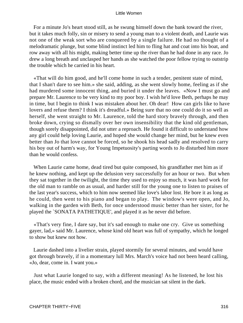For a minute Jo's heart stood still, as he swung himself down the bank toward the river, but it takes much folly, sin or misery to send a young man to a violent death, and Laurie was not one of the weak sort who are conquered by a single failure. He had no thought of a melodramatic plunge, but some blind instinct led him to fling hat and coat into his boat, and row away with all his might, making better time up the river than he had done in any race. Jo drew a long breath and unclasped her hands as she watched the poor fellow trying to outstrip the trouble which he carried in his heart.

 «That will do him good, and he'll come home in such a tender, penitent state of mind, that I shan't dare to see him.» she said, adding, as she went slowly home, feeling as if she had murdered some innocent thing, and buried it under the leaves. «Now I must go and prepare Mr. Laurence to be very kind to my poor boy. I wish he'd love Beth, perhaps he may in time, but I begin to think I was mistaken about her. Oh dear! How can girls like to have lovers and refuse them? I think it's dreadful.» Being sure that no one could do it so well as herself, she went straight to Mr. Laurence, told the hard story bravely through, and then broke down, crying so dismally over her own insensibility that the kind old gentleman, though sorely disappointed, did not utter a reproach. He found it difficult to understand how any girl could help loving Laurie, and hoped she would change her mind, but he knew even better than Jo that love cannot be forced, so he shook his head sadly and resolved to carry his boy out of harm's way, for Young Impetuosity's parting words to Jo disturbed him more than he would confess.

 When Laurie came home, dead tired but quite composed, his grandfather met him as if he knew nothing, and kept up the delusion very successfully for an hour or two. But when they sat together in the twilight, the time they used to enjoy so much, it was hard work for the old man to ramble on as usual, and harder still for the young one to listen to praises of the last year's success, which to him now seemed like love's labor lost. He bore it as long as he could, then went to his piano and began to play. The window's were open, and Jo, walking in the garden with Beth, for once understood music better than her sister, for he played the `SONATA PATHETIQUE', and played it as he never did before.

 «That's very fine, I dare say, but it's sad enough to make one cry. Give us something gayer, lad,» said Mr. Laurence, whose kind old heart was full of sympathy, which he longed to show but knew not how.

 Laurie dashed into a livelier strain, played stormily for several minutes, and would have got through bravely, if in a momentary lull Mrs. March's voice had not been heard calling, «Jo, dear, come in. I want you.»

 Just what Laurie longed to say, with a different meaning! As he listened, he lost his place, the music ended with a broken chord, and the musician sat silent in the dark.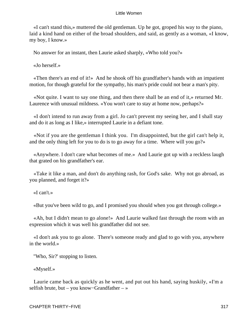«I can't stand this,» muttered the old gentleman. Up he got, groped his way to the piano, laid a kind hand on either of the broad shoulders, and said, as gently as a woman, «I know, my boy, I know.»

No answer for an instant, then Laurie asked sharply, «Who told you?»

«Jo herself.»

 «Then there's an end of it!» And he shook off his grandfather's hands with an impatient motion, for though grateful for the sympathy, his man's pride could not bear a man's pity.

 «Not quite. I want to say one thing, and then there shall be an end of it,» returned Mr. Laurence with unusual mildness. «You won't care to stay at home now, perhaps?»

 «I don't intend to run away from a girl. Jo can't prevent my seeing her, and I shall stay and do it as long as I like,» interrupted Laurie in a defiant tone.

 «Not if you are the gentleman I think you. I'm disappointed, but the girl can't help it, and the only thing left for you to do is to go away for a time. Where will you go?»

 «Anywhere. I don't care what becomes of me.» And Laurie got up with a reckless laugh that grated on his grandfather's ear.

 «Take it like a man, and don't do anything rash, for God's sake. Why not go abroad, as you planned, and forget it?»

«I can't.»

«But you've been wild to go, and I promised you should when you got through college.»

 «Ah, but I didn't mean to go alone!» And Laurie walked fast through the room with an expression which it was well his grandfather did not see.

 «I don't ask you to go alone. There's someone ready and glad to go with you, anywhere in the world.»

"Who, Sir?' stopping to listen.

«Myself.»

 Laurie came back as quickly as he went, and put out his hand, saying huskily, «I'm a selfish brute, but – you know−Grandfather – »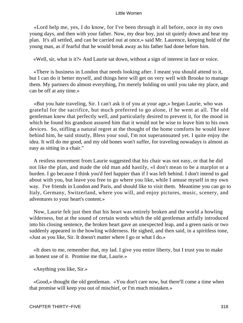«Lord help me, yes, I do know, for I've been through it all before, once in my own young days, and then with your father. Now, my dear boy, just sit quietly down and hear my plan. It's all settled, and can be carried out at once,» said Mr. Laurence, keeping hold of the young man, as if fearful that he would break away as his father had done before him.

«Well, sir, what is it?» And Laurie sat down, without a sign of interest in face or voice.

 «There is business in London that needs looking after. I meant you should attend to it, but I can do it better myself, and things here will get on very well with Brooke to manage them. My partners do almost everything, I'm merely holding on until you take my place, and can be off at any time.»

 «But you hate traveling, Sir. I can't ask it of you at your age,» began Laurie, who was grateful for the sacrifice, but much preferred to go alone, if he went at all. The old gentleman knew that perfectly well, and particularly desired to prevent it, for the mood in which he found his grandson assured him that it would not be wise to leave him to his own devices. So, stifling a natural regret at the thought of the home comforts he would leave behind him, he said stoutly, Bless your soul, I'm not superannuated yet. I quite enjoy the idea. It will do me good, and my old bones won't suffer, for traveling nowadays is almost as easy as sitting in a chair."

 A restless movement from Laurie suggested that his chair was not easy, or that he did not like the plan, and made the old man add hastily, «I don't mean to be a marplot or a burden. I go because I think you'd feel happier than if I was left behind. I don't intend to gad about with you, but leave you free to go where you like, while I amuse myself in my own way. I've friends in London and Paris, and should like to visit them. Meantime you can go to Italy, Germany, Switzerland, where you will, and enjoy pictures, music, scenery, and adventures to your heart's content.»

 Now, Laurie felt just then that his heart was entirely broken and the world a howling wilderness, but at the sound of certain words which the old gentleman artfully introduced into his closing sentence, the broken heart gave an unexpected leap, and a green oasis or two suddenly appeared in the howling wilderness. He sighed, and then said, in a spiritless tone, «Just as you like, Sir. It doesn't matter where I go or what I do.»

 «It does to me, remember that, my lad. I give you entire liberty, but I trust you to make an honest use of it. Promise me that, Laurie.»

«Anything you like, Sir.»

 «Good,» thought the old gentleman. «You don't care now, but there'll come a time when that promise will keep you out of mischief, or I'm much mistaken.»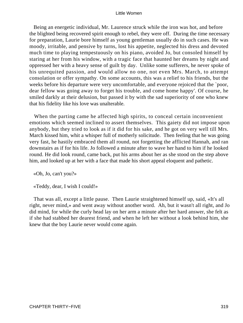Being an energetic individual, Mr. Laurence struck while the iron was hot, and before the blighted being recovered spirit enough to rebel, they were off. During the time necessary for preparation, Laurie bore himself as young gentleman usually do in such cases. He was moody, irritable, and pensive by turns, lost his appetite, neglected his dress and devoted much time to playing tempestuously on his piano, avoided Jo, but consoled himself by staring at her from his window, with a tragic face that haunted her dreams by night and oppressed her with a heavy sense of guilt by day. Unlike some sufferers, he never spoke of his unrequited passion, and would allow no one, not even Mrs. March, to attempt consolation or offer sympathy. On some accounts, this was a relief to his friends, but the weeks before his departure were very uncomfortable, and everyone rejoiced that the `poor, dear fellow was going away to forget his trouble, and come home happy'. Of course, he smiled darkly at their delusion, but passed it by with the sad superiority of one who knew that his fidelity like his love was unalterable.

 When the parting came he affected high spirits, to conceal certain inconvenient emotions which seemed inclined to assert themselves. This gaiety did not impose upon anybody, but they tried to look as if it did for his sake, and he got on very well till Mrs. March kissed him, whit a whisper full of motherly solicitude. Then feeling that he was going very fast, he hastily embraced them all round, not forgetting the afflicted Hannah, and ran downstairs as if for his life. Jo followed a minute after to wave her hand to him if he looked round. He did look round, came back, put his arms about her as she stood on the step above him, and looked up at her with a face that made his short appeal eloquent and pathetic.

«Oh, Jo, can't you?»

«Teddy, dear, I wish I could!»

 That was all, except a little pause. Then Laurie straightened himself up, said, «It's all right, never mind,» and went away without another word. Ah, but it wasn't all right, and Jo did mind, for while the curly head lay on her arm a minute after her hard answer, she felt as if she had stabbed her dearest friend, and when he left her without a look behind him, she knew that the boy Laurie never would come again.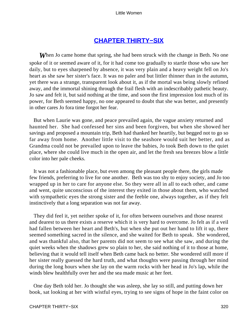# **[CHAPTER THIRTY−SIX](#page-420-0)**

*W*hen Jo came home that spring, she had been struck with the change in Beth. No one spoke of it or seemed aware of it, for it had come too gradually to startle those who saw her daily, but to eyes sharpened by absence, it was very plain and a heavy weight fell on Jo's heart as she saw her sister's face. It was no paler and but littler thinner than in the autumn, yet there was a strange, transparent look about it, as if the mortal was being slowly refined away, and the immortal shining through the frail flesh with an indescribably pathetic beauty. Jo saw and felt it, but said nothing at the time, and soon the first impression lost much of its power, for Beth seemed happy, no one appeared to doubt that she was better, and presently in other cares Jo fora time forgot her fear.

 But when Laurie was gone, and peace prevailed again, the vague anxiety returned and haunted her. She had confessed her sins and been forgiven, but when she showed her savings and proposed a mountain trip, Beth had thanked her heartily, but begged not to go so far away from home. Another little visit to the seashore would suit her better, and as Grandma could not be prevailed upon to leave the babies, Jo took Beth down to the quiet place, where she could live much in the open air, and let the fresh sea breezes blow a little color into her pale cheeks.

 It was not a fashionable place, but even among the pleasant people there, the girls made few friends, preferring to live for one another. Beth was too shy to enjoy society, and Jo too wrapped up in her to care for anyone else. So they were all in all to each other, and came and went, quite unconscious of the interest they exited in those about them, who watched with sympathetic eyes the strong sister and the feeble one, always together, as if they felt instinctively that a long separation was not far away.

 They did feel it, yet neither spoke of it, for often between ourselves and those nearest and dearest to us there exists a reserve which it is very hard to overcome. Jo felt as if a veil had fallen between her heart and Beth's, but when she put out her hand to lift it up, there seemed something sacred in the silence, and she waited for Beth to speak. She wondered, and was thankful also, that her parents did not seem to see what she saw, and during the quiet weeks when the shadows grew so plain to her, she said nothing of it to those at home, believing that it would tell itself when Beth came back no better. She wondered still more if her sister really guessed the hard truth, and what thoughts were passing through her mind during the long hours when she lay on the warm rocks with her head in Jo's lap, while the winds blew healthfully over her and the sea made music at her feet.

 One day Beth told her. Jo thought she was asleep, she lay so still, and putting down her book, sat looking at her with wistful eyes, trying to see signs of hope in the faint color on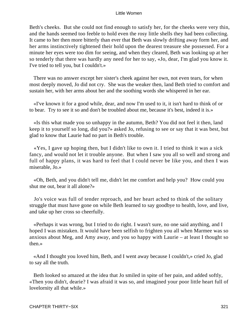Beth's cheeks. But she could not find enough to satisfy her, for the cheeks were very thin, and the hands seemed too feeble to hold even the rosy little shells they had been collecting. It came to her then more bitterly than ever that Beth was slowly drifting away form her, and her arms instinctively tightened their hold upon the dearest treasure she possessed. For a minute her eyes were too dim for seeing, and when they cleared, Beth was looking up at her so tenderly that there was hardly any need for her to say, «Jo, dear, I'm glad you know it. I've tried to tell you, but I couldn't.»

 There was no answer except her sister's cheek against her own, not even tears, for when most deeply moved, Jo did not cry. She was the weaker then, land Beth tried to comfort and sustain her, with her arms about her and the soothing words she whispered in her ear.

 «I've known it for a good while, dear, and now I'm used to it, it isn't hard to think of or to bear. Try to see it so and don't be troubled about me, because it's best, indeed it is.»

 «Is this what made you so unhappy in the autumn, Beth? You did not feel it then, land keep it to yourself so long, did you?» asked Jo, refusing to see or say that it was best, but glad to know that Laurie had no part in Beth's trouble.

 «Yes, I gave up hoping then, but I didn't like to own it. I tried to think it was a sick fancy, and would not let it trouble anyone. But when I saw you all so well and strong and full of happy plans, it was hard to feel that I could never be like you, and then I was miserable, Jo.»

 «Oh, Beth, and you didn't tell me, didn't let me comfort and help you? How could you shut me out, bear it all alone?»

 Jo's voice was full of tender reproach, and her heart ached to think of the solitary struggle that must have gone on while Beth learned to say goodbye to health, love, and live, and take up her cross so cheerfully.

 «Perhaps it was wrong, but I tried to do right. I wasn't sure, no one said anything, and I hoped I was mistaken. It would have been selfish to frighten you all when Marmee was so anxious about Meg, and Amy away, and you so happy with Laurie – at least I thought so then.»

 «And I thought you loved him, Beth, and I went away because I couldn't,» cried Jo, glad to say all the truth.

 Beth looked so amazed at the idea that Jo smiled in spite of her pain, and added softly, «Then you didn't, dearie? I was afraid it was so, and imagined your poor little heart full of lovelornity all that while.»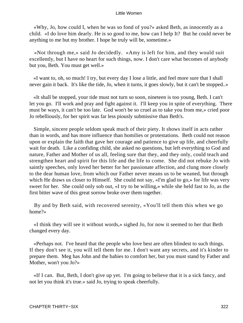«Why, Jo, how could I, when he was so fond of you?» asked Beth, as innocently as a child. «I do love him dearly. He is so good to me, how can I help It? But he could never be anything to me but my brother. I hope he truly will be, sometime.»

 «Not through me,» said Jo decidedly. «Amy is left for him, and they would suit excellently, but I have no heart for such things, now. I don't care what becomes of anybody but you, Beth. You must get well.»

 «I want to, oh, so much! I try, but every day I lose a little, and feel more sure that I shall never gain it back. It's like the tide, Jo, when it turns, it goes slowly, but it can't be stopped..»

 «It shall be stopped, your tide must not turn so soon, nineteen is too young, Beth. I can't let you go. I'll work and pray and fight against it. I'll keep you in spite of everything. There must be ways, it can't be too late. God won't be so cruel as to take you from me,» cried poor Jo rebelliously, for her spirit was far less piously submissive than Beth's.

 Simple, sincere people seldom speak much of their piety. It shows itself in acts rather than in words, and has more influence than homilies or protestations. Beth could not reason upon or explain the faith that gave her courage and patience to give up life, and cheerfully wait for death. Like a confiding child, she asked no questions, but left everything to God and nature, Father and Mother of us all, feeling sure that they, and they only, could teach and strengthen heart and spirit for this life and the life to come. She did not rebuke Jo with saintly speeches, only loved her better for her passionate affection, and clung more closely to the dear human love, from which our Father never means us to be weaned, but through which He draws us closer to Himself. She could not say, «I'm glad to go,» for life was very sweet for her. She could only sob out, «I try to be willing,» while she held fast to Jo, as the first bitter wave of this great sorrow broke over them together.

 By and by Beth said, with recovered serenity, «You'll tell them this when we go home?»

 «I think they will see it without words,» sighed Jo, for now it seemed to her that Beth changed every day.

 «Perhaps not. I've heard that the people who love best are often blindest to such things. If they don't see it, you will tell them for me. I don't want any secrets, and it's kinder to prepare them. Meg has John and the babies to comfort her, but you must stand by Father and Mother, won't you Jo?»

 «If I can. But, Beth, I don't give up yet. I'm going to believe that it is a sick fancy, and not let you think it's true.» said Jo, trying to speak cheerfully.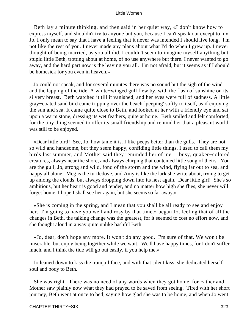Beth lay a minute thinking, and then said in her quiet way, «I don't know how to express myself, and shouldn't try to anyone but you, because I can't speak out except to my Jo. I only mean to say that I have a feeling that it never was intended I should live long. I'm not like the rest of you. I never made any plans about what I'd do when I grew up. I never thought of being married, as you all did. I couldn't seem to imagine myself anything but stupid little Beth, trotting about at home, of no use anywhere but there. I never wanted to go away, and the hard part now is the leaving you all. I'm not afraid, but it seems as if I should be homesick for you even in heaven.»

 Jo could not speak, and for several minutes there was no sound but the sigh of the wind and the lapping of the tide. A white−winged gull flew by, with the flash of sunshine on its silvery breast. Beth watched it till it vanished, and her eyes were full of sadness. A little gray−coated sand bird came tripping over the beach `peeping' softly to itself, as if enjoying the sun and sea. It came quite close to Beth, and looked at her with a friendly eye and sat upon a warm stone, dressing its wet feathers, quite at home. Beth smiled and felt comforted, for the tiny thing seemed to offer its small friendship and remind her that a pleasant world was still to be enjoyed.

 «Dear little bird! See, Jo, how tame it is. I like peeps better than the gulls. They are not so wild and handsome, but they seem happy, confiding little things. I used to call them my birds last summer, and Mother said they reminded her of me – busy, quaker−colored creatures, always near the shore, and always chirping that contented little song of theirs. You are the gull, Jo, strong and wild, fond of the storm and the wind, flying far out to sea, and happy all alone. Meg is the turtledove, and Amy is like the lark she write about, trying to get up among the clouds, but always dropping down into its nest again. Dear little girl! She's so ambitious, but her heart is good and tender, and no matter how high she flies, she never will forget home. I hope I shall see her again, but she seems so far away.»

 «She is coming in the spring, and I mean that you shall be all ready to see and enjoy her. I'm going to have you well and rosy by that time.» began Jo, feeling that of all the changes in Beth, the talking change was the greatest, for it seemed to cost no effort now, and she thought aloud in a way quite unlike bashful Beth.

 «Jo, dear, don't hope any more. It won't do any good. I'm sure of that. We won't be miserable, but enjoy being together while we wait. We'll have happy times, for I don't suffer much, and I think the tide will go out easily, if you help me.»

 Jo leaned down to kiss the tranquil face, and with that silent kiss, she dedicated herself soul and body to Beth.

 She was right. There was no need of any words when they got home, for Father and Mother saw plainly now what they had prayed to be saved from seeing. Tired with her short journey, Beth went at once to bed, saying how glad she was to be home, and when Jo went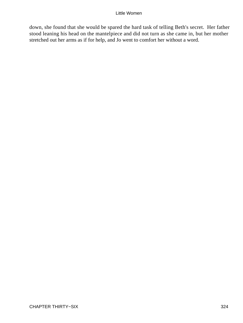down, she found that she would be spared the hard task of telling Beth's secret. Her father stood leaning his head on the mantelpiece and did not turn as she came in, but her mother stretched out her arms as if for help, and Jo went to comfort her without a word.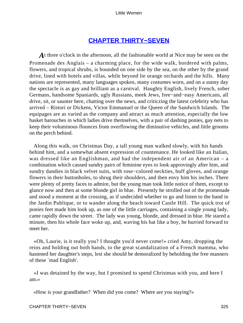# **[CHAPTER THIRTY−SEVEN](#page-420-0)**

A t three o'clock in the afternoon, all the fashionable world at Nice may be seen on the Promenade des Anglais – a charming place, for the wide walk, bordered with palms, flowers, and tropical shrubs, is bounded on one side by the sea, on the other by the grand drive, lined with hotels and villas, while beyond lie orange orchards and the hills. Many nations are represented, many languages spoken, many costumes worn, and on a sunny day the spectacle is as gay and brilliant as a carnival. Haughty English, lively French, sober Germans, handsome Spaniards, ugly Russians, meek Jews, free−and−easy Americans, all drive, sit, or saunter here, chatting over the news, and criticzing the latest celebrity who has arrived – Ristori or Dickens, Victor Emmanuel or the Queen of the Sandwich Islands. The equipages are as varied as the company and attract as much attention, especially the low basket barouches in which ladies drive themselves, with a pair of dashing ponies, gay nets to keep their voluminous flounces from overflowing the diminutive vehicles, and little grooms on the perch behind.

 Along this walk, on Christmas Day, a tall young man walked slowly, with his hands behind him, and a somewhat absent expression of countenance. He looked like an Italian, was dressed like an Englishman, and had the independent air of an American – a combination which caused sundry pairs of feminine eyes to look approvingly after him, and sundry dandies in black velvet suits, with rose−colored neckties, buff gloves, and orange flowers in their buttonholes, to shrug their shoulders, and then envy him his inches. There were plenty of pretty faces to admire, but the young man took little notice of them, except to glance now and then at some blonde girl in blue. Presently he strolled out of the promenade and stood a moment at the crossing, as if undecided whether to go and listen to the band in the Jardin Publique, or to wander along the beach toward Castle Hill. The quick trot of ponies feet made him look up, as one of the little carriages, containing a single young lady, came rapidly down the street. The lady was young, blonde, and dressed in blue. He stared a minute, then his whole face woke up, and, waving his hat like a boy, he hurried forward to meet her.

 «Oh, Laurie, is it really you? I thought you'd never come!» cried Amy, dropping the reins and holding out both hands, to the great scandalization of a French mamma, who hastened her daughter's steps, lest she should be demoralized by beholding the free manners of these `mad English'.

 «I was detained by the way, but I promised to spend Christmas with you, and here I am.»

«How is your grandfather? When did you come? Where are you staying?»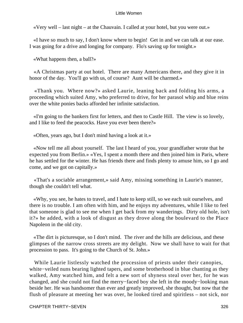«Very well – last night – at the Chauvain. I called at your hotel, but you were out.»

 «I have so much to say, I don't know where to begin! Get in and we can talk at our ease. I was going for a drive and longing for company. Flo's saving up for tonight.»

«What happens then, a ball?»

 «A Christmas party at out hotel. There are many Americans there, and they give it in honor of the day. You'll go with us, of course? Aunt will be charmed.»

 «Thank you. Where now?» asked Laurie, leaning back and folding his arms, a proceeding which suited Amy, who preferred to drive, for her parasol whip and blue reins over the white ponies backs afforded her infinite satisfaction.

 «I'm going to the bankers first for letters, and then to Castle Hill. The view is so lovely, and I like to feed the peacocks. Have you ever been there?»

«Often, years ago, but I don't mind having a look at it.»

 «Now tell me all about yourself. The last I heard of you, your grandfather wrote that he expected you from Berlin.» «Yes, I spent a month there and then joined him in Paris, where he has settled for the winter. He has friends there and finds plenty to amuse him, so I go and come, and we got on capitally.»

 «That's a sociable arrangement,» said Amy, missing something in Laurie's manner, though she couldn't tell what.

 «Why, you see, he hates to travel, and I hate to keep still, so we each suit ourselves, and there is no trouble. I am often with him, and he enjoys my adventures, while I like to feel that someone is glad to see me when I get back from my wanderings. Dirty old hole, isn't it?» he added, with a look of disgust as they drove along the boulevard to the Place Napoleon in the old city.

 «The dirt is picturesque, so I don't mind. The river and the hills are delicious, and these glimpses of the narrow cross streets are my delight. Now we shall have to wait for that procession to pass. It's going to the Church of St. John.»

 While Laurie listlessly watched the procession of priests under their canopies, white−veiled nuns bearing lighted tapers, and some brotherhood in blue chanting as they walked, Amy watched him, and felt a new sort of shyness steal over her, for he was changed, and she could not find the merry−faced boy she left in the moody−looking man beside her. He was handsomer than ever and greatly improved, she thought, but now that the flush of pleasure at meeting her was over, he looked tired and spiritless – not sick, nor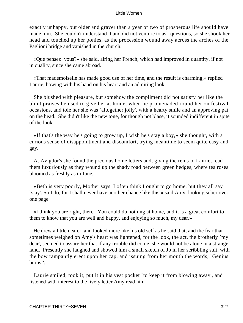exactly unhappy, but older and graver than a year or two of prosperous life should have made him. She couldn't understand it and did not venture to ask questions, so she shook her head and touched up her ponies, as the procession wound away across the arches of the Paglioni bridge and vanished in the church.

 «Que pensez−vous?» she said, airing her French, which had improved in quantity, if not in quality, since she came abroad.

 «That mademoiselle has made good use of her time, and the result is charming,» replied Laurie, bowing with his hand on his heart and an admiring look.

 She blushed with pleasure, but somehow the compliment did not satisfy her like the blunt praises he used to give her at home, when he promenaded round her on festival occasions, and tole her she was `altogether jolly', with a hearty smile and an approving pat on the head. She didn't like the new tone, for though not blase, it sounded indifferent in spite of the look.

 «If that's the way he's going to grow up, I wish he's stay a boy,» she thought, with a curious sense of disappointment and discomfort, trying meantime to seem quite easy and gay.

 At Avigdor's she found the precious home letters and, giving the reins to Laurie, read them luxuriously as they wound up the shady road between green hedges, where tea roses bloomed as freshly as in June.

 «Beth is very poorly, Mother says. I often think I ought to go home, but they all say `stay'. So I do, for I shall never have another chance like this,» said Amy, looking sober over one page.

 «I think you are right, there. You could do nothing at home, and it is a great comfort to them to know that you are well and happy, and enjoying so much, my dear.»

 He drew a little nearer, and looked more like his old self as he said that, and the fear that sometimes weighed on Amy's heart was lightened, for the look, the act, the brotherly `my dear', seemed to assure her that if any trouble did come, she would not be alone in a strange land. Presently she laughed and showed him a small sketch of Jo in her scribbling suit, with the bow rampantly erect upon her cap, and issuing from her mouth the words, `Genius burns!'.

 Laurie smiled, took it, put it in his vest pocket `to keep it from blowing away', and listened with interest to the lively letter Amy read him.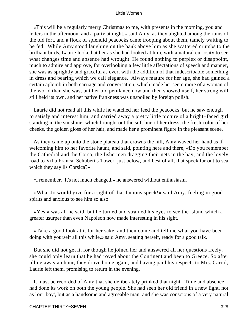«This will be a regularly merry Christmas to me, with presents in the morning, you and letters in the afternoon, and a party at night,» said Amy, as they alighted among the ruins of the old fort, and a flock of splendid peacocks came trooping about them, tamely waiting to be fed. While Amy stood laughing on the bank above him as she scattered crumbs to the brilliant birds, Laurie looked at her as she had looked at him, with a natural curiosity to see what changes time and absence had wrought. He found nothing to perplex or disappoint, much to admire and approve, for overlooking a few little affectations of speech and manner, she was as sprightly and graceful as ever, with the addition of that indescribable something in dress and bearing which we call elegance. Always mature for her age, she had gained a certain aplomb in both carriage and conversation, which made her seem more of a woman of the world than she was, but her old petulance now and then showed itself, her strong will still held its own, and her native frankness was unspoiled by foreign polish.

 Laurie did not read all this while he watched her feed the peacocks, but he saw enough to satisfy and interest him, and carried away a pretty little picture of a bright−faced girl standing in the sunshine, which brought out the soft hue of her dress, the fresh color of her cheeks, the golden gloss of her hair, and made her a prominent figure in the pleasant scene.

 As they came up onto the stone plateau that crowns the hill, Amy waved her hand as if welcoming him to her favorite haunt, and said, pointing here and there, «Do you remember the Cathedral and the Corso, the fishermen dragging their nets in the bay, and the lovely road to Villa Franca, Schubert's Tower, just below, and best of all, that speck far out to sea which they say ils Corsica?»

«I remember. It's not much changed,» he answered without enthusiasm.

 «What Jo would give for a sight of that famous speck!» said Amy, feeling in good spirits and anxious to see him so also.

 «Yes,» was all he said, but he turned and strained his eyes to see the island which a greater usurper than even Napoleon now made interesting in his sight.

 «Take a good look at it for her sake, and then come and tell me what you have been doing with yourself all this while,» said Amy, seating herself, ready for a good talk.

 But she did not get it, for though he joined her and answered all her questions freely, she could only learn that he had roved about the Continent and been to Greece. So after idling away an hour, they drove home again, and having paid his respects to Mrs. Carrol, Laurie left them, promising to return in the evening.

 It must be recorded of Amy that she deliberately prinked that night. Time and absence had done its work on both the young people. She had seen her old friend in a new light, not as `our boy', but as a handsome and agreeable man, and she was conscious of a very natural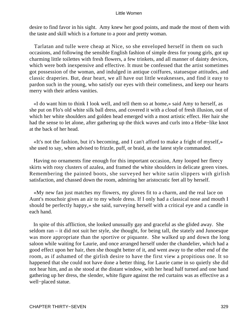desire to find favor in his sight. Amy knew her good points, and made the most of them with the taste and skill which is a fortune to a poor and pretty woman.

 Tarlatan and tulle were cheap at Nice, so she enveloped herself in them on such occasions, and following the sensible English fashion of simple dress for young girls, got up charming little toilettes with fresh flowers, a few trinkets, and all manner of dainty devices, which were both inexpensive and effective. It must be confessed that the artist sometimes got possession of the woman, and indulged in antique coiffures, statuesque attitudes, and classic draperies. But, dear heart, we all have out little weaknesses, and find it easy to pardon such in the young, who satisfy our eyes with their comeliness, and keep our hearts merry with their artless vanities.

 «I do want him to think I look well, and tell them so at home,» said Amy to herself, as she put on Flo's old white silk ball dress, and covered it with a cloud of fresh illusion, out of which her white shoulders and golden head emerged with a most artistic effect. Her hair she had the sense to let alone, after gathering up the thick waves and curls into a Hebe−like knot at the back of her head.

 «It's not the fashion, but it's becoming, and I can't afford to make a fright of myself,» she used to say, when advised to frizzle, puff, or braid, as the latest style commanded.

 Having no ornaments fine enough for this important occasion, Amy looped her fleecy skirts with rosy clusters of azalea, and framed the white shoulders in delicate green vines. Remembering the painted boots, she surveyed her white satin slippers with girlish satisfaction, and chassed down the room, admiring her aristocratic feet all by herself.

 «My new fan just matches my flowers, my gloves fit to a charm, and the real lace on Aunt's mouchoir gives an air to my whole dress. If I only had a classical nose and mouth I should be perfectly happy,» she said, surveying herself with a critical eye and a candle in each hand.

 In spite of this affliction, she looked unusually gay and graceful as she glided away. She seldom ran – it did not suit her style, she thought, for being tall, the stately and Junoesque was more appropriate than the sportive or piquante. She walked up and down the long saloon while waiting for Laurie, and once arranged herself under the chandelier, which had a good effect upon her hair, then she thought better of it, and went away to the other end of the room, as if ashamed of the girlish desire to have the first view a propitious one. It so happened that she could not have done a better thing, for Laurie came in so quietly she did not hear him, and as she stood at the distant window, with her head half turned and one hand gathering up her dress, the slender, white figure against the red curtains was as effective as a well−placed statue.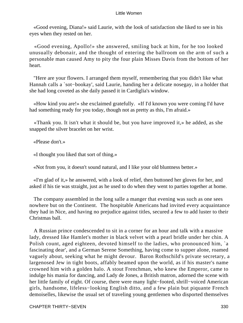«Good evening, Diana!» said Laurie, with the look of satisfaction she liked to see in his eyes when they rested on her.

 «Good evening, Apollo!» she answered, smiling back at him, for he too looked unusually debonair, and the thought of entering the ballroom on the arm of such a personable man caused Amy to pity the four plain Misses Davis from the bottom of her heart.

 "Here are your flowers. I arranged them myself, remembering that you didn't like what Hannah calls a `sot−bookay', said Laurie, handing her a delicate nosegay, in a holder that she had long coveted as she daily passed it in Cardiglia's window.

 «How kind you are!» she exclaimed gratefully. «If I'd known you were coming I'd have had something ready for you today, though not as pretty as this, I'm afraid.»

 «Thank you. It isn't what it should be, but you have improved it,» he added, as she snapped the silver bracelet on her wrist.

«Please don't.»

«I thought you liked that sort of thing.»

«Not from you, it doesn't sound natural, and I like your old bluntness better.»

 «I'm glad of it,» he answered, with a look of relief, then buttoned her gloves for her, and asked if his tie was straight, just as he used to do when they went to parties together at home.

 The company assembled in the long salle a manger that evening was such as one sees nowhere but on the Continent. The hospitable Americans had invited every acquaintance they had in Nice, and having no prejudice against titles, secured a few to add luster to their Christmas ball.

 A Russian prince condescended to sit in a corner for an hour and talk with a massive lady, dressed like Hamlet's mother in black velvet with a pearl bridle under her chin. A Polish count, aged eighteen, devoted himself to the ladies, who pronounced him, `a fascinating dear', and a German Serene Something, having come to supper alone, roamed vaguely about, seeking what he might devour. Baron Rothschild's private secretary, a largenosed Jew in tight boots, affably beamed upon the world, as if his master's name crowned him with a golden halo. A stout Frenchman, who knew the Emperor, came to indulge his mania for dancing, and Lady de Jones, a British matron, adorned the scene with her little family of eight. Of course, there were many light−footed, shrill−voiced American girls, handsome, lifeless−looking English ditto, and a few plain but piquante French demoiselles, likewise the usual set of traveling young gentlemen who disported themselves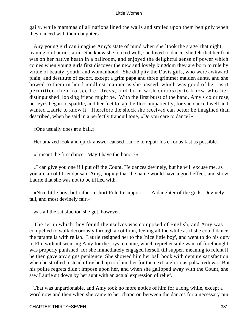gaily, while mammas of all nations lined the walls and smiled upon them benignly when they danced with their daughters.

 Any young girl can imagine Amy's state of mind when she `took the stage' that night, leaning on Laurie's arm. She knew she looked well, she loved to dance, she felt that her foot was on her native heath in a ballroom, and enjoyed the delightful sense of power which comes when young girls first discover the new and lovely kingdom they are born to rule by virtue of beauty, youth, and womanhood. She did pity the Davis girls, who were awkward, plain, and destitute of escort, except a grim papa and three grimmer maiden aunts, and she bowed to them in her friendliest manner as she passed, which was good of her, as it permitted them to see her dress, and burn with curiosity to know who her distinguished−looking friend might be. With the first burst of the band, Amy's color rose, her eyes began to sparkle, and her feet to tap the floor impatiently, for she danced well and wanted Laurie to know it. Therefore the shock she received can better be imagined than described, when he said in a perfectly tranquil tone, «Do you care to dance?»

«One usually does at a ball.»

Her amazed look and quick answer caused Laurie to repair his error as fast as possible.

«I meant the first dance. May I have the honor?»

 «I can give you one if I put off the Count. He dances devinely, but he will excuse me, as you are an old friend,» said Amy, hoping that the name would have a good effect, and show Laurie that she was not to be trifled with.

 «Nice little boy, but rather a short Pole to support . .. A daughter of the gods, Devinely tall, and most devinely fair,»

was all the satisfaction she got, however.

 The set in which they found themselves was composed of English, and Amy was compelled to walk decorously through a cotillion, feeling all the while as if she could dance the tarantella with relish. Laurie resigned her to the `nice little boy', and went to do his duty to Flo, without securing Amy for the joys to come, which reprehensible want of forethought was properly punished, for she immediately engaged herself till supper, meaning to relent if he then gave any signs penitence. She showed him her ball book with demure satisfaction when he strolled instead of rushed up to claim her for the next, a glorious polka redowa. But his polite regrets didn't impose upon her, and when she galloped away with the Count, she saw Laurie sit down by her aunt with an actual expression of relief.

 That was unpardonable, and Amy took no more notice of him for a long while, except a word now and then when she came to her chaperon between the dances for a necessary pin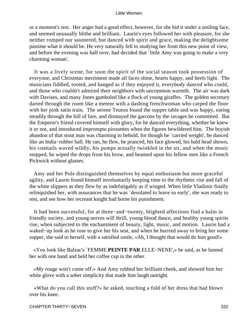or a moment's rest. Her anger had a good effect, however, for she hid it under a smiling face, and seemed unusually blithe and brilliant. Laurie's eyes followed her with pleasure, for she neither romped nor sauntered, but danced with spirit and grace, making the delightsome pastime what it should be. He very naturally fell to studying her from this new point of view, and before the evening was half over, had decided that `little Amy was going to make a very charming woman'.

 It was a lively scene, for soon the spirit of the social season took possession of everyone, and Christmas merriment made all faces shine, hearts happy, and heels light. The musicians fiddled, tooted, and banged as if they enjoyed it, everybody danced who could, and those who couldn't admired their neighbors with uncommon warmth. The air was dark with Davises, and many Jones gamboled like a flock of young giraffes. The golden secretary darted through the room like a meteor with a dashing frenchwoman who carped the floor with her pink satin train. The serene Teuton found the supper table and was happy, eating steadily through the bill of fare, and dismayed the garcons by the ravages he committed. But the Emperor's friend covered himself with glory, for he danced everything, whether he knew it or not, and introduced impromptu pirouettes when the figures bewildered him. The boyish abandon of that stout man was charming to behold, for though he `carried weight', he danced like an India−rubber ball. He ran, he flew, he pranced, his face glowed, his bald head shown, his coattails waved wildly, his pumps actually twinkled in the air, and when the music stopped, he wiped the drops from his brow, and beamed upon his fellow men like a French Pickwick without glasses.

 Amy and her Pole distinguished themselves by equal enthusiasm but more graceful agility, and Laurie found himself involuntarily keeping time to the rhythmic rise and fall of the white slippers as they flew by as indefatigably as if winged. When little Vladimir finally relinquished her, with assurances that he was `desolated to leave so early', she was ready to rest, and see how her recreant knight had borne his punishment.

 It had been successful, for at three−and−twenty, blighted affections find a balm in friendly society, and young nerves will thrill, young blood dance, and healthy young spirits rise, when subjected to the enchantment of beauty, light, music, and motion. Laurie had a waked−up look as he rose to give her his seat, and when he hurried away to bring her some supper, she said to herself, with a satisfied smile, «Ah, I thought that would do him good!»

 «You look like Balzac's `FEMME **PEINTE PAR** ELLE−NENE',» he said, as he fanned her with one hand and held her coffee cup in the other.

 «My rouge won't come off.» And Amy rubbed her brilliant cheek, and showed him her white glove with a sober simplicity that made him laugh outright.

 «What do you call this stuff?» he asked, touching a fold of her dress that had blown over his knee.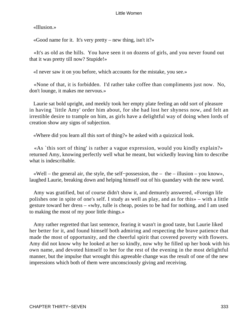«Illusion.»

«Good name for it. It's very pretty – new thing, isn't it?»

 «It's as old as the hills. You have seen it on dozens of girls, and you never found out that it was pretty till now? Stupide!»

«I never saw it on you before, which accounts for the mistake, you see.»

 «None of that, it is forbidden. I'd rather take coffee than compliments just now. No, don't lounge, it makes me nervous.»

 Laurie sat bold upright, and meekly took her empty plate feeling an odd sort of pleasure in having `little Amy' order him about, for she had lost her shyness now, and felt an irrestible desire to trample on him, as girls have a delightful way of doing when lords of creation show any signs of subjection.

«Where did you learn all this sort of thing?» he asked with a quizzical look.

 «As `this sort of thing' is rather a vague expression, would you kindly explain?» returned Amy, knowing perfectly well what he meant, but wickedly leaving him to describe what is indescribable.

 «Well – the general air, the style, the self−possession, the – the – illusion – you know», laughed Laurie, breaking down and helping himself out of his quandary with the new word.

 Amy was gratified, but of course didn't show it, and demurely answered, «Foreign life polishes one in spite of one's self. I study as well as play, and as for this» – with a little gesture toward her dress – «why, tulle is cheap, posies to be had for nothing, and I am used to making the most of my poor little things.»

 Amy rather regretted that last sentence, fearing it wasn't in good taste, but Laurie liked her better for it, and found himself both admiring and respecting the brave patience that made the most of opportunity, and the cheerful spirit that covered poverty with flowers. Amy did not know why he looked at her so kindly, now why he filled up her book with his own name, and devoted himself to her for the rest of the evening in the most delightful manner, but the impulse that wrought this agreeable change was the result of one of the new impressions which both of them were unconsciously giving and receiving.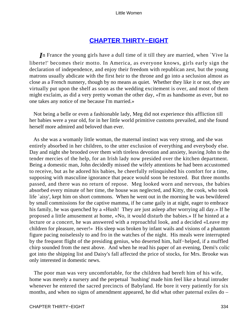# **[CHAPTER THIRTY−EIGHT](#page-420-0)**

*I*n France the young girls have a dull time of it till they are married, when `Vive la liberte!' becomes their motto. In America, as everyone knows, girls early sign the declaration of independence, and enjoy their freedom with republican zest, but the young matrons usually abdicate with the first heir to the throne and go into a seclusion almost as close as a French nunnery, though by no means as quiet. Whether they like it or not, they are virtually put upon the shelf as soon as the wedding excitement is over, and most of them might exclaim, as did a very pretty woman the other day, «I'm as handsome as ever, but no one takes any notice of me because I'm married.»

 Not being a belle or even a fashionable lady, Meg did not experience this affliction till her babies were a year old, for in her little world primitive customs prevailed, and she found herself more admired and beloved than ever.

 As she was a womanly little woman, the maternal instinct was very strong, and she was entirely absorbed in her children, to the utter exclusion of everything and everybody else. Day and night she brooded over them with tireless devotion and anxiety, leaving John to the tender mercies of the help, for an Irish lady now presided over the kitchen department. Being a domestic man, John decidedly missed the wifely attentions he had been accustomed to receive, but as he adored his babies, he cheerfully relinquished his comfort for a time, supposing with masculine ignorance that peace would soon be restored. But three months passed, and there was no return of repose. Meg looked worn and nervous, the babies absorbed every minute of her time, the house was neglected, and Kitty, the cook, who took life `aisy', kept him on short commons. When he went out in the morning he was bewildered by small commissions for the captive mamma, if he came gaily in at night, eager to embrace his family, he was quenched by a «Hush! They are just asleep after worrying all day.» If he proposed a little amusement at home, «No, it would disturb the babies.» If he hinted at a lecture or a concert, he was answered with a reproachful look, and a decided «Leave my children for pleasure, never!» His sleep was broken by infant wails and visions of a phantom figure pacing noiselessly to and fro in the watches of the night. His meals were interrupted by the frequent flight of the presiding genius, who deserted him, half−helped, if a muffled chirp sounded from the nest above. And when he read his paper of an evening, Demi's colic got into the shipping list and Daisy's fall affected the price of stocks, for Mrs. Brooke was only interested in domestic news.

 The poor man was very uncomfortable, for the children had bereft him of his wife, home was merely a nursery and the perpetual `hushing' made him feel like a brutal intruder whenever he entered the sacred precincts of Babyland. He bore it very patiently for six months, and when no signs of amendment appeared, he did what other paternal exiles do –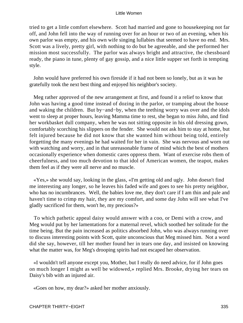tried to get a little comfort elsewhere. Scott had married and gone to housekeeping not far off, and John fell into the way of running over for an hour or two of an evening, when his own parlor was empty, and his own wife singing lullabies that seemed to have no end. Mrs. Scott was a lively, pretty girl, with nothing to do but be agreeable, and she performed her mission most successfully. The parlor was always bright and attractive, the chessboard ready, the piano in tune, plenty of gay gossip, and a nice little supper set forth in tempting style.

 John would have preferred his own fireside if it had not been so lonely, but as it was he gratefully took the next best thing and enjoyed his neighbor's society.

 Meg rather approved of the new arrangement at first, and found it a relief to know that John was having a good time instead of dozing in the parlor, or tramping about the house and waking the children. But by−and−by, when the teething worry was over and the idols went to sleep at proper hours, leaving Mamma time to rest, she began to miss John, and find her workbasket dull company, when he was not sitting opposite in his old dressing gown, comfortably scorching his slippers on the fender. She would not ask him to stay at home, but felt injured because he did not know that she wanted him without being told, entirely forgetting the many evenings he had waited for her in vain. She was nervous and worn out with watching and worry, and in that unreasonable frame of mind which the best of mothers occasionally experience when domestic cares oppress them. Want of exercise robs them of cheerfulness, and too much devotion to that idol of American women, the teapot, makes them feel as if they were all nerve and no muscle.

 «Yes,» she would say, looking in the glass, «I'm getting old and ugly. John doesn't find me interesting any longer, so he leaves his faded wife and goes to see his pretty neighbor, who has no incumbrances. Well, the babies love me, they don't care if I am thin and pale and haven't time to crimp my hair, they are my comfort, and some day John will see what I've gladly sacrificed for them, won't he, my precious?»

 To which pathetic appeal daisy would answer with a coo, or Demi with a crow, and Meg would put by her lamentations for a maternal revel, which soothed her solitude for the time being. But the pain increased as politics absorbed John, who was always running over to discuss interesting points with Scott, quite unconscious that Meg missed him. Not a word did she say, however, till her mother found her in tears one day, and insisted on knowing what the matter was, for Meg's drooping spirits had not escaped her observation.

 «I wouldn't tell anyone except you, Mother, but I really do need advice, for if John goes on much longer I might as well be widowed,» replied Mrs. Brooke, drying her tears on Daisy's bib with an injured air.

«Goes on how, my dear?» asked her mother anxiously.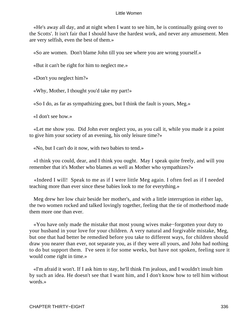«He's away all day, and at night when I want to see him, he is continually going over to the Scotts'. It isn't fair that I should have the hardest work, and never any amusement. Men are very selfish, even the best of them.»

«So are women. Don't blame John till you see where you are wrong yourself.»

«But it can't be right for him to neglect me.»

«Don't you neglect him?»

«Why, Mother, I thought you'd take my part!»

«So I do, as far as sympathizing goes, but I think the fault is yours, Meg.»

«I don't see how.»

 «Let me show you. Did John ever neglect you, as you call it, while you made it a point to give him your society of an evening, his only leisure time?»

«No, but I can't do it now, with two babies to tend.»

 «I think you could, dear, and I think you ought. May I speak quite freely, and will you remember that it's Mother who blames as well as Mother who sympathizes?»

 «Indeed I will! Speak to me as if I were little Meg again. I often feel as if I needed teaching more than ever since these babies look to me for everything.»

 Meg drew her low chair beside her mother's, and with a little interruption in either lap, the two women rocked and talked lovingly together, feeling that the tie of motherhood made them more one than ever.

 «You have only made the mistake that most young wives make−forgotten your duty to your husband in your love for your children. A very natural and forgivable mistake, Meg, but one that had better be remedied before you take to different ways, for children should draw you nearer than ever, not separate you, as if they were all yours, and John had nothing to do but support them. I've seen it for some weeks, but have not spoken, feeling sure it would come right in time.»

 «I'm afraid it won't. If I ask him to stay, he'll think I'm jealous, and I wouldn't insult him by such an idea. He doesn't see that I want him, and I don't know how to tell him without words.»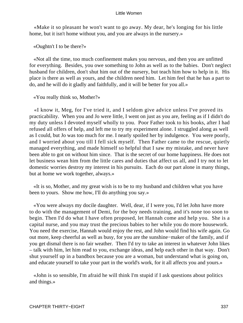«Make it so pleasant he won't want to go away. My dear, he's longing for his little home, but it isn't home without you, and you are always in the nursery.»

«Oughtn't I to be there?»

 «Not all the time, too much confinement makes you nervous, and then you are unfitted for everything. Besides, you owe something to John as well as to the babies. Don't neglect husband for children, don't shut him out of the nursery, but teach him how to help in it. His place is there as well as yours, and the children need him. Let him feel that he has a part to do, and he will do it gladly and faithfully, and it will be better for you all.»

«You really think so, Mother?»

 «I know it, Meg, for I've tried it, and I seldom give advice unless I've proved its practicability. When you and Jo were little, I went on just as you are, feeling as if I didn't do my duty unless I devoted myself wholly to you. Poor Father took to his books, after I had refused all offers of help, and left me to try my experiment alone. I struggled along as well as I could, but Jo was too much for me. I nearly spoiled her by indulgence. You were poorly, and I worried about you till I fell sick myself. Then Father came to the rescue, quietly managed everything, and made himself so helpful that I saw my mistake, and never have been able to got on without him since. That is the secret of our home happiness. He does not let business wean him from the little cares and duties that affect us all, and I try not to let domestic worries destroy my interest in his pursuits. Each do our part alone in many things, but at home we work together, always.»

 «It is so, Mother, and my great wish is to be to my husband and children what you have been to yours. Show me how, I'll do anything you say.»

 «You were always my docile daughter. Well, dear, if I were you, I'd let John have more to do with the management of Demi, for the boy needs training, and it's none too soon to begin. Then I'd do what I have often proposed, let Hannah come and help you. She is a capital nurse, and you may trust the precious babies to her while you do more housework. You need the exercise, Hannah would enjoy the rest, and John would find his wife again. Go out more, keep cheerful as well as busy, for you are the sunshine−maker of the family, and if you get dismal there is no fair weather. Then I'd try to take an interest in whatever John likes – talk with him, let him read to you, exchange ideas, and help each other in that way. Don't shut yourself up in a bandbox because you are a woman, but understand what is going on, and educate yourself to take your part in the world's work, for it all affects you and yours.»

 «John is so sensible, I'm afraid he will think I'm stupid if I ask questions about politics and things.»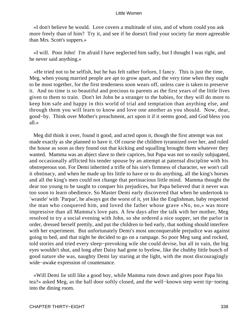«I don't believe he would. Love covers a multitude of sins, and of whom could you ask more freely than of him? Try it, and see if he doesn't find your society far more agreeable than Mrs. Scott's suppers.»

 «I will. Poor John! I'm afraid I have neglected him sadly, but I thought I was right, and he never said anything.»

 «He tried not to be selfish, but he has felt rather forlorn, I fancy. This is just the time, Meg, when young married people are apt to grow apart, and the very time when they ought to be most together, for the first tenderness soon wears off, unless care is taken to preserve it. And no time is so beautiful and precious to parents as the first years of the little lives given to them to train. Don't let John be a stranger to the babies, for they will do more to keep him safe and happy in this world of trial and temptation than anything else, and through them you will learn to know and love one another as you should. Now, dear, good−by. Think over Mother's preachment, act upon it if it seems good, and God bless you all.»

 Meg did think it over, found it good, and acted upon it, though the first attempt was not made exactly as she planned to have it. Of course the children tyrannized over her, and ruled the house as soon as they found out that kicking and squalling brought them whatever they wanted. Mamma was an abject slave to their caprices, but Papa was not so easily subjugated, and occasionally afflicted his tender spouse by an attempt at paternal discipline with his obstreperous son. For Demi inherited a trifle of his sire's firmness of character, we won't call it obstinacy, and when he made up his little to have or to do anything, all the king's horses and all the king's men could not change that pertinacious little mind. Mamma thought the dear too young to be taught to conquer his prejudices, but Papa believed that it never was too soon to learn obedience. So Master Demi early discovered that when he undertook to `wrastle' with `Parpar', he always got the worst of it, yet like the Englishman, baby respected the man who conquered him, and loved the father whose grave «No, no,» was more impressive than all Mamma's love pats. A few days after the talk with her mother, Meg resolved to try a social evening with John, so she ordered a nice supper, set the parlor in order, dressed herself prettily, and put the children to bed early, that nothing should interfere with her experiment. But unfortunately Demi's most unconquerable prejudice was against going to bed, and that night he decided to go on a rampage. So poor Meg sang and rocked, told stories and tried every sleep−prevoking wile she could devise, but all in vain, the big eyes wouldn't shut, and long after Daisy had gone to byelow, like the chubby little bunch of good nature she was, naughty Demi lay staring at the light, with the most discouragingly wide−awake expression of countenance.

 «Will Demi lie still like a good boy, while Mamma runs down and gives poor Papa his tea?» asked Meg, as the hall door softly closed, and the well−known step went tip−toeing into the dining room.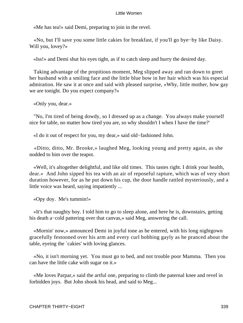«Me has tea!» said Demi, preparing to join in the revel.

 «No, but I'll save you some little cakies for breakfast, if you'll go bye−by like Daisy. Will you, lovey?»

«Iss!» and Demi shut his eyes tight, as if to catch sleep and hurry the desired day.

 Taking advantage of the propitious moment, Meg slipped away and ran down to greet her husband with a smiling face and the little blue bow in her hair which was his especial admiration. He saw it at once and said with pleased surprise, «Why, little mother, how gay we are tonight. Do you expect company?»

«Only you, dear.»

 "No, I'm tired of being dowdy, so I dressed up as a change. You always make yourself nice for table, no matter how tired you are, so why shouldn't I when I have the time?'

«I do it out of respect for you, my dear,» said old−fashioned John.

 «Ditto, ditto, Mr. Brooke,» laughed Meg, looking young and pretty again, as she nodded to him over the teapot.

 «Well, it's altogether delightful, and like old times. This tastes right. I drink your health, dear.» And John sipped his tea with an air of reposeful rapture, which was of very short duration however, for as he put down his cup, the door handle rattled mysteriously, and a little voice was heard, saying impatiently ...

«Opy doy. Me's tummin!»

 «It's that naughty boy. I told him to go to sleep alone, and here he is, downstairs, getting his death a−cold pattering over that canvas,» said Meg, answering the call.

 «Mornin' now,» announced Demi in joyful tone as he entered, with his long nightgown gracefully festooned over his arm and every curl bobbing gayly as he pranced about the table, eyeing the `cakies' with loving glances.

 «No, it isn't morning yet. You must go to bed, and not trouble poor Mamma. Then you can have the little cake with sugar on it.»

 «Me loves Parpar,» said the artful one, preparing to climb the paternal knee and revel in forbidden joys. But John shook his head, and said to Meg...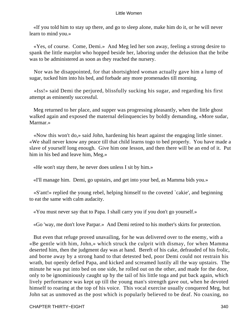«If you told him to stay up there, and go to sleep alone, make him do it, or he will never learn to mind you.»

 «Yes, of course. Come, Demi.» And Meg led her son away, feeling a strong desire to spank the little marplot who hopped beside her, laboring under the delusion that the bribe was to be administered as soon as they reached the nursery.

 Nor was he disappointed, for that shortsighted woman actually gave him a lump of sugar, tucked him into his bed, and forbade any more promenades till morning.

 «Iss!» said Demi the perjured, blissfully sucking his sugar, and regarding his first attempt as eminently successful.

 Meg returned to her place, and supper was progressing pleasantly, when the little ghost walked again and exposed the maternal delinquencies by boldly demanding, «More sudar, Marmar.»

 «Now this won't do,» said John, hardening his heart against the engaging little sinner. «We shall never know any peace till that child learns togo to bed properly. You have made a slave of yourself long enough. Give him one lesson, and then there will be an end of it. Put him in his bed and leave him, Meg.»

«He won't stay there, he never does unless I sit by him.»

«I'll manage him. Demi, go upstairs, and get into your bed, as Mamma bids you.»

 «S'ant!» replied the young rebel, helping himself to the coveted `cakie', and beginning to eat the same with calm audacity.

«You must never say that to Papa. I shall carry you if you don't go yourself.»

«Go 'way, me don't love Parpar.» And Demi retired to his mother's skirts for protection.

 But even that refuge proved unavailing, for he was delivered over to the enemy, with a «Be gentle with him, John,» which struck the culprit with dismay, for when Mamma deserted him, then the judgment day was at hand. Bereft of his cake, defrauded of his frolic, and borne away by a strong hand to that detested bed, poor Demi could not restrain his wrath, but openly defied Papa, and kicked and screamed lustily all the way upstairs. The minute he was put into bed on one side, he rolled out on the other, and made for the door, only to be ignominiously caught up by the tail of his little toga and put back again, which lively performance was kept up till the young man's strength gave out, when he devoted himself to roaring at the top of his voice. This vocal exercise usually conquered Meg, but John sat as unmoved as the post which is popularly believed to be deaf. No coaxing, no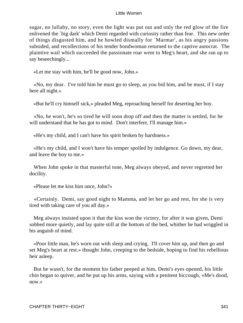sugar, no lullaby, no story, even the light was put out and only the red glow of the fire enlivened the `big dark' which Demi regarded with curiosity rather than fear. This new order of things disgusted him, and he howled dismally for `Marmar', as his angry passions subsided, and recollections of his tender bondwoman returned to the captive autocrat. The plaintive wail which succeeded the passionate roar went to Meg's heart, and she ran up to say beseechingly...

«Let me stay with him, he'll be good now, John.»

 «No, my dear. I've told him he must go to sleep, as you bid him, and he must, if I stay here all night.»

«But he'll cry himself sick,» pleaded Meg, reproaching herself for deserting her boy.

 «No, he won't, he's so tired he will soon drop off and then the matter is settled, for he will understand that he has got to mind. Don't interfere, I'll manage him.»

«He's my child, and I can't have his spirit broken by harshness.»

 «He's my child, and I won't have his temper spoiled by indulgence. Go down, my dear, and leave the boy to me.»

 When John spoke in that masterful tone, Meg always obeyed, and never regretted her docility.

«Please let me kiss him once, John?»

 «Certainly. Demi, say good night to Mamma, and let her go and rest, for she is very tired with taking care of you all day.»

 Meg always insisted upon it that the kiss won the victory, for after it was given, Demi sobbed more quietly, and lay quite still at the bottom of the bed, whither he had wriggled in his anguish of mind.

 «Poor little man, he's worn out with sleep and crying. I'll cover him up, and then go and set Meg's heart at rest.» thought John, creeping to the bedside, hoping to find his rebellious heir asleep.

 But he wasn't, for the moment his father peeped at him, Demi's eyes opened, his little chin began to quiver, and he put up his arms, saying with a penitent hiccough, «Me's dood, now.»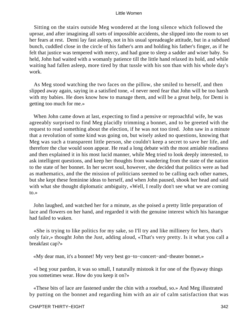Sitting on the stairs outside Meg wondered at the long silence which followed the uproar, and after imagining all sorts of impossible accidents, she slipped into the room to set her fears at rest. Demi lay fast asleep, not in his usual spreadeagle attitude, but in a subdued bunch, cuddled close in the circle of his father's arm and holding his father's finger, as if he felt that justice was tempered with mercy, and had gone to sleep a sadder and wiser baby. So held, John had waited with a womanly patience till the little hand relaxed its hold, and while waiting had fallen asleep, more tired by that tussle with his son than with his whole day's work.

 As Meg stood watching the two faces on the pillow, she smiled to herself, and then slipped away again, saying in a satisfied tone, «I never need fear that John will be too harsh with my babies. He does know how to manage them, and will be a great help, for Demi is getting too much for me.»

 When John came down at last, expecting to find a pensive or reproachful wife, he was agreeably surprised to find Meg placidly trimming a bonnet, and to be greeted with the request to read something about the election, if he was not too tired. John saw in a minute that a revolution of some kind was going on, but wisely asked no questions, knowing that Meg was such a transparent little person, she couldn't keep a secret to save her life, and therefore the clue would soon appear. He read a long debate with the most amiable readiness and then explained it in his most lucid manner, while Meg tried to look deeply interested, to ask intelligent questions, and keep her thoughts from wandering from the state of the nation to the state of her bonnet. In her secret soul, however, she decided that politics were as bad as mathematics, and the the mission of politicians seemed to be calling each other names, but she kept these feminine ideas to herself, and when John paused, shook her head and said with what she thought diplomatic ambiguity, «Well, I really don't see what we are coming to.»

 John laughed, and watched her for a minute, as she poised a pretty little preparation of lace and flowers on her hand, and regarded it with the genuine interest which his harangue had failed to waken.

 «She is trying to like politics for my sake, so I'll try and like millinery for hers, that's only fair,» thought John the Just, adding aloud, «That's very pretty. Is it what you call a breakfast cap?»

«My dear man, it's a bonnet! My very best go−to−concert−and−theater bonnet.»

 «I beg your pardon, it was so small, I naturally mistook it for one of the flyaway things you sometimes wear. How do you keep it on?»

 «These bits of lace are fastened under the chin with a rosebud, so.» And Meg illustrated by putting on the bonnet and regarding him with an air of calm satisfaction that was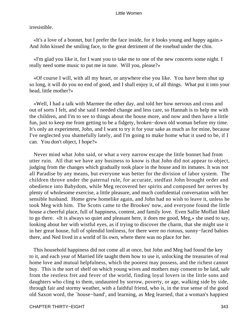irresistible.

 «It's a love of a bonnet, but I prefer the face inside, for it looks young and happy again.» And John kissed the smiling face, to the great detriment of the rosebud under the chin.

 «I'm glad you like it, for I want you to take me to one of the new concerts some night. I really need some music to put me in tune. Will you, please?»

 «Of course I will, with all my heart, or anywhere else you like. You have been shut up so long, it will do you no end of good, and I shall enjoy it, of all things. What put it into your head, little mother?»

 «Well, I had a talk with Marmee the other day, and told her how nervous and cross and out of sorts I felt, and she said I needed change and less care, so Hannah is to help me with the children, and I'm to see to things about the house more, and now and then have a little fun, just to keep me from getting to be a fidgety, broken−down old woman before my time. It's only an experiment, John, and I want to try it for your sake as much as for mine, because I've neglected you shamefully lately, and I'm going to make home what it used to be, if I can. You don't object, I hope?»

 Never mind what John said, or what a very narrow escape the little bonnet had from utter ruin. All that we have any business to know is that John did not appear to object, judging from the changes which gradually took place in the house and its inmates. It was not all Paradise by any means, but everyone was better for the division of labor system. The children throve under the paternal rule, for accurate, stedfast John brought order and obedience into Babydom, while Meg recovered her spirits and composed her nerves by plenty of wholesome exercise, a little pleasure, and much confidential conversation with her sensible husband. Home grew homelike again, and John had no wish to leave it, unless he took Meg with him. The Scotts came to the Brookes' now, and everyone found the little house a cheerful place, full of happiness, content, and family love. Even Sallie Moffatt liked to go there. «It is always so quiet and pleasant here, it does me good, Meg,» she used to say, looking about her with wistful eyes, as if trying to discover the charm, that she might use it in her great house, full of splendid lonliness, for there were no riotous, sunny−faced babies there, and Ned lived in a world of lis own, where there was no place for her.

 This household happiness did not come all at once, but John and Meg had found the key to it, and each year of Married life taught them how to use it, unlocking the treasuries of real home love and mutual helpfulness, which the poorest may possess, and the richest cannot buy. This is the sort of shelf on which young wives and mothers may consent to be laid, safe from the restless fret and fever of the world, finding loyal lovers in the little sons and daughters who cling to them, undaunted by sorrow, poverty, or age, walking side by side, through fair and stormy weather, with a faithful friend, who is, in the true sense of the good old Saxon word, the `house−band', and learning, as Meg learned, that a woman's happiest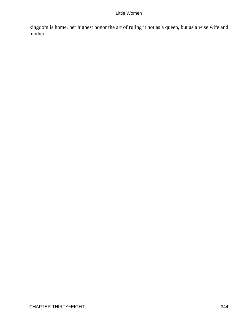kingdom is home, her highest honor the art of ruling it not as a queen, but as a wise wife and mother.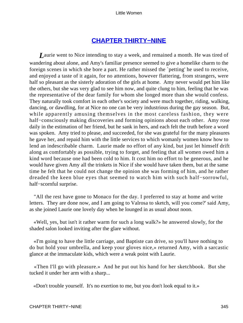# **[CHAPTER THIRTY−NINE](#page-420-0)**

*L*aurie went to Nice intending to stay a week, and remained a month. He was tired of wandering about alone, and Amy's familiar presence seemed to give a homelike charm to the foreign scenes in which she bore a part. He rather missed the `petting' he used to receive, and enjoyed a taste of it again, for no attentions, however flattering, from strangers, were half so pleasant as the sisterly adoration of the girls at home. Amy never would pet him like the others, but she was very glad to see him now, and quite clung to him, feeling that he was the representative of the dear family for whom she longed more than she would confess. They naturally took comfort in each other's society and were much together, riding, walking, dancing, or dawdling, for at Nice no one can be very industrious during the gay season. But, while apparently amusing themselves in the most careless fashion, they were half−consciously making discoveries and forming opinions about each other. Amy rose daily in the estimation of her friend, but he sank in hers, and each felt the truth before a word was spoken. Amy tried to please, and succeeded, for she was grateful for the many pleasures he gave her, and repaid him with the little services to which womanly women know how to lend an indescribable charm. Laurie made no effort of any kind, but just let himself drift along as comfortably as possible, trying to forget, and feeling that all women owed him a kind word because one had been cold to him. It cost him no effort to be generous, and he would have given Amy all the trinkets in Nice if she would have taken them, but at the same time he felt that he could not change the opinion she was forming of him, and he rather dreaded the keen blue eyes that seemed to watch him with such half−sorrowful, half−scornful surprise.

 "All the rest have gone to Monaco for the day. I preferred to stay at home and write letters. They are done now, and I am going to Valrosa to sketch, will you come?' said Amy, as she joined Laurie one lovely day when he lounged in as usual about noon.

 «Well, yes, but isn't it rather warm for such a long walk?» he answered slowly, for the shaded salon looked inviting after the glare without.

 «I'm going to have the little carriage, and Baptiste can drive, so you'll have nothing to do but hold your umbrella, and keep your gloves nice,» returned Amy, with a sarcastic glance at the immaculate kids, which were a weak point with Laurie.

 «Then I'll go with pleasure.» And he put out his hand for her sketchbook. But she tucked it under her arm with a sharp...

«Don't trouble yourself. It's no exertion to me, but you don't look equal to it.»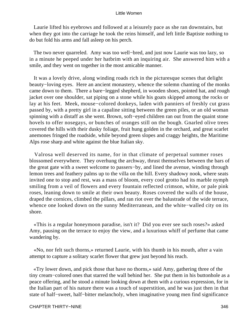Laurie lifted his eyebrows and followed at a leisurely pace as she ran downstairs, but when they got into the carriage he took the reins himself, and left little Baptiste nothing to do but fold his arms and fall asleep on his perch.

 The two never quarreled. Amy was too well−bred, and just now Laurie was too lazy, so in a minute he peeped under her hatbrim with an inquiring air. She answered him with a smile, and they went on together in the most amicable manner.

 It was a lovely drive, along winding roads rich in the picturesque scenes that delight beauty−loving eyes. Here an ancient monastery, whence the solemn chanting of the monks came down to them. There a bare−legged shepherd, in wooden shoes, pointed hat, and rough jacket over one shoulder, sat piping on a stone while his goats skipped among the rocks or lay at his feet. Meek, mouse−colored donkeys, laden with panniers of freshly cut grass passed by, with a pretty girl in a capaline sitting between the green piles, or an old woman spinning with a distaff as she went. Brown, soft−eyed children ran out from the quaint stone hovels to offer nosegays, or bunches of oranges still on the bough. Gnarled olive trees covered the hills with their dusky foliage, fruit hung golden in the orchard, and great scarlet anemones fringed the roadside, while beyond green slopes and craggy heights, the Maritime Alps rose sharp and white against the blue Italian sky.

 Valrosa well deserved its name, for in that climate of perpetual summer roses blossomed everywhere. They overhung the archway, thrust themselves between the bars of the great gate with a sweet welcome to passers−by, and lined the avenue, winding through lemon trees and feathery palms up to the villa on the hill. Every shadowy nook, where seats invited one to stop and rest, was a mass of bloom, every cool grotto had its marble nymph smiling from a veil of flowers and every fountain reflected crimson, white, or pale pink roses, leaning down to smile at their own beauty. Roses covered the walls of the house, draped the cornices, climbed the pillars, and ran riot over the balustrade of the wide terrace, whence one looked down on the sunny Mediterranean, and the white−walled city on its shore.

 «This is a regular honeymoon paradise, isn't it? Did you ever see such roses?» asked Amy, pausing on the terrace to enjoy the view, and a luxurious whiff of perfume that came wandering by.

 «No, nor felt such thorns,» returned Laurie, with his thumb in his mouth, after a vain attempt to capture a solitary scarlet flower that grew just beyond his reach.

 «Try lower down, and pick those that have no thorns,» said Amy, gathering three of the tiny cream−colored ones that starred the wall behind her. She put them in his buttonhole as a peace offering, and he stood a minute looking down at them with a curious expression, for in the Italian part of his nature there was a touch of superstition, and he was just then in that state of half−sweet, half−bitter melancholy, when imaginative young men find significance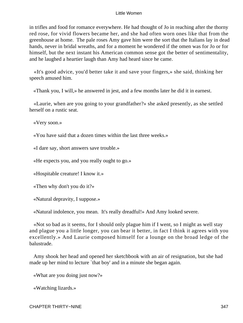in trifles and food for romance everywhere. He had thought of Jo in reaching after the thorny red rose, for vivid flowers became her, and she had often worn ones like that from the greenhouse at home. The pale roses Amy gave him were the sort that the Italians lay in dead hands, never in bridal wreaths, and for a moment he wondered if the omen was for Jo or for himself, but the next instant his American common sense got the better of sentimentality, and he laughed a heartier laugh than Amy had heard since he came.

 «It's good advice, you'd better take it and save your fingers,» she said, thinking her speech amused him.

«Thank you, I will,» he answered in jest, and a few months later he did it in earnest.

 «Laurie, when are you going to your grandfather?» she asked presently, as she settled herself on a rustic seat.

«Very soon.»

«You have said that a dozen times within the last three weeks.»

«I dare say, short answers save trouble.»

«He expects you, and you really ought to go.»

«Hospitable creature! I know it.»

«Then why don't you do it?»

«Natural depravity, I suppose.»

«Natural indolence, you mean. It's really dreadful!» And Amy looked severe.

 «Not so bad as it seems, for I should only plague him if I went, so I might as well stay and plague you a little longer, you can bear it better, in fact I think it agrees with you excellently.» And Laurie composed himself for a lounge on the broad ledge of the balustrade.

 Amy shook her head and opened her sketchbook with an air of resignation, but she had made up her mind to lecture `that boy' and in a minute she began again.

«What are you doing just now?»

«Watching lizards.»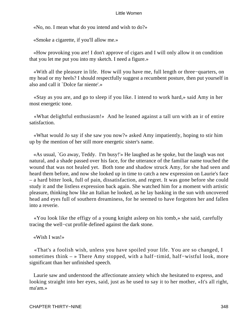«No, no. I mean what do you intend and wish to do?»

«Smoke a cigarette, if you'll allow me.»

 «How provoking you are! I don't approve of cigars and I will only allow it on condition that you let me put you into my sketch. I need a figure.»

 «With all the pleasure in life. How will you have me, full length or three−quarters, on my head or my heels? I should respectfully suggest a recumbent posture, then put yourself in also and call it `Dolce far niente'.»

 «Stay as you are, and go to sleep if you like. I intend to work hard,» said Amy in her most energetic tone.

 «What delightful enthusiasm!» And he leaned against a tall urn with an ir of entire satisfaction.

 «What would Jo say if she saw you now?» asked Amy impatiently, hoping to stir him up by the mention of her still more energetic sister's name.

 «As usual, `Go away, Teddy. I'm busy!'» He laughed as he spoke, but the laugh was not natural, and a shade passed over his face, for the utterance of the familiar name touched the wound that was not healed yet. Both tone and shadow struck Amy, for she had seen and heard them before, and now she looked up in time to catch a new expression on Laurie's face – a hard bitter look, full of pain, dissatisfaction, and regret. It was gone before she could study it and the listless expression back again. She watched him for a moment with artistic pleasure, thinking how like an Italian he looked, as he lay basking in the sun with uncovered head and eyes full of southern dreaminess, for he seemed to have forgotten her and fallen into a reverie.

 «You look like the effigy of a young knight asleep on his tomb,» she said, carefully tracing the well−cut profile defined against the dark stone.

«Wish I was!»

 «That's a foolish wish, unless you have spoiled your life. You are so changed, I sometimes think – » There Amy stopped, with a half–timid, half–wistful look, more significant than her unfinished speech.

 Laurie saw and understood the affectionate anxiety which she hesitated to express, and looking straight into her eyes, said, just as he used to say it to her mother, «It's all right, ma'am.»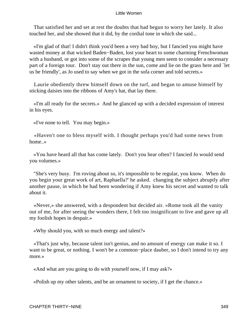That satisfied her and set at rest the doubts that had begun to worry her lately. It also touched her, and she showed that it did, by the cordial tone in which she said...

 «I'm glad of that! I didn't think you'd been a very bad boy, but I fancied you might have wasted money at that wicked Baden−Baden, lost your heart to some charming Frenchwoman with a husband, or got into some of the scrapes that young men seem to consider a necessary part of a foreign tour. Don't stay out there in the sun, come and lie on the grass here and `let us be friendly', as Jo used to say when we got in the sofa corner and told secrets.»

 Laurie obediently threw himself down on the turf, and began to amuse himself by sticking daisies into the ribbons of Amy's hat, that lay there.

 «I'm all ready for the secrets.» And he glanced up with a decided expression of interest in his eyes.

«I've none to tell. You may begin.»

 «Haven't one to bless myself with. I thought perhaps you'd had some news from home..»

 «You have heard all that has come lately. Don't you hear often? I fancied Jo would send you volumes.»

 "She's very busy. I'm roving about so, it's impossible to be regular, you know. When do you begin your great work of art, Raphaella?' he asked. changing the subject abruptly after another pause, in which he had been wondering if Amy knew his secret and wanted to talk about it.

 «Never,» she answered, with a despondent but decided air. «Rome took all the vanity out of me, for after seeing the wonders there, I felt too insignificant to live and gave up all my foolish hopes in despair.»

«Why should you, with so much energy and talent?»

 «That's just why, because talent isn't genius, and no amount of energy can make it so. I want to be great, or nothing. I won't be a common−place dauber, so I don't intend to try any more.»

«And what are you going to do with yourself now, if I may ask?»

«Polish up my other talents, and be an ornament to society, if I get the chance.»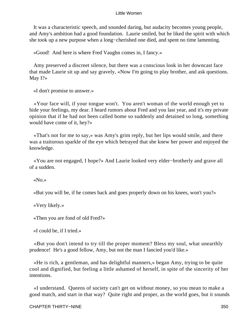It was a characteristic speech, and sounded daring, but audacity becomes young people, and Amy's ambition had a good foundation. Laurie smiled, but he liked the spirit with which she took up a new purpose when a long−cherished one died, and spent no time lamenting.

«Good! And here is where Fred Vaughn comes in, I fancy.»

 Amy preserved a discreet silence, but there was a conscious look in her downcast face that made Laurie sit up and say gravely, «Now I'm going to play brother, and ask questions. May I?»

«I don't promise to answer.»

 «Your face will, if your tongue won't. You aren't woman of the world enough yet to hide your feelings, my dear. I heard rumors about Fred and you last year, and it's my private opinion that if he had not been called home so suddenly and detained so long, something would have come of it, hey?»

 «That's not for me to say,» was Amy's grim reply, but her lips would smile, and there was a traitorous sparkle of the eye which betrayed that she knew her power and enjoyed the knowledge.

 «You are not engaged, I hope?» And Laurie looked very elder−brotherly and grave all of a sudden.

«No.»

«But you will be, if he comes back and goes properly down on his knees, won't you?»

«Very likely.»

«Then you are fond of old Fred?»

«I could be, if I tried.»

 «But you don't intend to try till the proper moment? Bless my soul, what unearthly prudence! He's a good fellow, Amy, but not the man I fancied you'd like.»

 «He is rich, a gentleman, and has delightful manners,» began Amy, trying to be quite cool and dignified, but feeling a little ashamed of herself, in spite of the sincerity of her intentions.

 «I understand. Queens of society can't get on without money, so you mean to make a good match, and start in that way? Quite right and proper, as the world goes, but it sounds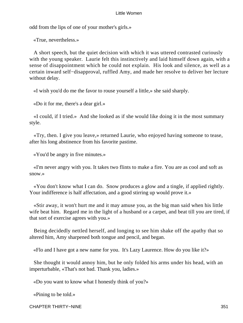odd from the lips of one of your mother's girls.»

«True, nevertheless.»

 A short speech, but the quiet decision with which it was uttered contrasted curiously with the young speaker. Laurie felt this instinctively and laid himself down again, with a sense of disappointment which he could not explain. His look and silence, as well as a certain inward self−disapproval, ruffled Amy, and made her resolve to deliver her lecture without delay.

«I wish you'd do me the favor to rouse yourself a little,» she said sharply.

«Do it for me, there's a dear girl.»

 «I could, if I tried.» And she looked as if she would like doing it in the most summary style.

 «Try, then. I give you leave,» returned Laurie, who enjoyed having someone to tease, after his long abstinence from his favorite pastime.

«You'd be angry in five minutes.»

 «I'm never angry with you. It takes two flints to make a fire. You are as cool and soft as snow.»

 «You don't know what I can do. Snow produces a glow and a tingle, if applied rightly. Your indifference is half affectation, and a good stirring up would prove it.»

 «Stir away, it won't hurt me and it may amuse you, as the big man said when his little wife beat him. Regard me in the light of a husband or a carpet, and beat till you are tired, if that sort of exercise agrees with you.»

 Being decidedly nettled herself, and longing to see him shake off the apathy that so altered him, Amy sharpened both tongue and pencil, and began.

«Flo and I have got a new name for you. It's Lazy Laurence. How do you like it?»

 She thought it would annoy him, but he only folded his arms under his head, with an imperturbable, «That's not bad. Thank you, ladies.»

«Do you want to know what I honestly think of you?»

«Pining to be told.»

CHAPTER THIRTY−NINE 351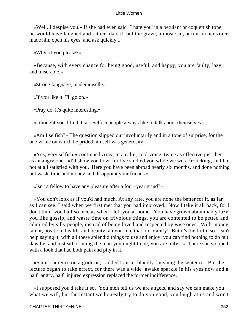«Well, I despise you.» If she had even said `I hate you' in a petulant or coquettish tone, he would have laughed and rather liked it, but the grave, almost sad, accent in her voice made him open his eyes, and ask quickly...

«Why, if you please?»

 «Because, with every chance for being good, useful, and happy, you are faulty, lazy, and miserable.»

«Strong language, mademoiselle.»

«If you like it, I'll go on.»

«Pray do, it's quite interesting.»

«I thought you'd find it so. Selfish people always like to talk about themselves.»

 «Am I selfish?» The question slipped out involuntarily and in a tone of surprise, for the one virtue on which he prided himself was generosity.

 «Yes, very selfish,» continued Amy, in a calm, cool voice, twice as effective just then as an angry one. «I'll show you how, for I've studied you while we were frolicking, and I'm not at all satisfied with you. Here you have been abroad nearly six months, and done nothing but waste time and money and disappoint your friends.»

«Isn't a fellow to have any pleasure after a four−year grind?»

 «You don't look as if you'd had much. At any rate, you are none the better for it, as far as I can see. I said when we first met that you had improved. Now I take it all back, for I don't think you half so nice as when I left you at home. You have grown abominably lazy, you like gossip, and waste time on frivolous things, you are contented to be petted and admired by silly people, instead of being loved and respected by wise ones. With money, talent, position, health, and beauty, ah you like that old Vanity! But it's the truth, so I can't help saying it, with all these splendid things to use and enjoy, you can find nothing to do but dawdle, and instead of being the man you ought to be, you are only...» There she stopped, with a look that had both pain and pity in it.

 «Saint Laurence on a gridiron,» added Laurie, blandly finishing the sentence. But the lecture began to take effect, for there was a wide−awake sparkle in his eyes now and a half–angry, half–injured expression replaced the former indifference.

 «I supposed you'd take it so. You men tell us we are angels, and say we can make you what we will, but the instant we honestly try to do you good, you laugh at us and won't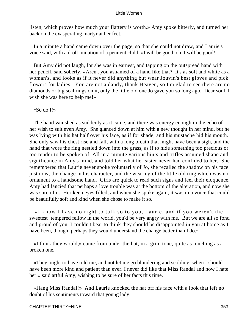listen, which proves how much your flattery is worth.» Amy spoke bitterly, and turned her back on the exasperating martyr at her feet.

 In a minute a hand came down over the page, so that she could not draw, and Laurie's voice said, with a droll imitation of a penitent child, «I will be good, oh, I will be good!»

 But Amy did not laugh, for she was in earnest, and tapping on the outspread hand with her pencil, said soberly, «Aren't you ashamed of a hand like that? It's as soft and white as a woman's, and looks as if it never did anything but wear Jouvin's best gloves and pick flowers for ladies. You are not a dandy, thank Heaven, so I'm glad to see there are no diamonds or big seal rings on it, only the little old one Jo gave you so long ago. Dear soul, I wish she was here to help me!»

«So do I!»

 The hand vanished as suddenly as it came, and there was energy enough in the echo of her wish to suit even Amy. She glanced down at him with a new thought in her mind, but he was lying with his hat half over his face, as if for shade, and his mustache hid his mouth. She only saw his chest rise and fall, with a long breath that might have been a sigh, and the hand that wore the ring nestled down into the grass, as if to hide something too precious or too tender to be spoken of. All in a minute various hints and trifles assumed shape and significance in Amy's mind, and told her what her sister never had confided to her. She remembered that Laurie never spoke voluntarily of Jo, she recalled the shadow on his face just now, the change in his character, and the wearing of the little old ring which was no ornament to a handsome hand. Girls are quick to read such signs and feel their eloquence. Amy had fancied that perhaps a love trouble was at the bottom of the alteration, and now she was sure of it. Her keen eyes filled, and when she spoke again, it was in a voice that could be beautifully soft and kind when she chose to make it so.

 «I know I have no right to talk so to you, Laurie, and if you weren't the sweetest−tempered fellow in the world, you'd be very angry with me. But we are all so fond and proud of you, I couldn't bear to think they should be disappointed in you at home as I have been, though, perhaps they would understand the change better than I do.»

 «I think they would,» came from under the hat, in a grim tone, quite as touching as a broken one.

 «They ought to have told me, and not let me go blundering and scolding, when I should have been more kind and patient than ever. I never did like that Miss Randal and now I hate her!» said artful Amy, wishing to be sure of her facts this time.

 «Hang Miss Randal!» And Laurie knocked the hat off his face with a look that left no doubt of his sentiments toward that young lady.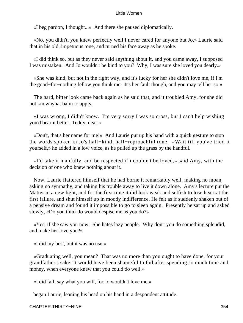«I beg pardon, I thought...» And there she paused diplomatically.

 «No, you didn't, you knew perfectly well I never cared for anyone but Jo,» Laurie said that in his old, impetuous tone, and turned his face away as he spoke.

 «I did think so, but as they never said anything about it, and you came away, I supposed I was mistaken. And Jo wouldn't be kind to you? Why, I was sure she loved you dearly.»

 «She was kind, but not in the right way, and it's lucky for her she didn't love me, if I'm the good−for−nothing fellow you think me. It's her fault though, and you may tell her so.»

 The hard, bitter look came back again as he said that, and it troubled Amy, for she did not know what balm to apply.

 «I was wrong, I didn't know. I'm very sorry I was so cross, but I can't help wishing you'd bear it better, Teddy, dear.»

 «Don't, that's her name for me!» And Laurie put up his hand with a quick gesture to stop the words spoken in Jo's half−kind, half−reproachful tone. «Wait till you've tried it yourself,» he added in a low voice, as he pulled up the grass by the handful.

 «I'd take it manfully, and be respected if i couldn't be loved,» said Amy, with the decision of one who knew nothing about it.

 Now, Laurie flattered himself that he had borne it remarkably well, making no moan, asking no sympathy, and taking his trouble away to live it down alone. Amy's lecture put the Matter in a new light, and for the first time it did look weak and selfish to lose heart at the first failure, and shut himself up in moody indifference. He felt as if suddenly shaken out of a pensive dream and found it impossible to go to sleep again. Presently he sat up and asked slowly, «Do you think Jo would despise me as you do?»

 «Yes, if she saw you now. She hates lazy people. Why don't you do something splendid, and make her love you?»

«I did my best, but it was no use.»

 «Graduating well, you mean? That was no more than you ought to have done, for your grandfather's sake. It would have been shameful to fail after spending so much time and money, when everyone knew that you could do well.»

«I did fail, say what you will, for Jo wouldn't love me,»

began Laurie, leaning his head on his hand in a despondent attitude.

CHAPTER THIRTY−NINE 354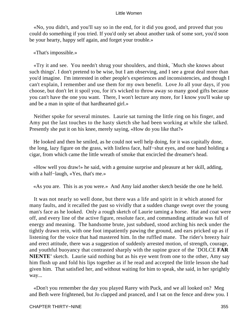«No, you didn't, and you'll say so in the end, for it did you good, and proved that you could do something if you tried. If you'd only set about another task of some sort, you'd soon be your hearty, happy self again, and forget your trouble.»

# «That's impossible.»

 «Try it and see. You needn't shrug your shoulders, and think, `Much she knows about such things'. I don't pretend to be wise, but I am observing, and I see a great deal more than you'd imagine. I'm interested in other people's experiences and inconsistencies, and though I can't explain, I remember and use them for my own benefit. Love Jo all your days, if you choose, but don't let it spoil you, for it's wicked to throw away so many good gifts because you can't have the one you want. There, I won't lecture any more, for I know you'll wake up and be a man in spite of that hardhearted girl.»

 Neither spoke for several minutes. Laurie sat turning the little ring on his finger, and Amy put the last touches to the hasty sketch she had been working at while she talked. Presently she put it on his knee, merely saying, «How do you like that?»

 He looked and then he smiled, as he could not well help doing, for it was capitally done, the long, lazy figure on the grass, with listless face, half−shut eyes, and one hand holding a cigar, from which came the little wreath of smoke that encircled the dreamer's head.

 «How well you draw!» he said, with a genuine surprise and pleasure at her skill, adding, with a half−laugh, «Yes, that's me.»

«As you are. This is as you were.» And Amy laid another sketch beside the one he held.

 It was not nearly so well done, but there was a life and spirit in it which atoned for many faults, and it recalled the past so vividly that a sudden change swept over the young man's face as he looked. Only a rough sketch of Laurie taming a horse. Hat and coat were off, and every line of the active figure, resolute face, and commanding attitude was full of energy and meaning. The handsome brute, just subdued, stood arching his neck under the tightly drawn rein, with one foot impatiently pawing the ground, and ears pricked up as if listening for the voice that had mastered him. In the ruffled mane. The rider's breezy hair and erect attitude, there was a suggestion of suddenly arrested motion, of strength, courage, and youthful buoyancy that contrasted sharply with the supine grace of the `DOLCE **FAR NIENTE'** sketch. Laurie said nothing but as his eye went from one to the other, Amy say him flush up and fold his lips together as if he read and accepted the little lesson she had given him. That satisfied her, and without waiting for him to speak, she said, in her sprightly way...

 «Don't you remember the day you played Rarey with Puck, and we all looked on? Meg and Beth were frightened, but Jo clapped and pranced, and I sat on the fence and drew you. I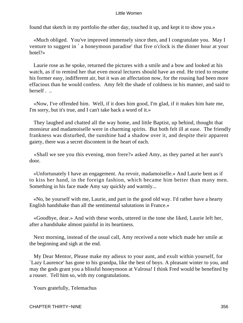found that sketch in my portfolio the other day, touched it up, and kept it to show you.»

 «Much obliged. You've improved immensely since then, and I congratulate you. May I venture to suggest in ` a honeymoon paradise' that five o'clock is the dinner hour at your hotel?»

 Laurie rose as he spoke, returned the pictures with a smile and a bow and looked at his watch, as if to remind her that even moral lectures should have an end. He tried to resume his former easy, indifferent air, but it was an affectation now, for the rousing had been more effacious than he would confess. Amy felt the shade of coldness in his manner, and said to herself . ..

 «Now, I've offended him. Well, if it does him good, I'm glad, if it makes him hate me, I'm sorry, but it's true, and I can't take back a word of it.»

 They laughed and chatted all the way home, and little Baptist, up behind, thought that monsieur and madamoiselle were in charming spirits. But both felt ill at ease. The friendly frankness was disturbed, the sunshine had a shadow over it, and despite their apparent gaiety, there was a secret discontent in the heart of each.

 «Shall we see you this evening, mon frere?» asked Amy, as they parted at her aunt's door.

 «Unfortunately I have an engagement. Au revoir, madamoiselle.» And Laurie bent as if to kiss her hand, in the foreign fashion, which became him better than many men. Something in his face made Amy say quickly and warmly...

 «No, be yourself with me, Laurie, and part in the good old way. I'd rather have a hearty English handshake than all the sentimental salutations in France.»

 «Goodbye, dear.» And with these words, uttered in the tone she liked, Laurie left her, after a handshake almost painful in its heartiness.

 Next morning, instead of the usual call, Amy received a note which made her smile at the beginning and sigh at the end.

 My Dear Mentor, Please make my adieux to your aunt, and exult within yourself, for `Lazy Laurence' has gone to his grandpa, like the best of boys. A pleasant winter to you, and may the gods grant you a blissful honeymoon at Valrosa! I think Fred would be benefited by a rouser. Tell him so, with my congratulations.

Yours gratefully, Telemachus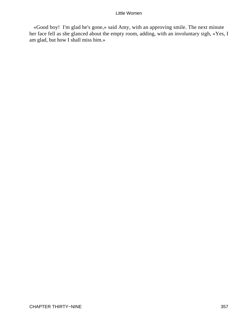«Good boy! I'm glad he's gone,» said Amy, with an approving smile. The next minute her face fell as she glanced about the empty room, adding, with an involuntary sigh, «Yes, I am glad, but how I shall miss him.»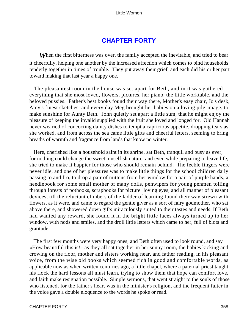# **[CHAPTER FORTY](#page-420-0)**

**When the first bitterness was over, the family accepted the inevitable, and tried to bear** it cheerfully, helping one another by the increased affection which comes to bind households tenderly together in times of trouble. They put away their grief, and each did his or her part toward making that last year a happy one.

 The pleasantest room in the house was set apart for Beth, and in it was gathered everything that she most loved, flowers, pictures, her piano, the little worktable, and the beloved pussies. Father's best books found their way there, Mother's easy chair, Jo's desk, Amy's finest sketches, and every day Meg brought her babies on a loving pilgrimage, to make sunshine for Aunty Beth. John quietly set apart a little sum, that he might enjoy the pleasure of keeping the invalid supplied with the fruit she loved and longed for. Old Hannah never wearied of concocting dainty dishes to tempt a capricious appetite, dropping tears as she worked, and from across the sea came little gifts and cheerful letters, seeming to bring breaths of warmth and fragrance from lands that know no winter.

 Here, cherished like a household saint in its shrine, sat Beth, tranquil and busy as ever, for nothing could change the sweet, unselfish nature, and even while preparing to leave life, she tried to make it happier for those who should remain behind. The feeble fingers were never idle, and one of her pleasures was to make little things for the school children daily passing to and fro, to drop a pair of mittens from her window for a pair of purple hands, a needlebook for some small mother of many dolls, penwipers for young penmen toiling through forests of pothooks, scrapbooks for picture−loving eyes, and all manner of pleasant devices, till the reluctant climbers of the ladder of learning found their way strewn with flowers, as it were, and came to regard the gentle giver as a sort of fairy godmother, who sat above there, and showered down gifts miraculously suited to their tastes and needs. If Beth had wanted any reward, she found it in the bright little faces always turned up to her window, with nods and smiles, and the droll little letters which came to her, full of blots and gratitude.

 The first few months were very happy ones, and Beth often used to look round, and say «How beautiful this is!» as they all sat together in her sunny room, the babies kicking and crowing on the floor, mother and sisters working near, and father reading, in his pleasant voice, from the wise old books which seemed rich in good and comfortable words, as applicable now as when written centuries ago, a little chapel, where a paternal priest taught his flock the hard lessons all must learn, trying to show them that hope can comfort love, and faith make resignation possible. Simple sermons, that went straight to the souls of those who listened, for the father's heart was in the minister's religion, and the frequent falter in the voice gave a double eloquence to the words he spoke or read.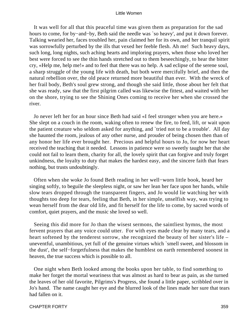It was well for all that this peaceful time was given them as preparation for the sad hours to come, for by−and−by, Beth said the needle was `so heavy', and put it down forever. Talking wearied her, faces troubled her, pain claimed her for its own, and her tranquil spirit was sorrowfully perturbed by the ills that vexed her feeble flesh. Ah me! Such heavy days, such long, long nights, such aching hearts and imploring prayers, when those who loved her best were forced to see the thin hands stretched out to them beseechingly, to hear the bitter cry, «Help me, help me!» and to feel that there was no help. A sad eclipse of the serene soul, a sharp struggle of the young life with death, but both were mercifully brief, and then the natural rebellion over, the old peace returned more beautiful than ever. With the wreck of her frail body, Beth's soul grew strong, and though she said little, those about her felt that she was ready, saw that the first pilgrim called was likewise the fittest, and waited with her on the shore, trying to see the Shining Ones coming to receive her when she crossed the river.

 Jo never left her for an hour since Beth had said «I feel stronger when you are here.» She slept on a couch in the room, waking often to renew the fire, to feed, lift, or wait upon the patient creature who seldom asked for anything, and `tried not to be a trouble'. All day she haunted the room, jealous of any other nurse, and prouder of being chosen then than of any honor her life ever brought her. Precious and helpful hours to Jo, for now her heart received the teaching that it needed. Lessons in patience were so sweetly taught her that she could not fail to learn them, charity for all, the lovely spirit that can forgive and truly forget unkindness, the loyalty to duty that makes the hardest easy, and the sincere faith that fears nothing, but trusts undoubtingly.

 Often when she woke Jo found Beth reading in her well−worn little book, heard her singing softly, to beguile the sleepless night, or saw her lean her face upon her hands, while slow tears dropped through the transparent fingers, and Jo would lie watching her with thoughts too deep for tears, feeling that Beth, in her simple, unselfish way, was trying to wean herself from the dear old life, and fit herself for the life to come, by sacred words of comfort, quiet prayers, and the music she loved so well.

 Seeing this did more for Jo than the wisest sermons, the saintliest hymns, the most fervent prayers that any voice could utter. For with eyes made clear by many tears, and a heart softened by the tenderest sorrow, she recognized the beauty of her sister's life – uneventful, unambitious, yet full of the genuine virtues which `smell sweet, and blossom in the dust', the self−forgetfulness that makes the humblest on earth remembered soonest in heaven, the true success which is possible to all.

 One night when Beth looked among the books upon her table, to find something to make her forget the mortal weariness that was almost as hard to bear as pain, as she turned the leaves of her old favorite, Pilgrims's Progress, she found a little paper, scribbled over in Jo's hand. The name caught her eye and the blurred look of the lines made her sure that tears had fallen on it.

#### CHAPTER FORTY 359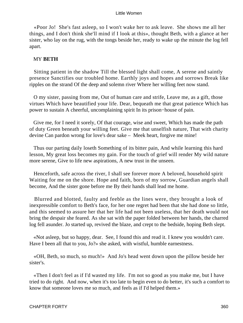«Poor Jo! She's fast asleep, so I won't wake her to ask leave. She shows me all her things, and I don't think she'll mind if I look at this», thought Beth, with a glance at her sister, who lay on the rug, with the tongs beside her, ready to wake up the minute the log fell apart.

# MY **BETH**

 Sitting patient in the shadow Till the blessed light shall come, A serene and saintly presence Sanctifies our troubled home. Earthly joys and hopes and sorrows Break like ripples on the strand Of the deep and solemn river Where her willing feet now stand.

 O my sister, passing from me, Out of human care and strife, Leave me, as a gift, those virtues Which have beautified your life. Dear, bequeath me that great patience Which has power to sustain A cheerful, uncomplaining spirit In its prison−house of pain.

 Give me, for I need it sorely, Of that courage, wise and sweet, Which has made the path of duty Green beneath your willing feet. Give me that unselfish nature, That with charity devine Can pardon wrong for love's dear sake – Meek heart, forgive me mine!

 Thus our parting daily loseth Something of its bitter pain, And while learning this hard lesson, My great loss becomes my gain. For the touch of grief will render My wild nature more serene, Give to life new aspirations, A new trust in the unseen.

 Henceforth, safe across the river, I shall see forever more A beloved, household spirit Waiting for me on the shore. Hope and faith, born of my sorrow, Guardian angels shall become, And the sister gone before me By their hands shall lead me home.

 Blurred and blotted, faulty and feeble as the lines were, they brought a look of inexpressible comfort to Beth's face, for her one regret had been that she had done so little, and this seemed to assure her that her life had not been useless, that her death would not bring the despair she feared. As she sat with the paper folded between her hands, the charred log fell asunder. Jo started up, revived the blaze, and crept to the bedside, hoping Beth slept.

 «Not asleep, but so happy, dear. See, I found this and read it. I knew you wouldn't care. Have I been all that to you, Jo?» she asked, with wistful, humble earnestness.

 «OH, Beth, so much, so much!» And Jo's head went down upon the pillow beside her sister's.

 «Then I don't feel as if I'd wasted my life. I'm not so good as you make me, but I have tried to do right. And now, when it's too late to begin even to do better, it's such a comfort to know that someone loves me so much, and feels as if I'd helped them.»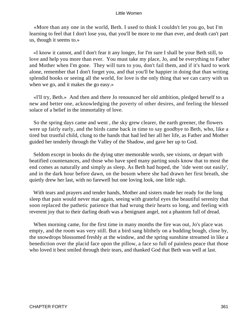«More than any one in the world, Beth. I used to think I couldn't let you go, but I'm learning to feel that I don't lose you, that you'll be more to me than ever, and death can't part us, though it seems to.»

 «I know it cannot, and I don't fear it any longer, for I'm sure I shall be your Beth still, to love and help you more than ever. You must take my place, Jo, and be everything to Father and Mother when I'm gone. They will turn to you, don't fail them, and if it's hard to work alone, remember that I don't forget you, and that you'll be happier in doing that than writing splendid books or seeing all the world, for love is the only thing that we can carry with us when we go, and it makes the go easy.»

 «I'll try, Beth.» And then and there Jo renounced her old ambition, pledged herself to a new and better one, acknowledging the poverty of other desires, and feeling the blessed solace of a belief in the immortality of love.

 So the spring days came and went , the sky grew clearer, the earth greener, the flowers were up fairly early, and the birds came back in time to say goodbye to Beth, who, like a tired but trustful child, clung to the hands that had led her all her life, as Father and Mother guided her tenderly through the Valley of the Shadow, and gave her up to God.

 Seldom except in books do the dying utter memorable words, see visions, or depart with beatified countenances, and those who have sped many parting souls know that to most the end comes as naturally and simply as sleep. As Beth had hoped, the `tide went out easily', and in the dark hour before dawn, on the bosom where she had drawn her first breath, she quietly drew her last, with no farewell but one loving look, one little sigh.

 With tears and prayers and tender hands, Mother and sisters made her ready for the long sleep that pain would never mar again, seeing with grateful eyes the beautiful serenity that soon replaced the pathetic patience that had wrung their hearts so long, and feeling with reverent joy that to their darling death was a benignant angel, not a phantom full of dread.

 When morning came, for the first time in many months the fire was out, Jo's place was empty, and the room was very still. But a bird sang blithely on a budding bough, close by, the snowdrops blossomed freshly at the window, and the spring sunshine streamed in like a benediction over the placid face upon the pillow, a face so full of painless peace that those who loved it best smiled through their tears, and thanked God that Beth was well at last.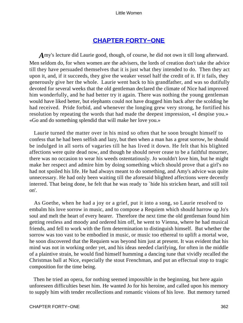# **[CHAPTER FORTY−ONE](#page-420-0)**

*A*my's lecture did Laurie good, though, of course, he did not own it till long afterward. Men seldom do, for when women are the advisers, the lords of creation don't take the advice till they have persuaded themselves that it is just what they intended to do. Then they act upon it, and, if it succeeds, they give the weaker vessel half the credit of it. If it fails, they generously give her the whole. Laurie went back to his grandfather, and was so dutifully devoted for several weeks that the old gentleman declared the climate of Nice had improved him wonderfully, and he had better try it again. There was nothing the young gentleman would have liked better, but elephants could not have dragged him back after the scolding he had received. Pride forbid, and whenever the longing grew very strong, he fortified his resolution by repeating the words that had made the deepest impression, «I despise you.» «Go and do something splendid that will make her love you.»

 Laurie turned the matter over in his mind so often that he soon brought himself to confess that he had been selfish and lazy, but then when a man has a great sorrow, he should be indulged in all sorts of vagaries till he has lived it down. He felt that his blighted affections were quite dead now, and though he should never cease to be a faithful mourner, there was no occasion to wear his weeds ostentatiously. Jo wouldn't love him, but he might make her respect and admire him by doing something which should prove that a girl's no had not spoiled his life. He had always meant to do something, and Amy's advice was quite unnecessary. He had only been waiting till the aforesaid blighted affections were decently interred. That being done, he felt that he was ready to `hide his stricken heart, and still toil on'.

 As Goethe, when he had a joy or a grief, put it into a song, so Laurie resolved to embalm his love sorrow in music, and to compose a Requiem which should harrow up Jo's soul and melt the heart of every hearer. Therefore the next time the old gentleman found him getting restless and moody and ordered him off, he went to Vienna, where he had musical friends, and fell to work with the firm determination to distinguish himself. But whether the sorrow was too vast to be embodied in music, or music too ethereal to uplift a mortal woe, he soon discovered that the Requiem was beyond him just at present. It was evident that his mind was not in working order yet, and his ideas needed clarifying, for often in the middle of a plaintive strain, he would find himself humming a dancing tune that vividly recalled the Christmas ball at Nice, especially the stout Frenchman, and put an effectual stop to tragic composition for the time being.

 Then he tried an opera, for nothing seemed impossible in the beginning, but here again unforeseen difficulties beset him. He wanted Jo for his heroine, and called upon his memory to supply him with tender recollections and romantic visions of his love. But memory turned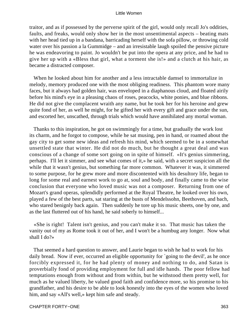traitor, and as if possessed by the perverse spirit of the girl, would only recall Jo's oddities, faults, and freaks, would only show her in the most unsentimental aspects – beating mats with her head tied up in a bandana, barricading herself with the sofa pillow, or throwing cold water over his passion a la Gummidge – and an irresistable laugh spoiled the pensive picture he was endeavoring to paint. Jo wouldn't be put into the opera at any price, and he had to give her up with a «Bless that girl, what a torment she is!» and a clutch at his hair, as became a distracted composer.

 When he looked about him for another and a less intractable damsel to immortalize in melody, memory produced one with the most obliging readiness. This phantom wore many faces, but it always had golden hair, was enveloped in a diaphanous cloud, and floated airily before his mind's eye in a pleasing chaos of roses, peacocks, white ponies, and blue ribbons. He did not give the complacent wraith any name, but he took her for his heroine and grew quite fond of her, as well he might, for he gifted her with every gift and grace under the sun, and escorted her, unscathed, through trials which would have annihilated any mortal woman.

 Thanks to this inspiration, he got on swimmingly for a time, but gradually the work lost its charm, and he forgot to compose, while he sat musing, pen in hand, or roamed about the gay city to get some new ideas and refresh his mind, which seemed to be in a somewhat unsettled state that winter. He did not do much, but he thought a great deal and was conscious of a change of some sort going on in spite of himself. «It's genius simmering, perhaps. I'll let it simmer, and see what comes of it,» he said, with a secret suspicion all the while that it wasn't genius, but something far more common. Whatever it was, it simmered to some purpose, for he grew more and more discontented with his desultory life, began to long for some real and earnest work to go at, soul and body, and finally came to the wise conclusion that everyone who loved music was not a composer. Returning from one of Mozart's grand operas, splendidly performed at the Royal Theatre, he looked over his own, played a few of the best parts, sat staring at the busts of Mendelssohn, Beethoven, and bach, who stared benignly back again. Then suddenly he tore up his music sheets, one by one, and as the last fluttered out of his hand, he said soberly to himself...

 «She is right! Talent isn't genius, and you can't make it so. That music has taken the vanity out of my as Rome took it out of her, and I won't be a humbug any longer. Now what shall I do?»

 That seemed a hard question to answer, and Laurie began to wish he had to work for his daily bread. Now if ever, occurred an eligible opportunity for `going to the devil', as he once forcibly expressed it, for he had plenty of money and nothing to do, and Satan is proverbially fond of providing employment for full and idle hands. The poor fellow had temptations enough from without and from within, but he withstood them pretty well, for much as he valued liberty, he valued good faith and confidence more, so his promise to his grandfather, and his desire to be able to look honestly into the eyes of the women who loved him, and say «All's well,» kept him safe and steady.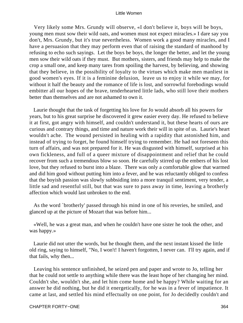Very likely some Mrs. Grundy will observe, «I don't believe it, boys will be boys, young men must sow their wild oats, and women must not expect miracles.» I dare say you don't, Mrs. Grundy, but it's true nevertheless. Women work a good many miracles, and I have a persuasion that they may perform even that of raising the standard of manhood by refusing to echo such sayings. Let the boys be boys, the longer the better, and let the young men sow their wild oats if they must. But mothers, sisters, and friends may help to make the crop a small one, and keep many tares from spoiling the harvest, by believing, and showing that they believe, in the possibility of loyalty to the virtues which make men manliest in good women's eyes. If it is a feminine delusion, leave us to enjoy it while we may, for without it half the beauty and the romance of life is lost, and sorrowful forebodings would embitter all our hopes of the brave, tenderhearted little lads, who still love their mothers better than themselves and are not ashamed to own it.

 Laurie thought that the task of forgetting his love for Jo would absorb all his powers for years, but to his great surprise he discovered it grew easier every day. He refused to believe it at first, got angry with himself, and couldn't understand it, but these hearts of ours are curious and contrary things, and time and nature work their will in spite of us. Laurie's heart wouldn't ache. The wound persisted in healing with a rapidity that astonished him, and instead of trying to forget, he found himself trying to remember. He had not foreseen this turn of affairs, and was not prepared for it. He was disgusted with himself, surprised at his own fickleness, and full of a queer mixture of disappointment and relief that he could recover from such a tremendous blow so soon. He carefully stirred up the embers of his lost love, but they refused to burst into a blaze. There was only a comfortable glow that warmed and did him good without putting him into a fever, and he was reluctantly obliged to confess that the boyish passion was slowly subbsiding into a more tranquil sentiment, very tender, a little sad and resentful still, but that was sure to pass away in time, leaving a brotherly affection which would last unbroken to the end.

 As the word `brotherly' passed through his mind in one of his reveries, he smiled, and glanced up at the picture of Mozart that was before him...

 «Well, he was a great man, and when he couldn't have one sister he took the other, and was happy.»

 Laurie did not utter the words, but he thought them, and the next instant kissed the little old ring, saying to himself, "No, I won't! I haven't forgotten, I never can. I'll try again, and if that fails, why then...

 Leaving his sentence unfinished, he seized pen and paper and wrote to Jo, telling her that he could not settle to anything while there was the least hope of her changing her mind. Couldn't she, wouldn't she, and let him come home and be happy? While waiting for an answer he did nothing, but he did it energetically, for he was in a fever of impatience. It came at last, and settled his mind effectually on one point, for Jo decidedly couldn't and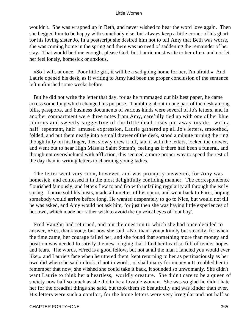wouldn't. She was wrapped up in Beth, and never wished to hear the word love again. Then she begged him to be happy with somebody else, but always keep a little corner of his ghart for his loving sister Jo. In a postscript she desired him not to tell Amy that Beth was worse, she was coming home in the spring and there was no need of saddening the remainder of her stay. That would be time enough, please God, but Laurie must write to her often, and not let her feel lonely, homesick or anxious.

 «So I will, at once. Poor little girl, it will be a sad going home for her, I'm afraid.» And Laurie opened his desk, as if writing to Amy had been the proper conclusion of the sentence left unfinished some weeks before.

 But he did not write the letter that day, for as he rummaged out his best paper, he came across something which changed his purpose. Tumbling about in one part of the desk among bills, passports, and business documents of various kinds were several of Jo's letters, and in another compartment were three notes from Amy, carefully tied up with one of her blue ribbons and sweetly suggestive of the little dead roses put away inside. with a half−repentant, half−amused expression, Laurie gathered up all Jo's letters, smoothed, folded, and put them neatly into a small drawer of the desk, stood a minute turning the ring thoughtfully on his finger, then slowly drew it off, laid it with the letters, locked the drawer, and went out to hear High Mass at Saint Stefan's, feeling as if there had been a funeral, and though not overwhelmed with affliction, this seemed a more proper way to spend the rest of the day than in writing letters to charming young ladies.

 The letter went very soon, however, and was promptly answered, for Amy was homesick, and confessed it in the most delightfully confiding manner. The correspondence flourished famously, and letters flew to and fro with unfailing regularity all through the early spring. Laurie sold his busts, made allumettes of his opera, and went back to Paris, hoping somebody would arrive before long. He wanted desperately to go to Nice, but would not till he was asked, and Amy would not ask him, for just then she was having little experiences of her own, which made her rather wish to avoid the quizzical eyes of `out boy'.

 Fred Vaughn had returned, and put the question to which she had once decided to answer, «Yes, thank you,» but now she said, «No, thank you,» kindly but steadily, for when the time came, her courage failed her, and she found that something more than money and position was needed to satisfy the new longing that filled her heart so full of tender hopes and fears. The words, «Fred is a good fellow, but not at all the man I fancied you would ever like,» and Laurie's face when he uttered them, kept returning to her as pertinaciously as her own did when she said in look, if not in words, «I shall marry for money.» It troubled her to remember that now, she wished she could take it back, it sounded so unwomanly. She didn't want Laurie to think her a heartless, worldly creature. She didn't care to be a queen of society now half so much as she did to be a lovable woman. She was so glad he didn't hate her for the dreadful things she said, but took them so beautifully and was kinder than ever. His letters were such a comfort, for the home letters were very irregular and not half so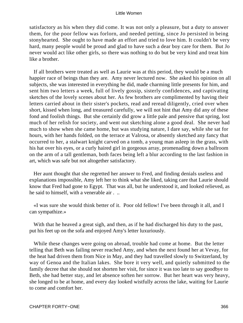satisfactory as his when they did come. It was not only a pleasure, but a duty to answer them, for the poor fellow was forlorn, and needed petting, since Jo persisted in being stonyhearted. She ought to have made an effort and tried to love him. It couldn't be very hard, many people would be proud and glad to have such a dear boy care for them. But Jo never would act like other girls, so there was nothing to do but be very kind and treat him like a brother.

 If all brothers were treated as well as Laurie was at this period, they would be a much happier race of beings than they are. Amy never lectured now. She asked his opinion on all subjects, she was interested in everything he did, made charming little presents for him, and sent him two letters a week, full of lively gossip, sisterly confidences, and captivating sketches of the lovely scenes about her. As few brothers are complimented by having their letters carried about in their sister's pockets, read and reread diligently, cried over when short, kissed when long, and treasured carefully, we will not hint that Amy did any of these fond and foolish things. But she certainly did grow a little pale and pensive that spring, lost much of her relish for society, and went out sketching alone a good deal. She never had much to show when she came home, but was studying nature, I dare say, while she sat for hours, with her hands folded, on the terrace at Valrosa, or absently sketched any fancy that occurred to her, a stalwart knight carved on a tomb, a young man asleep in the grass, with his hat over his eyes, or a curly haired girl in gorgeous array, promenading down a ballroom on the arm of a tall gentleman, both faces being left a blur according to the last fashion in art, which was safe but not altogether satisfactory.

 Her aunt thought that she regretted her answer to Fred, and finding denials useless and explanations impossible, Amy left her to think what she liked, taking care that Laurie should know that Fred had gone to Egypt. That was all, but he understood it, and looked relieved, as he said to himself, with a venerable air . ..

 «I was sure she would think better of it. Poor old fellow! I've been through it all, and I can sympathize.»

 With that he heaved a great sigh, and then, as if he had discharged his duty to the past, put his feet up on the sofa and enjoyed Amy's letter luxuriously.

 While these changes were going on abroad, trouble had come at home. But the letter telling that Beth was failing never reached Amy, and when the next found her at Vevay, for the heat had driven them from Nice in May, and they had travelled slowly to Switzerland, by way of Genoa and the Italian lakes. She bore it very well, and quietly submitted to the family decree that she should not shorten her visit, for since it was too late to say goodbye to Beth, she had better stay, and let absence soften her sorrow. But her heart was very heavy, she longed to be at home, and every day looked wistfully across the lake, waiting for Laurie to come and comfort her.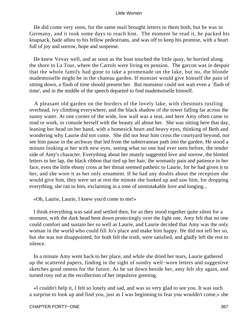He did come very soon, for the same mail brought letters to them both, but he was in Germany, and it took some days to reach him. The moment he read it, he packed his knapsack, bade adieu to his fellow pedestrians, and was off to keep his promise, with a heart full of joy and sorrow, hope and suspense.

 He knew Vevay well, and as soon as the boat touched the little quay, he hurried along the shore to La Tour, where the Carrols were living en pension. The garcon was in despair that the whole family had gone to take a promenade on the lake, but no, the blonde mademoiselle might be in the chateau garden. If monsier would give himself the pain of sitting down, a flash of time should present her. But monsieur could not wait even a `flash of time', and in the middle of the speech departed to find mademoiselle himself.

 A pleasant old garden on the borders of the lovely lake, with chestnuts rustling overhead, ivy climbing everywhere, and the black shadow of the tower falling far across the sunny water. At one corner of the wide, low wall was a seat, and here Amy often came to read or work, or console herself with the beauty all about her. She was sitting here that day, leaning her head on her hand, with a homesick heart and heavy eyes, thinking of Beth and wondering why Laurie did not come. She did not hear him cross the courtyard beyond, nor see him pause in the archway that led from the subterranean path into the garden. He stood a minute looking at her with new eyes, seeing what no one had ever seen before, the tender side of Amy's character. Everything about her mutely suggested love and sorrow, the blotted letters in her lap, the black ribbon that tied up her hair, the womanly pain and patience in her face, even the little ebony cross at her throat seemed pathetic to Laurie, for he had given it to her, and she wore it as her only ornament. If he had any doubts about the reception she would give him, they were set at rest the minute she looked up and saw him, for dropping everything, she ran to him, exclaiming in a tone of unmistakable love and longing...

«Oh, Laurie, Laurie, I knew you'd come to me!»

 I think everything was said and settled then, for as they stood together quite silent for a moment, with the dark head bent down protectingly over the light one, Amy felt that no one could comfort and sustain her so well as Laurie, and Laurie decided that Amy was the only woman in the world who could fill Jo's place and make him happy. He did not tell her so, but she was not disappointed, for both felt the truth, were satisfied, and gladly left the rest to silence.

 In a minute Amy went back to her place, and while she dried her tears, Laurie gathered up the scattered papers, finding in the sight of sundry well−worn letters and suggestive sketches good omens for the future. As he sat down beside her, amy felt shy again, and turned rosy red at the recollection of her impulsive greeting.

 «I couldn't help it, I felt so lonely and sad, and was so very glad to see you. It was such a surprise to look up and find you, just as I was beginning to fear you wouldn't come,» she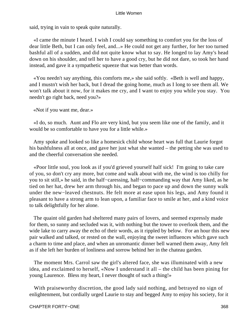said, trying in vain to speak quite naturally.

 «I came the minute I heard. I wish I could say something to comfort you for the loss of dear little Beth, but I can only feel, and...» He could not get any further, for her too turned bashful all of a sudden, and did not quite know what to say. He longed to lay Amy's head down on his shoulder, and tell her to have a good cry, but he did not dare, so took her hand instead, and gave it a sympathetic squeeze that was better than words.

 «You needn't say anything, this comforts me,» she said softly. «Beth is well and happy, and I mustn't wish her back, but I dread the going home, much as I long to see them all. We won't talk about it now, for it makes me cry, and I want to enjoy you while you stay. You needn't go right back, need you?»

«Not if you want me, dear.»

 «I do, so much. Aunt and Flo are very kind, but you seem like one of the family, and it would be so comfortable to have you for a little while.»

 Amy spoke and looked so like a homesick child whose heart was full that Laurie forgot his bashfulness all at once, and gave her just what she wanted – the petting she was used to and the cheerful conversation she needed.

 «Poor little soul, you look as if you'd grieved yourself half sick! I'm going to take care of you, so don't cry any more, but come and walk about with me, the wind is too chilly for you to sit still,» he said, in the half−caressing, half−commanding way that Amy liked, as he tied on her hat, drew her arm through his, and began to pace up and down the sunny walk under the new−leaved chestnuts. He felt more at ease upon his legs, and Amy found it pleasant to have a strong arm to lean upon, a familiar face to smile at her, and a kind voice to talk delightfully for her alone.

 The quaint old garden had sheltered many pairs of lovers, and seemed expressly made for them, so sunny and secluded was it, with nothing but the tower to overlook them, and the wide lake to carry away the echo of their words, as it rippled by below. For an hour this new pair walked and talked, or rested on the wall, enjoying the sweet influences which gave such a charm to time and place, and when an unromantic dinner bell warned them away, Amy felt as if she left her burden of lonliness and sorrow behind her in the chateau garden.

 The moment Mrs. Carrol saw the girl's altered face, she was illuminated with a new idea, and exclaimed to herself, «Now I understand it all – the child has been pining for young Laurence. Bless my heart, I never thought of such a thing!»

 With praiseworthy discretion, the good lady said nothing, and betrayed no sign of enlightenment, but cordially urged Laurie to stay and begged Amy to enjoy his society, for it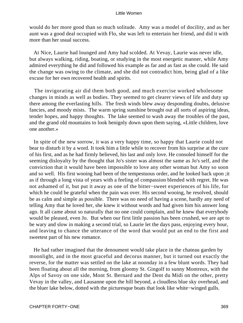would do her more good than so much solitude. Amy was a model of docility, and as her aunt was a good deal occupied with Flo, she was left to entertain her friend, and did it with more than her usual success.

 At Nice, Laurie had lounged and Amy had scolded. At Vevay, Laurie was never idle, but always walking, riding, boating, or studying in the most energetic manner, while Amy admired everything he did and followed his example as far and as fast as she could. He said the change was owing to the climate, and she did not contradict him, being glad of a like excuse for her own recovered health and spirits.

 The invigorating air did them both good, and much exercise worked wholesome changes in minds as well as bodies. They seemed to get clearer views of life and duty up there among the everlasting hills. The fresh winds blew away desponding doubts, delusive fancies, and moody mists. The warm spring sunshine brought out all sorts of aspiring ideas, tender hopes, and happy thoughts. The lake seemed to wash away the troubles of the past, and the grand old mountains to look benignly down upon them saying, «Little children, love one another.»

 In spite of the new sorrow, it was a very happy time, so happy that Laurie could not bear to disturb it by a word. It took him a little while to recover from his surprise at the cure of his first, and as he had firmly believed, his last and only love. He consoled himself for the seeming disloyalty by the thought that Jo's sister was almost the same as Jo's self, and the conviction that it would have been impossible to love any other woman but Amy so soon and so well. His first wooing had been of the tempestuous order, and he looked back upon ;it as if through a long vista of years with a feeling of compassion blended with regret. He was not ashamed of it, but put it away as one of the bitter−sweet experiences of his life, for which he could be grateful when the pain was over. His second wooing, he resolved, should be as calm and simple as possible. There was no need of having a scene, hardly any need of telling Amy that he loved her, she knew it without words and had given him his answer long ago. It all came about so naturally that no one could complain, and he knew that everybody would be pleased, even Jo. But when our first little passion has been crushed, we are apt to be wary and slow in making a second trial, so Laurie let the days pass, enjoying every hour, and leaving to chance the utterance of the word that would put an end to the first and sweetest part of his new romance.

 He had rather imagined that the denoument would take place in the chateau garden by moonlight, and in the most graceful and decorus manner, but it turned out exactly the reverse, for the matter was settled on the lake at noonday in a few blunt words. They had been floating about all the morning, from gloomy St. Gingolf to sunny Montreux, with the Alps of Savoy on one side, Mont St. Bernard and the Dent du Midi on the other, pretty Vevay in the valley, and Lausanne upon the hill beyond, a cloudless blue sky overhead, and the bluer lake below, dotted with the picturesque boats that look like white−winged gulls.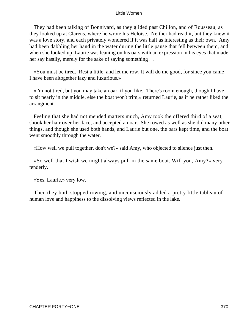They had been talking of Bonnivard, as they glided past Chillon, and of Rousseau, as they looked up at Clarens, where he wrote his Heloise. Neither had read it, but they knew it was a love story, and each privately wondered if it was half as interesting as their own. Amy had been dabbling her hand in the water during the little pause that fell between them, and when she looked up, Laurie was leaning on his oars with an expression in his eyes that made her say hastily, merely for the sake of saying something . .

 «You must be tired. Rest a little, and let me row. It will do me good, for since you came I have been altogether lazy and luxurious.»

 «I'm not tired, but you may take an oar, if you like. There's room enough, though I have to sit nearly in the middle, else the boat won't trim,» returned Laurie, as if he rather liked the arrangment.

 Feeling that she had not mended matters much, Amy took the offered third of a seat, shook her hair over her face, and accepted an oar. She rowed as well as she did many other things, and though she used both hands, and Laurie but one, the oars kept time, and the boat went smoothly through the water.

«How well we pull together, don't we?» said Amy, who objected to silence just then.

 «So well that I wish we might always pull in the same boat. Will you, Amy?» very tenderly.

«Yes, Laurie,» very low.

 Then they both stopped rowing, and unconsciously added a pretty little tableau of human love and happiness to the dissolving views reflected in the lake.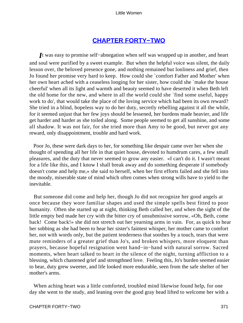# **[CHAPTER FORTY−TWO](#page-420-0)**

*I*t was easy to promise self−abnegation when self was wrapped up in another, and heart and soul were purified by a sweet example. But when the helpful voice was silent, the daily lesson over, the beloved presence gone, and nothing remained but lonliness and grief, then Jo found her promise very hard to keep. How could she `comfort Father and Mother' when her own heart ached with a ceaseless longing for her sister, how could she `make the house cheerful' when all its light and warmth and beauty seemed to have deserted it when Beth left the old home for the new, and where in all the world could she `find some useful, happy work to do', that would take the place of the loving service which had been its own reward? She tried in a blind, hopeless way to do her duty, secretly rebelling against it all the while, for it seemed unjust that her few joys should be lessened, her burdens made heavier, and life get harder and harder as she toiled along. Some people seemed to get all sunshine, and some all shadow. It was not fair, for she tried more than Amy to be good, but never got any reward, only disappointment, trouble and hard work.

 Poor Jo, these were dark days to her, for something like despair came over her when she thought of spending all her life in that quiet house, devoted to humdrum cares, a few small pleasures, and the duty that never seemed to grow any easier. «I can't do it. I wasn't meant for a life like this, and I know I shall break away and do something desperate if somebody doesn't come and help me,» she said to herself, when her first efforts failed and she fell into the moody, miserable state of mind which often comes when strong wills have to yield to the inevitable.

 But someone did come and help her, though Jo did not recognize her good angels at once because they wore familiar shapes and used the simple spells best fitted to poor humanity. Often she started up at night, thinking Beth called her, and when the sight of the little empty bed made her cry with the bitter cry of unsubmissive sorrow, «Oh, Beth, come back! Come back!» she did not stretch out her yearning arms in vain. For, as quick to hear her sobbing as she had been to hear her sister's faintest whisper, her mother came to comfort her, not with words only, but the patient tenderness that soothes by a touch, tears that were mute reminders of a greater grief than Jo's, and broken whispers, more eloquent than prayers, because hopeful resignation went hand−in−hand with natural sorrow. Sacred moments, when heart talked to heart in the silence of the night, turning affliction to a blessing, which chastened grief and strengthned love. Feeling this, Jo's burden seemed easier to bear, duty grew sweeter, and life looked more endurable, seen from the safe shelter of her mother's arms.

 When aching heart was a little comforted, troubled mind likewise found help, for one day she went to the study, and leaning over the good gray head lifted to welcome her with a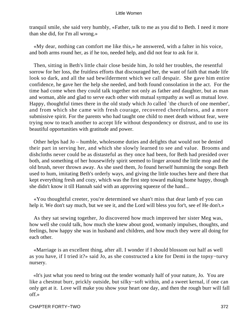tranquil smile, she said very humbly, «Father, talk to me as you did to Beth. I need it more than she did, for I'm all wrong.»

 «My dear, nothing can comfort me like this,» he answered, with a falter in his voice, and both arms round her, as if he too, needed help, and did not fear to ask for it.

 Then, sitting in Beth's little chair close beside him, Jo told her troubles, the resentful sorrow for her loss, the fruitless efforts that discouraged her, the want of faith that made life look so dark, and all the sad bewilderment which we call despair. She gave him entire confidence, he gave her the help she needed, and both found consolation in the act. For the time had come when they could talk together not only as father and daughter, but as man and woman, able and glad to serve each other with mutual sympathy as well as mutual love. Happy, thoughtful times there in the old study which Jo called `the church of one member', and from which she came with fresh courage, recovered cheerfulness, and a more submissive spirit. For the parents who had taught one child to meet death without fear, were trying now to teach another to accept life without despondency or distrust, and to use its beautiful opportunities with gratitude and power.

 Other helps had Jo – humble, wholesome duties and delights that would not be denied their part in serving her, and which she slowly learned to see and value. Brooms and dishcloths never could be as distasteful as they once had been, for Beth had presided over both, and something of her housewifely spirit seemed to linger around the little mop and the old brush, never thrown away. As she used them, Jo found herself humming the songs Beth used to hum, imitating Beth's orderly ways, and giving the little touches here and there that kept everything fresh and cozy, which was the first step toward making home happy, though she didn't know it till Hannah said with an approving squeeze of the hand...

 «You thoughtful creeter, you're determined we shan't miss that dear lamb ef you can help it. We don't say much, but we see it, and the Lord will bless you for't, see ef He don't.»

 As they sat sewing together, Jo discovered how much improved her sister Meg was, how well she could talk, how much she knew about good, womanly impulses, thoughts, and feelings, how happy she was in husband and children, and how much they were all doing for each other.

 «Marriage is an excellent thing, after all. I wonder if I should blossom out half as well as you have, if I tried it?» said Jo, as she constructed a kite for Demi in the topsy−turvy nursery.

 «It's just what you need to bring out the tender womanly half of your nature, Jo. You are like a chestnut burr, prickly outside, but silky−soft within, and a sweet kernal, if one can only get at it. Love will make you show your heart one day, and then the rough burr will fall off.»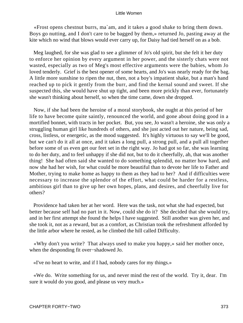«Frost opens chestnut burrs, ma`am, and it takes a good shake to bring them down. Boys go nutting, and I don't care to be bagged by them,» returned Jo, pasting away at the kite which no wind that blows would ever carry up, for Daisy had tied herself on as a bob.

 Meg laughed, for she was glad to see a glimmer of Jo's old spirit, but she felt it her duty to enforce her opinion by every argument in her power, and the sisterly chats were not wasted, especially as two of Meg's most effective arguments were the babies, whom Jo loved tenderly. Grief is the best opener of some hearts, and Jo's was nearly ready for the bag. A little more sunshine to ripen the nut, then, not a boy's impatient shake, but a man's hand reached up to pick it gently from the burr, and find the kernal sound and sweet. If she suspected this, she would have shut up tight, and been more prickly than ever, fortunately she wasn't thinking about herself, so when the time came, down she dropped.

 Now, if she had been the heroine of a moral storybook, she ought at this period of her life to have become quite saintly, renounced the world, and gone about doing good in a mortified bonnet, with tracts in her pocket. But, you see, Jo wasn't a heroine, she was only a struggling human girl like hundreds of others, and she just acted out her nature, being sad, cross, listless, or energetic, as the mood suggested. It's highly virtuous to say we'll be good, but we can't do it all at once, and it takes a long pull, a strong pull, and a pull all together before some of us even get our feet set in the right way. Jo had got so far, she was learning to do her duty, and to feel unhappy if she did not, but to do it cheerfully, ah, that was another thing! She had often said she wanted to do something splendid, no matter how hard, and now she had her wish, for what could be more beautiful than to devote her life to Father and Mother, trying to make home as happy to them as they had to her? And if difficulties were necessary to increase the splendor of the effort, what could be harder for a restless, ambitious girl than to give up her own hopes, plans, and desires, and cheerfully live for others?

 Providence had taken her at her word. Here was the task, not what she had expected, but better because self had no part in it. Now, could she do it? She decided that she would try, and in her first attempt she found the helps I have suggested. Still another was given her, and she took it, not as a reward, but as a comfort, as Christian took the refreshment afforded by the little arbor where he rested, as he climbed the hill called Difficulty.

 «Why don't you write? That always used to make you happy,» said her mother once, when the desponding fit over−shadowed Jo.

«I've no heart to write, and if I had, nobody cares for my things.»

 «We do. Write something for us, and never mind the rest of the world. Try it, dear. I'm sure it would do you good, and please us very much.»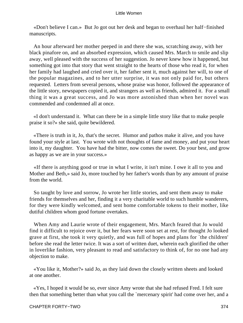«Don't believe I can.» But Jo got out her desk and began to overhaul her half−finished manuscripts.

 An hour afterward her mother peeped in and there she was, scratching away, with her black pinafore on, and an absorbed expression, which caused Mrs. March to smile and slip away, well pleased with the success of her suggestion. Jo never knew how it happened, but something got into that story that went straight to the hearts of those who read it, for when her family had laughed and cried over it, her father sent it, much against her will, to one of the popular magazines, and to her utter surprise, it was not only paid for, but others requested. Letters from several persons, whose praise was honor, followed the appearance of the little story, newspapers copied it, and strangers as well as friends, admired it. For a small thing it was a great success, and Jo was more astonished than when her novel was commended and condemned all at once.

 «I don't understand it. What can there be in a simple little story like that to make people praise it so?» she said, quite bewildered.

 «There is truth in it, Jo, that's the secret. Humor and pathos make it alive, and you have found your style at last. You wrote with not thoughts of fame and money, and put your heart into it, my daughter. You have had the bitter, now comes the sweet. Do your best, and grow as happy as we are in your success.»

 «If there is anything good or true in what I write, it isn't mine. I owe it all to you and Mother and Beth,» said Jo, more touched by her father's words than by any amount of praise from the world.

 So taught by love and sorrow, Jo wrote her little stories, and sent them away to make friends for themselves and her, finding it a very charitable world to such humble wanderers, for they were kindly welcomed, and sent home comfortable tokens to their mother, like dutiful children whom good fortune overtakes.

 When Amy and Laurie wrote of their engagement, Mrs. March feared that Jo would find it difficult to rejoice over it, but her fears were soon set at rest, for thought Jo looked grave at first, she took it very quietly, and was full of hopes and plans for `the children' before she read the letter twice. It was a sort of written duet, wherein each glorified the other in loverlike fashion, very pleasant to read and satisfactory to think of, for no one had any objection to make.

 «You like it, Mother?» said Jo, as they laid down the closely written sheets and looked at one another.

 «Yes, I hoped it would be so, ever since Amy wrote that she had refused Fred. I felt sure then that something better than what you call the `mercenary spirit' had come over her, and a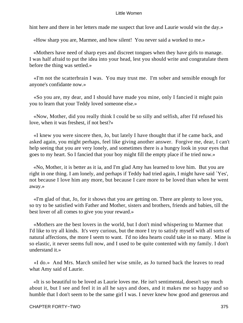hint here and there in her letters made me suspect that love and Laurie would win the day.»

«How sharp you are, Marmee, and how silent! You never said a worked to me.»

 «Mothers have need of sharp eyes and discreet tongues when they have girls to manage. I was half afraid to put the idea into your head, lest you should write and congratulate them before the thing was settled.»

 «I'm not the scatterbrain I was. You may trust me. I'm sober and sensible enough for anyone's confidante now.»

 «So you are, my dear, and I should have made you mine, only I fancied it might pain you to learn that your Teddy loved someone else.»

 «Now, Mother, did you really think I could be so silly and selfish, after I'd refused his love, when it was freshest, if not best?»

 «I knew you were sincere then, Jo, but lately I have thought that if he came back, and asked again, you might perhaps, feel like giving another answer. Forgive me, dear, I can't help seeing that you are very lonely, and sometimes there is a hungry look in your eyes that goes to my heart. So I fancied that your boy might fill the empty place if he tried now.»

 «No, Mother, it is better as it ia, and I'm glad Amy has learned to love him. But you are right in one thing. I am lonely, and perhaps if Teddy had tried again, I might have said `Yes', not because I love him any more, but because I care more to be loved than when he went away.»

 «I'm glad of that, Jo, for it shows that you are getting on. There are plenty to love you, so try to be satisfied with Father and Mother, sisters and brothers, friends and babies, till the best lover of all comes to give you your reward.»

 «Mothers are the best lovers in the world, but I don't mind whispering to Marmee that I'd like to try all kinds. It's very curious, but the more I try to satisfy myself with all sorts of natural affections, the more I seem to want. I'd no idea hearts could take in so many. Mine is so elastic, it never seems full now, and I used to be quite contented with my family. I don't understand it.»

 «I do.» And Mrs. March smiled her wise smile, as Jo turned back the leaves to read what Amy said of Laurie.

 «It is so beautiful to be loved as Laurie loves me. He isn't sentimental, doesn't say much about it, but I see and feel it in all he says and does, and it makes me so happy and so humble that I don't seem to be the same girl I was. I never knew how good and generous and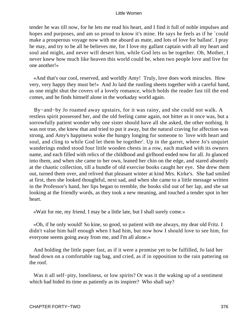tender he was till now, for he lets me read his heart, and I find it full of noble impulses and hopes and purposes, and am so proud to know it's mine. He says he feels as if he `could make a prosperous voyage now with me aboard as mate, and lots of love for ballast'. I pray he may, and try to be all he believes me, for I love my gallant captain with all my heart and soul and might, and never will desert him, while God lets us be together. Oh, Mother, I never knew how much like heaven this world could be, when two people love and live for one another!»

 «And that's our cool, reserved, and worldly Amy! Truly, love does work miracles. How very, very happy they must be!» And Jo laid the rustling sheets together with a careful hand, as one might shut the covers of a lovely romance, which holds the reader fast till the end comes, and he finds himself alone in the workaday world again.

 By−and−by Jo roamed away upstairs, for it was rainy, and she could not walk. A restless spirit possessed her, and the old feeling came again, not bitter as it once was, but a sorrowfully patient wonder why one sister should have all she asked, the other nothing. It was not true, she knew that and tried to put it away, but the natural craving for affection was strong, and Amy's happiness woke the hungry longing for someone to `love with heart and soul, and cling to while God let them be together'. Up in the garret, where Jo's unquiet wanderings ended stood four little wooden chests in a row, each marked with its owners name, and each filled with relics of the childhood and girlhood ended now for all. Jo glanced into them, and when she came to her own, leaned her chin on the edge, and stared absently at the chaotic collection, till a bundle of old exercise books caught her eye. She drew them out, turned them over, and relived that pleasant winter at kind Mrs. Kirke's. She had smiled at first, then she looked thoughtful, next sad, and when she came to a little message written in the Professor's hand, her lips began to tremble, the books slid out of her lap, and she sat looking at the friendly words, as they took a new meaning, and touched a tender spot in her heart.

«Wait for me, my friend. I may be a little late, but I shall surely come.»

 «Oh, if he only would! So kine, so good, so patient with me always, my dear old Fritz. I didn't value him half enough when I had him, but now how I should love to see him, for everyone seems going away from me, and I'm all alone.»

 And holding the little paper fast, as if it were a promise yet to be fulfilled, Jo laid her head down on a comfortable rag bag, and cried, as if in opposition to the rain pattering on the roof.

 Was it all self−pity, loneliness, or low spirits? Or was it the waking up of a sentiment which had bided its time as patiently as its inspirer? Who shall say?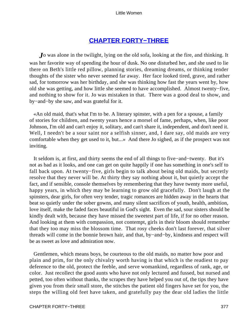# **[CHAPTER FORTY−THREE](#page-421-0)**

*J*o was alone in the twilight, lying on the old sofa, looking at the fire, and thinking. It was her favorite way of spending the hour of dusk. No one disturbed her, and she used to lie there on Beth's little red pillow, planning stories, dreaming dreams, or thinking tender thoughts of the sister who never seemed far away. Her face looked tired, grave, and rather sad, for tomorrow was her birthday, and she was thinking how fast the years went by, how old she was getting, and how little she seemed to have accomplished. Almost twenty−five, and nothing to show for it. Jo was mistaken in that. There was a good deal to show, and by−and−by she saw, and was grateful for it.

 «An old maid, that's what I'm to be. A literary spinster, with a pen for a spouse, a family of stories for children, and twenty years hence a morsel of fame, perhaps, when, like poor Johnson, I'm old and can't enjoy it, solitary, and can't share it, independent, and don't need it. Well, I needn't be a sour saint nor a selfish sinner, and, I dare say, old maids are very comfortable when they get used to it, but...» And there Jo sighed, as if the prospect was not inviting.

 It seldom is, at first, and thirty seems the end of all things to five−and−twenty. But it's not as bad as it looks, and one can get on quite happily if one has something in one's self to fall back upon. At twenty−five, girls begin to talk about being old maids, but secretly resolve that they never will be. At thirty they say nothing about it, but quietly accept the fact, and if sensible, console themselves by remembering that they have twenty more useful, happy years, in which they may be learning to grow old gracefully. Don't laugh at the spinsters, dear girls, for often very tender, tragic romances are hidden away in the hearts that beat so quietly under the sober gowns, and many silent sacrifices of youth, health, ambition, love itself, make the faded faces beautiful in God's sight. Even the sad, sour sisters should be kindly dealt with, because they have missed the sweetest part of life, if for no other reason. And looking at them with compassion, not contempt, girls in their bloom should remember that they too may miss the blossom time. That rosy cheeks don't last forever, that silver threads will come in the bonnie brown hair, and that, by−and−by, kindness and respect will be as sweet as love and admiration now.

 Gentlemen, which means boys, be courteous to the old maids, no matter how poor and plain and prim, for the only chivalry worth having is that which is the readiest to pay deference to the old, protect the feeble, and serve womankind, regardless of rank, age, or color. Just recollect the good aunts who have not only lectured and fussed, but nursed and petted, too often without thanks, the scrapes they have helped you out of, the tips they have given you from their small store, the stitches the patient old fingers have set for you, the steps the willing old feet have taken, and gratefully pay the dear old ladies the little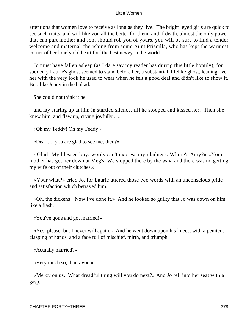attentions that women love to receive as long as they live. The bright−eyed girls are quick to see such traits, and will like you all the better for them, and if death, almost the only power that can part mother and son, should rob you of yours, you will be sure to find a tender welcome and maternal cherishing from some Aunt Priscilla, who has kept the warmest corner of her lonely old heart for `the best nevvy in the world'.

 Jo must have fallen asleep (as I dare say my reader has during this little homily), for suddenly Laurie's ghost seemed to stand before her, a substantial, lifelike ghost, leaning over her with the very look he used to wear when he felt a good deal and didn't like to show it. But, like Jenny in the ballad...

She could not think it he,

 and lay staring up at him in startled silence, till he stooped and kissed her. Then she knew him, and flew up, crying joyfully . ..

«Oh my Teddy! Oh my Teddy!»

«Dear Jo, you are glad to see me, then?»

 «Glad! My blessed boy, words can't express my gladness. Where's Amy?» «Your mother has got her down at Meg's. We stopped there by the way, and there was no getting my wife out of their clutches.»

 «Your what?» cried Jo, for Laurie uttered those two words with an unconscious pride and satisfaction which betrayed him.

 «Oh, the dickens! Now I've done it.» And he looked so guilty that Jo was down on him like a flash.

«You've gone and got married!»

 «Yes, please, but I never will again.» And he went down upon his knees, with a penitent clasping of hands, and a face full of mischief, mirth, and triumph.

«Actually married?»

«Very much so, thank you.»

 «Mercy on us. What dreadful thing will you do next?» And Jo fell into her seat with a gasp.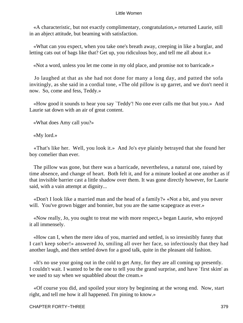«A characteristic, but not exactly complimentary, congratulation,» returned Laurie, still in an abject attitude, but beaming with satisfaction.

 «What can you expect, when you take one's breath away, creeping in like a burglar, and letting cats out of bags like that? Get up, you ridiculous boy, and tell me all about it.»

«Not a word, unless you let me come in my old place, and promise not to barricade.»

 Jo laughed at that as she had not done for many a long day, and patted the sofa invitingly, as she said in a cordial tone, «The old pillow is up garret, and we don't need it now. So, come and fess, Teddy.»

 «How good it sounds to hear you say `Teddy'! No one ever calls me that but you.» And Laurie sat down with an air of great content.

«What does Amy call you?»

«My lord.»

 «That's like her. Well, you look it.» And Jo's eye plainly betrayed that she found her boy comelier than ever.

 The pillow was gone, but there was a barricade, nevertheless, a natural one, raised by time absence, and change of heart. Both felt it, and for a minute looked at one another as if that invisible barrier cast a little shadow over them. It was gone directly however, for Laurie said, with a vain attempt at dignity...

 «Don't I look like a married man and the head of a family?» «Not a bit, and you never will. You've grown bigger and bonnier, but you are the same scapegrace as ever.»

 «Now really, Jo, you ought to treat me with more respect,» began Laurie, who enjoyed it all immensely.

 «How can I, when the mere idea of you, married and settled, is so irresistibly funny that I can't keep sober!» answered Jo, smiling all over her face, so infectiously that they had another laugh, and then settled down for a good talk, quite in the pleasant old fashion.

 «It's no use your going out in the cold to get Amy, for they are all coming up presently. I couldn't wait. I wanted to be the one to tell you the grand surprise, and have `first skim' as we used to say when we squabbled about the cream.»

 «Of course you did, and spoiled your story by beginning at the wrong end. Now, start right, and tell me how it all happened. I'm pining to know.»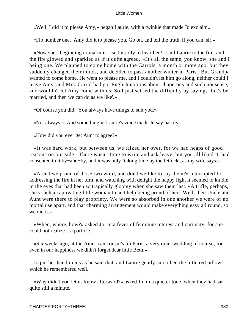«Well, I did it to please Amy,» began Laurie, with a twinkle that made Jo exclaim...

«Fib number one. Amy did it to please you. Go on, and tell the truth, if you can, sir.»

 «Now she's beginning to marm it. Isn't it jolly to hear her?» said Laurie to the fire, and the fire glowed and sparkled as if it quite agreed. «It's all the same, you know, she and I being one. We planned to come home with the Carrols, a month or more ago, but they suddenly changed their minds, and decided to pass another winter in Paris. But Grandpa wanted to come home. He went to please me, and I couldn't let him go along, neither could I leave Amy, and Mrs. Carrol had got English notions about chaperons and such nonsense, and wouldn't let Amy come with us. So I just settled the difficulty by saying, `Let's be married, and then we can do as we like'.»

«Of course you did. You always have things to suit you.»

«Not always.» And something in Laurie's voice made Jo say hastily...

«How did you ever get Aunt to agree?»

 «It was hard work, but between us, we talked her over, for we had heaps of good reasons on our side. There wasn't time to write and ask leave, but you all liked it, had consented to it by−and−by, and it was only `taking time by the fetlock', as my wife says.»

 «Aren't we proud of those two word, and don't we like to say them?» interrupted Jo, addressing the fire in her turn, and watching with delight the happy light it seemed to kindle in the eyes that had been so tragically gloomy when she saw them last. «A trifle, perhaps, she's such a captivating little woman I can't help being proud of her. Well, then Uncle and Aunt were there to play propriety. We were so absorbed in one another we were of no mortal use apart, and that charming arrangement would make everything easy all round, so we did it.»

 «When, where, how?» asked Jo, in a fever of feminine interest and curiosity, for she could not realize it a particle.

 «Six weeks ago, at the American consul's, in Paris, a very quiet wedding of course, for even in our happiness we didn't forget dear little Beth.»

 Jo put her hand in his as he said that, and Laurie gently smoothed the little red pillow, which he remembered well.

 «Why didn't you let us know afterward?» asked Jo, in a quieter tone, when they had sat quite still a minute.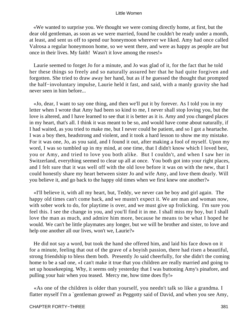«We wanted to surprise you. We thought we were coming directly home, at first, but the dear old gentleman, as soon as we were married, found he couldn't be ready under a month, at least, and sent us off to spend our honeymoon wherever we liked. Amy had once called Valrosa a regular honeymoon home, so we went there, and were as happy as people are but once in their lives. My faith! Wasn't it love among the roses!»

 Laurie seemed to forget Jo for a minute, and Jo was glad of it, for the fact that he told her these things so freely and so naturally assured her that he had quite forgiven and forgotten. She tried to draw away her hand, but as if he guessed the thought that prompted the half−involuntary impulse, Laurie held it fast, and said, with a manly gravity she had never seen in him before...

 «Jo, dear, I want to say one thing, and then we'll put it by forever. As I told you in my letter when I wrote that Amy had been so kind to me, I never shall stop loving you, but the love is altered, and I have learned to see that it is better as it is. Amy and you changed places in my heart, that's all. I think it was meant to be so, and would have come about naturally, if I had waited, as you tried to make me, but I never could be patient, and so I got a heartache. I was a boy then, headstrong and violent, and it took a hard lesson to show me my mistake. For it was one, Jo, as you said, and I found it out, after making a fool of myself. Upon my word, I was so tumbled up in my mind, at one time, that I didn't know which I loved best, you or Amy, and tried to love you both alike. But I couldn't, and when I saw her in Switzerland, everything seemed to clear up all at once. You both got into your right places, and I felt sure that it was well off with the old love before it was on with the new, that I could honestly share my heart between sister Jo and wife Amy, and love them dearly. Will you believe it, and go back to the happy old times when we first knew one another?»

 «I'll believe it, with all my heart, but, Teddy, we never can be boy and girl again. The happy old times can't come back, and we mustn't expect it. We are man and woman now, with sober work to do, for playtime is over, and we must give up frolicking. I'm sure you feel this. I see the change in you, and you'll find it in me. I shall miss my boy, but I shall love the man as much, and admire him more, because he means to be what I hoped he would. We can't be little playmates any longer, but we will be brother and sister, to love and help one another all our lives, won't we, Laurie?»

 He did not say a word, but took the hand she offered him, and laid his face down on it for a minute, feeling that out of the grave of a boyish passion, there had risen a beautiful, strong friendship to bless them both. Presently Jo said cheerfully, for she didn't the coming home to be a sad one, «I can't make it true that you children are really married and going to set up housekeeping. Why, it seems only yesterday that I was buttoning Amy's pinafore, and pulling your hair when you teased. Mercy me, how time does fly!»

 «As one of the children is older than yourself, you needn't talk so like a grandma. I flatter myself I'm a `gentleman growed' as Peggotty said of David, and when you see Amy,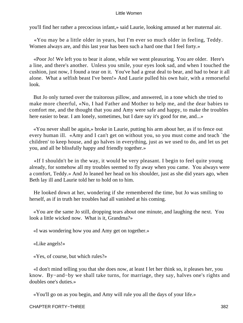you'll find her rather a precocious infant,» said Laurie, looking amused at her maternal air.

 «You may be a little older in years, but I'm ever so much older in feeling, Teddy. Women always are, and this last year has been such a hard one that I feel forty.»

 «Poor Jo! We left you to bear it alone, while we went pleasuring. You are older. Here's a line, and there's another. Unless you smile, your eyes look sad, and when I touched the cushion, just now, I found a tear on it. You've had a great deal to bear, and had to bear it all alone. What a selfish beast I've been!» And Laurie pulled his own hair, with a remorseful look.

 But Jo only turned over the traitorous pillow, and answered, in a tone which she tried to make more cheerful, «No, I had Father and Mother to help me, and the dear babies to comfort me, and the thought that you and Amy were safe and happy, to make the troubles here easier to bear. I am lonely, sometimes, but I dare say it's good for me, and...»

 «You never shall be again,» broke in Laurie, putting his arm about her, as if to fence out every human ill. «Amy and I can't get on without you, so you must come and teach `the children' to keep house, and go halves in everything, just as we used to do, and let us pet you, and all be blissfully happy and friendly together.»

 «If I shouldn't be in the way, it would be very pleasant. I begin to feel quite young already, for somehow all my troubles seemed to fly away when you came. You always were a comfort, Teddy.» And Jo leaned her head on his shoulder, just as she did years ago, when Beth lay ill and Laurie told her to hold on to him.

 He looked down at her, wondering if she remembered the time, but Jo was smiling to herself, as if in truth her troubles had all vanished at his coming.

 «You are the same Jo still, dropping tears about one minute, and laughing the next. You look a little wicked now. What is it, Grandma?»

«I was wondering how you and Amy get on together.»

«Like angels!»

«Yes, of course, but which rules?»

 «I don't mind telling you that she does now, at least I let her think so, it pleases her, you know. By−and−by we shall take turns, for marriage, they say, halves one's rights and doubles one's duties.»

«You'll go on as you begin, and Amy will rule you all the days of your life.»

CHAPTER FORTY−THREE 382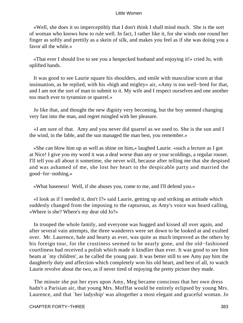«Well, she does it so imperceptibly that I don't think I shall mind much. She is the sort of woman who knows how to rule well. In fact, I rather like it, for she winds one round her finger as softly and prettily as a skein of silk, and makes you feel as if she was doing you a favor all the while.»

 «That ever I should live to see you a henpecked husband and enjoying it!» cried Jo, with uplifted hands.

 It was good to see Laurie square his shoulders, and smile with masculine scorn at that insinuation, as he replied, with his «high and mighty» air, «Amy is too well−bred for that, and I am not the sort of man to submit to it. My wife and I respect ourselves and one another too much ever to tyrannize or quarrel.»

 Jo like that, and thought the new dignity very becoming, but the boy seemed changing very fast into the man, and regret mingled with her pleasure.

 «I am sure of that. Amy and you never did quarrel as we used to. She is the sun and I the wind, in the fable, and the sun managed the man best, you remember.»

 «She can blow him up as well as shine on him,» laughed Laurie. «such a lecture as I got at Nice! I give you my word it was a deal worse than any or your scoldings, a regular rouser. I'll tell you all about it sometime, she never will, because after telling me that she despised and was ashamed of me, she lost her heart to the despicable party and married the good−for−nothing.»

«What baseness! Well, if she abuses you, come to me, and I'll defend you.»

 «I look as if I needed it, don't I?» said Laurie, getting up and striking an attitude which suddenly changed from the imposing to the rapturous, as Amy's voice was heard calling, «Where is she? Where's my dear old Jo?»

 In trooped the whole family, and everyone was hugged and kissed all over again, and after several vain attempts, the three wanderers were set down to be looked at and exulted over. Mr. Laurence, hale and hearty as ever, was quite as much improved as the others by his foreign tour, for the crustiness seemed to be nearly gone, and the old−fashioned courtliness had received a polish which made it kindlier than ever. It was good to see him beam at `my children', as he called the young pair. It was better still to see Amy pay him the daughterly duty and affection which completely won his old heart, and best of all, to watch Laurie revolve about the two, as if never tired of enjoying the pretty picture they made.

 The minute she put her eyes upon Amy, Meg became conscious that her own dress hadn't a Parisian air, that young Mrs. Mofffat would be entirely eclipsed by young Mrs. Laurence, and that `her ladyship' was altogether a most elegant and graceful woman. Jo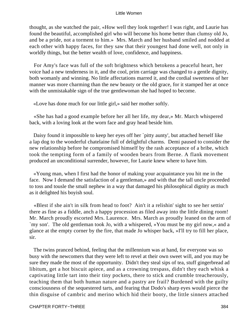thought, as she watched the pair, «How well they look together! I was right, and Laurie has found the beautiful, accomplished girl who will become his home better than clumsy old Jo, and be a pride, not a torment to him.» Mrs. March and her husband smiled and nodded at each other with happy faces, for they saw that their youngest had done well, not only in worldly things, but the better wealth of love, confidence, and happiness.

 For Amy's face was full of the soft brightness which betokens a peaceful heart, her voice had a new tenderness in it, and the cool, prim carriage was changed to a gentle dignity, both womanly and winning. No little affectations marred it, and the cordial sweetness of her manner was more charming than the new beauty or the old grace, for it stamped her at once with the unmistakable sign of the true gentlewoman she had hoped to become.

«Love has done much for our little girl,» said her mother softly.

 «She has had a good example before her all her life, my dear,» Mr. March whispered back, with a loving look at the worn face and gray head beside him.

 Daisy found it impossible to keep her eyes off her `pitty aunty', but attached herself like a lap dog to the wonderful chatelaine full of delightful charms. Demi paused to consider the new relationship before he compromised himself by the rash acceptance of a bribe, which took the tempting form of a family of wooden bears from Berne. A flank movement produced an unconditional surrender, however, for Laurie knew where to have him.

 «Young man, when I first had the honor of making your acquaintance you hit me in the face. Now I demand the satisfaction of a gentleman,» and with that the tall uncle proceeded to toss and tousle the small nephew in a way that damaged his philosophical dignity as much as it delighted his boyish soul.

 «Blest if she ain't in silk from head to foot? Ain't it a relishin' sight to see her settin' there as fine as a fiddle, anch a happy procession as filed away into the little dining room! Mr. March proudly escorted Mrs. Laurence. Mrs. March as proudly leaned on the arm of `my son'. The old gentleman took Jo, with a whispered, »You must be my girl now,« and a glance at the empty corner by the fire, that made Jo whisper back, »I'll try to fill her place, sir.

 The twins pranced behind, feeling that the millennium was at hand, for everyone was so busy with the newcomers that they were left to revel at their own sweet will, and you may be sure they made the most of the opportunity. Didn't they steal sips of tea, stuff gingerbread ad libitum, get a hot biscuit apiece, and as a crowning trespass, didn't they each whisk a captivating little tart into their tiny pockets, there to stick and crumble treacherously, teaching them that both human nature and a pastry are frail? Burdened with the guilty consciousness of the sequestered tarts, and fearing that Dodo's sharp eyes would pierce the thin disguise of cambric and merino which hid their booty, the little sinners attached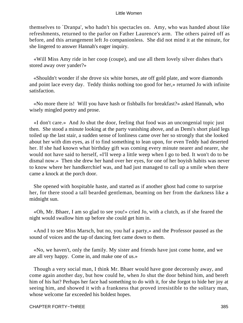themselves to `Dranpa', who hadn't his spectacles on. Amy, who was handed about like refreshments, returned to the parlor on Father Laurence's arm. The others paired off as before, and this arrangement left Jo companionless. She did not mind it at the minute, for she lingered to answer Hannah's eager inquiry.

 «Will Miss Amy ride in her coop (coupe), and use all them lovely silver dishes that's stored away over yander?»

 «Shouldn't wonder if she drove six white horses, ate off gold plate, and wore diamonds and point lace every day. Teddy thinks nothing too good for her,» returned Jo with infinite satisfaction.

 «No more there is! Will you have hash or fishballs for breakfast?» asked Hannah, who wisely mingled poetry and prose.

 «I don't care.» And Jo shut the door, feeling that food was an uncongenial topic just then. She stood a minute looking at the party vanishing above, and as Demi's short plaid legs toiled up the last stair, a sudden sense of lonliness came over her so strongly that she looked about her with dim eyes, as if to find something to lean upon, for even Teddy had deserted her. If she had known what birthday gift was coming every minute nearer and nearer, she would not have said to herself, «I'll weep a little weep when I go to bed. It won't do to be dismal now.» Then she drew her hand over her eyes, for one of her boyish habits was never to know where her handkerchief was, and had just managed to call up a smile when there came a knock at the porch door.

 She opened with hospitable haste, and started as if another ghost had come to surprise her, for there stood a tall bearded gentleman, beaming on her from the darkness like a midnight sun.

 «Oh, Mr. Bhaer, I am so glad to see you!» cried Jo, with a clutch, as if she feared the night would swallow him up before she could get him in.

 «And I to see Miss Marsch, but no, you haf a party,» and the Professor paused as the sound of voices and the tap of dancing feet came down to them.

 «No, we haven't, only the family. My sister and friends have just come home, and we are all very happy. Come in, and make one of us.»

 Though a very social man, I think Mr. Bhaer would have gone decorously away, and come again another day, but how could he, when Jo shut the door behind him, and bereft him of his hat? Perhaps her face had something to do with it, for she forgot to hide her joy at seeing him, and showed it with a frankness that proved irresistible to the solitary man, whose welcome far exceeded his boldest hopes.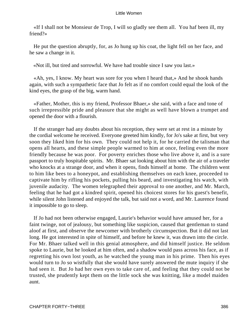«If I shall not be Monsieur de Trop, I will so gladly see them all. You haf been ill, my friend?»

 He put the question abruptly, for, as Jo hung up his coat, the light fell on her face, and he saw a change in it.

«Not ill, but tired and sorrowful. We have had trouble since I saw you last.»

 «Ah, yes, I know. My heart was sore for you when I heard that,» And he shook hands again, with such a sympathetic face that Jo felt as if no comfort could equal the look of the kind eyes, the grasp of the big, warm hand.

 «Father, Mother, this is my friend, Professor Bhaer,» she said, with a face and tone of such irrepressible pride and pleasure that she might as well have blown a trumpet and opened the door with a flourish.

 If the stranger had any doubts about his reception, they were set at rest in a minute by the cordial welcome he received. Everyone greeted him kindly, for Jo's sake at first, but very soon they liked him for his own. They could not help it, for he carried the talisman that opens all hearts, and these simple people warmed to him at once, feeling even the more friendly because he was poor. For poverty enriches those who live above it, and is a sure passport to truly hospitable spirits. Mr. Bhaer sat looking about him with the air of a traveler who knocks at a strange door, and when it opens, finds himself at home. The children went to him like bees to a honeypot, and establishing themselves on each knee, proceeded to captivate him by rifling his pockets, pulling his beard, and investigating his watch, with juvenile audacity. The women telegraphed their approval to one another, and Mr. March, feeling that he had got a kindred spirit, opened his choicest stores for his guest's benefit, while silent John listened and enjoyed the talk, but said not a word, and Mr. Laurence found it impossible to go to sleep.

 If Jo had not been otherwise engaged, Laurie's behavior would have amused her, for a faint twinge, not of jealousy, but something like suspicion, caused that gentleman to stand aloof at first, and observe the newcomer with brotherly circumspection. But it did not last long. He got interested in spite of himself, and before he knew it, was drawn into the circle. For Mr. Bhaer talked well in this genial atmosphere, and did himself justice. He seldom spoke to Laurie, but he looked at him often, and a shadow would pass across his face, as if regretting his own lost youth, as he watched the young man in his prime. Then his eyes would turn to Jo so wistfully that she would have surely answered the mute inquiry if she had seen it. But Jo had her own eyes to take care of, and feeling that they could not be trusted, she prudently kept them on the little sock she was knitting, like a model maiden aunt.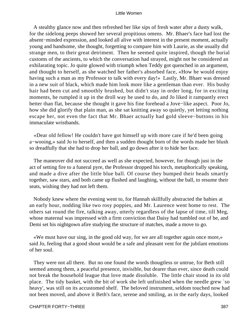A stealthy glance now and then refreshed her like sips of fresh water after a dusty walk, for the sidelong peeps showed her several propitious omens. Mr. Bhaer's face had lost the absent−minded expression, and looked all alive with interest in the present moment, actually young and handsome, she thought, forgetting to compare him with Laurie, as she usually did strange men, to their great detriment. Then he seemed quite inspired, though the burial customs of the ancients, to which the conversation had strayed, might not be considered an exhilarating topic. Jo quite glowed with triumph when Teddy got quenched in an argument, and thought to herself, as she watched her father's absorbed face, «How he would enjoy having such a man as my Professor to talk with every day!» Lastly, Mr. Bhaer was dressed in a new suit of black, which made him look more like a gentleman than ever. His bushy hair had been cut and smoothly brushed, but didn't stay in order long, for in exciting moments, he rumpled it up in the droll way he used to do, and Jo liked it rampantly erect better than flat, because she thought it gave his fine forehead a Jove−like aspect. Poor Jo, how she did glorify that plain man, as she sat knitting away so quietly, yet letting nothing escape her, not even the fact that Mr. Bhaer actually had gold sleeve−buttons in his immaculate wristbands.

 «Dear old fellow! He couldn't have got himself up with more care if he'd been going a−wooing,» said Jo to herself, and then a sudden thought born of the words made her blush so dreadfully that she had to drop her ball, and go down after it to hide her face.

 The maneuver did not succeed as well as she expected, however, for though just in the act of setting fire to a funeral pyre, the Professor dropped his torch, metaphorically speaking, and made a dive after the little blue ball. Of course they bumped their heads smartly together, saw stars, and both came up flushed and laughing, without the ball, to resume their seats, wishing they had not left them.

 Nobody knew where the evening went to, for Hannah skillfully abstracted the babies at an early hour, nodding like two rosy poppies, and Mr. Laurence went home to rest. The others sat round the fire, talking away, utterly regardless of the lapse of time, till Meg, whose maternal was impressed with a firm conviction that Daisy had tumbled out of be, and Demi set his nightgown afire studying the structure of matches, made a move to go.

 «We must have our sing, in the good old way, for we are all together again once more,» said Jo, feeling that a good shout would be a safe and pleasant vent for the jubilant emotions of her soul.

 They were not all there. But no one found the words thougtless or untrue, for Beth still seemed among them, a peaceful presence, invisible, but dearer than ever, since death could not break the household league that love made disoluble. The little chair stood in its old place. The tidy basket, with the bit of work she left unfinished when the needle grew `so heavy', was still on its accustomed shelf. The beloved instrument, seldom touched now had not been moved, and above it Beth's face, serene and smiling, as in the early days, looked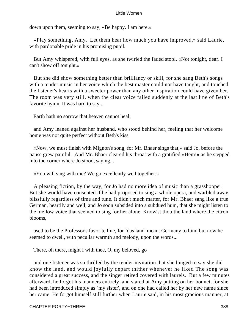down upon them, seeming to say, «Be happy. I am here.»

 «Play something, Amy. Let them hear how much you have improved,» said Laurie, with pardonable pride in his promising pupil.

 But Amy whispered, with full eyes, as she twirled the faded stool, «Not tonight, dear. I can't show off tonight.»

 But she did show something better than brilliancy or skill, for she sang Beth's songs with a tender music in her voice which the best master could not have taught, and touched the listener's hearts with a sweeter power than any other inspiration could have given her. The room was very still, when the clear voice failed suddenly at the last line of Beth's favorite hymn. It was hard to say...

Earth hath no sorrow that heaven cannot heal;

 and Amy leaned against her husband, who stood behind her, feeling that her welcome home was not quite perfect without Beth's kiss.

 «Now, we must finish with Mignon's song, for Mr. Bhaer sings that,» said Jo, before the pause grew painful. And Mr. Bhaer cleared his throat with a gratified «Hem!» as he stepped into the corner where Jo stood, saying...

«You will sing with me? We go excellently well together.»

 A pleasing fiction, by the way, for Jo had no more idea of music than a grasshopper. But she would have consented if he had proposed to sing a whole opera, and warbled away, blissfully regardless of time and tune. It didn't much matter, for Mr. Bhaer sang like a true German, heartily and well, and Jo soon subsided into a subdued hum, that she might listen to the mellow voice that seemed to sing for her alone. Know'st thou the land where the citron blooms,

 used to be the Professor's favorite line, for `das land' meant Germany to him, but now he seemed to dwell, with peculiar warmth and melody, upon the words...

There, oh there, might I with thee, O, my beloved, go

 and one listener was so thrilled by the tender invitation that she longed to say she did know the land, and would joyfully depart thither whenever he liked The song was considered a great success, and the singer retired covered with laurels. But a few minutes afterward, he forgot his manners entirely, and stared at Amy putting on her bonnet, for she had been introduced simply as `my sister', and on one had called her by her new name since her came. He forgot himself still further when Laurie said, in his most gracious manner, at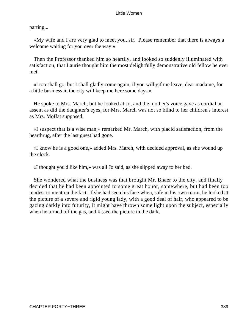parting...

 «My wife and I are very glad to meet you, sir. Please remember that there is always a welcome waiting for you over the way.»

 Then the Professor thanked him so heartily, and looked so suddenly illuminated with satisfaction, that Laurie thought him the most delightfully demonstrative old fellow he ever met.

 «I too shall go, but I shall gladly come again, if you will gif me leave, dear madame, for a little business in the city will keep me here some days.»

 He spoke to Mrs. March, but he looked at Jo, and the mother's voice gave as cordial an assent as did the daughter's eyes, for Mrs. March was not so blind to her children's interest as Mrs. Moffat supposed.

 «I suspect that is a wise man,» remarked Mr. March, with placid satisfaction, from the hearthrug, after the last guest had gone.

 «I know he is a good one,» added Mrs. March, with decided approval, as she wound up the clock.

«I thought you'd like him,» was all Jo said, as she slipped away to her bed.

 She wondered what the business was that brought Mr. Bhaer to the city, and finally decided that he had been appointed to some great honor, somewhere, but had been too modest to mention the fact. If she had seen his face when, safe in his own room, he looked at the picture of a severe and rigid young lady, with a good deal of hair, who appeared to be gazing darkly into futurity, it might have thrown some light upon the subject, especially when he turned off the gas, and kissed the picture in the dark.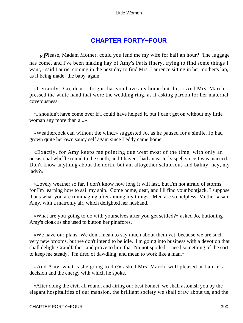# **[CHAPTER FORTY−FOUR](#page-421-0)**

*«P*lease, Madam Mother, could you lend me my wife for half an hour? The luggage has come, and I've been making hay of Amy's Paris finery, trying to find some things I want,» said Laurie, coming in the next day to find Mrs. Laurence sitting in her mother's lap, as if being made `the baby' again.

 «Certainly. Go, dear, I forgot that you have any home but this.» And Mrs. March pressed the white hand that wore the wedding ring, as if asking pardon for her maternal covetousness.

 «I shouldn't have come over if I could have helped it, but I can't get on without my little woman any more than a...»

 «Weathercock can without the wind,» suggested Jo, as he paused for a simile. Jo had grown quite her own saucy self again since Teddy came home.

 «Exactly, for Amy keeps me pointing due west most of the time, with only an occasional whiffle round to the south, and I haven't had an easterly spell since I was married. Don't know anything about the north, but am altogether salubrious and balmy, hey, my lady?»

 «Lovely weather so far. I don't know how long it will last, but I'm not afraid of storms, for I'm learning how to sail my ship. Come home, dear, and I'll find your bootjack. I suppose that's what you are rummaging after among my things. Men are so helpless, Mother,» said Amy, with a matronly air, which delighted her husband.

 «What are you going to do with yourselves after you get settled?» asked Jo, buttoning Amy's cloak as she used to button her pinafores.

 «We have our plans. We don't mean to say much about them yet, because we are such very new brooms, but we don't intend to be idle. I'm going into business with a devotion that shall delight Grandfather, and prove to him that I'm not spoiled. I need something of the sort to keep me steady. I'm tired of dawdling, and mean to work like a man.»

 «And Amy, what is she going to do?» asked Mrs. March, well pleased at Laurie's decision and the energy with which he spoke.

 «After doing the civil all round, and airing our best bonnet, we shall astonish you by the elegant hospitalities of our mansion, the brilliant society we shall draw about us, and the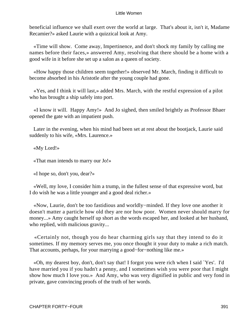beneficial influence we shall exert over the world at large. That's about it, isn't it, Madame Recamier?» asked Laurie with a quizzical look at Amy.

 «Time will show. Come away, Impertinence, and don't shock my family by calling me names before their faces,» answered Amy, resolving that there should be a home with a good wife in it before she set up a salon as a queen of society.

 «How happy those children seem together!» observed Mr. March, finding it difficult to become absorbed in his Aristotle after the young couple had gone.

 «Yes, and I think it will last,» added Mrs. March, with the restful expression of a pilot who has brought a ship safely into port.

 «I know it will. Happy Amy!» And Jo sighed, then smiled brightly as Professor Bhaer opened the gate with an impatient push.

 Later in the evening, when his mind had been set at rest about the bootjack, Laurie said suddenly to his wife, «Mrs. Laurence.»

«My Lord!»

«That man intends to marry our Jo!»

«I hope so, don't you, dear?»

 «Well, my love, I consider him a trump, in the fullest sense of that expressive word, but I do wish he was a little younger and a good deal richer.»

 «Now, Laurie, don't be too fastidious and worldly−minded. If they love one another it doesn't matter a particle how old they are nor how poor. Women never should marry for money...» Amy caught herself up short as the words escaped her, and looked at her husband, who replied, with malicious gravity...

 «Certainly not, though you do hear charming girls say that they intend to do it sometimes. If my memory serves me, you once thought it your duty to make a rich match. That accounts, perhaps, for your marrying a good−for−nothing like me.»

 «Oh, my dearest boy, don't, don't say that! I forgot you were rich when I said `Yes'. I'd have married you if you hadn't a penny, and I sometimes wish you were poor that I might show how much I love you.» And Amy, who was very dignified in public and very fond in private, gave convincing proofs of the truth of her words.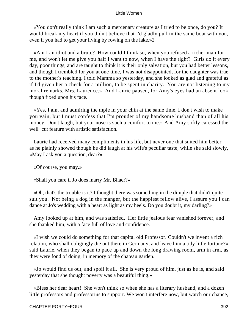«You don't really think I am such a mercenary creature as I tried to be once, do you? It would break my heart if you didn't believe that I'd gladly pull in the same boat with you, even if you had to get your living by rowing on the lake.»2

 «Am I an idiot and a brute? How could I think so, when you refused a richer man for me, and won't let me give you half I want to now, when I have the right? Girls do it every day, poor things, and are taught to think it is their only salvation, but you had better lessons, and though I trembled for you at one time, I was not disappointed, for the daughter was true to the mother's teaching. I told Mamma so yesterday, and she looked as glad and grateful as if I'd given her a check for a million, to be spent in charity. You are not listening to my moral remarks, Mrs. Laurence.» And Laurie paused, for Amy's eyes had an absent look, though fixed upon his face.

 «Yes, I am, and admiring the mple in your chin at the same time. I don't wish to make you vain, but I must confess that I'm prouder of my handsome husband than of all his money. Don't laugh, but your nose is such a comfort to me.» And Amy softly caressed the well−cut feature with artistic satisfaction.

 Laurie had received many compliments in his life, but never one that suited him better, as he plainly showed though he did laugh at his wife's peculiar taste, while she said slowly, «May I ask you a question, dear?»

«Of course, you may.»

«Shall you care if Jo does marry Mr. Bhaer?»

 «Oh, that's the trouble is it? I thought there was something in the dimple that didn't quite suit you. Not being a dog in the manger, but the happiest fellow alive, I assure you I can dance at Jo's wedding with a heart as light as my heels. Do you doubt it, my darling?»

 Amy looked up at him, and was satisfied. Her little jealous fear vanished forever, and she thanked him, with a face full of love and confidence.

 «I wish we could do something for that capital old Professor. Couldn't we invent a rich relation, who shall obligingly die out there in Germany, and leave him a tidy little fortune?» said Laurie, when they began to pace up and down the long drawing room, arm in arm, as they were fond of doing, in memory of the chateau garden.

 «Jo would find us out, and spoil it all. She is very proud of him, just as he is, and said yesterday that she thought poverty was a beautiful thing.»

 «Bless her dear heart! She won't think so when she has a literary husband, and a dozen little professors and professorins to support. We won't interfere now, but watch our chance,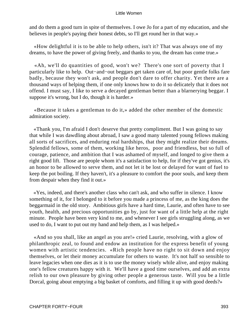and do them a good turn in spite of themselves. I owe Jo for a part of my education, and she believes in people's paying their honest debts, so I'll get round her in that way.»

 «How delightful it is to be able to help others, isn't it? That was always one of my dreams, to have the power of giving freely, and thanks to you, the dream has come true.»

 «Ah, we'll do quantities of good, won't we? There's one sort of poverty that I particularly like to help. Out−and−out beggars get taken care of, but poor gentle folks fare badly, because they won't ask, and people don't dare to offer charity. Yet there are a thousand ways of helping them, if one only knows how to do it so delicately that it does not offend. I must say, I like to serve a decayed gentleman better than a blarnerying beggar. I suppose it's wrong, but I do, though it is harder.»

 «Because it takes a gentleman to do it,» added the other member of the domestic admiration society.

 «Thank you, I'm afraid I don't deserve that pretty compliment. But I was going to say that while I was dawdling about abroad, I saw a good many talented young fellows making all sorts of sacrifices, and enduring real hardships, that they might realize their dreams. Splendid fellows, some of them, working like heros, poor and friendless, but so full of courage, patience, and ambition that I was ashamed of myself, and longed to give them a right good lift. Those are people whom it's a satisfaction to help, for if they've got genius, it's an honor to be allowed to serve them, and not let it be lost or delayed for want of fuel to keep the pot boiling. If they haven't, it's a pleasure to comfort the poor souls, and keep them from despair when they find it out.»

 «Yes, indeed, and there's another class who can't ask, and who suffer in silence. I know something of it, for I belonged to it before you made a princess of me, as the king does the beggarmaid in the old story. Ambitious girls have a hard time, Laurie, and often have to see youth, health, and precious opportunities go by, just for want of a little help at the right minute. People have been very kind to me, and whenever I see girls struggling along, as we used to do, I want to put out my hand and help them, as I was helped.»

 «And so you shall, like an angel as you are!» cried Laurie, resolving, with a glow of philanthropic zeal, to found and endow an institution for the express benefit of young women with artistic tendencies. «Rich people have no right to sit down and enjoy themselves, or let their money accumulate for others to waste. It's not half so sensible to leave legacies when one dies as it is to use the money wisely while alive, and enjoy making one's fellow creatures happy with it. We'll have a good time ourselves, and add an extra relish to our own pleasure by giving other people a generous taste. Will you be a little Dorcal, going about emptying a big basket of comforts, and filling it up with good deeds?»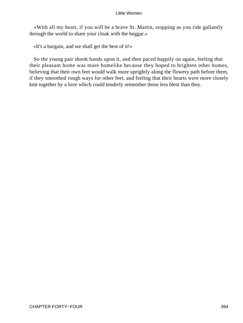«With all my heart, if you will be a brave St. Martin, stopping as you ride gallantly through the world to share your cloak with the beggar.»

«It's a bargain, and we shall get the best of it!»

 So the young pair shook hands upon it, and then paced happily on again, feeling that their pleasant home was more homelike because they hoped to brighten other homes, believing that their own feet would walk more uprightly along the flowery path before them, if they smoothed rough ways for other feet, and feeling that their hearts were more closely knit together by a love which could tenderly remember those less blest than they.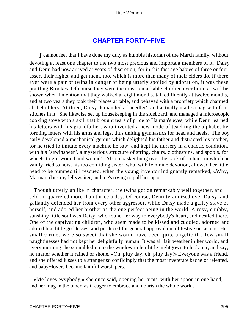# **[CHAPTER FORTY−FIVE](#page-421-0)**

*I* cannot feel that I have done my duty as humble historian of the March family, without devoting at least one chapter to the two most precious and important members of it. Daisy and Demi had now arrived at years of discretion, for in this fast age babies of three or four assert their rights, and get them, too, which is more than many of their elders do. If there ever were a pair of twins in danger of being utterly spoiled by adoration, it was these prattling Brookes. Of course they were the most remarkable children ever born, as will be shown when I mention that they walked at eight months, talked fluently at twelve months, and at two years they took their places at table, and behaved with a propriety which charmed all beholders. At three, Daisy demanded a `needler', and actually made a bag with four stitches in it. She likewise set up housekeeping in the sideboard, and managed a microscopic cooking stove with a skill that brought tears of pride to Hannah's eyes, while Demi learned his letters with his grandfather, who invented a new mode of teaching the alphabet by forming letters with his arms and legs, thus uniting gymnastics for head and heels. The boy early developed a mechanical genius which delighted his father and distracted his mother, for he tried to imitate every machine he saw, and kept the nursery in a chaotic condition, with his `sewinsheen', a mysterious structure of string, chairs, clothespins, and spools, for wheels to go `wound and wound'. Also a basket hung over the back of a chair, in which he vainly tried to hoist his too confiding sister, who, with feminine devotion, allowed her little head to be bumped till rescued, when the young inventor indignantly remarked, «Why, Marmar, dat's my lellywaiter, and me's trying to pull her up.»

 Though utterly unlike in character, the twins got on remarkably well together, and seldom quarreled more than thrice a day. Of course, Demi tyrannized over Daisy, and gallantly defended her from every other aggressor, while Daisy made a galley slave of herself, and adored her brother as the one perfect being in the world. A rosy, chubby, sunshiny little soul was Daisy, who found her way to everybody's heart, and nestled there. One of the captivating children, who seem made to be kissed and cuddled, adorned and adored like little goddesses, and produced for general approval on all festive occasions. Her small virtues were so sweet that she would have been quite angelic if a few small naughtinesses had not kept her delightfully human. It was all fair weather in her world, and every morning she scrambled up to the window in her little nightgown to look our, and say, no matter whether it rained or shone, «Oh, pitty day, oh, pitty day!» Everyone was a friend, and she offered kisses to a stranger so confidingly that the most inveterate bachelor relented, and baby−lovers became faithful worshipers.

 «Me loves evvybody,» she once said, opening her arms, with her spoon in one hand, and her mug in the other, as if eager to embrace and nourish the whole world.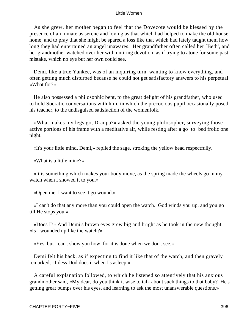As she grew, her mother began to feel that the Dovecote would be blessed by the presence of an inmate as serene and loving as that which had helped to make the old house home, and to pray that she might be spared a loss like that which had lately taught them how long they had entertained an angel unawares. Her grandfather often called her 'Beth', and her grandmother watched over her with untiring devotion, as if trying to atone for some past mistake, which no eye but her own could see.

 Demi, like a true Yankee, was of an inquiring turn, wanting to know everything, and often getting much disturbed because he could not get satisfactory answers to his perpetual «What for?»

 He also possessed a philosophic bent, to the great delight of his grandfather, who used to hold Socratic conversations with him, in which the precocious pupil occasionally posed his teacher, to the undisguised satisfaction of the womenfolk.

 «What makes my legs go, Dranpa?» asked the young philosopher, surveying those active portions of his frame with a meditative air, while resting after a go−to−bed frolic one night.

«It's your little mind, Demi,» replied the sage, stroking the yellow head respectfully.

«What is a little mine?»

 «It is something which makes your body move, as the spring made the wheels go in my watch when I showed it to you.»

«Open me. I want to see it go wound.»

 «I can't do that any more than you could open the watch. God winds you up, and you go till He stops you.»

 «Does I?» And Demi's brown eyes grew big and bright as he took in the new thought. «Is I wounded up like the watch?»

«Yes, but I can't show you how, for it is done when we don't see.»

 Demi felt his back, as if expecting to find it like that of the watch, and then gravely remarked, «I dess Dod does it when I's asleep.»

 A careful explanation followed, to which he listened so attentively that his anxious grandmother said, «My dear, do you think it wise to talk about such things to that baby? He's getting great bumps over his eyes, and learning to ask the most unanswerable questions.»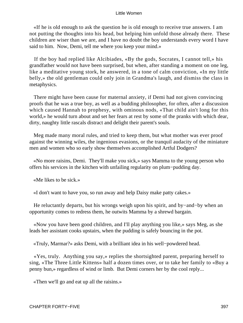«If he is old enough to ask the question he is old enough to receive true answers. I am not putting the thoughts into his head, but helping him unfold those already there. These children are wiser than we are, and I have no doubt the boy understands every word I have said to him. Now, Demi, tell me where you keep your mind.»

 If the boy had replied like Alcibiades, «By the gods, Socrates, I cannot tell,» his grandfather would not have been surprised, but when, after standing a moment on one leg, like a meditative young stork, he answered, in a tone of calm conviction, «In my little belly,» the old gentleman could only join in Grandma's laugh, and dismiss the class in metaphysics.

 There might have been cause for maternal anxiety, if Demi had not given convincing proofs that he was a true boy, as well as a budding philosopher, for often, after a discussion which caused Hannah to prophesy, with ominous nods, «That child ain't long for this world,» he would turn about and set her fears at rest by some of the pranks with which dear, dirty, naughty little rascals distract and delight their parent's souls.

 Meg made many moral rules, and tried to keep them, but what mother was ever proof against the winning wiles, the ingenious evasions, or the tranquil audacity of the miniature men and women who so early show themselves accomplished Artful Dodgers?

 «No more raisins, Demi. They'll make you sick,» says Mamma to the young person who offers his services in the kitchen with unfailing regularity on plum−pudding day.

«Me likes to be sick.»

«I don't want to have you, so run away and help Daisy make patty cakes.»

 He reluctantly departs, but his wrongs weigh upon his spirit, and by−and−by when an opportunity comes to redress them, he outwits Mamma by a shrewd bargain.

 «Now you have been good children, and I'll play anything you like,» says Meg, as she leads her assistant cooks upstairs, when the pudding is safely bouncing in the pot.

«Truly, Marmar?» asks Demi, with a brilliant idea in his well−powdered head.

 «Yes, truly. Anything you say,» replies the shortsighted parent, preparing herself to sing, «The Three Little Kittens» half a dozen times over, or to take her family to «Buy a penny bun,» regardless of wind or limb. But Demi corners her by the cool reply...

«Then we'll go and eat up all the raisins.»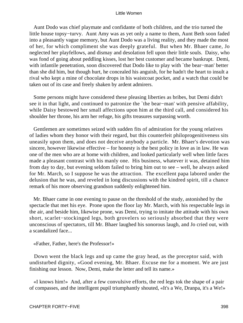Aunt Dodo was chief playmate and confidante of both children, and the trio turned the little house topsy−turvy. Aunt Amy was as yet only a name to them, Aunt Beth soon faded into a pleasantly vague memory, but Aunt Dodo was a living reality, and they made the most of her, for which compliment she was deeply grateful. But when Mr. Bhaer came, Jo neglected her playfellows, and dismay and desolation fell upon their little souls. Daisy, who was fond of going about peddling kisses, lost her best customer and became bankrupt. Demi, with infantile penetration, soon discovered that Dodo like to play with `the bear−man' better than she did him, but though hurt, he concealed his anguish, for he hadn't the heart to insult a rival who kept a mine of chocolate drops in his waistcoat pocket, and a watch that could be taken out of its case and freely shaken by ardent admirers.

 Some persons might have considered these pleasing liberties as bribes, but Demi didn't see it in that light, and continued to patronize the `the bear−man' with pensive affability, while Daisy bestowed her small affections upon him at the third call, and considered his shoulder her throne, his arm her refuge, his gifts treasures surpassing worth.

 Gentlemen are sometimes seized with sudden fits of admiration for the young relatives of ladies whom they honor with their regard, but this counterfeit philoprogenitiveness sits uneasily upon them, and does not deceive anybody a particle. Mr. Bhaer's devotion was sincere, however likewise effective – for honesty is the best policy in love as in law. He was one of the men who are at home with children, and looked particularly well when little faces made a pleasant contrast with his manly one. His business, whatever it was, detained him from day to day, but evening seldom failed to bring him out to see – well, he always asked for Mr. March, so I suppose he was the attraction. The excellent papa labored under the delusion that he was, and reveled in long discussions with the kindred spirit, till a chance remark of his more observing grandson suddenly enlightened him.

 Mr. Bhaer came in one evening to pause on the threshold of the study, astonished by the spectacle that met his eye. Prone upon the floor lay Mr. March, with his respectable legs in the air, and beside him, likewise prone, was Demi, trying to imitate the attitude with his own short, scarlet−stockinged legs, both grovelers so seriously absorbed that they were unconscious of spectators, till Mr. Bhaer laughed his sonorous laugh, and Jo cried out, with a scandalized face...

«Father, Father, here's the Professor!»

 Down went the black legs and up came the gray head, as the preceptor said, with undisturbed dignity, «Good evening, Mr. Bhaer. Excuse me for a moment. We are just finishing our lesson. Now, Demi, make the letter and tell its name.»

 «I knows him!» And, after a few convulsive efforts, the red legs tok the shape of a pair of compasses, and the intelligent pupil triumphantly shouted, «It's a We, Dranpa, it's a We!»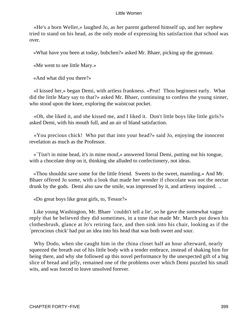«He's a born Weller,» laughed Jo, as her parent gathered himself up, and her nephew tried to stand on his head, as the only mode of expressing his satisfaction that school was over.

«What have you been at today, bubchen?» asked Mr. Bhaer, picking up the gymnast.

«Me went to see little Mary.»

«And what did you there?»

 «I kissed her,» began Demi, with artless frankness. «Prut! Thou beginnest early. What did the little Mary say to that?» asked Mr. Bhaer, continuing to confess the young sinner, who stood upon the knee, exploring the waistcoat pocket.

 «Oh, she liked it, and she kissed me, and I liked it. Don't little boys like little girls?» asked Demi, with his mouth full, and an air of bland satisfaction.

 «You precious chick! Who put that into your head?» said Jo, enjoying the innocent revelation as much as the Professor.

 «`Tisn't in mine head, it's in mine mouf,» answered literal Demi, putting out his tongue, with a chocolate drop on it, thinking she alluded to confectionery, not ideas.

 «Thou shouldst save some for the little friend. Sweets to the sweet, mannling.» And Mr. Bhaer offered Jo some, with a look that made her wonder if chocolate was not the nectar drunk by the gods. Demi also saw the smile, was impressed by it, and artlessy inquired. ..

«Do great boys like great girls, to, 'Fessor?»

Like young Washington, Mr. Bhaer `couldn't tell a lie', so he gave the somewhat vague reply that he believed they did sometimes, in a tone that made Mr. March put down his clothesbrush, glance at Jo's retiring face, and then sink into his chair, looking as if the `precocious chick' had put an idea into his head that was both sweet and sour.

 Why Dodo, when she caught him in the china closet half an hour afterward, nearly squeezed the breath out of his little body with a tender embrace, instead of shaking him for being there, and why she followed up this novel performance by the unexpected gift of a big slice of bread and jelly, remained one of the problems over which Demi puzzled his small wits, and was forced to leave unsolved forever.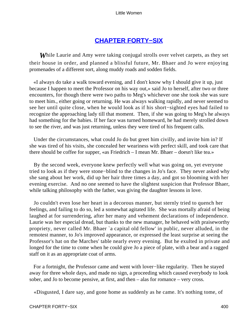### **[CHAPTER FORTY−SIX](#page-421-0)**

<span id="page-400-0"></span>*W*hile Laurie and Amy were taking conjugal strolls over velvet carpets, as they set their house in order, and planned a blissful future, Mr. Bhaer and Jo were enjoying promenades of a different sort, along muddy roads and sodden fields.

 «I always do take a walk toward evening, and I don't know why I should give it up, just because I happen to meet the Professor on his way out,» said Jo to herself, after two or three encounters, for though there were two paths to Meg's whichever one she took she was sure to meet him., either going or returning. He was always walking rapidly, and never seemed to see her until quite close, when he would look as if his short−sighted eyes had failed to recognize the approaching lady till that moment. Then, if she was going to Meg's he always had something for the babies. If her face was turned homeward, he had merely strolled down to see the river, and was just returning, unless they were tired of his frequent calls.

 Under the circumstances, what could Jo do but greet him civilly, and invite him in? If she was tired of his visits, she concealed her weariness with perfect skill, and took care that there should be coffee for supper, «as Friedrich – I mean Mr. Bhaer – doesn't like tea.»

 By the second week, everyone knew perfectly well what was going on, yet everyone tried to look as if they were stone−blind to the changes in Jo's face. They never asked why she sang about her work, did up her hair three times a day, and got so blooming with her evening exercise. And no one seemed to have the slightest suspicion that Professor Bhaer, while talking philosophy with the father, was giving the daughter lessons in love.

 Jo couldn't even lose her heart in a decorous manner, but sternly tried to quench her feelings, and failing to do so, led a somewhat agitated life. She was mortally afraid of being laughed at for surrendering, after her many and vehement declarations of independence. Laurie was her especial dread, but thanks to the new manager, he behaved with praiseworthy propriety, never called Mr. Bhaer `a capital old fellow' in public, never alluded, in the remotest manner, to Jo's improved appearance, or expressed the least surprise at seeing the Professor's hat on the Marches' table nearly every evening. But he exulted in private and longed for the time to come when he could give Jo a piece of plate, with a bear and a ragged staff on it as an appropriate coat of arms.

 For a fortnight, the Professor came and went with lover−like regularity. Then he stayed away for three whole days, and made no sign, a proceeding which caused everybody to look sober, and Jo to become pensive, at first, and then – alas for romance – very cross.

«Disgusted, I dare say, and gone home as suddenly as he came. It's nothing tome, of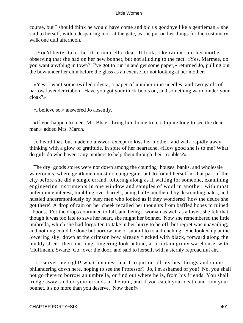course, but I should think he would have come and bid us goodbye like a gentleman,» she said to herself, with a despairing look at the gate, as she put on her things for the customary walk one dull afternoon.

 «You'd better take the little umbrella, dear. It looks like rain,» said her mother, observing that she had on her new bonnet, but not alluding to the fact. «Yes, Marmee, do you want anything in town? I've got to run in and get some paper,» returned Jo, pulling out the bow under her chin before the glass as an excuse for not looking at her mother.

 «Yes, I want some twilled silesia, a paper of number nine needles, and two yards of narrow lavender ribbon. Have you got your thick boots on, and something warm under your cloak?»

«I believe so,» answered Jo absently.

 «If you happen to meet Mr. Bhaer, bring him home to tea. I quite long to see the dear man,» added Mrs. March.

 Jo heard that, but made no answer, except to kiss her mother, and walk rapidly away, thinking with a glow of gratitude, in spite of her heartache, «How good she is to me! What do girls do who haven't any mothers to help them through their troubles?»

The dry−goods stores were not down among the counting–houses, banks, and wholesale warerooms, where gentlemen most do congregate, but Jo found herself in that part of the city before she did a single errand, loitering along as if waiting for someone, examining engineering instruments in one window and samples of wool in another, with most unfeminine interest, tumbling over barrels, being half−smothered by descending bales, and hustled unceremoniously by busy men who looked as if they wondered `how the deuce she got there'. A drop of rain on her cheek recalled her thoughts from baffled hopes to ruined ribbons. For the drops continued to fall, and being a woman as well as a lover, she felt that, though it was too late to save her heart, she might her bonnet. Now she remembered the little umbrella, which she had forgotten to take in her hurry to be off, but regret was unavailing, and nothing could be done but borrow one or submit to to a drenching. She looked up at the lowering sky, down at the crimson bow already flecked with black, forward along the muddy street, then one long, lingering look behind, at a certain grimy warehouse, with `Hoffmann, Swartz, Co.' over the door, and said to herself, with a sternly reproachful air...

 «It serves me right! what business had I to put on all my best things and come philandering down here, hoping to see the Professor? Jo, I'm ashamed of you! No, you shall not go there to borrow an umbrella, or find out where he is, from his friends. You shall trudge away, and do your errands in the rain, and if you catch your death and ruin your bonnet, it's no more than you deserve. Now then!»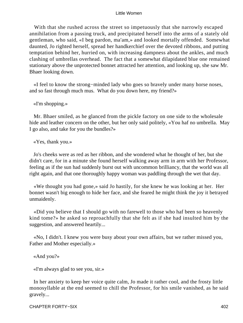With that she rushed across the street so impetuously that she narrowly escaped annihilation from a passing truck, and precipitated herself into the arms of a stately old gentleman, who said, «I beg pardon, ma'am,» and looked mortally offended. Somewhat daunted, Jo righted herself, spread her handkerchief over the devoted ribbons, and putting temptation behind her, hurried on, with increasing dampness about the ankles, and much clashing of umbrellas overhead. The fact that a somewhat dilapidated blue one remained stationary above the unprotected bonnet attracted her attention, and looking up, she saw Mr. Bhaer looking down.

 «I feel to know the strong−minded lady who goes so bravely under many horse noses, and so fast through much mus. What do you down here, my friend?»

«I'm shopping.»

 Mr. Bhaer smiled, as he glanced from the pickle factory on one side to the wholesale hide and leather concern on the other, but her only said politely, «You haf no umbrella. May I go also, and take for you the bundles?»

«Yes, thank you.»

 Jo's cheeks were as red as her ribbon, and she wondered what he thought of her, but she didn't care, for in a minute she found herself walking away arm in arm with her Professor, feeling as if the sun had suddenly burst out with uncommon brilliancy, that the world was all right again, and that one thoroughly happy woman was paddling through the wet that day.

 «We thought you had gone,» said Jo hastily, for she knew he was looking at her. Her bonnet wasn't big enough to hide her face, and she feared he might think the joy it betrayed unmaidenly.

 «Did you believe that I should go with no farewell to those who haf been so heavenly kind tome?» he asked so reproachfully that she felt as if she had insulted him by the suggestion, and answered heartily...

 «No, I didn't. I knew you were busy about your own affairs, but we rather missed you, Father and Mother especially.»

«And you?»

«I'm always glad to see you, sir.»

 In her anxiety to keep her voice quite calm, Jo made it rather cool, and the frosty little monosyllable at the end seemed to chill the Professor, for his smile vanished, as he said gravely...

CHAPTER FORTY−SIX 402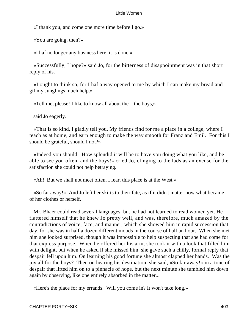«I thank you, and come one more time before I go.»

«You are going, then?»

«I haf no longer any business here, it is done.»

 «Successfully, I hope?» said Jo, for the bitterness of disappointment was in that short reply of his.

 «I ought to think so, for I haf a way opened to me by which I can make my bread and gif my Junglings much help.»

«Tell me, please! I like to know all about the – the boys,»

said Jo eagerly.

 «That is so kind, I gladly tell you. My friends find for me a place in a college, where I teach as at home, and earn enough to make the way smooth for Franz and Emil. For this I should be grateful, should I not?»

 «Indeed you should. How splendid it will be to have you doing what you like, and be able to see you often, and the boys!» cried Jo, clinging to the lads as an excuse for the satisfaction she could not help betraying.

«Ah! But we shall not meet often, I fear, this place is at the West.»

 «So far away!» And Jo left her skirts to their fate, as if it didn't matter now what became of her clothes or herself.

 Mr. Bhaer could read several languages, but he had not learned to read women yet. He flattered himself that he knew Jo pretty well, and was, therefore, much amazed by the contradictions of voice, face, and manner, which she showed him in rapid succession that day, for she was in half a dozen different moods in the course of half an hour. When she met him she looked surprised, though it was impossible to help suspecting that she had come for that express purpose. When he offered her his arm, she took it with a look that filled him with delight, but when he asked if she missed him, she gave such a chilly, formal reply that despair fell upon him. On learning his good fortune she almost clapped her hands. Was the joy all for the boys? Then on hearing his destination, she said, «So far away!» in a tone of despair that lifted him on to a pinnacle of hope, but the next minute she tumbled him down again by observing, like one entirely absorbed in the matter...

«Here's the place for my errands. Will you come in? It won't take long.»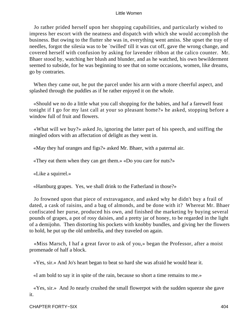Jo rather prided herself upon her shopping capabilities, and particularly wished to impress her escort with the neatness and dispatch with which she would accomplish the business. But owing to the flutter she was in, everything went amiss. She upset the tray of needles, forgot the silesia was to be `twilled' till it was cut off, gave the wrong change, and covered herself with confusion by asking for lavender ribbon at the calico counter. Mr. Bhaer stood by, watching her blush and blunder, and as he watched, his own bewilderment seemed to subside, for he was beginning to see that on some occasions, women, like dreams, go by contraries.

 When they came out, he put the parcel under his arm with a more cheerful aspect, and splashed through the puddles as if he rather enjoyed it on the whole.

 «Should we no do a little what you call shopping for the babies, and haf a farewell feast tonight if I go for my last call at your so pleasant home?» he asked, stopping before a window full of fruit and flowers.

 «What will we buy?» asked Jo, ignoring the latter part of his speech, and sniffing the mingled odors with an affectation of delight as they went in.

«May they haf oranges and figs?» asked Mr. Bhaer, with a paternal air.

«They eat them when they can get them.» «Do you care for nuts?»

«Like a squirrel.»

«Hamburg grapes. Yes, we shall drink to the Fatherland in those?»

 Jo frowned upon that piece of extravagance, and asked why he didn't buy a frail of dated, a cask of raisins, and a bag of almonds, and be done with it? Whereat Mr. Bhaer confiscated her purse, produced his own, and finished the marketing by buying several pounds of grapes, a pot of rosy daisies, and a pretty jar of honey, to be regarded in the light of a demijohn. Then distorting his pockets with knobby bundles, and giving her the flowers to hold, he put up the old umbrella, and they traveled on again.

 «Miss Marsch, I haf a great favor to ask of you,» began the Professor, after a moist promenade of half a block.

«Yes, sir.» And Jo's heart began to beat so hard she was afraid he would hear it.

«I am bold to say it in spite of the rain, because so short a time remains to me.»

 «Yes, sir.» And Jo nearly crushed the small flowerpot with the sudden squeeze she gave it.

CHAPTER FORTY−SIX 404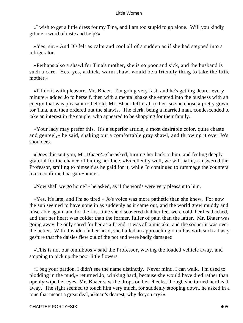«I wish to get a little dress for my Tina, and I am too stupid to go alone. Will you kindly gif me a word of taste and help?»

 «Yes, sir.» And JO felt as calm and cool all of a sudden as if she had stepped into a refrigerator.

 «Perhaps also a shawl for Tina's mother, she is so poor and sick, and the husband is such a care. Yes, yes, a thick, warm shawl would be a friendly thing to take the little mother.»

 «I'll do it with pleasure, Mr. Bhaer. I'm going very fast, and he's getting dearer every minute,» added Jo to herself, then with a mental shake she entered into the business with an energy that was pleasant to behold. Mr. Bhaer left it all to her, so she chose a pretty gown for Tina, and then ordered out the shawls. The clerk, being a married man, condescended to take an interest in the couple, who appeared to be shopping for their family.

 «Your lady may prefer this. It's a superior article, a most desirable color, quite chaste and genteel,» he said, shaking out a comfortable gray shawl, and throwing it over Jo's shoulders.

 «Does this suit you, Mr. Bhaer?» she asked, turning her back to him, and feeling deeply grateful for the chance of hiding her face. «Excellently well, we will haf it,» answered the Professor, smiling to himself as he paid for it, while Jo continued to rummage the counters like a confirmed bargain−hunter.

«Now shall we go home?» he asked, as if the words were very pleasant to him.

 «Yes, it's late, and I'm so tired.» Jo's voice was more pathetic than she knew. For now the sun seemed to have gone in as suddenly as it came out, and the world grew muddy and miserable again, and for the first time she discovered that her feet were cold, her head ached, and that her heart was colder than the former, fuller of pain than the latter. Mr. Bhaer was going away, he only cared for her as a friend, it was all a mistake, and the sooner it was over the better. With this idea in her head, she hailed an approaching omnibus with such a hasty gesture that the daisies flew out of the pot and were badly damaged.

 «This is not our omniboos,» said the Professor, waving the loaded vehicle away, and stopping to pick up the poor little flowers.

 «I beg your pardon. I didn't see the name distinctly. Never mind, I can walk. I'm used to plodding in the mud,» returned Jo, winking hard, because she would have died rather than openly wipe her eyes. Mr. Bhaer saw the drops on her cheeks, though she turned her head away. The sight seemed to touch him very much, for suddenly stooping down, he asked in a tone that meant a great deal, «Heart's dearest, why do you cry?»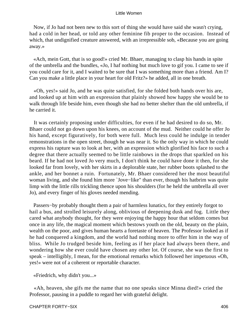Now, if Jo had not been new to this sort of thing she would have said she wasn't crying, had a cold in her head, or told any other feminine fib proper to the occasion. Instead of which, that undignified creature answered, with an irrepressible sob, «Because you are going away.»

 «Ach, mein Gott, that is so good!» cried Mr. Bhaer, managing to clasp his hands in spite of the umbrella and the bundles, «Jo, I haf nothing but much love to gif you. I came to see if you could care for it, and I waited to be sure that I was something more than a friend. Am I? Can you make a little place in your heart for old Fritz?» he added, all in one breath.

 «Oh, yes!» said Jo, and he was quite satisfied, for she folded both hands over his are, and looked up at him with an expression that plainly showed how happy she would be to walk through life beside him, even though she had no better shelter than the old umbrella, if he carried it.

 It was certainly proposing under difficulties, for even if he had desired to do so, Mr. Bhaer could not go down upon his knees, on account of the mud. Neither could he offer Jo his hand, except figuratively, for both were full. Much less could he indulge in tender remonstrations in the open street, though he was near it. So the only way in which he could express his rapture was to look at her, with an expression which glorified his face to such a degree that there actually seemed to be little rainbows in the drops that sparkled on his beard. If he had not loved Jo very much, I don't think he could have done it then, for she looked far from lovely, with her skirts in a deplorable state, her rubber boots splashed to the ankle, and her bonnet a ruin. Fortunately, Mr. Bhaer considered her the most beautiful woman living, and she found him more `Jove−like" than ever, though his hatbrim was quite limp with the little rills trickling thence upon his shoulders (for he held the umbrella all over Jo), and every finger of his gloves needed mending.

 Passers−by probably thought them a pair of harmless lunatics, for they entirely forgot to hail a bus, and strolled leisurely along, oblivious of deepening dusk and fog. Little they cared what anybody thought, for they were enjoying the happy hour that seldom comes but once in any life, the magical moment which bestows youth on the old, beauty on the plain, wealth on the poor, and gives human hearts a foretaste of heaven. The Professor looked as if he had conquered a kingdom, and the world had nothing more to offer him in the way of bliss. While Jo trudged beside him, feeling as if her place had always been there, and wondering how she ever could have chosen any other lot. Of course, she was the first to speak – intelligibly, I mean, for the emotional remarks which followed her impetuous «Oh, yes!» were not of a coherent or reportable character.

«Friedrich, why didn't you...»

 «Ah, heaven, she gifs me the name that no one speaks since Minna died!» cried the Professor, pausing in a puddle to regard her with grateful delight.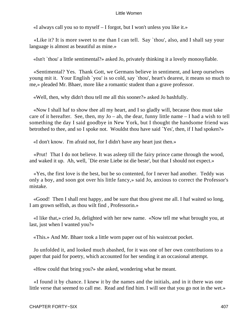«I always call you so to myself – I forgot, but I won't unless you like it.»

 «Like it? It is more sweet to me than I can tell. Say `thou', also, and I shall say your language is almost as beautiful as mine.»

«Isn't `thou' a little sentimental?» asked Jo, privately thinking it a lovely monosyllable.

 «Sentimental? Yes. Thank Gott, we Germans believe in sentiment, and keep ourselves young mit it. Your English `you' is so cold, say `thou', heart's dearest, it means so much to me,» pleaded Mr. Bhaer, more like a romantic student than a grave professor.

«Well, then, why didn't thou tell me all this sooner?» asked Jo bashfully.

 «Now I shall haf to show thee all my heart, and I so gladly will, because thou must take care of it hereafter. See, then, my  $Jo - ah$ , the dear, funny little name  $-I$  had a wish to tell something the day I said goodbye in New York, but I thought the handsome friend was betrothed to thee, and so I spoke not. Wouldst thou have said `Yes', then, if I had spoken?»

«I don't know. I'm afraid not, for I didn't have any heart just then.»

 «Prut! That I do not believe. It was asleep till the fairy prince came through the wood, and waked it up. Ah, well, `Die erste Liebe ist die beste', but that I should not expect.»

 «Yes, the first love is the best, but be so contented, for I never had another. Teddy was only a boy, and soon got over his little fancy,» said Jo, anxious to correct the Professor's mistake.

 «Good! Then I shall rest happy, and be sure that thou givest me all. I haf waited so long, I am grown selfish, as thou wilt find , Professorin.»

 «I like that,» cried Jo, delighted with her new name. «Now tell me what brought you, at last, just when I wanted you?»

«This.» And Mr. Bhaer took a little worn paper out of his waistcoat pocket.

 Jo unfolded it, and looked much abashed, for it was one of her own contributions to a paper that paid for poetry, which accounted for her sending it an occasional attempt.

«How could that bring you?» she asked, wondering what he meant.

 «I found it by chance. I knew it by the names and the initials, and in it there was one little verse that seemed to call me. Read and find him. I will see that you go not in the wet.»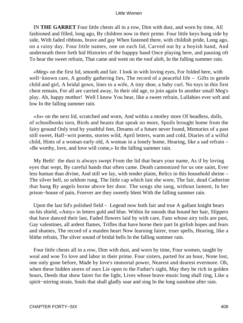IN **THE GARRET** Four little chests all in a row, Dim with dust, and worn by time, All fashioned and filled, long ago, By children now in their prime. Four little keys hung side by side, With faded ribbons, brave and gay When fastened there, with childish pride, Long ago, on a rainy day. Four little names, one on each lid, Carved out by a boyish hand, And underneath there lieth hid Histories of the happpy band Once playing here, and pausing oft To hear the sweet refrain, That came and went on the roof aloft, In the falling summer rain.

 «Meg» on the first lid, smooth and fair. I look in with loving eyes, For folded here, with well−known care, A goodly gathering lies, The record of a peaceful life – Gifts to gentle child and girl, A bridal gown, lines to a wife, A tiny shoe, a baby curl. No toys in this first chest remain, For all are carried away, In their old age, to join again In another small Meg's play. Ah, happy mother! Well I know You hear, like a sweet refrain, Lullabies ever soft and low In the falling summer rain.

 «Jo» on the next lid, scratched and worn, And within a motley store Of headless, dolls, of schoolbooks torn, Birds and beasts that speak no more, Spoils brought home from the fairy ground Only trod by youthful feet, Dreams of a future never found, Memories of a past still sweet, Half−writ poems, stories wild, April letters, warm and cold, Diaries of a wilful child, Hints of a woman early old, A woman in a lonely home, Hearing, like a sad refrain – «Be worthy, love, and love will come,» In the falling summer rain.

 My Beth! the dust is always swept From the lid that bears your name, As if by loving eyes that wept, By careful hands that often came. Death cannonized for us one saint, Ever less human than divine, And still we lay, with tender plaint, Relics in this household shrine – The silver bell, so seldom rung, The little cap which last she wore, The fair, dead Catherine that hung By angels borne above her door. The songs she sang, without lament, In her prison−house of pain, Forever are they sweetly blent With the falling summer rain.

 Upon the last lid's polished field – Legend now both fair and true A gallant knight bears on his shield, «Amy» in letters gold and blue. Within lie snoods that bound her hair, Slippers that have danced their last, Faded flowers laid by with care, Fans whose airy toils are past, Gay valentines, all ardent flames, Trifles that have borne their part In girlish hopes and fears and shames, The record of a maiden heart Now learning fairer, truer spells, Hearing, like a blithe refrain, The silver sound of bridal bells In the falling summer rain.

 Four little chests all in a row, Dim with dust, and worn by time, Four women, taught by weal and woe To love and labor in their prime. Four sisters, parted for an hour, None lost, one only gone before, Made by love's immortal power, Nearest and dearest evermore. Oh, when these hidden stores of ours Lie open to the Father's sight, May they be rich in golden hours, Deeds that show fairer for the light, Lives whose brave music long shall ring, Like a spirit–stirring strain, Souls that shall gladly soar and sing In the long sunshine after rain.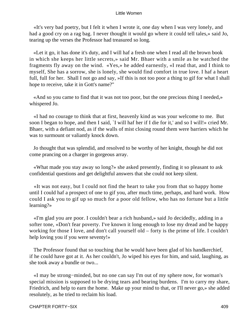«It's very bad poetry, but I felt it when I wrote it, one day when I was very lonely, and had a good cry on a rag bag. I never thought it would go where it could tell tales,» said Jo, tearing up the verses the Professor had treasured so long.

 «Let it go, it has done it's duty, and I will haf a fresh one when I read all the brown book in which she keeps her little secrets,» said Mr. Bhaer with a smile as he watched the fragments fly away on the wind. «Yes,» he added earnestly, «I read that, and I think to myself, She has a sorrow, she is lonely, she would find comfort in true love. I haf a heart full, full for her. Shall I not go and say, »If this is not too poor a thing to gif for what I shall hope to receive, take it in Gott's name?"

 «And so you came to find that it was not too poor, but the one precious thing I needed,» whispered Jo.

 «I had no courage to think that at first, heavenly kind as was your welcome to me. But soon I began to hope, and then I said, `I will haf her if I die for it,' and so I will!» cried Mr. Bhaer, with a defiant nod, as if the walls of mist closing round them were barriers which he was to surmount or valiantly knock down.

 Jo thought that was splendid, and resolved to be worthy of her knight, though he did not come prancing on a charger in gorgeous array.

 «What made you stay away so long?» she asked presently, finding it so pleasant to ask confidential questions and get delightful answers that she could not keep silent.

 «It was not easy, but I could not find the heart to take you from that so happy home until I could haf a prospect of one to gif you, after much time, perhaps, and hard work. How could I ask you to gif up so much for a poor old fellow, who has no fortune but a little learning?»

 «I'm glad you are poor. I couldn't bear a rich husband,» said Jo decidedly, adding in a softer tone, «Don't fear poverty. I've known it long enough to lose my dread and be happy working for those I love, and don't call yourself old – forty is the prime of life. I couldn't help loving you if you were seventy!»

 The Professor found that so touching that he would have been glad of his handkerchief, if he could have got at it. As her couldn't, Jo wiped his eyes for him, and said, laughing, as she took away a bundle or two...

 «I may be strong−minded, but no one can say I'm out of my sphere now, for woman's special mission is supposed to be drying tears and bearing burdens. I'm to carry my share, Friedrich, and help to earn the home. Make up your mind to that, or I'll never go,» she added resolutely, as he tried to reclaim his load.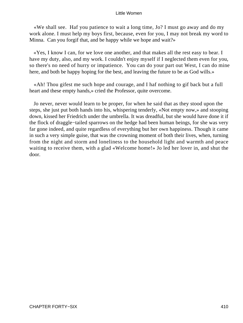«We shall see. Haf you patience to wait a long time, Jo? I must go away and do my work alone. I must help my boys first, because, even for you, I may not break my word to Minna. Can you forgif that, and be happy while we hope and wait?»

 «Yes, I know I can, for we love one another, and that makes all the rest easy to bear. I have my duty, also, and my work. I couldn't enjoy myself if I neglected them even for you, so there's no need of hurry or impatience. You can do your part out West, I can do mine here, and both be happy hoping for the best, and leaving the future to be as God wills.»

 «Ah! Thou gifest me such hope and courage, and I haf nothing to gif back but a full heart and these empty hands,» cried the Professor, quite overcome.

 Jo never, never would learn to be proper, for when he said that as they stood upon the steps, she just put both hands into his, whispering tenderly, «Not empty now,» and stooping down, kissed her Friedrich under the umbrella. It was dreadful, but she would have done it if the flock of draggle−tailed sparrows on the hedge had been human beings, for she was very far gone indeed, and quite regardless of everything but her own happiness. Though it came in such a very simple guise, that was the crowning moment of both their lives, when, turning from the night and storm and loneliness to the household light and warmth and peace waiting to receive them, with a glad «Welcome home!» Jo led her lover in, and shut the door.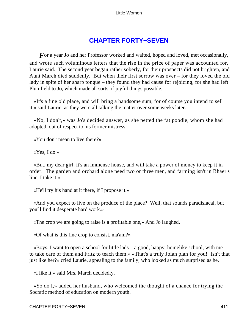## **[CHAPTER FORTY−SEVEN](#page-421-0)**

<span id="page-411-0"></span>*F* or a year Jo and her Professor worked and waited, hoped and loved, met occasionally, and wrote such voluminous letters that the rise in the price of paper was accounted for, Laurie said. The second year began rather soberly, for their prospects did not brighten, and Aunt March died suddenly. But when their first sorrow was over – for they loved the old lady in spite of her sharp tongue – they found they had cause for rejoicing, for she had left Plumfield to Jo, which made all sorts of joyful things possible.

 «It's a fine old place, and will bring a handsome sum, for of course you intend to sell it,» said Laurie, as they were all talking the matter over some weeks later.

 «No, I don't,» was Jo's decided answer, as she petted the fat poodle, whom she had adopted, out of respect to his former mistress.

«You don't mean to live there?»

«Yes, I do.»

 «But, my dear girl, it's an immense house, and will take a power of money to keep it in order. The garden and orchard alone need two or three men, and farming isn't in Bhaer's line, I take it.»

«He'll try his hand at it there, if I propose it.»

 «And you expect to live on the produce of the place? Well, that sounds paradisiacal, but you'll find it desperate hard work.»

«The crop we are going to raise is a profitable one,» And Jo laughed.

«Of what is this fine crop to consist, ma'am?»

 «Boys. I want to open a school for little lads – a good, happy, homelike school, with me to take care of them and Fritz to teach them.» «That's a truly Joian plan for you! Isn't that just like her?» cried Laurie, appealing to the family, who looked as much surprised as he.

«I like it,» said Mrs. March decidedly.

 «So do I,» added her husband, who welcomed the thought of a chance for trying the Socratic method of education on modern youth.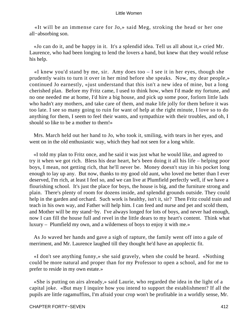«It will be an immense care for Jo,» said Meg, stroking the head or her one all−absorbing son.

 «Jo can do it, and be happy in it. It's a splendid idea. Tell us all about it,» cried Mr. Laurence, who had been longing to lend the lovers a hand, but knew that they would refuse his help.

 $\ll$ I knew you'd stand by me, sir. Amy does too – I see it in her eyes, though she prudently waits to turn it over in her mind before she speaks. Now, my dear people,» continued Jo earnestly, «just understand that this isn't a new idea of mine, but a long cherished plan. Before my Fritz came, I used to think how, when I'd made my fortune, and no one needed me at home, I'd hire a big house, and pick up some poor, forlorn little lads who hadn't any mothers, and take care of them, and make life jolly for them before it was too late. I see so many going to ruin for want of help at the right minute, I love so to do anything for them, I seem to feel their wants, and sympathize with their troubles, and oh, I should so like to be a mother to them!»

 Mrs. March held out her hand to Jo, who took it, smiling, with tears in her eyes, and went on in the old enthusiastic way, which they had not seen for a long while.

 «I told my plan to Fritz once, and he said it was just what he would like, and agreed to try it when we got rich. Bless his dear heart, he's been doing it all his life – helping poor boys, I mean, not getting rich, that he'll never be. Money doesn't stay in his pocket long enough to lay up any. But now, thanks to my good old aunt, who loved me better than I ever deserved, I'm rich, at least I feel so, and we can live at Plumfield perfectly well, if we have a flourishing school. It's just the place for boys, the house is big, and the furniture strong and plain. There's plenty of room for dozens inside, and splendid grounds outside. They could help in the garden and orchard. Such work is healthy, isn't it, sir? Then Fritz could train and teach in his own way, and Father will help him. I can feed and nurse and pet and scold them, and Mother will be my stand−by. I've always longed for lots of boys, and never had enough, now I can fill the house full and revel in the little dears to my heart's content. Think what luxury – Plumfield my own, and a wilderness of boys to enjoy it with me.»

 As Jo waved her hands and gave a sigh of rapture, the family went off into a gale of merriment, and Mr. Laurence laughed till they thought he'd have an apoplectic fit.

 «I don't see anything funny,» she said gravely, when she could be heard. «Nothing could be more natural and proper than for my Professor to open a school, and for me to prefer to reside in my own estate.»

 «She is putting on airs already,» said Laurie, who regarded the idea in the light of a capital joke. «But may I inquire how you intend to support the establishment? If all the pupils are little ragamuffins, I'm afraid your crop won't be profitable in a worldly sense, Mr.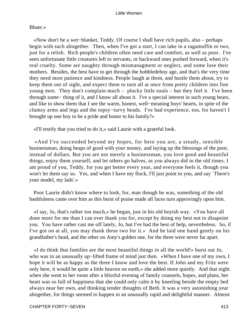### Bhaer.»

 «Now don't be a wet−blanket, Teddy. Of course I shall have rich pupils, also – perhaps begin with such altogether. Then, when I've got a start, I can take in a ragamuffin or two, just for a relish. Rich people's children often need care and comfort, as well as poor. I've seen unfortunate little creatures left to servants, or backward ones pushed forward, when it's real cruelty. Some are naughty through mismanagment or neglect, and some lose their mothers. Besides, the best have to get through the hobbledehoy age, and that's the very time they need most patience and kindness. People laugh at them, and hustle them about, try to keep them out of sight, and expect them to turn all at once from pretty children into fine young men. They don't complain much – plucky little souls – but they feel it. I've been through some− thing of it, and I know all about it. I've a special interest in such young bears, and like to show them that I see the warm, honest, well−meaning boys' hearts, in spite of the clumsy arms and legs and the topsy−turvy heads. I've had experience, too, for haven't I brought up one boy to be a pride and honor to his family?»

«I'll testify that you tried to do it,» said Laurie with a grateful look.

 «And I've succeeded beyond my hopes, for here you are, a steady, sensible businessman, doing heaps of good with your money, and laying up the blessings of the poor, instead of dollars. But you are not merely a businessman, you love good and beautiful things, enjoy them yourself, and let others go halves, as you always did in the old times. I am proud of you, Teddy, for you get better every year, and everyone feels it, though you won't let them say so. Yes, and when I have my flock, I'll just point to you, and say 'There's your model, my lads'.»

 Poor Laurie didn't know where to look, for, man though he was, something of the old bashfulness came over him as this burst of praise made all faces turn approvingly upon him.

 «I say, Jo, that's rather too much,» he began, just in his old boyish way. «You have all done more for me than I can ever thank you for, except by doing my best not to disapoint you. You have rather cast me off lately, Jo, but I've had the best of help, nevertheless. So, if I've got on at all, you may thank these two for it.» And he laid one hand gently on his grandfather's head, and the other on Amy's golden one, for the three were never far apart.

 «I do think that families are the most beautiful things in all the world!» burst out Jo, who was in an unusually up−lifted frame of mind just then. «When I have one of my own, I hope it will be as happy as the three I know and love the best. If John and my Fritz were only here, it would be quite a little heaven on earth,» she added more quietly. And that night when she went to her room after a blissful evening of family counsels, hopes, and plans, her heart was so full of happiness that she could only calm it by kneeling beside the empty bed always near her own, and thinking tender thoughts of Beth. It was a very astonishing year altogether, for things seemed to happen in an unusually rapid and delightful manner. Almost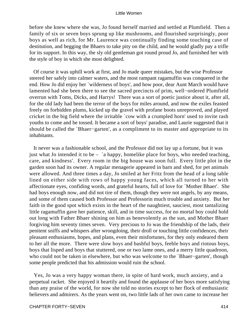before she knew where she was, Jo found herself married and settled at Plumfield. Then a family of six or seven boys sprung up like mushrooms, and flourished surprisingly, poor boys as well as rich, for Mr. Laurence was continually finding some touching case of destitution, and begging the Bhaers to take pity on the child, and he would gladly pay a trifle for its support. In this way, the sly old gentleman got round proud Jo, and furnished her with the style of boy in which she most delighted.

 Of course it was uphill work at first, and Jo made queer mistakes, but the wise Professor steered her safely into calmer waters, and the most rampant ragamuffin was conquered in the end. How Jo did enjoy her `wilderness of boys', and how poor, dear Aunt March would have lamented had she been there to see the sacred precincts of prim, well−ordered Plumfield overrun with Toms, Dicks, and Harrys! There was a sort of poetic justice about it, after all, for the old lady had been the terror of the boys for miles around, and now the exiles feasted freely on forbidden plums, kicked up the gravel with profane boots unreproved, and played cricket in the big field where the irritable `cow with a crumpled horn' used to invite rash youths to come and be tossed. It became a sort of boys' paradise, and Laurie suggested that it should be called the `Bhaer−garten', as a compliment to its master and appropriate to its inhabitants.

 It never was a fashionable school, and the Professor did not lay up a fortune, but it was just what Jo intended it to be – `a happy, homelike place for boys, who needed teaching, care, and kindness'. Every room in the big house was soon full. Every little plot in the garden soon had its owner. A regular menagerie appeared in barn and shed, for pet animals were allowed. And three times a day, Jo smiled at her Fritz from the head of a long table lined on either side with rows of happy young faces, which all turned to her with affectionate eyes, confiding words, and grateful hearts, full of love for `Mother Bhaer'. She had boys enough now, and did not tire of them, though they were not angels, by any means, and some of them caused both Professor and Professorin much trouble and anxiety. But her faith in the good spot which exists in the heart of the naughtiest, sauciest, most tantalizing little ragamuffin gave her patience, skill, and in time success, for no mortal boy could hold out long with Father Bhaer shining on him as benevolently as the sun, and Mother Bhaer forgiving him seventy times seven. Very precious to Jo was the friendship of the lads, their penitent sniffs and whispers after wrongdoing, their droll or touching little confidences, their pleasant enthusiasms, hopes, and plans, even their misfortunes, for they only endeared them to her all the more. There were slow boys and bashful boys, feeble boys and riotous boys, boys that lisped and boys that stuttered, one or two lame ones, and a merry little quadroon, who could not be taken in elsewhere, but who was welcome to the `Bhaer−garten', though some people predicted that his admission would ruin the school.

 Yes, Jo was a very happy woman there, in spite of hard work, much anxiety, and a perpetual racket. She enjoyed it heartily and found the applause of her boys more satisfying than any praise of the world, for now she told no stories except to her flock of enthusiastic believers and admirers. As the years went on, two little lads of her own came to increase her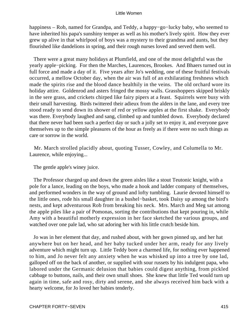happiness – Rob, named for Grandpa, and Teddy, a happy−go−lucky baby, who seemed to have inherited his papa's sunshiny temper as well as his mother's lively spirit. How they ever grew up alive in that whirlpool of boys was a mystery to their grandma and aunts, but they flourished like dandelions in spring, and their rough nurses loved and served them well.

 There were a great many holidays at Plumfield, and one of the most delightful was the yearly apple−picking. For then the Marches, Laurences, Brookes. And Bhaers turned out in full force and made a day of it. Five years after Jo's wedding, one of these fruitful festivals occurred, a mellow October day, when the air was full of an exhilarating freshness which made the spirits rise and the blood dance healthily in the veins. The old orchard wore its holiday attire. Goldenrod and asters fringed the mossy walls. Grasshoppers skipped briskly in the sere grass, and crickets chirped like fairy pipers at a feast. Squirrels were busy with their small harvesting. Birds twittered their adieux from the alders in the lane, and every tree stood ready to send down its shower of red or yellow apples at the first shake. Everybody was there. Everybody laughed and sang, climbed up and tumbled down. Everybody declared that there never had been such a perfect day or such a jolly set to enjoy it, and everyone gave themselves up to the simple pleasures of the hour as freely as if there were no such things as care or sorrow in the world.

 Mr. March strolled placidly about, quoting Tusser, Cowley, and Columella to Mr. Laurence, while enjoying...

The gentle apple's winey juice.

 The Professor charged up and down the green aisles like a stout Teutonic knight, with a pole for a lance, leading on the boys, who made a hook and ladder company of themselves, and performed wonders in the way of ground and lofty tumbling. Laurie devoted himself to the little ones, rode his small daughter in a bushel−basket, took Daisy up among the bird's nests, and kept adventurous Rob from breaking his neck. Mrs. March and Meg sat among the apple piles like a pair of Pomonas, sorting the contributions that kept pouring in, while Amy with a beautiful motherly expression in her face sketched the various groups, and watched over one pale lad, who sat adoring her with his little crutch beside him.

 Jo was in her element that day, and rushed about, with her gown pinned up, and her hat anywhere but on her head, and her baby tucked under her arm, ready for any lively adventure which might turn up. Little Teddy bore a charmed life, for nothing ever happened to him, and Jo never felt any anxiety when he was whisked up into a tree by one lad, galloped off on the back of another, or supplied with sour russets by his indulgent papa, who labored under the Germanic delusion that babies could digest anything, from pickled cabbage to buttons, nails, and their own small shoes. She knew that little Ted would turn up again in time, safe and rosy, dirty and serene, and she always received him back with a hearty welcome, for Jo loved her babies tenderly.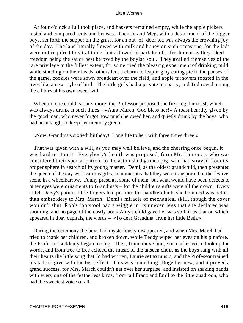At four o'clock a lull took place, and baskets remained empty, while the apple pickers rested and compared rents and bruises. Then Jo and Meg, with a detachment of the bigger boys, set forth the supper on the grass, for an out−of−door tea was always the crowning joy of the day. The land literally flowed with milk and honey on such occasions, for the lads were not required to sit at table, but allowed to partake of refreshment as they liked – freedom being the sauce best beloved by the boyish soul. They availed themselves of the rare privilege to the fullest extent, for some tried the pleasing experiment of drinking mild while standing on their heads, others lent a charm to leapfrog by eating pie in the pauses of the game, cookies were sown broadcast over the field, and apple turnovers roosted in the trees like a new style of bird. The little girls had a private tea party, and Ted roved among the edibles at his own sweet will.

 When no one could eat any more, the Professor proposed the first regular toast, which was always drunk at such times – «Aunt March, God bless her!» A toast heartily given by the good man, who never forgot how much he owed her, and quietly drunk by the boys, who had been taught to keep her memory green.

«Now, Grandma's sixtieth birthday! Long life to her, with three times three!»

 That was given with a will, as you may well believe, and the cheering once begun, it was hard to stop it. Everybody's health was proposed, form Mr. Laurence, who was considered their special patron, to the astonished guinea pig, who had strayed from its proper sphere in search of its young master. Demi, as the oldest grandchild, then presented the queen of the day with various gifts, so numerous that they were transported to the festive scene in a wheelbarrow. Funny presents, some of them, but what would have been defects to other eyes were ornaments to Grandma's – for the children's gifts were all their own. Every stitch Daisy's patient little fingers had put into the handkerchiefs she hemmed was better than embroidery to Mrs. March. Demi's miracle of mechanical skill, though the cover wouldn't shut, Rob's footstool had a wiggle in its uneven legs that she declared was soothing, and no page of the costly book Amy's child gave her was so fair as that on which appeared in tipsy capitals, the words – «To dear Grandma, from her little Beth.»

 During the ceremony the boys had mysteriously disappeared, and when Mrs. March had tried to thank her children, and broken down, while Teddy wiped her eyes on his pinafore, the Professor suddenly began to sing. Then, from above him, voice after voice took up the words, and from tree to tree echoed the music of the unseen choir, as the boys sang with all their hearts the little song that Jo had written, Laurie set to music, and the Professor trained his lads to give with the best effect. This was something altogether new, and it proved a grand success, for Mrs. March couldn't get over her surprise, and insisted on shaking hands with every one of the featherless birds, from tall Franz and Emil to the little quadroon, who had the sweetest voice of all.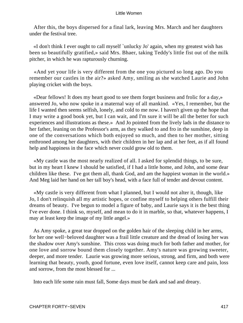After this, the boys dispersed for a final lark, leaving Mrs. March and her daughters under the festival tree.

 «I don't think I ever ought to call myself `unlucky Jo' again, when my greatest wish has been so beautifully gratified,» said Mrs. Bhaer, taking Teddy's little fist out of the milk pitcher, in which he was rapturously churning.

 «And yet your life is very different from the one you pictured so long ago. Do you remember our castles in the air?» asked Amy, smiling as she watched Laurie and John playing cricket with the boys.

 «Dear fellows! It does my heart good to see them forget business and frolic for a day,» answered Jo, who now spoke in a maternal way of all mankind. «Yes, I remember, but the life I wanted then seems selfish, lonely, and cold to me now. I haven't given up the hope that I may write a good book yet, but I can wait, and I'm sure it will be all the better for such experiences and illustrations as these.» And Jo pointed from the lively lads in the distance to her father, leaning on the Professor's arm, as they walked to and fro in the sunshine, deep in one of the conversations which both enjoyed so much, and then to her mother, sitting enthroned among her daughters, with their children in her lap and at her feet, as if all found help and happiness in the face which never could grow old to them.

 «My castle was the most nearly realized of all. I asked for splendid things, to be sure, but in my heart I knew I should be satisfied, if I had a little home, and John, and some dear children like these. I've got them all, thank God, and am the happiest woman in the world.» And Meg laid her hand on her tall boy's head, with a face full of tender and devout content.

 «My castle is very different from what I planned, but I would not alter it, though, like Jo, I don't relinquish all my artistic hopes, or confine myself to helping others fulfill their dreams of beauty. I've begun to model a figure of baby, and Laurie says it is the best thing I've ever done. I think so, myself, and mean to do it in marble, so that, whatever happens, I may at least keep the image of my little angel.»

 As Amy spoke, a great tear dropped on the golden hair of the sleeping child in her arms, for her one well−beloved daughter was a frail little creature and the dread of losing her was the shadow over Amy's sunshine. This cross was doing much for both father and mother, for one love and sorrow bound them closely together. Amy's nature was growing sweeter, deeper, and more tender. Laurie was growing more serious, strong, and firm, and both were learning that beauty, youth, good fortune, even love itself, cannot keep care and pain, loss and sorrow, from the most blessed for ...

Into each life some rain must fall, Some days must be dark and sad and dreary.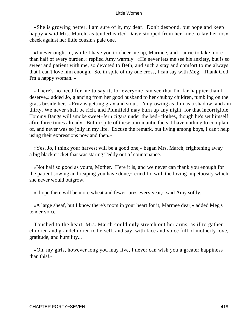«She is growing better, I am sure of it, my dear. Don't despond, but hope and keep happy,» said Mrs. March, as tenderhearted Daisy stooped from her knee to lay her rosy cheek against her little cousin's pale one.

 «I never ought to, while I have you to cheer me up, Marmee, and Laurie to take more than half of every burden,» replied Amy warmly. «He never lets me see his anxiety, but is so sweet and patient with me, so devoted to Beth, and such a stay and comfort to me always that I can't love him enough. So, in spite of my one cross, I can say with Meg, `Thank God, I'm a happy woman.'»

 «There's no need for me to say it, for everyone can see that I'm far happier than I deserve,» added Jo, glancing from her good husband to her chubby children, tumbling on the grass beside her. «Fritz is getting gray and stout. I'm growing as thin as a shadow, and am thirty. We never shall be rich, and Plumfield may burn up any night, for that incorrigible Tommy Bangs will smoke sweet−fern cigars under the bed−clothes, though he's set himself afire three times already. But in spite of these unromantic facts, I have nothing to complain of, and never was so jolly in my life. Excuse the remark, but living among boys, I can't help using their expressions now and then.»

 «Yes, Jo, I think your harvest will be a good one,» began Mrs. March, frightening away a big black cricket that was staring Teddy out of countenance.

 «Not half so good as yours, Mother. Here it is, and we never can thank you enough for the patient sowing and reaping you have done,» cried Jo, with the loving impetuosity which she never would outgrow.

«I hope there will be more wheat and fewer tares every year,» said Amy softly.

 «A large sheaf, but I know there's room in your heart for it, Marmee dear,» added Meg's tender voice.

 Touched to the heart, Mrs. March could only stretch out her arms, as if to gather children and grandchildren to herself, and say, with face and voice full of motherly love, gratitude, and humility...

 «Oh, my girls, however long you may live, I never can wish you a greater happiness than this!»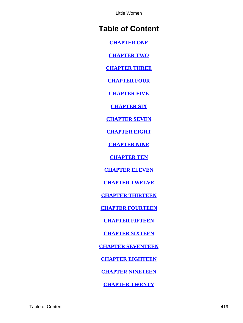# **Table of Content**

**[CHAPTER ONE](#page-3-0)**

**[CHAPTER TWO](#page-12-0)**

**[CHAPTER THREE](#page-21-0)**

**[CHAPTER FOUR](#page-31-0)**

**[CHAPTER FIVE](#page-41-0)**

**[CHAPTER SIX](#page-52-0)**

**[CHAPTER SEVEN](#page-58-0)**

**[CHAPTER EIGHT](#page-64-0)**

**[CHAPTER NINE](#page-73-0)**

**[CHAPTER TEN](#page-87-0)**

**[CHAPTER ELEVEN](#page-95-0)**

**[CHAPTER TWELVE](#page-104-0)**

**[CHAPTER THIRTEEN](#page-121-0)**

**[CHAPTER FOURTEEN](#page-130-0)**

**[CHAPTER FIFTEEN](#page-140-0)**

**[CHAPTER SIXTEEN](#page-148-0)**

**[CHAPTER SEVENTEEN](#page-155-0)**

**[CHAPTER EIGHTEEN](#page-162-0)**

**[CHAPTER NINETEEN](#page-169-0)**

**[CHAPTER TWENTY](#page-176-0)**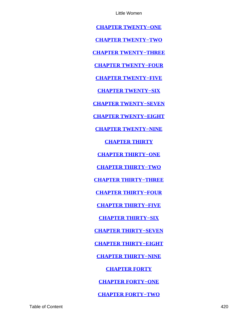**[CHAPTER TWENTY−ONE](#page-182-0)**

**[CHAPTER TWENTY−TWO](#page-193-0)**

**[CHAPTER TWENTY−THREE](#page-199-0)**

**[CHAPTER TWENTY−FOUR](#page-209-0)**

**[CHAPTER TWENTY−FIVE](#page-219-0)**

**[CHAPTER TWENTY−SIX](#page-225-0)**

**[CHAPTER TWENTY−SEVEN](#page-233-0)**

**[CHAPTER TWENTY−EIGHT](#page-239-0)**

**[CHAPTER TWENTY−NINE](#page-251-0)**

**[CHAPTER THIRTY](#page-262-0)**

**[CHAPTER THIRTY−ONE](#page-272-0)**

**[CHAPTER THIRTY−TWO](#page-279-0)**

**[CHAPTER THIRTY−THREE](#page-289-0)**

**[CHAPTER THIRTY−FOUR](#page-299-0)**

**[CHAPTER THIRTY−FIVE](#page-311-0)**

**[CHAPTER THIRTY−SIX](#page-320-0)**

**[CHAPTER THIRTY−SEVEN](#page-325-0)**

**[CHAPTER THIRTY−EIGHT](#page-334-0)**

**[CHAPTER THIRTY−NINE](#page-345-0)**

**[CHAPTER FORTY](#page-358-0)**

**[CHAPTER FORTY−ONE](#page-362-0)**

**[CHAPTER FORTY−TWO](#page-371-0)**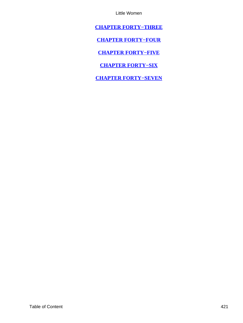<span id="page-421-0"></span>**[CHAPTER FORTY−THREE](#page-377-0)**

**[CHAPTER FORTY−FOUR](#page-390-0)**

**[CHAPTER FORTY−FIVE](#page-395-0)**

**[CHAPTER FORTY−SIX](#page-400-0)**

**[CHAPTER FORTY−SEVEN](#page-411-0)**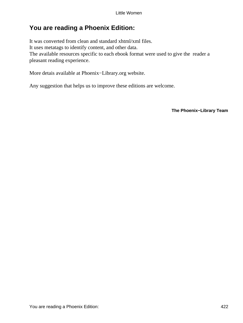## **You are reading a Phoenix Edition:**

It was converted from clean and standard xhtml/xml files. It uses metatags to identify content, and other data. The available resources specific to each ebook format were used to give the reader a pleasant reading experience.

More detais available at Phoenix−Library.org website.

Any suggestion that helps us to improve these editions are welcome.

**The Phoenix−Library Team**